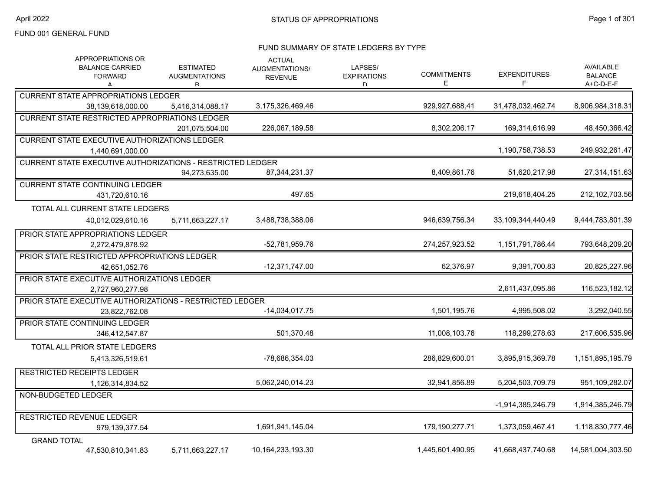#### FUND SUMMARY OF STATE LEDGERS BY TYPE

| APPROPRIATIONS OR<br><b>BALANCE CARRIED</b><br><b>FORWARD</b><br>А | <b>ESTIMATED</b><br><b>AUGMENTATIONS</b><br>R | <b>ACTUAL</b><br>AUGMENTATIONS/<br><b>REVENUE</b> | LAPSES/<br><b>EXPIRATIONS</b><br>D. | <b>COMMITMENTS</b><br>Е | <b>EXPENDITURES</b><br>F | AVAILABLE<br><b>BALANCE</b><br>A+C-D-E-F |
|--------------------------------------------------------------------|-----------------------------------------------|---------------------------------------------------|-------------------------------------|-------------------------|--------------------------|------------------------------------------|
| <b>CURRENT STATE APPROPRIATIONS LEDGER</b>                         |                                               |                                                   |                                     |                         |                          |                                          |
| 38,139,618,000.00                                                  | 5,416,314,088.17                              | 3,175,326,469.46                                  |                                     | 929,927,688.41          | 31,478,032,462.74        | 8,906,984,318.31                         |
| <b>CURRENT STATE RESTRICTED APPROPRIATIONS LEDGER</b>              |                                               |                                                   |                                     |                         |                          |                                          |
|                                                                    | 201.075.504.00                                | 226,067,189.58                                    |                                     | 8,302,206.17            | 169.314.616.99           | 48,450,366.42                            |
| <b>CURRENT STATE EXECUTIVE AUTHORIZATIONS LEDGER</b>               |                                               |                                                   |                                     |                         |                          |                                          |
| 1,440,691,000.00                                                   |                                               |                                                   |                                     |                         | 1,190,758,738.53         | 249,932,261.47                           |
| <b>CURRENT STATE EXECUTIVE AUTHORIZATIONS - RESTRICTED LEDGER</b>  |                                               |                                                   |                                     |                         |                          |                                          |
|                                                                    | 94,273,635.00                                 | 87,344,231.37                                     |                                     | 8,409,861.76            | 51,620,217.98            | 27,314,151.63                            |
| <b>CURRENT STATE CONTINUING LEDGER</b>                             |                                               |                                                   |                                     |                         |                          |                                          |
| 431,720,610.16                                                     |                                               | 497.65                                            |                                     |                         | 219,618,404.25           | 212,102,703.56                           |
| TOTAL ALL CURRENT STATE LEDGERS                                    |                                               |                                                   |                                     |                         |                          |                                          |
| 40,012,029,610.16                                                  | 5,711,663,227.17                              | 3,488,738,388.06                                  |                                     | 946,639,756.34          | 33,109,344,440.49        | 9,444,783,801.39                         |
| PRIOR STATE APPROPRIATIONS LEDGER                                  |                                               |                                                   |                                     |                         |                          |                                          |
| 2,272,479,878.92                                                   |                                               | -52,781,959.76                                    |                                     | 274,257,923.52          | 1,151,791,786.44         | 793,648,209.20                           |
| PRIOR STATE RESTRICTED APPROPRIATIONS LEDGER                       |                                               |                                                   |                                     |                         |                          |                                          |
| 42,651,052.76                                                      |                                               | $-12,371,747.00$                                  |                                     | 62,376.97               | 9,391,700.83             | 20,825,227.96                            |
| PRIOR STATE EXECUTIVE AUTHORIZATIONS LEDGER                        |                                               |                                                   |                                     |                         |                          |                                          |
| 2,727,960,277.98                                                   |                                               |                                                   |                                     |                         | 2,611,437,095.86         | 116,523,182.12                           |
| PRIOR STATE EXECUTIVE AUTHORIZATIONS - RESTRICTED LEDGER           |                                               |                                                   |                                     |                         |                          |                                          |
| 23.822.762.08                                                      |                                               | $-14,034,017.75$                                  |                                     | 1,501,195.76            | 4,995,508.02             | 3,292,040.55                             |
| PRIOR STATE CONTINUING LEDGER                                      |                                               |                                                   |                                     |                         |                          |                                          |
| 346,412,547.87                                                     |                                               | 501,370.48                                        |                                     | 11,008,103.76           | 118,299,278.63           | 217,606,535.96                           |
| TOTAL ALL PRIOR STATE LEDGERS                                      |                                               |                                                   |                                     |                         |                          |                                          |
| 5,413,326,519.61                                                   |                                               | -78,686,354.03                                    |                                     | 286,829,600.01          | 3,895,915,369.78         | 1,151,895,195.79                         |
| <b>RESTRICTED RECEIPTS LEDGER</b>                                  |                                               |                                                   |                                     |                         |                          |                                          |
| 1,126,314,834.52                                                   |                                               | 5,062,240,014.23                                  |                                     | 32,941,856.89           | 5,204,503,709.79         | 951,109,282.07                           |
| NON-BUDGETED LEDGER                                                |                                               |                                                   |                                     |                         |                          |                                          |
|                                                                    |                                               |                                                   |                                     |                         | -1.914.385.246.79        | 1.914.385.246.79                         |
| <b>RESTRICTED REVENUE LEDGER</b>                                   |                                               |                                                   |                                     |                         |                          |                                          |
| 979,139,377.54                                                     |                                               | 1,691,941,145.04                                  |                                     | 179,190,277.71          | 1,373,059,467.41         | 1,118,830,777.46                         |
| <b>GRAND TOTAL</b>                                                 |                                               |                                                   |                                     |                         |                          |                                          |
| 47,530,810,341.83                                                  | 5,711,663,227.17                              | 10,164,233,193.30                                 |                                     | 1,445,601,490.95        | 41,668,437,740.68        | 14,581,004,303.50                        |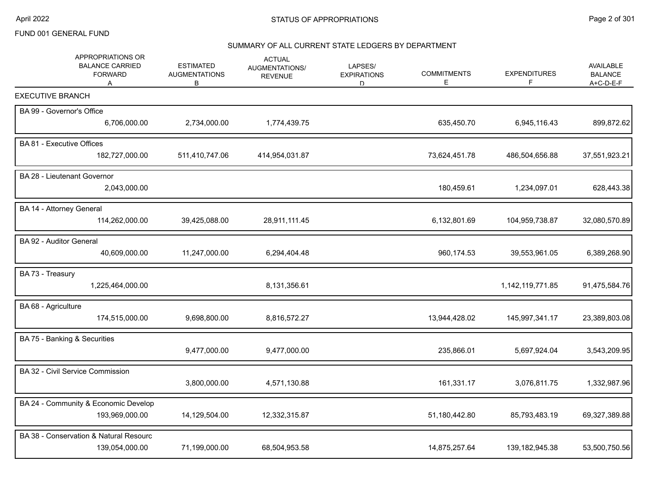## SUMMARY OF ALL CURRENT STATE LEDGERS BY DEPARTMENT

| APPROPRIATIONS OR<br><b>BALANCE CARRIED</b><br><b>FORWARD</b><br>A | <b>ESTIMATED</b><br><b>AUGMENTATIONS</b><br>В | <b>ACTUAL</b><br>AUGMENTATIONS/<br><b>REVENUE</b> | LAPSES/<br><b>EXPIRATIONS</b><br>D | <b>COMMITMENTS</b><br>Е | <b>EXPENDITURES</b><br>F. | <b>AVAILABLE</b><br><b>BALANCE</b><br>A+C-D-E-F |
|--------------------------------------------------------------------|-----------------------------------------------|---------------------------------------------------|------------------------------------|-------------------------|---------------------------|-------------------------------------------------|
| <b>EXECUTIVE BRANCH</b>                                            |                                               |                                                   |                                    |                         |                           |                                                 |
| BA 99 - Governor's Office                                          |                                               |                                                   |                                    |                         |                           |                                                 |
| 6,706,000.00                                                       | 2,734,000.00                                  | 1,774,439.75                                      |                                    | 635,450.70              | 6,945,116.43              | 899,872.62                                      |
| BA 81 - Executive Offices                                          |                                               |                                                   |                                    |                         |                           |                                                 |
| 182,727,000.00                                                     | 511,410,747.06                                | 414,954,031.87                                    |                                    | 73,624,451.78           | 486,504,656.88            | 37,551,923.21                                   |
| BA 28 - Lieutenant Governor                                        |                                               |                                                   |                                    |                         |                           |                                                 |
| 2,043,000.00                                                       |                                               |                                                   |                                    | 180,459.61              | 1,234,097.01              | 628,443.38                                      |
| BA 14 - Attorney General                                           |                                               |                                                   |                                    |                         |                           |                                                 |
| 114,262,000.00                                                     | 39,425,088.00                                 | 28,911,111.45                                     |                                    | 6,132,801.69            | 104,959,738.87            | 32,080,570.89                                   |
| BA 92 - Auditor General                                            |                                               |                                                   |                                    |                         |                           |                                                 |
| 40,609,000.00                                                      | 11,247,000.00                                 | 6,294,404.48                                      |                                    | 960,174.53              | 39,553,961.05             | 6,389,268.90                                    |
| BA 73 - Treasury                                                   |                                               |                                                   |                                    |                         |                           |                                                 |
| 1,225,464,000.00                                                   |                                               | 8,131,356.61                                      |                                    |                         | 1,142,119,771.85          | 91,475,584.76                                   |
| BA 68 - Agriculture                                                |                                               |                                                   |                                    |                         |                           |                                                 |
| 174,515,000.00                                                     | 9,698,800.00                                  | 8,816,572.27                                      |                                    | 13,944,428.02           | 145,997,341.17            | 23,389,803.08                                   |
| BA 75 - Banking & Securities                                       |                                               |                                                   |                                    |                         |                           |                                                 |
|                                                                    | 9,477,000.00                                  | 9,477,000.00                                      |                                    | 235,866.01              | 5,697,924.04              | 3,543,209.95                                    |
| BA 32 - Civil Service Commission                                   |                                               |                                                   |                                    |                         |                           |                                                 |
|                                                                    | 3,800,000.00                                  | 4,571,130.88                                      |                                    | 161,331.17              | 3,076,811.75              | 1,332,987.96                                    |
| BA 24 - Community & Economic Develop                               |                                               |                                                   |                                    |                         |                           |                                                 |
| 193,969,000.00                                                     | 14,129,504.00                                 | 12,332,315.87                                     |                                    | 51,180,442.80           | 85,793,483.19             | 69,327,389.88                                   |
| BA 38 - Conservation & Natural Resourc                             |                                               |                                                   |                                    |                         |                           |                                                 |
| 139,054,000.00                                                     | 71,199,000.00                                 | 68,504,953.58                                     |                                    | 14,875,257.64           | 139, 182, 945. 38         | 53,500,750.56                                   |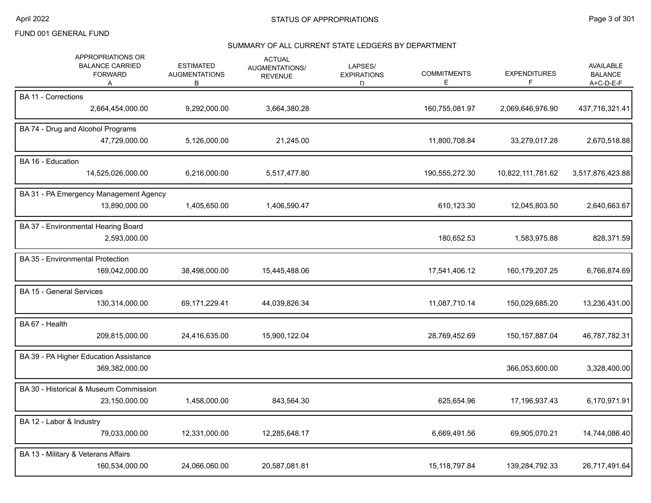## SUMMARY OF ALL CURRENT STATE LEDGERS BY DEPARTMENT

| APPROPRIATIONS OR<br><b>BALANCE CARRIED</b><br><b>FORWARD</b><br>A |                  | <b>ESTIMATED</b><br><b>AUGMENTATIONS</b><br>В | <b>ACTUAL</b><br><b>AUGMENTATIONS/</b><br><b>REVENUE</b> | LAPSES/<br><b>EXPIRATIONS</b><br>D | <b>COMMITMENTS</b><br>Е | <b>EXPENDITURES</b><br>F | <b>AVAILABLE</b><br><b>BALANCE</b><br>A+C-D-E-F |
|--------------------------------------------------------------------|------------------|-----------------------------------------------|----------------------------------------------------------|------------------------------------|-------------------------|--------------------------|-------------------------------------------------|
| <b>BA 11 - Corrections</b>                                         | 2,664,454,000.00 | 9,292,000.00                                  | 3,664,380.28                                             |                                    | 160,755,081.97          | 2,069,646,976.90         | 437,716,321.41                                  |
| BA 74 - Drug and Alcohol Programs                                  | 47,729,000.00    | 5,126,000.00                                  | 21,245.00                                                |                                    | 11,800,708.84           | 33,279,017.28            | 2,670,518.88                                    |
| BA 16 - Education<br>14,525,026,000.00                             |                  | 6,216,000.00                                  | 5,517,477.80                                             |                                    | 190,555,272.30          | 10,822,111,781.62        | 3,517,876,423.88                                |
| BA 31 - PA Emergency Management Agency                             | 13,890,000.00    | 1,405,650.00                                  | 1,406,590.47                                             |                                    | 610,123.30              | 12,045,803.50            | 2,640,663.67                                    |
| BA 37 - Environmental Hearing Board                                | 2,593,000.00     |                                               |                                                          |                                    | 180,652.53              | 1,583,975.88             | 828,371.59                                      |
| <b>BA 35 - Environmental Protection</b>                            | 169,042,000.00   | 38,498,000.00                                 | 15,445,488.06                                            |                                    | 17,541,406.12           | 160,179,207.25           | 6,766,874.69                                    |
| <b>BA 15 - General Services</b>                                    | 130,314,000.00   | 69,171,229.41                                 | 44,039,826.34                                            |                                    | 11,087,710.14           | 150,029,685.20           | 13,236,431.00                                   |
| BA 67 - Health                                                     | 209,815,000.00   | 24,416,635.00                                 | 15,900,122.04                                            |                                    | 28,769,452.69           | 150, 157, 887.04         | 46,787,782.31                                   |
| BA 39 - PA Higher Education Assistance                             | 369,382,000.00   |                                               |                                                          |                                    |                         | 366,053,600.00           | 3,328,400.00                                    |
| BA 30 - Historical & Museum Commission                             | 23,150,000.00    | 1,458,000.00                                  | 843,564.30                                               |                                    | 625,654.96              | 17,196,937.43            | 6,170,971.91                                    |
| BA 12 - Labor & Industry                                           | 79,033,000.00    | 12,331,000.00                                 | 12,285,648.17                                            |                                    | 6,669,491.56            | 69,905,070.21            | 14,744,086.40                                   |
| BA 13 - Military & Veterans Affairs                                | 160,534,000.00   | 24,066,060.00                                 | 20,587,081.81                                            |                                    | 15,118,797.84           | 139,284,792.33           | 26,717,491.64                                   |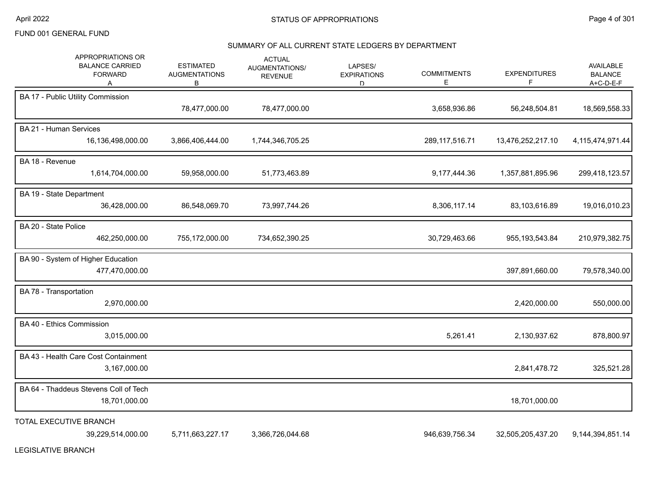#### SUMMARY OF ALL CURRENT STATE LEDGERS BY DEPARTMENT

| APPROPRIATIONS OR<br><b>BALANCE CARRIED</b><br><b>FORWARD</b><br>A | <b>ESTIMATED</b><br><b>AUGMENTATIONS</b><br>B | <b>ACTUAL</b><br>AUGMENTATIONS/<br><b>REVENUE</b> | LAPSES/<br><b>EXPIRATIONS</b><br>D. | <b>COMMITMENTS</b><br>Е | <b>EXPENDITURES</b><br>F | AVAILABLE<br><b>BALANCE</b><br>A+C-D-E-F |
|--------------------------------------------------------------------|-----------------------------------------------|---------------------------------------------------|-------------------------------------|-------------------------|--------------------------|------------------------------------------|
| BA 17 - Public Utility Commission                                  | 78,477,000.00                                 | 78,477,000.00                                     |                                     | 3,658,936.86            | 56,248,504.81            | 18,569,558.33                            |
| <b>BA 21 - Human Services</b><br>16,136,498,000.00                 | 3,866,406,444.00                              | 1,744,346,705.25                                  |                                     | 289, 117, 516. 71       | 13,476,252,217.10        | 4,115,474,971.44                         |
| BA 18 - Revenue<br>1,614,704,000.00                                | 59,958,000.00                                 | 51,773,463.89                                     |                                     | 9,177,444.36            | 1,357,881,895.96         | 299,418,123.57                           |
| BA 19 - State Department<br>36,428,000.00                          | 86,548,069.70                                 | 73,997,744.26                                     |                                     | 8,306,117.14            | 83,103,616.89            | 19,016,010.23                            |
| BA 20 - State Police<br>462,250,000.00                             | 755,172,000.00                                | 734,652,390.25                                    |                                     | 30,729,463.66           | 955, 193, 543.84         | 210,979,382.75                           |
| BA 90 - System of Higher Education<br>477,470,000.00               |                                               |                                                   |                                     |                         | 397,891,660.00           | 79,578,340.00                            |
| BA 78 - Transportation<br>2,970,000.00                             |                                               |                                                   |                                     |                         | 2,420,000.00             | 550,000.00                               |
| BA 40 - Ethics Commission<br>3,015,000.00                          |                                               |                                                   |                                     | 5,261.41                | 2,130,937.62             | 878,800.97                               |
| BA 43 - Health Care Cost Containment<br>3,167,000.00               |                                               |                                                   |                                     |                         | 2,841,478.72             | 325,521.28                               |
| BA 64 - Thaddeus Stevens Coll of Tech<br>18,701,000.00             |                                               |                                                   |                                     |                         | 18,701,000.00            |                                          |
| TOTAL EXECUTIVE BRANCH<br>39,229,514,000.00                        | 5,711,663,227.17                              | 3,366,726,044.68                                  |                                     | 946,639,756.34          | 32,505,205,437.20        | 9,144,394,851.14                         |

LEGISLATIVE BRANCH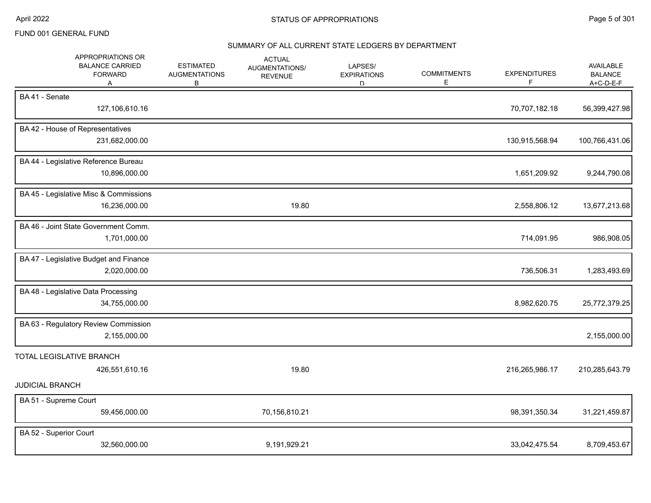#### SUMMARY OF ALL CURRENT STATE LEDGERS BY DEPARTMENT

| APPROPRIATIONS OR<br><b>BALANCE CARRIED</b><br><b>FORWARD</b><br>Α |              | <b>ESTIMATED</b><br><b>AUGMENTATIONS</b><br>В | <b>ACTUAL</b><br>AUGMENTATIONS/<br><b>REVENUE</b> | LAPSES/<br><b>EXPIRATIONS</b><br>D. | <b>COMMITMENTS</b><br>Е | <b>EXPENDITURES</b><br>F | <b>AVAILABLE</b><br><b>BALANCE</b><br>A+C-D-E-F |
|--------------------------------------------------------------------|--------------|-----------------------------------------------|---------------------------------------------------|-------------------------------------|-------------------------|--------------------------|-------------------------------------------------|
| BA41 - Senate<br>127,106,610.16                                    |              |                                               |                                                   |                                     |                         | 70,707,182.18            | 56,399,427.98                                   |
| BA 42 - House of Representatives<br>231,682,000.00                 |              |                                               |                                                   |                                     |                         | 130,915,568.94           | 100,766,431.06                                  |
| BA 44 - Legislative Reference Bureau<br>10,896,000.00              |              |                                               |                                                   |                                     |                         | 1,651,209.92             | 9,244,790.08                                    |
| BA 45 - Legislative Misc & Commissions<br>16,236,000.00            |              |                                               | 19.80                                             |                                     |                         | 2,558,806.12             | 13,677,213.68                                   |
| BA 46 - Joint State Government Comm.                               | 1,701,000.00 |                                               |                                                   |                                     |                         | 714,091.95               | 986,908.05                                      |
| BA 47 - Legislative Budget and Finance                             | 2,020,000.00 |                                               |                                                   |                                     |                         | 736,506.31               | 1,283,493.69                                    |
| BA 48 - Legislative Data Processing<br>34,755,000.00               |              |                                               |                                                   |                                     |                         | 8,982,620.75             | 25,772,379.25                                   |
| BA 63 - Regulatory Review Commission                               | 2,155,000.00 |                                               |                                                   |                                     |                         |                          | 2,155,000.00                                    |
| TOTAL LEGISLATIVE BRANCH<br>426,551,610.16<br>JUDICIAL BRANCH      |              |                                               | 19.80                                             |                                     |                         | 216,265,986.17           | 210,285,643.79                                  |
| BA 51 - Supreme Court<br>59,456,000.00                             |              |                                               | 70,156,810.21                                     |                                     |                         | 98,391,350.34            | 31,221,459.87                                   |
| BA 52 - Superior Court<br>32,560,000.00                            |              |                                               | 9,191,929.21                                      |                                     |                         | 33,042,475.54            | 8,709,453.67                                    |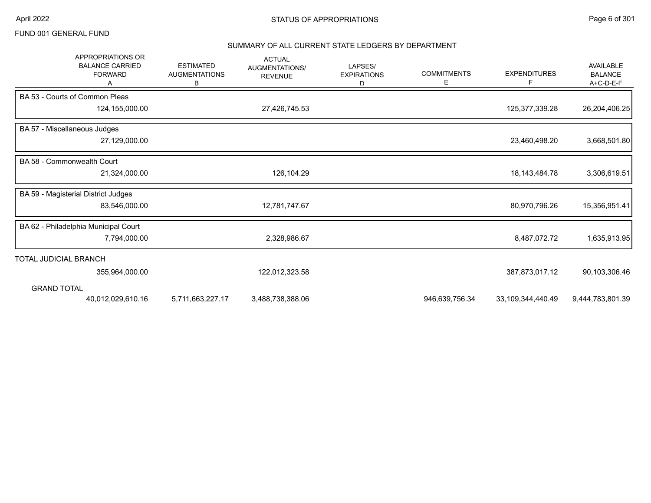# SUMMARY OF ALL CURRENT STATE LEDGERS BY DEPARTMENT

| <b>APPROPRIATIONS OR</b><br><b>BALANCE CARRIED</b><br><b>FORWARD</b> | <b>ESTIMATED</b><br><b>AUGMENTATIONS</b><br>В | <b>ACTUAL</b><br>AUGMENTATIONS/<br><b>REVENUE</b> | LAPSES/<br><b>EXPIRATIONS</b><br>D. | <b>COMMITMENTS</b><br>Е | <b>EXPENDITURES</b><br>F | <b>AVAILABLE</b><br><b>BALANCE</b><br>A+C-D-E-F |
|----------------------------------------------------------------------|-----------------------------------------------|---------------------------------------------------|-------------------------------------|-------------------------|--------------------------|-------------------------------------------------|
| BA 53 - Courts of Common Pleas                                       |                                               |                                                   |                                     |                         |                          |                                                 |
| 124,155,000.00                                                       |                                               | 27,426,745.53                                     |                                     |                         | 125,377,339.28           | 26,204,406.25                                   |
| BA 57 - Miscellaneous Judges                                         |                                               |                                                   |                                     |                         |                          |                                                 |
| 27,129,000.00                                                        |                                               |                                                   |                                     |                         | 23,460,498.20            | 3,668,501.80                                    |
| BA 58 - Commonwealth Court                                           |                                               |                                                   |                                     |                         |                          |                                                 |
| 21,324,000.00                                                        |                                               | 126,104.29                                        |                                     |                         | 18, 143, 484. 78         | 3,306,619.51                                    |
| BA 59 - Magisterial District Judges                                  |                                               |                                                   |                                     |                         |                          |                                                 |
| 83,546,000.00                                                        |                                               | 12,781,747.67                                     |                                     |                         | 80,970,796.26            | 15,356,951.41                                   |
| BA 62 - Philadelphia Municipal Court                                 |                                               |                                                   |                                     |                         |                          |                                                 |
| 7,794,000.00                                                         |                                               | 2,328,986.67                                      |                                     |                         | 8,487,072.72             | 1,635,913.95                                    |
| TOTAL JUDICIAL BRANCH                                                |                                               |                                                   |                                     |                         |                          |                                                 |
| 355,964,000.00                                                       |                                               | 122,012,323.58                                    |                                     |                         | 387,873,017.12           | 90,103,306.46                                   |
| <b>GRAND TOTAL</b>                                                   |                                               |                                                   |                                     |                         |                          |                                                 |
| 40,012,029,610.16                                                    | 5,711,663,227.17                              | 3,488,738,388.06                                  |                                     | 946,639,756.34          | 33,109,344,440.49        | 9,444,783,801.39                                |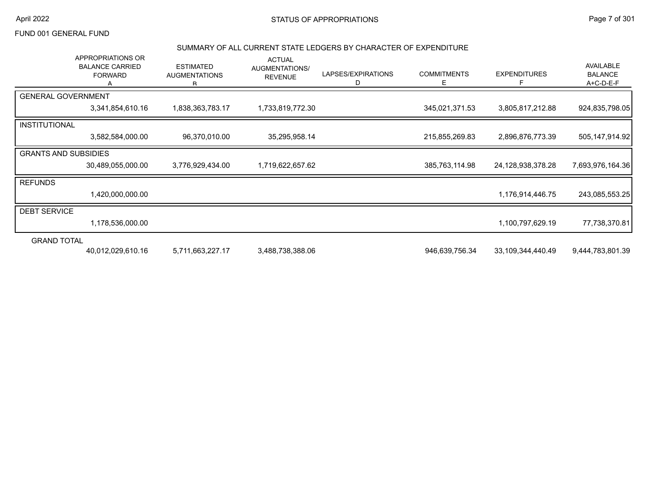# April 2022 **STATUS OF APPROPRIATIONS** STATUS OF APPROPRIATIONS

## FUND 001 GENERAL FUND

#### SUMMARY OF ALL CURRENT STATE LEDGERS BY CHARACTER OF EXPENDITURE

|                             | APPROPRIATIONS OR<br><b>BALANCE CARRIED</b><br><b>FORWARD</b> | <b>ESTIMATED</b><br><b>AUGMENTATIONS</b><br>R | <b>ACTUAL</b><br>AUGMENTATIONS/<br><b>REVENUE</b> | LAPSES/EXPIRATIONS<br>D | <b>COMMITMENTS</b><br>E. | <b>EXPENDITURES</b><br>F | AVAILABLE<br><b>BALANCE</b><br>A+C-D-E-F |
|-----------------------------|---------------------------------------------------------------|-----------------------------------------------|---------------------------------------------------|-------------------------|--------------------------|--------------------------|------------------------------------------|
| <b>GENERAL GOVERNMENT</b>   |                                                               |                                               |                                                   |                         |                          |                          |                                          |
|                             | 3,341,854,610.16                                              | 1,838,363,783.17                              | 1,733,819,772.30                                  |                         | 345,021,371.53           | 3,805,817,212.88         | 924,835,798.05                           |
| <b>INSTITUTIONAL</b>        |                                                               |                                               |                                                   |                         |                          |                          |                                          |
|                             | 3,582,584,000.00                                              | 96,370,010.00                                 | 35,295,958.14                                     |                         | 215,855,269.83           | 2,896,876,773.39         | 505, 147, 914. 92                        |
| <b>GRANTS AND SUBSIDIES</b> |                                                               |                                               |                                                   |                         |                          |                          |                                          |
|                             | 30,489,055,000.00                                             | 3,776,929,434.00                              | 1,719,622,657.62                                  |                         | 385,763,114.98           | 24,128,938,378.28        | 7,693,976,164.36                         |
| <b>REFUNDS</b>              |                                                               |                                               |                                                   |                         |                          |                          |                                          |
|                             | 1,420,000,000.00                                              |                                               |                                                   |                         |                          | 1,176,914,446.75         | 243,085,553.25                           |
| <b>DEBT SERVICE</b>         |                                                               |                                               |                                                   |                         |                          |                          |                                          |
|                             | 1,178,536,000.00                                              |                                               |                                                   |                         |                          | 1,100,797,629.19         | 77,738,370.81                            |
| <b>GRAND TOTAL</b>          |                                                               |                                               |                                                   |                         |                          |                          |                                          |
|                             | 40,012,029,610.16                                             | 5,711,663,227.17                              | 3,488,738,388.06                                  |                         | 946,639,756.34           | 33,109,344,440.49        | 9,444,783,801.39                         |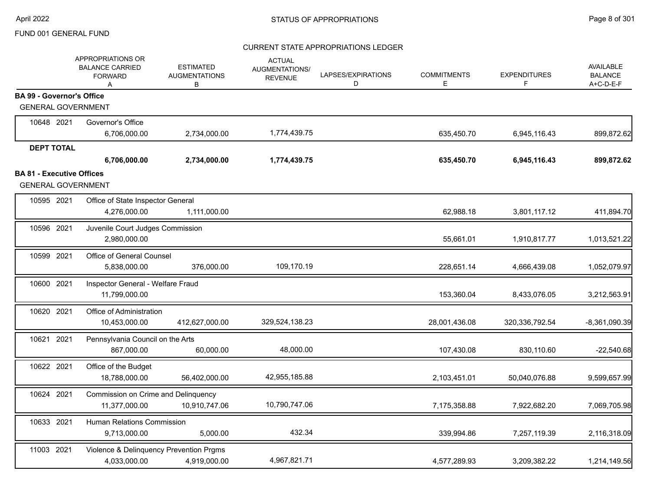|                                  | APPROPRIATIONS OR<br><b>BALANCE CARRIED</b><br><b>FORWARD</b><br>Α | <b>ESTIMATED</b><br><b>AUGMENTATIONS</b><br>В | <b>ACTUAL</b><br>AUGMENTATIONS/<br><b>REVENUE</b> | LAPSES/EXPIRATIONS<br>D | <b>COMMITMENTS</b><br>Е | <b>EXPENDITURES</b><br>F | <b>AVAILABLE</b><br><b>BALANCE</b><br>A+C-D-E-F |
|----------------------------------|--------------------------------------------------------------------|-----------------------------------------------|---------------------------------------------------|-------------------------|-------------------------|--------------------------|-------------------------------------------------|
| <b>BA 99 - Governor's Office</b> |                                                                    |                                               |                                                   |                         |                         |                          |                                                 |
| <b>GENERAL GOVERNMENT</b>        |                                                                    |                                               |                                                   |                         |                         |                          |                                                 |
| 10648 2021                       | Governor's Office                                                  |                                               |                                                   |                         |                         |                          |                                                 |
|                                  | 6,706,000.00                                                       | 2,734,000.00                                  | 1,774,439.75                                      |                         | 635,450.70              | 6,945,116.43             | 899,872.62                                      |
| <b>DEPT TOTAL</b>                |                                                                    |                                               |                                                   |                         |                         |                          |                                                 |
|                                  | 6,706,000.00                                                       | 2,734,000.00                                  | 1,774,439.75                                      |                         | 635,450.70              | 6,945,116.43             | 899,872.62                                      |
| <b>BA 81 - Executive Offices</b> |                                                                    |                                               |                                                   |                         |                         |                          |                                                 |
| <b>GENERAL GOVERNMENT</b>        |                                                                    |                                               |                                                   |                         |                         |                          |                                                 |
| 10595 2021                       | Office of State Inspector General                                  |                                               |                                                   |                         |                         |                          |                                                 |
|                                  | 4,276,000.00                                                       | 1,111,000.00                                  |                                                   |                         | 62,988.18               | 3,801,117.12             | 411,894.70                                      |
| 10596 2021                       | Juvenile Court Judges Commission                                   |                                               |                                                   |                         |                         |                          |                                                 |
|                                  | 2,980,000.00                                                       |                                               |                                                   |                         | 55,661.01               | 1,910,817.77             | 1,013,521.22                                    |
| 10599 2021                       | Office of General Counsel                                          |                                               |                                                   |                         |                         |                          |                                                 |
|                                  | 5,838,000.00                                                       | 376,000.00                                    | 109,170.19                                        |                         | 228,651.14              | 4,666,439.08             | 1,052,079.97                                    |
| 10600 2021                       | Inspector General - Welfare Fraud                                  |                                               |                                                   |                         |                         |                          |                                                 |
|                                  | 11,799,000.00                                                      |                                               |                                                   |                         | 153,360.04              | 8,433,076.05             | 3,212,563.91                                    |
| 10620 2021                       | Office of Administration                                           |                                               |                                                   |                         |                         |                          |                                                 |
|                                  | 10,453,000.00                                                      | 412,627,000.00                                | 329,524,138.23                                    |                         | 28,001,436.08           | 320,336,792.54           | $-8,361,090.39$                                 |
| 10621 2021                       | Pennsylvania Council on the Arts                                   |                                               |                                                   |                         |                         |                          |                                                 |
|                                  | 867,000.00                                                         | 60,000.00                                     | 48,000.00                                         |                         | 107,430.08              | 830,110.60               | $-22,540.68$                                    |
| 10622 2021                       | Office of the Budget                                               |                                               |                                                   |                         |                         |                          |                                                 |
|                                  | 18,788,000.00                                                      | 56,402,000.00                                 | 42,955,185.88                                     |                         | 2,103,451.01            | 50,040,076.88            | 9,599,657.99                                    |
| 10624 2021                       | Commission on Crime and Delinquency                                |                                               |                                                   |                         |                         |                          |                                                 |
|                                  | 11,377,000.00                                                      | 10,910,747.06                                 | 10,790,747.06                                     |                         | 7,175,358.88            | 7,922,682.20             | 7,069,705.98                                    |
| 10633 2021                       | Human Relations Commission                                         |                                               |                                                   |                         |                         |                          |                                                 |
|                                  | 9,713,000.00                                                       | 5,000.00                                      | 432.34                                            |                         | 339,994.86              | 7,257,119.39             | 2,116,318.09                                    |
| 11003 2021                       |                                                                    | Violence & Delinquency Prevention Prgms       |                                                   |                         |                         |                          |                                                 |
|                                  | 4,033,000.00                                                       | 4,919,000.00                                  | 4,967,821.71                                      |                         | 4,577,289.93            | 3,209,382.22             | 1,214,149.56                                    |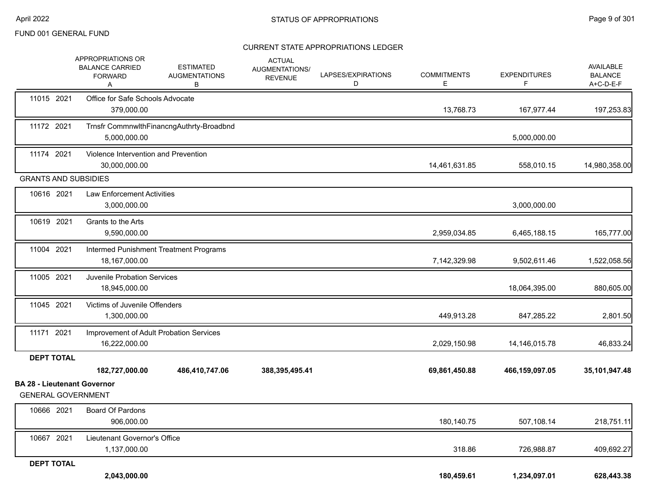|                                                                 | <b>APPROPRIATIONS OR</b><br><b>BALANCE CARRIED</b><br><b>FORWARD</b><br>A | <b>ESTIMATED</b><br><b>AUGMENTATIONS</b><br>B | <b>ACTUAL</b><br>AUGMENTATIONS/<br><b>REVENUE</b> | LAPSES/EXPIRATIONS<br>D | <b>COMMITMENTS</b><br>E | <b>EXPENDITURES</b><br>F | AVAILABLE<br><b>BALANCE</b><br>A+C-D-E-F |
|-----------------------------------------------------------------|---------------------------------------------------------------------------|-----------------------------------------------|---------------------------------------------------|-------------------------|-------------------------|--------------------------|------------------------------------------|
| 11015 2021                                                      | Office for Safe Schools Advocate<br>379.000.00                            |                                               |                                                   |                         | 13,768.73               | 167,977.44               | 197,253.83                               |
| 11172 2021                                                      | 5,000,000.00                                                              | Trnsfr CommnwlthFinancngAuthrty-Broadbnd      |                                                   |                         |                         | 5,000,000.00             |                                          |
| 11174 2021                                                      | Violence Intervention and Prevention<br>30,000,000.00                     |                                               |                                                   |                         | 14,461,631.85           | 558,010.15               | 14,980,358.00                            |
| <b>GRANTS AND SUBSIDIES</b>                                     |                                                                           |                                               |                                                   |                         |                         |                          |                                          |
| 10616 2021                                                      | <b>Law Enforcement Activities</b><br>3,000,000.00                         |                                               |                                                   |                         |                         | 3,000,000.00             |                                          |
| 10619 2021                                                      | Grants to the Arts<br>9,590,000.00                                        |                                               |                                                   |                         | 2,959,034.85            | 6,465,188.15             | 165,777.00                               |
| 11004 2021                                                      | 18,167,000.00                                                             | Intermed Punishment Treatment Programs        |                                                   |                         | 7,142,329.98            | 9,502,611.46             | 1,522,058.56                             |
| 11005 2021                                                      | <b>Juvenile Probation Services</b><br>18,945,000.00                       |                                               |                                                   |                         |                         | 18,064,395.00            | 880,605.00                               |
| 11045 2021                                                      | Victims of Juvenile Offenders<br>1,300,000.00                             |                                               |                                                   |                         | 449,913.28              | 847,285.22               | 2,801.50                                 |
| 11171 2021                                                      | 16,222,000.00                                                             | Improvement of Adult Probation Services       |                                                   |                         | 2,029,150.98            | 14, 146, 015. 78         | 46,833.24                                |
| <b>DEPT TOTAL</b>                                               |                                                                           |                                               |                                                   |                         |                         |                          |                                          |
|                                                                 | 182,727,000.00                                                            | 486,410,747.06                                | 388,395,495.41                                    |                         | 69,861,450.88           | 466,159,097.05           | 35,101,947.48                            |
| <b>BA 28 - Lieutenant Governor</b><br><b>GENERAL GOVERNMENT</b> |                                                                           |                                               |                                                   |                         |                         |                          |                                          |
| 10666 2021                                                      | Board Of Pardons<br>906,000.00                                            |                                               |                                                   |                         | 180,140.75              | 507,108.14               | 218,751.11                               |
| 10667 2021                                                      | Lieutenant Governor's Office<br>1,137,000.00                              |                                               |                                                   |                         | 318.86                  | 726,988.87               | 409,692.27                               |
| <b>DEPT TOTAL</b>                                               |                                                                           |                                               |                                                   |                         |                         |                          |                                          |
|                                                                 | 2,043,000.00                                                              |                                               |                                                   |                         | 180,459.61              | 1,234,097.01             | 628,443.38                               |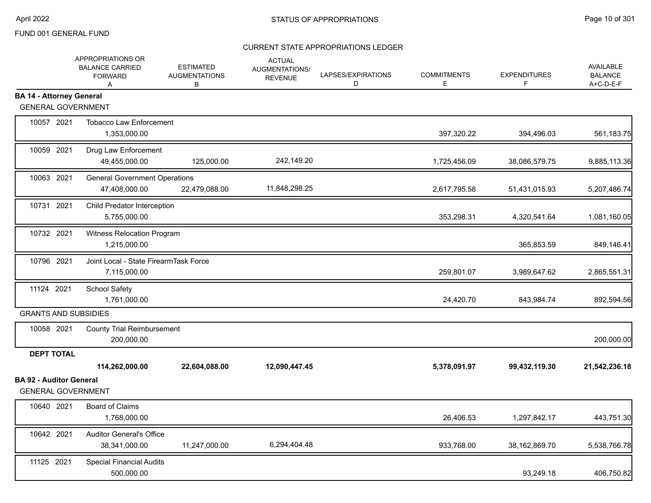|                                                             | APPROPRIATIONS OR<br><b>BALANCE CARRIED</b><br><b>FORWARD</b><br>A | <b>ESTIMATED</b><br><b>AUGMENTATIONS</b><br>B | <b>ACTUAL</b><br>AUGMENTATIONS/<br><b>REVENUE</b> | LAPSES/EXPIRATIONS<br>D | <b>COMMITMENTS</b><br>Е | <b>EXPENDITURES</b><br>F. | AVAILABLE<br><b>BALANCE</b><br>A+C-D-E-F |
|-------------------------------------------------------------|--------------------------------------------------------------------|-----------------------------------------------|---------------------------------------------------|-------------------------|-------------------------|---------------------------|------------------------------------------|
| <b>BA 14 - Attorney General</b>                             |                                                                    |                                               |                                                   |                         |                         |                           |                                          |
| <b>GENERAL GOVERNMENT</b>                                   |                                                                    |                                               |                                                   |                         |                         |                           |                                          |
| 10057 2021                                                  | <b>Tobacco Law Enforcement</b><br>1,353,000.00                     |                                               |                                                   |                         | 397,320.22              | 394,496.03                | 561,183.75                               |
| 10059 2021                                                  | Drug Law Enforcement<br>49,455,000.00                              | 125,000.00                                    | 242,149.20                                        |                         | 1,725,456.09            | 38,086,579.75             | 9,885,113.36                             |
| 10063 2021                                                  | <b>General Government Operations</b><br>47,408,000.00              | 22,479,088.00                                 | 11,848,298.25                                     |                         | 2,617,795.58            | 51,431,015.93             | 5,207,486.74                             |
| 10731 2021                                                  | Child Predator Interception<br>5,755,000.00                        |                                               |                                                   |                         | 353,298.31              | 4,320,541.64              | 1,081,160.05                             |
| 10732 2021                                                  | Witness Relocation Program<br>1,215,000.00                         |                                               |                                                   |                         |                         | 365,853.59                | 849,146.41                               |
| 10796 2021                                                  | Joint Local - State FirearmTask Force<br>7,115,000.00              |                                               |                                                   |                         | 259,801.07              | 3,989,647.62              | 2,865,551.31                             |
| 11124 2021                                                  | School Safety<br>1,761,000.00                                      |                                               |                                                   |                         | 24,420.70               | 843,984.74                | 892,594.56                               |
| <b>GRANTS AND SUBSIDIES</b>                                 |                                                                    |                                               |                                                   |                         |                         |                           |                                          |
| 10058 2021                                                  | <b>County Trial Reimbursement</b><br>200,000.00                    |                                               |                                                   |                         |                         |                           | 200,000.00                               |
| <b>DEPT TOTAL</b>                                           |                                                                    |                                               |                                                   |                         |                         |                           |                                          |
|                                                             | 114,262,000.00                                                     | 22,604,088.00                                 | 12,090,447.45                                     |                         | 5,378,091.97            | 99,432,119.30             | 21,542,236.18                            |
| <b>BA 92 - Auditor General</b><br><b>GENERAL GOVERNMENT</b> |                                                                    |                                               |                                                   |                         |                         |                           |                                          |
| 10640 2021                                                  | <b>Board of Claims</b><br>1,768,000.00                             |                                               |                                                   |                         | 26,406.53               | 1,297,842.17              | 443,751.30                               |
| 10642 2021                                                  | <b>Auditor General's Office</b><br>38,341,000.00                   | 11,247,000.00                                 | 6,294,404.48                                      |                         | 933,768.00              | 38,162,869.70             | 5,538,766.78                             |
| 11125 2021                                                  | <b>Special Financial Audits</b><br>500,000.00                      |                                               |                                                   |                         |                         | 93,249.18                 | 406,750.82                               |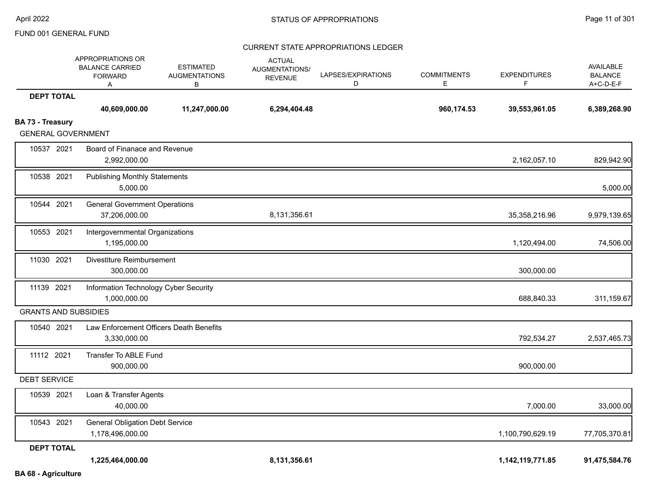#### CURRENT STATE APPROPRIATIONS LEDGER

|                             | <b>APPROPRIATIONS OR</b><br><b>BALANCE CARRIED</b><br><b>FORWARD</b><br>Α | <b>ESTIMATED</b><br><b>AUGMENTATIONS</b><br>в | <b>ACTUAL</b><br>AUGMENTATIONS/<br><b>REVENUE</b> | LAPSES/EXPIRATIONS<br>D | <b>COMMITMENTS</b><br>Е | <b>EXPENDITURES</b><br>F. | AVAILABLE<br><b>BALANCE</b><br>A+C-D-E-F |
|-----------------------------|---------------------------------------------------------------------------|-----------------------------------------------|---------------------------------------------------|-------------------------|-------------------------|---------------------------|------------------------------------------|
| <b>DEPT TOTAL</b>           |                                                                           |                                               |                                                   |                         |                         |                           |                                          |
|                             | 40,609,000.00                                                             | 11,247,000.00                                 | 6,294,404.48                                      |                         | 960,174.53              | 39,553,961.05             | 6,389,268.90                             |
| <b>BA 73 - Treasury</b>     |                                                                           |                                               |                                                   |                         |                         |                           |                                          |
| <b>GENERAL GOVERNMENT</b>   |                                                                           |                                               |                                                   |                         |                         |                           |                                          |
| 10537 2021                  | Board of Finanace and Revenue<br>2,992,000.00                             |                                               |                                                   |                         |                         | 2,162,057.10              | 829,942.90                               |
| 10538 2021                  | <b>Publishing Monthly Statements</b>                                      |                                               |                                                   |                         |                         |                           |                                          |
|                             | 5,000.00                                                                  |                                               |                                                   |                         |                         |                           | 5,000.00                                 |
| 10544 2021                  | <b>General Government Operations</b>                                      |                                               |                                                   |                         |                         |                           |                                          |
|                             | 37,206,000.00                                                             |                                               | 8,131,356.61                                      |                         |                         | 35,358,216.96             | 9,979,139.65                             |
| 10553 2021                  | Intergovernmental Organizations                                           |                                               |                                                   |                         |                         |                           |                                          |
|                             | 1,195,000.00                                                              |                                               |                                                   |                         |                         | 1,120,494.00              | 74,506.00                                |
| 11030 2021                  | Divestiture Reimbursement                                                 |                                               |                                                   |                         |                         |                           |                                          |
|                             | 300,000.00                                                                |                                               |                                                   |                         |                         | 300,000.00                |                                          |
| 11139 2021                  | Information Technology Cyber Security                                     |                                               |                                                   |                         |                         |                           |                                          |
|                             | 1,000,000.00                                                              |                                               |                                                   |                         |                         | 688,840.33                | 311,159.67                               |
| <b>GRANTS AND SUBSIDIES</b> |                                                                           |                                               |                                                   |                         |                         |                           |                                          |
| 10540 2021                  | Law Enforcement Officers Death Benefits                                   |                                               |                                                   |                         |                         |                           |                                          |
|                             | 3,330,000.00                                                              |                                               |                                                   |                         |                         | 792,534.27                | 2,537,465.73                             |
| 11112 2021                  | Transfer To ABLE Fund                                                     |                                               |                                                   |                         |                         |                           |                                          |
|                             | 900,000.00                                                                |                                               |                                                   |                         |                         | 900,000.00                |                                          |
| <b>DEBT SERVICE</b>         |                                                                           |                                               |                                                   |                         |                         |                           |                                          |
| 10539 2021                  | Loan & Transfer Agents                                                    |                                               |                                                   |                         |                         |                           |                                          |
|                             | 40,000.00                                                                 |                                               |                                                   |                         |                         | 7,000.00                  | 33,000.00                                |
| 10543 2021                  | <b>General Obligation Debt Service</b>                                    |                                               |                                                   |                         |                         |                           |                                          |
|                             | 1,178,496,000.00                                                          |                                               |                                                   |                         |                         | 1,100,790,629.19          | 77,705,370.81                            |
| <b>DEPT TOTAL</b>           |                                                                           |                                               |                                                   |                         |                         |                           |                                          |
|                             | 1,225,464,000.00                                                          |                                               | 8,131,356.61                                      |                         |                         | 1,142,119,771.85          | 91,475,584.76                            |

**BA 68 - Agriculture**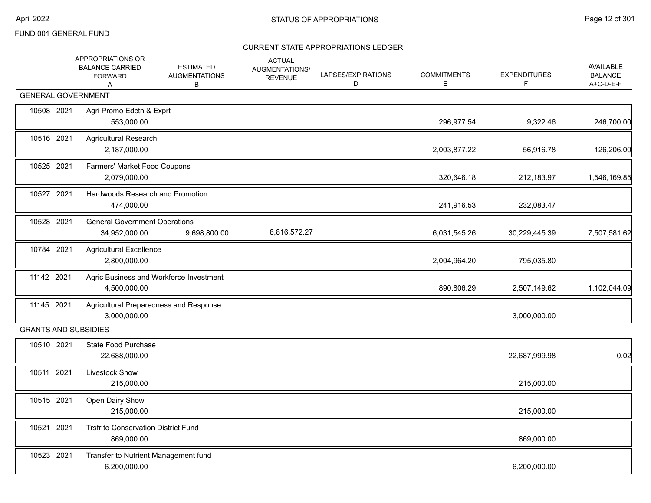|            | APPROPRIATIONS OR<br><b>BALANCE CARRIED</b><br><b>FORWARD</b><br>A | <b>ESTIMATED</b><br><b>AUGMENTATIONS</b><br>В | <b>ACTUAL</b><br>AUGMENTATIONS/<br><b>REVENUE</b> | LAPSES/EXPIRATIONS<br>D | <b>COMMITMENTS</b><br>Е | <b>EXPENDITURES</b><br>F. | <b>AVAILABLE</b><br><b>BALANCE</b><br>A+C-D-E-F |
|------------|--------------------------------------------------------------------|-----------------------------------------------|---------------------------------------------------|-------------------------|-------------------------|---------------------------|-------------------------------------------------|
|            | <b>GENERAL GOVERNMENT</b>                                          |                                               |                                                   |                         |                         |                           |                                                 |
| 10508 2021 | Agri Promo Edctn & Exprt<br>553,000.00                             |                                               |                                                   |                         | 296,977.54              | 9,322.46                  | 246,700.00                                      |
| 10516 2021 | <b>Agricultural Research</b><br>2,187,000.00                       |                                               |                                                   |                         | 2,003,877.22            | 56,916.78                 | 126,206.00                                      |
| 10525 2021 | Farmers' Market Food Coupons<br>2,079,000.00                       |                                               |                                                   |                         | 320,646.18              | 212,183.97                | 1,546,169.85                                    |
| 10527 2021 | Hardwoods Research and Promotion<br>474,000.00                     |                                               |                                                   |                         | 241,916.53              | 232,083.47                |                                                 |
| 10528 2021 | <b>General Government Operations</b><br>34,952,000.00              | 9,698,800.00                                  | 8,816,572.27                                      |                         | 6,031,545.26            | 30,229,445.39             | 7,507,581.62                                    |
| 10784 2021 | <b>Agricultural Excellence</b><br>2,800,000.00                     |                                               |                                                   |                         | 2,004,964.20            | 795,035.80                |                                                 |
| 11142 2021 | Agric Business and Workforce Investment<br>4,500,000.00            |                                               |                                                   |                         | 890,806.29              | 2,507,149.62              | 1,102,044.09                                    |
| 11145 2021 | Agricultural Preparedness and Response<br>3,000,000.00             |                                               |                                                   |                         |                         | 3,000,000.00              |                                                 |
|            | <b>GRANTS AND SUBSIDIES</b>                                        |                                               |                                                   |                         |                         |                           |                                                 |
| 10510 2021 | State Food Purchase<br>22,688,000.00                               |                                               |                                                   |                         |                         | 22,687,999.98             | 0.02                                            |
| 10511 2021 | Livestock Show<br>215,000.00                                       |                                               |                                                   |                         |                         | 215,000.00                |                                                 |
| 10515 2021 | Open Dairy Show<br>215,000.00                                      |                                               |                                                   |                         |                         | 215,000.00                |                                                 |
| 10521 2021 | Trsfr to Conservation District Fund<br>869,000.00                  |                                               |                                                   |                         |                         | 869,000.00                |                                                 |
| 10523 2021 | Transfer to Nutrient Management fund<br>6,200,000.00               |                                               |                                                   |                         |                         | 6,200,000.00              |                                                 |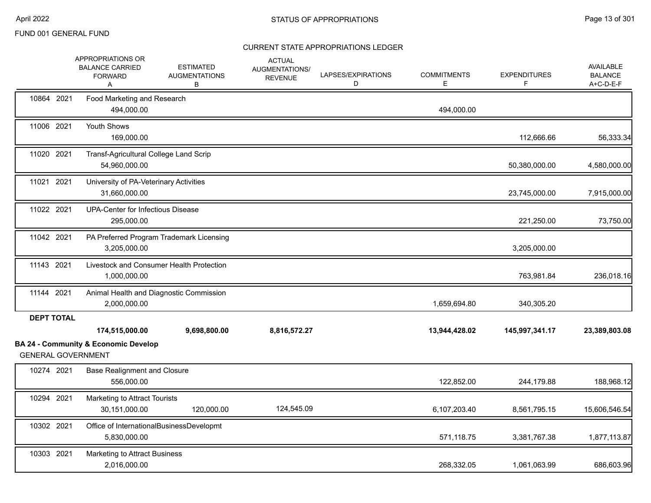|                   | APPROPRIATIONS OR<br><b>BALANCE CARRIED</b><br><b>FORWARD</b><br>A           | <b>ESTIMATED</b><br><b>AUGMENTATIONS</b><br>В | <b>ACTUAL</b><br>AUGMENTATIONS/<br><b>REVENUE</b> | LAPSES/EXPIRATIONS<br>D | <b>COMMITMENTS</b><br>Е | <b>EXPENDITURES</b><br>F. | AVAILABLE<br><b>BALANCE</b><br>A+C-D-E-F |
|-------------------|------------------------------------------------------------------------------|-----------------------------------------------|---------------------------------------------------|-------------------------|-------------------------|---------------------------|------------------------------------------|
| 10864 2021        | Food Marketing and Research<br>494,000.00                                    |                                               |                                                   |                         | 494,000.00              |                           |                                          |
| 11006 2021        | Youth Shows<br>169,000.00                                                    |                                               |                                                   |                         |                         | 112,666.66                | 56,333.34                                |
| 11020 2021        | Transf-Agricultural College Land Scrip<br>54,960,000.00                      |                                               |                                                   |                         |                         | 50,380,000.00             | 4,580,000.00                             |
| 11021 2021        | University of PA-Veterinary Activities<br>31,660,000.00                      |                                               |                                                   |                         |                         | 23,745,000.00             | 7,915,000.00                             |
| 11022 2021        | <b>UPA-Center for Infectious Disease</b><br>295,000.00                       |                                               |                                                   |                         |                         | 221,250.00                | 73,750.00                                |
| 11042 2021        | 3,205,000.00                                                                 | PA Preferred Program Trademark Licensing      |                                                   |                         |                         | 3,205,000.00              |                                          |
| 11143 2021        | 1,000,000.00                                                                 | Livestock and Consumer Health Protection      |                                                   |                         |                         | 763,981.84                | 236,018.16                               |
| 11144 2021        | 2,000,000.00                                                                 | Animal Health and Diagnostic Commission       |                                                   |                         | 1,659,694.80            | 340,305.20                |                                          |
| <b>DEPT TOTAL</b> | 174,515,000.00                                                               | 9,698,800.00                                  | 8,816,572.27                                      |                         | 13,944,428.02           | 145,997,341.17            | 23,389,803.08                            |
|                   | <b>BA 24 - Community &amp; Economic Develop</b><br><b>GENERAL GOVERNMENT</b> |                                               |                                                   |                         |                         |                           |                                          |
| 10274 2021        | <b>Base Realignment and Closure</b><br>556,000.00                            |                                               |                                                   |                         | 122,852.00              | 244,179.88                | 188,968.12                               |
| 10294 2021        | Marketing to Attract Tourists<br>30,151,000.00                               | 120,000.00                                    | 124,545.09                                        |                         | 6,107,203.40            | 8,561,795.15              | 15,606,546.54                            |
| 10302 2021        | 5,830,000.00                                                                 | Office of InternationalBusinessDevelopmt      |                                                   |                         | 571,118.75              | 3,381,767.38              | 1,877,113.87                             |
| 10303 2021        | Marketing to Attract Business<br>2.016.000.00                                |                                               |                                                   |                         | 268,332.05              | 1,061,063.99              | 686,603.96                               |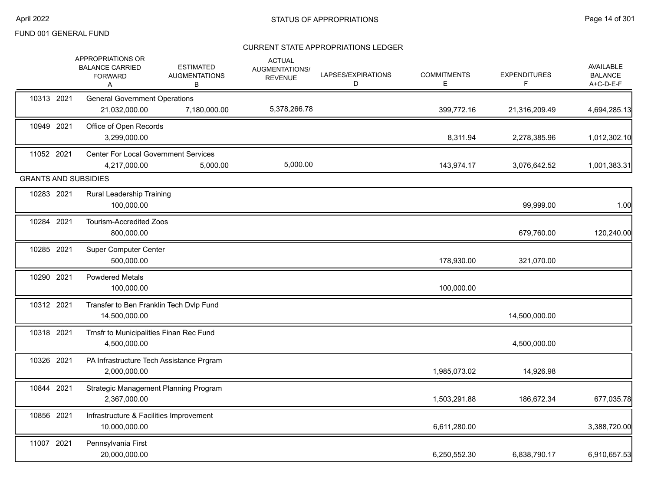|            | APPROPRIATIONS OR<br><b>BALANCE CARRIED</b><br><b>FORWARD</b><br>A | <b>ESTIMATED</b><br><b>AUGMENTATIONS</b><br>В | <b>ACTUAL</b><br>AUGMENTATIONS/<br><b>REVENUE</b> | LAPSES/EXPIRATIONS<br>D | <b>COMMITMENTS</b><br>Е | <b>EXPENDITURES</b><br>F. | AVAILABLE<br><b>BALANCE</b><br>A+C-D-E-F |
|------------|--------------------------------------------------------------------|-----------------------------------------------|---------------------------------------------------|-------------------------|-------------------------|---------------------------|------------------------------------------|
| 10313 2021 | <b>General Government Operations</b><br>21,032,000.00              | 7,180,000.00                                  | 5,378,266.78                                      |                         | 399,772.16              | 21,316,209.49             | 4,694,285.13                             |
| 10949 2021 | Office of Open Records<br>3,299,000.00                             |                                               |                                                   |                         | 8,311.94                | 2,278,385.96              | 1,012,302.10                             |
| 11052 2021 | <b>Center For Local Government Services</b><br>4,217,000.00        | 5,000.00                                      | 5,000.00                                          |                         | 143,974.17              | 3,076,642.52              | 1,001,383.31                             |
|            | <b>GRANTS AND SUBSIDIES</b>                                        |                                               |                                                   |                         |                         |                           |                                          |
| 10283 2021 | <b>Rural Leadership Training</b><br>100,000.00                     |                                               |                                                   |                         |                         | 99,999.00                 | 1.00                                     |
| 10284 2021 | <b>Tourism-Accredited Zoos</b><br>800,000.00                       |                                               |                                                   |                         |                         | 679,760.00                | 120,240.00                               |
| 10285 2021 | <b>Super Computer Center</b><br>500,000.00                         |                                               |                                                   |                         | 178,930.00              | 321,070.00                |                                          |
| 10290 2021 | <b>Powdered Metals</b><br>100,000.00                               |                                               |                                                   |                         | 100,000.00              |                           |                                          |
| 10312 2021 | Transfer to Ben Franklin Tech Dvlp Fund<br>14,500,000.00           |                                               |                                                   |                         |                         | 14,500,000.00             |                                          |
| 10318 2021 | Trnsfr to Municipalities Finan Rec Fund<br>4,500,000.00            |                                               |                                                   |                         |                         | 4,500,000.00              |                                          |
| 10326 2021 | PA Infrastructure Tech Assistance Prgram<br>2,000,000.00           |                                               |                                                   |                         | 1,985,073.02            | 14,926.98                 |                                          |
| 10844 2021 | Strategic Management Planning Program<br>2,367,000.00              |                                               |                                                   |                         | 1,503,291.88            | 186,672.34                | 677,035.78                               |
| 10856 2021 | Infrastructure & Facilities Improvement<br>10,000,000.00           |                                               |                                                   |                         | 6,611,280.00            |                           | 3,388,720.00                             |
| 11007 2021 | Pennsylvania First<br>20,000,000.00                                |                                               |                                                   |                         | 6,250,552.30            | 6,838,790.17              | 6,910,657.53                             |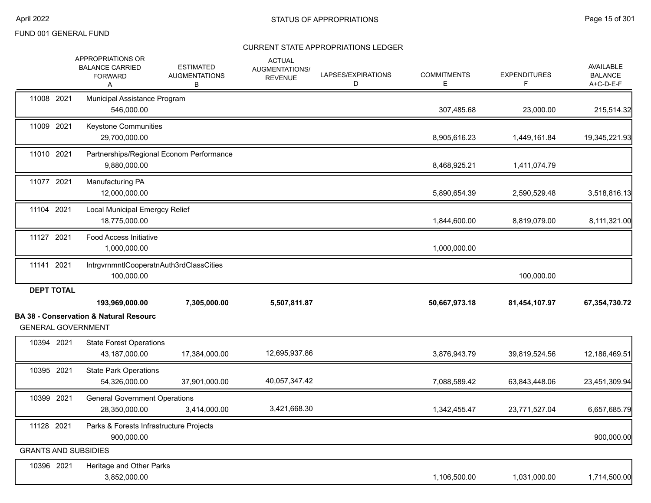|                                         | <b>APPROPRIATIONS OR</b><br><b>BALANCE CARRIED</b><br><b>FORWARD</b><br>A | <b>ESTIMATED</b><br><b>AUGMENTATIONS</b><br>В | <b>ACTUAL</b><br>AUGMENTATIONS/<br><b>REVENUE</b> | LAPSES/EXPIRATIONS<br>D | <b>COMMITMENTS</b><br>E | <b>EXPENDITURES</b><br>F | AVAILABLE<br><b>BALANCE</b><br>$A+C-D-E-F$ |
|-----------------------------------------|---------------------------------------------------------------------------|-----------------------------------------------|---------------------------------------------------|-------------------------|-------------------------|--------------------------|--------------------------------------------|
| 11008 2021                              | Municipal Assistance Program<br>546,000.00                                |                                               |                                                   |                         | 307,485.68              | 23,000.00                | 215,514.32                                 |
| 11009 2021                              | Keystone Communities<br>29,700,000.00                                     |                                               |                                                   |                         | 8,905,616.23            | 1,449,161.84             | 19,345,221.93                              |
| 11010 2021                              | Partnerships/Regional Econom Performance<br>9,880,000.00                  |                                               |                                                   |                         | 8,468,925.21            | 1,411,074.79             |                                            |
| 11077 2021                              | Manufacturing PA<br>12,000,000.00                                         |                                               |                                                   |                         | 5,890,654.39            | 2,590,529.48             | 3,518,816.13                               |
| 11104 2021                              | <b>Local Municipal Emergcy Relief</b><br>18,775,000.00                    |                                               |                                                   |                         | 1,844,600.00            | 8,819,079.00             | 8,111,321.00                               |
| 11127 2021                              | <b>Food Access Initiative</b><br>1,000,000.00                             |                                               |                                                   |                         | 1,000,000.00            |                          |                                            |
| 11141 2021                              | IntrgvrnmntlCooperatnAuth3rdClassCities<br>100,000.00                     |                                               |                                                   |                         |                         | 100,000.00               |                                            |
| <b>DEPT TOTAL</b>                       | 193,969,000.00<br><b>BA 38 - Conservation &amp; Natural Resourc</b>       | 7,305,000.00                                  | 5,507,811.87                                      |                         | 50,667,973.18           | 81,454,107.97            | 67,354,730.72                              |
| <b>GENERAL GOVERNMENT</b><br>10394 2021 | <b>State Forest Operations</b>                                            |                                               |                                                   |                         |                         |                          |                                            |
|                                         | 43,187,000.00                                                             | 17,384,000.00                                 | 12,695,937.86                                     |                         | 3,876,943.79            | 39,819,524.56            | 12,186,469.51                              |
| 10395 2021                              | <b>State Park Operations</b><br>54,326,000.00                             | 37,901,000.00                                 | 40,057,347.42                                     |                         | 7,088,589.42            | 63,843,448.06            | 23,451,309.94                              |
| 10399 2021                              | <b>General Government Operations</b><br>28,350,000.00                     | 3,414,000.00                                  | 3,421,668.30                                      |                         | 1,342,455.47            | 23,771,527.04            | 6,657,685.79                               |
| 11128 2021                              | Parks & Forests Infrastructure Projects<br>900,000.00                     |                                               |                                                   |                         |                         |                          | 900,000.00                                 |
| <b>GRANTS AND SUBSIDIES</b>             |                                                                           |                                               |                                                   |                         |                         |                          |                                            |
| 10396 2021                              | Heritage and Other Parks<br>3,852,000.00                                  |                                               |                                                   |                         | 1,106,500.00            | 1,031,000.00             | 1,714,500.00                               |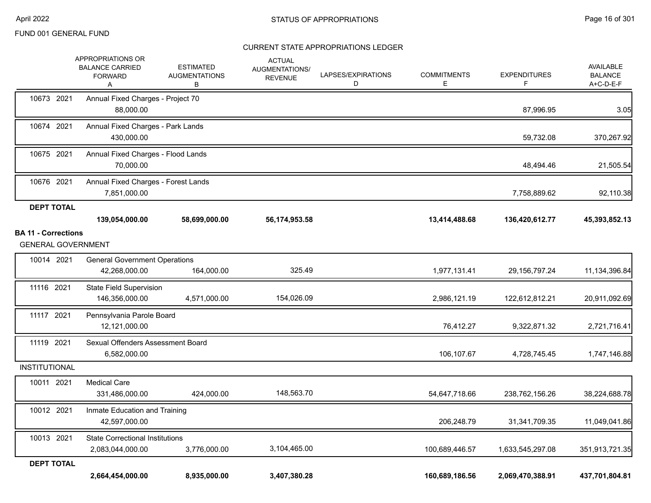|                            | 2,664,454,000.00                                                          | 8,935,000.00                                  | 3,407,380.28                                      |                         | 160,689,186.56          | 2,069,470,388.91         | 437,701,804.81                                  |
|----------------------------|---------------------------------------------------------------------------|-----------------------------------------------|---------------------------------------------------|-------------------------|-------------------------|--------------------------|-------------------------------------------------|
| <b>DEPT TOTAL</b>          |                                                                           |                                               |                                                   |                         |                         |                          |                                                 |
| 10013 2021                 | <b>State Correctional Institutions</b><br>2,083,044,000.00                | 3,776,000.00                                  | 3,104,465.00                                      |                         | 100,689,446.57          | 1,633,545,297.08         | 351,913,721.35                                  |
| 10012 2021                 | Inmate Education and Training<br>42,597,000.00                            |                                               |                                                   |                         | 206,248.79              | 31,341,709.35            | 11,049,041.86                                   |
| 10011 2021                 | <b>Medical Care</b><br>331,486,000.00                                     | 424,000.00                                    | 148,563.70                                        |                         | 54,647,718.66           | 238,762,156.26           | 38,224,688.78                                   |
| <b>INSTITUTIONAL</b>       |                                                                           |                                               |                                                   |                         |                         |                          |                                                 |
| 11119 2021                 | Sexual Offenders Assessment Board<br>6,582,000.00                         |                                               |                                                   |                         | 106,107.67              | 4,728,745.45             | 1,747,146.88                                    |
| 11117 2021                 | Pennsylvania Parole Board<br>12,121,000.00                                |                                               |                                                   |                         | 76,412.27               | 9,322,871.32             | 2,721,716.41                                    |
| 11116 2021                 | <b>State Field Supervision</b><br>146,356,000.00                          | 4,571,000.00                                  | 154,026.09                                        |                         | 2,986,121.19            | 122,612,812.21           | 20,911,092.69                                   |
| 10014 2021                 | <b>General Government Operations</b><br>42,268,000.00                     | 164,000.00                                    | 325.49                                            |                         | 1,977,131.41            | 29, 156, 797. 24         | 11,134,396.84                                   |
| <b>GENERAL GOVERNMENT</b>  |                                                                           |                                               |                                                   |                         |                         |                          |                                                 |
| <b>BA 11 - Corrections</b> | 139,054,000.00                                                            | 58,699,000.00                                 | 56,174,953.58                                     |                         | 13,414,488.68           | 136,420,612.77           | 45,393,852.13                                   |
| <b>DEPT TOTAL</b>          |                                                                           |                                               |                                                   |                         |                         |                          |                                                 |
| 10676 2021                 | Annual Fixed Charges - Forest Lands<br>7,851,000.00                       |                                               |                                                   |                         |                         | 7,758,889.62             | 92,110.38                                       |
| 10675 2021                 | Annual Fixed Charges - Flood Lands<br>70,000.00                           |                                               |                                                   |                         |                         | 48,494.46                | 21,505.54                                       |
| 10674 2021                 | Annual Fixed Charges - Park Lands<br>430,000.00                           |                                               |                                                   |                         |                         | 59,732.08                | 370,267.92                                      |
| 10673 2021                 | Annual Fixed Charges - Project 70<br>88,000.00                            |                                               |                                                   |                         |                         | 87,996.95                | 3.05                                            |
|                            | <b>APPROPRIATIONS OR</b><br><b>BALANCE CARRIED</b><br><b>FORWARD</b><br>Α | <b>ESTIMATED</b><br><b>AUGMENTATIONS</b><br>В | <b>ACTUAL</b><br>AUGMENTATIONS/<br><b>REVENUE</b> | LAPSES/EXPIRATIONS<br>D | <b>COMMITMENTS</b><br>Е | <b>EXPENDITURES</b><br>F | <b>AVAILABLE</b><br><b>BALANCE</b><br>A+C-D-E-F |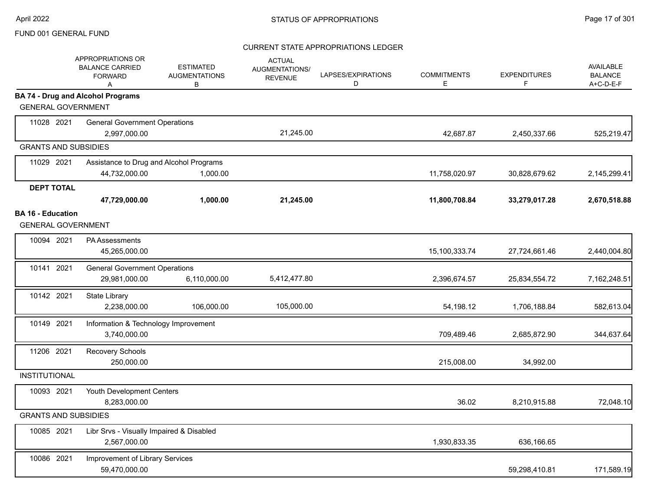|                             | APPROPRIATIONS OR<br><b>BALANCE CARRIED</b><br><b>FORWARD</b><br>A | <b>ESTIMATED</b><br><b>AUGMENTATIONS</b><br>B | <b>ACTUAL</b><br>AUGMENTATIONS/<br><b>REVENUE</b> | LAPSES/EXPIRATIONS<br>D | <b>COMMITMENTS</b><br>E. | <b>EXPENDITURES</b><br>F | AVAILABLE<br><b>BALANCE</b><br>A+C-D-E-F |
|-----------------------------|--------------------------------------------------------------------|-----------------------------------------------|---------------------------------------------------|-------------------------|--------------------------|--------------------------|------------------------------------------|
| <b>GENERAL GOVERNMENT</b>   | <b>BA 74 - Drug and Alcohol Programs</b>                           |                                               |                                                   |                         |                          |                          |                                          |
|                             |                                                                    |                                               |                                                   |                         |                          |                          |                                          |
| 11028 2021                  | <b>General Government Operations</b><br>2,997,000.00               |                                               | 21,245.00                                         |                         | 42,687.87                | 2,450,337.66             | 525,219.47                               |
| <b>GRANTS AND SUBSIDIES</b> |                                                                    |                                               |                                                   |                         |                          |                          |                                          |
| 11029 2021                  |                                                                    | Assistance to Drug and Alcohol Programs       |                                                   |                         |                          |                          |                                          |
|                             | 44,732,000.00                                                      | 1,000.00                                      |                                                   |                         | 11,758,020.97            | 30,828,679.62            | 2,145,299.41                             |
| <b>DEPT TOTAL</b>           |                                                                    |                                               |                                                   |                         |                          |                          |                                          |
|                             | 47,729,000.00                                                      | 1,000.00                                      | 21,245.00                                         |                         | 11,800,708.84            | 33,279,017.28            | 2,670,518.88                             |
| <b>BA 16 - Education</b>    |                                                                    |                                               |                                                   |                         |                          |                          |                                          |
| <b>GENERAL GOVERNMENT</b>   |                                                                    |                                               |                                                   |                         |                          |                          |                                          |
| 10094 2021                  | <b>PA Assessments</b>                                              |                                               |                                                   |                         |                          |                          |                                          |
|                             | 45,265,000.00                                                      |                                               |                                                   |                         | 15,100,333.74            | 27,724,661.46            | 2,440,004.80                             |
| 10141 2021                  | <b>General Government Operations</b>                               |                                               |                                                   |                         |                          |                          |                                          |
|                             | 29,981,000.00                                                      | 6,110,000.00                                  | 5,412,477.80                                      |                         | 2,396,674.57             | 25,834,554.72            | 7,162,248.51                             |
| 10142 2021                  | <b>State Library</b>                                               |                                               |                                                   |                         |                          |                          |                                          |
|                             | 2,238,000.00                                                       | 106,000.00                                    | 105,000.00                                        |                         | 54,198.12                | 1,706,188.84             | 582,613.04                               |
| 10149 2021                  | Information & Technology Improvement                               |                                               |                                                   |                         |                          |                          |                                          |
|                             | 3,740,000.00                                                       |                                               |                                                   |                         | 709,489.46               | 2,685,872.90             | 344,637.64                               |
| 11206 2021                  | Recovery Schools                                                   |                                               |                                                   |                         |                          |                          |                                          |
|                             | 250,000.00                                                         |                                               |                                                   |                         | 215,008.00               | 34,992.00                |                                          |
| <b>INSTITUTIONAL</b>        |                                                                    |                                               |                                                   |                         |                          |                          |                                          |
| 10093 2021                  | Youth Development Centers                                          |                                               |                                                   |                         |                          |                          |                                          |
|                             | 8,283,000.00                                                       |                                               |                                                   |                         | 36.02                    | 8,210,915.88             | 72,048.10                                |
| <b>GRANTS AND SUBSIDIES</b> |                                                                    |                                               |                                                   |                         |                          |                          |                                          |
| 10085 2021                  | Libr Srvs - Visually Impaired & Disabled                           |                                               |                                                   |                         |                          |                          |                                          |
|                             | 2,567,000.00                                                       |                                               |                                                   |                         | 1,930,833.35             | 636,166.65               |                                          |
| 10086 2021                  | Improvement of Library Services                                    |                                               |                                                   |                         |                          |                          |                                          |
|                             | 59,470,000.00                                                      |                                               |                                                   |                         |                          | 59,298,410.81            | 171,589.19                               |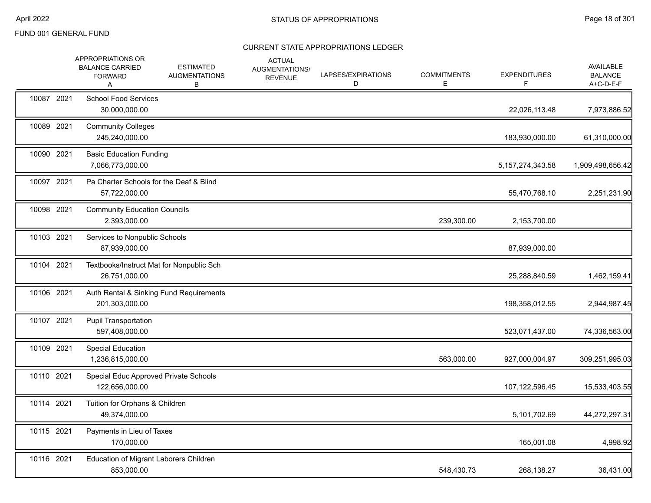|            | APPROPRIATIONS OR<br><b>BALANCE CARRIED</b><br><b>FORWARD</b><br>A | <b>ESTIMATED</b><br><b>AUGMENTATIONS</b><br>В | <b>ACTUAL</b><br>AUGMENTATIONS/<br><b>REVENUE</b> | LAPSES/EXPIRATIONS<br>D | <b>COMMITMENTS</b><br>Е | <b>EXPENDITURES</b><br>F | AVAILABLE<br><b>BALANCE</b><br>A+C-D-E-F |
|------------|--------------------------------------------------------------------|-----------------------------------------------|---------------------------------------------------|-------------------------|-------------------------|--------------------------|------------------------------------------|
| 10087 2021 | <b>School Food Services</b><br>30,000,000.00                       |                                               |                                                   |                         |                         | 22,026,113.48            | 7,973,886.52                             |
| 10089 2021 | <b>Community Colleges</b><br>245,240,000.00                        |                                               |                                                   |                         |                         | 183,930,000.00           | 61,310,000.00                            |
| 10090 2021 | <b>Basic Education Funding</b><br>7,066,773,000.00                 |                                               |                                                   |                         |                         | 5, 157, 274, 343. 58     | 1,909,498,656.42                         |
| 10097 2021 | Pa Charter Schools for the Deaf & Blind<br>57,722,000.00           |                                               |                                                   |                         |                         | 55,470,768.10            | 2,251,231.90                             |
| 10098 2021 | <b>Community Education Councils</b><br>2,393,000.00                |                                               |                                                   |                         | 239,300.00              | 2,153,700.00             |                                          |
| 10103 2021 | Services to Nonpublic Schools<br>87,939,000.00                     |                                               |                                                   |                         |                         | 87,939,000.00            |                                          |
| 10104 2021 | Textbooks/Instruct Mat for Nonpublic Sch<br>26,751,000.00          |                                               |                                                   |                         |                         | 25,288,840.59            | 1,462,159.41                             |
| 10106 2021 | Auth Rental & Sinking Fund Requirements<br>201,303,000.00          |                                               |                                                   |                         |                         | 198,358,012.55           | 2,944,987.45                             |
| 10107 2021 | <b>Pupil Transportation</b><br>597,408,000.00                      |                                               |                                                   |                         |                         | 523,071,437.00           | 74,336,563.00                            |
| 10109 2021 | <b>Special Education</b><br>1,236,815,000.00                       |                                               |                                                   |                         | 563,000.00              | 927,000,004.97           | 309,251,995.03                           |
| 10110 2021 | Special Educ Approved Private Schools<br>122,656,000.00            |                                               |                                                   |                         |                         | 107,122,596.45           | 15,533,403.55                            |
| 10114 2021 | Tuition for Orphans & Children<br>49,374,000.00                    |                                               |                                                   |                         |                         | 5,101,702.69             | 44,272,297.31                            |
| 10115 2021 | Payments in Lieu of Taxes<br>170,000.00                            |                                               |                                                   |                         |                         | 165,001.08               | 4,998.92                                 |
| 10116 2021 | Education of Migrant Laborers Children<br>853,000.00               |                                               |                                                   |                         | 548,430.73              | 268,138.27               | 36,431.00                                |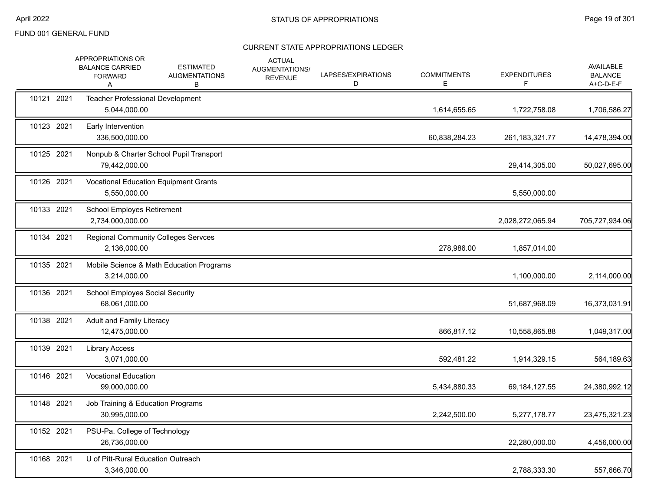|            | APPROPRIATIONS OR<br><b>BALANCE CARRIED</b><br><b>FORWARD</b><br>A | <b>ESTIMATED</b><br><b>AUGMENTATIONS</b><br>В | <b>ACTUAL</b><br>AUGMENTATIONS/<br><b>REVENUE</b> | LAPSES/EXPIRATIONS<br>D | <b>COMMITMENTS</b><br>Е | <b>EXPENDITURES</b><br>F | <b>AVAILABLE</b><br><b>BALANCE</b><br>A+C-D-E-F |
|------------|--------------------------------------------------------------------|-----------------------------------------------|---------------------------------------------------|-------------------------|-------------------------|--------------------------|-------------------------------------------------|
| 10121 2021 | 5,044,000.00                                                       | Teacher Professional Development              |                                                   |                         | 1,614,655.65            | 1,722,758.08             | 1,706,586.27                                    |
| 10123 2021 | Early Intervention<br>336,500,000.00                               |                                               |                                                   |                         | 60,838,284.23           | 261, 183, 321. 77        | 14,478,394.00                                   |
| 10125 2021 | 79,442,000.00                                                      | Nonpub & Charter School Pupil Transport       |                                                   |                         |                         | 29,414,305.00            | 50,027,695.00                                   |
| 10126 2021 | 5,550,000.00                                                       | <b>Vocational Education Equipment Grants</b>  |                                                   |                         |                         | 5,550,000.00             |                                                 |
| 10133 2021 | <b>School Employes Retirement</b><br>2,734,000,000.00              |                                               |                                                   |                         |                         | 2,028,272,065.94         | 705,727,934.06                                  |
| 10134 2021 | 2,136,000.00                                                       | <b>Regional Community Colleges Servces</b>    |                                                   |                         | 278,986.00              | 1,857,014.00             |                                                 |
| 10135 2021 | 3,214,000.00                                                       | Mobile Science & Math Education Programs      |                                                   |                         |                         | 1,100,000.00             | 2,114,000.00                                    |
| 10136 2021 | <b>School Employes Social Security</b><br>68,061,000.00            |                                               |                                                   |                         |                         | 51,687,968.09            | 16,373,031.91                                   |
| 10138 2021 | <b>Adult and Family Literacy</b><br>12,475,000.00                  |                                               |                                                   |                         | 866,817.12              | 10,558,865.88            | 1,049,317.00                                    |
| 10139 2021 | <b>Library Access</b><br>3,071,000.00                              |                                               |                                                   |                         | 592,481.22              | 1,914,329.15             | 564,189.63                                      |
| 10146 2021 | <b>Vocational Education</b><br>99,000,000.00                       |                                               |                                                   |                         | 5,434,880.33            | 69, 184, 127.55          | 24,380,992.12                                   |
| 10148 2021 | 30,995,000.00                                                      | Job Training & Education Programs             |                                                   |                         | 2,242,500.00            | 5,277,178.77             | 23,475,321.23                                   |
| 10152 2021 | PSU-Pa. College of Technology<br>26,736,000.00                     |                                               |                                                   |                         |                         | 22,280,000.00            | 4,456,000.00                                    |
| 10168 2021 | 3,346,000.00                                                       | U of Pitt-Rural Education Outreach            |                                                   |                         |                         | 2,788,333.30             | 557,666.70                                      |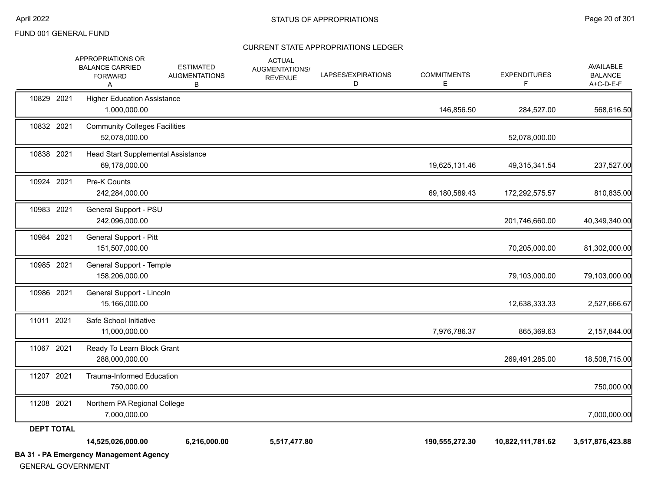| <b>GENERAL GOVERNMENT</b> | <b>BA 31 - PA Emergency Management Agency</b>                      |                                               |                                                   |                         |                         |                          |                                          |
|---------------------------|--------------------------------------------------------------------|-----------------------------------------------|---------------------------------------------------|-------------------------|-------------------------|--------------------------|------------------------------------------|
|                           | 14,525,026,000.00                                                  | 6,216,000.00                                  | 5,517,477.80                                      |                         | 190,555,272.30          | 10,822,111,781.62        | 3,517,876,423.88                         |
| <b>DEPT TOTAL</b>         | 7,000,000.00                                                       |                                               |                                                   |                         |                         |                          | 7,000,000.00                             |
| 11208 2021                | 750,000.00<br>Northern PA Regional College                         |                                               |                                                   |                         |                         |                          | 750,000.00                               |
| 11207 2021                | <b>Trauma-Informed Education</b>                                   |                                               |                                                   |                         |                         |                          |                                          |
| 11067 2021                | Ready To Learn Block Grant<br>288,000,000.00                       |                                               |                                                   |                         |                         | 269,491,285.00           | 18,508,715.00                            |
| 11011 2021                | Safe School Initiative<br>11,000,000.00                            |                                               |                                                   |                         | 7,976,786.37            | 865,369.63               | 2,157,844.00                             |
| 10986 2021                | General Support - Lincoln<br>15,166,000.00                         |                                               |                                                   |                         |                         | 12,638,333.33            | 2,527,666.67                             |
| 10985 2021                | General Support - Temple<br>158,206,000.00                         |                                               |                                                   |                         |                         | 79,103,000.00            | 79,103,000.00                            |
| 10984 2021                | General Support - Pitt<br>151,507,000.00                           |                                               |                                                   |                         |                         | 70,205,000.00            | 81,302,000.00                            |
| 10983 2021                | General Support - PSU<br>242,096,000.00                            |                                               |                                                   |                         |                         | 201,746,660.00           | 40,349,340.00                            |
| 10924 2021                | Pre-K Counts<br>242,284,000.00                                     |                                               |                                                   |                         | 69,180,589.43           | 172,292,575.57           | 810,835.00                               |
| 10838 2021                | Head Start Supplemental Assistance<br>69,178,000.00                |                                               |                                                   |                         | 19,625,131.46           | 49,315,341.54            | 237,527.00                               |
| 10832 2021                | <b>Community Colleges Facilities</b><br>52,078,000.00              |                                               |                                                   |                         |                         | 52,078,000.00            |                                          |
| 10829 2021                | <b>Higher Education Assistance</b><br>1,000,000.00                 |                                               |                                                   |                         | 146,856.50              | 284,527.00               | 568,616.50                               |
|                           | APPROPRIATIONS OR<br><b>BALANCE CARRIED</b><br><b>FORWARD</b><br>Α | <b>ESTIMATED</b><br><b>AUGMENTATIONS</b><br>В | <b>ACTUAL</b><br>AUGMENTATIONS/<br><b>REVENUE</b> | LAPSES/EXPIRATIONS<br>D | <b>COMMITMENTS</b><br>Е | <b>EXPENDITURES</b><br>F | AVAILABLE<br><b>BALANCE</b><br>A+C-D-E-F |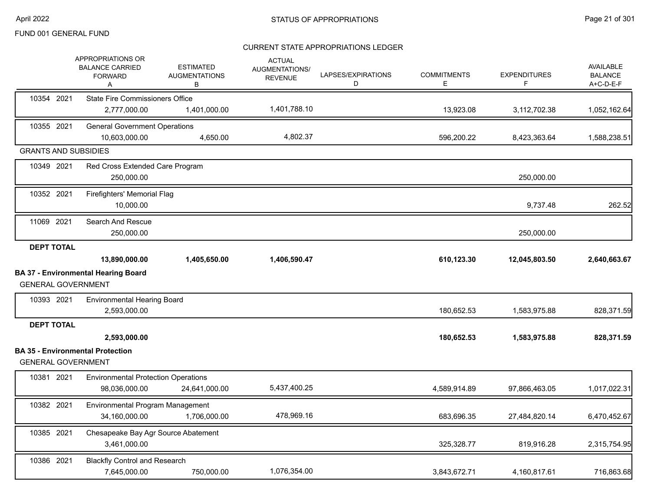|                             | <b>APPROPRIATIONS OR</b><br><b>BALANCE CARRIED</b><br><b>FORWARD</b><br>Α | <b>ESTIMATED</b><br><b>AUGMENTATIONS</b><br>В | <b>ACTUAL</b><br>AUGMENTATIONS/<br><b>REVENUE</b> | LAPSES/EXPIRATIONS<br>D | <b>COMMITMENTS</b><br>E. | <b>EXPENDITURES</b><br>F | <b>AVAILABLE</b><br><b>BALANCE</b><br>A+C-D-E-F |
|-----------------------------|---------------------------------------------------------------------------|-----------------------------------------------|---------------------------------------------------|-------------------------|--------------------------|--------------------------|-------------------------------------------------|
| 10354 2021                  | <b>State Fire Commissioners Office</b>                                    |                                               |                                                   |                         |                          |                          |                                                 |
|                             | 2,777,000.00                                                              | 1,401,000.00                                  | 1,401,788.10                                      |                         | 13,923.08                | 3,112,702.38             | 1,052,162.64                                    |
| 10355 2021                  | <b>General Government Operations</b><br>10,603,000.00                     | 4,650.00                                      | 4,802.37                                          |                         | 596,200.22               | 8,423,363.64             | 1,588,238.51                                    |
| <b>GRANTS AND SUBSIDIES</b> |                                                                           |                                               |                                                   |                         |                          |                          |                                                 |
| 10349 2021                  | Red Cross Extended Care Program<br>250,000.00                             |                                               |                                                   |                         |                          | 250,000.00               |                                                 |
| 10352 2021                  | Firefighters' Memorial Flag<br>10,000.00                                  |                                               |                                                   |                         |                          | 9,737.48                 | 262.52                                          |
| 11069 2021                  | Search And Rescue<br>250,000.00                                           |                                               |                                                   |                         |                          | 250,000.00               |                                                 |
| <b>DEPT TOTAL</b>           | 13,890,000.00                                                             | 1,405,650.00                                  | 1,406,590.47                                      |                         | 610,123.30               | 12,045,803.50            | 2,640,663.67                                    |
| <b>GENERAL GOVERNMENT</b>   | <b>BA 37 - Environmental Hearing Board</b>                                |                                               |                                                   |                         |                          |                          |                                                 |
| 10393 2021                  | <b>Environmental Hearing Board</b><br>2,593,000.00                        |                                               |                                                   |                         | 180,652.53               | 1,583,975.88             | 828,371.59                                      |
| <b>DEPT TOTAL</b>           |                                                                           |                                               |                                                   |                         |                          |                          |                                                 |
|                             | 2,593,000.00                                                              |                                               |                                                   |                         | 180,652.53               | 1,583,975.88             | 828,371.59                                      |
| <b>GENERAL GOVERNMENT</b>   | <b>BA 35 - Environmental Protection</b>                                   |                                               |                                                   |                         |                          |                          |                                                 |
| 10381 2021                  | <b>Environmental Protection Operations</b><br>98,036,000.00               | 24,641,000.00                                 | 5,437,400.25                                      |                         | 4,589,914.89             | 97,866,463.05            | 1,017,022.31                                    |
| 10382 2021                  | Environmental Program Management<br>34,160,000.00                         | 1,706,000.00                                  | 478,969.16                                        |                         | 683,696.35               | 27,484,820.14            | 6,470,452.67                                    |
| 10385 2021                  | Chesapeake Bay Agr Source Abatement<br>3,461,000.00                       |                                               |                                                   |                         | 325,328.77               | 819,916.28               | 2,315,754.95                                    |
| 10386 2021                  | <b>Blackfly Control and Research</b><br>7,645,000.00                      | 750,000.00                                    | 1,076,354.00                                      |                         | 3,843,672.71             | 4,160,817.61             | 716,863.68                                      |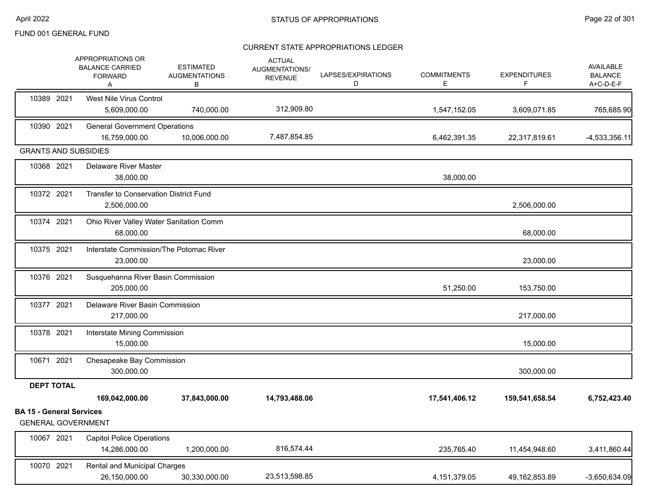|                                                              | APPROPRIATIONS OR<br><b>BALANCE CARRIED</b><br><b>FORWARD</b><br>Α | <b>ESTIMATED</b><br><b>AUGMENTATIONS</b><br>В | <b>ACTUAL</b><br>AUGMENTATIONS/<br><b>REVENUE</b> | LAPSES/EXPIRATIONS<br>D | <b>COMMITMENTS</b><br>Е | <b>EXPENDITURES</b><br>F | AVAILABLE<br><b>BALANCE</b><br>A+C-D-E-F |
|--------------------------------------------------------------|--------------------------------------------------------------------|-----------------------------------------------|---------------------------------------------------|-------------------------|-------------------------|--------------------------|------------------------------------------|
| 10389 2021                                                   | <b>West Nile Virus Control</b><br>5,609,000.00                     | 740,000.00                                    | 312,909.80                                        |                         | 1,547,152.05            | 3,609,071.85             | 765,685.90                               |
| 10390 2021                                                   | <b>General Government Operations</b><br>16,759,000.00              | 10,006,000.00                                 | 7,487,854.85                                      |                         | 6,462,391.35            | 22,317,819.61            | $-4,533,356.11$                          |
| <b>GRANTS AND SUBSIDIES</b>                                  |                                                                    |                                               |                                                   |                         |                         |                          |                                          |
| 10368 2021                                                   | <b>Delaware River Master</b><br>38,000.00                          |                                               |                                                   |                         | 38,000.00               |                          |                                          |
| 10372 2021                                                   | Transfer to Conservation District Fund<br>2,506,000.00             |                                               |                                                   |                         |                         | 2,506,000.00             |                                          |
| 10374 2021                                                   | Ohio River Valley Water Sanitation Comm<br>68,000.00               |                                               |                                                   |                         |                         | 68,000.00                |                                          |
| 10375 2021                                                   | Interstate Commission/The Potomac River<br>23,000.00               |                                               |                                                   |                         |                         | 23,000.00                |                                          |
| 10376 2021                                                   | Susquehanna River Basin Commission<br>205,000.00                   |                                               |                                                   |                         | 51,250.00               | 153,750.00               |                                          |
| 10377 2021                                                   | Delaware River Basin Commission<br>217,000.00                      |                                               |                                                   |                         |                         | 217,000.00               |                                          |
| 10378 2021                                                   | Interstate Mining Commission<br>15,000.00                          |                                               |                                                   |                         |                         | 15,000.00                |                                          |
| 10671 2021                                                   | Chesapeake Bay Commission<br>300,000.00                            |                                               |                                                   |                         |                         | 300,000.00               |                                          |
| <b>DEPT TOTAL</b>                                            |                                                                    |                                               |                                                   |                         |                         |                          |                                          |
|                                                              | 169,042,000.00                                                     | 37,843,000.00                                 | 14,793,488.06                                     |                         | 17,541,406.12           | 159,541,658.54           | 6,752,423.40                             |
| <b>BA 15 - General Services</b><br><b>GENERAL GOVERNMENT</b> |                                                                    |                                               |                                                   |                         |                         |                          |                                          |
| 10067 2021                                                   | <b>Capitol Police Operations</b><br>14,286,000.00                  | 1,200,000.00                                  | 816,574.44                                        |                         | 235,765.40              | 11,454,948.60            | 3,411,860.44                             |
| 10070 2021                                                   | Rental and Municipal Charges<br>26,150,000.00                      | 30,330,000.00                                 | 23,513,598.85                                     |                         | 4,151,379.05            | 49,162,853.89            | $-3,650,634.09$                          |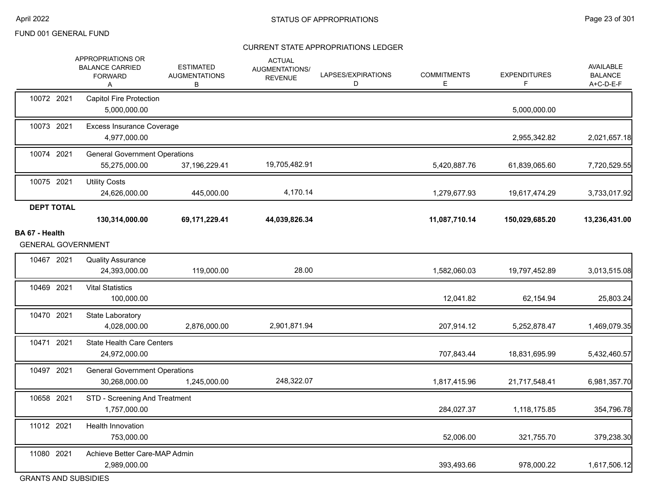#### CURRENT STATE APPROPRIATIONS LEDGER

|                                     | APPROPRIATIONS OR<br><b>BALANCE CARRIED</b><br><b>FORWARD</b><br>Α | <b>ESTIMATED</b><br><b>AUGMENTATIONS</b><br>В | <b>ACTUAL</b><br>AUGMENTATIONS/<br><b>REVENUE</b> | LAPSES/EXPIRATIONS<br>D | <b>COMMITMENTS</b><br>E | <b>EXPENDITURES</b><br>F. | AVAILABLE<br><b>BALANCE</b><br>A+C-D-E-F |
|-------------------------------------|--------------------------------------------------------------------|-----------------------------------------------|---------------------------------------------------|-------------------------|-------------------------|---------------------------|------------------------------------------|
| 10072 2021                          | Capitol Fire Protection<br>5,000,000.00                            |                                               |                                                   |                         |                         | 5,000,000.00              |                                          |
| 10073 2021                          | <b>Excess Insurance Coverage</b><br>4,977,000.00                   |                                               |                                                   |                         |                         | 2,955,342.82              | 2,021,657.18                             |
| 10074 2021                          | <b>General Government Operations</b><br>55,275,000.00              | 37,196,229.41                                 | 19,705,482.91                                     |                         | 5,420,887.76            | 61,839,065.60             | 7,720,529.55                             |
| 10075 2021                          | <b>Utility Costs</b><br>24,626,000.00                              | 445,000.00                                    | 4,170.14                                          |                         | 1,279,677.93            | 19,617,474.29             | 3,733,017.92                             |
| <b>DEPT TOTAL</b><br>BA 67 - Health | 130,314,000.00                                                     | 69,171,229.41                                 | 44,039,826.34                                     |                         | 11,087,710.14           | 150,029,685.20            | 13,236,431.00                            |
|                                     | <b>GENERAL GOVERNMENT</b>                                          |                                               |                                                   |                         |                         |                           |                                          |
| 10467 2021                          | <b>Quality Assurance</b><br>24,393,000.00                          | 119,000.00                                    | 28.00                                             |                         | 1,582,060.03            | 19,797,452.89             | 3,013,515.08                             |
| 10469 2021                          | <b>Vital Statistics</b><br>100,000.00                              |                                               |                                                   |                         | 12,041.82               | 62,154.94                 | 25,803.24                                |
| 10470 2021                          | State Laboratory<br>4,028,000.00                                   | 2,876,000.00                                  | 2,901,871.94                                      |                         | 207,914.12              | 5,252,878.47              | 1,469,079.35                             |
| 10471 2021                          | <b>State Health Care Centers</b><br>24,972,000.00                  |                                               |                                                   |                         | 707,843.44              | 18,831,695.99             | 5,432,460.57                             |
| 10497 2021                          | <b>General Government Operations</b><br>30,268,000.00              | 1,245,000.00                                  | 248,322.07                                        |                         | 1,817,415.96            | 21,717,548.41             | 6,981,357.70                             |
| 10658 2021                          | STD - Screening And Treatment<br>1,757,000.00                      |                                               |                                                   |                         | 284,027.37              | 1,118,175.85              | 354,796.78                               |
| 11012 2021                          | Health Innovation<br>753,000.00                                    |                                               |                                                   |                         | 52,006.00               | 321,755.70                | 379,238.30                               |
| 11080 2021                          | Achieve Better Care-MAP Admin<br>2,989,000.00                      |                                               |                                                   |                         | 393,493.66              | 978,000.22                | 1,617,506.12                             |
|                                     |                                                                    |                                               |                                                   |                         |                         |                           |                                          |

GRANTS AND SUBSIDIES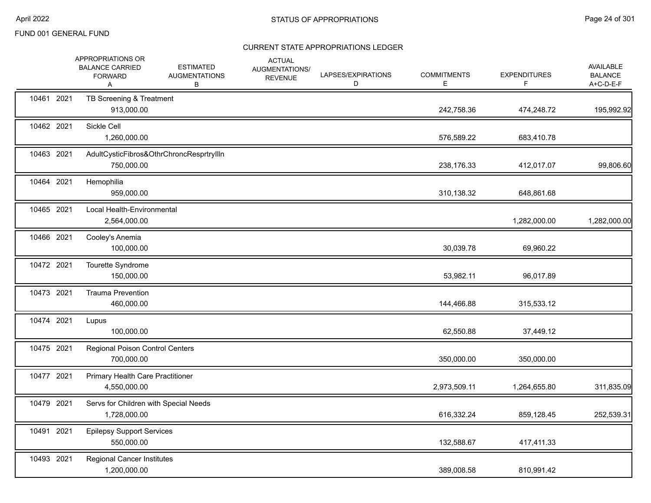|            | APPROPRIATIONS OR<br><b>BALANCE CARRIED</b><br><b>FORWARD</b><br>A | <b>ESTIMATED</b><br><b>AUGMENTATIONS</b><br>В | <b>ACTUAL</b><br>AUGMENTATIONS/<br><b>REVENUE</b> | LAPSES/EXPIRATIONS<br>D | <b>COMMITMENTS</b><br>Е | <b>EXPENDITURES</b><br>F | AVAILABLE<br><b>BALANCE</b><br>A+C-D-E-F |
|------------|--------------------------------------------------------------------|-----------------------------------------------|---------------------------------------------------|-------------------------|-------------------------|--------------------------|------------------------------------------|
| 10461 2021 | TB Screening & Treatment<br>913,000.00                             |                                               |                                                   |                         | 242,758.36              | 474,248.72               | 195,992.92                               |
| 10462 2021 | Sickle Cell<br>1,260,000.00                                        |                                               |                                                   |                         | 576,589.22              | 683,410.78               |                                          |
| 10463 2021 | 750,000.00                                                         | AdultCysticFibros&OthrChroncResprtryIlln      |                                                   |                         | 238,176.33              | 412,017.07               | 99,806.60                                |
| 10464 2021 | Hemophilia<br>959,000.00                                           |                                               |                                                   |                         | 310,138.32              | 648,861.68               |                                          |
| 10465 2021 | Local Health-Environmental<br>2,564,000.00                         |                                               |                                                   |                         |                         | 1,282,000.00             | 1,282,000.00                             |
| 10466 2021 | Cooley's Anemia<br>100,000.00                                      |                                               |                                                   |                         | 30,039.78               | 69,960.22                |                                          |
| 10472 2021 | Tourette Syndrome<br>150,000.00                                    |                                               |                                                   |                         | 53,982.11               | 96,017.89                |                                          |
| 10473 2021 | <b>Trauma Prevention</b><br>460,000.00                             |                                               |                                                   |                         | 144,466.88              | 315,533.12               |                                          |
| 10474 2021 | Lupus<br>100,000.00                                                |                                               |                                                   |                         | 62,550.88               | 37,449.12                |                                          |
| 10475 2021 | <b>Regional Poison Control Centers</b><br>700,000.00               |                                               |                                                   |                         | 350,000.00              | 350,000.00               |                                          |
| 10477 2021 | <b>Primary Health Care Practitioner</b><br>4,550,000.00            |                                               |                                                   |                         | 2,973,509.11            | 1,264,655.80             | 311,835.09                               |
| 10479 2021 | Servs for Children with Special Needs<br>1,728,000.00              |                                               |                                                   |                         | 616,332.24              | 859,128.45               | 252,539.31                               |
| 10491 2021 | <b>Epilepsy Support Services</b><br>550,000.00                     |                                               |                                                   |                         | 132,588.67              | 417,411.33               |                                          |
| 10493 2021 | <b>Regional Cancer Institutes</b><br>1,200,000.00                  |                                               |                                                   |                         | 389,008.58              | 810,991.42               |                                          |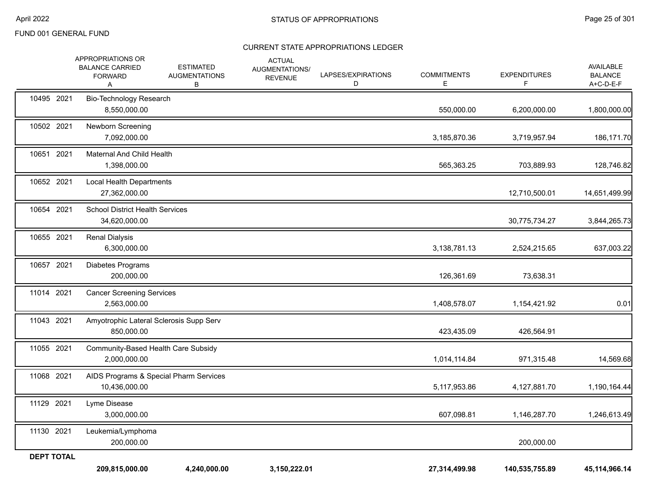|                   | APPROPRIATIONS OR<br><b>BALANCE CARRIED</b><br><b>FORWARD</b><br>A | <b>ESTIMATED</b><br><b>AUGMENTATIONS</b><br>В | <b>ACTUAL</b><br>AUGMENTATIONS/<br><b>REVENUE</b> | LAPSES/EXPIRATIONS<br>D | <b>COMMITMENTS</b><br>Е | <b>EXPENDITURES</b><br>F | AVAILABLE<br><b>BALANCE</b><br>A+C-D-E-F |
|-------------------|--------------------------------------------------------------------|-----------------------------------------------|---------------------------------------------------|-------------------------|-------------------------|--------------------------|------------------------------------------|
| 10495 2021        | Bio-Technology Research<br>8,550,000.00                            |                                               |                                                   |                         | 550,000.00              | 6,200,000.00             | 1,800,000.00                             |
| 10502 2021        | Newborn Screening<br>7,092,000.00                                  |                                               |                                                   |                         | 3,185,870.36            | 3,719,957.94             | 186,171.70                               |
| 10651 2021        | Maternal And Child Health<br>1,398,000.00                          |                                               |                                                   |                         | 565,363.25              | 703,889.93               | 128,746.82                               |
| 10652 2021        | Local Health Departments<br>27,362,000.00                          |                                               |                                                   |                         |                         | 12,710,500.01            | 14,651,499.99                            |
| 10654 2021        | <b>School District Health Services</b><br>34,620,000.00            |                                               |                                                   |                         |                         | 30,775,734.27            | 3,844,265.73                             |
| 10655 2021        | <b>Renal Dialysis</b><br>6,300,000.00                              |                                               |                                                   |                         | 3,138,781.13            | 2,524,215.65             | 637,003.22                               |
| 10657 2021        | Diabetes Programs<br>200,000.00                                    |                                               |                                                   |                         | 126,361.69              | 73,638.31                |                                          |
| 11014 2021        | <b>Cancer Screening Services</b><br>2,563,000.00                   |                                               |                                                   |                         | 1,408,578.07            | 1,154,421.92             | 0.01                                     |
| 11043 2021        | 850,000.00                                                         | Amyotrophic Lateral Sclerosis Supp Serv       |                                                   |                         | 423,435.09              | 426,564.91               |                                          |
| 11055 2021        | 2,000,000.00                                                       | Community-Based Health Care Subsidy           |                                                   |                         | 1,014,114.84            | 971,315.48               | 14,569.68                                |
| 11068 2021        | 10,436,000.00                                                      | AIDS Programs & Special Pharm Services        |                                                   |                         | 5,117,953.86            | 4,127,881.70             | 1,190,164.44                             |
| 11129 2021        | Lyme Disease<br>3,000,000.00                                       |                                               |                                                   |                         | 607,098.81              | 1,146,287.70             | 1,246,613.49                             |
| 11130 2021        | Leukemia/Lymphoma<br>200,000.00                                    |                                               |                                                   |                         |                         | 200,000.00               |                                          |
| <b>DEPT TOTAL</b> | 209,815,000.00                                                     | 4,240,000.00                                  | 3,150,222.01                                      |                         | 27,314,499.98           | 140,535,755.89           | 45, 114, 966. 14                         |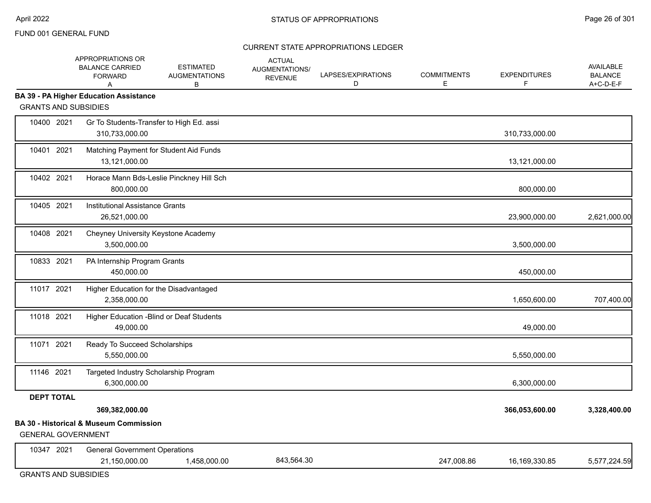#### CURRENT STATE APPROPRIATIONS LEDGER

|                             | APPROPRIATIONS OR<br><b>BALANCE CARRIED</b><br><b>FORWARD</b><br>A  | <b>ESTIMATED</b><br><b>AUGMENTATIONS</b><br>B | <b>ACTUAL</b><br><b>AUGMENTATIONS/</b><br><b>REVENUE</b> | LAPSES/EXPIRATIONS<br>D | <b>COMMITMENTS</b><br>E | <b>EXPENDITURES</b><br>F | <b>AVAILABLE</b><br><b>BALANCE</b><br>A+C-D-E-F |
|-----------------------------|---------------------------------------------------------------------|-----------------------------------------------|----------------------------------------------------------|-------------------------|-------------------------|--------------------------|-------------------------------------------------|
| <b>GRANTS AND SUBSIDIES</b> | <b>BA 39 - PA Higher Education Assistance</b>                       |                                               |                                                          |                         |                         |                          |                                                 |
| 10400 2021                  | Gr To Students-Transfer to High Ed. assi<br>310,733,000.00          |                                               |                                                          |                         |                         | 310,733,000.00           |                                                 |
| 10401 2021                  | Matching Payment for Student Aid Funds<br>13,121,000.00             |                                               |                                                          |                         |                         | 13,121,000.00            |                                                 |
| 10402 2021                  | 800,000.00                                                          | Horace Mann Bds-Leslie Pinckney Hill Sch      |                                                          |                         |                         | 800,000.00               |                                                 |
| 10405 2021                  | Institutional Assistance Grants<br>26,521,000.00                    |                                               |                                                          |                         |                         | 23,900,000.00            | 2,621,000.00                                    |
| 10408 2021                  | Cheyney University Keystone Academy<br>3,500,000.00                 |                                               |                                                          |                         |                         | 3,500,000.00             |                                                 |
| 10833 2021                  | PA Internship Program Grants<br>450,000.00                          |                                               |                                                          |                         |                         | 450,000.00               |                                                 |
| 11017 2021                  | Higher Education for the Disadvantaged<br>2,358,000.00              |                                               |                                                          |                         |                         | 1,650,600.00             | 707,400.00                                      |
| 11018 2021                  | Higher Education - Blind or Deaf Students<br>49,000.00              |                                               |                                                          |                         |                         | 49,000.00                |                                                 |
| 11071 2021                  | Ready To Succeed Scholarships<br>5,550,000.00                       |                                               |                                                          |                         |                         | 5,550,000.00             |                                                 |
| 11146 2021                  | Targeted Industry Scholarship Program<br>6,300,000.00               |                                               |                                                          |                         |                         | 6,300,000.00             |                                                 |
| <b>DEPT TOTAL</b>           | 369,382,000.00<br><b>BA 30 - Historical &amp; Museum Commission</b> |                                               |                                                          |                         |                         | 366,053,600.00           | 3,328,400.00                                    |
| <b>GENERAL GOVERNMENT</b>   |                                                                     |                                               |                                                          |                         |                         |                          |                                                 |
| 10347 2021                  | <b>General Government Operations</b><br>21,150,000.00               | 1,458,000.00                                  | 843,564.30                                               |                         | 247,008.86              | 16,169,330.85            | 5,577,224.59                                    |

GRANTS AND SUBSIDIES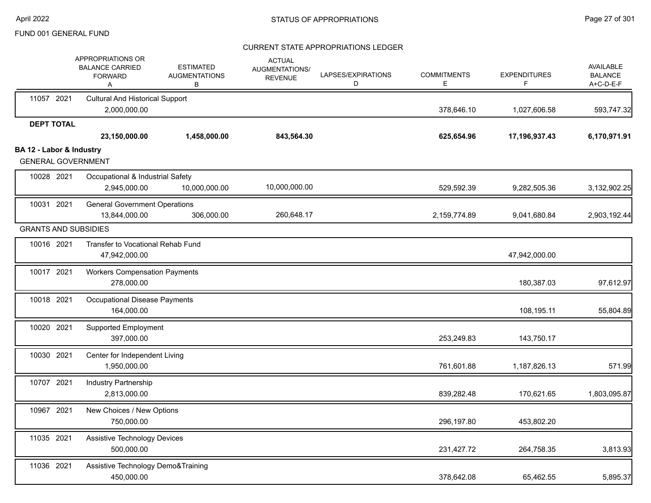|                          | APPROPRIATIONS OR<br><b>BALANCE CARRIED</b><br><b>FORWARD</b><br>Α | <b>ESTIMATED</b><br><b>AUGMENTATIONS</b><br>В | <b>ACTUAL</b><br>AUGMENTATIONS/<br><b>REVENUE</b> | LAPSES/EXPIRATIONS<br>D | <b>COMMITMENTS</b><br>Е | <b>EXPENDITURES</b> | AVAILABLE<br><b>BALANCE</b><br>A+C-D-E-F |
|--------------------------|--------------------------------------------------------------------|-----------------------------------------------|---------------------------------------------------|-------------------------|-------------------------|---------------------|------------------------------------------|
| 11057 2021               | <b>Cultural And Historical Support</b><br>2,000,000.00             |                                               |                                                   |                         | 378,646.10              | 1,027,606.58        | 593,747.32                               |
| <b>DEPT TOTAL</b>        | 23,150,000.00                                                      | 1,458,000.00                                  | 843,564.30                                        |                         | 625,654.96              | 17,196,937.43       | 6,170,971.91                             |
| BA 12 - Labor & Industry | <b>GENERAL GOVERNMENT</b>                                          |                                               |                                                   |                         |                         |                     |                                          |
| 10028 2021               | Occupational & Industrial Safety<br>2,945,000.00                   | 10,000,000.00                                 | 10,000,000.00                                     |                         | 529,592.39              | 9,282,505.36        | 3,132,902.25                             |
| 10031 2021               | <b>General Government Operations</b><br>13,844,000.00              | 306,000.00                                    | 260,648.17                                        |                         | 2,159,774.89            | 9,041,680.84        | 2,903,192.44                             |
|                          | <b>GRANTS AND SUBSIDIES</b>                                        |                                               |                                                   |                         |                         |                     |                                          |
| 10016 2021               | Transfer to Vocational Rehab Fund<br>47,942,000.00                 |                                               |                                                   |                         |                         | 47,942,000.00       |                                          |
| 10017 2021               | <b>Workers Compensation Payments</b><br>278,000.00                 |                                               |                                                   |                         |                         | 180,387.03          | 97,612.97                                |
| 10018 2021               | Occupational Disease Payments<br>164,000.00                        |                                               |                                                   |                         |                         | 108,195.11          | 55,804.89                                |
| 10020 2021               | <b>Supported Employment</b><br>397,000.00                          |                                               |                                                   |                         | 253,249.83              | 143,750.17          |                                          |
| 10030 2021               | Center for Independent Living<br>1,950,000.00                      |                                               |                                                   |                         | 761,601.88              | 1,187,826.13        | 571.99                                   |
| 10707 2021               | Industry Partnership<br>2,813,000.00                               |                                               |                                                   |                         | 839,282.48              | 170,621.65          | 1,803,095.87                             |
| 10967 2021               | New Choices / New Options<br>750,000.00                            |                                               |                                                   |                         | 296,197.80              | 453,802.20          |                                          |
| 11035 2021               | Assistive Technology Devices<br>500,000.00                         |                                               |                                                   |                         | 231,427.72              | 264,758.35          | 3,813.93                                 |
| 11036 2021               | Assistive Technology Demo&Training<br>450,000.00                   |                                               |                                                   |                         | 378,642.08              | 65,462.55           | 5,895.37                                 |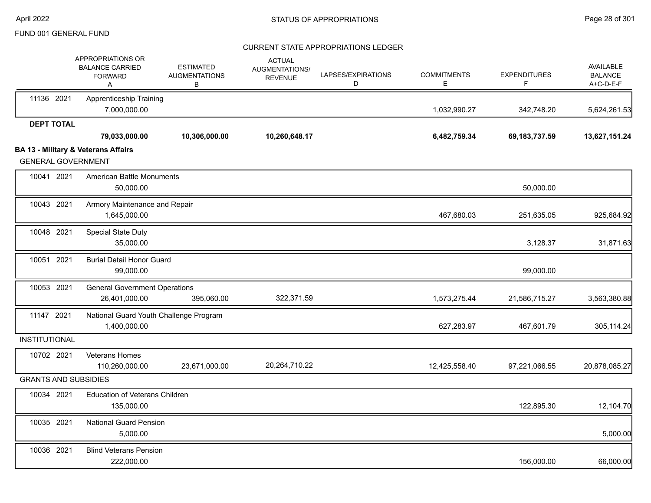|                             | APPROPRIATIONS OR<br><b>BALANCE CARRIED</b><br><b>FORWARD</b><br>A | <b>ESTIMATED</b><br><b>AUGMENTATIONS</b><br>В | <b>ACTUAL</b><br>AUGMENTATIONS/<br><b>REVENUE</b> | LAPSES/EXPIRATIONS<br>D | <b>COMMITMENTS</b><br>Е | <b>EXPENDITURES</b><br>F | <b>AVAILABLE</b><br><b>BALANCE</b><br>A+C-D-E-F |
|-----------------------------|--------------------------------------------------------------------|-----------------------------------------------|---------------------------------------------------|-------------------------|-------------------------|--------------------------|-------------------------------------------------|
| 11136 2021                  | <b>Apprenticeship Training</b><br>7,000,000.00                     |                                               |                                                   |                         | 1,032,990.27            | 342,748.20               | 5,624,261.53                                    |
| <b>DEPT TOTAL</b>           |                                                                    |                                               |                                                   |                         |                         |                          |                                                 |
|                             | 79,033,000.00                                                      | 10,306,000.00                                 | 10,260,648.17                                     |                         | 6,482,759.34            | 69, 183, 737.59          | 13,627,151.24                                   |
| <b>GENERAL GOVERNMENT</b>   | <b>BA 13 - Military &amp; Veterans Affairs</b>                     |                                               |                                                   |                         |                         |                          |                                                 |
| 10041 2021                  | <b>American Battle Monuments</b><br>50,000.00                      |                                               |                                                   |                         |                         | 50,000.00                |                                                 |
| 10043 2021                  | Armory Maintenance and Repair<br>1,645,000.00                      |                                               |                                                   |                         | 467,680.03              | 251,635.05               | 925,684.92                                      |
| 10048 2021                  | <b>Special State Duty</b><br>35,000.00                             |                                               |                                                   |                         |                         | 3,128.37                 | 31,871.63                                       |
| 10051 2021                  | <b>Burial Detail Honor Guard</b><br>99,000.00                      |                                               |                                                   |                         |                         | 99,000.00                |                                                 |
| 10053 2021                  | <b>General Government Operations</b><br>26,401,000.00              | 395,060.00                                    | 322,371.59                                        |                         | 1,573,275.44            | 21,586,715.27            | 3,563,380.88                                    |
| 11147 2021                  | National Guard Youth Challenge Program<br>1,400,000.00             |                                               |                                                   |                         | 627,283.97              | 467,601.79               | 305,114.24                                      |
| <b>INSTITUTIONAL</b>        |                                                                    |                                               |                                                   |                         |                         |                          |                                                 |
| 10702 2021                  | Veterans Homes<br>110,260,000.00                                   | 23,671,000.00                                 | 20,264,710.22                                     |                         | 12,425,558.40           | 97,221,066.55            | 20,878,085.27                                   |
| <b>GRANTS AND SUBSIDIES</b> |                                                                    |                                               |                                                   |                         |                         |                          |                                                 |
| 10034 2021                  | <b>Education of Veterans Children</b><br>135,000.00                |                                               |                                                   |                         |                         | 122,895.30               | 12,104.70                                       |
| 10035 2021                  | <b>National Guard Pension</b><br>5,000.00                          |                                               |                                                   |                         |                         |                          | 5,000.00                                        |
| 10036 2021                  | <b>Blind Veterans Pension</b><br>222,000.00                        |                                               |                                                   |                         |                         | 156,000.00               | 66,000.00                                       |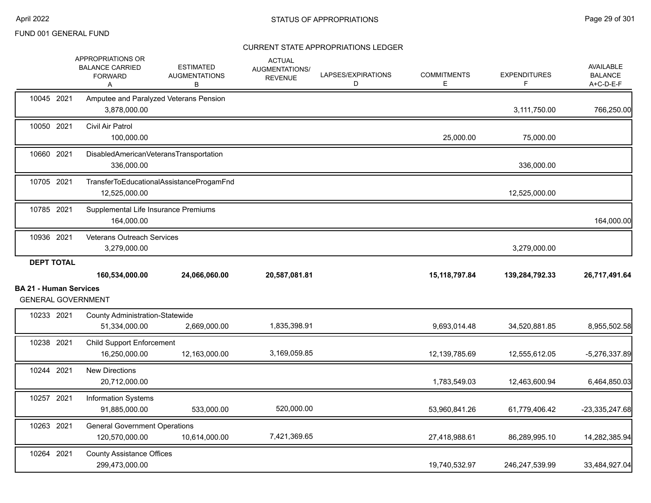|                                                            | APPROPRIATIONS OR<br><b>BALANCE CARRIED</b><br><b>FORWARD</b><br>A | <b>ESTIMATED</b><br><b>AUGMENTATIONS</b><br>в | <b>ACTUAL</b><br>AUGMENTATIONS/<br><b>REVENUE</b> | LAPSES/EXPIRATIONS<br>D | <b>COMMITMENTS</b><br>E | <b>EXPENDITURES</b><br>F | <b>AVAILABLE</b><br><b>BALANCE</b><br>A+C-D-E-F |
|------------------------------------------------------------|--------------------------------------------------------------------|-----------------------------------------------|---------------------------------------------------|-------------------------|-------------------------|--------------------------|-------------------------------------------------|
| 10045 2021                                                 | Amputee and Paralyzed Veterans Pension<br>3,878,000.00             |                                               |                                                   |                         |                         | 3,111,750.00             | 766,250.00                                      |
| 10050 2021                                                 | Civil Air Patrol<br>100,000.00                                     |                                               |                                                   |                         | 25,000.00               | 75,000.00                |                                                 |
| 10660 2021                                                 | DisabledAmericanVeteransTransportation<br>336,000.00               |                                               |                                                   |                         |                         | 336,000.00               |                                                 |
| 10705 2021                                                 | TransferToEducationalAssistanceProgamFnd<br>12,525,000.00          |                                               |                                                   |                         |                         | 12,525,000.00            |                                                 |
| 10785 2021                                                 | Supplemental Life Insurance Premiums<br>164,000.00                 |                                               |                                                   |                         |                         |                          | 164,000.00                                      |
| 10936 2021                                                 | <b>Veterans Outreach Services</b><br>3,279,000.00                  |                                               |                                                   |                         |                         | 3,279,000.00             |                                                 |
| <b>DEPT TOTAL</b>                                          | 160,534,000.00                                                     | 24,066,060.00                                 | 20,587,081.81                                     |                         | 15, 118, 797.84         | 139,284,792.33           | 26,717,491.64                                   |
|                                                            |                                                                    |                                               |                                                   |                         |                         |                          |                                                 |
| <b>BA 21 - Human Services</b><br><b>GENERAL GOVERNMENT</b> |                                                                    |                                               |                                                   |                         |                         |                          |                                                 |
| 10233 2021                                                 | <b>County Administration-Statewide</b><br>51,334,000.00            | 2,669,000.00                                  | 1,835,398.91                                      |                         | 9,693,014.48            | 34,520,881.85            | 8,955,502.58                                    |
| 10238 2021                                                 | <b>Child Support Enforcement</b><br>16,250,000.00                  | 12,163,000.00                                 | 3,169,059.85                                      |                         | 12,139,785.69           | 12,555,612.05            | $-5,276,337.89$                                 |
| 10244 2021                                                 | <b>New Directions</b><br>20,712,000.00                             |                                               |                                                   |                         | 1,783,549.03            | 12,463,600.94            | 6,464,850.03                                    |
| 10257 2021                                                 | <b>Information Systems</b><br>91,885,000.00                        | 533,000.00                                    | 520,000.00                                        |                         | 53,960,841.26           | 61,779,406.42            | -23,335,247.68                                  |
| 10263 2021                                                 | <b>General Government Operations</b><br>120,570,000.00             | 10,614,000.00                                 | 7,421,369.65                                      |                         | 27,418,988.61           | 86,289,995.10            | 14,282,385.94                                   |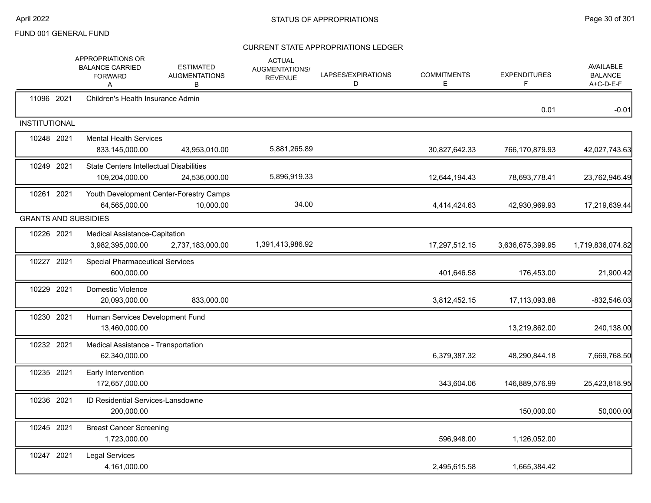|                             | APPROPRIATIONS OR<br><b>BALANCE CARRIED</b><br><b>FORWARD</b><br>A | <b>ESTIMATED</b><br><b>AUGMENTATIONS</b><br>В        | <b>ACTUAL</b><br>AUGMENTATIONS/<br><b>REVENUE</b> | LAPSES/EXPIRATIONS<br>D | <b>COMMITMENTS</b><br>Е | <b>EXPENDITURES</b><br>F | <b>AVAILABLE</b><br><b>BALANCE</b><br>A+C-D-E-F |
|-----------------------------|--------------------------------------------------------------------|------------------------------------------------------|---------------------------------------------------|-------------------------|-------------------------|--------------------------|-------------------------------------------------|
| 11096 2021                  | Children's Health Insurance Admin                                  |                                                      |                                                   |                         |                         | 0.01                     | $-0.01$                                         |
| <b>INSTITUTIONAL</b>        |                                                                    |                                                      |                                                   |                         |                         |                          |                                                 |
| 10248 2021                  | <b>Mental Health Services</b><br>833,145,000.00                    | 43,953,010.00                                        | 5,881,265.89                                      |                         | 30,827,642.33           | 766,170,879.93           | 42,027,743.63                                   |
| 10249 2021                  | <b>State Centers Intellectual Disabilities</b><br>109,204,000.00   | 24,536,000.00                                        | 5,896,919.33                                      |                         | 12,644,194.43           | 78,693,778.41            | 23,762,946.49                                   |
| 10261 2021                  | 64,565,000.00                                                      | Youth Development Center-Forestry Camps<br>10,000.00 | 34.00                                             |                         | 4,414,424.63            | 42,930,969.93            | 17,219,639.44                                   |
| <b>GRANTS AND SUBSIDIES</b> |                                                                    |                                                      |                                                   |                         |                         |                          |                                                 |
| 10226 2021                  | Medical Assistance-Capitation<br>3,982,395,000.00                  | 2,737,183,000.00                                     | 1,391,413,986.92                                  |                         | 17,297,512.15           | 3,636,675,399.95         | 1,719,836,074.82                                |
| 10227 2021                  | <b>Special Pharmaceutical Services</b><br>600.000.00               |                                                      |                                                   |                         | 401,646.58              | 176,453.00               | 21,900.42                                       |
| 10229 2021                  | Domestic Violence<br>20,093,000.00                                 | 833,000.00                                           |                                                   |                         | 3,812,452.15            | 17,113,093.88            | $-832,546.03$                                   |
| 10230 2021                  | Human Services Development Fund<br>13,460,000.00                   |                                                      |                                                   |                         |                         | 13,219,862.00            | 240,138.00                                      |
| 10232 2021                  | Medical Assistance - Transportation<br>62,340,000.00               |                                                      |                                                   |                         | 6,379,387.32            | 48,290,844.18            | 7,669,768.50                                    |
| 10235 2021                  | Early Intervention<br>172.657.000.00                               |                                                      |                                                   |                         | 343,604.06              | 146,889,576.99           | 25,423,818.95                                   |
| 10236 2021                  | ID Residential Services-Lansdowne<br>200,000.00                    |                                                      |                                                   |                         |                         | 150,000.00               | 50,000.00                                       |
| 10245 2021                  | <b>Breast Cancer Screening</b><br>1,723,000.00                     |                                                      |                                                   |                         | 596,948.00              | 1,126,052.00             |                                                 |
| 10247 2021                  | <b>Legal Services</b><br>4,161,000.00                              |                                                      |                                                   |                         | 2,495,615.58            | 1,665,384.42             |                                                 |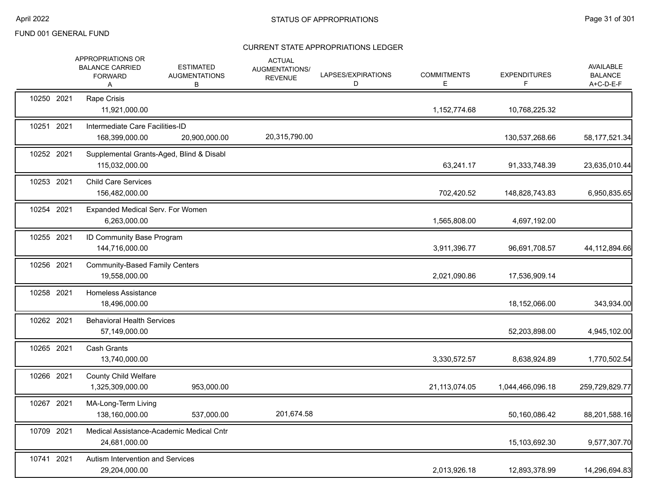|            | APPROPRIATIONS OR<br><b>BALANCE CARRIED</b><br><b>FORWARD</b><br>A | <b>ESTIMATED</b><br><b>AUGMENTATIONS</b><br>В | <b>ACTUAL</b><br>AUGMENTATIONS/<br><b>REVENUE</b> | LAPSES/EXPIRATIONS<br>D | <b>COMMITMENTS</b><br>Е | <b>EXPENDITURES</b><br>F. | <b>AVAILABLE</b><br><b>BALANCE</b><br>A+C-D-E-F |
|------------|--------------------------------------------------------------------|-----------------------------------------------|---------------------------------------------------|-------------------------|-------------------------|---------------------------|-------------------------------------------------|
| 10250 2021 | Rape Crisis<br>11,921,000.00                                       |                                               |                                                   |                         | 1,152,774.68            | 10,768,225.32             |                                                 |
| 10251 2021 | Intermediate Care Facilities-ID<br>168,399,000.00                  | 20,900,000.00                                 | 20,315,790.00                                     |                         |                         | 130,537,268.66            | 58, 177, 521.34                                 |
| 10252 2021 | Supplemental Grants-Aged, Blind & Disabl<br>115,032,000.00         |                                               |                                                   |                         | 63,241.17               | 91,333,748.39             | 23,635,010.44                                   |
| 10253 2021 | <b>Child Care Services</b><br>156,482,000.00                       |                                               |                                                   |                         | 702,420.52              | 148,828,743.83            | 6,950,835.65                                    |
| 10254 2021 | Expanded Medical Serv. For Women<br>6,263,000.00                   |                                               |                                                   |                         | 1,565,808.00            | 4,697,192.00              |                                                 |
| 10255 2021 | ID Community Base Program<br>144,716,000.00                        |                                               |                                                   |                         | 3,911,396.77            | 96,691,708.57             | 44,112,894.66                                   |
| 10256 2021 | <b>Community-Based Family Centers</b><br>19,558,000.00             |                                               |                                                   |                         | 2,021,090.86            | 17,536,909.14             |                                                 |
| 10258 2021 | Homeless Assistance<br>18,496,000.00                               |                                               |                                                   |                         |                         | 18,152,066.00             | 343,934.00                                      |
| 10262 2021 | <b>Behavioral Health Services</b><br>57,149,000.00                 |                                               |                                                   |                         |                         | 52,203,898.00             | 4,945,102.00                                    |
| 10265 2021 | <b>Cash Grants</b><br>13,740,000.00                                |                                               |                                                   |                         | 3,330,572.57            | 8,638,924.89              | 1,770,502.54                                    |
| 10266 2021 | <b>County Child Welfare</b><br>1,325,309,000.00                    | 953,000.00                                    |                                                   |                         | 21,113,074.05           | 1,044,466,096.18          | 259,729,829.77                                  |
| 10267 2021 | MA-Long-Term Living<br>138,160,000.00                              | 537,000.00                                    | 201,674.58                                        |                         |                         | 50,160,086.42             | 88,201,588.16                                   |
| 10709 2021 | 24,681,000.00                                                      | Medical Assistance-Academic Medical Cntr      |                                                   |                         |                         | 15,103,692.30             | 9,577,307.70                                    |
| 10741 2021 | Autism Intervention and Services<br>29,204,000.00                  |                                               |                                                   |                         | 2,013,926.18            | 12,893,378.99             | 14,296,694.83                                   |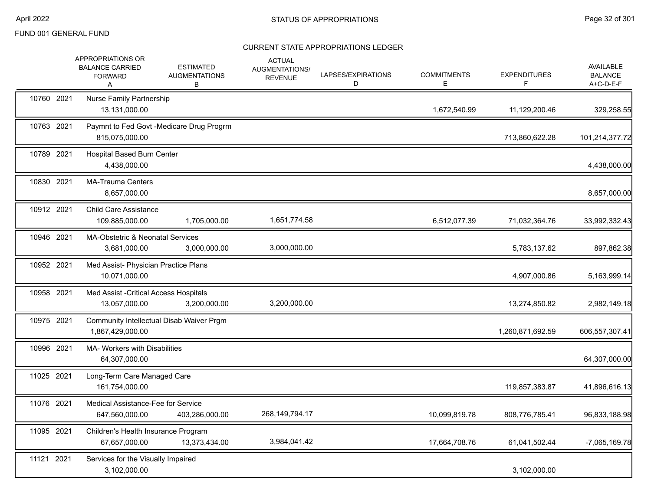|            | APPROPRIATIONS OR<br><b>BALANCE CARRIED</b><br><b>FORWARD</b><br>A | <b>ESTIMATED</b><br><b>AUGMENTATIONS</b><br>В | <b>ACTUAL</b><br><b>AUGMENTATIONS/</b><br><b>REVENUE</b> | LAPSES/EXPIRATIONS<br>D | <b>COMMITMENTS</b><br>Е | <b>EXPENDITURES</b> | <b>AVAILABLE</b><br><b>BALANCE</b><br>A+C-D-E-F |
|------------|--------------------------------------------------------------------|-----------------------------------------------|----------------------------------------------------------|-------------------------|-------------------------|---------------------|-------------------------------------------------|
| 10760 2021 | <b>Nurse Family Partnership</b><br>13.131.000.00                   |                                               |                                                          |                         | 1,672,540.99            | 11,129,200.46       | 329,258.55                                      |
| 10763 2021 | 815,075,000.00                                                     | Paymnt to Fed Govt -Medicare Drug Progrm      |                                                          |                         |                         | 713,860,622.28      | 101,214,377.72                                  |
| 10789 2021 | <b>Hospital Based Burn Center</b><br>4,438,000.00                  |                                               |                                                          |                         |                         |                     | 4,438,000.00                                    |
| 10830 2021 | <b>MA-Trauma Centers</b><br>8,657,000.00                           |                                               |                                                          |                         |                         |                     | 8,657,000.00                                    |
| 10912 2021 | <b>Child Care Assistance</b><br>109,885,000.00                     | 1,705,000.00                                  | 1,651,774.58                                             |                         | 6,512,077.39            | 71,032,364.76       | 33,992,332.43                                   |
| 10946 2021 | MA-Obstetric & Neonatal Services<br>3,681,000.00                   | 3,000,000.00                                  | 3,000,000.00                                             |                         |                         | 5,783,137.62        | 897,862.38                                      |
| 10952 2021 | Med Assist- Physician Practice Plans<br>10,071,000.00              |                                               |                                                          |                         |                         | 4,907,000.86        | 5,163,999.14                                    |
| 10958 2021 | Med Assist - Critical Access Hospitals<br>13,057,000.00            | 3,200,000.00                                  | 3,200,000.00                                             |                         |                         | 13,274,850.82       | 2,982,149.18                                    |
| 10975 2021 | 1,867,429,000.00                                                   | Community Intellectual Disab Waiver Prgm      |                                                          |                         |                         | 1,260,871,692.59    | 606,557,307.41                                  |
| 10996 2021 | <b>MA- Workers with Disabilities</b><br>64,307,000.00              |                                               |                                                          |                         |                         |                     | 64,307,000.00                                   |
| 11025 2021 | Long-Term Care Managed Care<br>161,754,000.00                      |                                               |                                                          |                         |                         | 119,857,383.87      | 41,896,616.13                                   |
| 11076 2021 | Medical Assistance-Fee for Service<br>647,560,000.00               | 403,286,000.00                                | 268, 149, 794. 17                                        |                         | 10,099,819.78           | 808,776,785.41      | 96,833,188.98                                   |
| 11095 2021 | Children's Health Insurance Program<br>67,657,000.00               | 13,373,434.00                                 | 3,984,041.42                                             |                         | 17,664,708.76           | 61,041,502.44       | -7,065,169.78                                   |
| 11121 2021 | Services for the Visually Impaired<br>3,102,000.00                 |                                               |                                                          |                         |                         | 3,102,000.00        |                                                 |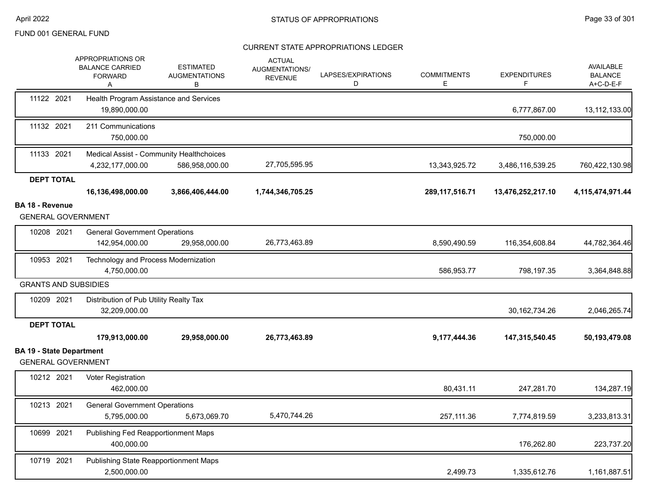|                                                              | APPROPRIATIONS OR<br><b>BALANCE CARRIED</b><br><b>FORWARD</b><br>Α | <b>ESTIMATED</b><br><b>AUGMENTATIONS</b><br>в              | <b>ACTUAL</b><br>AUGMENTATIONS/<br><b>REVENUE</b> | LAPSES/EXPIRATIONS<br>D | <b>COMMITMENTS</b><br>E | <b>EXPENDITURES</b><br>F | AVAILABLE<br><b>BALANCE</b><br>A+C-D-E-F |
|--------------------------------------------------------------|--------------------------------------------------------------------|------------------------------------------------------------|---------------------------------------------------|-------------------------|-------------------------|--------------------------|------------------------------------------|
| 11122 2021                                                   | Health Program Assistance and Services<br>19,890,000.00            |                                                            |                                                   |                         |                         | 6,777,867.00             | 13,112,133.00                            |
| 11132 2021                                                   | 211 Communications<br>750,000.00                                   |                                                            |                                                   |                         |                         | 750,000.00               |                                          |
| 11133 2021                                                   | 4,232,177,000.00                                                   | Medical Assist - Community Healthchoices<br>586,958,000.00 | 27,705,595.95                                     |                         | 13,343,925.72           | 3,486,116,539.25         | 760,422,130.98                           |
| <b>DEPT TOTAL</b>                                            |                                                                    |                                                            |                                                   |                         |                         |                          |                                          |
|                                                              | 16,136,498,000.00                                                  | 3,866,406,444.00                                           | 1,744,346,705.25                                  |                         | 289, 117, 516. 71       | 13,476,252,217.10        | 4,115,474,971.44                         |
| BA 18 - Revenue<br><b>GENERAL GOVERNMENT</b>                 |                                                                    |                                                            |                                                   |                         |                         |                          |                                          |
| 10208 2021                                                   | <b>General Government Operations</b><br>142,954,000.00             | 29,958,000.00                                              | 26,773,463.89                                     |                         | 8,590,490.59            | 116,354,608.84           | 44,782,364.46                            |
| 10953 2021                                                   | Technology and Process Modernization<br>4,750,000.00               |                                                            |                                                   |                         | 586,953.77              | 798,197.35               | 3,364,848.88                             |
| <b>GRANTS AND SUBSIDIES</b>                                  |                                                                    |                                                            |                                                   |                         |                         |                          |                                          |
| 10209 2021                                                   | Distribution of Pub Utility Realty Tax<br>32,209,000.00            |                                                            |                                                   |                         |                         | 30, 162, 734. 26         | 2,046,265.74                             |
| <b>DEPT TOTAL</b>                                            |                                                                    |                                                            |                                                   |                         |                         |                          |                                          |
|                                                              | 179,913,000.00                                                     | 29,958,000.00                                              | 26,773,463.89                                     |                         | 9,177,444.36            | 147,315,540.45           | 50,193,479.08                            |
| <b>BA 19 - State Department</b><br><b>GENERAL GOVERNMENT</b> |                                                                    |                                                            |                                                   |                         |                         |                          |                                          |
| 10212 2021                                                   | <b>Voter Registration</b><br>462,000.00                            |                                                            |                                                   |                         | 80,431.11               | 247,281.70               | 134,287.19                               |
| 10213 2021                                                   | <b>General Government Operations</b>                               |                                                            |                                                   |                         |                         |                          |                                          |
|                                                              | 5,795,000.00                                                       | 5,673,069.70                                               | 5,470,744.26                                      |                         | 257,111.36              | 7,774,819.59             | 3,233,813.31                             |
| 10699 2021                                                   | Publishing Fed Reapportionment Maps<br>400,000.00                  |                                                            |                                                   |                         |                         | 176,262.80               | 223,737.20                               |
| 10719 2021                                                   | Publishing State Reapportionment Maps<br>2,500,000.00              |                                                            |                                                   |                         | 2,499.73                | 1,335,612.76             | 1,161,887.51                             |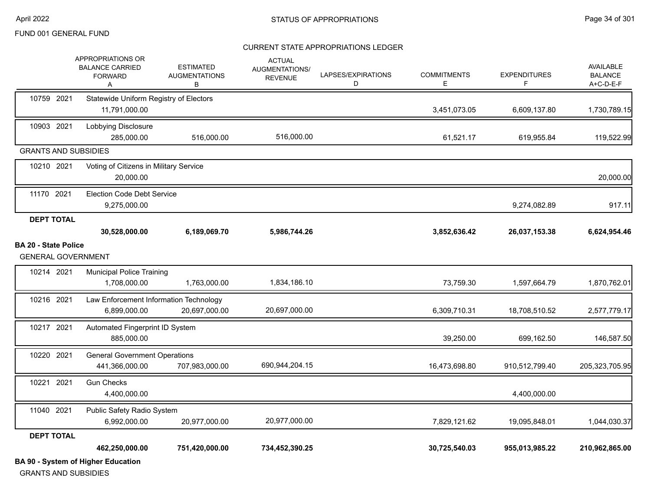#### CURRENT STATE APPROPRIATIONS LEDGER

|                                                          | <b>BA 90 - System of Higher Education</b>                                 |                                               |                                                   |                         |                         |                          |                                                 |
|----------------------------------------------------------|---------------------------------------------------------------------------|-----------------------------------------------|---------------------------------------------------|-------------------------|-------------------------|--------------------------|-------------------------------------------------|
|                                                          | 462,250,000.00                                                            | 751,420,000.00                                | 734,452,390.25                                    |                         | 30,725,540.03           | 955,013,985.22           | 210,962,865.00                                  |
| <b>DEPT TOTAL</b>                                        |                                                                           |                                               |                                                   |                         |                         |                          |                                                 |
|                                                          | 6,992,000.00                                                              | 20,977,000.00                                 | 20,977,000.00                                     |                         | 7,829,121.62            | 19,095,848.01            | 1,044,030.37                                    |
| 11040 2021                                               | 4,400,000.00<br>Public Safety Radio System                                |                                               |                                                   |                         |                         | 4,400,000.00             |                                                 |
| 10221 2021                                               | <b>Gun Checks</b>                                                         |                                               |                                                   |                         |                         |                          |                                                 |
| 10220 2021                                               | <b>General Government Operations</b><br>441,366,000.00                    | 707,983,000.00                                | 690,944,204.15                                    |                         | 16,473,698.80           | 910,512,799.40           | 205,323,705.95                                  |
| 10217 2021                                               | Automated Fingerprint ID System<br>885.000.00                             |                                               |                                                   |                         | 39,250.00               | 699,162.50               | 146,587.50                                      |
| 10216 2021                                               | Law Enforcement Information Technology<br>6,899,000.00                    | 20,697,000.00                                 | 20,697,000.00                                     |                         | 6,309,710.31            | 18,708,510.52            | 2,577,779.17                                    |
| 10214 2021                                               | <b>Municipal Police Training</b><br>1,708,000.00                          | 1,763,000.00                                  | 1,834,186.10                                      |                         | 73,759.30               | 1,597,664.79             | 1,870,762.01                                    |
| <b>BA 20 - State Police</b><br><b>GENERAL GOVERNMENT</b> |                                                                           |                                               |                                                   |                         |                         |                          |                                                 |
|                                                          | 30,528,000.00                                                             | 6,189,069.70                                  | 5,986,744.26                                      |                         | 3,852,636.42            | 26,037,153.38            | 6,624,954.46                                    |
| <b>DEPT TOTAL</b>                                        |                                                                           |                                               |                                                   |                         |                         |                          |                                                 |
| 11170 2021                                               | <b>Election Code Debt Service</b><br>9,275,000.00                         |                                               |                                                   |                         |                         | 9,274,082.89             | 917.11                                          |
| 10210 2021                                               | Voting of Citizens in Military Service<br>20,000.00                       |                                               |                                                   |                         |                         |                          | 20,000.00                                       |
| <b>GRANTS AND SUBSIDIES</b>                              |                                                                           |                                               |                                                   |                         |                         |                          |                                                 |
| 10903 2021                                               | Lobbying Disclosure<br>285,000.00                                         | 516,000.00                                    | 516.000.00                                        |                         | 61,521.17               | 619,955.84               | 119,522.99                                      |
| 10759 2021                                               | Statewide Uniform Registry of Electors<br>11,791,000.00                   |                                               |                                                   |                         | 3,451,073.05            | 6,609,137.80             | 1,730,789.15                                    |
|                                                          | <b>APPROPRIATIONS OR</b><br><b>BALANCE CARRIED</b><br><b>FORWARD</b><br>Α | <b>ESTIMATED</b><br><b>AUGMENTATIONS</b><br>В | <b>ACTUAL</b><br>AUGMENTATIONS/<br><b>REVENUE</b> | LAPSES/EXPIRATIONS<br>D | <b>COMMITMENTS</b><br>Е | <b>EXPENDITURES</b><br>F | <b>AVAILABLE</b><br><b>BALANCE</b><br>A+C-D-E-F |

GRANTS AND SUBSIDIES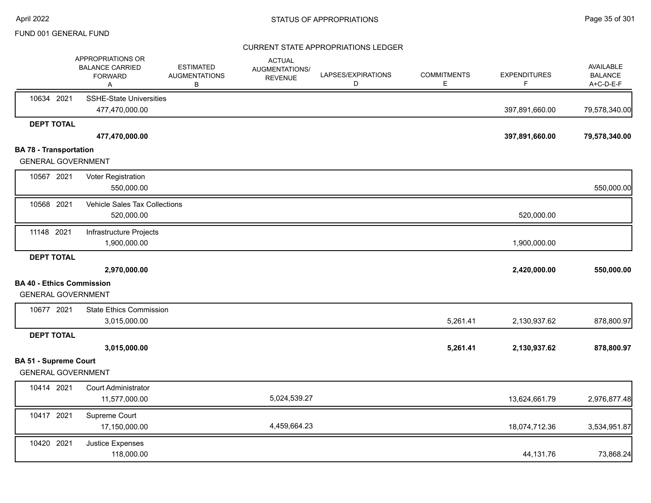|                                  | APPROPRIATIONS OR<br><b>BALANCE CARRIED</b><br><b>FORWARD</b><br>A | <b>ESTIMATED</b><br><b>AUGMENTATIONS</b><br>В | <b>ACTUAL</b><br><b>AUGMENTATIONS/</b><br><b>REVENUE</b> | LAPSES/EXPIRATIONS<br>D | <b>COMMITMENTS</b><br>Е | <b>EXPENDITURES</b><br>F | <b>AVAILABLE</b><br><b>BALANCE</b><br>A+C-D-E-F |
|----------------------------------|--------------------------------------------------------------------|-----------------------------------------------|----------------------------------------------------------|-------------------------|-------------------------|--------------------------|-------------------------------------------------|
| 10634 2021                       | <b>SSHE-State Universities</b><br>477,470,000.00                   |                                               |                                                          |                         |                         | 397,891,660.00           | 79,578,340.00                                   |
| <b>DEPT TOTAL</b>                |                                                                    |                                               |                                                          |                         |                         |                          |                                                 |
|                                  | 477,470,000.00                                                     |                                               |                                                          |                         |                         | 397,891,660.00           | 79,578,340.00                                   |
| <b>BA 78 - Transportation</b>    |                                                                    |                                               |                                                          |                         |                         |                          |                                                 |
| <b>GENERAL GOVERNMENT</b>        |                                                                    |                                               |                                                          |                         |                         |                          |                                                 |
| 10567 2021                       | Voter Registration                                                 |                                               |                                                          |                         |                         |                          |                                                 |
|                                  | 550,000.00                                                         |                                               |                                                          |                         |                         |                          | 550,000.00                                      |
| 10568 2021                       | Vehicle Sales Tax Collections                                      |                                               |                                                          |                         |                         |                          |                                                 |
|                                  | 520,000.00                                                         |                                               |                                                          |                         |                         | 520,000.00               |                                                 |
| 11148 2021                       | Infrastructure Projects                                            |                                               |                                                          |                         |                         |                          |                                                 |
|                                  | 1,900,000.00                                                       |                                               |                                                          |                         |                         | 1,900,000.00             |                                                 |
| <b>DEPT TOTAL</b>                |                                                                    |                                               |                                                          |                         |                         |                          |                                                 |
|                                  | 2,970,000.00                                                       |                                               |                                                          |                         |                         | 2,420,000.00             | 550,000.00                                      |
| <b>BA 40 - Ethics Commission</b> |                                                                    |                                               |                                                          |                         |                         |                          |                                                 |
| <b>GENERAL GOVERNMENT</b>        |                                                                    |                                               |                                                          |                         |                         |                          |                                                 |
| 10677 2021                       | <b>State Ethics Commission</b>                                     |                                               |                                                          |                         |                         |                          |                                                 |
|                                  | 3,015,000.00                                                       |                                               |                                                          |                         | 5,261.41                | 2,130,937.62             | 878,800.97                                      |
| <b>DEPT TOTAL</b>                |                                                                    |                                               |                                                          |                         |                         |                          |                                                 |
|                                  | 3,015,000.00                                                       |                                               |                                                          |                         | 5,261.41                | 2,130,937.62             | 878,800.97                                      |
| <b>BA 51 - Supreme Court</b>     |                                                                    |                                               |                                                          |                         |                         |                          |                                                 |
| <b>GENERAL GOVERNMENT</b>        |                                                                    |                                               |                                                          |                         |                         |                          |                                                 |
| 10414 2021                       | <b>Court Administrator</b>                                         |                                               |                                                          |                         |                         |                          |                                                 |
|                                  | 11,577,000.00                                                      |                                               | 5,024,539.27                                             |                         |                         | 13,624,661.79            | 2,976,877.48                                    |
| 10417 2021                       | Supreme Court                                                      |                                               |                                                          |                         |                         |                          |                                                 |
|                                  | 17,150,000.00                                                      |                                               | 4,459,664.23                                             |                         |                         | 18,074,712.36            | 3,534,951.87                                    |
| 10420 2021                       | Justice Expenses                                                   |                                               |                                                          |                         |                         |                          |                                                 |
|                                  | 118,000.00                                                         |                                               |                                                          |                         |                         | 44,131.76                | 73,868.24                                       |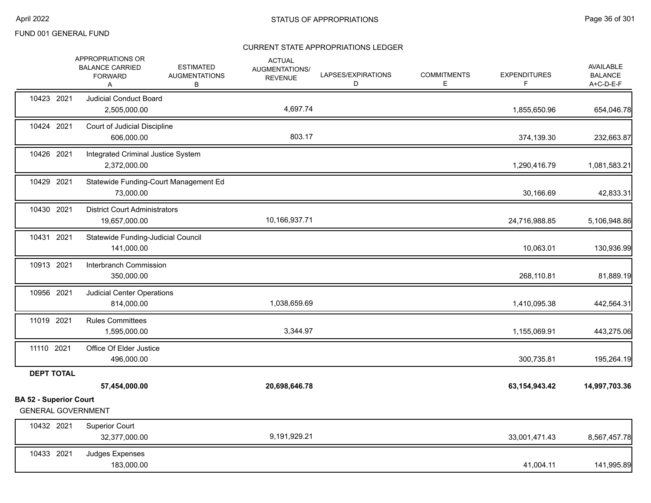|                                                            | APPROPRIATIONS OR<br><b>BALANCE CARRIED</b><br><b>FORWARD</b><br>Α | <b>ESTIMATED</b><br><b>AUGMENTATIONS</b><br>В | <b>ACTUAL</b><br>AUGMENTATIONS/<br><b>REVENUE</b> | LAPSES/EXPIRATIONS<br>D | <b>COMMITMENTS</b><br>E | <b>EXPENDITURES</b><br>F. | AVAILABLE<br><b>BALANCE</b><br>A+C-D-E-F |
|------------------------------------------------------------|--------------------------------------------------------------------|-----------------------------------------------|---------------------------------------------------|-------------------------|-------------------------|---------------------------|------------------------------------------|
| 10423 2021                                                 | <b>Judicial Conduct Board</b><br>2,505,000.00                      |                                               | 4,697.74                                          |                         |                         | 1,855,650.96              | 654,046.78                               |
| 10424 2021                                                 | Court of Judicial Discipline<br>606,000.00                         |                                               | 803.17                                            |                         |                         | 374,139.30                | 232,663.87                               |
| 10426 2021                                                 | Integrated Criminal Justice System<br>2,372,000.00                 |                                               |                                                   |                         |                         | 1,290,416.79              | 1,081,583.21                             |
| 10429 2021                                                 | 73,000.00                                                          | Statewide Funding-Court Management Ed         |                                                   |                         |                         | 30,166.69                 | 42,833.31                                |
| 10430 2021                                                 | <b>District Court Administrators</b><br>19,657,000.00              |                                               | 10,166,937.71                                     |                         |                         | 24,716,988.85             | 5,106,948.86                             |
| 10431 2021                                                 | Statewide Funding-Judicial Council<br>141,000.00                   |                                               |                                                   |                         |                         | 10,063.01                 | 130,936.99                               |
| 10913 2021                                                 | Interbranch Commission<br>350,000.00                               |                                               |                                                   |                         |                         | 268,110.81                | 81,889.19                                |
| 10956 2021                                                 | <b>Judicial Center Operations</b><br>814,000.00                    |                                               | 1,038,659.69                                      |                         |                         | 1,410,095.38              | 442,564.31                               |
| 11019 2021                                                 | <b>Rules Committees</b><br>1,595,000.00                            |                                               | 3,344.97                                          |                         |                         | 1,155,069.91              | 443,275.06                               |
| 11110 2021                                                 | Office Of Elder Justice<br>496,000.00                              |                                               |                                                   |                         |                         | 300,735.81                | 195,264.19                               |
| <b>DEPT TOTAL</b>                                          |                                                                    |                                               |                                                   |                         |                         |                           |                                          |
|                                                            | 57,454,000.00                                                      |                                               | 20,698,646.78                                     |                         |                         | 63, 154, 943. 42          | 14,997,703.36                            |
| <b>BA 52 - Superior Court</b><br><b>GENERAL GOVERNMENT</b> |                                                                    |                                               |                                                   |                         |                         |                           |                                          |
| 10432 2021                                                 | <b>Superior Court</b><br>32,377,000.00                             |                                               | 9,191,929.21                                      |                         |                         | 33,001,471.43             | 8,567,457.78                             |
| 10433 2021                                                 | Judges Expenses<br>183,000.00                                      |                                               |                                                   |                         |                         | 41,004.11                 | 141,995.89                               |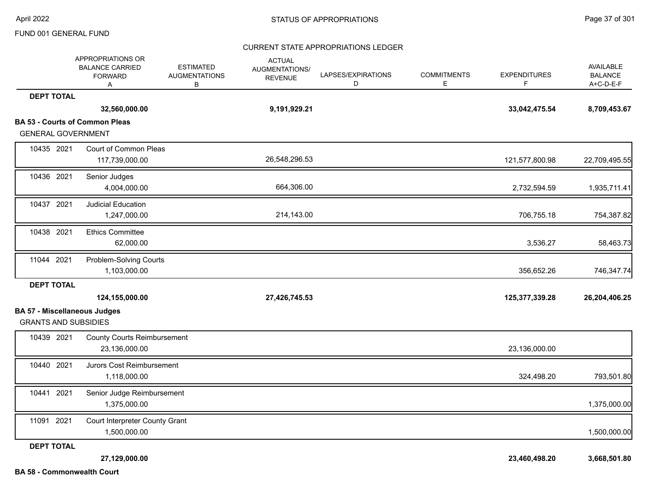### CURRENT STATE APPROPRIATIONS LEDGER

|                                                                    | APPROPRIATIONS OR<br><b>BALANCE CARRIED</b><br><b>FORWARD</b><br>A | <b>ESTIMATED</b><br><b>AUGMENTATIONS</b><br>В | <b>ACTUAL</b><br>AUGMENTATIONS/<br><b>REVENUE</b> | LAPSES/EXPIRATIONS<br>D | <b>COMMITMENTS</b><br>Е | <b>EXPENDITURES</b><br>F | AVAILABLE<br><b>BALANCE</b><br>A+C-D-E-F |
|--------------------------------------------------------------------|--------------------------------------------------------------------|-----------------------------------------------|---------------------------------------------------|-------------------------|-------------------------|--------------------------|------------------------------------------|
| <b>DEPT TOTAL</b>                                                  |                                                                    |                                               |                                                   |                         |                         |                          |                                          |
|                                                                    | 32,560,000.00                                                      |                                               | 9,191,929.21                                      |                         |                         | 33,042,475.54            | 8,709,453.67                             |
| <b>GENERAL GOVERNMENT</b>                                          | <b>BA 53 - Courts of Common Pleas</b>                              |                                               |                                                   |                         |                         |                          |                                          |
| 10435 2021                                                         | Court of Common Pleas<br>117,739,000.00                            |                                               | 26,548,296.53                                     |                         |                         | 121,577,800.98           | 22,709,495.55                            |
| 10436 2021                                                         | Senior Judges<br>4,004,000.00                                      |                                               | 664,306.00                                        |                         |                         | 2,732,594.59             | 1,935,711.41                             |
| 10437 2021                                                         | <b>Judicial Education</b><br>1,247,000.00                          |                                               | 214,143.00                                        |                         |                         | 706,755.18               | 754,387.82                               |
| 10438 2021                                                         | <b>Ethics Committee</b><br>62,000.00                               |                                               |                                                   |                         |                         | 3,536.27                 | 58,463.73                                |
| 11044 2021                                                         | Problem-Solving Courts<br>1,103,000.00                             |                                               |                                                   |                         |                         | 356,652.26               | 746,347.74                               |
| <b>DEPT TOTAL</b>                                                  |                                                                    |                                               |                                                   |                         |                         |                          |                                          |
|                                                                    | 124,155,000.00                                                     |                                               | 27,426,745.53                                     |                         |                         | 125,377,339.28           | 26,204,406.25                            |
| <b>BA 57 - Miscellaneous Judges</b><br><b>GRANTS AND SUBSIDIES</b> |                                                                    |                                               |                                                   |                         |                         |                          |                                          |
| 10439 2021                                                         | <b>County Courts Reimbursement</b><br>23,136,000.00                |                                               |                                                   |                         |                         | 23,136,000.00            |                                          |
| 10440 2021                                                         | Jurors Cost Reimbursement<br>1,118,000.00                          |                                               |                                                   |                         |                         | 324,498.20               | 793,501.80                               |
| 10441 2021                                                         | Senior Judge Reimbursement<br>1,375,000.00                         |                                               |                                                   |                         |                         |                          | 1,375,000.00                             |
| 11091 2021                                                         | Court Interpreter County Grant<br>1,500,000.00                     |                                               |                                                   |                         |                         |                          | 1,500,000.00                             |
| <b>DEPT TOTAL</b>                                                  |                                                                    |                                               |                                                   |                         |                         |                          |                                          |
| <b>BA 58 - Commonwealth Court</b>                                  | 27,129,000.00                                                      |                                               |                                                   |                         |                         | 23,460,498.20            | 3,668,501.80                             |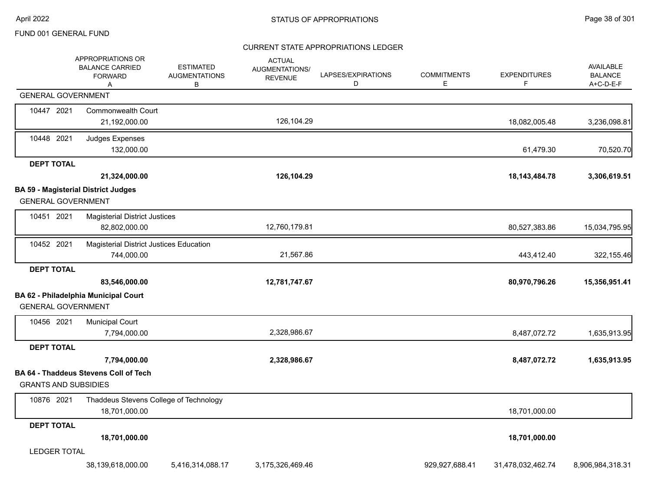### CURRENT STATE APPROPRIATIONS LEDGER

|                             | APPROPRIATIONS OR<br><b>BALANCE CARRIED</b><br><b>FORWARD</b><br>A | <b>ESTIMATED</b><br><b>AUGMENTATIONS</b><br>В | <b>ACTUAL</b><br>AUGMENTATIONS/<br><b>REVENUE</b> | LAPSES/EXPIRATIONS<br>D | <b>COMMITMENTS</b><br>Е | <b>EXPENDITURES</b><br>F. | AVAILABLE<br><b>BALANCE</b><br>$A+C-D-E-F$ |
|-----------------------------|--------------------------------------------------------------------|-----------------------------------------------|---------------------------------------------------|-------------------------|-------------------------|---------------------------|--------------------------------------------|
| <b>GENERAL GOVERNMENT</b>   |                                                                    |                                               |                                                   |                         |                         |                           |                                            |
| 10447 2021                  | <b>Commonwealth Court</b><br>21,192,000.00                         |                                               | 126,104.29                                        |                         |                         | 18,082,005.48             | 3,236,098.81                               |
| 10448 2021                  | Judges Expenses<br>132,000.00                                      |                                               |                                                   |                         |                         | 61,479.30                 | 70,520.70                                  |
| <b>DEPT TOTAL</b>           |                                                                    |                                               |                                                   |                         |                         |                           |                                            |
|                             | 21,324,000.00                                                      |                                               | 126,104.29                                        |                         |                         | 18, 143, 484. 78          | 3,306,619.51                               |
|                             | <b>BA 59 - Magisterial District Judges</b>                         |                                               |                                                   |                         |                         |                           |                                            |
| <b>GENERAL GOVERNMENT</b>   |                                                                    |                                               |                                                   |                         |                         |                           |                                            |
| 10451 2021                  | <b>Magisterial District Justices</b><br>82,802,000.00              |                                               | 12,760,179.81                                     |                         |                         | 80,527,383.86             | 15,034,795.95                              |
| 10452 2021                  | Magisterial District Justices Education<br>744,000.00              |                                               | 21,567.86                                         |                         |                         | 443,412.40                | 322,155.46                                 |
| <b>DEPT TOTAL</b>           |                                                                    |                                               |                                                   |                         |                         |                           |                                            |
|                             | 83,546,000.00                                                      |                                               | 12,781,747.67                                     |                         |                         | 80,970,796.26             | 15,356,951.41                              |
| <b>GENERAL GOVERNMENT</b>   | BA 62 - Philadelphia Municipal Court                               |                                               |                                                   |                         |                         |                           |                                            |
| 10456 2021                  | <b>Municipal Court</b><br>7,794,000.00                             |                                               | 2,328,986.67                                      |                         |                         | 8,487,072.72              | 1,635,913.95                               |
| <b>DEPT TOTAL</b>           |                                                                    |                                               |                                                   |                         |                         |                           |                                            |
|                             | 7,794,000.00                                                       |                                               | 2,328,986.67                                      |                         |                         | 8,487,072.72              | 1,635,913.95                               |
| <b>GRANTS AND SUBSIDIES</b> | <b>BA 64 - Thaddeus Stevens Coll of Tech</b>                       |                                               |                                                   |                         |                         |                           |                                            |
| 10876 2021                  | Thaddeus Stevens College of Technology<br>18,701,000.00            |                                               |                                                   |                         |                         | 18,701,000.00             |                                            |
| <b>DEPT TOTAL</b>           |                                                                    |                                               |                                                   |                         |                         |                           |                                            |
|                             | 18,701,000.00                                                      |                                               |                                                   |                         |                         | 18,701,000.00             |                                            |
| <b>LEDGER TOTAL</b>         |                                                                    |                                               |                                                   |                         |                         |                           |                                            |
|                             | 38,139,618,000.00                                                  | 5,416,314,088.17                              | 3,175,326,469.46                                  |                         | 929,927,688.41          | 31,478,032,462.74         | 8,906,984,318.31                           |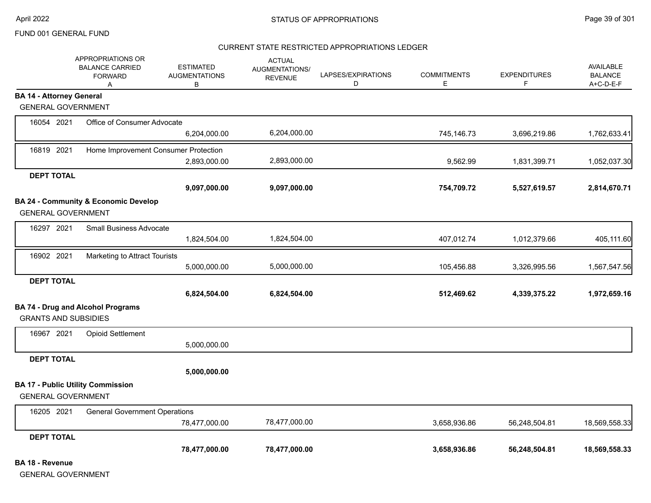#### CURRENT STATE RESTRICTED APPROPRIATIONS LEDGER

|                                 | APPROPRIATIONS OR<br><b>BALANCE CARRIED</b><br><b>FORWARD</b><br>A | <b>ESTIMATED</b><br><b>AUGMENTATIONS</b><br>В | <b>ACTUAL</b><br>AUGMENTATIONS/<br><b>REVENUE</b> | LAPSES/EXPIRATIONS<br>D | <b>COMMITMENTS</b><br>Е | <b>EXPENDITURES</b><br>F | <b>AVAILABLE</b><br><b>BALANCE</b><br>A+C-D-E-F |
|---------------------------------|--------------------------------------------------------------------|-----------------------------------------------|---------------------------------------------------|-------------------------|-------------------------|--------------------------|-------------------------------------------------|
| <b>BA 14 - Attorney General</b> |                                                                    |                                               |                                                   |                         |                         |                          |                                                 |
| <b>GENERAL GOVERNMENT</b>       |                                                                    |                                               |                                                   |                         |                         |                          |                                                 |
| 16054 2021                      | Office of Consumer Advocate                                        |                                               |                                                   |                         |                         |                          |                                                 |
|                                 |                                                                    | 6,204,000.00                                  | 6,204,000.00                                      |                         | 745,146.73              | 3,696,219.86             | 1,762,633.41                                    |
| 16819 2021                      | Home Improvement Consumer Protection                               |                                               |                                                   |                         |                         |                          |                                                 |
|                                 |                                                                    | 2,893,000.00                                  | 2,893,000.00                                      |                         | 9,562.99                | 1,831,399.71             | 1,052,037.30                                    |
| <b>DEPT TOTAL</b>               |                                                                    |                                               |                                                   |                         |                         |                          |                                                 |
|                                 |                                                                    | 9,097,000.00                                  | 9,097,000.00                                      |                         | 754,709.72              | 5,527,619.57             | 2,814,670.71                                    |
|                                 | BA 24 - Community & Economic Develop                               |                                               |                                                   |                         |                         |                          |                                                 |
| <b>GENERAL GOVERNMENT</b>       |                                                                    |                                               |                                                   |                         |                         |                          |                                                 |
| 16297 2021                      | <b>Small Business Advocate</b>                                     |                                               |                                                   |                         |                         |                          |                                                 |
|                                 |                                                                    | 1,824,504.00                                  | 1,824,504.00                                      |                         | 407,012.74              | 1,012,379.66             | 405,111.60                                      |
| 16902 2021                      | Marketing to Attract Tourists                                      |                                               |                                                   |                         |                         |                          |                                                 |
|                                 |                                                                    | 5,000,000.00                                  | 5,000,000.00                                      |                         | 105,456.88              | 3,326,995.56             | 1,567,547.56                                    |
| <b>DEPT TOTAL</b>               |                                                                    |                                               |                                                   |                         |                         |                          |                                                 |
|                                 |                                                                    | 6,824,504.00                                  | 6,824,504.00                                      |                         | 512,469.62              | 4,339,375.22             | 1,972,659.16                                    |
|                                 | <b>BA 74 - Drug and Alcohol Programs</b>                           |                                               |                                                   |                         |                         |                          |                                                 |
| <b>GRANTS AND SUBSIDIES</b>     |                                                                    |                                               |                                                   |                         |                         |                          |                                                 |
| 16967 2021                      | <b>Opioid Settlement</b>                                           |                                               |                                                   |                         |                         |                          |                                                 |
|                                 |                                                                    | 5,000,000.00                                  |                                                   |                         |                         |                          |                                                 |
| <b>DEPT TOTAL</b>               |                                                                    |                                               |                                                   |                         |                         |                          |                                                 |
|                                 |                                                                    | 5,000,000.00                                  |                                                   |                         |                         |                          |                                                 |
|                                 | <b>BA 17 - Public Utility Commission</b>                           |                                               |                                                   |                         |                         |                          |                                                 |
| <b>GENERAL GOVERNMENT</b>       |                                                                    |                                               |                                                   |                         |                         |                          |                                                 |
| 16205 2021                      | <b>General Government Operations</b>                               |                                               |                                                   |                         |                         |                          |                                                 |
|                                 |                                                                    | 78,477,000.00                                 | 78,477,000.00                                     |                         | 3,658,936.86            | 56,248,504.81            | 18,569,558.33                                   |
| <b>DEPT TOTAL</b>               |                                                                    |                                               |                                                   |                         |                         |                          |                                                 |
|                                 |                                                                    | 78,477,000.00                                 | 78,477,000.00                                     |                         | 3,658,936.86            | 56,248,504.81            | 18,569,558.33                                   |

**BA 18 - Revenue**

GENERAL GOVERNMENT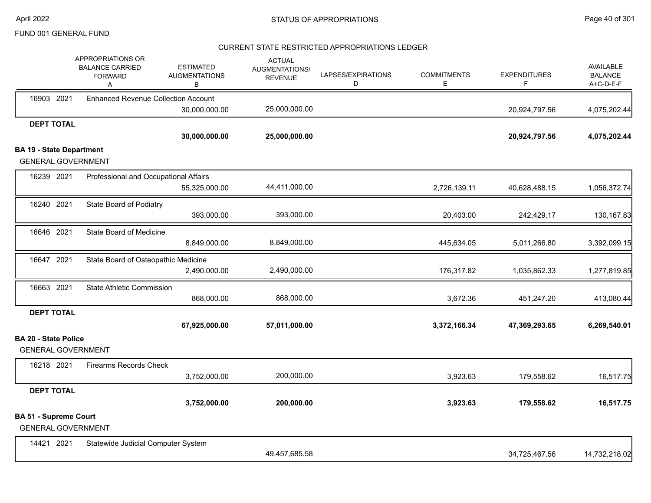### CURRENT STATE RESTRICTED APPROPRIATIONS LEDGER

|                                 | APPROPRIATIONS OR<br><b>BALANCE CARRIED</b><br><b>FORWARD</b><br>A | <b>ESTIMATED</b><br><b>AUGMENTATIONS</b><br>в | <b>ACTUAL</b><br>AUGMENTATIONS/<br><b>REVENUE</b> | LAPSES/EXPIRATIONS<br>D | <b>COMMITMENTS</b><br>Е | <b>EXPENDITURES</b><br>F | <b>AVAILABLE</b><br><b>BALANCE</b><br>A+C-D-E-F |
|---------------------------------|--------------------------------------------------------------------|-----------------------------------------------|---------------------------------------------------|-------------------------|-------------------------|--------------------------|-------------------------------------------------|
| 16903 2021                      | <b>Enhanced Revenue Collection Account</b>                         |                                               |                                                   |                         |                         |                          |                                                 |
|                                 |                                                                    | 30,000,000.00                                 | 25,000,000.00                                     |                         |                         | 20,924,797.56            | 4,075,202.44                                    |
| <b>DEPT TOTAL</b>               |                                                                    |                                               |                                                   |                         |                         |                          |                                                 |
|                                 |                                                                    | 30,000,000.00                                 | 25,000,000.00                                     |                         |                         | 20,924,797.56            | 4,075,202.44                                    |
| <b>BA 19 - State Department</b> |                                                                    |                                               |                                                   |                         |                         |                          |                                                 |
|                                 | <b>GENERAL GOVERNMENT</b>                                          |                                               |                                                   |                         |                         |                          |                                                 |
| 16239 2021                      | Professional and Occupational Affairs                              |                                               |                                                   |                         |                         |                          |                                                 |
|                                 |                                                                    | 55,325,000.00                                 | 44,411,000.00                                     |                         | 2,726,139.11            | 40,628,488.15            | 1,056,372.74                                    |
| 16240 2021                      | State Board of Podiatry                                            |                                               |                                                   |                         |                         |                          |                                                 |
|                                 |                                                                    | 393,000.00                                    | 393,000.00                                        |                         | 20,403.00               | 242,429.17               | 130,167.83                                      |
| 16646 2021                      | State Board of Medicine                                            |                                               |                                                   |                         |                         |                          |                                                 |
|                                 |                                                                    | 8,849,000.00                                  | 8,849,000.00                                      |                         | 445,634.05              | 5,011,266.80             | 3,392,099.15                                    |
| 16647 2021                      | State Board of Osteopathic Medicine                                |                                               |                                                   |                         |                         |                          |                                                 |
|                                 |                                                                    | 2,490,000.00                                  | 2,490,000.00                                      |                         | 176,317.82              | 1,035,862.33             | 1,277,819.85                                    |
| 16663 2021                      | <b>State Athletic Commission</b>                                   |                                               |                                                   |                         |                         |                          |                                                 |
|                                 |                                                                    | 868,000.00                                    | 868,000.00                                        |                         | 3,672.36                | 451,247.20               | 413,080.44                                      |
| <b>DEPT TOTAL</b>               |                                                                    |                                               |                                                   |                         |                         |                          |                                                 |
|                                 |                                                                    | 67,925,000.00                                 | 57,011,000.00                                     |                         | 3,372,166.34            | 47,369,293.65            | 6,269,540.01                                    |
| <b>BA 20 - State Police</b>     | <b>GENERAL GOVERNMENT</b>                                          |                                               |                                                   |                         |                         |                          |                                                 |
| 16218 2021                      | <b>Firearms Records Check</b>                                      |                                               |                                                   |                         |                         |                          |                                                 |
|                                 |                                                                    | 3,752,000.00                                  | 200,000.00                                        |                         | 3,923.63                | 179,558.62               | 16,517.75                                       |
| <b>DEPT TOTAL</b>               |                                                                    |                                               |                                                   |                         |                         |                          |                                                 |
|                                 |                                                                    | 3,752,000.00                                  | 200,000.00                                        |                         | 3,923.63                | 179,558.62               | 16,517.75                                       |
| <b>BA 51 - Supreme Court</b>    | <b>GENERAL GOVERNMENT</b>                                          |                                               |                                                   |                         |                         |                          |                                                 |
| 14421 2021                      | Statewide Judicial Computer System                                 |                                               |                                                   |                         |                         |                          |                                                 |
|                                 |                                                                    |                                               | 49,457,685.58                                     |                         |                         | 34,725,467.56            | 14,732,218.02                                   |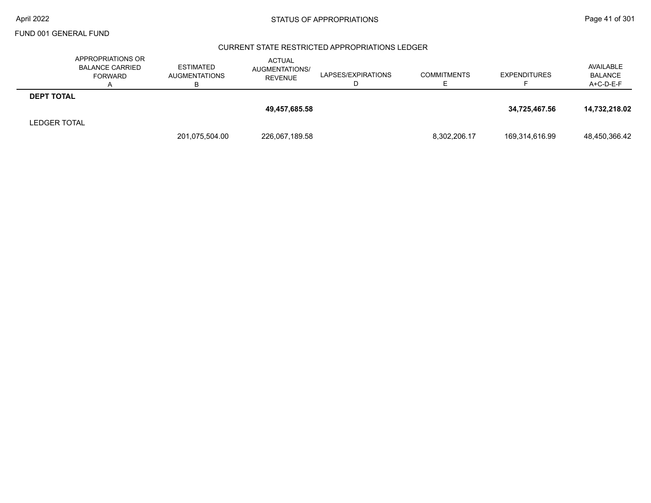### CURRENT STATE RESTRICTED APPROPRIATIONS LEDGER

|                     | APPROPRIATIONS OR<br><b>BALANCE CARRIED</b><br><b>FORWARD</b><br>A | <b>ESTIMATED</b><br><b>AUGMENTATIONS</b><br>в | <b>ACTUAL</b><br>AUGMENTATIONS/<br><b>REVENUE</b> | LAPSES/EXPIRATIONS | <b>COMMITMENTS</b> | <b>EXPENDITURES</b> | AVAILABLE<br><b>BALANCE</b><br>A+C-D-E-F |
|---------------------|--------------------------------------------------------------------|-----------------------------------------------|---------------------------------------------------|--------------------|--------------------|---------------------|------------------------------------------|
| <b>DEPT TOTAL</b>   |                                                                    |                                               |                                                   |                    |                    |                     |                                          |
|                     |                                                                    |                                               | 49,457,685.58                                     |                    |                    | 34,725,467.56       | 14,732,218.02                            |
| <b>LEDGER TOTAL</b> |                                                                    |                                               |                                                   |                    |                    |                     |                                          |
|                     |                                                                    | 201,075,504.00                                | 226,067,189.58                                    |                    | 8,302,206.17       | 169,314,616.99      | 48,450,366.42                            |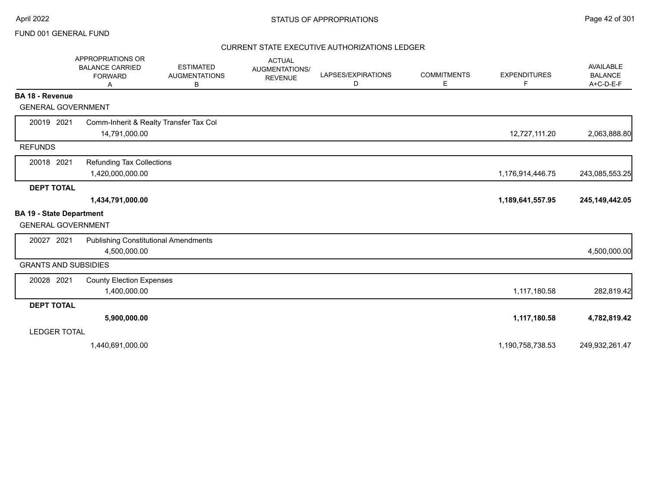### CURRENT STATE EXECUTIVE AUTHORIZATIONS LEDGER

|                                 | APPROPRIATIONS OR<br><b>BALANCE CARRIED</b><br><b>FORWARD</b><br>Α | <b>ESTIMATED</b><br><b>AUGMENTATIONS</b><br>в | <b>ACTUAL</b><br>AUGMENTATIONS/<br><b>REVENUE</b> | LAPSES/EXPIRATIONS<br>D | <b>COMMITMENTS</b><br>Е | <b>EXPENDITURES</b><br>F | <b>AVAILABLE</b><br><b>BALANCE</b><br>$A+C-D-E-F$ |
|---------------------------------|--------------------------------------------------------------------|-----------------------------------------------|---------------------------------------------------|-------------------------|-------------------------|--------------------------|---------------------------------------------------|
| <b>BA 18 - Revenue</b>          |                                                                    |                                               |                                                   |                         |                         |                          |                                                   |
| <b>GENERAL GOVERNMENT</b>       |                                                                    |                                               |                                                   |                         |                         |                          |                                                   |
| 20019 2021                      | Comm-Inherit & Realty Transfer Tax Col                             |                                               |                                                   |                         |                         |                          |                                                   |
|                                 | 14,791,000.00                                                      |                                               |                                                   |                         |                         | 12,727,111.20            | 2,063,888.80                                      |
| <b>REFUNDS</b>                  |                                                                    |                                               |                                                   |                         |                         |                          |                                                   |
| 20018 2021                      | <b>Refunding Tax Collections</b>                                   |                                               |                                                   |                         |                         |                          |                                                   |
|                                 | 1,420,000,000.00                                                   |                                               |                                                   |                         |                         | 1,176,914,446.75         | 243,085,553.25                                    |
| <b>DEPT TOTAL</b>               |                                                                    |                                               |                                                   |                         |                         |                          |                                                   |
|                                 | 1,434,791,000.00                                                   |                                               |                                                   |                         |                         | 1,189,641,557.95         | 245, 149, 442.05                                  |
| <b>BA 19 - State Department</b> |                                                                    |                                               |                                                   |                         |                         |                          |                                                   |
| <b>GENERAL GOVERNMENT</b>       |                                                                    |                                               |                                                   |                         |                         |                          |                                                   |
| 20027 2021                      | <b>Publishing Constitutional Amendments</b>                        |                                               |                                                   |                         |                         |                          |                                                   |
|                                 | 4,500,000.00                                                       |                                               |                                                   |                         |                         |                          | 4,500,000.00                                      |
| <b>GRANTS AND SUBSIDIES</b>     |                                                                    |                                               |                                                   |                         |                         |                          |                                                   |
| 20028 2021                      | <b>County Election Expenses</b>                                    |                                               |                                                   |                         |                         |                          |                                                   |
|                                 | 1,400,000.00                                                       |                                               |                                                   |                         |                         | 1,117,180.58             | 282,819.42                                        |
| <b>DEPT TOTAL</b>               |                                                                    |                                               |                                                   |                         |                         |                          |                                                   |
|                                 | 5,900,000.00                                                       |                                               |                                                   |                         |                         | 1,117,180.58             | 4,782,819.42                                      |
| <b>LEDGER TOTAL</b>             |                                                                    |                                               |                                                   |                         |                         |                          |                                                   |
|                                 | 1,440,691,000.00                                                   |                                               |                                                   |                         |                         | 1,190,758,738.53         | 249,932,261.47                                    |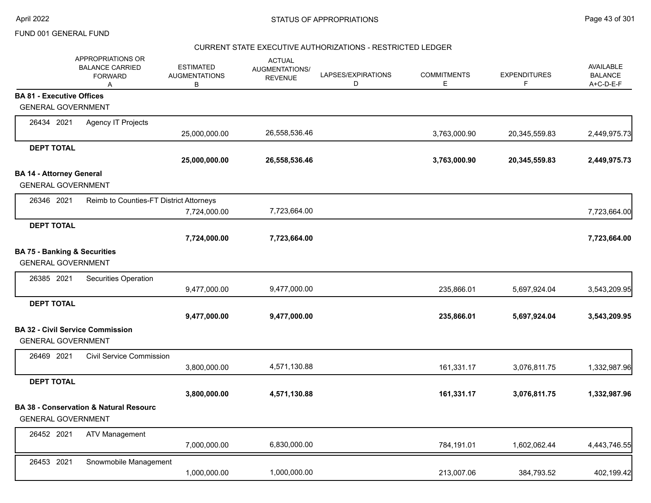### CURRENT STATE EXECUTIVE AUTHORIZATIONS - RESTRICTED LEDGER

|                                  | APPROPRIATIONS OR<br><b>BALANCE CARRIED</b><br><b>FORWARD</b><br>A | <b>ESTIMATED</b><br><b>AUGMENTATIONS</b><br>B | <b>ACTUAL</b><br>AUGMENTATIONS/<br><b>REVENUE</b> | LAPSES/EXPIRATIONS<br>D | <b>COMMITMENTS</b><br>Е | <b>EXPENDITURES</b><br>F. | AVAILABLE<br><b>BALANCE</b><br>A+C-D-E-F |
|----------------------------------|--------------------------------------------------------------------|-----------------------------------------------|---------------------------------------------------|-------------------------|-------------------------|---------------------------|------------------------------------------|
| <b>BA 81 - Executive Offices</b> |                                                                    |                                               |                                                   |                         |                         |                           |                                          |
|                                  | <b>GENERAL GOVERNMENT</b>                                          |                                               |                                                   |                         |                         |                           |                                          |
| 26434 2021                       | <b>Agency IT Projects</b>                                          |                                               |                                                   |                         |                         |                           |                                          |
|                                  |                                                                    | 25,000,000.00                                 | 26,558,536.46                                     |                         | 3,763,000.90            | 20,345,559.83             | 2,449,975.73                             |
| <b>DEPT TOTAL</b>                |                                                                    |                                               |                                                   |                         |                         |                           |                                          |
|                                  |                                                                    | 25,000,000.00                                 | 26,558,536.46                                     |                         | 3,763,000.90            | 20,345,559.83             | 2,449,975.73                             |
| <b>BA 14 - Attorney General</b>  |                                                                    |                                               |                                                   |                         |                         |                           |                                          |
|                                  | <b>GENERAL GOVERNMENT</b>                                          |                                               |                                                   |                         |                         |                           |                                          |
| 26346 2021                       | Reimb to Counties-FT District Attorneys                            |                                               |                                                   |                         |                         |                           |                                          |
|                                  |                                                                    | 7,724,000.00                                  | 7,723,664.00                                      |                         |                         |                           | 7,723,664.00                             |
| <b>DEPT TOTAL</b>                |                                                                    |                                               |                                                   |                         |                         |                           |                                          |
|                                  |                                                                    | 7,724,000.00                                  | 7,723,664.00                                      |                         |                         |                           | 7,723,664.00                             |
|                                  | <b>BA 75 - Banking &amp; Securities</b>                            |                                               |                                                   |                         |                         |                           |                                          |
|                                  | <b>GENERAL GOVERNMENT</b>                                          |                                               |                                                   |                         |                         |                           |                                          |
| 26385 2021                       | Securities Operation                                               |                                               |                                                   |                         |                         |                           |                                          |
|                                  |                                                                    | 9,477,000.00                                  | 9,477,000.00                                      |                         | 235,866.01              | 5,697,924.04              | 3,543,209.95                             |
| <b>DEPT TOTAL</b>                |                                                                    |                                               |                                                   |                         |                         |                           |                                          |
|                                  |                                                                    | 9,477,000.00                                  | 9,477,000.00                                      |                         | 235,866.01              | 5,697,924.04              | 3,543,209.95                             |
|                                  | <b>BA 32 - Civil Service Commission</b>                            |                                               |                                                   |                         |                         |                           |                                          |
|                                  | <b>GENERAL GOVERNMENT</b>                                          |                                               |                                                   |                         |                         |                           |                                          |
| 26469 2021                       | <b>Civil Service Commission</b>                                    |                                               |                                                   |                         |                         |                           |                                          |
|                                  |                                                                    | 3,800,000.00                                  | 4,571,130.88                                      |                         | 161,331.17              | 3,076,811.75              | 1,332,987.96                             |
| <b>DEPT TOTAL</b>                |                                                                    |                                               |                                                   |                         |                         |                           |                                          |
|                                  |                                                                    | 3,800,000.00                                  | 4,571,130.88                                      |                         | 161,331.17              | 3,076,811.75              | 1,332,987.96                             |
|                                  | <b>BA 38 - Conservation &amp; Natural Resourc</b>                  |                                               |                                                   |                         |                         |                           |                                          |
|                                  | <b>GENERAL GOVERNMENT</b>                                          |                                               |                                                   |                         |                         |                           |                                          |
| 26452 2021                       | <b>ATV Management</b>                                              |                                               |                                                   |                         |                         |                           |                                          |
|                                  |                                                                    | 7,000,000.00                                  | 6,830,000.00                                      |                         | 784,191.01              | 1,602,062.44              | 4,443,746.55                             |
| 26453 2021                       | Snowmobile Management                                              |                                               |                                                   |                         |                         |                           |                                          |
|                                  |                                                                    | 1,000,000.00                                  | 1,000,000.00                                      |                         | 213,007.06              | 384,793.52                | 402,199.42                               |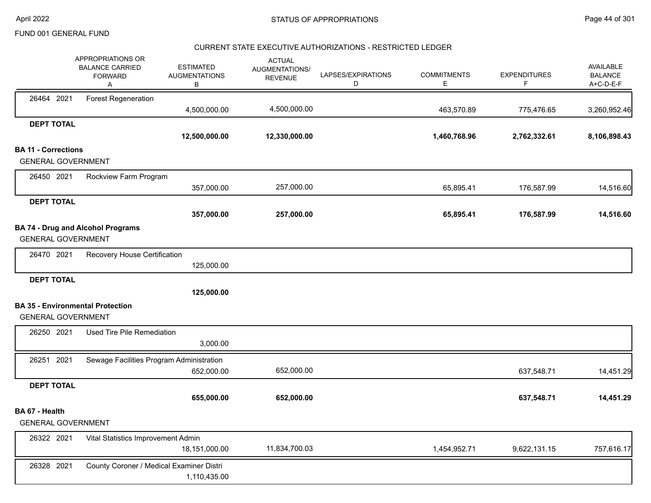#### CURRENT STATE EXECUTIVE AUTHORIZATIONS - RESTRICTED LEDGER

|                            | APPROPRIATIONS OR<br><b>BALANCE CARRIED</b><br><b>FORWARD</b><br>Α | <b>ESTIMATED</b><br><b>AUGMENTATIONS</b><br>В | <b>ACTUAL</b><br>AUGMENTATIONS/<br><b>REVENUE</b> | LAPSES/EXPIRATIONS<br>D | <b>COMMITMENTS</b><br>E. | <b>EXPENDITURES</b><br>F. | <b>AVAILABLE</b><br><b>BALANCE</b><br>A+C-D-E-F |
|----------------------------|--------------------------------------------------------------------|-----------------------------------------------|---------------------------------------------------|-------------------------|--------------------------|---------------------------|-------------------------------------------------|
| 26464 2021                 | <b>Forest Regeneration</b>                                         | 4,500,000.00                                  | 4,500,000.00                                      |                         | 463,570.89               | 775,476.65                | 3,260,952.46                                    |
| <b>DEPT TOTAL</b>          |                                                                    |                                               |                                                   |                         |                          |                           |                                                 |
|                            |                                                                    | 12,500,000.00                                 | 12,330,000.00                                     |                         | 1,460,768.96             | 2,762,332.61              | 8,106,898.43                                    |
| <b>BA 11 - Corrections</b> |                                                                    |                                               |                                                   |                         |                          |                           |                                                 |
| <b>GENERAL GOVERNMENT</b>  |                                                                    |                                               |                                                   |                         |                          |                           |                                                 |
| 26450 2021                 | Rockview Farm Program                                              |                                               |                                                   |                         |                          |                           |                                                 |
|                            |                                                                    | 357,000.00                                    | 257,000.00                                        |                         | 65,895.41                | 176,587.99                | 14,516.60                                       |
| <b>DEPT TOTAL</b>          |                                                                    |                                               |                                                   |                         |                          |                           |                                                 |
|                            |                                                                    | 357,000.00                                    | 257,000.00                                        |                         | 65,895.41                | 176,587.99                | 14,516.60                                       |
| <b>GENERAL GOVERNMENT</b>  | <b>BA 74 - Drug and Alcohol Programs</b>                           |                                               |                                                   |                         |                          |                           |                                                 |
| 26470 2021                 | Recovery House Certification                                       |                                               |                                                   |                         |                          |                           |                                                 |
|                            |                                                                    | 125,000.00                                    |                                                   |                         |                          |                           |                                                 |
| <b>DEPT TOTAL</b>          |                                                                    |                                               |                                                   |                         |                          |                           |                                                 |
|                            |                                                                    | 125,000.00                                    |                                                   |                         |                          |                           |                                                 |
|                            | <b>BA 35 - Environmental Protection</b>                            |                                               |                                                   |                         |                          |                           |                                                 |
| <b>GENERAL GOVERNMENT</b>  |                                                                    |                                               |                                                   |                         |                          |                           |                                                 |
| 26250 2021                 | Used Tire Pile Remediation                                         |                                               |                                                   |                         |                          |                           |                                                 |
|                            |                                                                    | 3,000.00                                      |                                                   |                         |                          |                           |                                                 |
| 26251 2021                 | Sewage Facilities Program Administration                           | 652,000.00                                    | 652,000.00                                        |                         |                          | 637,548.71                | 14,451.29                                       |
| <b>DEPT TOTAL</b>          |                                                                    |                                               |                                                   |                         |                          |                           |                                                 |
|                            |                                                                    | 655,000.00                                    | 652,000.00                                        |                         |                          | 637,548.71                | 14,451.29                                       |
| BA 67 - Health             |                                                                    |                                               |                                                   |                         |                          |                           |                                                 |
| <b>GENERAL GOVERNMENT</b>  |                                                                    |                                               |                                                   |                         |                          |                           |                                                 |
| 26322 2021                 | Vital Statistics Improvement Admin                                 |                                               |                                                   |                         |                          |                           |                                                 |
|                            |                                                                    | 18,151,000.00                                 | 11,834,700.03                                     |                         | 1,454,952.71             | 9,622,131.15              | 757,616.17                                      |
| 26328 2021                 | County Coroner / Medical Examiner Distri                           |                                               |                                                   |                         |                          |                           |                                                 |
|                            |                                                                    | 1,110,435.00                                  |                                                   |                         |                          |                           |                                                 |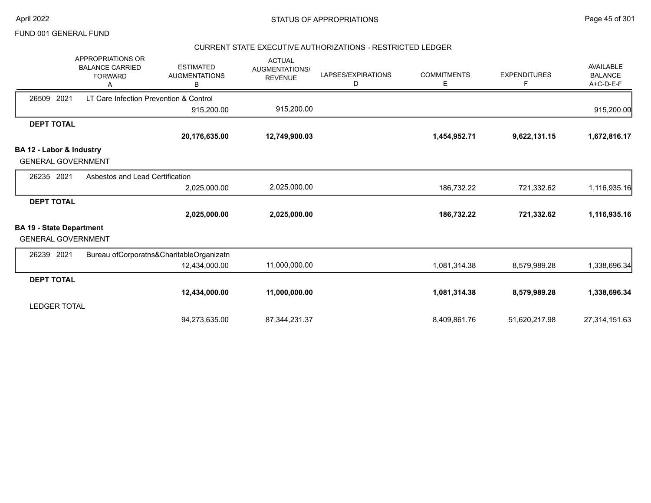### CURRENT STATE EXECUTIVE AUTHORIZATIONS - RESTRICTED LEDGER

|                                 | APPROPRIATIONS OR<br><b>BALANCE CARRIED</b><br><b>FORWARD</b> | <b>ESTIMATED</b><br><b>AUGMENTATIONS</b><br>В | <b>ACTUAL</b><br><b>AUGMENTATIONS/</b><br><b>REVENUE</b> | LAPSES/EXPIRATIONS<br>D | <b>COMMITMENTS</b><br>E. | <b>EXPENDITURES</b><br>F | AVAILABLE<br><b>BALANCE</b><br>A+C-D-E-F |
|---------------------------------|---------------------------------------------------------------|-----------------------------------------------|----------------------------------------------------------|-------------------------|--------------------------|--------------------------|------------------------------------------|
| 2021<br>26509                   | LT Care Infection Prevention & Control                        |                                               |                                                          |                         |                          |                          |                                          |
|                                 |                                                               | 915,200.00                                    | 915,200.00                                               |                         |                          |                          | 915,200.00                               |
| <b>DEPT TOTAL</b>               |                                                               |                                               |                                                          |                         |                          |                          |                                          |
|                                 |                                                               | 20,176,635.00                                 | 12,749,900.03                                            |                         | 1,454,952.71             | 9,622,131.15             | 1,672,816.17                             |
| BA 12 - Labor & Industry        |                                                               |                                               |                                                          |                         |                          |                          |                                          |
| <b>GENERAL GOVERNMENT</b>       |                                                               |                                               |                                                          |                         |                          |                          |                                          |
| 26235 2021                      | Asbestos and Lead Certification                               |                                               |                                                          |                         |                          |                          |                                          |
|                                 |                                                               | 2,025,000.00                                  | 2,025,000.00                                             |                         | 186,732.22               | 721,332.62               | 1,116,935.16                             |
| <b>DEPT TOTAL</b>               |                                                               |                                               |                                                          |                         |                          |                          |                                          |
|                                 |                                                               | 2,025,000.00                                  | 2,025,000.00                                             |                         | 186,732.22               | 721,332.62               | 1,116,935.16                             |
| <b>BA 19 - State Department</b> |                                                               |                                               |                                                          |                         |                          |                          |                                          |
| <b>GENERAL GOVERNMENT</b>       |                                                               |                                               |                                                          |                         |                          |                          |                                          |
| 26239 2021                      |                                                               | Bureau ofCorporatns&CharitableOrganizatn      |                                                          |                         |                          |                          |                                          |
|                                 |                                                               | 12,434,000.00                                 | 11,000,000.00                                            |                         | 1,081,314.38             | 8,579,989.28             | 1,338,696.34                             |
| <b>DEPT TOTAL</b>               |                                                               |                                               |                                                          |                         |                          |                          |                                          |
|                                 |                                                               | 12,434,000.00                                 | 11,000,000.00                                            |                         | 1,081,314.38             | 8,579,989.28             | 1,338,696.34                             |
| <b>LEDGER TOTAL</b>             |                                                               |                                               |                                                          |                         |                          |                          |                                          |
|                                 |                                                               | 94,273,635.00                                 | 87, 344, 231. 37                                         |                         | 8,409,861.76             | 51,620,217.98            | 27,314,151.63                            |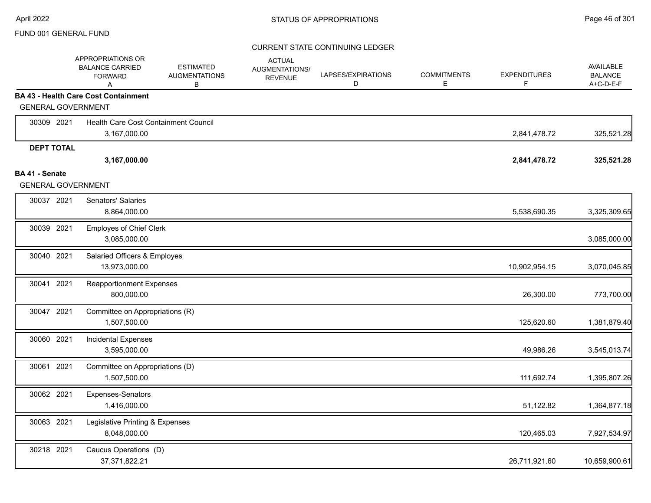|                                             | APPROPRIATIONS OR<br><b>BALANCE CARRIED</b><br><b>FORWARD</b><br>A | <b>ESTIMATED</b><br><b>AUGMENTATIONS</b><br>В | <b>ACTUAL</b><br>AUGMENTATIONS/<br><b>REVENUE</b> | LAPSES/EXPIRATIONS<br>D | <b>COMMITMENTS</b><br>E | <b>EXPENDITURES</b><br>F. | <b>AVAILABLE</b><br><b>BALANCE</b><br>A+C-D-E-F |
|---------------------------------------------|--------------------------------------------------------------------|-----------------------------------------------|---------------------------------------------------|-------------------------|-------------------------|---------------------------|-------------------------------------------------|
|                                             | <b>BA 43 - Health Care Cost Containment</b>                        |                                               |                                                   |                         |                         |                           |                                                 |
| <b>GENERAL GOVERNMENT</b>                   |                                                                    |                                               |                                                   |                         |                         |                           |                                                 |
| 30309 2021                                  | Health Care Cost Containment Council                               |                                               |                                                   |                         |                         |                           |                                                 |
|                                             | 3,167,000.00                                                       |                                               |                                                   |                         |                         | 2,841,478.72              | 325,521.28                                      |
| <b>DEPT TOTAL</b>                           |                                                                    |                                               |                                                   |                         |                         |                           |                                                 |
|                                             | 3,167,000.00                                                       |                                               |                                                   |                         |                         | 2,841,478.72              | 325,521.28                                      |
| BA 41 - Senate<br><b>GENERAL GOVERNMENT</b> |                                                                    |                                               |                                                   |                         |                         |                           |                                                 |
|                                             |                                                                    |                                               |                                                   |                         |                         |                           |                                                 |
| 30037 2021                                  | Senators' Salaries<br>8,864,000.00                                 |                                               |                                                   |                         |                         | 5,538,690.35              | 3,325,309.65                                    |
| 30039 2021                                  | Employes of Chief Clerk<br>3,085,000.00                            |                                               |                                                   |                         |                         |                           | 3,085,000.00                                    |
| 30040 2021                                  | Salaried Officers & Employes                                       |                                               |                                                   |                         |                         |                           |                                                 |
|                                             | 13,973,000.00                                                      |                                               |                                                   |                         |                         | 10,902,954.15             | 3,070,045.85                                    |
| 30041 2021                                  | <b>Reapportionment Expenses</b><br>800,000.00                      |                                               |                                                   |                         |                         | 26,300.00                 | 773,700.00                                      |
| 30047 2021                                  | Committee on Appropriations (R)                                    |                                               |                                                   |                         |                         |                           |                                                 |
|                                             | 1,507,500.00                                                       |                                               |                                                   |                         |                         | 125,620.60                | 1,381,879.40                                    |
| 30060 2021                                  | <b>Incidental Expenses</b>                                         |                                               |                                                   |                         |                         |                           |                                                 |
|                                             | 3,595,000.00                                                       |                                               |                                                   |                         |                         | 49,986.26                 | 3,545,013.74                                    |
| 30061 2021                                  | Committee on Appropriations (D)                                    |                                               |                                                   |                         |                         |                           |                                                 |
|                                             | 1,507,500.00                                                       |                                               |                                                   |                         |                         | 111,692.74                | 1,395,807.26                                    |
| 30062 2021                                  | Expenses-Senators                                                  |                                               |                                                   |                         |                         |                           |                                                 |
|                                             | 1,416,000.00                                                       |                                               |                                                   |                         |                         | 51,122.82                 | 1,364,877.18                                    |
| 30063 2021                                  | Legislative Printing & Expenses                                    |                                               |                                                   |                         |                         |                           |                                                 |
|                                             | 8,048,000.00                                                       |                                               |                                                   |                         |                         | 120,465.03                | 7,927,534.97                                    |
| 30218 2021                                  | Caucus Operations (D)                                              |                                               |                                                   |                         |                         |                           |                                                 |
|                                             | 37, 371, 822. 21                                                   |                                               |                                                   |                         |                         | 26,711,921.60             | 10,659,900.61                                   |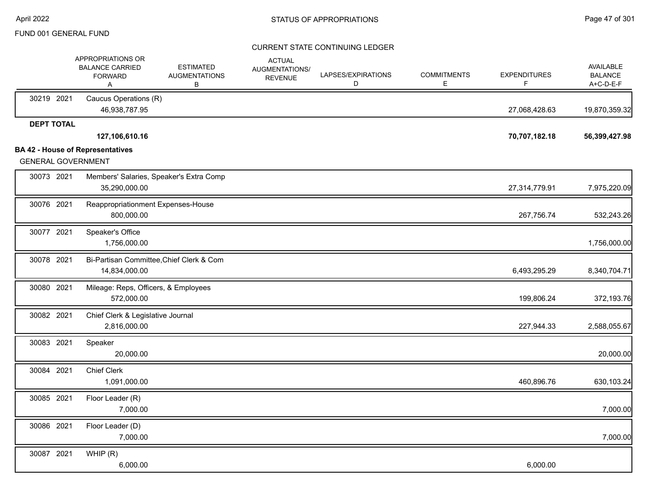|                           | APPROPRIATIONS OR<br><b>BALANCE CARRIED</b><br><b>FORWARD</b><br>A | <b>ESTIMATED</b><br><b>AUGMENTATIONS</b><br>В | <b>ACTUAL</b><br>AUGMENTATIONS/<br><b>REVENUE</b> | LAPSES/EXPIRATIONS<br>D | <b>COMMITMENTS</b><br>Е | <b>EXPENDITURES</b><br>F | <b>AVAILABLE</b><br><b>BALANCE</b><br>A+C-D-E-F |
|---------------------------|--------------------------------------------------------------------|-----------------------------------------------|---------------------------------------------------|-------------------------|-------------------------|--------------------------|-------------------------------------------------|
| 30219 2021                | Caucus Operations (R)<br>46,938,787.95                             |                                               |                                                   |                         |                         | 27,068,428.63            | 19,870,359.32                                   |
| <b>DEPT TOTAL</b>         |                                                                    |                                               |                                                   |                         |                         |                          |                                                 |
|                           | 127,106,610.16                                                     |                                               |                                                   |                         |                         | 70,707,182.18            | 56,399,427.98                                   |
| <b>GENERAL GOVERNMENT</b> | <b>BA 42 - House of Representatives</b>                            |                                               |                                                   |                         |                         |                          |                                                 |
| 30073 2021                | 35,290,000.00                                                      | Members' Salaries, Speaker's Extra Comp       |                                                   |                         |                         | 27,314,779.91            | 7,975,220.09                                    |
| 30076 2021                | Reappropriationment Expenses-House<br>800,000.00                   |                                               |                                                   |                         |                         | 267,756.74               | 532,243.26                                      |
| 30077 2021                | Speaker's Office<br>1,756,000.00                                   |                                               |                                                   |                         |                         |                          | 1,756,000.00                                    |
| 30078 2021                | 14,834,000.00                                                      | Bi-Partisan Committee, Chief Clerk & Com      |                                                   |                         |                         | 6,493,295.29             | 8,340,704.71                                    |
| 30080 2021                | Mileage: Reps, Officers, & Employees<br>572,000.00                 |                                               |                                                   |                         |                         | 199,806.24               | 372,193.76                                      |
| 30082 2021                | Chief Clerk & Legislative Journal<br>2,816,000.00                  |                                               |                                                   |                         |                         | 227,944.33               | 2,588,055.67                                    |
| 30083 2021                | Speaker<br>20,000.00                                               |                                               |                                                   |                         |                         |                          | 20,000.00                                       |
| 30084 2021                | <b>Chief Clerk</b><br>1,091,000.00                                 |                                               |                                                   |                         |                         | 460,896.76               | 630,103.24                                      |
| 30085 2021                | Floor Leader (R)<br>7,000.00                                       |                                               |                                                   |                         |                         |                          | 7,000.00                                        |
| 30086 2021                | Floor Leader (D)<br>7,000.00                                       |                                               |                                                   |                         |                         |                          | 7,000.00                                        |
| 30087 2021                | WHIP(R)<br>6,000.00                                                |                                               |                                                   |                         |                         | 6,000.00                 |                                                 |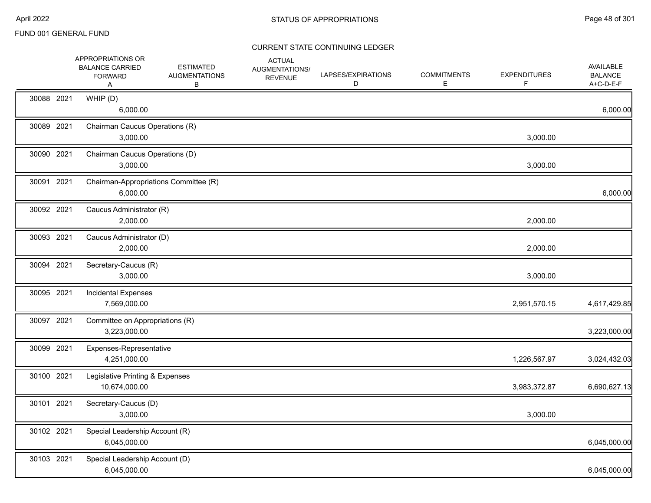|            | APPROPRIATIONS OR<br><b>BALANCE CARRIED</b><br><b>FORWARD</b><br>A | <b>ESTIMATED</b><br><b>AUGMENTATIONS</b><br>В | <b>ACTUAL</b><br>AUGMENTATIONS/<br><b>REVENUE</b> | LAPSES/EXPIRATIONS<br>D | <b>COMMITMENTS</b><br>E | <b>EXPENDITURES</b><br>F | <b>AVAILABLE</b><br><b>BALANCE</b><br>A+C-D-E-F |
|------------|--------------------------------------------------------------------|-----------------------------------------------|---------------------------------------------------|-------------------------|-------------------------|--------------------------|-------------------------------------------------|
| 30088 2021 | WHIP (D)<br>6,000.00                                               |                                               |                                                   |                         |                         |                          | 6,000.00                                        |
| 30089 2021 | Chairman Caucus Operations (R)<br>3,000.00                         |                                               |                                                   |                         |                         | 3,000.00                 |                                                 |
| 30090 2021 | Chairman Caucus Operations (D)<br>3,000.00                         |                                               |                                                   |                         |                         | 3,000.00                 |                                                 |
| 30091 2021 | Chairman-Appropriations Committee (R)<br>6,000.00                  |                                               |                                                   |                         |                         |                          | 6,000.00                                        |
| 30092 2021 | Caucus Administrator (R)<br>2,000.00                               |                                               |                                                   |                         |                         | 2,000.00                 |                                                 |
| 30093 2021 | Caucus Administrator (D)<br>2,000.00                               |                                               |                                                   |                         |                         | 2,000.00                 |                                                 |
| 30094 2021 | Secretary-Caucus (R)<br>3,000.00                                   |                                               |                                                   |                         |                         | 3,000.00                 |                                                 |
| 30095 2021 | <b>Incidental Expenses</b><br>7,569,000.00                         |                                               |                                                   |                         |                         | 2,951,570.15             | 4,617,429.85                                    |
| 30097 2021 | Committee on Appropriations (R)<br>3,223,000.00                    |                                               |                                                   |                         |                         |                          | 3,223,000.00                                    |
| 30099 2021 | Expenses-Representative<br>4,251,000.00                            |                                               |                                                   |                         |                         | 1,226,567.97             | 3,024,432.03                                    |
| 30100 2021 | Legislative Printing & Expenses<br>10,674,000.00                   |                                               |                                                   |                         |                         | 3,983,372.87             | 6,690,627.13                                    |
| 30101 2021 | Secretary-Caucus (D)<br>3,000.00                                   |                                               |                                                   |                         |                         | 3,000.00                 |                                                 |
| 30102 2021 | Special Leadership Account (R)<br>6,045,000.00                     |                                               |                                                   |                         |                         |                          | 6,045,000.00                                    |
| 30103 2021 | Special Leadership Account (D)<br>6,045,000.00                     |                                               |                                                   |                         |                         |                          | 6,045,000.00                                    |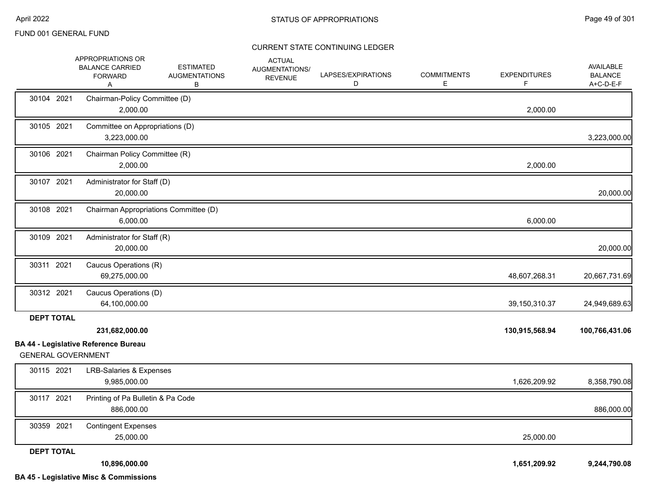|                                                | APPROPRIATIONS OR<br><b>BALANCE CARRIED</b><br><b>FORWARD</b><br>A | <b>ESTIMATED</b><br><b>AUGMENTATIONS</b><br>В | <b>ACTUAL</b><br>AUGMENTATIONS/<br><b>REVENUE</b> | LAPSES/EXPIRATIONS<br>D | <b>COMMITMENTS</b><br>E. | <b>EXPENDITURES</b><br>F. | <b>AVAILABLE</b><br><b>BALANCE</b><br>A+C-D-E-F |
|------------------------------------------------|--------------------------------------------------------------------|-----------------------------------------------|---------------------------------------------------|-------------------------|--------------------------|---------------------------|-------------------------------------------------|
| 30104 2021                                     | Chairman-Policy Committee (D)<br>2,000.00                          |                                               |                                                   |                         |                          | 2,000.00                  |                                                 |
| 30105 2021                                     | Committee on Appropriations (D)<br>3,223,000.00                    |                                               |                                                   |                         |                          |                           | 3,223,000.00                                    |
| 30106 2021                                     | Chairman Policy Committee (R)<br>2,000.00                          |                                               |                                                   |                         |                          | 2,000.00                  |                                                 |
| 30107 2021                                     | Administrator for Staff (D)<br>20,000.00                           |                                               |                                                   |                         |                          |                           | 20,000.00                                       |
| 30108 2021                                     | Chairman Appropriations Committee (D)<br>6,000.00                  |                                               |                                                   |                         |                          | 6,000.00                  |                                                 |
| 30109 2021                                     | Administrator for Staff (R)<br>20,000.00                           |                                               |                                                   |                         |                          |                           | 20,000.00                                       |
| 30311 2021                                     | Caucus Operations (R)<br>69,275,000.00                             |                                               |                                                   |                         |                          | 48,607,268.31             | 20,667,731.69                                   |
| 30312 2021                                     | Caucus Operations (D)<br>64,100,000.00                             |                                               |                                                   |                         |                          | 39,150,310.37             | 24,949,689.63                                   |
| <b>DEPT TOTAL</b><br><b>GENERAL GOVERNMENT</b> | 231,682,000.00<br><b>BA 44 - Legislative Reference Bureau</b>      |                                               |                                                   |                         |                          | 130,915,568.94            | 100,766,431.06                                  |
| 30115 2021                                     | <b>LRB-Salaries &amp; Expenses</b><br>9,985,000.00                 |                                               |                                                   |                         |                          | 1,626,209.92              | 8,358,790.08                                    |
| 30117 2021                                     | Printing of Pa Bulletin & Pa Code<br>886,000.00                    |                                               |                                                   |                         |                          |                           | 886,000.00                                      |
| 30359 2021                                     | <b>Contingent Expenses</b><br>25,000.00                            |                                               |                                                   |                         |                          | 25,000.00                 |                                                 |
| <b>DEPT TOTAL</b>                              | 10,896,000.00<br><b>BA 45 - Legislative Misc &amp; Commissions</b> |                                               |                                                   |                         |                          | 1,651,209.92              | 9,244,790.08                                    |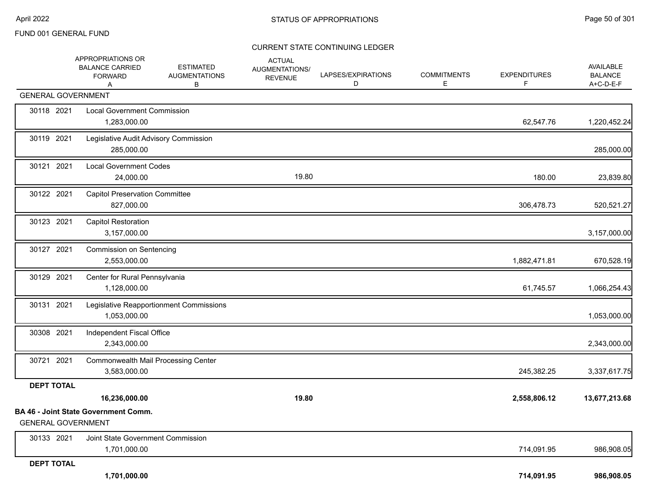|                           | APPROPRIATIONS OR<br><b>BALANCE CARRIED</b><br><b>FORWARD</b><br>Α | <b>ESTIMATED</b><br><b>AUGMENTATIONS</b><br>В | <b>ACTUAL</b><br>AUGMENTATIONS/<br><b>REVENUE</b> | LAPSES/EXPIRATIONS<br>D | <b>COMMITMENTS</b><br>Е | <b>EXPENDITURES</b><br>F | AVAILABLE<br><b>BALANCE</b><br>A+C-D-E-F |
|---------------------------|--------------------------------------------------------------------|-----------------------------------------------|---------------------------------------------------|-------------------------|-------------------------|--------------------------|------------------------------------------|
| <b>GENERAL GOVERNMENT</b> |                                                                    |                                               |                                                   |                         |                         |                          |                                          |
| 30118 2021                | <b>Local Government Commission</b><br>1,283,000.00                 |                                               |                                                   |                         |                         | 62,547.76                | 1,220,452.24                             |
| 30119 2021                | Legislative Audit Advisory Commission<br>285,000.00                |                                               |                                                   |                         |                         |                          | 285,000.00                               |
| 30121 2021                | <b>Local Government Codes</b><br>24,000.00                         |                                               | 19.80                                             |                         |                         | 180.00                   | 23,839.80                                |
| 30122 2021                | <b>Capitol Preservation Committee</b><br>827,000.00                |                                               |                                                   |                         |                         | 306,478.73               | 520,521.27                               |
| 30123 2021                | <b>Capitol Restoration</b><br>3,157,000.00                         |                                               |                                                   |                         |                         |                          | 3,157,000.00                             |
| 30127 2021                | <b>Commission on Sentencing</b><br>2,553,000.00                    |                                               |                                                   |                         |                         | 1,882,471.81             | 670,528.19                               |
| 30129 2021                | Center for Rural Pennsylvania<br>1,128,000.00                      |                                               |                                                   |                         |                         | 61,745.57                | 1,066,254.43                             |
| 30131 2021                | 1,053,000.00                                                       | Legislative Reapportionment Commissions       |                                                   |                         |                         |                          | 1,053,000.00                             |
| 30308 2021                | Independent Fiscal Office<br>2,343,000.00                          |                                               |                                                   |                         |                         |                          | 2,343,000.00                             |
| 30721 2021                | <b>Commonwealth Mail Processing Center</b><br>3,583,000.00         |                                               |                                                   |                         |                         | 245,382.25               | 3,337,617.75                             |
| <b>DEPT TOTAL</b>         |                                                                    |                                               |                                                   |                         |                         |                          |                                          |
|                           | 16,236,000.00                                                      |                                               | 19.80                                             |                         |                         | 2,558,806.12             | 13,677,213.68                            |
| <b>GENERAL GOVERNMENT</b> | <b>BA 46 - Joint State Government Comm.</b>                        |                                               |                                                   |                         |                         |                          |                                          |
| 30133 2021                | Joint State Government Commission<br>1,701,000.00                  |                                               |                                                   |                         |                         | 714,091.95               | 986,908.05                               |
| <b>DEPT TOTAL</b>         | 1,701,000.00                                                       |                                               |                                                   |                         |                         | 714,091.95               | 986,908.05                               |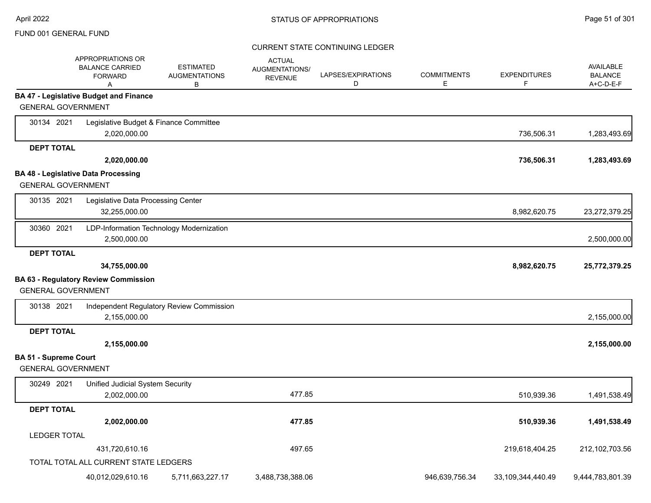|                              | APPROPRIATIONS OR<br><b>BALANCE CARRIED</b><br><b>FORWARD</b><br>A | <b>ESTIMATED</b><br><b>AUGMENTATIONS</b><br>в | <b>ACTUAL</b><br>AUGMENTATIONS/<br><b>REVENUE</b> | LAPSES/EXPIRATIONS<br>D | <b>COMMITMENTS</b><br>Е | <b>EXPENDITURES</b><br>F | <b>AVAILABLE</b><br><b>BALANCE</b><br>A+C-D-E-F |
|------------------------------|--------------------------------------------------------------------|-----------------------------------------------|---------------------------------------------------|-------------------------|-------------------------|--------------------------|-------------------------------------------------|
|                              | <b>BA 47 - Legislative Budget and Finance</b>                      |                                               |                                                   |                         |                         |                          |                                                 |
| <b>GENERAL GOVERNMENT</b>    |                                                                    |                                               |                                                   |                         |                         |                          |                                                 |
| 30134 2021                   | Legislative Budget & Finance Committee                             |                                               |                                                   |                         |                         |                          |                                                 |
|                              | 2,020,000.00                                                       |                                               |                                                   |                         |                         | 736,506.31               | 1,283,493.69                                    |
| <b>DEPT TOTAL</b>            |                                                                    |                                               |                                                   |                         |                         |                          |                                                 |
|                              | 2,020,000.00                                                       |                                               |                                                   |                         |                         | 736,506.31               | 1,283,493.69                                    |
|                              | <b>BA 48 - Legislative Data Processing</b>                         |                                               |                                                   |                         |                         |                          |                                                 |
| <b>GENERAL GOVERNMENT</b>    |                                                                    |                                               |                                                   |                         |                         |                          |                                                 |
| 30135 2021                   | Legislative Data Processing Center                                 |                                               |                                                   |                         |                         |                          |                                                 |
|                              | 32,255,000.00                                                      |                                               |                                                   |                         |                         | 8,982,620.75             | 23,272,379.25                                   |
| 30360 2021                   |                                                                    | LDP-Information Technology Modernization      |                                                   |                         |                         |                          |                                                 |
|                              | 2,500,000.00                                                       |                                               |                                                   |                         |                         |                          | 2,500,000.00                                    |
| <b>DEPT TOTAL</b>            |                                                                    |                                               |                                                   |                         |                         |                          |                                                 |
|                              | 34,755,000.00                                                      |                                               |                                                   |                         |                         | 8,982,620.75             | 25,772,379.25                                   |
|                              | <b>BA 63 - Regulatory Review Commission</b>                        |                                               |                                                   |                         |                         |                          |                                                 |
| <b>GENERAL GOVERNMENT</b>    |                                                                    |                                               |                                                   |                         |                         |                          |                                                 |
| 30138 2021                   |                                                                    | Independent Regulatory Review Commission      |                                                   |                         |                         |                          |                                                 |
|                              | 2,155,000.00                                                       |                                               |                                                   |                         |                         |                          | 2,155,000.00                                    |
| <b>DEPT TOTAL</b>            |                                                                    |                                               |                                                   |                         |                         |                          |                                                 |
|                              | 2,155,000.00                                                       |                                               |                                                   |                         |                         |                          | 2,155,000.00                                    |
| <b>BA 51 - Supreme Court</b> |                                                                    |                                               |                                                   |                         |                         |                          |                                                 |
| <b>GENERAL GOVERNMENT</b>    |                                                                    |                                               |                                                   |                         |                         |                          |                                                 |
| 30249 2021                   | Unified Judicial System Security                                   |                                               |                                                   |                         |                         |                          |                                                 |
|                              | 2,002,000.00                                                       |                                               | 477.85                                            |                         |                         | 510,939.36               | 1,491,538.49                                    |
| <b>DEPT TOTAL</b>            |                                                                    |                                               |                                                   |                         |                         |                          |                                                 |
|                              | 2,002,000.00                                                       |                                               | 477.85                                            |                         |                         | 510,939.36               | 1,491,538.49                                    |
| <b>LEDGER TOTAL</b>          |                                                                    |                                               |                                                   |                         |                         |                          |                                                 |
|                              | 431,720,610.16                                                     |                                               | 497.65                                            |                         |                         | 219,618,404.25           | 212,102,703.56                                  |
|                              | TOTAL TOTAL ALL CURRENT STATE LEDGERS                              |                                               |                                                   |                         |                         |                          |                                                 |
|                              | 40,012,029,610.16                                                  | 5,711,663,227.17                              | 3,488,738,388.06                                  |                         | 946,639,756.34          | 33,109,344,440.49        | 9,444,783,801.39                                |
|                              |                                                                    |                                               |                                                   |                         |                         |                          |                                                 |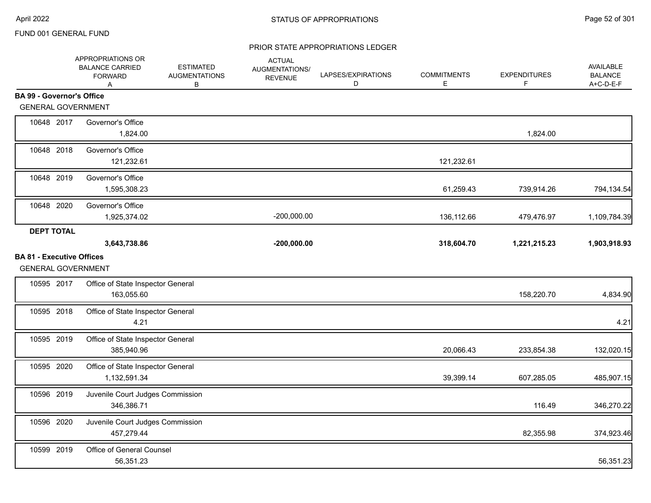|                                  | APPROPRIATIONS OR<br><b>BALANCE CARRIED</b><br><b>FORWARD</b><br>A | <b>ESTIMATED</b><br><b>AUGMENTATIONS</b><br>B | <b>ACTUAL</b><br>AUGMENTATIONS/<br><b>REVENUE</b> | LAPSES/EXPIRATIONS<br>D | <b>COMMITMENTS</b><br>E | <b>EXPENDITURES</b><br>F | AVAILABLE<br><b>BALANCE</b><br>A+C-D-E-F |
|----------------------------------|--------------------------------------------------------------------|-----------------------------------------------|---------------------------------------------------|-------------------------|-------------------------|--------------------------|------------------------------------------|
| <b>BA 99 - Governor's Office</b> |                                                                    |                                               |                                                   |                         |                         |                          |                                          |
|                                  | <b>GENERAL GOVERNMENT</b>                                          |                                               |                                                   |                         |                         |                          |                                          |
| 10648 2017                       | Governor's Office<br>1,824.00                                      |                                               |                                                   |                         |                         | 1,824.00                 |                                          |
| 10648 2018                       | Governor's Office<br>121,232.61                                    |                                               |                                                   |                         | 121,232.61              |                          |                                          |
| 10648 2019                       | Governor's Office<br>1,595,308.23                                  |                                               |                                                   |                         | 61,259.43               | 739,914.26               | 794,134.54                               |
| 10648 2020                       | Governor's Office<br>1,925,374.02                                  |                                               | $-200,000.00$                                     |                         | 136,112.66              | 479,476.97               | 1,109,784.39                             |
| <b>DEPT TOTAL</b>                |                                                                    |                                               |                                                   |                         |                         |                          |                                          |
|                                  | 3,643,738.86                                                       |                                               | $-200,000.00$                                     |                         | 318,604.70              | 1,221,215.23             | 1,903,918.93                             |
| <b>BA 81 - Executive Offices</b> | <b>GENERAL GOVERNMENT</b>                                          |                                               |                                                   |                         |                         |                          |                                          |
| 10595 2017                       | Office of State Inspector General<br>163,055.60                    |                                               |                                                   |                         |                         | 158,220.70               | 4,834.90                                 |
| 10595 2018                       | Office of State Inspector General<br>4.21                          |                                               |                                                   |                         |                         |                          | 4.21                                     |
| 10595 2019                       | Office of State Inspector General<br>385,940.96                    |                                               |                                                   |                         | 20,066.43               | 233,854.38               | 132,020.15                               |
| 10595 2020                       | Office of State Inspector General<br>1,132,591.34                  |                                               |                                                   |                         | 39,399.14               | 607,285.05               | 485,907.15                               |
| 10596 2019                       | Juvenile Court Judges Commission<br>346,386.71                     |                                               |                                                   |                         |                         | 116.49                   | 346,270.22                               |
| 10596 2020                       | Juvenile Court Judges Commission<br>457,279.44                     |                                               |                                                   |                         |                         | 82,355.98                | 374,923.46                               |
| 10599 2019                       | Office of General Counsel<br>56,351.23                             |                                               |                                                   |                         |                         |                          | 56,351.23                                |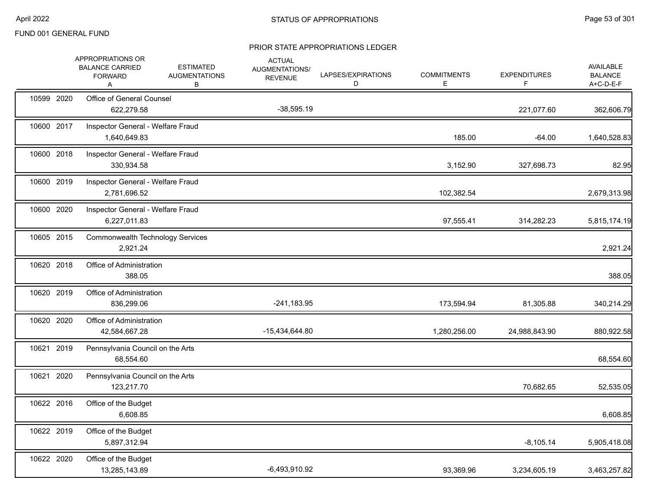|            | APPROPRIATIONS OR<br><b>BALANCE CARRIED</b><br><b>FORWARD</b><br>A | <b>ESTIMATED</b><br><b>AUGMENTATIONS</b><br>В | <b>ACTUAL</b><br>AUGMENTATIONS/<br><b>REVENUE</b> | LAPSES/EXPIRATIONS<br>D | <b>COMMITMENTS</b><br>Е | <b>EXPENDITURES</b><br>F | AVAILABLE<br><b>BALANCE</b><br>A+C-D-E-F |
|------------|--------------------------------------------------------------------|-----------------------------------------------|---------------------------------------------------|-------------------------|-------------------------|--------------------------|------------------------------------------|
| 10599 2020 | Office of General Counsel<br>622,279.58                            |                                               | $-38,595.19$                                      |                         |                         | 221,077.60               | 362,606.79                               |
| 10600 2017 | Inspector General - Welfare Fraud<br>1,640,649.83                  |                                               |                                                   |                         | 185.00                  | $-64.00$                 | 1,640,528.83                             |
| 10600 2018 | Inspector General - Welfare Fraud<br>330,934.58                    |                                               |                                                   |                         | 3,152.90                | 327,698.73               | 82.95                                    |
| 10600 2019 | Inspector General - Welfare Fraud<br>2,781,696.52                  |                                               |                                                   |                         | 102,382.54              |                          | 2,679,313.98                             |
| 10600 2020 | Inspector General - Welfare Fraud<br>6,227,011.83                  |                                               |                                                   |                         | 97,555.41               | 314,282.23               | 5,815,174.19                             |
| 10605 2015 | <b>Commonwealth Technology Services</b><br>2,921.24                |                                               |                                                   |                         |                         |                          | 2,921.24                                 |
| 10620 2018 | Office of Administration<br>388.05                                 |                                               |                                                   |                         |                         |                          | 388.05                                   |
| 10620 2019 | Office of Administration<br>836,299.06                             |                                               | $-241,183.95$                                     |                         | 173,594.94              | 81,305.88                | 340,214.29                               |
| 10620 2020 | Office of Administration<br>42,584,667.28                          |                                               | -15,434,644.80                                    |                         | 1,280,256.00            | 24,988,843.90            | 880,922.58                               |
| 10621 2019 | Pennsylvania Council on the Arts<br>68,554.60                      |                                               |                                                   |                         |                         |                          | 68,554.60                                |
| 10621 2020 | Pennsylvania Council on the Arts<br>123,217.70                     |                                               |                                                   |                         |                         | 70,682.65                | 52,535.05                                |
| 10622 2016 | Office of the Budget<br>6,608.85                                   |                                               |                                                   |                         |                         |                          | 6,608.85                                 |
| 10622 2019 | Office of the Budget<br>5,897,312.94                               |                                               |                                                   |                         |                         | $-8,105.14$              | 5,905,418.08                             |
| 10622 2020 | Office of the Budget<br>13,285,143.89                              |                                               | $-6,493,910.92$                                   |                         | 93,369.96               | 3,234,605.19             | 3,463,257.82                             |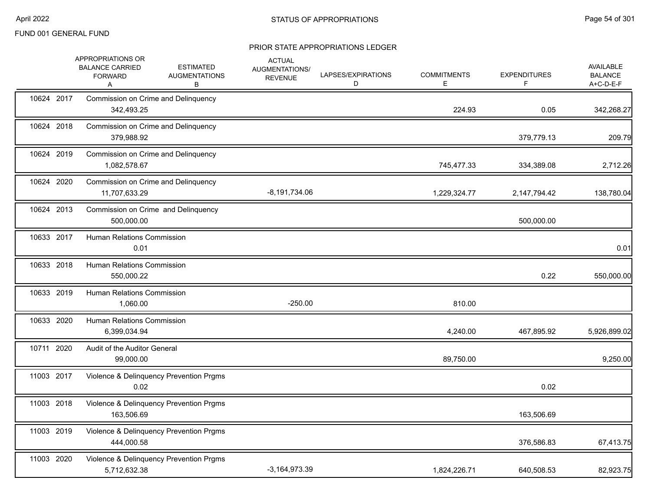|            | APPROPRIATIONS OR<br><b>ESTIMATED</b><br><b>BALANCE CARRIED</b><br><b>AUGMENTATIONS</b><br><b>FORWARD</b><br>В<br>Α | <b>ACTUAL</b><br>AUGMENTATIONS/<br><b>REVENUE</b> | LAPSES/EXPIRATIONS<br>D | <b>COMMITMENTS</b><br>Е | <b>EXPENDITURES</b><br>F | AVAILABLE<br><b>BALANCE</b><br>A+C-D-E-F |
|------------|---------------------------------------------------------------------------------------------------------------------|---------------------------------------------------|-------------------------|-------------------------|--------------------------|------------------------------------------|
| 10624 2017 | Commission on Crime and Delinquency<br>342,493.25                                                                   |                                                   |                         | 224.93                  | 0.05                     | 342,268.27                               |
| 10624 2018 | Commission on Crime and Delinquency<br>379,988.92                                                                   |                                                   |                         |                         | 379,779.13               | 209.79                                   |
| 10624 2019 | Commission on Crime and Delinquency<br>1,082,578.67                                                                 |                                                   |                         | 745,477.33              | 334,389.08               | 2,712.26                                 |
| 10624 2020 | Commission on Crime and Delinquency<br>11,707,633.29                                                                | $-8,191,734.06$                                   |                         | 1,229,324.77            | 2,147,794.42             | 138,780.04                               |
| 10624 2013 | Commission on Crime and Delinquency<br>500,000.00                                                                   |                                                   |                         |                         | 500,000.00               |                                          |
| 10633 2017 | <b>Human Relations Commission</b><br>0.01                                                                           |                                                   |                         |                         |                          | 0.01                                     |
| 10633 2018 | Human Relations Commission<br>550,000.22                                                                            |                                                   |                         |                         | 0.22                     | 550,000.00                               |
| 10633 2019 | <b>Human Relations Commission</b><br>1,060.00                                                                       | $-250.00$                                         |                         | 810.00                  |                          |                                          |
| 10633 2020 | <b>Human Relations Commission</b><br>6,399,034.94                                                                   |                                                   |                         | 4,240.00                | 467,895.92               | 5,926,899.02                             |
| 10711 2020 | Audit of the Auditor General<br>99,000.00                                                                           |                                                   |                         | 89,750.00               |                          | 9,250.00                                 |
| 11003 2017 | Violence & Delinquency Prevention Prgms<br>0.02                                                                     |                                                   |                         |                         | 0.02                     |                                          |
| 11003 2018 | Violence & Delinquency Prevention Prgms<br>163,506.69                                                               |                                                   |                         |                         | 163,506.69               |                                          |
| 11003 2019 | Violence & Delinquency Prevention Prgms<br>444.000.58                                                               |                                                   |                         |                         | 376,586.83               | 67,413.75                                |
| 11003 2020 | Violence & Delinquency Prevention Prgms<br>5,712,632.38                                                             | $-3,164,973.39$                                   |                         | 1,824,226.71            | 640,508.53               | 82,923.75                                |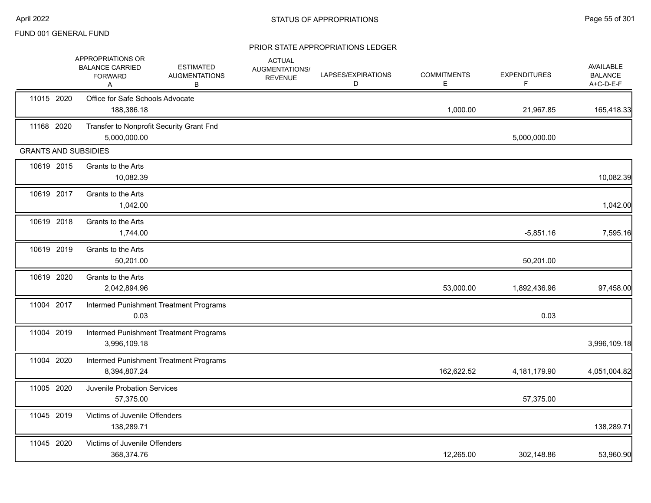|                             | APPROPRIATIONS OR<br><b>BALANCE CARRIED</b><br><b>FORWARD</b><br>A | <b>ESTIMATED</b><br><b>AUGMENTATIONS</b><br>в | <b>ACTUAL</b><br>AUGMENTATIONS/<br><b>REVENUE</b> | LAPSES/EXPIRATIONS<br>D | <b>COMMITMENTS</b><br>Е | <b>EXPENDITURES</b><br>F. | AVAILABLE<br><b>BALANCE</b><br>A+C-D-E-F |
|-----------------------------|--------------------------------------------------------------------|-----------------------------------------------|---------------------------------------------------|-------------------------|-------------------------|---------------------------|------------------------------------------|
| 11015 2020                  | Office for Safe Schools Advocate<br>188,386.18                     |                                               |                                                   |                         | 1,000.00                | 21,967.85                 | 165,418.33                               |
| 11168 2020                  | Transfer to Nonprofit Security Grant Fnd<br>5,000,000.00           |                                               |                                                   |                         |                         | 5,000,000.00              |                                          |
| <b>GRANTS AND SUBSIDIES</b> |                                                                    |                                               |                                                   |                         |                         |                           |                                          |
| 10619 2015                  | Grants to the Arts<br>10,082.39                                    |                                               |                                                   |                         |                         |                           | 10,082.39                                |
| 10619 2017                  | Grants to the Arts<br>1,042.00                                     |                                               |                                                   |                         |                         |                           | 1,042.00                                 |
| 10619 2018                  | Grants to the Arts<br>1,744.00                                     |                                               |                                                   |                         |                         | $-5,851.16$               | 7,595.16                                 |
| 10619 2019                  | Grants to the Arts<br>50,201.00                                    |                                               |                                                   |                         |                         | 50,201.00                 |                                          |
| 10619 2020                  | Grants to the Arts<br>2,042,894.96                                 |                                               |                                                   |                         | 53,000.00               | 1,892,436.96              | 97,458.00                                |
| 11004 2017                  | 0.03                                                               | Intermed Punishment Treatment Programs        |                                                   |                         |                         | 0.03                      |                                          |
| 11004 2019                  | 3,996,109.18                                                       | Intermed Punishment Treatment Programs        |                                                   |                         |                         |                           | 3,996,109.18                             |
| 11004 2020                  | 8,394,807.24                                                       | Intermed Punishment Treatment Programs        |                                                   |                         | 162,622.52              | 4,181,179.90              | 4,051,004.82                             |
| 11005 2020                  | Juvenile Probation Services<br>57,375.00                           |                                               |                                                   |                         |                         | 57,375.00                 |                                          |
| 11045 2019                  | Victims of Juvenile Offenders<br>138,289.71                        |                                               |                                                   |                         |                         |                           | 138,289.71                               |
| 11045 2020                  | Victims of Juvenile Offenders<br>368,374.76                        |                                               |                                                   |                         | 12,265.00               | 302,148.86                | 53,960.90                                |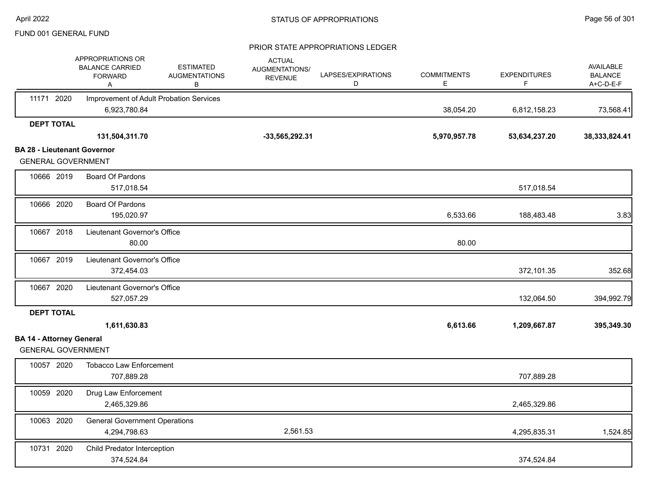|                                    | APPROPRIATIONS OR<br><b>BALANCE CARRIED</b><br><b>FORWARD</b><br>Α | <b>ESTIMATED</b><br><b>AUGMENTATIONS</b><br>B | <b>ACTUAL</b><br>AUGMENTATIONS/<br><b>REVENUE</b> | LAPSES/EXPIRATIONS<br>D | <b>COMMITMENTS</b><br>Е | <b>EXPENDITURES</b><br>F | <b>AVAILABLE</b><br><b>BALANCE</b><br>A+C-D-E-F |
|------------------------------------|--------------------------------------------------------------------|-----------------------------------------------|---------------------------------------------------|-------------------------|-------------------------|--------------------------|-------------------------------------------------|
| 11171 2020                         | Improvement of Adult Probation Services                            |                                               |                                                   |                         |                         |                          |                                                 |
|                                    | 6,923,780.84                                                       |                                               |                                                   |                         | 38,054.20               | 6,812,158.23             | 73,568.41                                       |
| <b>DEPT TOTAL</b>                  |                                                                    |                                               |                                                   |                         |                         |                          |                                                 |
|                                    | 131,504,311.70                                                     |                                               | $-33,565,292.31$                                  |                         | 5,970,957.78            | 53,634,237.20            | 38, 333, 824.41                                 |
| <b>BA 28 - Lieutenant Governor</b> |                                                                    |                                               |                                                   |                         |                         |                          |                                                 |
| <b>GENERAL GOVERNMENT</b>          |                                                                    |                                               |                                                   |                         |                         |                          |                                                 |
| 10666 2019                         | <b>Board Of Pardons</b>                                            |                                               |                                                   |                         |                         |                          |                                                 |
|                                    | 517,018.54                                                         |                                               |                                                   |                         |                         | 517,018.54               |                                                 |
| 10666 2020                         | <b>Board Of Pardons</b>                                            |                                               |                                                   |                         |                         |                          |                                                 |
|                                    | 195,020.97                                                         |                                               |                                                   |                         | 6,533.66                | 188,483.48               | 3.83                                            |
| 10667 2018                         | Lieutenant Governor's Office                                       |                                               |                                                   |                         |                         |                          |                                                 |
|                                    | 80.00                                                              |                                               |                                                   |                         | 80.00                   |                          |                                                 |
| 10667 2019                         | Lieutenant Governor's Office                                       |                                               |                                                   |                         |                         |                          |                                                 |
|                                    | 372,454.03                                                         |                                               |                                                   |                         |                         | 372,101.35               | 352.68                                          |
| 10667 2020                         | Lieutenant Governor's Office                                       |                                               |                                                   |                         |                         |                          |                                                 |
|                                    | 527,057.29                                                         |                                               |                                                   |                         |                         | 132,064.50               | 394,992.79                                      |
| <b>DEPT TOTAL</b>                  |                                                                    |                                               |                                                   |                         |                         |                          |                                                 |
|                                    | 1,611,630.83                                                       |                                               |                                                   |                         | 6,613.66                | 1,209,667.87             | 395,349.30                                      |
| <b>BA 14 - Attorney General</b>    |                                                                    |                                               |                                                   |                         |                         |                          |                                                 |
| <b>GENERAL GOVERNMENT</b>          |                                                                    |                                               |                                                   |                         |                         |                          |                                                 |
| 10057 2020                         | <b>Tobacco Law Enforcement</b>                                     |                                               |                                                   |                         |                         |                          |                                                 |
|                                    | 707,889.28                                                         |                                               |                                                   |                         |                         | 707,889.28               |                                                 |
| 10059 2020                         | Drug Law Enforcement                                               |                                               |                                                   |                         |                         |                          |                                                 |
|                                    | 2,465,329.86                                                       |                                               |                                                   |                         |                         | 2,465,329.86             |                                                 |
| 10063 2020                         | <b>General Government Operations</b>                               |                                               |                                                   |                         |                         |                          |                                                 |
|                                    | 4,294,798.63                                                       |                                               | 2,561.53                                          |                         |                         | 4,295,835.31             | 1,524.85                                        |
| 10731 2020                         | Child Predator Interception                                        |                                               |                                                   |                         |                         |                          |                                                 |
|                                    | 374,524.84                                                         |                                               |                                                   |                         |                         | 374,524.84               |                                                 |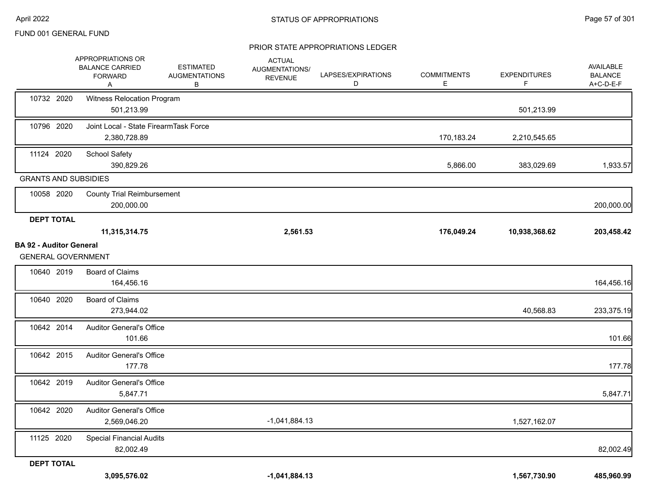|                                                             | APPROPRIATIONS OR<br><b>BALANCE CARRIED</b><br><b>FORWARD</b><br>A | <b>ESTIMATED</b><br><b>AUGMENTATIONS</b><br>В | <b>ACTUAL</b><br>AUGMENTATIONS/<br><b>REVENUE</b> | LAPSES/EXPIRATIONS<br>D | <b>COMMITMENTS</b><br>Е | <b>EXPENDITURES</b><br>F | AVAILABLE<br><b>BALANCE</b><br>A+C-D-E-F |
|-------------------------------------------------------------|--------------------------------------------------------------------|-----------------------------------------------|---------------------------------------------------|-------------------------|-------------------------|--------------------------|------------------------------------------|
| 10732 2020                                                  | Witness Relocation Program<br>501,213.99                           |                                               |                                                   |                         |                         | 501,213.99               |                                          |
| 10796 2020                                                  | Joint Local - State FirearmTask Force<br>2,380,728.89              |                                               |                                                   |                         | 170,183.24              | 2,210,545.65             |                                          |
| 11124 2020                                                  | <b>School Safety</b><br>390,829.26                                 |                                               |                                                   |                         | 5,866.00                | 383,029.69               | 1,933.57                                 |
| <b>GRANTS AND SUBSIDIES</b>                                 |                                                                    |                                               |                                                   |                         |                         |                          |                                          |
| 10058 2020                                                  | <b>County Trial Reimbursement</b><br>200,000.00                    |                                               |                                                   |                         |                         |                          | 200,000.00                               |
| <b>DEPT TOTAL</b>                                           |                                                                    |                                               |                                                   |                         |                         |                          |                                          |
|                                                             | 11,315,314.75                                                      |                                               | 2,561.53                                          |                         | 176,049.24              | 10,938,368.62            | 203,458.42                               |
| <b>BA 92 - Auditor General</b><br><b>GENERAL GOVERNMENT</b> |                                                                    |                                               |                                                   |                         |                         |                          |                                          |
| 10640 2019                                                  | <b>Board of Claims</b><br>164,456.16                               |                                               |                                                   |                         |                         |                          | 164,456.16                               |
| 10640 2020                                                  | <b>Board of Claims</b><br>273,944.02                               |                                               |                                                   |                         |                         | 40,568.83                | 233,375.19                               |
| 10642 2014                                                  | <b>Auditor General's Office</b><br>101.66                          |                                               |                                                   |                         |                         |                          | 101.66                                   |
| 10642 2015                                                  | <b>Auditor General's Office</b><br>177.78                          |                                               |                                                   |                         |                         |                          | 177.78                                   |
| 10642 2019                                                  | <b>Auditor General's Office</b><br>5,847.71                        |                                               |                                                   |                         |                         |                          | 5,847.71                                 |
| 10642 2020                                                  | <b>Auditor General's Office</b><br>2,569,046.20                    |                                               | $-1,041,884.13$                                   |                         |                         | 1,527,162.07             |                                          |
| 11125 2020                                                  | <b>Special Financial Audits</b><br>82,002.49                       |                                               |                                                   |                         |                         |                          | 82,002.49                                |
| <b>DEPT TOTAL</b>                                           |                                                                    |                                               |                                                   |                         |                         |                          |                                          |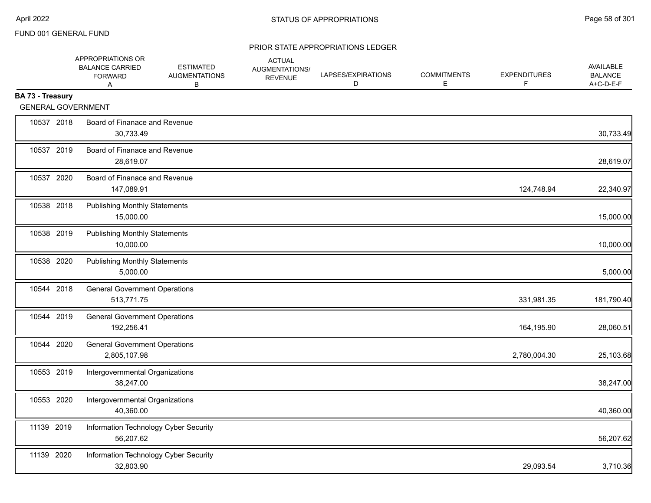|                  | APPROPRIATIONS OR<br><b>BALANCE CARRIED</b><br><b>FORWARD</b><br>A | <b>ESTIMATED</b><br><b>AUGMENTATIONS</b><br>B | <b>ACTUAL</b><br>AUGMENTATIONS/<br><b>REVENUE</b> | LAPSES/EXPIRATIONS<br>D | <b>COMMITMENTS</b><br>E | <b>EXPENDITURES</b><br>F | AVAILABLE<br><b>BALANCE</b><br>A+C-D-E-F |
|------------------|--------------------------------------------------------------------|-----------------------------------------------|---------------------------------------------------|-------------------------|-------------------------|--------------------------|------------------------------------------|
| BA 73 - Treasury | <b>GENERAL GOVERNMENT</b>                                          |                                               |                                                   |                         |                         |                          |                                          |
| 10537 2018       | Board of Finanace and Revenue<br>30,733.49                         |                                               |                                                   |                         |                         |                          | 30,733.49                                |
| 10537 2019       | Board of Finanace and Revenue<br>28,619.07                         |                                               |                                                   |                         |                         |                          | 28,619.07                                |
| 10537 2020       | Board of Finanace and Revenue<br>147,089.91                        |                                               |                                                   |                         |                         | 124,748.94               | 22,340.97                                |
| 10538 2018       | <b>Publishing Monthly Statements</b><br>15,000.00                  |                                               |                                                   |                         |                         |                          | 15,000.00                                |
| 10538 2019       | <b>Publishing Monthly Statements</b><br>10,000.00                  |                                               |                                                   |                         |                         |                          | 10,000.00                                |
| 10538 2020       | <b>Publishing Monthly Statements</b><br>5,000.00                   |                                               |                                                   |                         |                         |                          | 5,000.00                                 |
| 10544 2018       | <b>General Government Operations</b><br>513,771.75                 |                                               |                                                   |                         |                         | 331,981.35               | 181,790.40                               |
| 10544 2019       | <b>General Government Operations</b><br>192,256.41                 |                                               |                                                   |                         |                         | 164,195.90               | 28,060.51                                |
| 10544 2020       | <b>General Government Operations</b><br>2,805,107.98               |                                               |                                                   |                         |                         | 2,780,004.30             | 25,103.68                                |
| 10553 2019       | Intergovernmental Organizations<br>38,247.00                       |                                               |                                                   |                         |                         |                          | 38,247.00                                |
| 10553 2020       | Intergovernmental Organizations<br>40,360.00                       |                                               |                                                   |                         |                         |                          | 40,360.00                                |
| 11139 2019       | Information Technology Cyber Security<br>56,207.62                 |                                               |                                                   |                         |                         |                          | 56,207.62                                |
| 11139 2020       | Information Technology Cyber Security<br>32,803.90                 |                                               |                                                   |                         |                         | 29,093.54                | 3,710.36                                 |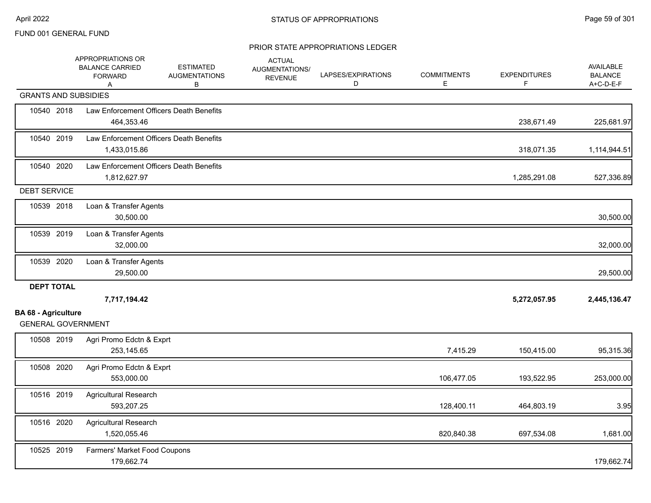|                             | APPROPRIATIONS OR<br><b>BALANCE CARRIED</b><br><b>FORWARD</b><br>Α | <b>ESTIMATED</b><br><b>AUGMENTATIONS</b><br>В | <b>ACTUAL</b><br>AUGMENTATIONS/<br><b>REVENUE</b> | LAPSES/EXPIRATIONS<br>D | <b>COMMITMENTS</b><br>Е | <b>EXPENDITURES</b><br>F. | AVAILABLE<br><b>BALANCE</b><br>A+C-D-E-F |
|-----------------------------|--------------------------------------------------------------------|-----------------------------------------------|---------------------------------------------------|-------------------------|-------------------------|---------------------------|------------------------------------------|
| <b>GRANTS AND SUBSIDIES</b> |                                                                    |                                               |                                                   |                         |                         |                           |                                          |
| 10540 2018                  | Law Enforcement Officers Death Benefits<br>464,353.46              |                                               |                                                   |                         |                         | 238,671.49                | 225,681.97                               |
| 10540 2019                  | Law Enforcement Officers Death Benefits<br>1,433,015.86            |                                               |                                                   |                         |                         | 318,071.35                | 1,114,944.51                             |
| 10540 2020                  | Law Enforcement Officers Death Benefits<br>1,812,627.97            |                                               |                                                   |                         |                         | 1,285,291.08              | 527,336.89                               |
| <b>DEBT SERVICE</b>         |                                                                    |                                               |                                                   |                         |                         |                           |                                          |
| 10539 2018                  | Loan & Transfer Agents<br>30,500.00                                |                                               |                                                   |                         |                         |                           | 30,500.00                                |
| 10539 2019                  | Loan & Transfer Agents<br>32,000.00                                |                                               |                                                   |                         |                         |                           | 32,000.00                                |
| 10539 2020                  | Loan & Transfer Agents<br>29,500.00                                |                                               |                                                   |                         |                         |                           | 29,500.00                                |
| <b>DEPT TOTAL</b>           |                                                                    |                                               |                                                   |                         |                         |                           |                                          |
| <b>BA 68 - Agriculture</b>  | 7,717,194.42                                                       |                                               |                                                   |                         |                         | 5,272,057.95              | 2,445,136.47                             |
| <b>GENERAL GOVERNMENT</b>   |                                                                    |                                               |                                                   |                         |                         |                           |                                          |
| 10508 2019                  | Agri Promo Edctn & Exprt<br>253,145.65                             |                                               |                                                   |                         | 7,415.29                | 150,415.00                | 95,315.36                                |
| 10508 2020                  | Agri Promo Edctn & Exprt<br>553,000.00                             |                                               |                                                   |                         | 106,477.05              | 193,522.95                | 253,000.00                               |
| 10516 2019                  | <b>Agricultural Research</b><br>593,207.25                         |                                               |                                                   |                         | 128,400.11              | 464,803.19                | 3.95                                     |
| 10516 2020                  | Agricultural Research<br>1,520,055.46                              |                                               |                                                   |                         | 820,840.38              | 697,534.08                | 1,681.00                                 |
| 10525 2019                  | Farmers' Market Food Coupons<br>179,662.74                         |                                               |                                                   |                         |                         |                           | 179,662.74                               |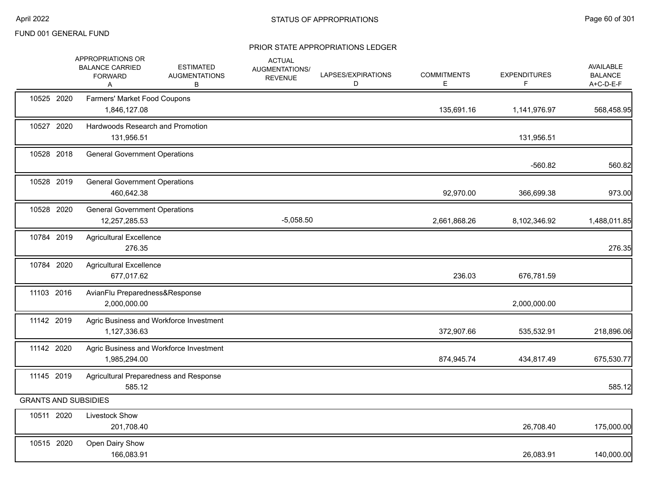|                             | APPROPRIATIONS OR<br><b>BALANCE CARRIED</b><br><b>FORWARD</b><br>Α | <b>ESTIMATED</b><br><b>AUGMENTATIONS</b><br>В | <b>ACTUAL</b><br>AUGMENTATIONS/<br><b>REVENUE</b> | LAPSES/EXPIRATIONS<br>D | <b>COMMITMENTS</b><br>Е | <b>EXPENDITURES</b><br>F | <b>AVAILABLE</b><br><b>BALANCE</b><br>A+C-D-E-F |
|-----------------------------|--------------------------------------------------------------------|-----------------------------------------------|---------------------------------------------------|-------------------------|-------------------------|--------------------------|-------------------------------------------------|
| 10525 2020                  | <b>Farmers' Market Food Coupons</b><br>1,846,127.08                |                                               |                                                   |                         | 135,691.16              | 1,141,976.97             | 568,458.95                                      |
| 10527 2020                  | Hardwoods Research and Promotion<br>131,956.51                     |                                               |                                                   |                         |                         | 131,956.51               |                                                 |
| 10528 2018                  | <b>General Government Operations</b>                               |                                               |                                                   |                         |                         | $-560.82$                | 560.82                                          |
| 10528 2019                  | <b>General Government Operations</b><br>460,642.38                 |                                               |                                                   |                         | 92,970.00               | 366,699.38               | 973.00                                          |
| 10528 2020                  | <b>General Government Operations</b><br>12,257,285.53              |                                               | $-5,058.50$                                       |                         | 2,661,868.26            | 8,102,346.92             | 1,488,011.85                                    |
| 10784 2019                  | <b>Agricultural Excellence</b><br>276.35                           |                                               |                                                   |                         |                         |                          | 276.35                                          |
| 10784 2020                  | <b>Agricultural Excellence</b><br>677,017.62                       |                                               |                                                   |                         | 236.03                  | 676,781.59               |                                                 |
| 11103 2016                  | AvianFlu Preparedness&Response<br>2,000,000.00                     |                                               |                                                   |                         |                         | 2,000,000.00             |                                                 |
| 11142 2019                  | 1,127,336.63                                                       | Agric Business and Workforce Investment       |                                                   |                         | 372,907.66              | 535,532.91               | 218,896.06                                      |
| 11142 2020                  | 1,985,294.00                                                       | Agric Business and Workforce Investment       |                                                   |                         | 874,945.74              | 434,817.49               | 675,530.77                                      |
| 11145 2019                  | 585.12                                                             | Agricultural Preparedness and Response        |                                                   |                         |                         |                          | 585.12                                          |
| <b>GRANTS AND SUBSIDIES</b> |                                                                    |                                               |                                                   |                         |                         |                          |                                                 |
| 10511 2020                  | <b>Livestock Show</b><br>201,708.40                                |                                               |                                                   |                         |                         | 26,708.40                | 175,000.00                                      |
| 10515 2020                  | Open Dairy Show<br>166,083.91                                      |                                               |                                                   |                         |                         | 26,083.91                | 140,000.00                                      |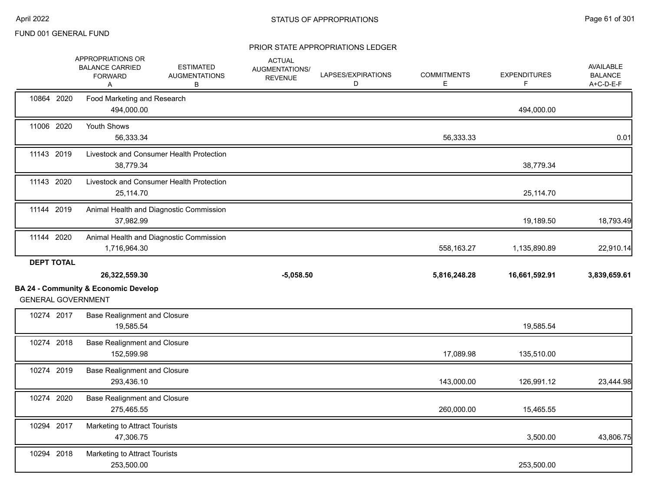|                   | APPROPRIATIONS OR<br><b>BALANCE CARRIED</b><br><b>FORWARD</b><br>Α           | <b>ESTIMATED</b><br><b>AUGMENTATIONS</b><br>В | <b>ACTUAL</b><br>AUGMENTATIONS/<br><b>REVENUE</b> | LAPSES/EXPIRATIONS<br>D | <b>COMMITMENTS</b><br>Е | <b>EXPENDITURES</b><br>F. | <b>AVAILABLE</b><br><b>BALANCE</b><br>A+C-D-E-F |
|-------------------|------------------------------------------------------------------------------|-----------------------------------------------|---------------------------------------------------|-------------------------|-------------------------|---------------------------|-------------------------------------------------|
| 10864 2020        | Food Marketing and Research<br>494,000.00                                    |                                               |                                                   |                         |                         | 494,000.00                |                                                 |
| 11006 2020        | Youth Shows<br>56,333.34                                                     |                                               |                                                   |                         | 56,333.33               |                           | 0.01                                            |
| 11143 2019        | 38,779.34                                                                    | Livestock and Consumer Health Protection      |                                                   |                         |                         | 38,779.34                 |                                                 |
| 11143 2020        | 25,114.70                                                                    | Livestock and Consumer Health Protection      |                                                   |                         |                         | 25,114.70                 |                                                 |
| 11144 2019        | 37,982.99                                                                    | Animal Health and Diagnostic Commission       |                                                   |                         |                         | 19,189.50                 | 18,793.49                                       |
| 11144 2020        | 1,716,964.30                                                                 | Animal Health and Diagnostic Commission       |                                                   |                         | 558,163.27              | 1,135,890.89              | 22,910.14                                       |
|                   |                                                                              |                                               |                                                   |                         |                         |                           |                                                 |
| <b>DEPT TOTAL</b> | 26,322,559.30                                                                |                                               | $-5,058.50$                                       |                         | 5,816,248.28            | 16,661,592.91             |                                                 |
|                   | <b>BA 24 - Community &amp; Economic Develop</b><br><b>GENERAL GOVERNMENT</b> |                                               |                                                   |                         |                         |                           |                                                 |
| 10274 2017        | <b>Base Realignment and Closure</b><br>19,585.54                             |                                               |                                                   |                         |                         | 19,585.54                 | 3,839,659.61                                    |
| 10274 2018        | <b>Base Realignment and Closure</b><br>152.599.98                            |                                               |                                                   |                         | 17,089.98               | 135,510.00                |                                                 |
| 10274 2019        | <b>Base Realignment and Closure</b><br>293,436.10                            |                                               |                                                   |                         | 143,000.00              | 126,991.12                | 23,444.98                                       |
| 10274 2020        | <b>Base Realignment and Closure</b><br>275,465.55                            |                                               |                                                   |                         | 260,000.00              | 15,465.55                 |                                                 |
| 10294 2017        | Marketing to Attract Tourists<br>47,306.75                                   |                                               |                                                   |                         |                         | 3,500.00                  | 43,806.75                                       |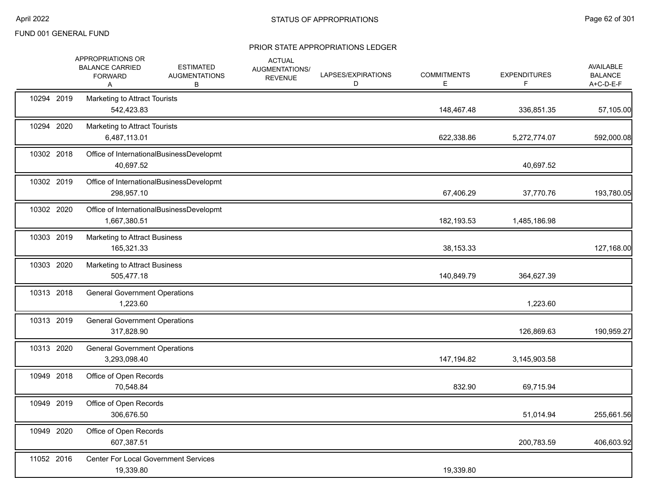|            | APPROPRIATIONS OR<br><b>BALANCE CARRIED</b><br><b>FORWARD</b><br>A | <b>ESTIMATED</b><br><b>AUGMENTATIONS</b><br>В | <b>ACTUAL</b><br>AUGMENTATIONS/<br><b>REVENUE</b> | LAPSES/EXPIRATIONS<br>D | <b>COMMITMENTS</b><br>Е | <b>EXPENDITURES</b><br>F. | <b>AVAILABLE</b><br><b>BALANCE</b><br>A+C-D-E-F |
|------------|--------------------------------------------------------------------|-----------------------------------------------|---------------------------------------------------|-------------------------|-------------------------|---------------------------|-------------------------------------------------|
| 10294 2019 | Marketing to Attract Tourists<br>542,423.83                        |                                               |                                                   |                         | 148,467.48              | 336,851.35                | 57,105.00                                       |
| 10294 2020 | Marketing to Attract Tourists<br>6,487,113.01                      |                                               |                                                   |                         | 622,338.86              | 5,272,774.07              | 592,000.08                                      |
| 10302 2018 | 40,697.52                                                          | Office of InternationalBusinessDevelopmt      |                                                   |                         |                         | 40,697.52                 |                                                 |
| 10302 2019 | 298,957.10                                                         | Office of InternationalBusinessDevelopmt      |                                                   |                         | 67,406.29               | 37,770.76                 | 193,780.05                                      |
| 10302 2020 | 1,667,380.51                                                       | Office of InternationalBusinessDevelopmt      |                                                   |                         | 182,193.53              | 1,485,186.98              |                                                 |
| 10303 2019 | <b>Marketing to Attract Business</b><br>165,321.33                 |                                               |                                                   |                         | 38,153.33               |                           | 127,168.00                                      |
| 10303 2020 | <b>Marketing to Attract Business</b><br>505,477.18                 |                                               |                                                   |                         | 140,849.79              | 364,627.39                |                                                 |
| 10313 2018 | <b>General Government Operations</b><br>1,223.60                   |                                               |                                                   |                         |                         | 1,223.60                  |                                                 |
| 10313 2019 | <b>General Government Operations</b><br>317,828.90                 |                                               |                                                   |                         |                         | 126,869.63                | 190,959.27                                      |
| 10313 2020 | <b>General Government Operations</b><br>3,293,098.40               |                                               |                                                   |                         | 147,194.82              | 3,145,903.58              |                                                 |
| 10949 2018 | Office of Open Records<br>70,548.84                                |                                               |                                                   |                         | 832.90                  | 69,715.94                 |                                                 |
| 10949 2019 | Office of Open Records<br>306,676.50                               |                                               |                                                   |                         |                         | 51,014.94                 | 255,661.56                                      |
| 10949 2020 | Office of Open Records<br>607,387.51                               |                                               |                                                   |                         |                         | 200,783.59                | 406,603.92                                      |
| 11052 2016 | 19,339.80                                                          | <b>Center For Local Government Services</b>   |                                                   |                         | 19,339.80               |                           |                                                 |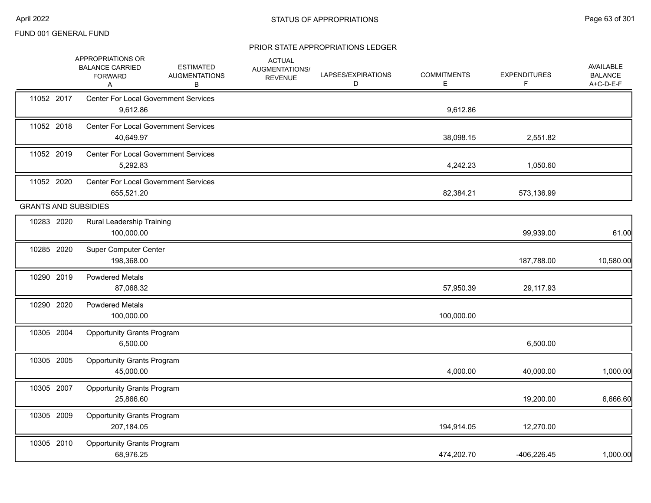|                             | APPROPRIATIONS OR<br><b>BALANCE CARRIED</b><br><b>FORWARD</b><br>A | <b>ESTIMATED</b><br><b>AUGMENTATIONS</b><br>В | <b>ACTUAL</b><br>AUGMENTATIONS/<br><b>REVENUE</b> | LAPSES/EXPIRATIONS<br>D | <b>COMMITMENTS</b><br>Е | <b>EXPENDITURES</b><br>F | AVAILABLE<br><b>BALANCE</b><br>A+C-D-E-F |
|-----------------------------|--------------------------------------------------------------------|-----------------------------------------------|---------------------------------------------------|-------------------------|-------------------------|--------------------------|------------------------------------------|
| 11052 2017                  | <b>Center For Local Government Services</b><br>9,612.86            |                                               |                                                   |                         | 9,612.86                |                          |                                          |
| 11052 2018                  | <b>Center For Local Government Services</b><br>40,649.97           |                                               |                                                   |                         | 38,098.15               | 2,551.82                 |                                          |
| 11052 2019                  | <b>Center For Local Government Services</b><br>5,292.83            |                                               |                                                   |                         | 4,242.23                | 1,050.60                 |                                          |
| 11052 2020                  | <b>Center For Local Government Services</b><br>655,521.20          |                                               |                                                   |                         | 82,384.21               | 573,136.99               |                                          |
| <b>GRANTS AND SUBSIDIES</b> |                                                                    |                                               |                                                   |                         |                         |                          |                                          |
| 10283 2020                  | Rural Leadership Training<br>100,000.00                            |                                               |                                                   |                         |                         | 99,939.00                | 61.00                                    |
| 10285 2020                  | <b>Super Computer Center</b><br>198,368.00                         |                                               |                                                   |                         |                         | 187,788.00               | 10,580.00                                |
| 10290 2019                  | <b>Powdered Metals</b><br>87,068.32                                |                                               |                                                   |                         | 57,950.39               | 29,117.93                |                                          |
| 10290 2020                  | <b>Powdered Metals</b><br>100,000.00                               |                                               |                                                   |                         | 100,000.00              |                          |                                          |
| 10305 2004                  | <b>Opportunity Grants Program</b><br>6,500.00                      |                                               |                                                   |                         |                         | 6,500.00                 |                                          |
| 10305 2005                  | <b>Opportunity Grants Program</b><br>45,000.00                     |                                               |                                                   |                         | 4,000.00                | 40,000.00                | 1,000.00                                 |
| 10305 2007                  | <b>Opportunity Grants Program</b><br>25,866.60                     |                                               |                                                   |                         |                         | 19,200.00                | 6,666.60                                 |
| 10305 2009                  | <b>Opportunity Grants Program</b><br>207,184.05                    |                                               |                                                   |                         | 194,914.05              | 12,270.00                |                                          |
| 10305 2010                  | <b>Opportunity Grants Program</b><br>68,976.25                     |                                               |                                                   |                         | 474,202.70              | $-406,226.45$            | 1,000.00                                 |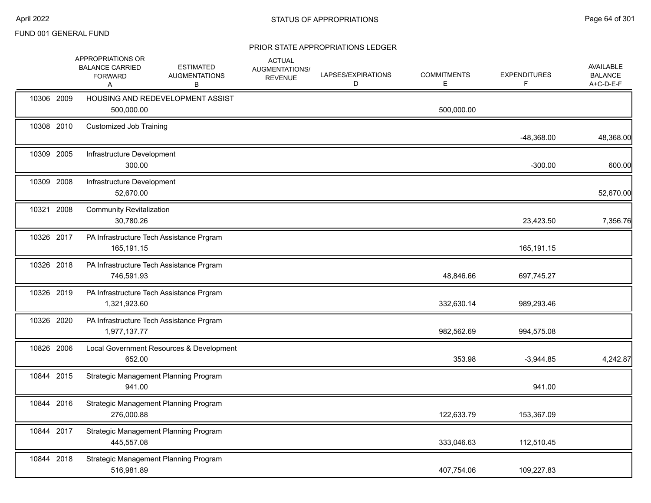|            | APPROPRIATIONS OR<br><b>BALANCE CARRIED</b><br><b>FORWARD</b><br>Α | <b>ESTIMATED</b><br><b>AUGMENTATIONS</b><br>В | <b>ACTUAL</b><br>AUGMENTATIONS/<br><b>REVENUE</b> | LAPSES/EXPIRATIONS<br>D | <b>COMMITMENTS</b><br>Е | <b>EXPENDITURES</b><br>F | <b>AVAILABLE</b><br><b>BALANCE</b><br>A+C-D-E-F |
|------------|--------------------------------------------------------------------|-----------------------------------------------|---------------------------------------------------|-------------------------|-------------------------|--------------------------|-------------------------------------------------|
| 10306 2009 | 500,000.00                                                         | HOUSING AND REDEVELOPMENT ASSIST              |                                                   |                         | 500,000.00              |                          |                                                 |
| 10308 2010 | <b>Customized Job Training</b>                                     |                                               |                                                   |                         |                         | $-48,368.00$             | 48,368.00                                       |
| 10309 2005 | Infrastructure Development<br>300.00                               |                                               |                                                   |                         |                         | $-300.00$                | 600.00                                          |
| 10309 2008 | Infrastructure Development<br>52,670.00                            |                                               |                                                   |                         |                         |                          | 52,670.00                                       |
| 10321 2008 | <b>Community Revitalization</b><br>30,780.26                       |                                               |                                                   |                         |                         | 23,423.50                | 7,356.76                                        |
| 10326 2017 | 165,191.15                                                         | PA Infrastructure Tech Assistance Prgram      |                                                   |                         |                         | 165,191.15               |                                                 |
| 10326 2018 | 746,591.93                                                         | PA Infrastructure Tech Assistance Prgram      |                                                   |                         | 48,846.66               | 697,745.27               |                                                 |
| 10326 2019 | 1,321,923.60                                                       | PA Infrastructure Tech Assistance Prgram      |                                                   |                         | 332,630.14              | 989,293.46               |                                                 |
| 10326 2020 | 1,977,137.77                                                       | PA Infrastructure Tech Assistance Prgram      |                                                   |                         | 982,562.69              | 994,575.08               |                                                 |
| 10826 2006 | 652.00                                                             | Local Government Resources & Development      |                                                   |                         | 353.98                  | $-3,944.85$              | 4,242.87                                        |
| 10844 2015 | 941.00                                                             | Strategic Management Planning Program         |                                                   |                         |                         | 941.00                   |                                                 |
| 10844 2016 | 276,000.88                                                         | Strategic Management Planning Program         |                                                   |                         | 122,633.79              | 153,367.09               |                                                 |
| 10844 2017 | 445,557.08                                                         | Strategic Management Planning Program         |                                                   |                         | 333,046.63              | 112,510.45               |                                                 |
| 10844 2018 | 516,981.89                                                         | Strategic Management Planning Program         |                                                   |                         | 407,754.06              | 109,227.83               |                                                 |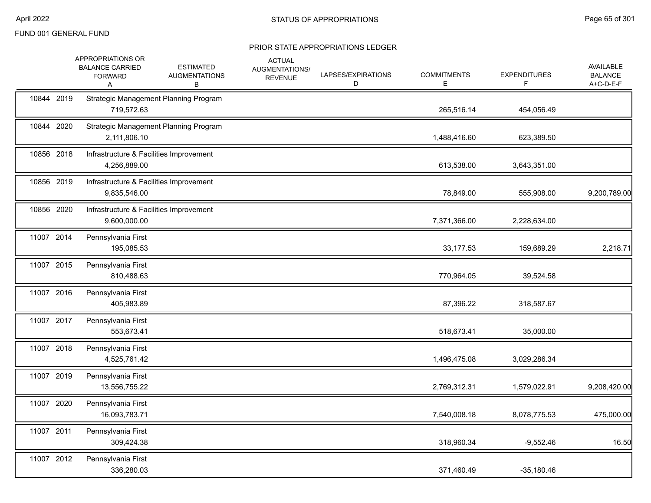|            | APPROPRIATIONS OR<br><b>BALANCE CARRIED</b><br><b>FORWARD</b><br>Α | <b>ESTIMATED</b><br><b>AUGMENTATIONS</b><br>в | <b>ACTUAL</b><br>AUGMENTATIONS/<br><b>REVENUE</b> | LAPSES/EXPIRATIONS<br>D | <b>COMMITMENTS</b><br>Е | <b>EXPENDITURES</b><br>F. | AVAILABLE<br><b>BALANCE</b><br>A+C-D-E-F |
|------------|--------------------------------------------------------------------|-----------------------------------------------|---------------------------------------------------|-------------------------|-------------------------|---------------------------|------------------------------------------|
| 10844 2019 | 719,572.63                                                         | <b>Strategic Management Planning Program</b>  |                                                   |                         | 265,516.14              | 454,056.49                |                                          |
| 10844 2020 | 2,111,806.10                                                       | Strategic Management Planning Program         |                                                   |                         | 1,488,416.60            | 623,389.50                |                                          |
| 10856 2018 | Infrastructure & Facilities Improvement<br>4,256,889.00            |                                               |                                                   |                         | 613,538.00              | 3,643,351.00              |                                          |
| 10856 2019 | Infrastructure & Facilities Improvement<br>9,835,546.00            |                                               |                                                   |                         | 78,849.00               | 555,908.00                | 9,200,789.00                             |
| 10856 2020 | Infrastructure & Facilities Improvement<br>9,600,000.00            |                                               |                                                   |                         | 7,371,366.00            | 2,228,634.00              |                                          |
| 11007 2014 | Pennsylvania First<br>195,085.53                                   |                                               |                                                   |                         | 33,177.53               | 159,689.29                | 2,218.71                                 |
| 11007 2015 | Pennsylvania First<br>810,488.63                                   |                                               |                                                   |                         | 770,964.05              | 39,524.58                 |                                          |
| 11007 2016 | Pennsylvania First<br>405,983.89                                   |                                               |                                                   |                         | 87,396.22               | 318,587.67                |                                          |
| 11007 2017 | Pennsylvania First<br>553,673.41                                   |                                               |                                                   |                         | 518,673.41              | 35,000.00                 |                                          |
| 11007 2018 | Pennsylvania First<br>4,525,761.42                                 |                                               |                                                   |                         | 1,496,475.08            | 3,029,286.34              |                                          |
| 11007 2019 | Pennsylvania First<br>13,556,755.22                                |                                               |                                                   |                         | 2,769,312.31            | 1,579,022.91              | 9,208,420.00                             |
| 11007 2020 | Pennsylvania First<br>16,093,783.71                                |                                               |                                                   |                         | 7,540,008.18            | 8,078,775.53              | 475,000.00                               |
| 11007 2011 | Pennsylvania First<br>309,424.38                                   |                                               |                                                   |                         | 318,960.34              | $-9,552.46$               | 16.50                                    |
| 11007 2012 | Pennsylvania First<br>336,280.03                                   |                                               |                                                   |                         | 371,460.49              | $-35,180.46$              |                                          |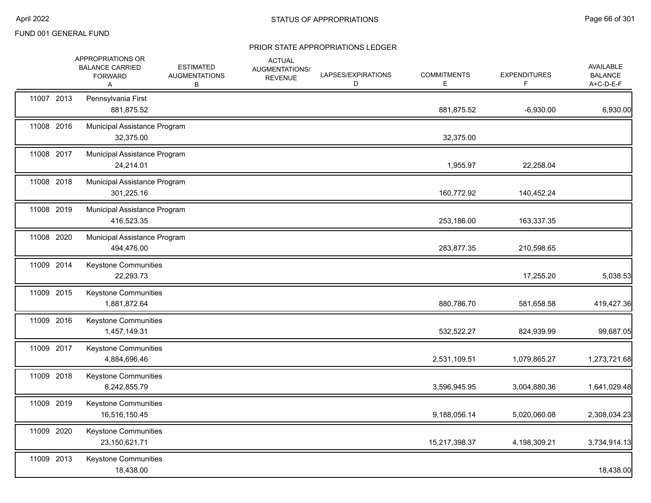|            | APPROPRIATIONS OR<br><b>BALANCE CARRIED</b><br><b>FORWARD</b><br>Α | <b>ESTIMATED</b><br><b>AUGMENTATIONS</b><br>В | <b>ACTUAL</b><br>AUGMENTATIONS/<br><b>REVENUE</b> | LAPSES/EXPIRATIONS<br>D | <b>COMMITMENTS</b><br>Ε | <b>EXPENDITURES</b><br>F. | <b>AVAILABLE</b><br><b>BALANCE</b><br>A+C-D-E-F |
|------------|--------------------------------------------------------------------|-----------------------------------------------|---------------------------------------------------|-------------------------|-------------------------|---------------------------|-------------------------------------------------|
| 11007 2013 | Pennsylvania First<br>881,875.52                                   |                                               |                                                   |                         | 881,875.52              | $-6,930.00$               | 6,930.00                                        |
| 11008 2016 | Municipal Assistance Program<br>32,375.00                          |                                               |                                                   |                         | 32,375.00               |                           |                                                 |
| 11008 2017 | Municipal Assistance Program<br>24,214.01                          |                                               |                                                   |                         | 1,955.97                | 22,258.04                 |                                                 |
| 11008 2018 | Municipal Assistance Program<br>301,225.16                         |                                               |                                                   |                         | 160,772.92              | 140,452.24                |                                                 |
| 11008 2019 | Municipal Assistance Program<br>416,523.35                         |                                               |                                                   |                         | 253,186.00              | 163,337.35                |                                                 |
| 11008 2020 | Municipal Assistance Program<br>494,476.00                         |                                               |                                                   |                         | 283,877.35              | 210,598.65                |                                                 |
| 11009 2014 | Keystone Communities<br>22,293.73                                  |                                               |                                                   |                         |                         | 17,255.20                 | 5,038.53                                        |
| 11009 2015 | <b>Keystone Communities</b><br>1,881,872.64                        |                                               |                                                   |                         | 880,786.70              | 581,658.58                | 419,427.36                                      |
| 11009 2016 | <b>Keystone Communities</b><br>1,457,149.31                        |                                               |                                                   |                         | 532,522.27              | 824,939.99                | 99,687.05                                       |
| 11009 2017 | <b>Keystone Communities</b><br>4,884,696.46                        |                                               |                                                   |                         | 2,531,109.51            | 1,079,865.27              | 1,273,721.68                                    |
| 11009 2018 | Keystone Communities<br>8,242,855.79                               |                                               |                                                   |                         | 3,596,945.95            | 3,004,880.36              | 1,641,029.48                                    |
| 11009 2019 | <b>Keystone Communities</b><br>16,516,150.45                       |                                               |                                                   |                         | 9,188,056.14            | 5,020,060.08              | 2,308,034.23                                    |
| 11009 2020 | Keystone Communities<br>23,150,621.71                              |                                               |                                                   |                         | 15,217,398.37           | 4,198,309.21              | 3,734,914.13                                    |
| 11009 2013 | <b>Keystone Communities</b><br>18,438.00                           |                                               |                                                   |                         |                         |                           | 18,438.00                                       |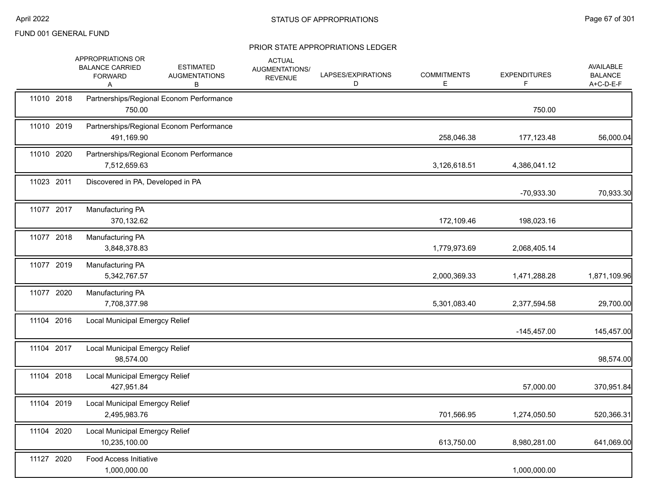|            | APPROPRIATIONS OR<br><b>BALANCE CARRIED</b><br><b>FORWARD</b><br>Α | <b>ESTIMATED</b><br><b>AUGMENTATIONS</b><br>в | <b>ACTUAL</b><br>AUGMENTATIONS/<br><b>REVENUE</b> | LAPSES/EXPIRATIONS<br>D | <b>COMMITMENTS</b><br>E | <b>EXPENDITURES</b><br>F | AVAILABLE<br><b>BALANCE</b><br>A+C-D-E-F |
|------------|--------------------------------------------------------------------|-----------------------------------------------|---------------------------------------------------|-------------------------|-------------------------|--------------------------|------------------------------------------|
| 11010 2018 | 750.00                                                             | Partnerships/Regional Econom Performance      |                                                   |                         |                         | 750.00                   |                                          |
| 11010 2019 | 491,169.90                                                         | Partnerships/Regional Econom Performance      |                                                   |                         | 258,046.38              | 177,123.48               | 56,000.04                                |
| 11010 2020 | 7,512,659.63                                                       | Partnerships/Regional Econom Performance      |                                                   |                         | 3,126,618.51            | 4,386,041.12             |                                          |
| 11023 2011 | Discovered in PA, Developed in PA                                  |                                               |                                                   |                         |                         | -70,933.30               | 70,933.30                                |
| 11077 2017 | Manufacturing PA<br>370,132.62                                     |                                               |                                                   |                         | 172,109.46              | 198,023.16               |                                          |
| 11077 2018 | Manufacturing PA<br>3,848,378.83                                   |                                               |                                                   |                         | 1,779,973.69            | 2,068,405.14             |                                          |
| 11077 2019 | Manufacturing PA<br>5,342,767.57                                   |                                               |                                                   |                         | 2,000,369.33            | 1,471,288.28             | 1,871,109.96                             |
| 11077 2020 | Manufacturing PA<br>7,708,377.98                                   |                                               |                                                   |                         | 5,301,083.40            | 2,377,594.58             | 29,700.00                                |
| 11104 2016 | <b>Local Municipal Emergcy Relief</b>                              |                                               |                                                   |                         |                         | $-145,457.00$            | 145,457.00                               |
| 11104 2017 | <b>Local Municipal Emergcy Relief</b><br>98,574.00                 |                                               |                                                   |                         |                         |                          | 98,574.00                                |
| 11104 2018 | Local Municipal Emergcy Relief<br>427,951.84                       |                                               |                                                   |                         |                         | 57,000.00                | 370,951.84                               |
| 11104 2019 | Local Municipal Emergcy Relief<br>2,495,983.76                     |                                               |                                                   |                         | 701,566.95              | 1,274,050.50             | 520,366.31                               |
| 11104 2020 | <b>Local Municipal Emergcy Relief</b><br>10,235,100.00             |                                               |                                                   |                         | 613,750.00              | 8,980,281.00             | 641,069.00                               |
| 11127 2020 | <b>Food Access Initiative</b><br>1,000,000.00                      |                                               |                                                   |                         |                         | 1,000,000.00             |                                          |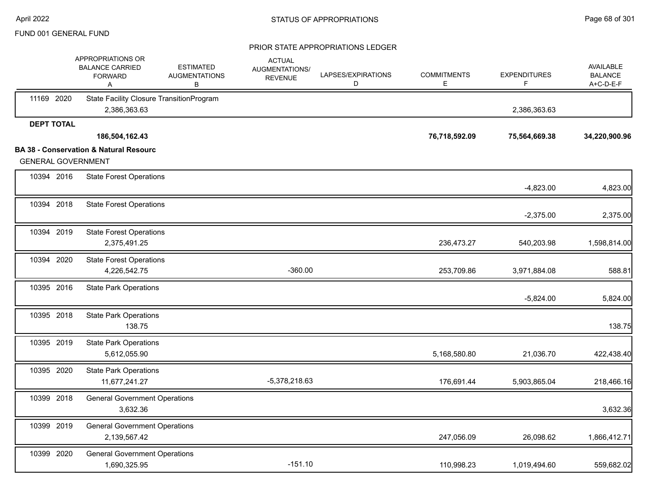|                           | APPROPRIATIONS OR<br><b>BALANCE CARRIED</b><br><b>FORWARD</b><br>Α | <b>ESTIMATED</b><br><b>AUGMENTATIONS</b><br>в | <b>ACTUAL</b><br>AUGMENTATIONS/<br><b>REVENUE</b> | LAPSES/EXPIRATIONS<br>D | <b>COMMITMENTS</b><br>E. | <b>EXPENDITURES</b><br>F | <b>AVAILABLE</b><br><b>BALANCE</b><br>A+C-D-E-F |
|---------------------------|--------------------------------------------------------------------|-----------------------------------------------|---------------------------------------------------|-------------------------|--------------------------|--------------------------|-------------------------------------------------|
| 11169 2020                | State Facility Closure TransitionProgram<br>2,386,363.63           |                                               |                                                   |                         |                          | 2,386,363.63             |                                                 |
| <b>DEPT TOTAL</b>         |                                                                    |                                               |                                                   |                         |                          |                          |                                                 |
|                           | 186,504,162.43                                                     |                                               |                                                   |                         | 76,718,592.09            | 75,564,669.38            | 34,220,900.96                                   |
|                           | <b>BA 38 - Conservation &amp; Natural Resourc</b>                  |                                               |                                                   |                         |                          |                          |                                                 |
| <b>GENERAL GOVERNMENT</b> |                                                                    |                                               |                                                   |                         |                          |                          |                                                 |
| 10394 2016                | <b>State Forest Operations</b>                                     |                                               |                                                   |                         |                          | $-4,823.00$              | 4,823.00                                        |
| 10394 2018                | <b>State Forest Operations</b>                                     |                                               |                                                   |                         |                          | $-2,375.00$              | 2,375.00                                        |
| 10394 2019                | <b>State Forest Operations</b><br>2,375,491.25                     |                                               |                                                   |                         | 236,473.27               | 540,203.98               | 1,598,814.00                                    |
| 10394 2020                | <b>State Forest Operations</b><br>4,226,542.75                     |                                               | $-360.00$                                         |                         | 253,709.86               | 3,971,884.08             | 588.81                                          |
| 10395 2016                | <b>State Park Operations</b>                                       |                                               |                                                   |                         |                          | $-5,824.00$              | 5,824.00                                        |
| 10395 2018                | <b>State Park Operations</b><br>138.75                             |                                               |                                                   |                         |                          |                          | 138.75                                          |
| 10395 2019                | <b>State Park Operations</b><br>5,612,055.90                       |                                               |                                                   |                         | 5,168,580.80             | 21,036.70                | 422,438.40                                      |
| 10395 2020                | <b>State Park Operations</b><br>11,677,241.27                      |                                               | -5,378,218.63                                     |                         | 176,691.44               | 5,903,865.04             | 218,466.16                                      |
| 10399 2018                | <b>General Government Operations</b><br>3,632.36                   |                                               |                                                   |                         |                          |                          | 3,632.36                                        |
| 10399 2019                | <b>General Government Operations</b><br>2,139,567.42               |                                               |                                                   |                         | 247,056.09               | 26,098.62                | 1,866,412.71                                    |
| 10399 2020                | <b>General Government Operations</b><br>1,690,325.95               |                                               | $-151.10$                                         |                         | 110,998.23               | 1,019,494.60             | 559,682.02                                      |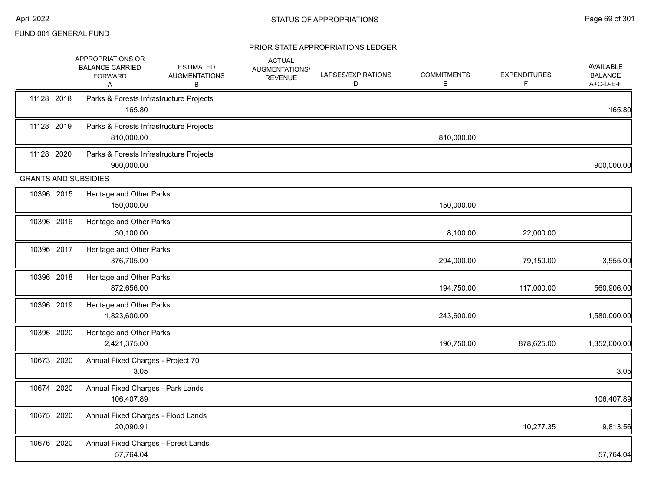|                             | APPROPRIATIONS OR<br><b>BALANCE CARRIED</b><br><b>FORWARD</b><br>A | <b>ESTIMATED</b><br><b>AUGMENTATIONS</b><br>в | <b>ACTUAL</b><br>AUGMENTATIONS/<br><b>REVENUE</b> | LAPSES/EXPIRATIONS<br>D | <b>COMMITMENTS</b><br>Е | <b>EXPENDITURES</b><br>F | AVAILABLE<br><b>BALANCE</b><br>A+C-D-E-F |
|-----------------------------|--------------------------------------------------------------------|-----------------------------------------------|---------------------------------------------------|-------------------------|-------------------------|--------------------------|------------------------------------------|
| 11128 2018                  | Parks & Forests Infrastructure Projects<br>165.80                  |                                               |                                                   |                         |                         |                          | 165.80                                   |
| 11128 2019                  | Parks & Forests Infrastructure Projects<br>810,000.00              |                                               |                                                   |                         | 810,000.00              |                          |                                          |
| 11128 2020                  | Parks & Forests Infrastructure Projects<br>900,000.00              |                                               |                                                   |                         |                         |                          | 900,000.00                               |
| <b>GRANTS AND SUBSIDIES</b> |                                                                    |                                               |                                                   |                         |                         |                          |                                          |
| 10396 2015                  | Heritage and Other Parks<br>150,000.00                             |                                               |                                                   |                         | 150,000.00              |                          |                                          |
| 10396 2016                  | Heritage and Other Parks<br>30,100.00                              |                                               |                                                   |                         | 8,100.00                | 22,000.00                |                                          |
| 10396 2017                  | Heritage and Other Parks<br>376,705.00                             |                                               |                                                   |                         | 294,000.00              | 79,150.00                | 3,555.00                                 |
| 10396 2018                  | Heritage and Other Parks<br>872,656.00                             |                                               |                                                   |                         | 194,750.00              | 117,000.00               | 560,906.00                               |
| 10396 2019                  | Heritage and Other Parks<br>1,823,600.00                           |                                               |                                                   |                         | 243,600.00              |                          | 1,580,000.00                             |
| 10396 2020                  | Heritage and Other Parks<br>2,421,375.00                           |                                               |                                                   |                         | 190,750.00              | 878,625.00               | 1,352,000.00                             |
| 10673 2020                  | Annual Fixed Charges - Project 70<br>3.05                          |                                               |                                                   |                         |                         |                          | 3.05                                     |
| 10674 2020                  | Annual Fixed Charges - Park Lands<br>106,407.89                    |                                               |                                                   |                         |                         |                          | 106,407.89                               |
| 10675 2020                  | Annual Fixed Charges - Flood Lands<br>20,090.91                    |                                               |                                                   |                         |                         | 10,277.35                | 9,813.56                                 |
| 10676 2020                  | Annual Fixed Charges - Forest Lands<br>57,764.04                   |                                               |                                                   |                         |                         |                          | 57,764.04                                |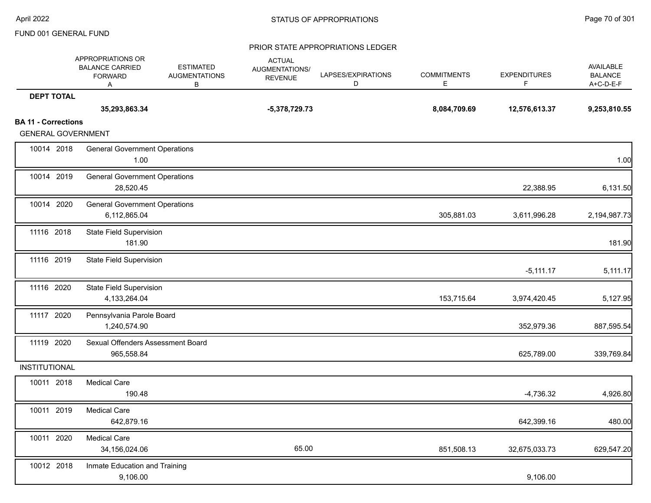|                                                         | APPROPRIATIONS OR<br><b>BALANCE CARRIED</b><br><b>FORWARD</b><br>Α | <b>ESTIMATED</b><br><b>AUGMENTATIONS</b><br>В | <b>ACTUAL</b><br>AUGMENTATIONS/<br><b>REVENUE</b> | LAPSES/EXPIRATIONS<br>D | <b>COMMITMENTS</b><br>E | <b>EXPENDITURES</b><br>F | AVAILABLE<br><b>BALANCE</b><br>A+C-D-E-F |
|---------------------------------------------------------|--------------------------------------------------------------------|-----------------------------------------------|---------------------------------------------------|-------------------------|-------------------------|--------------------------|------------------------------------------|
| <b>DEPT TOTAL</b>                                       |                                                                    |                                               |                                                   |                         |                         |                          |                                          |
|                                                         | 35,293,863.34                                                      |                                               | $-5,378,729.73$                                   |                         | 8,084,709.69            | 12,576,613.37            | 9,253,810.55                             |
| <b>BA 11 - Corrections</b><br><b>GENERAL GOVERNMENT</b> |                                                                    |                                               |                                                   |                         |                         |                          |                                          |
| 10014 2018                                              | <b>General Government Operations</b><br>1.00                       |                                               |                                                   |                         |                         |                          | 1.00                                     |
| 10014 2019                                              | <b>General Government Operations</b><br>28,520.45                  |                                               |                                                   |                         |                         | 22,388.95                | 6,131.50                                 |
| 10014 2020                                              | <b>General Government Operations</b><br>6,112,865.04               |                                               |                                                   |                         | 305,881.03              | 3,611,996.28             | 2,194,987.73                             |
| 11116 2018                                              | <b>State Field Supervision</b><br>181.90                           |                                               |                                                   |                         |                         |                          | 181.90                                   |
| 11116 2019                                              | <b>State Field Supervision</b>                                     |                                               |                                                   |                         |                         | $-5,111.17$              | 5,111.17                                 |
| 11116 2020                                              | <b>State Field Supervision</b><br>4,133,264.04                     |                                               |                                                   |                         | 153,715.64              | 3,974,420.45             | 5,127.95                                 |
| 11117 2020                                              | Pennsylvania Parole Board<br>1,240,574.90                          |                                               |                                                   |                         |                         | 352,979.36               | 887,595.54                               |
| 11119 2020                                              | Sexual Offenders Assessment Board<br>965,558.84                    |                                               |                                                   |                         |                         | 625,789.00               | 339,769.84                               |
| INSTITUTIONAL                                           |                                                                    |                                               |                                                   |                         |                         |                          |                                          |
| 10011 2018                                              | <b>Medical Care</b><br>190.48                                      |                                               |                                                   |                         |                         | $-4,736.32$              | 4,926.80                                 |
| 10011 2019                                              | <b>Medical Care</b><br>642,879.16                                  |                                               |                                                   |                         |                         | 642,399.16               | 480.00                                   |
| 10011 2020                                              | <b>Medical Care</b><br>34,156,024.06                               |                                               | 65.00                                             |                         | 851,508.13              | 32,675,033.73            | 629,547.20                               |
| 10012 2018                                              | Inmate Education and Training<br>9,106.00                          |                                               |                                                   |                         |                         | 9,106.00                 |                                          |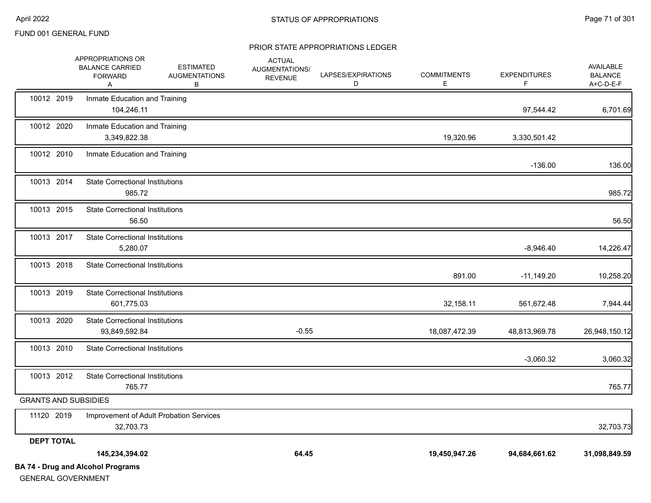|                             | <b>BA 74 - Drug and Alcohol Programs</b>                           |                                               |                                                   |                         |                         |                           |                                          |
|-----------------------------|--------------------------------------------------------------------|-----------------------------------------------|---------------------------------------------------|-------------------------|-------------------------|---------------------------|------------------------------------------|
|                             | 145,234,394.02                                                     |                                               | 64.45                                             |                         | 19,450,947.26           | 94,684,661.62             | 31,098,849.59                            |
| <b>DEPT TOTAL</b>           |                                                                    |                                               |                                                   |                         |                         |                           |                                          |
| 11120 2019                  | Improvement of Adult Probation Services<br>32,703.73               |                                               |                                                   |                         |                         |                           | 32,703.73                                |
| <b>GRANTS AND SUBSIDIES</b> |                                                                    |                                               |                                                   |                         |                         |                           |                                          |
| 10013 2012                  | <b>State Correctional Institutions</b><br>765.77                   |                                               |                                                   |                         |                         |                           | 765.77                                   |
| 10013 2010                  | <b>State Correctional Institutions</b>                             |                                               |                                                   |                         |                         | $-3,060.32$               | 3,060.32                                 |
| 10013 2020                  | <b>State Correctional Institutions</b><br>93,849,592.84            |                                               | $-0.55$                                           |                         | 18,087,472.39           | 48,813,969.78             | 26,948,150.12                            |
| 10013 2019                  | <b>State Correctional Institutions</b><br>601,775.03               |                                               |                                                   |                         | 32,158.11               | 561,672.48                | 7,944.44                                 |
| 10013 2018                  | <b>State Correctional Institutions</b>                             |                                               |                                                   |                         | 891.00                  | $-11,149.20$              | 10,258.20                                |
| 10013 2017                  | <b>State Correctional Institutions</b><br>5,280.07                 |                                               |                                                   |                         |                         | $-8,946.40$               | 14,226.47                                |
| 10013 2015                  | <b>State Correctional Institutions</b><br>56.50                    |                                               |                                                   |                         |                         |                           | 56.50                                    |
| 10013 2014                  | <b>State Correctional Institutions</b><br>985.72                   |                                               |                                                   |                         |                         |                           | 985.72                                   |
| 10012 2010                  | Inmate Education and Training                                      |                                               |                                                   |                         |                         | $-136.00$                 | 136.00                                   |
| 10012 2020                  | Inmate Education and Training<br>3,349,822.38                      |                                               |                                                   |                         | 19,320.96               | 3,330,501.42              |                                          |
| 10012 2019                  | Inmate Education and Training<br>104,246.11                        |                                               |                                                   |                         |                         | 97,544.42                 | 6,701.69                                 |
|                             | APPROPRIATIONS OR<br><b>BALANCE CARRIED</b><br><b>FORWARD</b><br>Α | <b>ESTIMATED</b><br><b>AUGMENTATIONS</b><br>В | <b>ACTUAL</b><br>AUGMENTATIONS/<br><b>REVENUE</b> | LAPSES/EXPIRATIONS<br>D | <b>COMMITMENTS</b><br>Е | <b>EXPENDITURES</b><br>F. | AVAILABLE<br><b>BALANCE</b><br>A+C-D-E-F |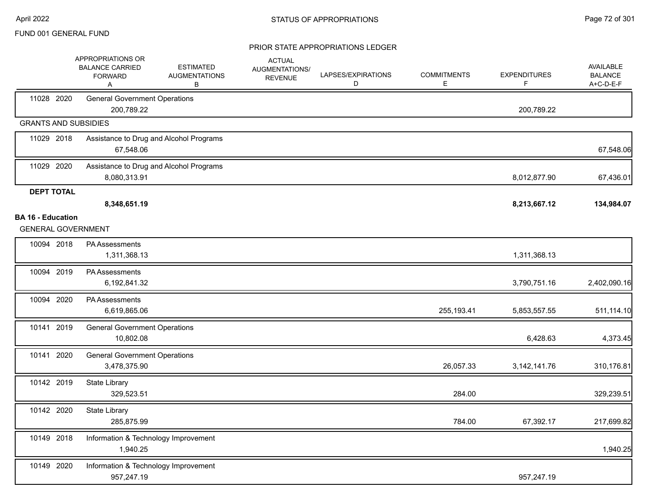|                                                       | <b>APPROPRIATIONS OR</b><br><b>BALANCE CARRIED</b><br><b>FORWARD</b><br>Α | <b>ESTIMATED</b><br><b>AUGMENTATIONS</b><br>В | <b>ACTUAL</b><br>AUGMENTATIONS/<br><b>REVENUE</b> | LAPSES/EXPIRATIONS<br>D | <b>COMMITMENTS</b><br>Е | <b>EXPENDITURES</b><br>F | AVAILABLE<br><b>BALANCE</b><br>A+C-D-E-F |
|-------------------------------------------------------|---------------------------------------------------------------------------|-----------------------------------------------|---------------------------------------------------|-------------------------|-------------------------|--------------------------|------------------------------------------|
| 11028 2020                                            | <b>General Government Operations</b><br>200,789.22                        |                                               |                                                   |                         |                         | 200,789.22               |                                          |
| <b>GRANTS AND SUBSIDIES</b>                           |                                                                           |                                               |                                                   |                         |                         |                          |                                          |
| 11029 2018                                            | 67,548.06                                                                 | Assistance to Drug and Alcohol Programs       |                                                   |                         |                         |                          | 67,548.06                                |
| 11029 2020                                            | 8,080,313.91                                                              | Assistance to Drug and Alcohol Programs       |                                                   |                         |                         | 8,012,877.90             | 67,436.01                                |
| <b>DEPT TOTAL</b>                                     |                                                                           |                                               |                                                   |                         |                         |                          |                                          |
|                                                       | 8,348,651.19                                                              |                                               |                                                   |                         |                         | 8,213,667.12             | 134,984.07                               |
| <b>BA 16 - Education</b><br><b>GENERAL GOVERNMENT</b> |                                                                           |                                               |                                                   |                         |                         |                          |                                          |
|                                                       |                                                                           |                                               |                                                   |                         |                         |                          |                                          |
| 10094 2018                                            | PA Assessments<br>1,311,368.13                                            |                                               |                                                   |                         |                         | 1,311,368.13             |                                          |
| 10094 2019                                            | PA Assessments<br>6,192,841.32                                            |                                               |                                                   |                         |                         | 3,790,751.16             | 2,402,090.16                             |
| 10094 2020                                            | PA Assessments<br>6,619,865.06                                            |                                               |                                                   |                         | 255, 193.41             | 5,853,557.55             | 511,114.10                               |
| 10141 2019                                            | <b>General Government Operations</b><br>10,802.08                         |                                               |                                                   |                         |                         | 6,428.63                 | 4,373.45                                 |
| 10141 2020                                            | <b>General Government Operations</b><br>3,478,375.90                      |                                               |                                                   |                         | 26,057.33               | 3, 142, 141. 76          | 310,176.81                               |
| 10142 2019                                            | State Library<br>329,523.51                                               |                                               |                                                   |                         | 284.00                  |                          | 329,239.51                               |
| 10142 2020                                            | State Library<br>285,875.99                                               |                                               |                                                   |                         | 784.00                  | 67,392.17                | 217,699.82                               |
| 10149 2018                                            | Information & Technology Improvement<br>1,940.25                          |                                               |                                                   |                         |                         |                          | 1,940.25                                 |
| 10149 2020                                            | Information & Technology Improvement<br>957,247.19                        |                                               |                                                   |                         |                         | 957,247.19               |                                          |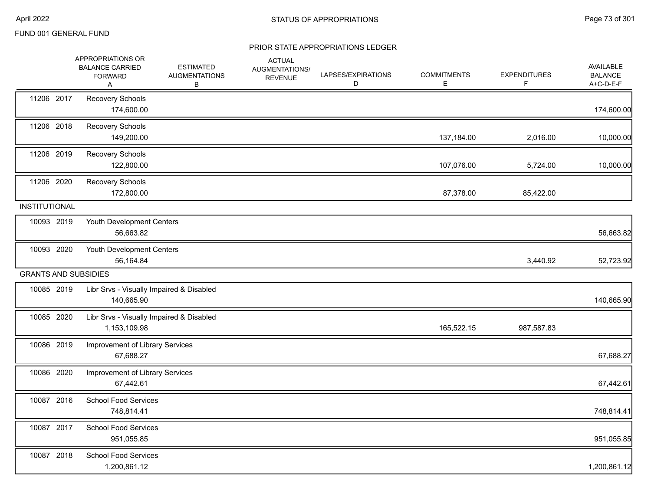|                      | APPROPRIATIONS OR<br><b>BALANCE CARRIED</b><br><b>FORWARD</b><br>Α | <b>ESTIMATED</b><br><b>AUGMENTATIONS</b><br>В | <b>ACTUAL</b><br><b>AUGMENTATIONS/</b><br><b>REVENUE</b> | LAPSES/EXPIRATIONS<br>D | <b>COMMITMENTS</b><br>Е | <b>EXPENDITURES</b><br>F. | AVAILABLE<br><b>BALANCE</b><br>A+C-D-E-F |
|----------------------|--------------------------------------------------------------------|-----------------------------------------------|----------------------------------------------------------|-------------------------|-------------------------|---------------------------|------------------------------------------|
| 11206 2017           | Recovery Schools<br>174,600.00                                     |                                               |                                                          |                         |                         |                           | 174,600.00                               |
| 11206 2018           | Recovery Schools<br>149,200.00                                     |                                               |                                                          |                         | 137,184.00              | 2,016.00                  | 10,000.00                                |
| 11206 2019           | Recovery Schools<br>122,800.00                                     |                                               |                                                          |                         | 107,076.00              | 5,724.00                  | 10,000.00                                |
| 11206 2020           | Recovery Schools<br>172,800.00                                     |                                               |                                                          |                         | 87,378.00               | 85,422.00                 |                                          |
| <b>INSTITUTIONAL</b> |                                                                    |                                               |                                                          |                         |                         |                           |                                          |
| 10093 2019           | Youth Development Centers<br>56,663.82                             |                                               |                                                          |                         |                         |                           | 56,663.82                                |
| 10093 2020           | Youth Development Centers<br>56,164.84                             |                                               |                                                          |                         |                         | 3,440.92                  | 52,723.92                                |
|                      | <b>GRANTS AND SUBSIDIES</b>                                        |                                               |                                                          |                         |                         |                           |                                          |
| 10085 2019           | Libr Srvs - Visually Impaired & Disabled<br>140,665.90             |                                               |                                                          |                         |                         |                           | 140,665.90                               |
| 10085 2020           | Libr Srvs - Visually Impaired & Disabled<br>1,153,109.98           |                                               |                                                          |                         | 165,522.15              | 987,587.83                |                                          |
| 10086 2019           | Improvement of Library Services<br>67,688.27                       |                                               |                                                          |                         |                         |                           | 67,688.27                                |
| 10086 2020           | Improvement of Library Services<br>67,442.61                       |                                               |                                                          |                         |                         |                           | 67,442.61                                |
| 10087 2016           | <b>School Food Services</b><br>748,814.41                          |                                               |                                                          |                         |                         |                           | 748,814.41                               |
| 10087 2017           | <b>School Food Services</b><br>951,055.85                          |                                               |                                                          |                         |                         |                           | 951,055.85                               |
| 10087 2018           | <b>School Food Services</b><br>1,200,861.12                        |                                               |                                                          |                         |                         |                           | 1,200,861.12                             |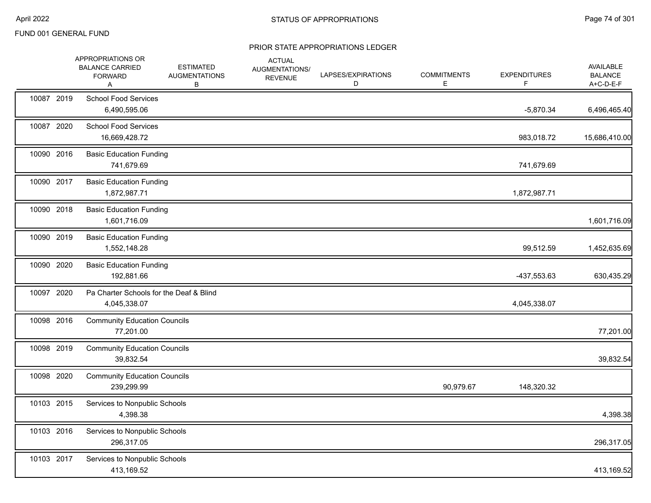|            | <b>APPROPRIATIONS OR</b><br><b>BALANCE CARRIED</b><br><b>FORWARD</b><br>A | <b>ESTIMATED</b><br><b>AUGMENTATIONS</b><br>В | <b>ACTUAL</b><br>AUGMENTATIONS/<br><b>REVENUE</b> | LAPSES/EXPIRATIONS<br>D | <b>COMMITMENTS</b><br>Е | <b>EXPENDITURES</b><br>F. | AVAILABLE<br><b>BALANCE</b><br>A+C-D-E-F |
|------------|---------------------------------------------------------------------------|-----------------------------------------------|---------------------------------------------------|-------------------------|-------------------------|---------------------------|------------------------------------------|
| 10087 2019 | <b>School Food Services</b><br>6,490,595.06                               |                                               |                                                   |                         |                         | $-5,870.34$               | 6,496,465.40                             |
| 10087 2020 | <b>School Food Services</b><br>16,669,428.72                              |                                               |                                                   |                         |                         | 983,018.72                | 15,686,410.00                            |
| 10090 2016 | <b>Basic Education Funding</b><br>741,679.69                              |                                               |                                                   |                         |                         | 741,679.69                |                                          |
| 10090 2017 | <b>Basic Education Funding</b><br>1,872,987.71                            |                                               |                                                   |                         |                         | 1,872,987.71              |                                          |
| 10090 2018 | <b>Basic Education Funding</b><br>1,601,716.09                            |                                               |                                                   |                         |                         |                           | 1,601,716.09                             |
| 10090 2019 | <b>Basic Education Funding</b><br>1,552,148.28                            |                                               |                                                   |                         |                         | 99,512.59                 | 1,452,635.69                             |
| 10090 2020 | <b>Basic Education Funding</b><br>192,881.66                              |                                               |                                                   |                         |                         | -437,553.63               | 630,435.29                               |
| 10097 2020 | Pa Charter Schools for the Deaf & Blind<br>4,045,338.07                   |                                               |                                                   |                         |                         | 4,045,338.07              |                                          |
| 10098 2016 | <b>Community Education Councils</b><br>77,201.00                          |                                               |                                                   |                         |                         |                           | 77,201.00                                |
| 10098 2019 | <b>Community Education Councils</b><br>39,832.54                          |                                               |                                                   |                         |                         |                           | 39,832.54                                |
| 10098 2020 | <b>Community Education Councils</b><br>239,299.99                         |                                               |                                                   |                         | 90,979.67               | 148,320.32                |                                          |
| 10103 2015 | Services to Nonpublic Schools<br>4,398.38                                 |                                               |                                                   |                         |                         |                           | 4,398.38                                 |
| 10103 2016 | Services to Nonpublic Schools<br>296,317.05                               |                                               |                                                   |                         |                         |                           | 296,317.05                               |
| 10103 2017 | Services to Nonpublic Schools<br>413,169.52                               |                                               |                                                   |                         |                         |                           | 413,169.52                               |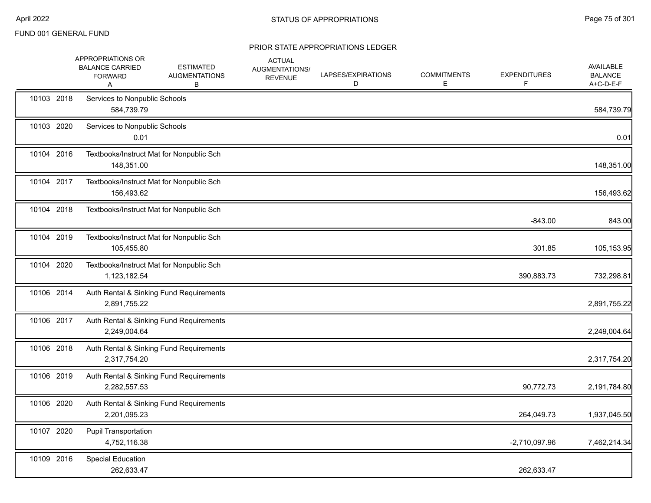|            | APPROPRIATIONS OR<br><b>BALANCE CARRIED</b><br><b>FORWARD</b><br>Α | <b>ESTIMATED</b><br><b>AUGMENTATIONS</b><br>B | <b>ACTUAL</b><br>AUGMENTATIONS/<br><b>REVENUE</b> | LAPSES/EXPIRATIONS<br>D | <b>COMMITMENTS</b><br>Е | <b>EXPENDITURES</b> | AVAILABLE<br><b>BALANCE</b><br>A+C-D-E-F |
|------------|--------------------------------------------------------------------|-----------------------------------------------|---------------------------------------------------|-------------------------|-------------------------|---------------------|------------------------------------------|
| 10103 2018 | Services to Nonpublic Schools<br>584,739.79                        |                                               |                                                   |                         |                         |                     | 584,739.79                               |
| 10103 2020 | Services to Nonpublic Schools<br>0.01                              |                                               |                                                   |                         |                         |                     | 0.01                                     |
| 10104 2016 | 148,351.00                                                         | Textbooks/Instruct Mat for Nonpublic Sch      |                                                   |                         |                         |                     | 148,351.00                               |
| 10104 2017 | 156,493.62                                                         | Textbooks/Instruct Mat for Nonpublic Sch      |                                                   |                         |                         |                     | 156,493.62                               |
| 10104 2018 |                                                                    | Textbooks/Instruct Mat for Nonpublic Sch      |                                                   |                         |                         | $-843.00$           | 843.00                                   |
| 10104 2019 | 105,455.80                                                         | Textbooks/Instruct Mat for Nonpublic Sch      |                                                   |                         |                         | 301.85              | 105,153.95                               |
| 10104 2020 | 1,123,182.54                                                       | Textbooks/Instruct Mat for Nonpublic Sch      |                                                   |                         |                         | 390,883.73          | 732,298.81                               |
| 10106 2014 | 2,891,755.22                                                       | Auth Rental & Sinking Fund Requirements       |                                                   |                         |                         |                     | 2,891,755.22                             |
| 10106 2017 | 2,249,004.64                                                       | Auth Rental & Sinking Fund Requirements       |                                                   |                         |                         |                     | 2,249,004.64                             |
| 10106 2018 | 2,317,754.20                                                       | Auth Rental & Sinking Fund Requirements       |                                                   |                         |                         |                     | 2,317,754.20                             |
| 10106 2019 | 2,282,557.53                                                       | Auth Rental & Sinking Fund Requirements       |                                                   |                         |                         | 90,772.73           | 2,191,784.80                             |
| 10106 2020 | 2,201,095.23                                                       | Auth Rental & Sinking Fund Requirements       |                                                   |                         |                         | 264,049.73          | 1,937,045.50                             |
| 10107 2020 | <b>Pupil Transportation</b><br>4,752,116.38                        |                                               |                                                   |                         |                         | $-2,710,097.96$     | 7,462,214.34                             |
| 10109 2016 | Special Education<br>262,633.47                                    |                                               |                                                   |                         |                         | 262,633.47          |                                          |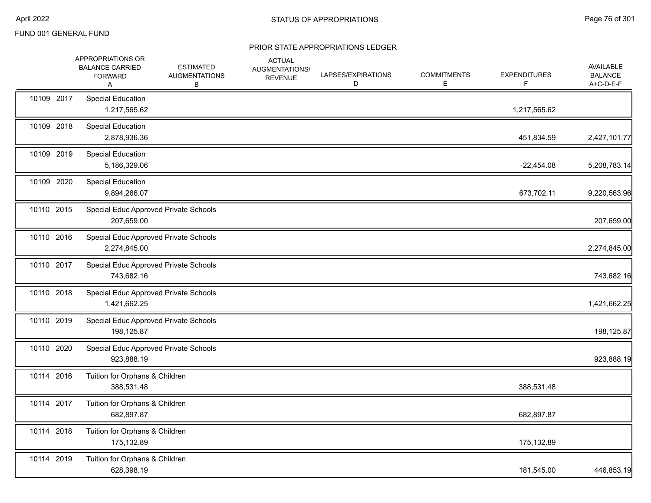|            | APPROPRIATIONS OR<br><b>BALANCE CARRIED</b><br><b>FORWARD</b><br>A | <b>ESTIMATED</b><br><b>AUGMENTATIONS</b><br>В | <b>ACTUAL</b><br><b>AUGMENTATIONS/</b><br><b>REVENUE</b> | LAPSES/EXPIRATIONS<br>D | <b>COMMITMENTS</b><br>E | <b>EXPENDITURES</b><br>F. | AVAILABLE<br><b>BALANCE</b><br>A+C-D-E-F |
|------------|--------------------------------------------------------------------|-----------------------------------------------|----------------------------------------------------------|-------------------------|-------------------------|---------------------------|------------------------------------------|
| 10109 2017 | Special Education<br>1,217,565.62                                  |                                               |                                                          |                         |                         | 1,217,565.62              |                                          |
| 10109 2018 | <b>Special Education</b><br>2,878,936.36                           |                                               |                                                          |                         |                         | 451,834.59                | 2,427,101.77                             |
| 10109 2019 | <b>Special Education</b><br>5,186,329.06                           |                                               |                                                          |                         |                         | $-22,454.08$              | 5,208,783.14                             |
| 10109 2020 | <b>Special Education</b><br>9,894,266.07                           |                                               |                                                          |                         |                         | 673,702.11                | 9,220,563.96                             |
| 10110 2015 | Special Educ Approved Private Schools<br>207,659.00                |                                               |                                                          |                         |                         |                           | 207,659.00                               |
| 10110 2016 | Special Educ Approved Private Schools<br>2,274,845.00              |                                               |                                                          |                         |                         |                           | 2,274,845.00                             |
| 10110 2017 | Special Educ Approved Private Schools<br>743,682.16                |                                               |                                                          |                         |                         |                           | 743,682.16                               |
| 10110 2018 | Special Educ Approved Private Schools<br>1,421,662.25              |                                               |                                                          |                         |                         |                           | 1,421,662.25                             |
| 10110 2019 | Special Educ Approved Private Schools<br>198,125.87                |                                               |                                                          |                         |                         |                           | 198,125.87                               |
| 10110 2020 | Special Educ Approved Private Schools<br>923,888.19                |                                               |                                                          |                         |                         |                           | 923,888.19                               |
| 10114 2016 | Tuition for Orphans & Children<br>388,531.48                       |                                               |                                                          |                         |                         | 388,531.48                |                                          |
| 10114 2017 | Tuition for Orphans & Children<br>682,897.87                       |                                               |                                                          |                         |                         | 682,897.87                |                                          |
| 10114 2018 | Tuition for Orphans & Children<br>175,132.89                       |                                               |                                                          |                         |                         | 175,132.89                |                                          |
| 10114 2019 | Tuition for Orphans & Children<br>628,398.19                       |                                               |                                                          |                         |                         | 181,545.00                | 446,853.19                               |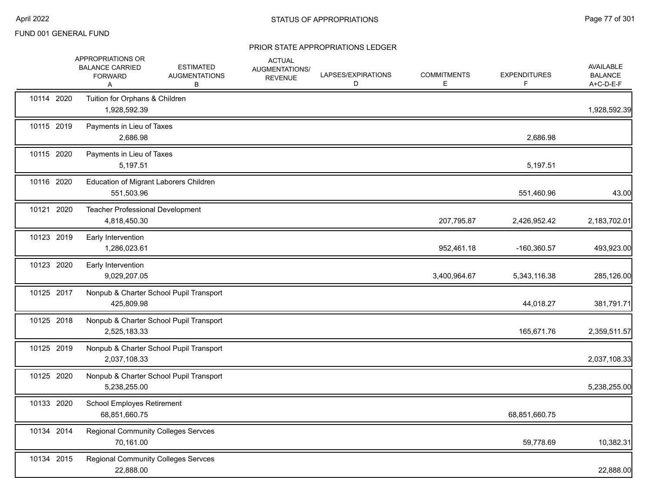|            | APPROPRIATIONS OR<br><b>BALANCE CARRIED</b><br><b>FORWARD</b><br>Α | <b>ESTIMATED</b><br><b>AUGMENTATIONS</b><br>В | <b>ACTUAL</b><br>AUGMENTATIONS/<br><b>REVENUE</b> | LAPSES/EXPIRATIONS<br>D | <b>COMMITMENTS</b><br>Е | <b>EXPENDITURES</b><br>F | <b>AVAILABLE</b><br><b>BALANCE</b><br>A+C-D-E-F |
|------------|--------------------------------------------------------------------|-----------------------------------------------|---------------------------------------------------|-------------------------|-------------------------|--------------------------|-------------------------------------------------|
| 10114 2020 | Tuition for Orphans & Children<br>1,928,592.39                     |                                               |                                                   |                         |                         |                          | 1,928,592.39                                    |
| 10115 2019 | Payments in Lieu of Taxes<br>2,686.98                              |                                               |                                                   |                         |                         | 2,686.98                 |                                                 |
| 10115 2020 | Payments in Lieu of Taxes<br>5,197.51                              |                                               |                                                   |                         |                         | 5,197.51                 |                                                 |
| 10116 2020 | Education of Migrant Laborers Children<br>551,503.96               |                                               |                                                   |                         |                         | 551,460.96               | 43.00                                           |
| 10121 2020 | Teacher Professional Development<br>4,818,450.30                   |                                               |                                                   |                         | 207,795.87              | 2,426,952.42             | 2,183,702.01                                    |
| 10123 2019 | Early Intervention<br>1,286,023.61                                 |                                               |                                                   |                         | 952,461.18              | $-160,360.57$            | 493,923.00                                      |
| 10123 2020 | Early Intervention<br>9,029,207.05                                 |                                               |                                                   |                         | 3,400,964.67            | 5,343,116.38             | 285,126.00                                      |
| 10125 2017 | 425,809.98                                                         | Nonpub & Charter School Pupil Transport       |                                                   |                         |                         | 44,018.27                | 381,791.71                                      |
| 10125 2018 | 2,525,183.33                                                       | Nonpub & Charter School Pupil Transport       |                                                   |                         |                         | 165,671.76               | 2,359,511.57                                    |
| 10125 2019 | 2,037,108.33                                                       | Nonpub & Charter School Pupil Transport       |                                                   |                         |                         |                          | 2,037,108.33                                    |
| 10125 2020 | 5,238,255.00                                                       | Nonpub & Charter School Pupil Transport       |                                                   |                         |                         |                          | 5,238,255.00                                    |
| 10133 2020 | <b>School Employes Retirement</b><br>68,851,660.75                 |                                               |                                                   |                         |                         | 68,851,660.75            |                                                 |
| 10134 2014 | <b>Regional Community Colleges Servces</b><br>70,161.00            |                                               |                                                   |                         |                         | 59,778.69                | 10,382.31                                       |
| 10134 2015 | <b>Regional Community Colleges Servces</b><br>22,888.00            |                                               |                                                   |                         |                         |                          | 22,888.00                                       |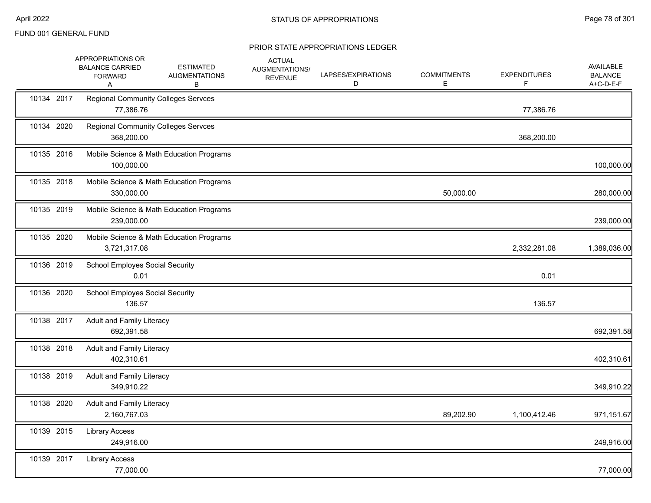|            | APPROPRIATIONS OR<br><b>BALANCE CARRIED</b><br><b>FORWARD</b><br>A | <b>ESTIMATED</b><br><b>AUGMENTATIONS</b><br>в | <b>ACTUAL</b><br>AUGMENTATIONS/<br><b>REVENUE</b> | LAPSES/EXPIRATIONS<br>D | <b>COMMITMENTS</b><br>E | <b>EXPENDITURES</b><br>F. | AVAILABLE<br><b>BALANCE</b><br>A+C-D-E-F |
|------------|--------------------------------------------------------------------|-----------------------------------------------|---------------------------------------------------|-------------------------|-------------------------|---------------------------|------------------------------------------|
| 10134 2017 | <b>Regional Community Colleges Servces</b><br>77,386.76            |                                               |                                                   |                         |                         | 77,386.76                 |                                          |
| 10134 2020 | <b>Regional Community Colleges Servces</b><br>368,200.00           |                                               |                                                   |                         |                         | 368,200.00                |                                          |
| 10135 2016 | 100,000.00                                                         | Mobile Science & Math Education Programs      |                                                   |                         |                         |                           | 100,000.00                               |
| 10135 2018 | 330,000.00                                                         | Mobile Science & Math Education Programs      |                                                   |                         | 50,000.00               |                           | 280,000.00                               |
| 10135 2019 | 239,000.00                                                         | Mobile Science & Math Education Programs      |                                                   |                         |                         |                           | 239,000.00                               |
| 10135 2020 | 3,721,317.08                                                       | Mobile Science & Math Education Programs      |                                                   |                         |                         | 2,332,281.08              | 1,389,036.00                             |
| 10136 2019 | <b>School Employes Social Security</b><br>0.01                     |                                               |                                                   |                         |                         | 0.01                      |                                          |
| 10136 2020 | <b>School Employes Social Security</b><br>136.57                   |                                               |                                                   |                         |                         | 136.57                    |                                          |
| 10138 2017 | Adult and Family Literacy<br>692,391.58                            |                                               |                                                   |                         |                         |                           | 692,391.58                               |
| 10138 2018 | <b>Adult and Family Literacy</b><br>402,310.61                     |                                               |                                                   |                         |                         |                           | 402,310.61                               |
| 10138 2019 | Adult and Family Literacy<br>349,910.22                            |                                               |                                                   |                         |                         |                           | 349,910.22                               |
| 10138 2020 | Adult and Family Literacy<br>2,160,767.03                          |                                               |                                                   |                         | 89,202.90               | 1,100,412.46              | 971,151.67                               |
| 10139 2015 | <b>Library Access</b><br>249,916.00                                |                                               |                                                   |                         |                         |                           | 249,916.00                               |
| 10139 2017 | <b>Library Access</b><br>77,000.00                                 |                                               |                                                   |                         |                         |                           | 77,000.00                                |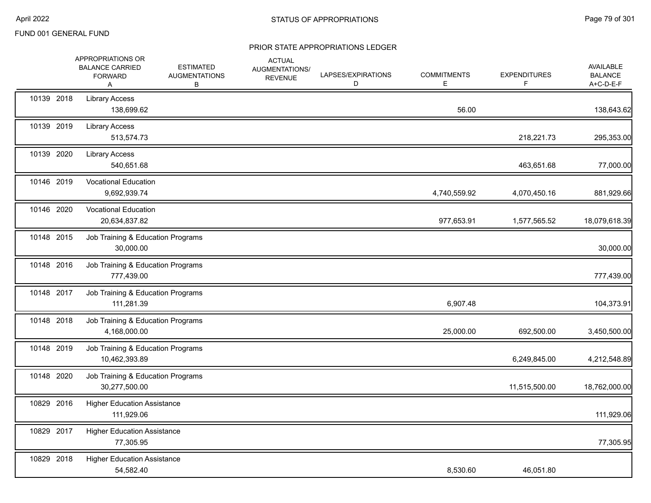|            | APPROPRIATIONS OR<br><b>BALANCE CARRIED</b><br><b>FORWARD</b><br>A | <b>ESTIMATED</b><br><b>AUGMENTATIONS</b><br>В | <b>ACTUAL</b><br>AUGMENTATIONS/<br><b>REVENUE</b> | LAPSES/EXPIRATIONS<br>D | <b>COMMITMENTS</b><br>E. | <b>EXPENDITURES</b> | AVAILABLE<br><b>BALANCE</b><br>A+C-D-E-F |
|------------|--------------------------------------------------------------------|-----------------------------------------------|---------------------------------------------------|-------------------------|--------------------------|---------------------|------------------------------------------|
| 10139 2018 | <b>Library Access</b><br>138,699.62                                |                                               |                                                   |                         | 56.00                    |                     | 138,643.62                               |
| 10139 2019 | <b>Library Access</b><br>513,574.73                                |                                               |                                                   |                         |                          | 218,221.73          | 295,353.00                               |
| 10139 2020 | <b>Library Access</b><br>540,651.68                                |                                               |                                                   |                         |                          | 463,651.68          | 77,000.00                                |
| 10146 2019 | <b>Vocational Education</b><br>9,692,939.74                        |                                               |                                                   |                         | 4,740,559.92             | 4,070,450.16        | 881,929.66                               |
| 10146 2020 | <b>Vocational Education</b><br>20,634,837.82                       |                                               |                                                   |                         | 977,653.91               | 1,577,565.52        | 18,079,618.39                            |
| 10148 2015 | Job Training & Education Programs<br>30,000.00                     |                                               |                                                   |                         |                          |                     | 30,000.00                                |
| 10148 2016 | Job Training & Education Programs<br>777,439.00                    |                                               |                                                   |                         |                          |                     | 777,439.00                               |
| 10148 2017 | Job Training & Education Programs<br>111,281.39                    |                                               |                                                   |                         | 6,907.48                 |                     | 104,373.91                               |
| 10148 2018 | Job Training & Education Programs<br>4,168,000.00                  |                                               |                                                   |                         | 25,000.00                | 692,500.00          | 3,450,500.00                             |
| 10148 2019 | Job Training & Education Programs<br>10,462,393.89                 |                                               |                                                   |                         |                          | 6,249,845.00        | 4,212,548.89                             |
| 10148 2020 | Job Training & Education Programs<br>30,277,500.00                 |                                               |                                                   |                         |                          | 11,515,500.00       | 18,762,000.00                            |
| 10829 2016 | <b>Higher Education Assistance</b><br>111,929.06                   |                                               |                                                   |                         |                          |                     | 111,929.06                               |
| 10829 2017 | <b>Higher Education Assistance</b><br>77,305.95                    |                                               |                                                   |                         |                          |                     | 77,305.95                                |
| 10829 2018 | <b>Higher Education Assistance</b><br>54,582.40                    |                                               |                                                   |                         | 8,530.60                 | 46,051.80           |                                          |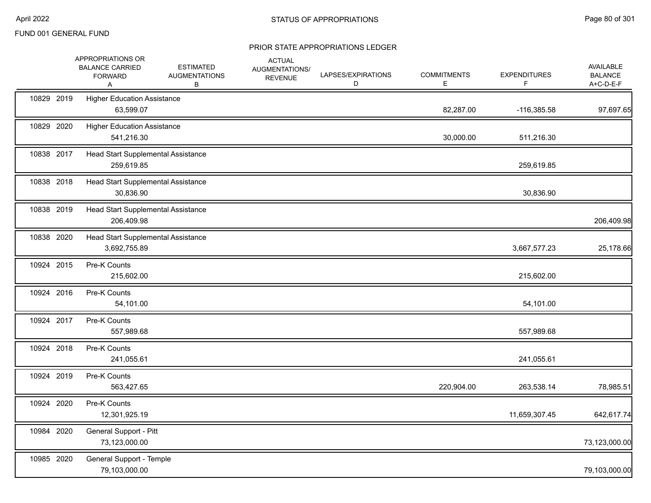|            | APPROPRIATIONS OR<br><b>BALANCE CARRIED</b><br><b>FORWARD</b><br>Α | <b>ESTIMATED</b><br><b>AUGMENTATIONS</b><br>В | <b>ACTUAL</b><br>AUGMENTATIONS/<br><b>REVENUE</b> | LAPSES/EXPIRATIONS<br>D | <b>COMMITMENTS</b><br>E | <b>EXPENDITURES</b><br>F. | AVAILABLE<br><b>BALANCE</b><br>A+C-D-E-F |
|------------|--------------------------------------------------------------------|-----------------------------------------------|---------------------------------------------------|-------------------------|-------------------------|---------------------------|------------------------------------------|
| 10829 2019 | <b>Higher Education Assistance</b><br>63,599.07                    |                                               |                                                   |                         | 82,287.00               | $-116,385.58$             | 97,697.65                                |
| 10829 2020 | <b>Higher Education Assistance</b><br>541,216.30                   |                                               |                                                   |                         | 30,000.00               | 511,216.30                |                                          |
| 10838 2017 | Head Start Supplemental Assistance<br>259,619.85                   |                                               |                                                   |                         |                         | 259,619.85                |                                          |
| 10838 2018 | Head Start Supplemental Assistance<br>30,836.90                    |                                               |                                                   |                         |                         | 30,836.90                 |                                          |
| 10838 2019 | Head Start Supplemental Assistance<br>206,409.98                   |                                               |                                                   |                         |                         |                           | 206,409.98                               |
| 10838 2020 | Head Start Supplemental Assistance<br>3,692,755.89                 |                                               |                                                   |                         |                         | 3,667,577.23              | 25,178.66                                |
| 10924 2015 | Pre-K Counts<br>215,602.00                                         |                                               |                                                   |                         |                         | 215,602.00                |                                          |
| 10924 2016 | Pre-K Counts<br>54,101.00                                          |                                               |                                                   |                         |                         | 54,101.00                 |                                          |
| 10924 2017 | Pre-K Counts<br>557,989.68                                         |                                               |                                                   |                         |                         | 557,989.68                |                                          |
| 10924 2018 | Pre-K Counts<br>241,055.61                                         |                                               |                                                   |                         |                         | 241,055.61                |                                          |
| 10924 2019 | Pre-K Counts<br>563,427.65                                         |                                               |                                                   |                         | 220,904.00              | 263,538.14                | 78,985.51                                |
| 10924 2020 | Pre-K Counts<br>12,301,925.19                                      |                                               |                                                   |                         |                         | 11,659,307.45             | 642,617.74                               |
| 10984 2020 | General Support - Pitt<br>73,123,000.00                            |                                               |                                                   |                         |                         |                           | 73,123,000.00                            |
| 10985 2020 | General Support - Temple<br>79,103,000.00                          |                                               |                                                   |                         |                         |                           | 79,103,000.00                            |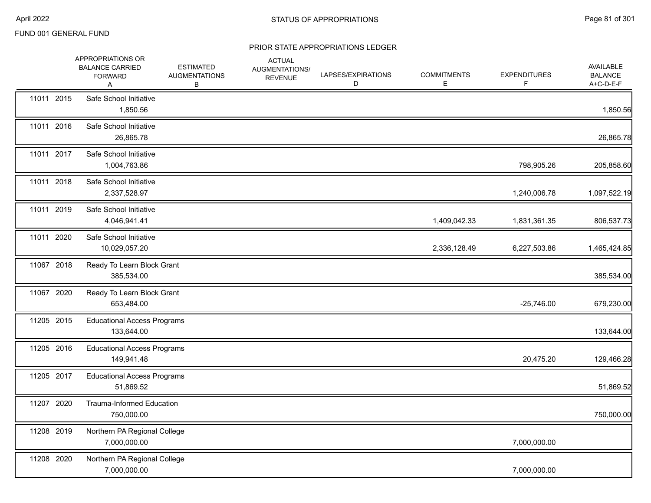|            | APPROPRIATIONS OR<br><b>BALANCE CARRIED</b><br><b>FORWARD</b><br>Α | <b>ESTIMATED</b><br><b>AUGMENTATIONS</b><br>В | <b>ACTUAL</b><br>AUGMENTATIONS/<br><b>REVENUE</b> | LAPSES/EXPIRATIONS<br>D | <b>COMMITMENTS</b><br>E. | <b>EXPENDITURES</b><br>F | <b>AVAILABLE</b><br><b>BALANCE</b><br>A+C-D-E-F |
|------------|--------------------------------------------------------------------|-----------------------------------------------|---------------------------------------------------|-------------------------|--------------------------|--------------------------|-------------------------------------------------|
| 11011 2015 | Safe School Initiative<br>1,850.56                                 |                                               |                                                   |                         |                          |                          | 1,850.56                                        |
| 11011 2016 | Safe School Initiative<br>26,865.78                                |                                               |                                                   |                         |                          |                          | 26,865.78                                       |
| 11011 2017 | Safe School Initiative<br>1,004,763.86                             |                                               |                                                   |                         |                          | 798,905.26               | 205,858.60                                      |
| 11011 2018 | Safe School Initiative<br>2,337,528.97                             |                                               |                                                   |                         |                          | 1,240,006.78             | 1,097,522.19                                    |
| 11011 2019 | Safe School Initiative<br>4,046,941.41                             |                                               |                                                   |                         | 1,409,042.33             | 1,831,361.35             | 806,537.73                                      |
| 11011 2020 | Safe School Initiative<br>10,029,057.20                            |                                               |                                                   |                         | 2,336,128.49             | 6,227,503.86             | 1,465,424.85                                    |
| 11067 2018 | Ready To Learn Block Grant<br>385,534.00                           |                                               |                                                   |                         |                          |                          | 385,534.00                                      |
| 11067 2020 | Ready To Learn Block Grant<br>653,484.00                           |                                               |                                                   |                         |                          | $-25,746.00$             | 679,230.00                                      |
| 11205 2015 | <b>Educational Access Programs</b><br>133,644.00                   |                                               |                                                   |                         |                          |                          | 133,644.00                                      |
| 11205 2016 | <b>Educational Access Programs</b><br>149,941.48                   |                                               |                                                   |                         |                          | 20,475.20                | 129,466.28                                      |
| 11205 2017 | <b>Educational Access Programs</b><br>51,869.52                    |                                               |                                                   |                         |                          |                          | 51,869.52                                       |
| 11207 2020 | Trauma-Informed Education<br>750,000.00                            |                                               |                                                   |                         |                          |                          | 750,000.00                                      |
| 11208 2019 | Northern PA Regional College<br>7,000,000.00                       |                                               |                                                   |                         |                          | 7,000,000.00             |                                                 |
| 11208 2020 | Northern PA Regional College<br>7,000,000.00                       |                                               |                                                   |                         |                          | 7,000,000.00             |                                                 |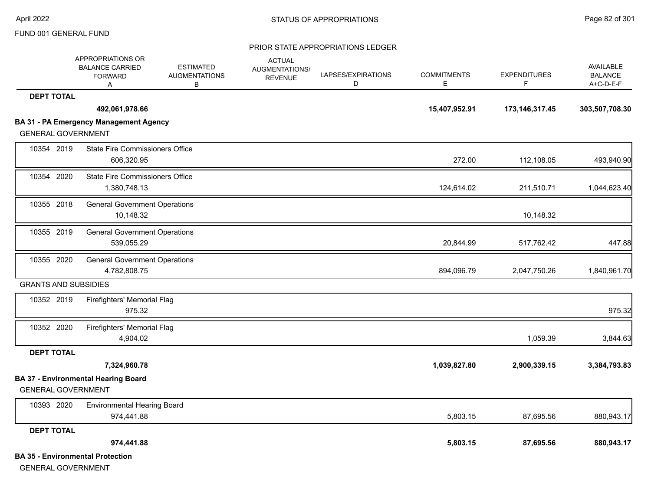|                             | APPROPRIATIONS OR<br><b>BALANCE CARRIED</b><br><b>FORWARD</b><br>A | <b>ESTIMATED</b><br><b>AUGMENTATIONS</b><br>В | <b>ACTUAL</b><br><b>AUGMENTATIONS/</b><br><b>REVENUE</b> | LAPSES/EXPIRATIONS<br>D | <b>COMMITMENTS</b><br>E. | <b>EXPENDITURES</b> | AVAILABLE<br><b>BALANCE</b><br>A+C-D-E-F |
|-----------------------------|--------------------------------------------------------------------|-----------------------------------------------|----------------------------------------------------------|-------------------------|--------------------------|---------------------|------------------------------------------|
| <b>DEPT TOTAL</b>           |                                                                    |                                               |                                                          |                         |                          |                     |                                          |
|                             | 492,061,978.66                                                     |                                               |                                                          |                         | 15,407,952.91            | 173, 146, 317. 45   | 303,507,708.30                           |
|                             | <b>BA 31 - PA Emergency Management Agency</b>                      |                                               |                                                          |                         |                          |                     |                                          |
| <b>GENERAL GOVERNMENT</b>   |                                                                    |                                               |                                                          |                         |                          |                     |                                          |
| 10354 2019                  | <b>State Fire Commissioners Office</b><br>606,320.95               |                                               |                                                          |                         | 272.00                   | 112,108.05          | 493,940.90                               |
| 10354 2020                  | <b>State Fire Commissioners Office</b><br>1,380,748.13             |                                               |                                                          |                         | 124,614.02               | 211,510.71          | 1,044,623.40                             |
| 10355 2018                  | <b>General Government Operations</b><br>10,148.32                  |                                               |                                                          |                         |                          | 10,148.32           |                                          |
| 10355 2019                  | <b>General Government Operations</b><br>539,055.29                 |                                               |                                                          |                         | 20,844.99                | 517,762.42          | 447.88                                   |
| 10355 2020                  | <b>General Government Operations</b>                               |                                               |                                                          |                         |                          |                     |                                          |
|                             | 4,782,808.75                                                       |                                               |                                                          |                         | 894,096.79               | 2,047,750.26        | 1,840,961.70                             |
| <b>GRANTS AND SUBSIDIES</b> |                                                                    |                                               |                                                          |                         |                          |                     |                                          |
| 10352 2019                  | Firefighters' Memorial Flag<br>975.32                              |                                               |                                                          |                         |                          |                     | 975.32                                   |
| 10352 2020                  | Firefighters' Memorial Flag<br>4,904.02                            |                                               |                                                          |                         |                          | 1,059.39            | 3,844.63                                 |
| <b>DEPT TOTAL</b>           |                                                                    |                                               |                                                          |                         |                          |                     |                                          |
|                             | 7,324,960.78                                                       |                                               |                                                          |                         | 1,039,827.80             | 2,900,339.15        | 3,384,793.83                             |
| <b>GENERAL GOVERNMENT</b>   | <b>BA 37 - Environmental Hearing Board</b>                         |                                               |                                                          |                         |                          |                     |                                          |
| 10393 2020                  | <b>Environmental Hearing Board</b><br>974,441.88                   |                                               |                                                          |                         | 5,803.15                 | 87,695.56           | 880,943.17                               |
| <b>DEPT TOTAL</b>           |                                                                    |                                               |                                                          |                         |                          |                     |                                          |
|                             | 974,441.88                                                         |                                               |                                                          |                         | 5,803.15                 | 87,695.56           | 880,943.17                               |
| <b>GENERAL GOVERNMENT</b>   | <b>BA 35 - Environmental Protection</b>                            |                                               |                                                          |                         |                          |                     |                                          |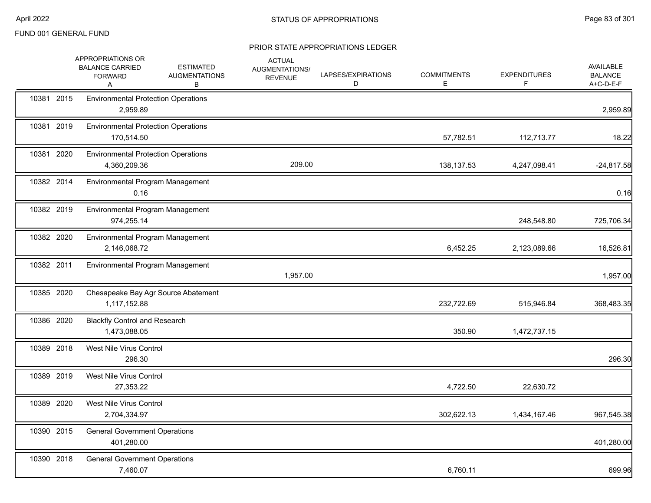|            | APPROPRIATIONS OR<br><b>BALANCE CARRIED</b><br><b>FORWARD</b><br>A | <b>ESTIMATED</b><br><b>AUGMENTATIONS</b><br>в | <b>ACTUAL</b><br>AUGMENTATIONS/<br><b>REVENUE</b> | LAPSES/EXPIRATIONS<br>D | <b>COMMITMENTS</b><br>E | <b>EXPENDITURES</b><br>F | <b>AVAILABLE</b><br><b>BALANCE</b><br>A+C-D-E-F |
|------------|--------------------------------------------------------------------|-----------------------------------------------|---------------------------------------------------|-------------------------|-------------------------|--------------------------|-------------------------------------------------|
| 10381 2015 | <b>Environmental Protection Operations</b><br>2,959.89             |                                               |                                                   |                         |                         |                          | 2,959.89                                        |
| 10381 2019 | <b>Environmental Protection Operations</b><br>170,514.50           |                                               |                                                   |                         | 57,782.51               | 112,713.77               | 18.22                                           |
| 10381 2020 | <b>Environmental Protection Operations</b><br>4,360,209.36         |                                               | 209.00                                            |                         | 138,137.53              | 4,247,098.41             | $-24,817.58$                                    |
| 10382 2014 | Environmental Program Management<br>0.16                           |                                               |                                                   |                         |                         |                          | 0.16                                            |
| 10382 2019 | Environmental Program Management<br>974,255.14                     |                                               |                                                   |                         |                         | 248,548.80               | 725,706.34                                      |
| 10382 2020 | Environmental Program Management<br>2,146,068.72                   |                                               |                                                   |                         | 6,452.25                | 2,123,089.66             | 16,526.81                                       |
| 10382 2011 | Environmental Program Management                                   |                                               | 1,957.00                                          |                         |                         |                          | 1,957.00                                        |
| 10385 2020 | 1,117,152.88                                                       | Chesapeake Bay Agr Source Abatement           |                                                   |                         | 232,722.69              | 515,946.84               | 368,483.35                                      |
| 10386 2020 | <b>Blackfly Control and Research</b><br>1,473,088.05               |                                               |                                                   |                         | 350.90                  | 1,472,737.15             |                                                 |
| 10389 2018 | West Nile Virus Control<br>296.30                                  |                                               |                                                   |                         |                         |                          | 296.30                                          |
| 10389 2019 | West Nile Virus Control<br>27,353.22                               |                                               |                                                   |                         | 4,722.50                | 22,630.72                |                                                 |
| 10389 2020 | West Nile Virus Control<br>2,704,334.97                            |                                               |                                                   |                         | 302,622.13              | 1,434,167.46             | 967,545.38                                      |
| 10390 2015 | <b>General Government Operations</b><br>401,280.00                 |                                               |                                                   |                         |                         |                          | 401,280.00                                      |
| 10390 2018 | <b>General Government Operations</b><br>7,460.07                   |                                               |                                                   |                         | 6,760.11                |                          | 699.96                                          |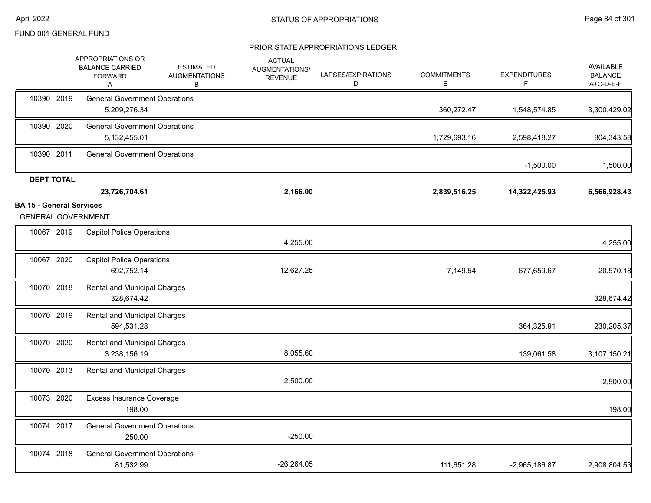|                                 | APPROPRIATIONS OR<br><b>BALANCE CARRIED</b><br><b>FORWARD</b><br>Α | <b>ESTIMATED</b><br><b>AUGMENTATIONS</b><br>В | <b>ACTUAL</b><br><b>AUGMENTATIONS/</b><br><b>REVENUE</b> | LAPSES/EXPIRATIONS<br>D | <b>COMMITMENTS</b><br>E. | <b>EXPENDITURES</b><br>F | AVAILABLE<br><b>BALANCE</b><br>A+C-D-E-F |
|---------------------------------|--------------------------------------------------------------------|-----------------------------------------------|----------------------------------------------------------|-------------------------|--------------------------|--------------------------|------------------------------------------|
| 10390 2019                      | <b>General Government Operations</b><br>5,209,276.34               |                                               |                                                          |                         | 360,272.47               | 1,548,574.85             | 3,300,429.02                             |
| 10390 2020                      | <b>General Government Operations</b><br>5,132,455.01               |                                               |                                                          |                         | 1,729,693.16             | 2,598,418.27             | 804,343.58                               |
| 10390 2011                      | <b>General Government Operations</b>                               |                                               |                                                          |                         |                          | $-1,500.00$              | 1,500.00                                 |
| <b>DEPT TOTAL</b>               | 23,726,704.61                                                      |                                               | 2,166.00                                                 |                         | 2,839,516.25             | 14,322,425.93            | 6,566,928.43                             |
| <b>BA 15 - General Services</b> | <b>GENERAL GOVERNMENT</b>                                          |                                               |                                                          |                         |                          |                          |                                          |
| 10067 2019                      | <b>Capitol Police Operations</b>                                   |                                               | 4,255.00                                                 |                         |                          |                          | 4,255.00                                 |
| 10067 2020                      | <b>Capitol Police Operations</b><br>692,752.14                     |                                               | 12,627.25                                                |                         | 7,149.54                 | 677,659.67               | 20,570.18                                |
| 10070 2018                      | Rental and Municipal Charges<br>328,674.42                         |                                               |                                                          |                         |                          |                          | 328,674.42                               |
| 10070 2019                      | <b>Rental and Municipal Charges</b><br>594,531.28                  |                                               |                                                          |                         |                          | 364,325.91               | 230,205.37                               |
| 10070 2020                      | <b>Rental and Municipal Charges</b><br>3,238,156.19                |                                               | 8,055.60                                                 |                         |                          | 139,061.58               | 3,107,150.21                             |
| 10070 2013                      | <b>Rental and Municipal Charges</b>                                |                                               | 2,500.00                                                 |                         |                          |                          | 2,500.00                                 |
| 10073 2020                      | <b>Excess Insurance Coverage</b><br>198.00                         |                                               |                                                          |                         |                          |                          | 198.00                                   |
| 10074 2017                      | <b>General Government Operations</b><br>250.00                     |                                               | $-250.00$                                                |                         |                          |                          |                                          |
| 10074 2018                      | <b>General Government Operations</b><br>81,532.99                  |                                               | $-26,264.05$                                             |                         | 111,651.28               | $-2,965,186.87$          | 2,908,804.53                             |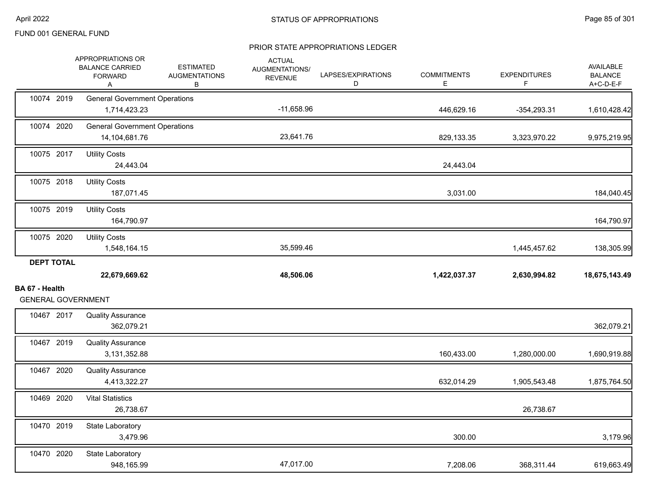|                                             | APPROPRIATIONS OR<br><b>BALANCE CARRIED</b><br><b>FORWARD</b><br>Α | <b>ESTIMATED</b><br><b>AUGMENTATIONS</b><br>В | <b>ACTUAL</b><br>AUGMENTATIONS/<br><b>REVENUE</b> | LAPSES/EXPIRATIONS<br>D | <b>COMMITMENTS</b><br>E | <b>EXPENDITURES</b><br>F. | AVAILABLE<br><b>BALANCE</b><br>A+C-D-E-F |
|---------------------------------------------|--------------------------------------------------------------------|-----------------------------------------------|---------------------------------------------------|-------------------------|-------------------------|---------------------------|------------------------------------------|
| 10074 2019                                  | <b>General Government Operations</b><br>1,714,423.23               |                                               | $-11,658.96$                                      |                         | 446,629.16              | $-354,293.31$             | 1,610,428.42                             |
| 10074 2020                                  | <b>General Government Operations</b><br>14,104,681.76              |                                               | 23,641.76                                         |                         | 829,133.35              | 3,323,970.22              | 9,975,219.95                             |
| 10075 2017                                  | <b>Utility Costs</b><br>24,443.04                                  |                                               |                                                   |                         | 24,443.04               |                           |                                          |
| 10075 2018                                  | <b>Utility Costs</b><br>187,071.45                                 |                                               |                                                   |                         | 3,031.00                |                           | 184,040.45                               |
| 10075 2019                                  | <b>Utility Costs</b><br>164,790.97                                 |                                               |                                                   |                         |                         |                           | 164,790.97                               |
| 10075 2020                                  | <b>Utility Costs</b><br>1,548,164.15                               |                                               | 35,599.46                                         |                         |                         | 1,445,457.62              | 138,305.99                               |
| <b>DEPT TOTAL</b>                           | 22,679,669.62                                                      |                                               | 48,506.06                                         |                         | 1,422,037.37            | 2,630,994.82              | 18,675,143.49                            |
| BA 67 - Health<br><b>GENERAL GOVERNMENT</b> |                                                                    |                                               |                                                   |                         |                         |                           |                                          |
| 10467 2017                                  | <b>Quality Assurance</b><br>362,079.21                             |                                               |                                                   |                         |                         |                           | 362,079.21                               |
| 10467 2019                                  | <b>Quality Assurance</b><br>3,131,352.88                           |                                               |                                                   |                         | 160,433.00              | 1,280,000.00              | 1,690,919.88                             |
| 10467 2020                                  | <b>Quality Assurance</b><br>4,413,322.27                           |                                               |                                                   |                         | 632,014.29              | 1,905,543.48              | 1,875,764.50                             |
| 10469 2020                                  | <b>Vital Statistics</b><br>26,738.67                               |                                               |                                                   |                         |                         | 26,738.67                 |                                          |
| 10470 2019                                  | State Laboratory<br>3,479.96                                       |                                               |                                                   |                         | 300.00                  |                           | 3,179.96                                 |
| 10470 2020                                  | State Laboratory<br>948,165.99                                     |                                               | 47,017.00                                         |                         | 7,208.06                | 368,311.44                | 619,663.49                               |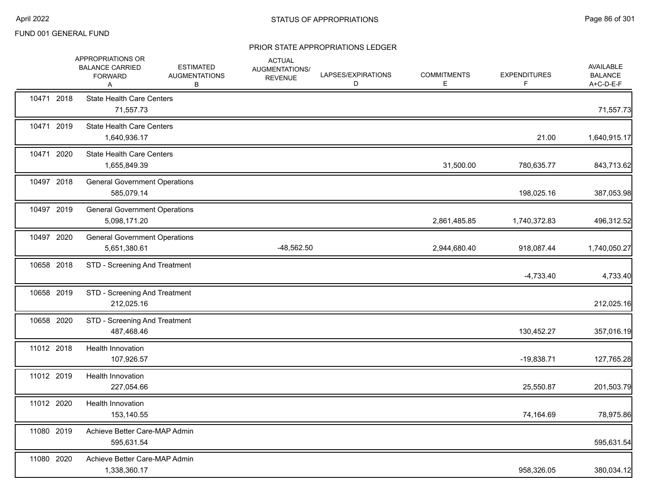|            | APPROPRIATIONS OR<br><b>BALANCE CARRIED</b><br><b>FORWARD</b><br>Α | <b>ESTIMATED</b><br><b>AUGMENTATIONS</b><br>В | <b>ACTUAL</b><br>AUGMENTATIONS/<br><b>REVENUE</b> | LAPSES/EXPIRATIONS<br>D | <b>COMMITMENTS</b><br>Е | <b>EXPENDITURES</b><br>F | AVAILABLE<br><b>BALANCE</b><br>A+C-D-E-F |
|------------|--------------------------------------------------------------------|-----------------------------------------------|---------------------------------------------------|-------------------------|-------------------------|--------------------------|------------------------------------------|
| 10471 2018 | <b>State Health Care Centers</b><br>71,557.73                      |                                               |                                                   |                         |                         |                          | 71,557.73                                |
| 10471 2019 | <b>State Health Care Centers</b><br>1,640,936.17                   |                                               |                                                   |                         |                         | 21.00                    | 1,640,915.17                             |
| 10471 2020 | <b>State Health Care Centers</b><br>1,655,849.39                   |                                               |                                                   |                         | 31,500.00               | 780,635.77               | 843,713.62                               |
| 10497 2018 | <b>General Government Operations</b><br>585,079.14                 |                                               |                                                   |                         |                         | 198,025.16               | 387,053.98                               |
| 10497 2019 | <b>General Government Operations</b><br>5,098,171.20               |                                               |                                                   |                         | 2,861,485.85            | 1,740,372.83             | 496,312.52                               |
| 10497 2020 | <b>General Government Operations</b><br>5,651,380.61               |                                               | $-48,562.50$                                      |                         | 2,944,680.40            | 918,087.44               | 1,740,050.27                             |
| 10658 2018 | STD - Screening And Treatment                                      |                                               |                                                   |                         |                         | $-4,733.40$              | 4,733.40                                 |
| 10658 2019 | STD - Screening And Treatment<br>212,025.16                        |                                               |                                                   |                         |                         |                          | 212,025.16                               |
| 10658 2020 | STD - Screening And Treatment<br>487,468.46                        |                                               |                                                   |                         |                         | 130,452.27               | 357,016.19                               |
| 11012 2018 | Health Innovation<br>107,926.57                                    |                                               |                                                   |                         |                         | $-19,838.71$             | 127,765.28                               |
| 11012 2019 | Health Innovation<br>227,054.66                                    |                                               |                                                   |                         |                         | 25,550.87                | 201,503.79                               |
| 11012 2020 | <b>Health Innovation</b><br>153,140.55                             |                                               |                                                   |                         |                         | 74,164.69                | 78,975.86                                |
| 11080 2019 | Achieve Better Care-MAP Admin<br>595,631.54                        |                                               |                                                   |                         |                         |                          | 595,631.54                               |
| 11080 2020 | Achieve Better Care-MAP Admin<br>1,338,360.17                      |                                               |                                                   |                         |                         | 958,326.05               | 380,034.12                               |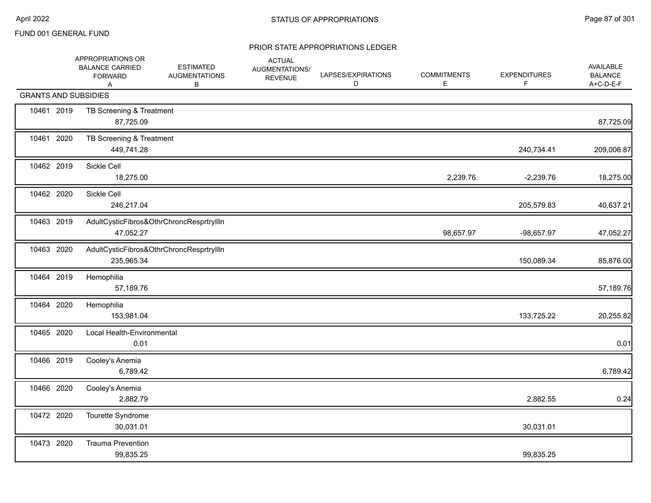|                             | APPROPRIATIONS OR<br><b>BALANCE CARRIED</b><br><b>FORWARD</b><br>Α | <b>ESTIMATED</b><br><b>AUGMENTATIONS</b><br>В | <b>ACTUAL</b><br>AUGMENTATIONS/<br><b>REVENUE</b> | LAPSES/EXPIRATIONS<br>D | <b>COMMITMENTS</b><br>Е | <b>EXPENDITURES</b><br>F | <b>AVAILABLE</b><br><b>BALANCE</b><br>A+C-D-E-F |
|-----------------------------|--------------------------------------------------------------------|-----------------------------------------------|---------------------------------------------------|-------------------------|-------------------------|--------------------------|-------------------------------------------------|
| <b>GRANTS AND SUBSIDIES</b> |                                                                    |                                               |                                                   |                         |                         |                          |                                                 |
| 10461 2019                  | TB Screening & Treatment<br>87,725.09                              |                                               |                                                   |                         |                         |                          | 87,725.09                                       |
| 10461 2020                  | TB Screening & Treatment<br>449,741.28                             |                                               |                                                   |                         |                         | 240,734.41               | 209,006.87                                      |
| 10462 2019                  | Sickle Cell<br>18,275.00                                           |                                               |                                                   |                         | 2,239.76                | $-2,239.76$              | 18,275.00                                       |
| 10462 2020                  | Sickle Cell<br>246,217.04                                          |                                               |                                                   |                         |                         | 205,579.83               | 40,637.21                                       |
| 10463 2019                  | 47,052.27                                                          | AdultCysticFibros&OthrChroncResprtryIlln      |                                                   |                         | 98,657.97               | -98,657.97               | 47,052.27                                       |
| 10463 2020                  | 235,965.34                                                         | AdultCysticFibros&OthrChroncResprtryllIn      |                                                   |                         |                         | 150,089.34               | 85,876.00                                       |
| 10464 2019                  | Hemophilia<br>57,189.76                                            |                                               |                                                   |                         |                         |                          | 57,189.76                                       |
| 10464 2020                  | Hemophilia<br>153,981.04                                           |                                               |                                                   |                         |                         | 133,725.22               | 20,255.82                                       |
| 10465 2020                  | Local Health-Environmental<br>0.01                                 |                                               |                                                   |                         |                         |                          | 0.01                                            |
| 10466 2019                  | Cooley's Anemia<br>6,789.42                                        |                                               |                                                   |                         |                         |                          | 6,789.42                                        |
| 10466 2020                  | Cooley's Anemia<br>2,882.79                                        |                                               |                                                   |                         |                         | 2,882.55                 | 0.24                                            |
| 10472 2020                  | Tourette Syndrome<br>30,031.01                                     |                                               |                                                   |                         |                         | 30,031.01                |                                                 |
| 10473 2020                  | <b>Trauma Prevention</b><br>99,835.25                              |                                               |                                                   |                         |                         | 99,835.25                |                                                 |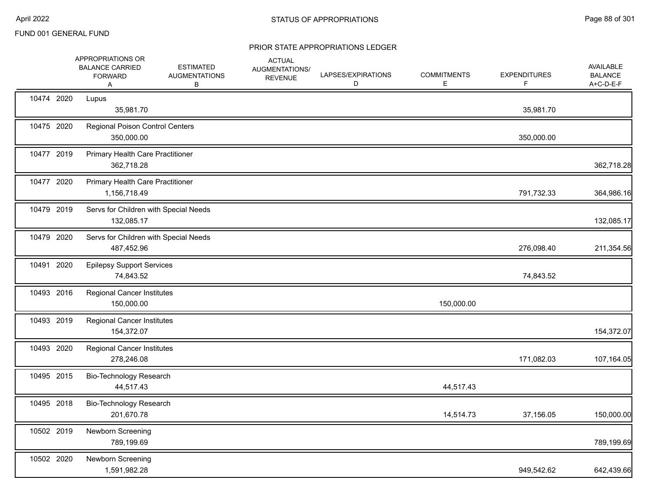|            | APPROPRIATIONS OR<br><b>BALANCE CARRIED</b><br><b>FORWARD</b><br>Α | <b>ESTIMATED</b><br><b>AUGMENTATIONS</b><br>В | <b>ACTUAL</b><br>AUGMENTATIONS/<br><b>REVENUE</b> | LAPSES/EXPIRATIONS<br>D | <b>COMMITMENTS</b><br>E | <b>EXPENDITURES</b><br>F | <b>AVAILABLE</b><br><b>BALANCE</b><br>A+C-D-E-F |
|------------|--------------------------------------------------------------------|-----------------------------------------------|---------------------------------------------------|-------------------------|-------------------------|--------------------------|-------------------------------------------------|
| 10474 2020 | Lupus<br>35,981.70                                                 |                                               |                                                   |                         |                         | 35,981.70                |                                                 |
| 10475 2020 | Regional Poison Control Centers<br>350,000.00                      |                                               |                                                   |                         |                         | 350,000.00               |                                                 |
| 10477 2019 | <b>Primary Health Care Practitioner</b><br>362,718.28              |                                               |                                                   |                         |                         |                          | 362,718.28                                      |
| 10477 2020 | Primary Health Care Practitioner<br>1,156,718.49                   |                                               |                                                   |                         |                         | 791,732.33               | 364,986.16                                      |
| 10479 2019 | Servs for Children with Special Needs<br>132,085.17                |                                               |                                                   |                         |                         |                          | 132,085.17                                      |
| 10479 2020 | Servs for Children with Special Needs<br>487,452.96                |                                               |                                                   |                         |                         | 276,098.40               | 211,354.56                                      |
| 10491 2020 | <b>Epilepsy Support Services</b><br>74,843.52                      |                                               |                                                   |                         |                         | 74,843.52                |                                                 |
| 10493 2016 | <b>Regional Cancer Institutes</b><br>150,000.00                    |                                               |                                                   |                         | 150,000.00              |                          |                                                 |
| 10493 2019 | <b>Regional Cancer Institutes</b><br>154,372.07                    |                                               |                                                   |                         |                         |                          | 154,372.07                                      |
| 10493 2020 | <b>Regional Cancer Institutes</b><br>278,246.08                    |                                               |                                                   |                         |                         | 171,082.03               | 107,164.05                                      |
| 10495 2015 | Bio-Technology Research<br>44,517.43                               |                                               |                                                   |                         | 44,517.43               |                          |                                                 |
| 10495 2018 | Bio-Technology Research<br>201,670.78                              |                                               |                                                   |                         | 14,514.73               | 37,156.05                | 150,000.00                                      |
| 10502 2019 | <b>Newborn Screening</b><br>789,199.69                             |                                               |                                                   |                         |                         |                          | 789,199.69                                      |
| 10502 2020 | Newborn Screening<br>1,591,982.28                                  |                                               |                                                   |                         |                         | 949,542.62               | 642,439.66                                      |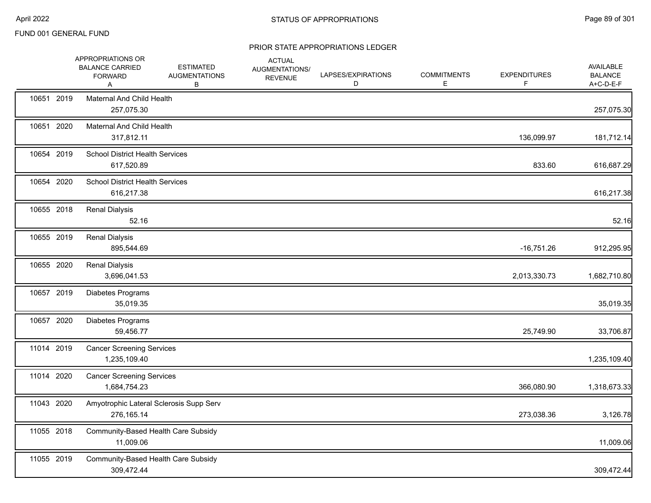|            | APPROPRIATIONS OR<br><b>BALANCE CARRIED</b><br><b>FORWARD</b><br>Α | <b>ESTIMATED</b><br><b>AUGMENTATIONS</b><br>В | <b>ACTUAL</b><br>AUGMENTATIONS/<br><b>REVENUE</b> | LAPSES/EXPIRATIONS<br>D | <b>COMMITMENTS</b><br>Е | <b>EXPENDITURES</b><br>F | AVAILABLE<br><b>BALANCE</b><br>A+C-D-E-F |
|------------|--------------------------------------------------------------------|-----------------------------------------------|---------------------------------------------------|-------------------------|-------------------------|--------------------------|------------------------------------------|
| 10651 2019 | Maternal And Child Health<br>257,075.30                            |                                               |                                                   |                         |                         |                          | 257,075.30                               |
| 10651 2020 | <b>Maternal And Child Health</b><br>317,812.11                     |                                               |                                                   |                         |                         | 136,099.97               | 181,712.14                               |
| 10654 2019 | <b>School District Health Services</b><br>617,520.89               |                                               |                                                   |                         |                         | 833.60                   | 616,687.29                               |
| 10654 2020 | <b>School District Health Services</b><br>616,217.38               |                                               |                                                   |                         |                         |                          | 616,217.38                               |
| 10655 2018 | <b>Renal Dialysis</b><br>52.16                                     |                                               |                                                   |                         |                         |                          | 52.16                                    |
| 10655 2019 | <b>Renal Dialysis</b><br>895,544.69                                |                                               |                                                   |                         |                         | $-16,751.26$             | 912,295.95                               |
| 10655 2020 | <b>Renal Dialysis</b><br>3,696,041.53                              |                                               |                                                   |                         |                         | 2,013,330.73             | 1,682,710.80                             |
| 10657 2019 | Diabetes Programs<br>35,019.35                                     |                                               |                                                   |                         |                         |                          | 35,019.35                                |
| 10657 2020 | Diabetes Programs<br>59,456.77                                     |                                               |                                                   |                         |                         | 25,749.90                | 33,706.87                                |
| 11014 2019 | <b>Cancer Screening Services</b><br>1,235,109.40                   |                                               |                                                   |                         |                         |                          | 1,235,109.40                             |
| 11014 2020 | <b>Cancer Screening Services</b><br>1,684,754.23                   |                                               |                                                   |                         |                         | 366,080.90               | 1,318,673.33                             |
| 11043 2020 | Amyotrophic Lateral Sclerosis Supp Serv<br>276,165.14              |                                               |                                                   |                         |                         | 273,038.36               | 3,126.78                                 |
| 11055 2018 | Community-Based Health Care Subsidy<br>11,009.06                   |                                               |                                                   |                         |                         |                          | 11,009.06                                |
| 11055 2019 | Community-Based Health Care Subsidy<br>309,472.44                  |                                               |                                                   |                         |                         |                          | 309,472.44                               |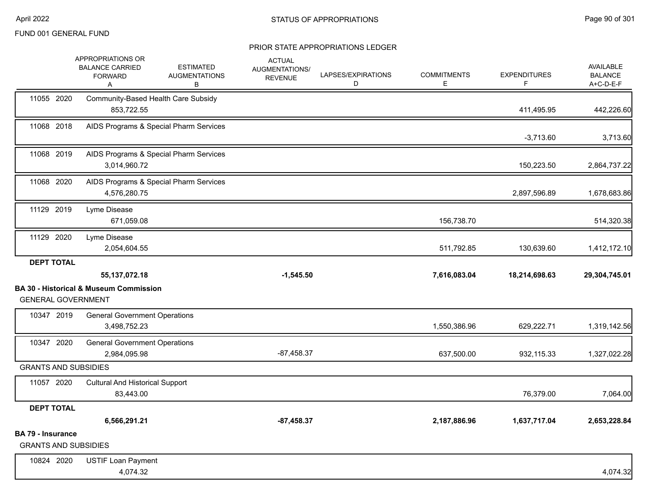|                                                         | APPROPRIATIONS OR<br><b>BALANCE CARRIED</b><br><b>FORWARD</b><br>Α    | <b>ESTIMATED</b><br><b>AUGMENTATIONS</b><br>в | <b>ACTUAL</b><br>AUGMENTATIONS/<br><b>REVENUE</b> | LAPSES/EXPIRATIONS<br>D | <b>COMMITMENTS</b><br>E. | <b>EXPENDITURES</b><br>F | <b>AVAILABLE</b><br><b>BALANCE</b><br>A+C-D-E-F |
|---------------------------------------------------------|-----------------------------------------------------------------------|-----------------------------------------------|---------------------------------------------------|-------------------------|--------------------------|--------------------------|-------------------------------------------------|
| 11055 2020                                              | Community-Based Health Care Subsidy<br>853,722.55                     |                                               |                                                   |                         |                          | 411,495.95               | 442,226.60                                      |
| 11068 2018                                              |                                                                       | AIDS Programs & Special Pharm Services        |                                                   |                         |                          | $-3,713.60$              | 3,713.60                                        |
| 11068 2019                                              | 3.014.960.72                                                          | AIDS Programs & Special Pharm Services        |                                                   |                         |                          | 150,223.50               | 2,864,737.22                                    |
| 11068 2020                                              | 4,576,280.75                                                          | AIDS Programs & Special Pharm Services        |                                                   |                         |                          | 2,897,596.89             | 1,678,683.86                                    |
| 11129 2019                                              | Lyme Disease<br>671,059.08                                            |                                               |                                                   |                         | 156,738.70               |                          | 514,320.38                                      |
| 11129 2020                                              | Lyme Disease<br>2,054,604.55                                          |                                               |                                                   |                         | 511,792.85               | 130,639.60               | 1,412,172.10                                    |
| <b>DEPT TOTAL</b><br><b>GENERAL GOVERNMENT</b>          | 55, 137, 072. 18<br><b>BA 30 - Historical &amp; Museum Commission</b> |                                               | $-1,545.50$                                       |                         | 7,616,083.04             | 18,214,698.63            | 29,304,745.01                                   |
| 10347 2019                                              | <b>General Government Operations</b><br>3,498,752.23                  |                                               |                                                   |                         | 1,550,386.96             | 629,222.71               | 1,319,142.56                                    |
| 10347 2020                                              | <b>General Government Operations</b><br>2,984,095.98                  |                                               | $-87,458.37$                                      |                         | 637,500.00               | 932,115.33               | 1,327,022.28                                    |
| <b>GRANTS AND SUBSIDIES</b>                             |                                                                       |                                               |                                                   |                         |                          |                          |                                                 |
| 11057 2020                                              | <b>Cultural And Historical Support</b><br>83,443.00                   |                                               |                                                   |                         |                          | 76,379.00                | 7,064.00                                        |
| <b>DEPT TOTAL</b>                                       | 6,566,291.21                                                          |                                               | $-87,458.37$                                      |                         | 2,187,886.96             | 1,637,717.04             | 2,653,228.84                                    |
| <b>BA 79 - Insurance</b><br><b>GRANTS AND SUBSIDIES</b> |                                                                       |                                               |                                                   |                         |                          |                          |                                                 |
| 10824 2020                                              | <b>USTIF Loan Payment</b><br>4,074.32                                 |                                               |                                                   |                         |                          |                          | 4,074.32                                        |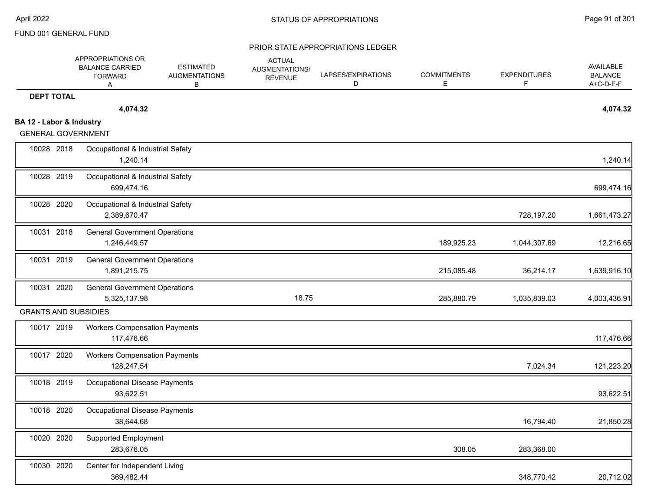|                                                       | <b>APPROPRIATIONS OR</b><br><b>BALANCE CARRIED</b><br><b>FORWARD</b><br>A | <b>ESTIMATED</b><br><b>AUGMENTATIONS</b><br>В | <b>ACTUAL</b><br>AUGMENTATIONS/<br><b>REVENUE</b> | LAPSES/EXPIRATIONS<br>D | <b>COMMITMENTS</b><br>Ε | <b>EXPENDITURES</b><br>F | AVAILABLE<br><b>BALANCE</b><br>A+C-D-E-F |
|-------------------------------------------------------|---------------------------------------------------------------------------|-----------------------------------------------|---------------------------------------------------|-------------------------|-------------------------|--------------------------|------------------------------------------|
| <b>DEPT TOTAL</b>                                     |                                                                           |                                               |                                                   |                         |                         |                          |                                          |
|                                                       | 4,074.32                                                                  |                                               |                                                   |                         |                         |                          | 4,074.32                                 |
| BA 12 - Labor & Industry<br><b>GENERAL GOVERNMENT</b> |                                                                           |                                               |                                                   |                         |                         |                          |                                          |
| 10028 2018                                            | Occupational & Industrial Safety<br>1,240.14                              |                                               |                                                   |                         |                         |                          | 1,240.14                                 |
| 10028 2019                                            | Occupational & Industrial Safety<br>699,474.16                            |                                               |                                                   |                         |                         |                          | 699,474.16                               |
| 10028 2020                                            | Occupational & Industrial Safety<br>2,389,670.47                          |                                               |                                                   |                         |                         | 728,197.20               | 1,661,473.27                             |
| 10031 2018                                            | <b>General Government Operations</b><br>1,246,449.57                      |                                               |                                                   |                         | 189,925.23              | 1,044,307.69             | 12,216.65                                |
| 10031 2019                                            | <b>General Government Operations</b><br>1,891,215.75                      |                                               |                                                   |                         | 215,085.48              | 36,214.17                | 1,639,916.10                             |
| 10031 2020                                            | <b>General Government Operations</b><br>5,325,137.98                      |                                               | 18.75                                             |                         | 285,880.79              | 1,035,839.03             | 4,003,436.91                             |
| <b>GRANTS AND SUBSIDIES</b>                           |                                                                           |                                               |                                                   |                         |                         |                          |                                          |
| 10017 2019                                            | <b>Workers Compensation Payments</b><br>117,476.66                        |                                               |                                                   |                         |                         |                          | 117,476.66                               |
| 10017 2020                                            | <b>Workers Compensation Payments</b><br>128,247.54                        |                                               |                                                   |                         |                         | 7,024.34                 | 121,223.20                               |
| 10018 2019                                            | Occupational Disease Payments<br>93,622.51                                |                                               |                                                   |                         |                         |                          | 93,622.51                                |
| 10018 2020                                            | <b>Occupational Disease Payments</b><br>38,644.68                         |                                               |                                                   |                         |                         | 16,794.40                | 21,850.28                                |
| 10020 2020                                            | <b>Supported Employment</b><br>283,676.05                                 |                                               |                                                   |                         | 308.05                  | 283,368.00               |                                          |
| 10030 2020                                            | Center for Independent Living<br>369,482.44                               |                                               |                                                   |                         |                         | 348,770.42               | 20,712.02                                |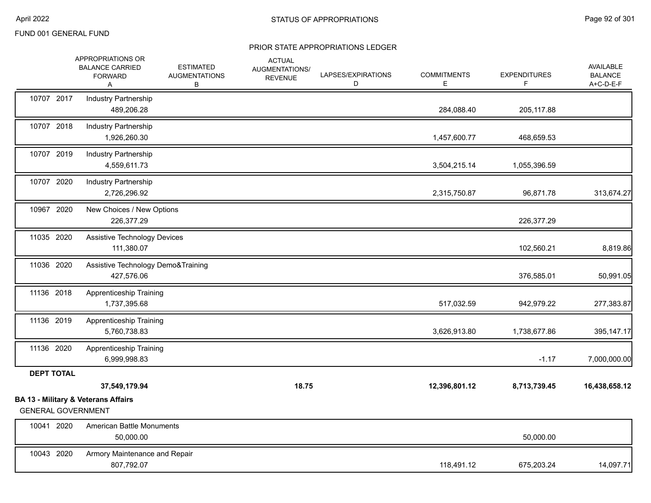|                           | APPROPRIATIONS OR<br><b>BALANCE CARRIED</b><br><b>FORWARD</b><br>Α | <b>ESTIMATED</b><br><b>AUGMENTATIONS</b><br>В | <b>ACTUAL</b><br>AUGMENTATIONS/<br><b>REVENUE</b> | LAPSES/EXPIRATIONS<br>D | <b>COMMITMENTS</b><br>Е | <b>EXPENDITURES</b><br>F | AVAILABLE<br><b>BALANCE</b><br>A+C-D-E-F |
|---------------------------|--------------------------------------------------------------------|-----------------------------------------------|---------------------------------------------------|-------------------------|-------------------------|--------------------------|------------------------------------------|
| 10707 2017                | <b>Industry Partnership</b><br>489,206.28                          |                                               |                                                   |                         | 284,088.40              | 205, 117.88              |                                          |
| 10707 2018                | <b>Industry Partnership</b><br>1,926,260.30                        |                                               |                                                   |                         | 1,457,600.77            | 468,659.53               |                                          |
| 10707 2019                | Industry Partnership<br>4,559,611.73                               |                                               |                                                   |                         | 3,504,215.14            | 1,055,396.59             |                                          |
| 10707 2020                | Industry Partnership<br>2,726,296.92                               |                                               |                                                   |                         | 2,315,750.87            | 96,871.78                | 313,674.27                               |
| 10967 2020                | New Choices / New Options<br>226,377.29                            |                                               |                                                   |                         |                         | 226,377.29               |                                          |
| 11035 2020                | <b>Assistive Technology Devices</b><br>111,380.07                  |                                               |                                                   |                         |                         | 102,560.21               | 8,819.86                                 |
| 11036 2020                | Assistive Technology Demo&Training<br>427,576.06                   |                                               |                                                   |                         |                         | 376,585.01               | 50,991.05                                |
| 11136 2018                | <b>Apprenticeship Training</b><br>1,737,395.68                     |                                               |                                                   |                         | 517,032.59              | 942,979.22               | 277,383.87                               |
| 11136 2019                | <b>Apprenticeship Training</b><br>5,760,738.83                     |                                               |                                                   |                         | 3,626,913.80            | 1,738,677.86             | 395,147.17                               |
| 11136 2020                | Apprenticeship Training<br>6,999,998.83                            |                                               |                                                   |                         |                         | $-1.17$                  | 7,000,000.00                             |
| <b>DEPT TOTAL</b>         |                                                                    |                                               |                                                   |                         |                         |                          |                                          |
|                           | 37,549,179.94                                                      |                                               | 18.75                                             |                         | 12,396,801.12           | 8,713,739.45             | 16,438,658.12                            |
| <b>GENERAL GOVERNMENT</b> | <b>BA 13 - Military &amp; Veterans Affairs</b>                     |                                               |                                                   |                         |                         |                          |                                          |
| 10041 2020                | <b>American Battle Monuments</b><br>50,000.00                      |                                               |                                                   |                         |                         | 50,000.00                |                                          |
| 10043 2020                | Armory Maintenance and Repair<br>807,792.07                        |                                               |                                                   |                         | 118,491.12              | 675,203.24               | 14,097.71                                |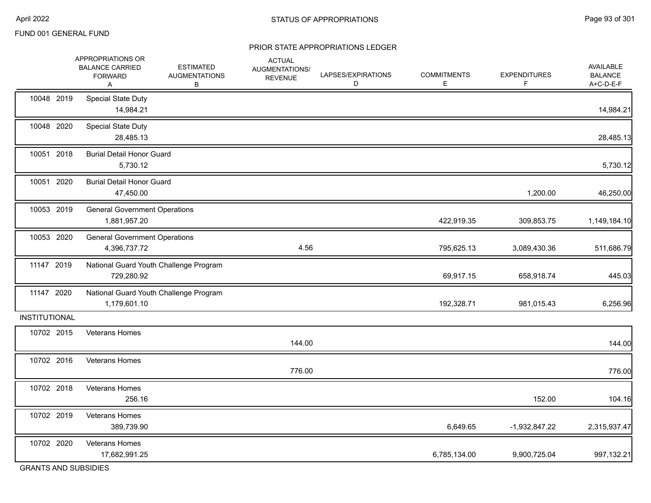#### PRIOR STATE APPROPRIATIONS LEDGER

|                      | APPROPRIATIONS OR<br><b>BALANCE CARRIED</b><br><b>FORWARD</b><br>A | <b>ESTIMATED</b><br><b>AUGMENTATIONS</b><br>В | <b>ACTUAL</b><br>AUGMENTATIONS/<br><b>REVENUE</b> | LAPSES/EXPIRATIONS<br>D | <b>COMMITMENTS</b><br>Е | <b>EXPENDITURES</b><br>F | <b>AVAILABLE</b><br><b>BALANCE</b><br>A+C-D-E-F |
|----------------------|--------------------------------------------------------------------|-----------------------------------------------|---------------------------------------------------|-------------------------|-------------------------|--------------------------|-------------------------------------------------|
| 10048 2019           | <b>Special State Duty</b><br>14,984.21                             |                                               |                                                   |                         |                         |                          | 14,984.21                                       |
| 10048 2020           | <b>Special State Duty</b><br>28,485.13                             |                                               |                                                   |                         |                         |                          | 28,485.13                                       |
| 10051 2018           | <b>Burial Detail Honor Guard</b><br>5,730.12                       |                                               |                                                   |                         |                         |                          | 5,730.12                                        |
| 10051 2020           | <b>Burial Detail Honor Guard</b><br>47,450.00                      |                                               |                                                   |                         |                         | 1,200.00                 | 46,250.00                                       |
| 10053 2019           | <b>General Government Operations</b><br>1,881,957.20               |                                               |                                                   |                         | 422,919.35              | 309,853.75               | 1,149,184.10                                    |
| 10053 2020           | <b>General Government Operations</b><br>4,396,737.72               |                                               | 4.56                                              |                         | 795,625.13              | 3,089,430.36             | 511,686.79                                      |
| 11147 2019           | 729,280.92                                                         | National Guard Youth Challenge Program        |                                                   |                         | 69,917.15               | 658,918.74               | 445.03                                          |
| 11147 2020           | 1,179,601.10                                                       | National Guard Youth Challenge Program        |                                                   |                         | 192,328.71              | 981,015.43               | 6,256.96                                        |
| <b>INSTITUTIONAL</b> |                                                                    |                                               |                                                   |                         |                         |                          |                                                 |
| 10702 2015           | <b>Veterans Homes</b>                                              |                                               | 144.00                                            |                         |                         |                          | 144.00                                          |
| 10702 2016           | Veterans Homes                                                     |                                               | 776.00                                            |                         |                         |                          | 776.00                                          |
| 10702 2018           | Veterans Homes<br>256.16                                           |                                               |                                                   |                         |                         | 152.00                   | 104.16                                          |
| 10702 2019           | Veterans Homes<br>389,739.90                                       |                                               |                                                   |                         | 6,649.65                | $-1,932,847.22$          | 2,315,937.47                                    |
| 10702 2020           | <b>Veterans Homes</b><br>17,682,991.25                             |                                               |                                                   |                         | 6,785,134.00            | 9,900,725.04             | 997,132.21                                      |

GRANTS AND SUBSIDIES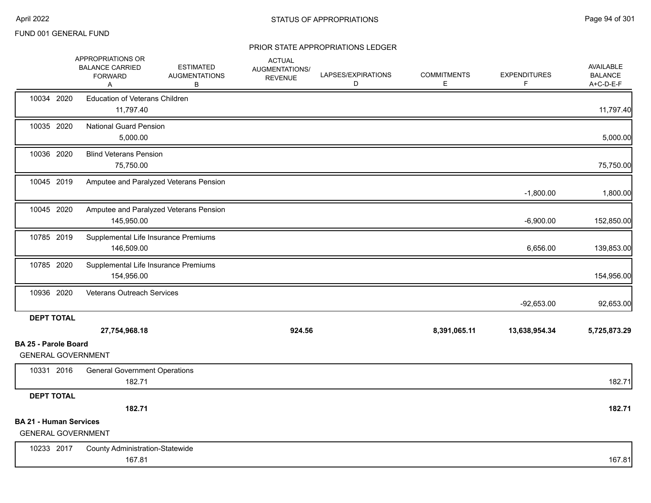|                                                                                 | APPROPRIATIONS OR<br><b>BALANCE CARRIED</b><br><b>FORWARD</b><br>A | <b>ESTIMATED</b><br><b>AUGMENTATIONS</b><br>В | <b>ACTUAL</b><br>AUGMENTATIONS/<br><b>REVENUE</b> | LAPSES/EXPIRATIONS<br>D | <b>COMMITMENTS</b><br>E | <b>EXPENDITURES</b><br>F | <b>AVAILABLE</b><br><b>BALANCE</b><br>A+C-D-E-F |
|---------------------------------------------------------------------------------|--------------------------------------------------------------------|-----------------------------------------------|---------------------------------------------------|-------------------------|-------------------------|--------------------------|-------------------------------------------------|
| 10034 2020                                                                      | <b>Education of Veterans Children</b><br>11,797.40                 |                                               |                                                   |                         |                         |                          | 11,797.40                                       |
| 10035 2020                                                                      | <b>National Guard Pension</b><br>5,000.00                          |                                               |                                                   |                         |                         |                          | 5,000.00                                        |
| 10036 2020                                                                      | <b>Blind Veterans Pension</b><br>75,750.00                         |                                               |                                                   |                         |                         |                          | 75,750.00                                       |
| 10045 2019                                                                      |                                                                    | Amputee and Paralyzed Veterans Pension        |                                                   |                         |                         | $-1,800.00$              | 1,800.00                                        |
| 10045 2020                                                                      | 145,950.00                                                         | Amputee and Paralyzed Veterans Pension        |                                                   |                         |                         | $-6,900.00$              | 152,850.00                                      |
| 10785 2019                                                                      | Supplemental Life Insurance Premiums<br>146,509.00                 |                                               |                                                   |                         |                         | 6,656.00                 | 139,853.00                                      |
| 10785 2020                                                                      | Supplemental Life Insurance Premiums<br>154,956.00                 |                                               |                                                   |                         |                         |                          | 154,956.00                                      |
| 10936 2020                                                                      | Veterans Outreach Services                                         |                                               |                                                   |                         |                         | $-92,653.00$             | 92,653.00                                       |
| <b>DEPT TOTAL</b>                                                               | 27,754,968.18                                                      |                                               | 924.56                                            |                         | 8,391,065.11            | 13,638,954.34            | 5,725,873.29                                    |
| <b>BA 25 - Parole Board</b>                                                     |                                                                    |                                               |                                                   |                         |                         |                          |                                                 |
| <b>GENERAL GOVERNMENT</b>                                                       |                                                                    |                                               |                                                   |                         |                         |                          |                                                 |
| 10331 2016                                                                      | <b>General Government Operations</b><br>182.71                     |                                               |                                                   |                         |                         |                          | 182.71                                          |
| <b>DEPT TOTAL</b><br><b>BA 21 - Human Services</b><br><b>GENERAL GOVERNMENT</b> | 182.71                                                             |                                               |                                                   |                         |                         |                          | 182.71                                          |
| 10233 2017                                                                      | <b>County Administration-Statewide</b><br>167.81                   |                                               |                                                   |                         |                         |                          | 167.81                                          |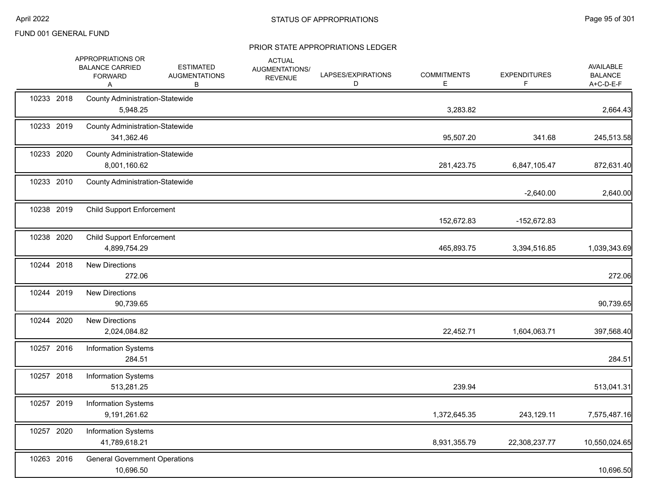|            | APPROPRIATIONS OR<br><b>BALANCE CARRIED</b><br><b>FORWARD</b><br>Α | <b>ESTIMATED</b><br><b>AUGMENTATIONS</b><br>В | <b>ACTUAL</b><br>AUGMENTATIONS/<br><b>REVENUE</b> | LAPSES/EXPIRATIONS<br>D | <b>COMMITMENTS</b><br>Е | <b>EXPENDITURES</b><br>F | <b>AVAILABLE</b><br><b>BALANCE</b><br>A+C-D-E-F |
|------------|--------------------------------------------------------------------|-----------------------------------------------|---------------------------------------------------|-------------------------|-------------------------|--------------------------|-------------------------------------------------|
| 10233 2018 | <b>County Administration-Statewide</b><br>5,948.25                 |                                               |                                                   |                         | 3,283.82                |                          | 2,664.43                                        |
| 10233 2019 | <b>County Administration-Statewide</b><br>341,362.46               |                                               |                                                   |                         | 95,507.20               | 341.68                   | 245,513.58                                      |
| 10233 2020 | <b>County Administration-Statewide</b><br>8,001,160.62             |                                               |                                                   |                         | 281,423.75              | 6,847,105.47             | 872,631.40                                      |
| 10233 2010 | <b>County Administration-Statewide</b>                             |                                               |                                                   |                         |                         | $-2,640.00$              | 2,640.00                                        |
| 10238 2019 | <b>Child Support Enforcement</b>                                   |                                               |                                                   |                         | 152,672.83              | -152,672.83              |                                                 |
| 10238 2020 | <b>Child Support Enforcement</b><br>4,899,754.29                   |                                               |                                                   |                         | 465,893.75              | 3,394,516.85             | 1,039,343.69                                    |
| 10244 2018 | <b>New Directions</b><br>272.06                                    |                                               |                                                   |                         |                         |                          | 272.06                                          |
| 10244 2019 | <b>New Directions</b><br>90,739.65                                 |                                               |                                                   |                         |                         |                          | 90,739.65                                       |
| 10244 2020 | <b>New Directions</b><br>2,024,084.82                              |                                               |                                                   |                         | 22,452.71               | 1,604,063.71             | 397,568.40                                      |
| 10257 2016 | <b>Information Systems</b><br>284.51                               |                                               |                                                   |                         |                         |                          | 284.51                                          |
| 10257 2018 | <b>Information Systems</b><br>513,281.25                           |                                               |                                                   |                         | 239.94                  |                          | 513,041.31                                      |
| 10257 2019 | <b>Information Systems</b><br>9,191,261.62                         |                                               |                                                   |                         | 1,372,645.35            | 243,129.11               | 7,575,487.16                                    |
| 10257 2020 | <b>Information Systems</b><br>41,789,618.21                        |                                               |                                                   |                         | 8,931,355.79            | 22,308,237.77            | 10,550,024.65                                   |
| 10263 2016 | <b>General Government Operations</b><br>10,696.50                  |                                               |                                                   |                         |                         |                          | 10,696.50                                       |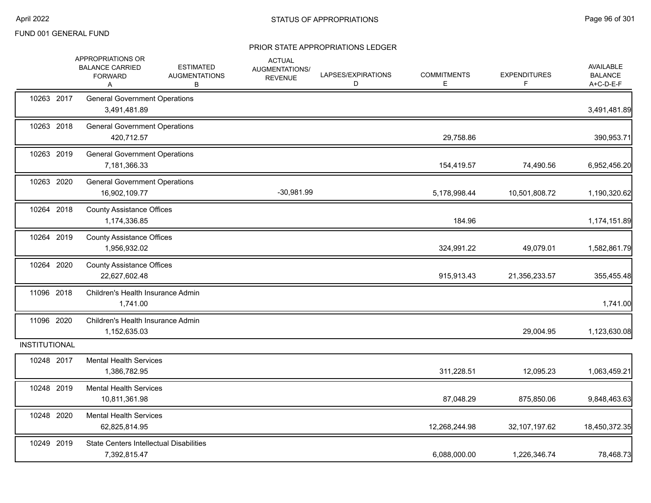|                      | APPROPRIATIONS OR<br><b>BALANCE CARRIED</b><br><b>FORWARD</b><br>Α | <b>ESTIMATED</b><br><b>AUGMENTATIONS</b><br>В | <b>ACTUAL</b><br>AUGMENTATIONS/<br><b>REVENUE</b> | LAPSES/EXPIRATIONS<br>D | <b>COMMITMENTS</b><br>Е | <b>EXPENDITURES</b><br>F | <b>AVAILABLE</b><br><b>BALANCE</b><br>A+C-D-E-F |
|----------------------|--------------------------------------------------------------------|-----------------------------------------------|---------------------------------------------------|-------------------------|-------------------------|--------------------------|-------------------------------------------------|
| 10263 2017           | <b>General Government Operations</b><br>3,491,481.89               |                                               |                                                   |                         |                         |                          | 3,491,481.89                                    |
| 10263 2018           | <b>General Government Operations</b><br>420,712.57                 |                                               |                                                   |                         | 29,758.86               |                          | 390,953.71                                      |
| 10263 2019           | <b>General Government Operations</b><br>7,181,366.33               |                                               |                                                   |                         | 154,419.57              | 74,490.56                | 6,952,456.20                                    |
| 10263 2020           | <b>General Government Operations</b><br>16,902,109.77              |                                               | $-30,981.99$                                      |                         | 5,178,998.44            | 10,501,808.72            | 1,190,320.62                                    |
| 10264 2018           | <b>County Assistance Offices</b><br>1,174,336.85                   |                                               |                                                   |                         | 184.96                  |                          | 1,174,151.89                                    |
| 10264 2019           | <b>County Assistance Offices</b><br>1,956,932.02                   |                                               |                                                   |                         | 324,991.22              | 49,079.01                | 1,582,861.79                                    |
| 10264 2020           | <b>County Assistance Offices</b><br>22,627,602.48                  |                                               |                                                   |                         | 915,913.43              | 21,356,233.57            | 355,455.48                                      |
| 11096 2018           | Children's Health Insurance Admin<br>1,741.00                      |                                               |                                                   |                         |                         |                          | 1,741.00                                        |
| 11096 2020           | Children's Health Insurance Admin<br>1,152,635.03                  |                                               |                                                   |                         |                         | 29,004.95                | 1,123,630.08                                    |
| <b>INSTITUTIONAL</b> |                                                                    |                                               |                                                   |                         |                         |                          |                                                 |
| 10248 2017           | <b>Mental Health Services</b><br>1,386,782.95                      |                                               |                                                   |                         | 311,228.51              | 12,095.23                | 1,063,459.21                                    |
| 10248 2019           | <b>Mental Health Services</b><br>10,811,361.98                     |                                               |                                                   |                         | 87,048.29               | 875,850.06               | 9,848,463.63                                    |
| 10248 2020           | <b>Mental Health Services</b><br>62,825,814.95                     |                                               |                                                   |                         | 12,268,244.98           | 32,107,197.62            | 18,450,372.35                                   |
| 10249 2019           | <b>State Centers Intellectual Disabilities</b><br>7,392,815.47     |                                               |                                                   |                         | 6,088,000.00            | 1,226,346.74             | 78,468.73                                       |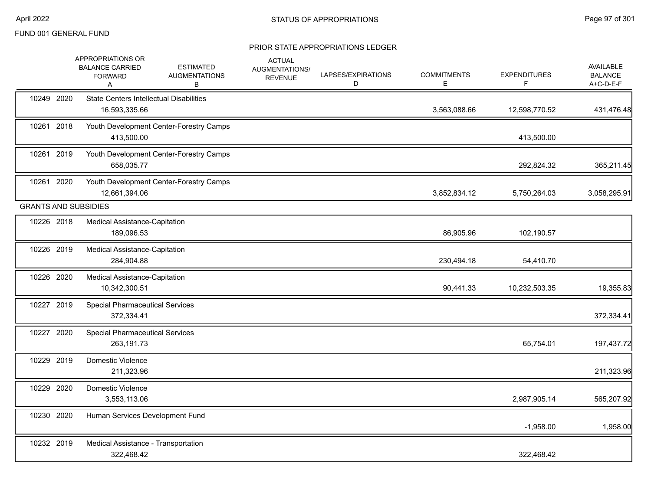|                             | APPROPRIATIONS OR<br><b>BALANCE CARRIED</b><br><b>FORWARD</b><br>Α | <b>ESTIMATED</b><br><b>AUGMENTATIONS</b><br>В | <b>ACTUAL</b><br>AUGMENTATIONS/<br><b>REVENUE</b> | LAPSES/EXPIRATIONS<br>D | <b>COMMITMENTS</b><br>E. | <b>EXPENDITURES</b><br>F | <b>AVAILABLE</b><br><b>BALANCE</b><br>A+C-D-E-F |
|-----------------------------|--------------------------------------------------------------------|-----------------------------------------------|---------------------------------------------------|-------------------------|--------------------------|--------------------------|-------------------------------------------------|
| 10249 2020                  | <b>State Centers Intellectual Disabilities</b><br>16,593,335.66    |                                               |                                                   |                         | 3,563,088.66             | 12,598,770.52            | 431,476.48                                      |
| 10261 2018                  | 413,500.00                                                         | Youth Development Center-Forestry Camps       |                                                   |                         |                          | 413,500.00               |                                                 |
| 10261 2019                  | 658,035.77                                                         | Youth Development Center-Forestry Camps       |                                                   |                         |                          | 292,824.32               | 365,211.45                                      |
| 10261 2020                  | 12,661,394.06                                                      | Youth Development Center-Forestry Camps       |                                                   |                         | 3,852,834.12             | 5,750,264.03             | 3,058,295.91                                    |
| <b>GRANTS AND SUBSIDIES</b> |                                                                    |                                               |                                                   |                         |                          |                          |                                                 |
| 10226 2018                  | Medical Assistance-Capitation<br>189,096.53                        |                                               |                                                   |                         | 86,905.96                | 102,190.57               |                                                 |
| 10226 2019                  | Medical Assistance-Capitation<br>284,904.88                        |                                               |                                                   |                         | 230,494.18               | 54,410.70                |                                                 |
| 10226 2020                  | Medical Assistance-Capitation<br>10,342,300.51                     |                                               |                                                   |                         | 90,441.33                | 10,232,503.35            | 19,355.83                                       |
| 10227 2019                  | <b>Special Pharmaceutical Services</b><br>372,334.41               |                                               |                                                   |                         |                          |                          | 372,334.41                                      |
| 10227 2020                  | <b>Special Pharmaceutical Services</b><br>263,191.73               |                                               |                                                   |                         |                          | 65,754.01                | 197,437.72                                      |
| 10229 2019                  | Domestic Violence<br>211,323.96                                    |                                               |                                                   |                         |                          |                          | 211,323.96                                      |
| 10229 2020                  | Domestic Violence<br>3,553,113.06                                  |                                               |                                                   |                         |                          | 2,987,905.14             | 565,207.92                                      |
| 10230 2020                  | Human Services Development Fund                                    |                                               |                                                   |                         |                          | $-1,958.00$              | 1,958.00                                        |
| 10232 2019                  | Medical Assistance - Transportation<br>322,468.42                  |                                               |                                                   |                         |                          | 322,468.42               |                                                 |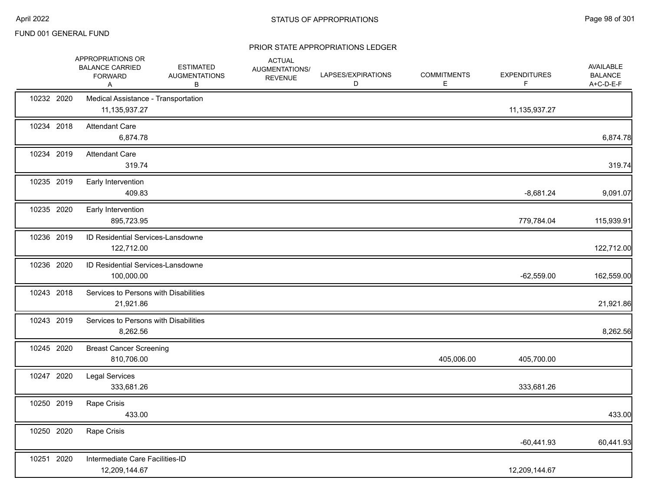|            | APPROPRIATIONS OR<br><b>BALANCE CARRIED</b><br><b>FORWARD</b><br>Α | <b>ESTIMATED</b><br><b>AUGMENTATIONS</b><br>В | <b>ACTUAL</b><br>AUGMENTATIONS/<br><b>REVENUE</b> | LAPSES/EXPIRATIONS<br>D | <b>COMMITMENTS</b><br>E. | <b>EXPENDITURES</b><br>F | AVAILABLE<br><b>BALANCE</b><br>A+C-D-E-F |
|------------|--------------------------------------------------------------------|-----------------------------------------------|---------------------------------------------------|-------------------------|--------------------------|--------------------------|------------------------------------------|
| 10232 2020 | Medical Assistance - Transportation<br>11,135,937.27               |                                               |                                                   |                         |                          | 11, 135, 937. 27         |                                          |
| 10234 2018 | <b>Attendant Care</b><br>6,874.78                                  |                                               |                                                   |                         |                          |                          | 6,874.78                                 |
| 10234 2019 | <b>Attendant Care</b><br>319.74                                    |                                               |                                                   |                         |                          |                          | 319.74                                   |
| 10235 2019 | Early Intervention<br>409.83                                       |                                               |                                                   |                         |                          | $-8,681.24$              | 9,091.07                                 |
| 10235 2020 | Early Intervention<br>895,723.95                                   |                                               |                                                   |                         |                          | 779,784.04               | 115,939.91                               |
| 10236 2019 | <b>ID Residential Services-Lansdowne</b><br>122,712.00             |                                               |                                                   |                         |                          |                          | 122,712.00                               |
| 10236 2020 | ID Residential Services-Lansdowne<br>100,000.00                    |                                               |                                                   |                         |                          | $-62,559.00$             | 162,559.00                               |
| 10243 2018 | Services to Persons with Disabilities<br>21,921.86                 |                                               |                                                   |                         |                          |                          | 21,921.86                                |
| 10243 2019 | Services to Persons with Disabilities<br>8,262.56                  |                                               |                                                   |                         |                          |                          | 8,262.56                                 |
| 10245 2020 | <b>Breast Cancer Screening</b><br>810,706.00                       |                                               |                                                   |                         | 405,006.00               | 405,700.00               |                                          |
| 10247 2020 | <b>Legal Services</b><br>333,681.26                                |                                               |                                                   |                         |                          | 333,681.26               |                                          |
| 10250 2019 | Rape Crisis<br>433.00                                              |                                               |                                                   |                         |                          |                          | 433.00                                   |
| 10250 2020 | Rape Crisis                                                        |                                               |                                                   |                         |                          | $-60,441.93$             | 60,441.93                                |
| 10251 2020 | Intermediate Care Facilities-ID<br>12,209,144.67                   |                                               |                                                   |                         |                          | 12,209,144.67            |                                          |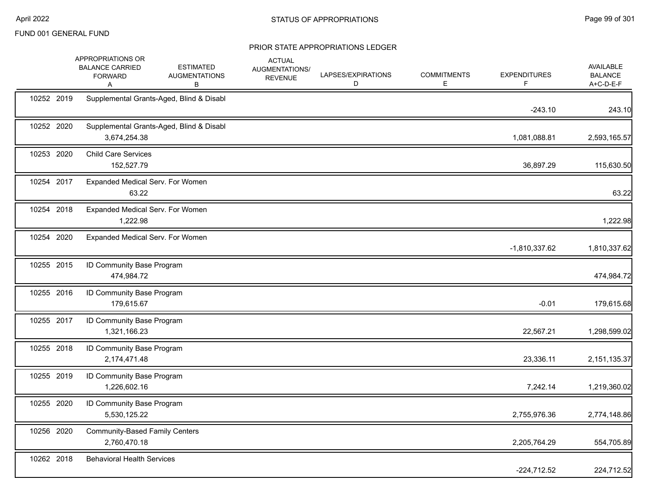|            | APPROPRIATIONS OR<br><b>BALANCE CARRIED</b><br><b>FORWARD</b><br>Α | <b>ESTIMATED</b><br><b>AUGMENTATIONS</b><br>в | <b>ACTUAL</b><br>AUGMENTATIONS/<br><b>REVENUE</b> | LAPSES/EXPIRATIONS<br>D | <b>COMMITMENTS</b><br>E. | <b>EXPENDITURES</b><br>F. | AVAILABLE<br><b>BALANCE</b><br>A+C-D-E-F |
|------------|--------------------------------------------------------------------|-----------------------------------------------|---------------------------------------------------|-------------------------|--------------------------|---------------------------|------------------------------------------|
| 10252 2019 |                                                                    | Supplemental Grants-Aged, Blind & Disabl      |                                                   |                         |                          | $-243.10$                 | 243.10                                   |
| 10252 2020 | 3,674,254.38                                                       | Supplemental Grants-Aged, Blind & Disabl      |                                                   |                         |                          | 1,081,088.81              | 2,593,165.57                             |
| 10253 2020 | <b>Child Care Services</b><br>152,527.79                           |                                               |                                                   |                         |                          | 36,897.29                 | 115,630.50                               |
| 10254 2017 | Expanded Medical Serv. For Women<br>63.22                          |                                               |                                                   |                         |                          |                           | 63.22                                    |
| 10254 2018 | Expanded Medical Serv. For Women<br>1,222.98                       |                                               |                                                   |                         |                          |                           | 1,222.98                                 |
| 10254 2020 | Expanded Medical Serv. For Women                                   |                                               |                                                   |                         |                          | $-1,810,337.62$           | 1,810,337.62                             |
| 10255 2015 | ID Community Base Program<br>474,984.72                            |                                               |                                                   |                         |                          |                           | 474,984.72                               |
| 10255 2016 | ID Community Base Program<br>179,615.67                            |                                               |                                                   |                         |                          | $-0.01$                   | 179,615.68                               |
| 10255 2017 | ID Community Base Program<br>1,321,166.23                          |                                               |                                                   |                         |                          | 22,567.21                 | 1,298,599.02                             |
| 10255 2018 | ID Community Base Program<br>2,174,471.48                          |                                               |                                                   |                         |                          | 23,336.11                 | 2,151,135.37                             |
| 10255 2019 | ID Community Base Program<br>1,226,602.16                          |                                               |                                                   |                         |                          | 7,242.14                  | 1,219,360.02                             |
| 10255 2020 | ID Community Base Program<br>5,530,125.22                          |                                               |                                                   |                         |                          | 2,755,976.36              | 2,774,148.86                             |
| 10256 2020 | <b>Community-Based Family Centers</b><br>2,760,470.18              |                                               |                                                   |                         |                          | 2,205,764.29              | 554,705.89                               |
| 10262 2018 | <b>Behavioral Health Services</b>                                  |                                               |                                                   |                         |                          | $-224,712.52$             | 224,712.52                               |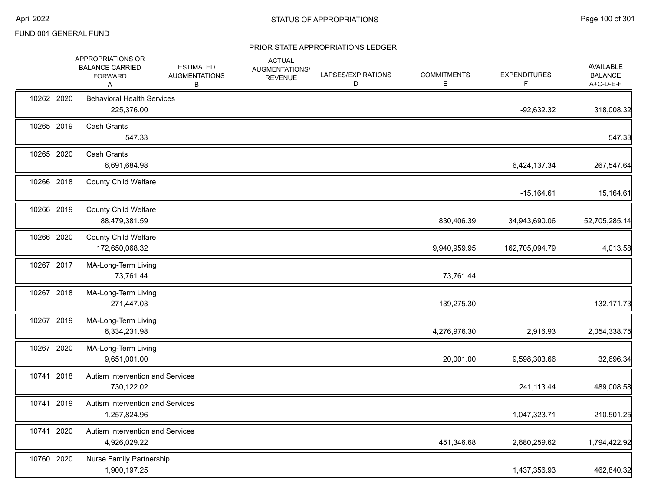|            | APPROPRIATIONS OR<br><b>BALANCE CARRIED</b><br><b>FORWARD</b><br>A | <b>ESTIMATED</b><br><b>AUGMENTATIONS</b><br>В | <b>ACTUAL</b><br>AUGMENTATIONS/<br><b>REVENUE</b> | LAPSES/EXPIRATIONS<br>D | <b>COMMITMENTS</b><br>E. | <b>EXPENDITURES</b><br>F. | AVAILABLE<br><b>BALANCE</b><br>A+C-D-E-F |
|------------|--------------------------------------------------------------------|-----------------------------------------------|---------------------------------------------------|-------------------------|--------------------------|---------------------------|------------------------------------------|
| 10262 2020 | <b>Behavioral Health Services</b><br>225,376.00                    |                                               |                                                   |                         |                          | $-92,632.32$              | 318,008.32                               |
| 10265 2019 | <b>Cash Grants</b><br>547.33                                       |                                               |                                                   |                         |                          |                           | 547.33                                   |
| 10265 2020 | <b>Cash Grants</b><br>6,691,684.98                                 |                                               |                                                   |                         |                          | 6,424,137.34              | 267,547.64                               |
| 10266 2018 | <b>County Child Welfare</b>                                        |                                               |                                                   |                         |                          | $-15,164.61$              | 15,164.61                                |
| 10266 2019 | <b>County Child Welfare</b><br>88,479,381.59                       |                                               |                                                   |                         | 830,406.39               | 34,943,690.06             | 52,705,285.14                            |
| 10266 2020 | <b>County Child Welfare</b><br>172,650,068.32                      |                                               |                                                   |                         | 9,940,959.95             | 162,705,094.79            | 4,013.58                                 |
| 10267 2017 | MA-Long-Term Living<br>73,761.44                                   |                                               |                                                   |                         | 73,761.44                |                           |                                          |
| 10267 2018 | MA-Long-Term Living<br>271,447.03                                  |                                               |                                                   |                         | 139,275.30               |                           | 132, 171. 73                             |
| 10267 2019 | MA-Long-Term Living<br>6,334,231.98                                |                                               |                                                   |                         | 4,276,976.30             | 2,916.93                  | 2,054,338.75                             |
| 10267 2020 | MA-Long-Term Living<br>9,651,001.00                                |                                               |                                                   |                         | 20,001.00                | 9,598,303.66              | 32,696.34                                |
| 10741 2018 | Autism Intervention and Services<br>730,122.02                     |                                               |                                                   |                         |                          | 241,113.44                | 489,008.58                               |
| 10741 2019 | Autism Intervention and Services<br>1,257,824.96                   |                                               |                                                   |                         |                          | 1,047,323.71              | 210,501.25                               |
| 10741 2020 | Autism Intervention and Services<br>4,926,029.22                   |                                               |                                                   |                         | 451,346.68               | 2,680,259.62              | 1,794,422.92                             |
| 10760 2020 | Nurse Family Partnership<br>1,900,197.25                           |                                               |                                                   |                         |                          | 1,437,356.93              | 462,840.32                               |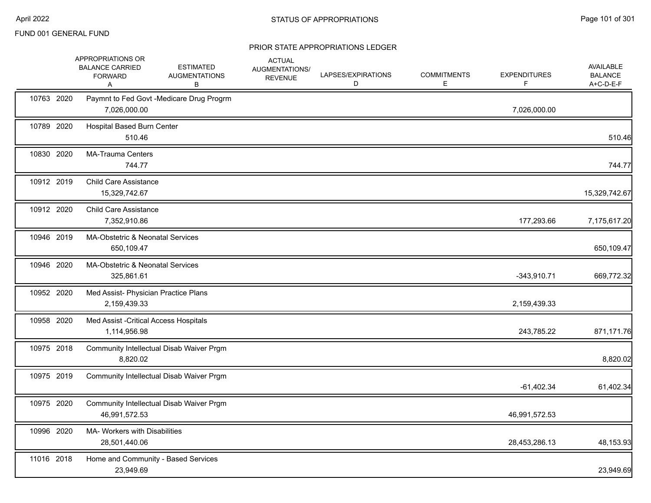|            | APPROPRIATIONS OR<br><b>BALANCE CARRIED</b><br><b>FORWARD</b><br>Α | <b>ESTIMATED</b><br><b>AUGMENTATIONS</b><br>В | <b>ACTUAL</b><br>AUGMENTATIONS/<br><b>REVENUE</b> | LAPSES/EXPIRATIONS<br>D | <b>COMMITMENTS</b><br>E | <b>EXPENDITURES</b><br>F | AVAILABLE<br><b>BALANCE</b><br>A+C-D-E-F |
|------------|--------------------------------------------------------------------|-----------------------------------------------|---------------------------------------------------|-------------------------|-------------------------|--------------------------|------------------------------------------|
| 10763 2020 | 7,026,000.00                                                       | Paymnt to Fed Govt -Medicare Drug Progrm      |                                                   |                         |                         | 7,026,000.00             |                                          |
| 10789 2020 | <b>Hospital Based Burn Center</b><br>510.46                        |                                               |                                                   |                         |                         |                          | 510.46                                   |
| 10830 2020 | <b>MA-Trauma Centers</b><br>744.77                                 |                                               |                                                   |                         |                         |                          | 744.77                                   |
| 10912 2019 | <b>Child Care Assistance</b><br>15,329,742.67                      |                                               |                                                   |                         |                         |                          | 15,329,742.67                            |
| 10912 2020 | <b>Child Care Assistance</b><br>7,352,910.86                       |                                               |                                                   |                         |                         | 177,293.66               | 7,175,617.20                             |
| 10946 2019 | MA-Obstetric & Neonatal Services<br>650,109.47                     |                                               |                                                   |                         |                         |                          | 650,109.47                               |
| 10946 2020 | MA-Obstetric & Neonatal Services<br>325,861.61                     |                                               |                                                   |                         |                         | $-343,910.71$            | 669,772.32                               |
| 10952 2020 | Med Assist- Physician Practice Plans<br>2,159,439.33               |                                               |                                                   |                         |                         | 2,159,439.33             |                                          |
| 10958 2020 | Med Assist - Critical Access Hospitals<br>1,114,956.98             |                                               |                                                   |                         |                         | 243,785.22               | 871,171.76                               |
| 10975 2018 | 8,820.02                                                           | Community Intellectual Disab Waiver Prgm      |                                                   |                         |                         |                          | 8,820.02                                 |
| 10975 2019 |                                                                    | Community Intellectual Disab Waiver Prgm      |                                                   |                         |                         | $-61,402.34$             | 61,402.34                                |
| 10975 2020 | 46,991,572.53                                                      | Community Intellectual Disab Waiver Prgm      |                                                   |                         |                         | 46,991,572.53            |                                          |
| 10996 2020 | MA- Workers with Disabilities<br>28,501,440.06                     |                                               |                                                   |                         |                         | 28,453,286.13            | 48,153.93                                |
| 11016 2018 | Home and Community - Based Services<br>23,949.69                   |                                               |                                                   |                         |                         |                          | 23,949.69                                |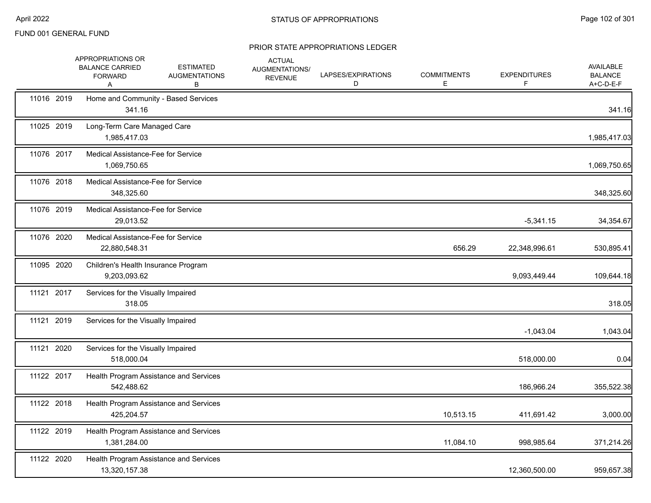|            | APPROPRIATIONS OR<br><b>BALANCE CARRIED</b><br><b>FORWARD</b><br>Α | <b>ESTIMATED</b><br><b>AUGMENTATIONS</b><br>В | <b>ACTUAL</b><br>AUGMENTATIONS/<br><b>REVENUE</b> | LAPSES/EXPIRATIONS<br>D | <b>COMMITMENTS</b><br>E | <b>EXPENDITURES</b><br>F. | AVAILABLE<br><b>BALANCE</b><br>A+C-D-E-F |
|------------|--------------------------------------------------------------------|-----------------------------------------------|---------------------------------------------------|-------------------------|-------------------------|---------------------------|------------------------------------------|
| 11016 2019 | 341.16                                                             | Home and Community - Based Services           |                                                   |                         |                         |                           | 341.16                                   |
| 11025 2019 | Long-Term Care Managed Care<br>1,985,417.03                        |                                               |                                                   |                         |                         |                           | 1,985,417.03                             |
| 11076 2017 | Medical Assistance-Fee for Service<br>1.069.750.65                 |                                               |                                                   |                         |                         |                           | 1,069,750.65                             |
| 11076 2018 | Medical Assistance-Fee for Service<br>348,325.60                   |                                               |                                                   |                         |                         |                           | 348,325.60                               |
| 11076 2019 | Medical Assistance-Fee for Service<br>29,013.52                    |                                               |                                                   |                         |                         | $-5,341.15$               | 34,354.67                                |
| 11076 2020 | Medical Assistance-Fee for Service<br>22,880,548.31                |                                               |                                                   |                         | 656.29                  | 22,348,996.61             | 530,895.41                               |
| 11095 2020 | Children's Health Insurance Program<br>9,203,093.62                |                                               |                                                   |                         |                         | 9,093,449.44              | 109,644.18                               |
| 11121 2017 | Services for the Visually Impaired<br>318.05                       |                                               |                                                   |                         |                         |                           | 318.05                                   |
| 11121 2019 | Services for the Visually Impaired                                 |                                               |                                                   |                         |                         | $-1,043.04$               | 1,043.04                                 |
| 11121 2020 | Services for the Visually Impaired<br>518,000.04                   |                                               |                                                   |                         |                         | 518,000.00                | 0.04                                     |
| 11122 2017 | 542,488.62                                                         | Health Program Assistance and Services        |                                                   |                         |                         | 186,966.24                | 355,522.38                               |
| 11122 2018 | 425,204.57                                                         | Health Program Assistance and Services        |                                                   |                         | 10,513.15               | 411,691.42                | 3,000.00                                 |
| 11122 2019 | 1,381,284.00                                                       | Health Program Assistance and Services        |                                                   |                         | 11,084.10               | 998,985.64                | 371,214.26                               |
| 11122 2020 | 13,320,157.38                                                      | Health Program Assistance and Services        |                                                   |                         |                         | 12,360,500.00             | 959,657.38                               |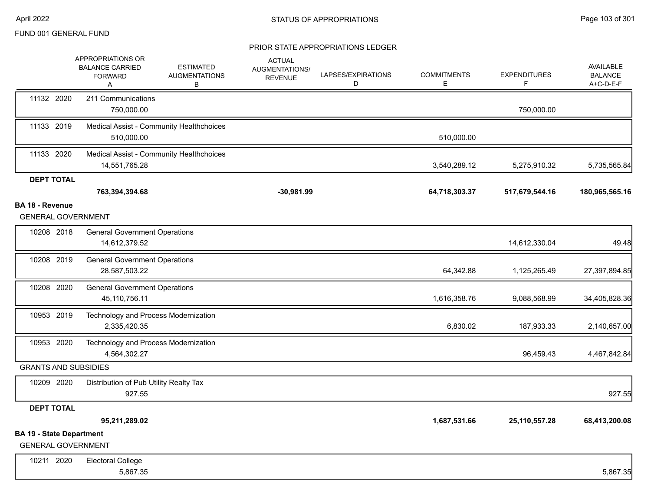|                                                              | APPROPRIATIONS OR<br><b>BALANCE CARRIED</b><br><b>FORWARD</b><br>Α | <b>ESTIMATED</b><br><b>AUGMENTATIONS</b><br>В | <b>ACTUAL</b><br>AUGMENTATIONS/<br><b>REVENUE</b> | LAPSES/EXPIRATIONS<br>D | <b>COMMITMENTS</b><br>Е | <b>EXPENDITURES</b><br>F | AVAILABLE<br><b>BALANCE</b><br>A+C-D-E-F |
|--------------------------------------------------------------|--------------------------------------------------------------------|-----------------------------------------------|---------------------------------------------------|-------------------------|-------------------------|--------------------------|------------------------------------------|
| 11132 2020                                                   | 211 Communications<br>750,000.00                                   |                                               |                                                   |                         |                         | 750,000.00               |                                          |
| 11133 2019                                                   | 510,000.00                                                         | Medical Assist - Community Healthchoices      |                                                   |                         | 510,000.00              |                          |                                          |
| 11133 2020                                                   | 14,551,765.28                                                      | Medical Assist - Community Healthchoices      |                                                   |                         | 3,540,289.12            | 5,275,910.32             | 5,735,565.84                             |
| <b>DEPT TOTAL</b>                                            |                                                                    |                                               |                                                   |                         |                         |                          |                                          |
|                                                              | 763,394,394.68                                                     |                                               | $-30,981.99$                                      |                         | 64,718,303.37           | 517,679,544.16           | 180,965,565.16                           |
| <b>BA 18 - Revenue</b><br><b>GENERAL GOVERNMENT</b>          |                                                                    |                                               |                                                   |                         |                         |                          |                                          |
| 10208 2018                                                   | <b>General Government Operations</b><br>14,612,379.52              |                                               |                                                   |                         |                         | 14,612,330.04            | 49.48                                    |
| 10208 2019                                                   | <b>General Government Operations</b><br>28,587,503.22              |                                               |                                                   |                         | 64,342.88               | 1,125,265.49             | 27,397,894.85                            |
| 10208 2020                                                   | <b>General Government Operations</b><br>45,110,756.11              |                                               |                                                   |                         | 1,616,358.76            | 9,088,568.99             | 34,405,828.36                            |
| 10953 2019                                                   | Technology and Process Modernization<br>2,335,420.35               |                                               |                                                   |                         | 6,830.02                | 187,933.33               | 2,140,657.00                             |
| 10953 2020                                                   | Technology and Process Modernization<br>4,564,302.27               |                                               |                                                   |                         |                         | 96,459.43                | 4,467,842.84                             |
| <b>GRANTS AND SUBSIDIES</b>                                  |                                                                    |                                               |                                                   |                         |                         |                          |                                          |
| 10209 2020                                                   | Distribution of Pub Utility Realty Tax<br>927.55                   |                                               |                                                   |                         |                         |                          | 927.55                                   |
| <b>DEPT TOTAL</b>                                            |                                                                    |                                               |                                                   |                         |                         |                          |                                          |
|                                                              | 95,211,289.02                                                      |                                               |                                                   |                         | 1,687,531.66            | 25, 110, 557. 28         | 68,413,200.08                            |
| <b>BA 19 - State Department</b><br><b>GENERAL GOVERNMENT</b> |                                                                    |                                               |                                                   |                         |                         |                          |                                          |
| 10211 2020                                                   | <b>Electoral College</b><br>5,867.35                               |                                               |                                                   |                         |                         |                          | 5,867.35                                 |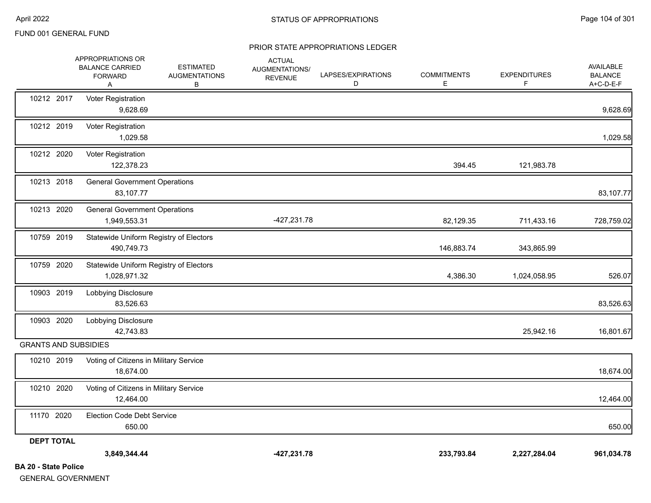|                                                  | APPROPRIATIONS OR<br><b>BALANCE CARRIED</b><br><b>FORWARD</b><br>A | <b>ESTIMATED</b><br><b>AUGMENTATIONS</b><br>В | <b>ACTUAL</b><br>AUGMENTATIONS/<br><b>REVENUE</b> | LAPSES/EXPIRATIONS<br>D | <b>COMMITMENTS</b><br>E. | <b>EXPENDITURES</b><br>F. | <b>AVAILABLE</b><br><b>BALANCE</b><br>A+C-D-E-F |
|--------------------------------------------------|--------------------------------------------------------------------|-----------------------------------------------|---------------------------------------------------|-------------------------|--------------------------|---------------------------|-------------------------------------------------|
| 10212 2017                                       | Voter Registration<br>9,628.69                                     |                                               |                                                   |                         |                          |                           | 9,628.69                                        |
| 10212 2019                                       | Voter Registration<br>1,029.58                                     |                                               |                                                   |                         |                          |                           | 1,029.58                                        |
| 10212 2020                                       | Voter Registration<br>122,378.23                                   |                                               |                                                   |                         | 394.45                   | 121,983.78                |                                                 |
| 10213 2018                                       | <b>General Government Operations</b><br>83,107.77                  |                                               |                                                   |                         |                          |                           | 83,107.77                                       |
| 10213 2020                                       | <b>General Government Operations</b><br>1,949,553.31               |                                               | $-427,231.78$                                     |                         | 82,129.35                | 711,433.16                | 728,759.02                                      |
| 10759 2019                                       | Statewide Uniform Registry of Electors<br>490,749.73               |                                               |                                                   |                         | 146,883.74               | 343,865.99                |                                                 |
| 10759 2020                                       | Statewide Uniform Registry of Electors<br>1,028,971.32             |                                               |                                                   |                         | 4,386.30                 | 1,024,058.95              | 526.07                                          |
| 10903 2019                                       | Lobbying Disclosure<br>83,526.63                                   |                                               |                                                   |                         |                          |                           | 83,526.63                                       |
| 10903 2020                                       | Lobbying Disclosure<br>42,743.83                                   |                                               |                                                   |                         |                          | 25,942.16                 | 16,801.67                                       |
| <b>GRANTS AND SUBSIDIES</b>                      |                                                                    |                                               |                                                   |                         |                          |                           |                                                 |
| 10210 2019                                       | Voting of Citizens in Military Service<br>18,674.00                |                                               |                                                   |                         |                          |                           | 18,674.00                                       |
| 10210 2020                                       | Voting of Citizens in Military Service<br>12,464.00                |                                               |                                                   |                         |                          |                           | 12,464.00                                       |
| 11170 2020                                       | <b>Election Code Debt Service</b><br>650.00                        |                                               |                                                   |                         |                          |                           | 650.00                                          |
| <b>DEPT TOTAL</b><br><b>BA 20 - State Police</b> | 3,849,344.44                                                       |                                               | $-427,231.78$                                     |                         | 233,793.84               | 2,227,284.04              | 961,034.78                                      |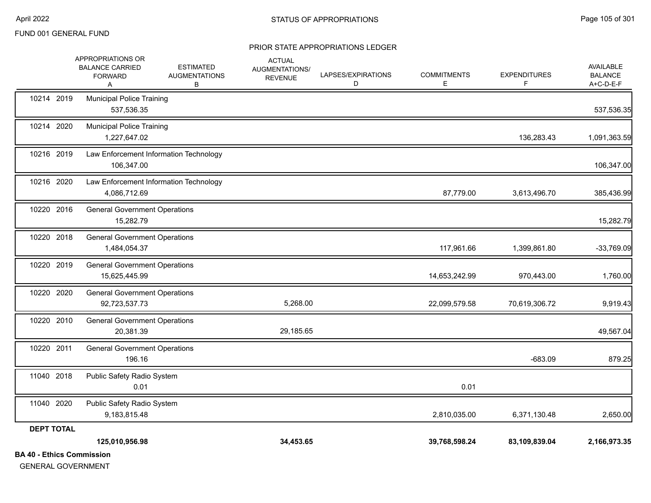| 10214 2020        | 537,536.35<br><b>Municipal Police Training</b>         |           |               |               | 537,536.35   |
|-------------------|--------------------------------------------------------|-----------|---------------|---------------|--------------|
|                   | 1,227,647.02                                           |           |               | 136,283.43    | 1,091,363.59 |
| 10216 2019        | Law Enforcement Information Technology<br>106,347.00   |           |               |               | 106,347.00   |
| 10216 2020        | Law Enforcement Information Technology<br>4,086,712.69 |           | 87,779.00     | 3,613,496.70  | 385,436.99   |
| 10220 2016        | <b>General Government Operations</b><br>15,282.79      |           |               |               | 15,282.79    |
| 10220 2018        | <b>General Government Operations</b><br>1,484,054.37   |           | 117,961.66    | 1,399,861.80  | $-33,769.09$ |
| 10220 2019        | <b>General Government Operations</b><br>15,625,445.99  |           | 14,653,242.99 | 970,443.00    | 1,760.00     |
| 10220 2020        | <b>General Government Operations</b><br>92,723,537.73  | 5,268.00  | 22,099,579.58 | 70,619,306.72 | 9,919.43     |
| 10220 2010        | <b>General Government Operations</b><br>20,381.39      | 29,185.65 |               |               | 49,567.04    |
| 10220 2011        | <b>General Government Operations</b><br>196.16         |           |               | $-683.09$     | 879.25       |
| 11040 2018        | Public Safety Radio System<br>0.01                     |           | 0.01          |               |              |
| 11040 2020        | Public Safety Radio System<br>9,183,815.48             |           | 2,810,035.00  | 6,371,130.48  | 2,650.00     |
| <b>DEPT TOTAL</b> |                                                        |           |               |               |              |
|                   | 125,010,956.98                                         | 34,453.65 | 39,768,598.24 | 83,109,839.04 | 2,166,973.35 |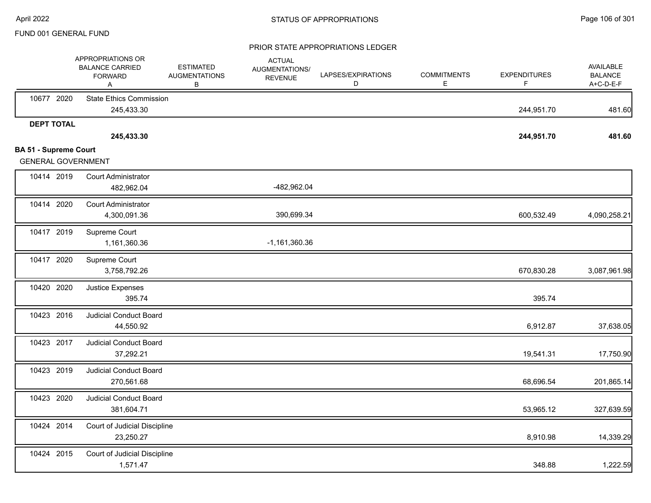|                                                           | APPROPRIATIONS OR<br><b>BALANCE CARRIED</b><br><b>FORWARD</b><br>A | <b>ESTIMATED</b><br><b>AUGMENTATIONS</b><br>в | <b>ACTUAL</b><br>AUGMENTATIONS/<br><b>REVENUE</b> | LAPSES/EXPIRATIONS<br>D | <b>COMMITMENTS</b><br>Е | <b>EXPENDITURES</b><br>F | <b>AVAILABLE</b><br><b>BALANCE</b><br>A+C-D-E-F |
|-----------------------------------------------------------|--------------------------------------------------------------------|-----------------------------------------------|---------------------------------------------------|-------------------------|-------------------------|--------------------------|-------------------------------------------------|
| 10677 2020                                                | <b>State Ethics Commission</b><br>245,433.30                       |                                               |                                                   |                         |                         | 244,951.70               | 481.60                                          |
| <b>DEPT TOTAL</b>                                         |                                                                    |                                               |                                                   |                         |                         |                          |                                                 |
|                                                           | 245,433.30                                                         |                                               |                                                   |                         |                         | 244,951.70               | 481.60                                          |
| <b>BA 51 - Supreme Court</b><br><b>GENERAL GOVERNMENT</b> |                                                                    |                                               |                                                   |                         |                         |                          |                                                 |
| 10414 2019                                                | <b>Court Administrator</b><br>482,962.04                           |                                               | -482,962.04                                       |                         |                         |                          |                                                 |
| 10414 2020                                                | <b>Court Administrator</b><br>4,300,091.36                         |                                               | 390,699.34                                        |                         |                         | 600,532.49               | 4,090,258.21                                    |
| 10417 2019                                                | Supreme Court<br>1,161,360.36                                      |                                               | $-1,161,360.36$                                   |                         |                         |                          |                                                 |
| 10417 2020                                                | Supreme Court<br>3,758,792.26                                      |                                               |                                                   |                         |                         | 670,830.28               | 3,087,961.98                                    |
| 10420 2020                                                | Justice Expenses<br>395.74                                         |                                               |                                                   |                         |                         | 395.74                   |                                                 |
| 10423 2016                                                | <b>Judicial Conduct Board</b><br>44,550.92                         |                                               |                                                   |                         |                         | 6,912.87                 | 37,638.05                                       |
| 10423 2017                                                | Judicial Conduct Board<br>37,292.21                                |                                               |                                                   |                         |                         | 19,541.31                | 17,750.90                                       |
| 10423 2019                                                | <b>Judicial Conduct Board</b><br>270,561.68                        |                                               |                                                   |                         |                         | 68,696.54                | 201,865.14                                      |
| 10423 2020                                                | Judicial Conduct Board<br>381,604.71                               |                                               |                                                   |                         |                         | 53,965.12                | 327,639.59                                      |
| 10424 2014                                                | Court of Judicial Discipline<br>23,250.27                          |                                               |                                                   |                         |                         | 8,910.98                 | 14,339.29                                       |
| 10424 2015                                                | Court of Judicial Discipline<br>1,571.47                           |                                               |                                                   |                         |                         | 348.88                   | 1,222.59                                        |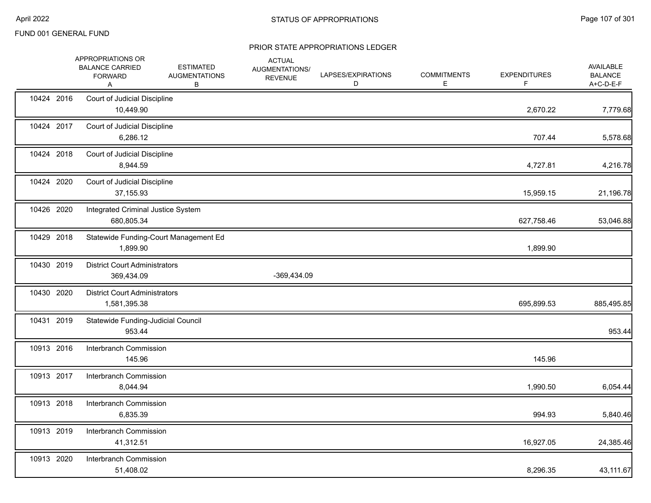|            | APPROPRIATIONS OR<br><b>BALANCE CARRIED</b><br><b>FORWARD</b><br>Α | <b>ESTIMATED</b><br><b>AUGMENTATIONS</b><br>В | <b>ACTUAL</b><br>AUGMENTATIONS/<br><b>REVENUE</b> | LAPSES/EXPIRATIONS<br>D | <b>COMMITMENTS</b><br>Е | <b>EXPENDITURES</b><br>F. | <b>AVAILABLE</b><br><b>BALANCE</b><br>A+C-D-E-F |
|------------|--------------------------------------------------------------------|-----------------------------------------------|---------------------------------------------------|-------------------------|-------------------------|---------------------------|-------------------------------------------------|
| 10424 2016 | Court of Judicial Discipline<br>10,449.90                          |                                               |                                                   |                         |                         | 2,670.22                  | 7,779.68                                        |
| 10424 2017 | Court of Judicial Discipline<br>6,286.12                           |                                               |                                                   |                         |                         | 707.44                    | 5,578.68                                        |
| 10424 2018 | Court of Judicial Discipline<br>8,944.59                           |                                               |                                                   |                         |                         | 4,727.81                  | 4,216.78                                        |
| 10424 2020 | Court of Judicial Discipline<br>37,155.93                          |                                               |                                                   |                         |                         | 15,959.15                 | 21,196.78                                       |
| 10426 2020 | Integrated Criminal Justice System<br>680,805.34                   |                                               |                                                   |                         |                         | 627,758.46                | 53,046.88                                       |
| 10429 2018 | 1,899.90                                                           | Statewide Funding-Court Management Ed         |                                                   |                         |                         | 1,899.90                  |                                                 |
| 10430 2019 | <b>District Court Administrators</b><br>369,434.09                 |                                               | -369,434.09                                       |                         |                         |                           |                                                 |
| 10430 2020 | <b>District Court Administrators</b><br>1,581,395.38               |                                               |                                                   |                         |                         | 695,899.53                | 885,495.85                                      |
| 10431 2019 | Statewide Funding-Judicial Council<br>953.44                       |                                               |                                                   |                         |                         |                           | 953.44                                          |
| 10913 2016 | Interbranch Commission<br>145.96                                   |                                               |                                                   |                         |                         | 145.96                    |                                                 |
| 10913 2017 | Interbranch Commission<br>8,044.94                                 |                                               |                                                   |                         |                         | 1,990.50                  | 6,054.44                                        |
| 10913 2018 | Interbranch Commission<br>6,835.39                                 |                                               |                                                   |                         |                         | 994.93                    | 5,840.46                                        |
| 10913 2019 | Interbranch Commission<br>41,312.51                                |                                               |                                                   |                         |                         | 16,927.05                 | 24,385.46                                       |
| 10913 2020 | Interbranch Commission<br>51,408.02                                |                                               |                                                   |                         |                         | 8,296.35                  | 43,111.67                                       |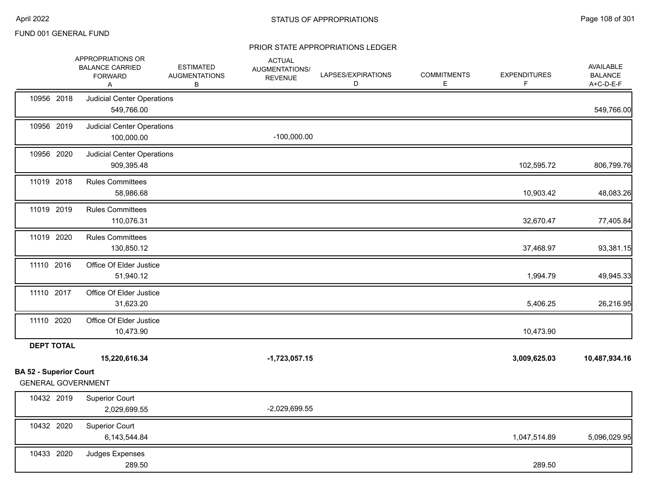|                                                    | APPROPRIATIONS OR<br><b>BALANCE CARRIED</b><br><b>FORWARD</b><br>Α | <b>ESTIMATED</b><br><b>AUGMENTATIONS</b><br>В | <b>ACTUAL</b><br>AUGMENTATIONS/<br><b>REVENUE</b> | LAPSES/EXPIRATIONS<br>D | <b>COMMITMENTS</b><br>E. | <b>EXPENDITURES</b><br>F | AVAILABLE<br><b>BALANCE</b><br>A+C-D-E-F |
|----------------------------------------------------|--------------------------------------------------------------------|-----------------------------------------------|---------------------------------------------------|-------------------------|--------------------------|--------------------------|------------------------------------------|
| 10956 2018                                         | <b>Judicial Center Operations</b><br>549,766.00                    |                                               |                                                   |                         |                          |                          | 549,766.00                               |
| 10956 2019                                         | <b>Judicial Center Operations</b><br>100,000.00                    |                                               | $-100,000.00$                                     |                         |                          |                          |                                          |
| 10956 2020                                         | <b>Judicial Center Operations</b><br>909,395.48                    |                                               |                                                   |                         |                          | 102,595.72               | 806,799.76                               |
| 11019 2018                                         | <b>Rules Committees</b><br>58,986.68                               |                                               |                                                   |                         |                          | 10,903.42                | 48,083.26                                |
| 11019 2019                                         | <b>Rules Committees</b><br>110,076.31                              |                                               |                                                   |                         |                          | 32,670.47                | 77,405.84                                |
| 11019 2020                                         | <b>Rules Committees</b><br>130,850.12                              |                                               |                                                   |                         |                          | 37,468.97                | 93,381.15                                |
| 11110 2016                                         | Office Of Elder Justice<br>51,940.12                               |                                               |                                                   |                         |                          | 1,994.79                 | 49,945.33                                |
| 11110 2017                                         | Office Of Elder Justice<br>31,623.20                               |                                               |                                                   |                         |                          | 5,406.25                 | 26,216.95                                |
| 11110 2020                                         | Office Of Elder Justice<br>10,473.90                               |                                               |                                                   |                         |                          | 10,473.90                |                                          |
| <b>DEPT TOTAL</b><br><b>BA 52 - Superior Court</b> | 15,220,616.34                                                      |                                               | $-1,723,057.15$                                   |                         |                          | 3,009,625.03             | 10,487,934.16                            |
| <b>GENERAL GOVERNMENT</b>                          |                                                                    |                                               |                                                   |                         |                          |                          |                                          |
| 10432 2019                                         | <b>Superior Court</b><br>2,029,699.55                              |                                               | $-2,029,699.55$                                   |                         |                          |                          |                                          |
| 10432 2020                                         | <b>Superior Court</b><br>6,143,544.84                              |                                               |                                                   |                         |                          | 1,047,514.89             | 5,096,029.95                             |
| 10433 2020                                         | Judges Expenses<br>289.50                                          |                                               |                                                   |                         |                          | 289.50                   |                                          |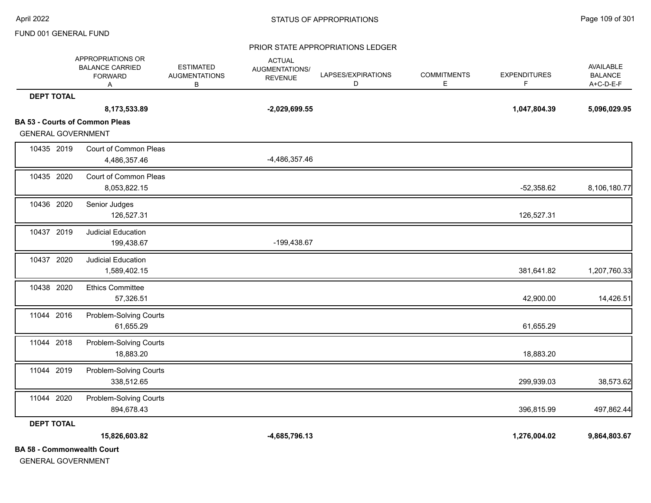#### PRIOR STATE APPROPRIATIONS LEDGER

|                                   | APPROPRIATIONS OR<br><b>BALANCE CARRIED</b><br><b>FORWARD</b><br>Α | <b>ESTIMATED</b><br><b>AUGMENTATIONS</b><br>B | <b>ACTUAL</b><br>AUGMENTATIONS/<br><b>REVENUE</b> | LAPSES/EXPIRATIONS<br>D | <b>COMMITMENTS</b><br>Е | <b>EXPENDITURES</b><br>F. | AVAILABLE<br><b>BALANCE</b><br>A+C-D-E-F |
|-----------------------------------|--------------------------------------------------------------------|-----------------------------------------------|---------------------------------------------------|-------------------------|-------------------------|---------------------------|------------------------------------------|
| <b>DEPT TOTAL</b>                 |                                                                    |                                               |                                                   |                         |                         |                           |                                          |
|                                   | 8,173,533.89                                                       |                                               | $-2,029,699.55$                                   |                         |                         | 1,047,804.39              | 5,096,029.95                             |
|                                   | <b>BA 53 - Courts of Common Pleas</b>                              |                                               |                                                   |                         |                         |                           |                                          |
| <b>GENERAL GOVERNMENT</b>         |                                                                    |                                               |                                                   |                         |                         |                           |                                          |
| 10435 2019                        | Court of Common Pleas                                              |                                               |                                                   |                         |                         |                           |                                          |
|                                   | 4,486,357.46                                                       |                                               | -4,486,357.46                                     |                         |                         |                           |                                          |
| 10435 2020                        | Court of Common Pleas                                              |                                               |                                                   |                         |                         |                           |                                          |
|                                   | 8,053,822.15                                                       |                                               |                                                   |                         |                         | $-52,358.62$              | 8,106,180.77                             |
| 10436 2020                        | Senior Judges                                                      |                                               |                                                   |                         |                         |                           |                                          |
|                                   | 126,527.31                                                         |                                               |                                                   |                         |                         | 126,527.31                |                                          |
| 10437 2019                        | <b>Judicial Education</b>                                          |                                               |                                                   |                         |                         |                           |                                          |
|                                   | 199,438.67                                                         |                                               | -199,438.67                                       |                         |                         |                           |                                          |
| 10437 2020                        | <b>Judicial Education</b>                                          |                                               |                                                   |                         |                         |                           |                                          |
|                                   | 1,589,402.15                                                       |                                               |                                                   |                         |                         | 381,641.82                | 1,207,760.33                             |
| 10438 2020                        | <b>Ethics Committee</b>                                            |                                               |                                                   |                         |                         |                           |                                          |
|                                   | 57,326.51                                                          |                                               |                                                   |                         |                         | 42,900.00                 | 14,426.51                                |
| 11044 2016                        | Problem-Solving Courts                                             |                                               |                                                   |                         |                         |                           |                                          |
|                                   | 61,655.29                                                          |                                               |                                                   |                         |                         | 61,655.29                 |                                          |
| 11044 2018                        | Problem-Solving Courts                                             |                                               |                                                   |                         |                         |                           |                                          |
|                                   | 18,883.20                                                          |                                               |                                                   |                         |                         | 18,883.20                 |                                          |
| 11044 2019                        | Problem-Solving Courts                                             |                                               |                                                   |                         |                         |                           |                                          |
|                                   | 338,512.65                                                         |                                               |                                                   |                         |                         | 299,939.03                | 38,573.62                                |
| 11044 2020                        | Problem-Solving Courts                                             |                                               |                                                   |                         |                         |                           |                                          |
|                                   | 894,678.43                                                         |                                               |                                                   |                         |                         | 396,815.99                | 497,862.44                               |
| <b>DEPT TOTAL</b>                 |                                                                    |                                               |                                                   |                         |                         |                           |                                          |
|                                   | 15,826,603.82                                                      |                                               | -4,685,796.13                                     |                         |                         | 1,276,004.02              | 9,864,803.67                             |
| <b>BA 58 - Commonwealth Court</b> |                                                                    |                                               |                                                   |                         |                         |                           |                                          |

GENERAL GOVERNMENT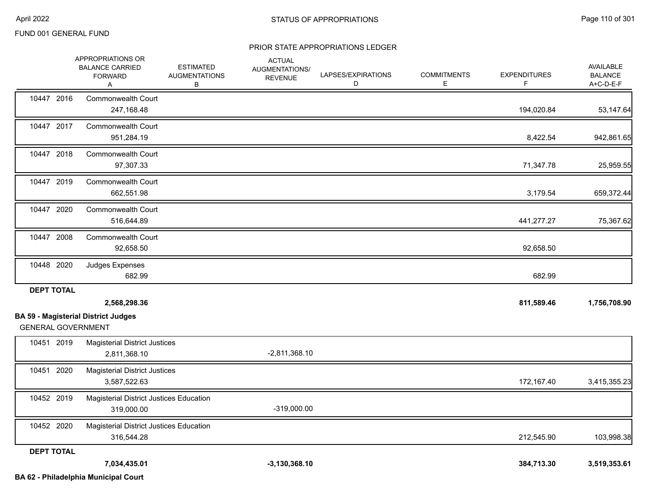#### PRIOR STATE APPROPRIATIONS LEDGER

|                           | APPROPRIATIONS OR<br><b>BALANCE CARRIED</b><br><b>FORWARD</b><br>Α | <b>ESTIMATED</b><br><b>AUGMENTATIONS</b><br>В | <b>ACTUAL</b><br>AUGMENTATIONS/<br><b>REVENUE</b> | LAPSES/EXPIRATIONS<br>D | <b>COMMITMENTS</b><br>E. | <b>EXPENDITURES</b><br>F | <b>AVAILABLE</b><br><b>BALANCE</b><br>A+C-D-E-F |
|---------------------------|--------------------------------------------------------------------|-----------------------------------------------|---------------------------------------------------|-------------------------|--------------------------|--------------------------|-------------------------------------------------|
| 10447 2016                | <b>Commonwealth Court</b><br>247,168.48                            |                                               |                                                   |                         |                          | 194,020.84               | 53,147.64                                       |
| 10447 2017                | <b>Commonwealth Court</b><br>951,284.19                            |                                               |                                                   |                         |                          | 8,422.54                 | 942,861.65                                      |
| 10447 2018                | <b>Commonwealth Court</b><br>97,307.33                             |                                               |                                                   |                         |                          | 71,347.78                | 25,959.55                                       |
| 10447 2019                | <b>Commonwealth Court</b><br>662,551.98                            |                                               |                                                   |                         |                          | 3,179.54                 | 659,372.44                                      |
| 10447 2020                | <b>Commonwealth Court</b><br>516,644.89                            |                                               |                                                   |                         |                          | 441,277.27               | 75,367.62                                       |
| 10447 2008                | <b>Commonwealth Court</b><br>92,658.50                             |                                               |                                                   |                         |                          | 92,658.50                |                                                 |
| 10448 2020                | Judges Expenses<br>682.99                                          |                                               |                                                   |                         |                          | 682.99                   |                                                 |
| <b>DEPT TOTAL</b>         | 2,568,298.36                                                       |                                               |                                                   |                         |                          | 811,589.46               | 1,756,708.90                                    |
| <b>GENERAL GOVERNMENT</b> | <b>BA 59 - Magisterial District Judges</b>                         |                                               |                                                   |                         |                          |                          |                                                 |
| 10451 2019                | <b>Magisterial District Justices</b><br>2,811,368.10               |                                               | $-2,811,368.10$                                   |                         |                          |                          |                                                 |
| 10451 2020                | <b>Magisterial District Justices</b><br>3,587,522.63               |                                               |                                                   |                         |                          | 172,167.40               | 3,415,355.23                                    |
| 10452 2019                | <b>Magisterial District Justices Education</b><br>319,000.00       |                                               | $-319,000.00$                                     |                         |                          |                          |                                                 |
| 10452 2020                | Magisterial District Justices Education<br>316,544.28              |                                               |                                                   |                         |                          | 212,545.90               | 103,998.38                                      |
| <b>DEPT TOTAL</b>         | 7,034,435.01                                                       |                                               | $-3,130,368.10$                                   |                         |                          | 384,713.30               | 3,519,353.61                                    |

**BA 62 - Philadelphia Municipal Court**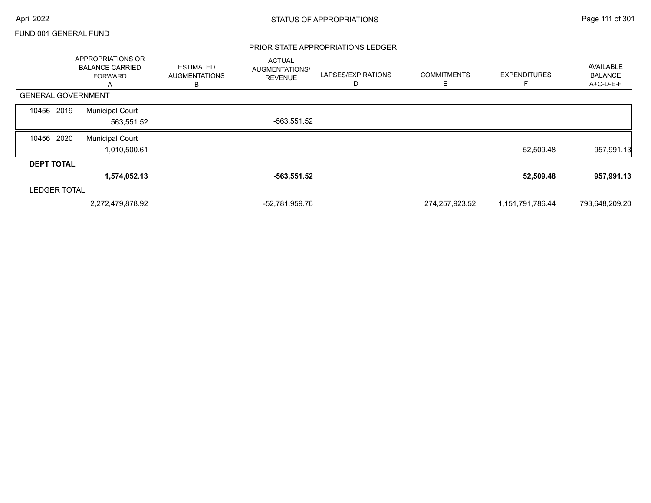#### PRIOR STATE APPROPRIATIONS LEDGER

|                           | APPROPRIATIONS OR<br><b>BALANCE CARRIED</b><br><b>FORWARD</b><br>A | <b>ESTIMATED</b><br><b>AUGMENTATIONS</b><br>В | <b>ACTUAL</b><br>AUGMENTATIONS/<br><b>REVENUE</b> | LAPSES/EXPIRATIONS | <b>COMMITMENTS</b><br>F | <b>EXPENDITURES</b> | AVAILABLE<br><b>BALANCE</b><br>A+C-D-E-F |
|---------------------------|--------------------------------------------------------------------|-----------------------------------------------|---------------------------------------------------|--------------------|-------------------------|---------------------|------------------------------------------|
| <b>GENERAL GOVERNMENT</b> |                                                                    |                                               |                                                   |                    |                         |                     |                                          |
| 10456 2019                | <b>Municipal Court</b><br>563,551.52                               |                                               | -563,551.52                                       |                    |                         |                     |                                          |
| 10456 2020                | <b>Municipal Court</b><br>1,010,500.61                             |                                               |                                                   |                    |                         | 52,509.48           | 957,991.13                               |
| <b>DEPT TOTAL</b>         |                                                                    |                                               |                                                   |                    |                         |                     |                                          |
|                           | 1,574,052.13                                                       |                                               | -563,551.52                                       |                    |                         | 52,509.48           | 957,991.13                               |
| <b>LEDGER TOTAL</b>       |                                                                    |                                               |                                                   |                    |                         |                     |                                          |
|                           | 2,272,479,878.92                                                   |                                               | -52,781,959.76                                    |                    | 274,257,923.52          | 1,151,791,786.44    | 793,648,209.20                           |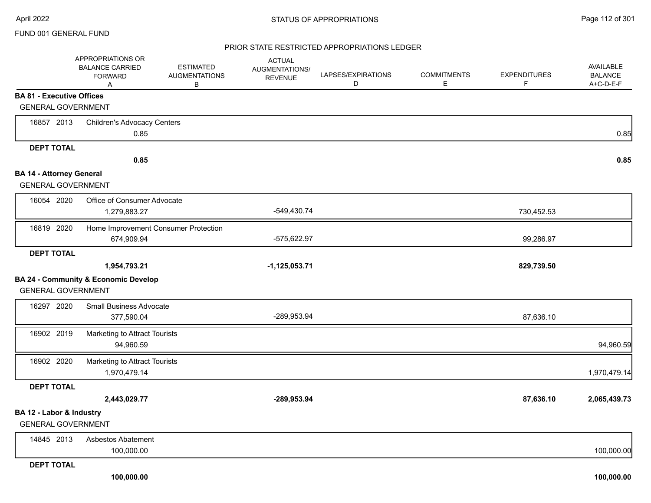#### PRIOR STATE RESTRICTED APPROPRIATIONS LEDGER

|                                  | APPROPRIATIONS OR<br><b>BALANCE CARRIED</b><br><b>FORWARD</b><br>Α | <b>ESTIMATED</b><br><b>AUGMENTATIONS</b><br>В | <b>ACTUAL</b><br><b>AUGMENTATIONS/</b><br><b>REVENUE</b> | LAPSES/EXPIRATIONS<br>D | <b>COMMITMENTS</b><br>E | <b>EXPENDITURES</b><br>F. | AVAILABLE<br><b>BALANCE</b><br>A+C-D-E-F |
|----------------------------------|--------------------------------------------------------------------|-----------------------------------------------|----------------------------------------------------------|-------------------------|-------------------------|---------------------------|------------------------------------------|
| <b>BA 81 - Executive Offices</b> |                                                                    |                                               |                                                          |                         |                         |                           |                                          |
| <b>GENERAL GOVERNMENT</b>        |                                                                    |                                               |                                                          |                         |                         |                           |                                          |
| 16857 2013                       | <b>Children's Advocacy Centers</b>                                 |                                               |                                                          |                         |                         |                           |                                          |
|                                  | 0.85                                                               |                                               |                                                          |                         |                         |                           | 0.85                                     |
| <b>DEPT TOTAL</b>                |                                                                    |                                               |                                                          |                         |                         |                           |                                          |
|                                  | 0.85                                                               |                                               |                                                          |                         |                         |                           | 0.85                                     |
| <b>BA 14 - Attorney General</b>  |                                                                    |                                               |                                                          |                         |                         |                           |                                          |
| <b>GENERAL GOVERNMENT</b>        |                                                                    |                                               |                                                          |                         |                         |                           |                                          |
| 16054 2020                       | Office of Consumer Advocate                                        |                                               |                                                          |                         |                         |                           |                                          |
|                                  | 1,279,883.27                                                       |                                               | -549,430.74                                              |                         |                         | 730,452.53                |                                          |
| 16819 2020                       | Home Improvement Consumer Protection                               |                                               |                                                          |                         |                         |                           |                                          |
|                                  | 674,909.94                                                         |                                               | -575,622.97                                              |                         |                         | 99,286.97                 |                                          |
| <b>DEPT TOTAL</b>                |                                                                    |                                               |                                                          |                         |                         |                           |                                          |
|                                  | 1,954,793.21                                                       |                                               | $-1,125,053.71$                                          |                         |                         | 829,739.50                |                                          |
|                                  | <b>BA 24 - Community &amp; Economic Develop</b>                    |                                               |                                                          |                         |                         |                           |                                          |
| <b>GENERAL GOVERNMENT</b>        |                                                                    |                                               |                                                          |                         |                         |                           |                                          |
| 16297 2020                       | <b>Small Business Advocate</b>                                     |                                               |                                                          |                         |                         |                           |                                          |
|                                  | 377,590.04                                                         |                                               | -289,953.94                                              |                         |                         | 87,636.10                 |                                          |
| 16902 2019                       | Marketing to Attract Tourists                                      |                                               |                                                          |                         |                         |                           |                                          |
|                                  | 94,960.59                                                          |                                               |                                                          |                         |                         |                           | 94,960.59                                |
| 16902 2020                       | Marketing to Attract Tourists                                      |                                               |                                                          |                         |                         |                           |                                          |
|                                  | 1,970,479.14                                                       |                                               |                                                          |                         |                         |                           | 1,970,479.14                             |
| <b>DEPT TOTAL</b>                |                                                                    |                                               |                                                          |                         |                         |                           |                                          |
|                                  | 2,443,029.77                                                       |                                               | $-289,953.94$                                            |                         |                         | 87,636.10                 | 2,065,439.73                             |
| BA 12 - Labor & Industry         |                                                                    |                                               |                                                          |                         |                         |                           |                                          |
| <b>GENERAL GOVERNMENT</b>        |                                                                    |                                               |                                                          |                         |                         |                           |                                          |
| 14845 2013                       | Asbestos Abatement                                                 |                                               |                                                          |                         |                         |                           |                                          |
|                                  | 100,000.00                                                         |                                               |                                                          |                         |                         |                           | 100,000.00                               |
| <b>DEPT TOTAL</b>                |                                                                    |                                               |                                                          |                         |                         |                           |                                          |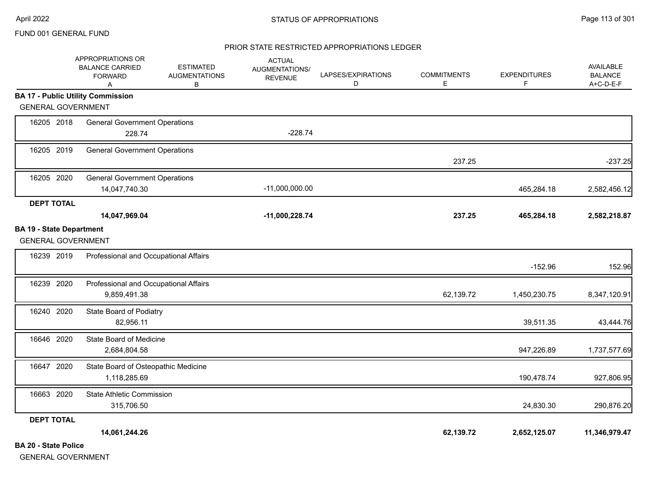#### PRIOR STATE RESTRICTED APPROPRIATIONS LEDGER

|                                                                       | APPROPRIATIONS OR<br><b>BALANCE CARRIED</b><br><b>FORWARD</b><br>Α | <b>ESTIMATED</b><br><b>AUGMENTATIONS</b><br>B | <b>ACTUAL</b><br>AUGMENTATIONS/<br><b>REVENUE</b> | LAPSES/EXPIRATIONS<br>D | <b>COMMITMENTS</b><br>E | <b>EXPENDITURES</b><br>F | <b>AVAILABLE</b><br><b>BALANCE</b><br>A+C-D-E-F |
|-----------------------------------------------------------------------|--------------------------------------------------------------------|-----------------------------------------------|---------------------------------------------------|-------------------------|-------------------------|--------------------------|-------------------------------------------------|
| <b>BA 17 - Public Utility Commission</b><br><b>GENERAL GOVERNMENT</b> |                                                                    |                                               |                                                   |                         |                         |                          |                                                 |
|                                                                       |                                                                    |                                               |                                                   |                         |                         |                          |                                                 |
| 16205 2018                                                            | <b>General Government Operations</b><br>228.74                     |                                               | $-228.74$                                         |                         |                         |                          |                                                 |
|                                                                       |                                                                    |                                               |                                                   |                         |                         |                          |                                                 |
| 16205 2019                                                            | <b>General Government Operations</b>                               |                                               |                                                   |                         | 237.25                  |                          | $-237.25$                                       |
| 16205 2020                                                            | <b>General Government Operations</b>                               |                                               |                                                   |                         |                         |                          |                                                 |
|                                                                       | 14,047,740.30                                                      |                                               | $-11,000,000.00$                                  |                         |                         | 465,284.18               | 2,582,456.12                                    |
| <b>DEPT TOTAL</b>                                                     |                                                                    |                                               |                                                   |                         |                         |                          |                                                 |
|                                                                       | 14,047,969.04                                                      |                                               | $-11,000,228.74$                                  |                         | 237.25                  | 465,284.18               | 2,582,218.87                                    |
| <b>BA 19 - State Department</b><br><b>GENERAL GOVERNMENT</b>          |                                                                    |                                               |                                                   |                         |                         |                          |                                                 |
| 16239 2019                                                            | Professional and Occupational Affairs                              |                                               |                                                   |                         |                         | $-152.96$                | 152.96                                          |
| 16239 2020                                                            | Professional and Occupational Affairs<br>9,859,491.38              |                                               |                                                   |                         | 62,139.72               | 1,450,230.75             | 8,347,120.91                                    |
| 16240 2020                                                            | State Board of Podiatry<br>82,956.11                               |                                               |                                                   |                         |                         | 39,511.35                | 43,444.76                                       |
| 16646 2020                                                            | State Board of Medicine<br>2,684,804.58                            |                                               |                                                   |                         |                         | 947,226.89               | 1,737,577.69                                    |
| 16647 2020                                                            | State Board of Osteopathic Medicine<br>1,118,285.69                |                                               |                                                   |                         |                         | 190,478.74               | 927,806.95                                      |
| 16663 2020                                                            | <b>State Athletic Commission</b><br>315,706.50                     |                                               |                                                   |                         |                         | 24,830.30                | 290,876.20                                      |
| <b>DEPT TOTAL</b>                                                     |                                                                    |                                               |                                                   |                         |                         |                          |                                                 |
|                                                                       | 14,061,244.26                                                      |                                               |                                                   |                         | 62,139.72               | 2,652,125.07             | 11,346,979.47                                   |
| <b>BA 20 - State Police</b>                                           |                                                                    |                                               |                                                   |                         |                         |                          |                                                 |

GENERAL GOVERNMENT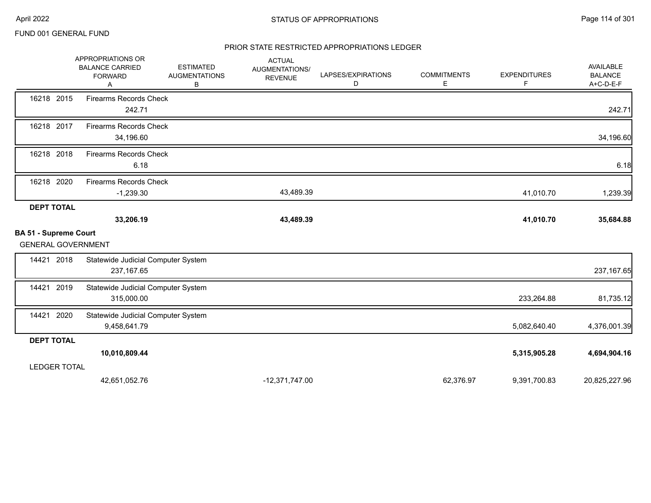### PRIOR STATE RESTRICTED APPROPRIATIONS LEDGER

|                              | APPROPRIATIONS OR<br><b>BALANCE CARRIED</b><br><b>FORWARD</b><br>Α | <b>ESTIMATED</b><br><b>AUGMENTATIONS</b><br>в | <b>ACTUAL</b><br>AUGMENTATIONS/<br><b>REVENUE</b> | LAPSES/EXPIRATIONS<br>D | <b>COMMITMENTS</b><br>E. | <b>EXPENDITURES</b><br>F | <b>AVAILABLE</b><br><b>BALANCE</b><br>A+C-D-E-F |
|------------------------------|--------------------------------------------------------------------|-----------------------------------------------|---------------------------------------------------|-------------------------|--------------------------|--------------------------|-------------------------------------------------|
| 16218 2015                   | <b>Firearms Records Check</b><br>242.71                            |                                               |                                                   |                         |                          |                          | 242.71                                          |
| 16218 2017                   | <b>Firearms Records Check</b><br>34,196.60                         |                                               |                                                   |                         |                          |                          | 34,196.60                                       |
| 16218 2018                   | <b>Firearms Records Check</b><br>6.18                              |                                               |                                                   |                         |                          |                          | 6.18                                            |
| 16218 2020                   | <b>Firearms Records Check</b><br>$-1,239.30$                       |                                               | 43,489.39                                         |                         |                          | 41,010.70                | 1,239.39                                        |
| <b>DEPT TOTAL</b>            |                                                                    |                                               |                                                   |                         |                          |                          |                                                 |
|                              | 33,206.19                                                          |                                               | 43,489.39                                         |                         |                          | 41,010.70                | 35,684.88                                       |
| <b>BA 51 - Supreme Court</b> |                                                                    |                                               |                                                   |                         |                          |                          |                                                 |
| <b>GENERAL GOVERNMENT</b>    |                                                                    |                                               |                                                   |                         |                          |                          |                                                 |
| 14421 2018                   | Statewide Judicial Computer System<br>237, 167.65                  |                                               |                                                   |                         |                          |                          | 237, 167.65                                     |
| 14421 2019                   | Statewide Judicial Computer System<br>315,000.00                   |                                               |                                                   |                         |                          | 233,264.88               | 81,735.12                                       |
| 2020<br>14421                | Statewide Judicial Computer System<br>9,458,641.79                 |                                               |                                                   |                         |                          | 5,082,640.40             | 4,376,001.39                                    |
| <b>DEPT TOTAL</b>            |                                                                    |                                               |                                                   |                         |                          |                          |                                                 |
|                              | 10,010,809.44                                                      |                                               |                                                   |                         |                          | 5,315,905.28             | 4,694,904.16                                    |
| <b>LEDGER TOTAL</b>          |                                                                    |                                               |                                                   |                         |                          |                          |                                                 |
|                              | 42,651,052.76                                                      |                                               | $-12,371,747.00$                                  |                         | 62,376.97                | 9,391,700.83             | 20,825,227.96                                   |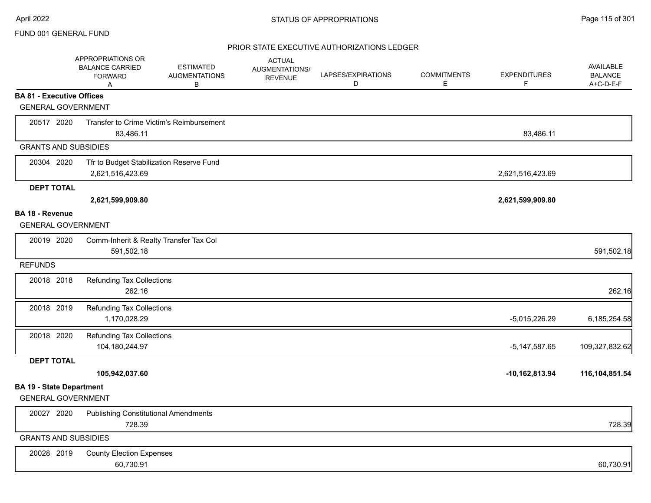## PRIOR STATE EXECUTIVE AUTHORIZATIONS LEDGER

|                                  | APPROPRIATIONS OR<br><b>BALANCE CARRIED</b><br><b>FORWARD</b><br>Α | <b>ESTIMATED</b><br><b>AUGMENTATIONS</b><br>в | <b>ACTUAL</b><br>AUGMENTATIONS/<br><b>REVENUE</b> | LAPSES/EXPIRATIONS<br>D | <b>COMMITMENTS</b><br>E. | <b>EXPENDITURES</b><br>F | AVAILABLE<br><b>BALANCE</b><br>A+C-D-E-F |
|----------------------------------|--------------------------------------------------------------------|-----------------------------------------------|---------------------------------------------------|-------------------------|--------------------------|--------------------------|------------------------------------------|
| <b>BA 81 - Executive Offices</b> |                                                                    |                                               |                                                   |                         |                          |                          |                                          |
| <b>GENERAL GOVERNMENT</b>        |                                                                    |                                               |                                                   |                         |                          |                          |                                          |
| 20517 2020                       |                                                                    | Transfer to Crime Victim's Reimbursement      |                                                   |                         |                          |                          |                                          |
|                                  | 83,486.11                                                          |                                               |                                                   |                         |                          | 83,486.11                |                                          |
| <b>GRANTS AND SUBSIDIES</b>      |                                                                    |                                               |                                                   |                         |                          |                          |                                          |
| 20304 2020                       | Tfr to Budget Stabilization Reserve Fund                           |                                               |                                                   |                         |                          |                          |                                          |
|                                  | 2,621,516,423.69                                                   |                                               |                                                   |                         |                          | 2,621,516,423.69         |                                          |
| <b>DEPT TOTAL</b>                |                                                                    |                                               |                                                   |                         |                          |                          |                                          |
|                                  | 2,621,599,909.80                                                   |                                               |                                                   |                         |                          | 2,621,599,909.80         |                                          |
| <b>BA 18 - Revenue</b>           |                                                                    |                                               |                                                   |                         |                          |                          |                                          |
| <b>GENERAL GOVERNMENT</b>        |                                                                    |                                               |                                                   |                         |                          |                          |                                          |
| 20019 2020                       | Comm-Inherit & Realty Transfer Tax Col<br>591,502.18               |                                               |                                                   |                         |                          |                          | 591,502.18                               |
| <b>REFUNDS</b>                   |                                                                    |                                               |                                                   |                         |                          |                          |                                          |
| 20018 2018                       | <b>Refunding Tax Collections</b>                                   |                                               |                                                   |                         |                          |                          |                                          |
|                                  | 262.16                                                             |                                               |                                                   |                         |                          |                          | 262.16                                   |
| 20018 2019                       | <b>Refunding Tax Collections</b>                                   |                                               |                                                   |                         |                          |                          |                                          |
|                                  | 1,170,028.29                                                       |                                               |                                                   |                         |                          | $-5,015,226.29$          | 6,185,254.58                             |
| 20018 2020                       | <b>Refunding Tax Collections</b>                                   |                                               |                                                   |                         |                          |                          |                                          |
|                                  | 104,180,244.97                                                     |                                               |                                                   |                         |                          | $-5,147,587.65$          | 109,327,832.62                           |
| <b>DEPT TOTAL</b>                |                                                                    |                                               |                                                   |                         |                          |                          |                                          |
|                                  | 105,942,037.60                                                     |                                               |                                                   |                         |                          | $-10,162,813.94$         | 116,104,851.54                           |
| <b>BA 19 - State Department</b>  |                                                                    |                                               |                                                   |                         |                          |                          |                                          |
| <b>GENERAL GOVERNMENT</b>        |                                                                    |                                               |                                                   |                         |                          |                          |                                          |
| 20027 2020                       | <b>Publishing Constitutional Amendments</b>                        |                                               |                                                   |                         |                          |                          |                                          |
|                                  | 728.39                                                             |                                               |                                                   |                         |                          |                          | 728.39                                   |
| <b>GRANTS AND SUBSIDIES</b>      |                                                                    |                                               |                                                   |                         |                          |                          |                                          |
| 20028 2019                       | <b>County Election Expenses</b>                                    |                                               |                                                   |                         |                          |                          |                                          |
|                                  | 60,730.91                                                          |                                               |                                                   |                         |                          |                          | 60,730.91                                |
|                                  |                                                                    |                                               |                                                   |                         |                          |                          |                                          |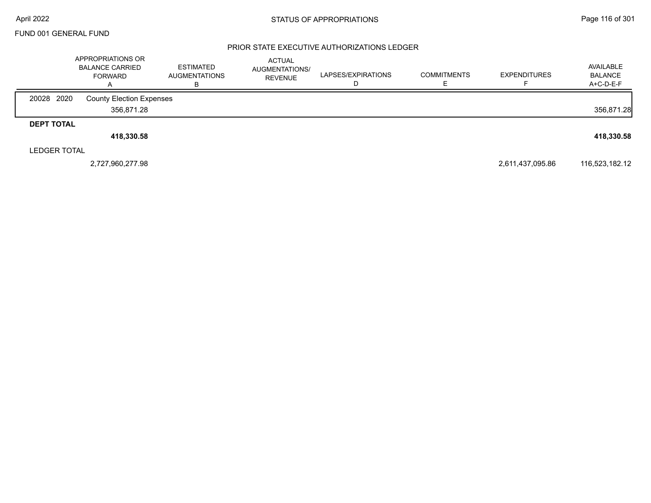#### PRIOR STATE EXECUTIVE AUTHORIZATIONS LEDGER

|                     | APPROPRIATIONS OR<br><b>BALANCE CARRIED</b><br><b>FORWARD</b><br>А | <b>ESTIMATED</b><br><b>AUGMENTATIONS</b> | <b>ACTUAL</b><br><b>AUGMENTATIONS/</b><br><b>REVENUE</b> | LAPSES/EXPIRATIONS | <b>COMMITMENTS</b> | <b>EXPENDITURES</b> | AVAILABLE<br><b>BALANCE</b><br>A+C-D-E-F |
|---------------------|--------------------------------------------------------------------|------------------------------------------|----------------------------------------------------------|--------------------|--------------------|---------------------|------------------------------------------|
| 20028 2020          | <b>County Election Expenses</b>                                    |                                          |                                                          |                    |                    |                     |                                          |
|                     | 356,871.28                                                         |                                          |                                                          |                    |                    |                     | 356,871.28                               |
| <b>DEPT TOTAL</b>   |                                                                    |                                          |                                                          |                    |                    |                     |                                          |
|                     | 418,330.58                                                         |                                          |                                                          |                    |                    |                     | 418,330.58                               |
| <b>LEDGER TOTAL</b> |                                                                    |                                          |                                                          |                    |                    |                     |                                          |
|                     | 2,727,960,277.98                                                   |                                          |                                                          |                    |                    | 2,611,437,095.86    | 116,523,182.12                           |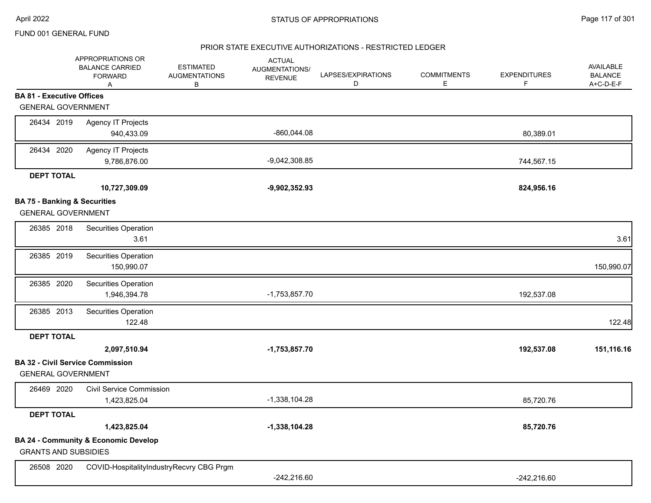### PRIOR STATE EXECUTIVE AUTHORIZATIONS - RESTRICTED LEDGER

|                                         | APPROPRIATIONS OR<br><b>BALANCE CARRIED</b><br><b>FORWARD</b><br>Α | <b>ESTIMATED</b><br><b>AUGMENTATIONS</b><br>В | <b>ACTUAL</b><br>AUGMENTATIONS/<br><b>REVENUE</b> | LAPSES/EXPIRATIONS<br>D | <b>COMMITMENTS</b><br>Е | <b>EXPENDITURES</b><br>F | AVAILABLE<br><b>BALANCE</b><br>A+C-D-E-F |
|-----------------------------------------|--------------------------------------------------------------------|-----------------------------------------------|---------------------------------------------------|-------------------------|-------------------------|--------------------------|------------------------------------------|
| <b>BA 81 - Executive Offices</b>        |                                                                    |                                               |                                                   |                         |                         |                          |                                          |
| <b>GENERAL GOVERNMENT</b>               |                                                                    |                                               |                                                   |                         |                         |                          |                                          |
| 26434 2019                              | <b>Agency IT Projects</b>                                          |                                               |                                                   |                         |                         |                          |                                          |
|                                         | 940,433.09                                                         |                                               | -860,044.08                                       |                         |                         | 80,389.01                |                                          |
| 26434 2020                              | Agency IT Projects                                                 |                                               |                                                   |                         |                         |                          |                                          |
|                                         | 9,786,876.00                                                       |                                               | $-9,042,308.85$                                   |                         |                         | 744,567.15               |                                          |
| <b>DEPT TOTAL</b>                       |                                                                    |                                               |                                                   |                         |                         |                          |                                          |
|                                         | 10,727,309.09                                                      |                                               | $-9,902,352.93$                                   |                         |                         | 824,956.16               |                                          |
| <b>BA 75 - Banking &amp; Securities</b> |                                                                    |                                               |                                                   |                         |                         |                          |                                          |
| <b>GENERAL GOVERNMENT</b>               |                                                                    |                                               |                                                   |                         |                         |                          |                                          |
| 26385 2018                              | Securities Operation                                               |                                               |                                                   |                         |                         |                          |                                          |
|                                         | 3.61                                                               |                                               |                                                   |                         |                         |                          | 3.61                                     |
| 26385 2019                              | Securities Operation                                               |                                               |                                                   |                         |                         |                          |                                          |
|                                         | 150,990.07                                                         |                                               |                                                   |                         |                         |                          | 150,990.07                               |
| 26385 2020                              | Securities Operation                                               |                                               |                                                   |                         |                         |                          |                                          |
|                                         | 1,946,394.78                                                       |                                               | $-1,753,857.70$                                   |                         |                         | 192,537.08               |                                          |
| 26385 2013                              | Securities Operation                                               |                                               |                                                   |                         |                         |                          |                                          |
|                                         | 122.48                                                             |                                               |                                                   |                         |                         |                          | 122.48                                   |
| <b>DEPT TOTAL</b>                       |                                                                    |                                               |                                                   |                         |                         |                          |                                          |
|                                         | 2,097,510.94                                                       |                                               | $-1,753,857.70$                                   |                         |                         | 192,537.08               | 151,116.16                               |
|                                         | <b>BA 32 - Civil Service Commission</b>                            |                                               |                                                   |                         |                         |                          |                                          |
| <b>GENERAL GOVERNMENT</b>               |                                                                    |                                               |                                                   |                         |                         |                          |                                          |
| 26469 2020                              | <b>Civil Service Commission</b>                                    |                                               |                                                   |                         |                         |                          |                                          |
|                                         | 1,423,825.04                                                       |                                               | $-1,338,104.28$                                   |                         |                         | 85,720.76                |                                          |
| <b>DEPT TOTAL</b>                       |                                                                    |                                               |                                                   |                         |                         |                          |                                          |
|                                         | 1,423,825.04                                                       |                                               | $-1,338,104.28$                                   |                         |                         | 85,720.76                |                                          |
|                                         | <b>BA 24 - Community &amp; Economic Develop</b>                    |                                               |                                                   |                         |                         |                          |                                          |
| <b>GRANTS AND SUBSIDIES</b>             |                                                                    |                                               |                                                   |                         |                         |                          |                                          |
| 26508 2020                              | COVID-HospitalityIndustryRecvry CBG Prgm                           |                                               |                                                   |                         |                         |                          |                                          |
|                                         |                                                                    |                                               | $-242,216.60$                                     |                         |                         | $-242,216.60$            |                                          |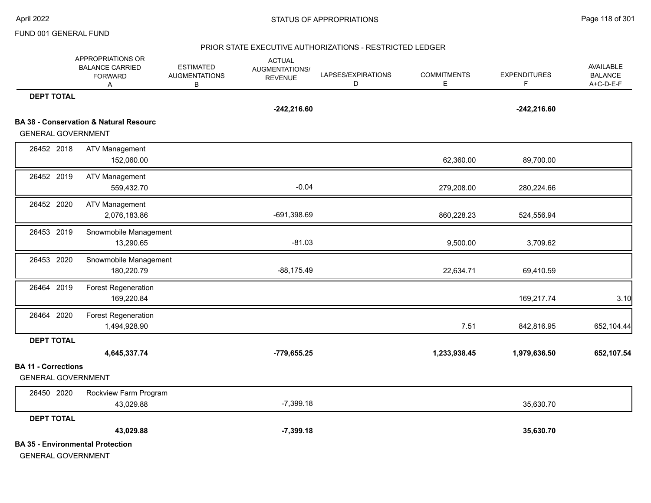#### PRIOR STATE EXECUTIVE AUTHORIZATIONS - RESTRICTED LEDGER

|                                                         | APPROPRIATIONS OR<br><b>BALANCE CARRIED</b><br><b>FORWARD</b><br>Α | <b>ESTIMATED</b><br><b>AUGMENTATIONS</b><br>В | <b>ACTUAL</b><br>AUGMENTATIONS/<br><b>REVENUE</b> | LAPSES/EXPIRATIONS<br>D | <b>COMMITMENTS</b><br>E. | <b>EXPENDITURES</b><br>F. | AVAILABLE<br><b>BALANCE</b><br>A+C-D-E-F |
|---------------------------------------------------------|--------------------------------------------------------------------|-----------------------------------------------|---------------------------------------------------|-------------------------|--------------------------|---------------------------|------------------------------------------|
| <b>DEPT TOTAL</b>                                       |                                                                    |                                               | $-242,216.60$                                     |                         |                          | $-242,216.60$             |                                          |
|                                                         | <b>BA 38 - Conservation &amp; Natural Resourc</b>                  |                                               |                                                   |                         |                          |                           |                                          |
| <b>GENERAL GOVERNMENT</b>                               |                                                                    |                                               |                                                   |                         |                          |                           |                                          |
| 26452 2018                                              | <b>ATV Management</b>                                              |                                               |                                                   |                         |                          |                           |                                          |
|                                                         | 152,060.00                                                         |                                               |                                                   |                         | 62,360.00                | 89,700.00                 |                                          |
| 26452 2019                                              | <b>ATV Management</b><br>559,432.70                                |                                               | $-0.04$                                           |                         | 279,208.00               | 280,224.66                |                                          |
| 26452 2020                                              | <b>ATV Management</b><br>2,076,183.86                              |                                               | -691,398.69                                       |                         | 860,228.23               | 524,556.94                |                                          |
| 26453 2019                                              | Snowmobile Management<br>13,290.65                                 |                                               | $-81.03$                                          |                         | 9,500.00                 | 3,709.62                  |                                          |
| 26453 2020                                              | Snowmobile Management<br>180,220.79                                |                                               | $-88,175.49$                                      |                         | 22,634.71                | 69,410.59                 |                                          |
| 26464 2019                                              | <b>Forest Regeneration</b><br>169,220.84                           |                                               |                                                   |                         |                          | 169,217.74                | 3.10                                     |
| 26464 2020                                              | Forest Regeneration<br>1,494,928.90                                |                                               |                                                   |                         | 7.51                     | 842,816.95                | 652,104.44                               |
| <b>DEPT TOTAL</b>                                       |                                                                    |                                               |                                                   |                         |                          |                           |                                          |
|                                                         | 4,645,337.74                                                       |                                               | $-779,655.25$                                     |                         | 1,233,938.45             | 1,979,636.50              | 652,107.54                               |
| <b>BA 11 - Corrections</b><br><b>GENERAL GOVERNMENT</b> |                                                                    |                                               |                                                   |                         |                          |                           |                                          |
| 26450 2020                                              | Rockview Farm Program<br>43,029.88                                 |                                               | $-7,399.18$                                       |                         |                          | 35,630.70                 |                                          |
| <b>DEPT TOTAL</b>                                       |                                                                    |                                               |                                                   |                         |                          |                           |                                          |
|                                                         | 43,029.88                                                          |                                               | $-7,399.18$                                       |                         |                          | 35,630.70                 |                                          |
| <b>GENERAL GOVERNMENT</b>                               | <b>BA 35 - Environmental Protection</b>                            |                                               |                                                   |                         |                          |                           |                                          |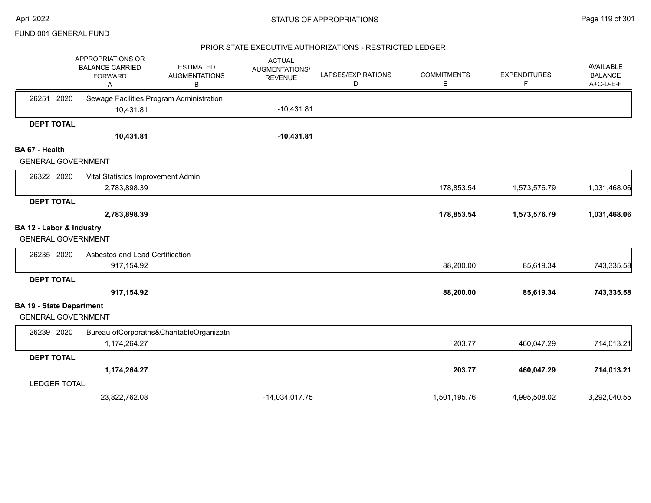#### PRIOR STATE EXECUTIVE AUTHORIZATIONS - RESTRICTED LEDGER

|                                 | APPROPRIATIONS OR<br><b>BALANCE CARRIED</b><br><b>FORWARD</b><br>Α | <b>ESTIMATED</b><br><b>AUGMENTATIONS</b><br>в | <b>ACTUAL</b><br>AUGMENTATIONS/<br><b>REVENUE</b> | LAPSES/EXPIRATIONS<br>D | <b>COMMITMENTS</b><br>Е | <b>EXPENDITURES</b><br>F | AVAILABLE<br><b>BALANCE</b><br>A+C-D-E-F |
|---------------------------------|--------------------------------------------------------------------|-----------------------------------------------|---------------------------------------------------|-------------------------|-------------------------|--------------------------|------------------------------------------|
| 26251 2020                      | Sewage Facilities Program Administration                           |                                               |                                                   |                         |                         |                          |                                          |
|                                 | 10,431.81                                                          |                                               | $-10,431.81$                                      |                         |                         |                          |                                          |
| <b>DEPT TOTAL</b>               |                                                                    |                                               |                                                   |                         |                         |                          |                                          |
|                                 | 10,431.81                                                          |                                               | $-10,431.81$                                      |                         |                         |                          |                                          |
| BA 67 - Health                  |                                                                    |                                               |                                                   |                         |                         |                          |                                          |
| <b>GENERAL GOVERNMENT</b>       |                                                                    |                                               |                                                   |                         |                         |                          |                                          |
| 26322 2020                      | Vital Statistics Improvement Admin                                 |                                               |                                                   |                         |                         |                          |                                          |
|                                 | 2,783,898.39                                                       |                                               |                                                   |                         | 178,853.54              | 1,573,576.79             | 1,031,468.06                             |
| <b>DEPT TOTAL</b>               |                                                                    |                                               |                                                   |                         |                         |                          |                                          |
|                                 | 2,783,898.39                                                       |                                               |                                                   |                         | 178,853.54              | 1,573,576.79             | 1,031,468.06                             |
| BA 12 - Labor & Industry        |                                                                    |                                               |                                                   |                         |                         |                          |                                          |
| <b>GENERAL GOVERNMENT</b>       |                                                                    |                                               |                                                   |                         |                         |                          |                                          |
| 26235 2020                      | Asbestos and Lead Certification                                    |                                               |                                                   |                         |                         |                          |                                          |
|                                 | 917,154.92                                                         |                                               |                                                   |                         | 88,200.00               | 85,619.34                | 743,335.58                               |
| <b>DEPT TOTAL</b>               |                                                                    |                                               |                                                   |                         |                         |                          |                                          |
|                                 | 917,154.92                                                         |                                               |                                                   |                         | 88,200.00               | 85,619.34                | 743,335.58                               |
| <b>BA 19 - State Department</b> |                                                                    |                                               |                                                   |                         |                         |                          |                                          |
| <b>GENERAL GOVERNMENT</b>       |                                                                    |                                               |                                                   |                         |                         |                          |                                          |
| 26239 2020                      |                                                                    | Bureau ofCorporatns&CharitableOrganizatn      |                                                   |                         |                         |                          |                                          |
|                                 | 1,174,264.27                                                       |                                               |                                                   |                         | 203.77                  | 460,047.29               | 714,013.21                               |
| <b>DEPT TOTAL</b>               |                                                                    |                                               |                                                   |                         |                         |                          |                                          |
|                                 | 1,174,264.27                                                       |                                               |                                                   |                         | 203.77                  | 460,047.29               | 714,013.21                               |
| <b>LEDGER TOTAL</b>             |                                                                    |                                               |                                                   |                         |                         |                          |                                          |
|                                 | 23,822,762.08                                                      |                                               | $-14,034,017.75$                                  |                         | 1,501,195.76            | 4,995,508.02             | 3,292,040.55                             |
|                                 |                                                                    |                                               |                                                   |                         |                         |                          |                                          |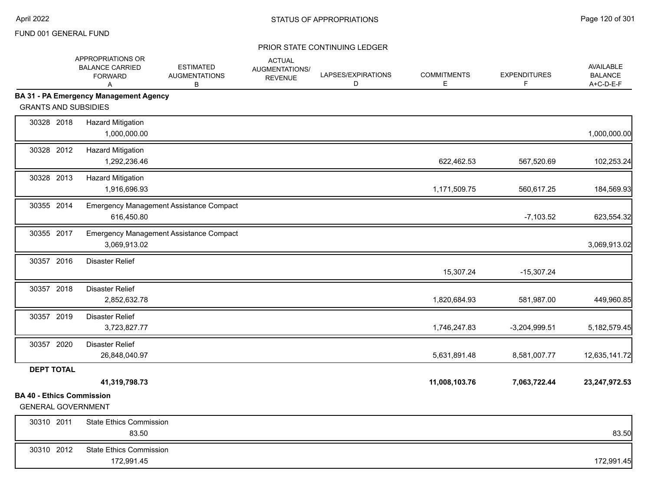|                                                               | APPROPRIATIONS OR<br><b>BALANCE CARRIED</b><br><b>FORWARD</b><br>A | <b>ESTIMATED</b><br><b>AUGMENTATIONS</b><br>B | <b>ACTUAL</b><br>AUGMENTATIONS/<br><b>REVENUE</b> | LAPSES/EXPIRATIONS<br>D | <b>COMMITMENTS</b><br>Е | <b>EXPENDITURES</b><br>F | AVAILABLE<br><b>BALANCE</b><br>A+C-D-E-F |
|---------------------------------------------------------------|--------------------------------------------------------------------|-----------------------------------------------|---------------------------------------------------|-------------------------|-------------------------|--------------------------|------------------------------------------|
|                                                               | <b>BA 31 - PA Emergency Management Agency</b>                      |                                               |                                                   |                         |                         |                          |                                          |
| <b>GRANTS AND SUBSIDIES</b>                                   |                                                                    |                                               |                                                   |                         |                         |                          |                                          |
| 30328 2018                                                    | <b>Hazard Mitigation</b><br>1,000,000.00                           |                                               |                                                   |                         |                         |                          | 1,000,000.00                             |
| 30328 2012                                                    | <b>Hazard Mitigation</b><br>1,292,236.46                           |                                               |                                                   |                         | 622,462.53              | 567,520.69               | 102,253.24                               |
| 30328 2013                                                    | <b>Hazard Mitigation</b><br>1,916,696.93                           |                                               |                                                   |                         | 1,171,509.75            | 560,617.25               | 184,569.93                               |
| 30355 2014                                                    | 616,450.80                                                         | Emergency Management Assistance Compact       |                                                   |                         |                         | $-7,103.52$              | 623,554.32                               |
| 30355 2017                                                    | 3,069,913.02                                                       | Emergency Management Assistance Compact       |                                                   |                         |                         |                          | 3,069,913.02                             |
| 30357 2016                                                    | <b>Disaster Relief</b>                                             |                                               |                                                   |                         | 15,307.24               | $-15,307.24$             |                                          |
| 30357 2018                                                    | <b>Disaster Relief</b><br>2,852,632.78                             |                                               |                                                   |                         | 1,820,684.93            | 581,987.00               | 449,960.85                               |
| 30357 2019                                                    | <b>Disaster Relief</b><br>3,723,827.77                             |                                               |                                                   |                         | 1,746,247.83            | $-3,204,999.51$          | 5,182,579.45                             |
| 30357 2020                                                    | <b>Disaster Relief</b><br>26,848,040.97                            |                                               |                                                   |                         | 5,631,891.48            | 8,581,007.77             | 12,635,141.72                            |
| <b>DEPT TOTAL</b>                                             |                                                                    |                                               |                                                   |                         |                         |                          |                                          |
|                                                               | 41,319,798.73                                                      |                                               |                                                   |                         | 11,008,103.76           | 7,063,722.44             | 23,247,972.53                            |
| <b>BA 40 - Ethics Commission</b><br><b>GENERAL GOVERNMENT</b> |                                                                    |                                               |                                                   |                         |                         |                          |                                          |
| 30310 2011                                                    | <b>State Ethics Commission</b><br>83.50                            |                                               |                                                   |                         |                         |                          | 83.50                                    |
| 30310 2012                                                    | <b>State Ethics Commission</b><br>172,991.45                       |                                               |                                                   |                         |                         |                          | 172,991.45                               |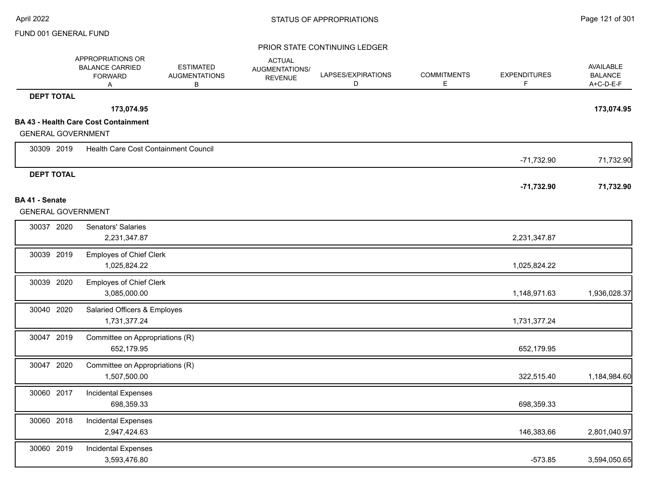|                           | APPROPRIATIONS OR<br><b>BALANCE CARRIED</b><br><b>FORWARD</b><br>Α | <b>ESTIMATED</b><br><b>AUGMENTATIONS</b><br>В | <b>ACTUAL</b><br>AUGMENTATIONS/<br><b>REVENUE</b> | LAPSES/EXPIRATIONS<br>D | <b>COMMITMENTS</b><br>E. | <b>EXPENDITURES</b><br>F | <b>AVAILABLE</b><br><b>BALANCE</b><br>A+C-D-E-F |
|---------------------------|--------------------------------------------------------------------|-----------------------------------------------|---------------------------------------------------|-------------------------|--------------------------|--------------------------|-------------------------------------------------|
| <b>DEPT TOTAL</b>         |                                                                    |                                               |                                                   |                         |                          |                          |                                                 |
|                           | 173,074.95                                                         |                                               |                                                   |                         |                          |                          | 173,074.95                                      |
|                           | <b>BA 43 - Health Care Cost Containment</b>                        |                                               |                                                   |                         |                          |                          |                                                 |
| <b>GENERAL GOVERNMENT</b> |                                                                    |                                               |                                                   |                         |                          |                          |                                                 |
| 30309 2019                | Health Care Cost Containment Council                               |                                               |                                                   |                         |                          | $-71,732.90$             | 71,732.90                                       |
| <b>DEPT TOTAL</b>         |                                                                    |                                               |                                                   |                         |                          | $-71,732.90$             | 71,732.90                                       |
| BA 41 - Senate            |                                                                    |                                               |                                                   |                         |                          |                          |                                                 |
| <b>GENERAL GOVERNMENT</b> |                                                                    |                                               |                                                   |                         |                          |                          |                                                 |
| 30037 2020                | Senators' Salaries                                                 |                                               |                                                   |                         |                          |                          |                                                 |
|                           | 2,231,347.87                                                       |                                               |                                                   |                         |                          | 2,231,347.87             |                                                 |
| 30039 2019                | <b>Employes of Chief Clerk</b>                                     |                                               |                                                   |                         |                          |                          |                                                 |
|                           | 1,025,824.22                                                       |                                               |                                                   |                         |                          | 1,025,824.22             |                                                 |
| 30039 2020                | <b>Employes of Chief Clerk</b>                                     |                                               |                                                   |                         |                          |                          |                                                 |
|                           | 3,085,000.00                                                       |                                               |                                                   |                         |                          | 1,148,971.63             | 1,936,028.37                                    |
| 30040 2020                | Salaried Officers & Employes                                       |                                               |                                                   |                         |                          |                          |                                                 |
|                           | 1,731,377.24                                                       |                                               |                                                   |                         |                          | 1,731,377.24             |                                                 |
| 30047 2019                | Committee on Appropriations (R)                                    |                                               |                                                   |                         |                          |                          |                                                 |
|                           | 652,179.95                                                         |                                               |                                                   |                         |                          | 652,179.95               |                                                 |
| 30047 2020                | Committee on Appropriations (R)                                    |                                               |                                                   |                         |                          |                          |                                                 |
|                           | 1,507,500.00                                                       |                                               |                                                   |                         |                          | 322,515.40               | 1,184,984.60                                    |
| 30060 2017                | <b>Incidental Expenses</b>                                         |                                               |                                                   |                         |                          |                          |                                                 |
|                           | 698,359.33                                                         |                                               |                                                   |                         |                          | 698,359.33               |                                                 |
| 30060 2018                | <b>Incidental Expenses</b>                                         |                                               |                                                   |                         |                          |                          |                                                 |
|                           | 2,947,424.63                                                       |                                               |                                                   |                         |                          | 146,383.66               | 2,801,040.97                                    |
| 30060 2019                | <b>Incidental Expenses</b>                                         |                                               |                                                   |                         |                          |                          |                                                 |
|                           | 3,593,476.80                                                       |                                               |                                                   |                         |                          | $-573.85$                | 3,594,050.65                                    |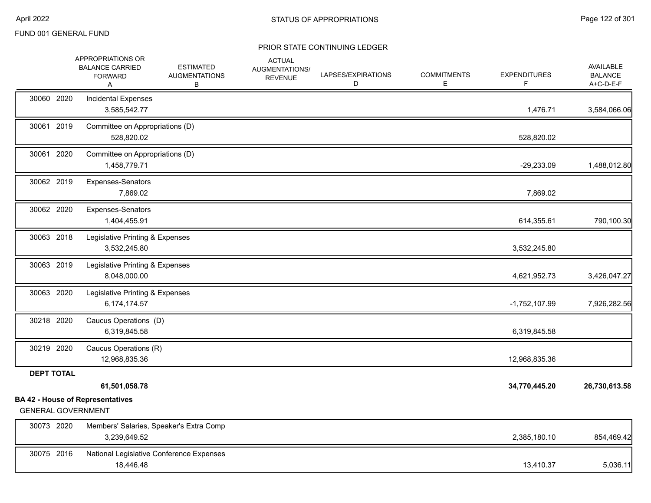|                           | APPROPRIATIONS OR<br><b>BALANCE CARRIED</b><br><b>FORWARD</b><br>Α | <b>ESTIMATED</b><br><b>AUGMENTATIONS</b><br>В | <b>ACTUAL</b><br>AUGMENTATIONS/<br><b>REVENUE</b> | LAPSES/EXPIRATIONS<br>D | <b>COMMITMENTS</b><br>Ε | <b>EXPENDITURES</b><br>F | AVAILABLE<br><b>BALANCE</b><br>A+C-D-E-F |
|---------------------------|--------------------------------------------------------------------|-----------------------------------------------|---------------------------------------------------|-------------------------|-------------------------|--------------------------|------------------------------------------|
| 30060 2020                | Incidental Expenses<br>3,585,542.77                                |                                               |                                                   |                         |                         | 1,476.71                 | 3,584,066.06                             |
| 30061 2019                | Committee on Appropriations (D)<br>528,820.02                      |                                               |                                                   |                         |                         | 528,820.02               |                                          |
| 30061 2020                | Committee on Appropriations (D)<br>1,458,779.71                    |                                               |                                                   |                         |                         | $-29,233.09$             | 1,488,012.80                             |
| 30062 2019                | Expenses-Senators<br>7,869.02                                      |                                               |                                                   |                         |                         | 7,869.02                 |                                          |
| 30062 2020                | Expenses-Senators<br>1,404,455.91                                  |                                               |                                                   |                         |                         | 614,355.61               | 790,100.30                               |
| 30063 2018                | Legislative Printing & Expenses<br>3,532,245.80                    |                                               |                                                   |                         |                         | 3,532,245.80             |                                          |
| 30063 2019                | Legislative Printing & Expenses<br>8,048,000.00                    |                                               |                                                   |                         |                         | 4,621,952.73             | 3,426,047.27                             |
| 30063 2020                | Legislative Printing & Expenses<br>6,174,174.57                    |                                               |                                                   |                         |                         | $-1,752,107.99$          | 7,926,282.56                             |
| 30218 2020                | Caucus Operations (D)<br>6,319,845.58                              |                                               |                                                   |                         |                         | 6,319,845.58             |                                          |
| 30219 2020                | Caucus Operations (R)<br>12,968,835.36                             |                                               |                                                   |                         |                         | 12,968,835.36            |                                          |
| <b>DEPT TOTAL</b>         | 61,501,058.78                                                      |                                               |                                                   |                         |                         | 34,770,445.20            | 26,730,613.58                            |
| <b>GENERAL GOVERNMENT</b> | <b>BA 42 - House of Representatives</b>                            |                                               |                                                   |                         |                         |                          |                                          |
| 30073 2020                | Members' Salaries, Speaker's Extra Comp<br>3,239,649.52            |                                               |                                                   |                         |                         | 2,385,180.10             | 854,469.42                               |
| 30075 2016                | National Legislative Conference Expenses<br>18,446.48              |                                               |                                                   |                         |                         | 13,410.37                | 5,036.11                                 |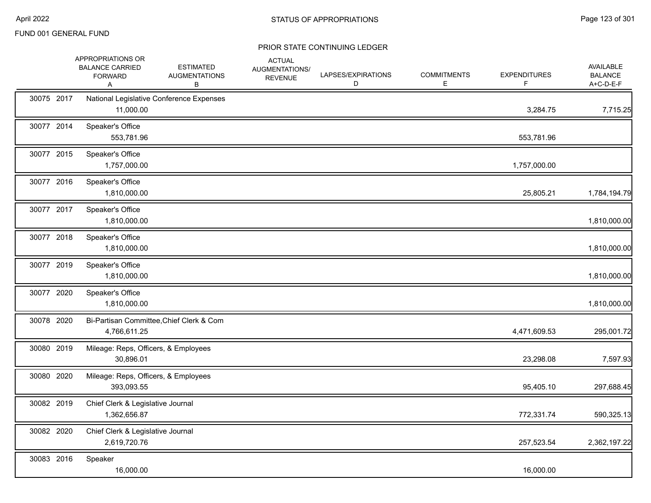|            | APPROPRIATIONS OR<br><b>BALANCE CARRIED</b><br><b>FORWARD</b><br>Α | <b>ESTIMATED</b><br><b>AUGMENTATIONS</b><br>В | <b>ACTUAL</b><br>AUGMENTATIONS/<br><b>REVENUE</b> | LAPSES/EXPIRATIONS<br>D | <b>COMMITMENTS</b><br>E. | <b>EXPENDITURES</b><br>F. | <b>AVAILABLE</b><br><b>BALANCE</b><br>A+C-D-E-F |
|------------|--------------------------------------------------------------------|-----------------------------------------------|---------------------------------------------------|-------------------------|--------------------------|---------------------------|-------------------------------------------------|
| 30075 2017 | 11,000.00                                                          | National Legislative Conference Expenses      |                                                   |                         |                          | 3,284.75                  | 7,715.25                                        |
| 30077 2014 | Speaker's Office<br>553,781.96                                     |                                               |                                                   |                         |                          | 553,781.96                |                                                 |
| 30077 2015 | Speaker's Office<br>1,757,000.00                                   |                                               |                                                   |                         |                          | 1,757,000.00              |                                                 |
| 30077 2016 | Speaker's Office<br>1,810,000.00                                   |                                               |                                                   |                         |                          | 25,805.21                 | 1,784,194.79                                    |
| 30077 2017 | Speaker's Office<br>1,810,000.00                                   |                                               |                                                   |                         |                          |                           | 1,810,000.00                                    |
| 30077 2018 | Speaker's Office<br>1,810,000.00                                   |                                               |                                                   |                         |                          |                           | 1,810,000.00                                    |
| 30077 2019 | Speaker's Office<br>1,810,000.00                                   |                                               |                                                   |                         |                          |                           | 1,810,000.00                                    |
| 30077 2020 | Speaker's Office<br>1,810,000.00                                   |                                               |                                                   |                         |                          |                           | 1,810,000.00                                    |
| 30078 2020 | 4,766,611.25                                                       | Bi-Partisan Committee, Chief Clerk & Com      |                                                   |                         |                          | 4,471,609.53              | 295,001.72                                      |
| 30080 2019 | 30,896.01                                                          | Mileage: Reps, Officers, & Employees          |                                                   |                         |                          | 23,298.08                 | 7,597.93                                        |
| 30080 2020 | 393,093.55                                                         | Mileage: Reps, Officers, & Employees          |                                                   |                         |                          | 95,405.10                 | 297,688.45                                      |
| 30082 2019 | Chief Clerk & Legislative Journal<br>1,362,656.87                  |                                               |                                                   |                         |                          | 772,331.74                | 590,325.13                                      |
| 30082 2020 | Chief Clerk & Legislative Journal<br>2,619,720.76                  |                                               |                                                   |                         |                          | 257,523.54                | 2,362,197.22                                    |
| 30083 2016 | Speaker<br>16,000.00                                               |                                               |                                                   |                         |                          | 16,000.00                 |                                                 |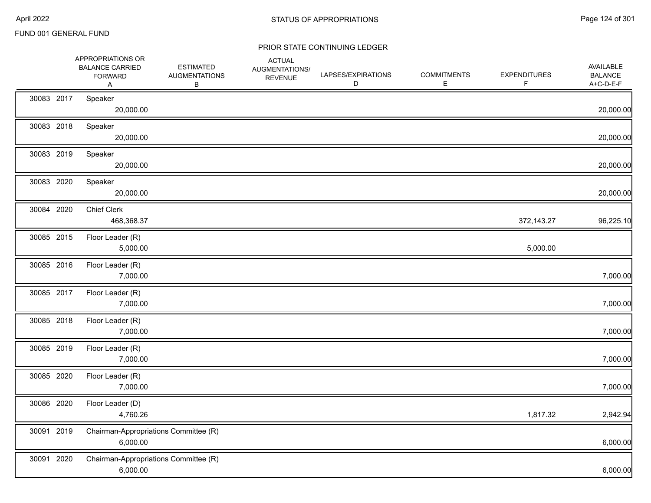|            | APPROPRIATIONS OR<br><b>BALANCE CARRIED</b><br><b>FORWARD</b><br>Α | <b>ESTIMATED</b><br><b>AUGMENTATIONS</b><br>В | <b>ACTUAL</b><br>AUGMENTATIONS/<br><b>REVENUE</b> | LAPSES/EXPIRATIONS<br>D | <b>COMMITMENTS</b><br>E. | <b>EXPENDITURES</b> | AVAILABLE<br><b>BALANCE</b><br>A+C-D-E-F |
|------------|--------------------------------------------------------------------|-----------------------------------------------|---------------------------------------------------|-------------------------|--------------------------|---------------------|------------------------------------------|
| 30083 2017 | Speaker<br>20,000.00                                               |                                               |                                                   |                         |                          |                     | 20,000.00                                |
| 30083 2018 | Speaker<br>20,000.00                                               |                                               |                                                   |                         |                          |                     | 20,000.00                                |
| 30083 2019 | Speaker<br>20,000.00                                               |                                               |                                                   |                         |                          |                     | 20,000.00                                |
| 30083 2020 | Speaker<br>20,000.00                                               |                                               |                                                   |                         |                          |                     | 20,000.00                                |
| 30084 2020 | <b>Chief Clerk</b><br>468,368.37                                   |                                               |                                                   |                         |                          | 372,143.27          | 96,225.10                                |
| 30085 2015 | Floor Leader (R)<br>5,000.00                                       |                                               |                                                   |                         |                          | 5,000.00            |                                          |
| 30085 2016 | Floor Leader (R)<br>7,000.00                                       |                                               |                                                   |                         |                          |                     | 7,000.00                                 |
| 30085 2017 | Floor Leader (R)<br>7,000.00                                       |                                               |                                                   |                         |                          |                     | 7,000.00                                 |
| 30085 2018 | Floor Leader (R)<br>7,000.00                                       |                                               |                                                   |                         |                          |                     | 7,000.00                                 |
| 30085 2019 | Floor Leader (R)<br>7,000.00                                       |                                               |                                                   |                         |                          |                     | 7,000.00                                 |
| 30085 2020 | Floor Leader (R)<br>7,000.00                                       |                                               |                                                   |                         |                          |                     | 7,000.00                                 |
| 30086 2020 | Floor Leader (D)<br>4,760.26                                       |                                               |                                                   |                         |                          | 1,817.32            | 2,942.94                                 |
| 30091 2019 | Chairman-Appropriations Committee (R)<br>6,000.00                  |                                               |                                                   |                         |                          |                     | 6,000.00                                 |
| 30091 2020 | Chairman-Appropriations Committee (R)<br>6,000.00                  |                                               |                                                   |                         |                          |                     | 6,000.00                                 |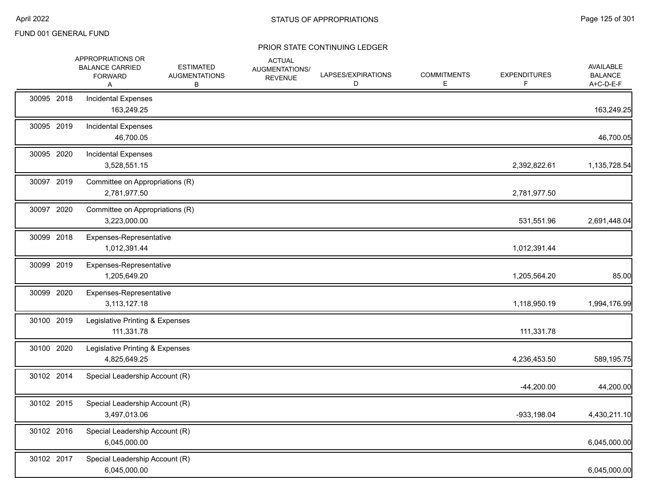|            | APPROPRIATIONS OR<br><b>BALANCE CARRIED</b><br><b>FORWARD</b><br>A | <b>ESTIMATED</b><br><b>AUGMENTATIONS</b><br>В | <b>ACTUAL</b><br>AUGMENTATIONS/<br><b>REVENUE</b> | LAPSES/EXPIRATIONS<br>D | <b>COMMITMENTS</b><br>Е | <b>EXPENDITURES</b><br>F. | <b>AVAILABLE</b><br><b>BALANCE</b><br>A+C-D-E-F |
|------------|--------------------------------------------------------------------|-----------------------------------------------|---------------------------------------------------|-------------------------|-------------------------|---------------------------|-------------------------------------------------|
| 30095 2018 | <b>Incidental Expenses</b><br>163,249.25                           |                                               |                                                   |                         |                         |                           | 163,249.25                                      |
| 30095 2019 | Incidental Expenses<br>46,700.05                                   |                                               |                                                   |                         |                         |                           | 46,700.05                                       |
| 30095 2020 | <b>Incidental Expenses</b><br>3,528,551.15                         |                                               |                                                   |                         |                         | 2,392,822.61              | 1,135,728.54                                    |
| 30097 2019 | Committee on Appropriations (R)<br>2,781,977.50                    |                                               |                                                   |                         |                         | 2,781,977.50              |                                                 |
| 30097 2020 | Committee on Appropriations (R)<br>3,223,000.00                    |                                               |                                                   |                         |                         | 531,551.96                | 2,691,448.04                                    |
| 30099 2018 | Expenses-Representative<br>1,012,391.44                            |                                               |                                                   |                         |                         | 1,012,391.44              |                                                 |
| 30099 2019 | Expenses-Representative<br>1,205,649.20                            |                                               |                                                   |                         |                         | 1,205,564.20              | 85.00                                           |
| 30099 2020 | Expenses-Representative<br>3,113,127.18                            |                                               |                                                   |                         |                         | 1,118,950.19              | 1,994,176.99                                    |
| 30100 2019 | Legislative Printing & Expenses<br>111,331.78                      |                                               |                                                   |                         |                         | 111,331.78                |                                                 |
| 30100 2020 | Legislative Printing & Expenses<br>4,825,649.25                    |                                               |                                                   |                         |                         | 4,236,453.50              | 589,195.75                                      |
| 30102 2014 | Special Leadership Account (R)                                     |                                               |                                                   |                         |                         | $-44,200.00$              | 44,200.00                                       |
| 30102 2015 | Special Leadership Account (R)<br>3,497,013.06                     |                                               |                                                   |                         |                         | $-933, 198.04$            | 4,430,211.10                                    |
| 30102 2016 | Special Leadership Account (R)<br>6,045,000.00                     |                                               |                                                   |                         |                         |                           | 6,045,000.00                                    |
| 30102 2017 | Special Leadership Account (R)<br>6,045,000.00                     |                                               |                                                   |                         |                         |                           | 6,045,000.00                                    |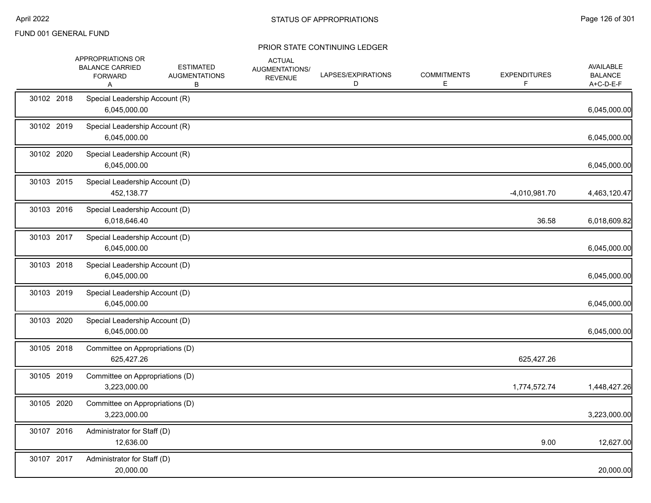|            | APPROPRIATIONS OR<br><b>BALANCE CARRIED</b><br><b>FORWARD</b><br>A | <b>ESTIMATED</b><br><b>AUGMENTATIONS</b><br>В | <b>ACTUAL</b><br>AUGMENTATIONS/<br><b>REVENUE</b> | LAPSES/EXPIRATIONS<br>D | <b>COMMITMENTS</b><br>E. | <b>EXPENDITURES</b> | <b>AVAILABLE</b><br><b>BALANCE</b><br>A+C-D-E-F |
|------------|--------------------------------------------------------------------|-----------------------------------------------|---------------------------------------------------|-------------------------|--------------------------|---------------------|-------------------------------------------------|
| 30102 2018 | Special Leadership Account (R)<br>6,045,000.00                     |                                               |                                                   |                         |                          |                     | 6,045,000.00                                    |
| 30102 2019 | Special Leadership Account (R)<br>6,045,000.00                     |                                               |                                                   |                         |                          |                     | 6,045,000.00                                    |
| 30102 2020 | Special Leadership Account (R)<br>6,045,000.00                     |                                               |                                                   |                         |                          |                     | 6,045,000.00                                    |
| 30103 2015 | Special Leadership Account (D)<br>452,138.77                       |                                               |                                                   |                         |                          | -4,010,981.70       | 4,463,120.47                                    |
| 30103 2016 | Special Leadership Account (D)<br>6,018,646.40                     |                                               |                                                   |                         |                          | 36.58               | 6,018,609.82                                    |
| 30103 2017 | Special Leadership Account (D)<br>6,045,000.00                     |                                               |                                                   |                         |                          |                     | 6,045,000.00                                    |
| 30103 2018 | Special Leadership Account (D)<br>6,045,000.00                     |                                               |                                                   |                         |                          |                     | 6,045,000.00                                    |
| 30103 2019 | Special Leadership Account (D)<br>6,045,000.00                     |                                               |                                                   |                         |                          |                     | 6,045,000.00                                    |
| 30103 2020 | Special Leadership Account (D)<br>6,045,000.00                     |                                               |                                                   |                         |                          |                     | 6,045,000.00                                    |
| 30105 2018 | Committee on Appropriations (D)<br>625,427.26                      |                                               |                                                   |                         |                          | 625,427.26          |                                                 |
| 30105 2019 | Committee on Appropriations (D)<br>3,223,000.00                    |                                               |                                                   |                         |                          | 1,774,572.74        | 1,448,427.26                                    |
| 30105 2020 | Committee on Appropriations (D)<br>3,223,000.00                    |                                               |                                                   |                         |                          |                     | 3,223,000.00                                    |
| 30107 2016 | Administrator for Staff (D)<br>12,636.00                           |                                               |                                                   |                         |                          | 9.00                | 12,627.00                                       |
| 30107 2017 | Administrator for Staff (D)<br>20,000.00                           |                                               |                                                   |                         |                          |                     | 20,000.00                                       |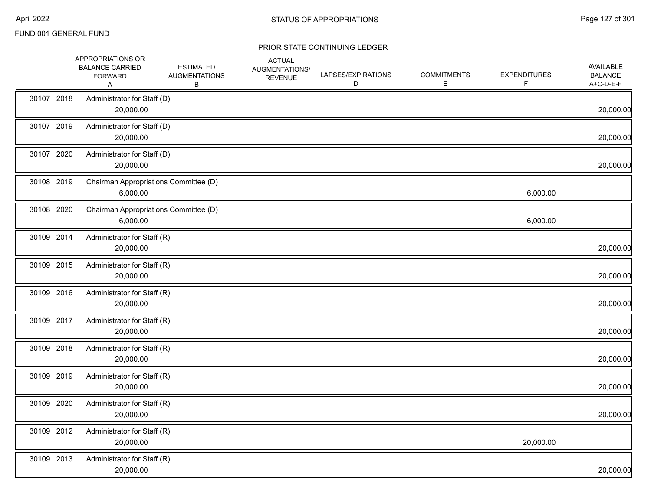|            | APPROPRIATIONS OR<br><b>BALANCE CARRIED</b><br><b>FORWARD</b><br>Α | <b>ESTIMATED</b><br><b>AUGMENTATIONS</b><br>В | <b>ACTUAL</b><br>AUGMENTATIONS/<br><b>REVENUE</b> | LAPSES/EXPIRATIONS<br>D | <b>COMMITMENTS</b><br>Е | <b>EXPENDITURES</b> | <b>AVAILABLE</b><br><b>BALANCE</b><br>A+C-D-E-F |
|------------|--------------------------------------------------------------------|-----------------------------------------------|---------------------------------------------------|-------------------------|-------------------------|---------------------|-------------------------------------------------|
| 30107 2018 | Administrator for Staff (D)<br>20,000.00                           |                                               |                                                   |                         |                         |                     | 20,000.00                                       |
| 30107 2019 | Administrator for Staff (D)<br>20,000.00                           |                                               |                                                   |                         |                         |                     | 20,000.00                                       |
| 30107 2020 | Administrator for Staff (D)<br>20,000.00                           |                                               |                                                   |                         |                         |                     | 20,000.00                                       |
| 30108 2019 | Chairman Appropriations Committee (D)<br>6,000.00                  |                                               |                                                   |                         |                         | 6,000.00            |                                                 |
| 30108 2020 | Chairman Appropriations Committee (D)<br>6,000.00                  |                                               |                                                   |                         |                         | 6,000.00            |                                                 |
| 30109 2014 | Administrator for Staff (R)<br>20,000.00                           |                                               |                                                   |                         |                         |                     | 20,000.00                                       |
| 30109 2015 | Administrator for Staff (R)<br>20,000.00                           |                                               |                                                   |                         |                         |                     | 20,000.00                                       |
| 30109 2016 | Administrator for Staff (R)<br>20,000.00                           |                                               |                                                   |                         |                         |                     | 20,000.00                                       |
| 30109 2017 | Administrator for Staff (R)<br>20,000.00                           |                                               |                                                   |                         |                         |                     | 20,000.00                                       |
| 30109 2018 | Administrator for Staff (R)<br>20,000.00                           |                                               |                                                   |                         |                         |                     | 20,000.00                                       |
| 30109 2019 | Administrator for Staff (R)<br>20,000.00                           |                                               |                                                   |                         |                         |                     | 20,000.00                                       |
| 30109 2020 | Administrator for Staff (R)<br>20,000.00                           |                                               |                                                   |                         |                         |                     | 20,000.00                                       |
| 30109 2012 | Administrator for Staff (R)<br>20,000.00                           |                                               |                                                   |                         |                         | 20,000.00           |                                                 |
| 30109 2013 | Administrator for Staff (R)<br>20,000.00                           |                                               |                                                   |                         |                         |                     | 20,000.00                                       |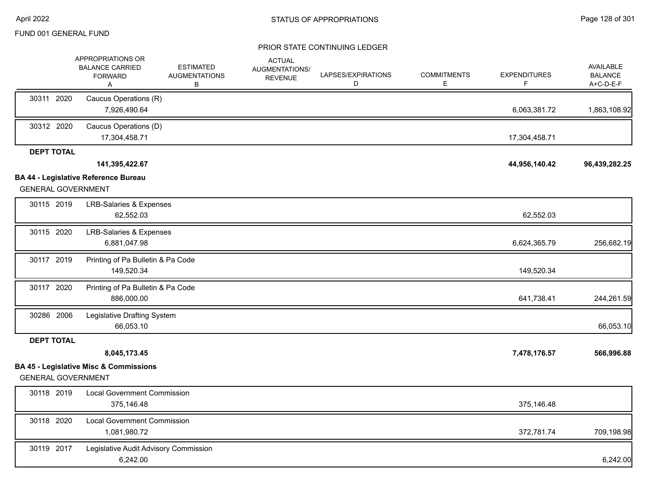|                   | APPROPRIATIONS OR<br><b>BALANCE CARRIED</b><br><b>FORWARD</b><br>Α             | <b>ESTIMATED</b><br><b>AUGMENTATIONS</b><br>В | <b>ACTUAL</b><br>AUGMENTATIONS/<br><b>REVENUE</b> | LAPSES/EXPIRATIONS<br>D | <b>COMMITMENTS</b><br>Е | <b>EXPENDITURES</b><br>F | <b>AVAILABLE</b><br><b>BALANCE</b><br>$A+C-D-E-F$ |
|-------------------|--------------------------------------------------------------------------------|-----------------------------------------------|---------------------------------------------------|-------------------------|-------------------------|--------------------------|---------------------------------------------------|
| 30311 2020        | Caucus Operations (R)<br>7,926,490.64                                          |                                               |                                                   |                         |                         | 6,063,381.72             | 1,863,108.92                                      |
| 30312 2020        | Caucus Operations (D)<br>17,304,458.71                                         |                                               |                                                   |                         |                         | 17,304,458.71            |                                                   |
| <b>DEPT TOTAL</b> |                                                                                |                                               |                                                   |                         |                         |                          |                                                   |
|                   | 141,395,422.67                                                                 |                                               |                                                   |                         |                         | 44,956,140.42            | 96,439,282.25                                     |
|                   | BA 44 - Legislative Reference Bureau<br><b>GENERAL GOVERNMENT</b>              |                                               |                                                   |                         |                         |                          |                                                   |
| 30115 2019        | <b>LRB-Salaries &amp; Expenses</b><br>62,552.03                                |                                               |                                                   |                         |                         | 62,552.03                |                                                   |
| 30115 2020        | <b>LRB-Salaries &amp; Expenses</b><br>6,881,047.98                             |                                               |                                                   |                         |                         | 6,624,365.79             | 256,682.19                                        |
| 30117 2019        | Printing of Pa Bulletin & Pa Code<br>149,520.34                                |                                               |                                                   |                         |                         | 149,520.34               |                                                   |
| 30117 2020        | Printing of Pa Bulletin & Pa Code<br>886,000.00                                |                                               |                                                   |                         |                         | 641,738.41               | 244,261.59                                        |
| 30286 2006        | Legislative Drafting System<br>66,053.10                                       |                                               |                                                   |                         |                         |                          | 66,053.10                                         |
| <b>DEPT TOTAL</b> |                                                                                |                                               |                                                   |                         |                         |                          |                                                   |
|                   | 8,045,173.45                                                                   |                                               |                                                   |                         |                         | 7,478,176.57             | 566,996.88                                        |
|                   | <b>BA 45 - Legislative Misc &amp; Commissions</b><br><b>GENERAL GOVERNMENT</b> |                                               |                                                   |                         |                         |                          |                                                   |
| 30118 2019        | <b>Local Government Commission</b><br>375,146.48                               |                                               |                                                   |                         |                         | 375,146.48               |                                                   |
| 30118 2020        | <b>Local Government Commission</b><br>1,081,980.72                             |                                               |                                                   |                         |                         | 372,781.74               | 709,198.98                                        |
| 30119 2017        | Legislative Audit Advisory Commission<br>6,242.00                              |                                               |                                                   |                         |                         |                          | 6,242.00                                          |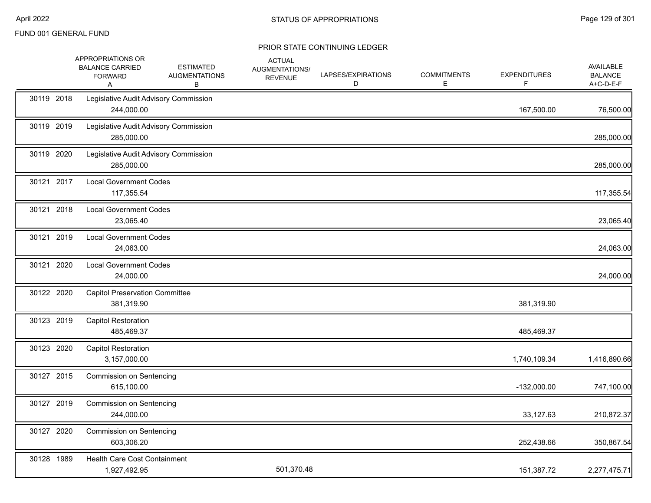|            | APPROPRIATIONS OR<br><b>BALANCE CARRIED</b><br><b>FORWARD</b><br>A | <b>ESTIMATED</b><br><b>AUGMENTATIONS</b><br>В | <b>ACTUAL</b><br>AUGMENTATIONS/<br><b>REVENUE</b> | LAPSES/EXPIRATIONS<br>D | <b>COMMITMENTS</b><br>E | <b>EXPENDITURES</b><br>F | AVAILABLE<br><b>BALANCE</b><br>A+C-D-E-F |
|------------|--------------------------------------------------------------------|-----------------------------------------------|---------------------------------------------------|-------------------------|-------------------------|--------------------------|------------------------------------------|
| 30119 2018 | Legislative Audit Advisory Commission<br>244,000.00                |                                               |                                                   |                         |                         | 167,500.00               | 76,500.00                                |
| 30119 2019 | Legislative Audit Advisory Commission<br>285,000.00                |                                               |                                                   |                         |                         |                          | 285,000.00                               |
| 30119 2020 | Legislative Audit Advisory Commission<br>285,000.00                |                                               |                                                   |                         |                         |                          | 285,000.00                               |
| 30121 2017 | <b>Local Government Codes</b><br>117,355.54                        |                                               |                                                   |                         |                         |                          | 117,355.54                               |
| 30121 2018 | <b>Local Government Codes</b><br>23,065.40                         |                                               |                                                   |                         |                         |                          | 23,065.40                                |
| 30121 2019 | <b>Local Government Codes</b><br>24,063.00                         |                                               |                                                   |                         |                         |                          | 24,063.00                                |
| 30121 2020 | <b>Local Government Codes</b><br>24,000.00                         |                                               |                                                   |                         |                         |                          | 24,000.00                                |
| 30122 2020 | <b>Capitol Preservation Committee</b><br>381,319.90                |                                               |                                                   |                         |                         | 381,319.90               |                                          |
| 30123 2019 | <b>Capitol Restoration</b><br>485,469.37                           |                                               |                                                   |                         |                         | 485,469.37               |                                          |
| 30123 2020 | <b>Capitol Restoration</b><br>3,157,000.00                         |                                               |                                                   |                         |                         | 1,740,109.34             | 1,416,890.66                             |
| 30127 2015 | <b>Commission on Sentencing</b><br>615,100.00                      |                                               |                                                   |                         |                         | $-132,000.00$            | 747,100.00                               |
| 30127 2019 | <b>Commission on Sentencing</b><br>244,000.00                      |                                               |                                                   |                         |                         | 33,127.63                | 210,872.37                               |
| 30127 2020 | <b>Commission on Sentencing</b><br>603,306.20                      |                                               |                                                   |                         |                         | 252,438.66               | 350,867.54                               |
| 30128 1989 | Health Care Cost Containment<br>1,927,492.95                       |                                               | 501,370.48                                        |                         |                         | 151,387.72               | 2,277,475.71                             |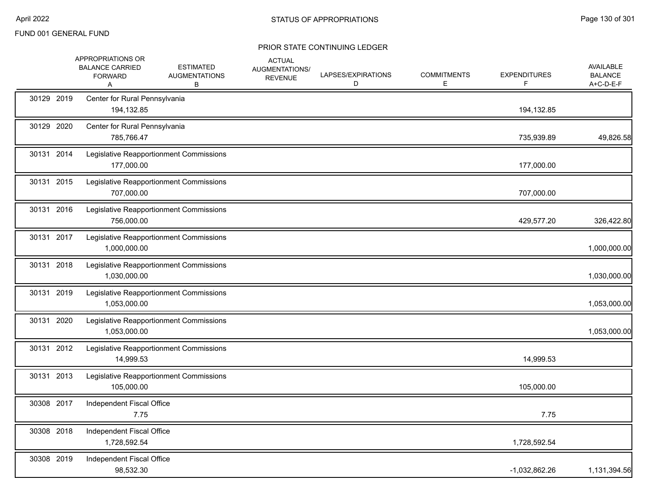|            | APPROPRIATIONS OR<br><b>BALANCE CARRIED</b><br><b>FORWARD</b><br>A | <b>ESTIMATED</b><br><b>AUGMENTATIONS</b><br>В | <b>ACTUAL</b><br>AUGMENTATIONS/<br><b>REVENUE</b> | LAPSES/EXPIRATIONS<br>D | <b>COMMITMENTS</b><br>Е | <b>EXPENDITURES</b><br>F. | AVAILABLE<br><b>BALANCE</b><br>A+C-D-E-F |
|------------|--------------------------------------------------------------------|-----------------------------------------------|---------------------------------------------------|-------------------------|-------------------------|---------------------------|------------------------------------------|
| 30129 2019 | Center for Rural Pennsylvania<br>194,132.85                        |                                               |                                                   |                         |                         | 194,132.85                |                                          |
| 30129 2020 | Center for Rural Pennsylvania<br>785,766.47                        |                                               |                                                   |                         |                         | 735,939.89                | 49,826.58                                |
| 30131 2014 | 177,000.00                                                         | Legislative Reapportionment Commissions       |                                                   |                         |                         | 177,000.00                |                                          |
| 30131 2015 | 707,000.00                                                         | Legislative Reapportionment Commissions       |                                                   |                         |                         | 707,000.00                |                                          |
| 30131 2016 | 756,000.00                                                         | Legislative Reapportionment Commissions       |                                                   |                         |                         | 429,577.20                | 326,422.80                               |
| 30131 2017 | 1,000,000.00                                                       | Legislative Reapportionment Commissions       |                                                   |                         |                         |                           | 1,000,000.00                             |
| 30131 2018 | 1,030,000.00                                                       | Legislative Reapportionment Commissions       |                                                   |                         |                         |                           | 1,030,000.00                             |
| 30131 2019 | 1,053,000.00                                                       | Legislative Reapportionment Commissions       |                                                   |                         |                         |                           | 1,053,000.00                             |
| 30131 2020 | 1,053,000.00                                                       | Legislative Reapportionment Commissions       |                                                   |                         |                         |                           | 1,053,000.00                             |
| 30131 2012 | 14,999.53                                                          | Legislative Reapportionment Commissions       |                                                   |                         |                         | 14,999.53                 |                                          |
| 30131 2013 | 105,000.00                                                         | Legislative Reapportionment Commissions       |                                                   |                         |                         | 105,000.00                |                                          |
| 30308 2017 | Independent Fiscal Office<br>7.75                                  |                                               |                                                   |                         |                         | 7.75                      |                                          |
| 30308 2018 | Independent Fiscal Office<br>1,728,592.54                          |                                               |                                                   |                         |                         | 1,728,592.54              |                                          |
| 30308 2019 | Independent Fiscal Office<br>98,532.30                             |                                               |                                                   |                         |                         | $-1,032,862.26$           | 1,131,394.56                             |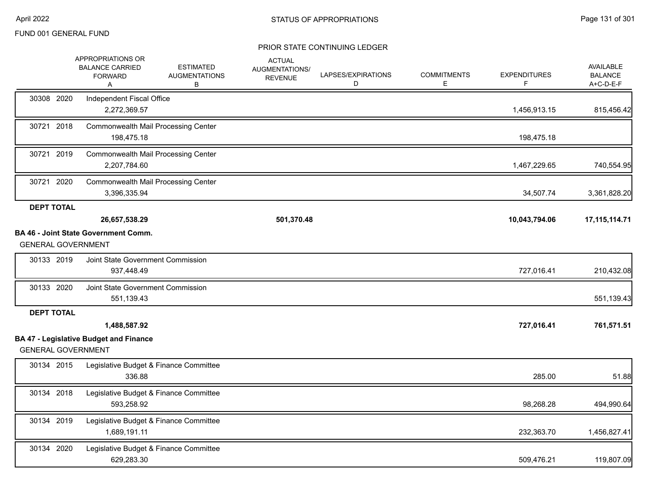|                   | <b>APPROPRIATIONS OR</b><br><b>BALANCE CARRIED</b><br><b>FORWARD</b><br>Α                  |                                                          | <b>ESTIMATED</b><br><b>AUGMENTATIONS</b><br>В | <b>ACTUAL</b><br><b>AUGMENTATIONS/</b><br><b>REVENUE</b> | LAPSES/EXPIRATIONS<br>D | <b>COMMITMENTS</b><br>E. | <b>EXPENDITURES</b><br>F | AVAILABLE<br><b>BALANCE</b><br>A+C-D-E-F |
|-------------------|--------------------------------------------------------------------------------------------|----------------------------------------------------------|-----------------------------------------------|----------------------------------------------------------|-------------------------|--------------------------|--------------------------|------------------------------------------|
| 30308 2020        | Independent Fiscal Office<br>2,272,369.57                                                  |                                                          |                                               |                                                          |                         |                          | 1,456,913.15             | 815,456.42                               |
| 30721 2018        |                                                                                            | <b>Commonwealth Mail Processing Center</b><br>198,475.18 |                                               |                                                          |                         |                          | 198,475.18               |                                          |
| 30721 2019        | 2,207,784.60                                                                               | <b>Commonwealth Mail Processing Center</b>               |                                               |                                                          |                         |                          | 1,467,229.65             | 740,554.95                               |
| 30721 2020        | 3,396,335.94                                                                               | <b>Commonwealth Mail Processing Center</b>               |                                               |                                                          |                         |                          | 34,507.74                | 3,361,828.20                             |
| <b>DEPT TOTAL</b> | 26,657,538.29                                                                              |                                                          |                                               | 501,370.48                                               |                         |                          | 10,043,794.06            | 17, 115, 114. 71                         |
|                   | <b>BA 46 - Joint State Government Comm.</b><br><b>GENERAL GOVERNMENT</b>                   |                                                          |                                               |                                                          |                         |                          |                          |                                          |
| 30133 2019        |                                                                                            | Joint State Government Commission<br>937,448.49          |                                               |                                                          |                         |                          | 727,016.41               | 210,432.08                               |
| 30133 2020        |                                                                                            | Joint State Government Commission<br>551,139.43          |                                               |                                                          |                         |                          |                          | 551,139.43                               |
| <b>DEPT TOTAL</b> |                                                                                            |                                                          |                                               |                                                          |                         |                          |                          |                                          |
|                   | 1,488,587.92<br><b>BA 47 - Legislative Budget and Finance</b><br><b>GENERAL GOVERNMENT</b> |                                                          |                                               |                                                          |                         |                          | 727,016.41               | 761,571.51                               |
| 30134 2015        |                                                                                            | Legislative Budget & Finance Committee<br>336.88         |                                               |                                                          |                         |                          | 285.00                   | 51.88                                    |
| 30134 2018        |                                                                                            | Legislative Budget & Finance Committee<br>593,258.92     |                                               |                                                          |                         |                          | 98,268.28                | 494,990.64                               |
| 30134 2019        | 1,689,191.11                                                                               | Legislative Budget & Finance Committee                   |                                               |                                                          |                         |                          | 232,363.70               | 1,456,827.41                             |
| 30134 2020        |                                                                                            | Legislative Budget & Finance Committee<br>629,283.30     |                                               |                                                          |                         |                          | 509,476.21               | 119,807.09                               |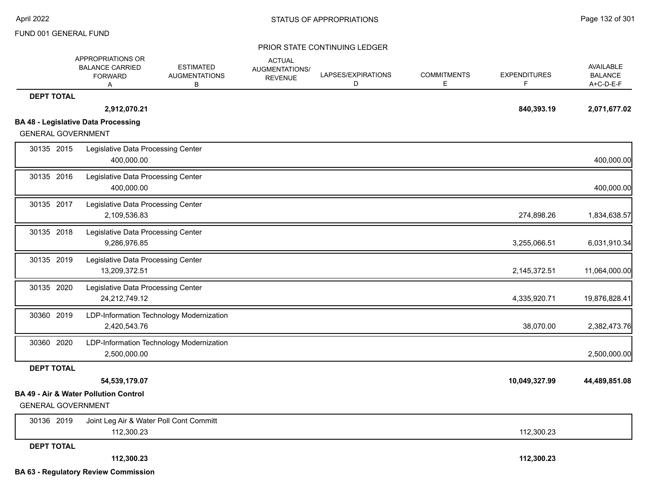|                           | APPROPRIATIONS OR<br><b>BALANCE CARRIED</b><br><b>FORWARD</b><br>Α | <b>ESTIMATED</b><br><b>AUGMENTATIONS</b><br>в | <b>ACTUAL</b><br>AUGMENTATIONS/<br><b>REVENUE</b> | LAPSES/EXPIRATIONS<br>D | <b>COMMITMENTS</b><br>E | <b>EXPENDITURES</b><br>F. | AVAILABLE<br><b>BALANCE</b><br>A+C-D-E-F |
|---------------------------|--------------------------------------------------------------------|-----------------------------------------------|---------------------------------------------------|-------------------------|-------------------------|---------------------------|------------------------------------------|
| <b>DEPT TOTAL</b>         |                                                                    |                                               |                                                   |                         |                         |                           |                                          |
|                           | 2,912,070.21                                                       |                                               |                                                   |                         |                         | 840,393.19                | 2,071,677.02                             |
|                           | <b>BA 48 - Legislative Data Processing</b>                         |                                               |                                                   |                         |                         |                           |                                          |
| <b>GENERAL GOVERNMENT</b> |                                                                    |                                               |                                                   |                         |                         |                           |                                          |
| 30135 2015                | Legislative Data Processing Center<br>400,000.00                   |                                               |                                                   |                         |                         |                           | 400,000.00                               |
| 30135 2016                | Legislative Data Processing Center<br>400,000.00                   |                                               |                                                   |                         |                         |                           | 400,000.00                               |
| 30135 2017                | Legislative Data Processing Center<br>2,109,536.83                 |                                               |                                                   |                         |                         | 274,898.26                | 1,834,638.57                             |
| 30135 2018                | Legislative Data Processing Center<br>9,286,976.85                 |                                               |                                                   |                         |                         | 3,255,066.51              | 6,031,910.34                             |
| 30135 2019                | Legislative Data Processing Center<br>13,209,372.51                |                                               |                                                   |                         |                         | 2,145,372.51              | 11,064,000.00                            |
| 30135 2020                | Legislative Data Processing Center<br>24,212,749.12                |                                               |                                                   |                         |                         | 4,335,920.71              | 19,876,828.41                            |
| 30360 2019                | 2,420,543.76                                                       | LDP-Information Technology Modernization      |                                                   |                         |                         | 38,070.00                 | 2,382,473.76                             |
| 30360 2020                | 2,500,000.00                                                       | LDP-Information Technology Modernization      |                                                   |                         |                         |                           | 2,500,000.00                             |
| <b>DEPT TOTAL</b>         |                                                                    |                                               |                                                   |                         |                         |                           |                                          |
|                           | 54,539,179.07                                                      |                                               |                                                   |                         |                         | 10,049,327.99             | 44,489,851.08                            |
| <b>GENERAL GOVERNMENT</b> | BA 49 - Air & Water Pollution Control                              |                                               |                                                   |                         |                         |                           |                                          |
| 30136 2019                | 112,300.23                                                         | Joint Leg Air & Water Poll Cont Committ       |                                                   |                         |                         | 112,300.23                |                                          |
| <b>DEPT TOTAL</b>         |                                                                    |                                               |                                                   |                         |                         |                           |                                          |
|                           | 112,300.23                                                         |                                               |                                                   |                         |                         | 112,300.23                |                                          |
|                           | <b>BA 63 - Regulatory Review Commission</b>                        |                                               |                                                   |                         |                         |                           |                                          |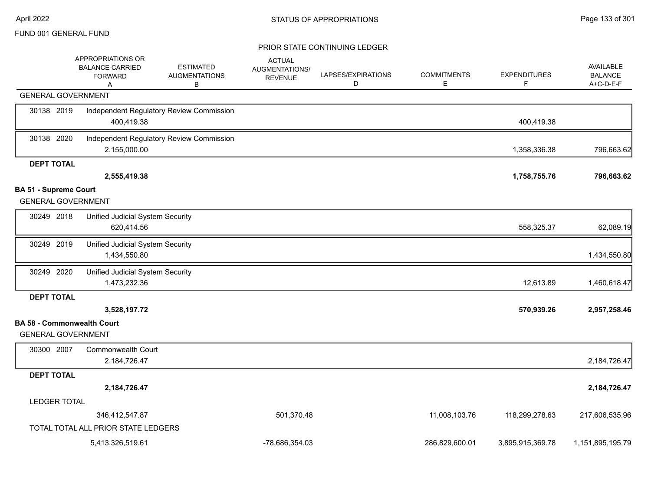|                                                                | APPROPRIATIONS OR<br><b>BALANCE CARRIED</b><br><b>FORWARD</b><br>A | <b>ESTIMATED</b><br><b>AUGMENTATIONS</b><br>в | <b>ACTUAL</b><br>AUGMENTATIONS/<br><b>REVENUE</b> | LAPSES/EXPIRATIONS<br>D | <b>COMMITMENTS</b><br>Е | <b>EXPENDITURES</b><br>F | AVAILABLE<br><b>BALANCE</b><br>A+C-D-E-F |
|----------------------------------------------------------------|--------------------------------------------------------------------|-----------------------------------------------|---------------------------------------------------|-------------------------|-------------------------|--------------------------|------------------------------------------|
| <b>GENERAL GOVERNMENT</b>                                      |                                                                    |                                               |                                                   |                         |                         |                          |                                          |
| 30138 2019                                                     | 400,419.38                                                         | Independent Regulatory Review Commission      |                                                   |                         |                         | 400,419.38               |                                          |
| 30138 2020                                                     | 2,155,000.00                                                       | Independent Regulatory Review Commission      |                                                   |                         |                         | 1,358,336.38             | 796,663.62                               |
| <b>DEPT TOTAL</b>                                              |                                                                    |                                               |                                                   |                         |                         |                          |                                          |
|                                                                | 2,555,419.38                                                       |                                               |                                                   |                         |                         | 1,758,755.76             | 796,663.62                               |
| <b>BA 51 - Supreme Court</b><br><b>GENERAL GOVERNMENT</b>      |                                                                    |                                               |                                                   |                         |                         |                          |                                          |
| 30249 2018                                                     | Unified Judicial System Security<br>620,414.56                     |                                               |                                                   |                         |                         | 558,325.37               | 62,089.19                                |
| 30249 2019                                                     | Unified Judicial System Security<br>1,434,550.80                   |                                               |                                                   |                         |                         |                          | 1,434,550.80                             |
| 30249 2020                                                     | Unified Judicial System Security<br>1,473,232.36                   |                                               |                                                   |                         |                         | 12,613.89                | 1,460,618.47                             |
| <b>DEPT TOTAL</b>                                              |                                                                    |                                               |                                                   |                         |                         |                          |                                          |
|                                                                | 3,528,197.72                                                       |                                               |                                                   |                         |                         | 570,939.26               | 2,957,258.46                             |
| <b>BA 58 - Commonwealth Court</b><br><b>GENERAL GOVERNMENT</b> |                                                                    |                                               |                                                   |                         |                         |                          |                                          |
| 30300 2007                                                     | <b>Commonwealth Court</b><br>2,184,726.47                          |                                               |                                                   |                         |                         |                          | 2,184,726.47                             |
| <b>DEPT TOTAL</b>                                              |                                                                    |                                               |                                                   |                         |                         |                          |                                          |
|                                                                | 2,184,726.47                                                       |                                               |                                                   |                         |                         |                          | 2,184,726.47                             |
| <b>LEDGER TOTAL</b>                                            |                                                                    |                                               |                                                   |                         |                         |                          |                                          |
|                                                                | 346,412,547.87                                                     |                                               | 501,370.48                                        |                         | 11,008,103.76           | 118,299,278.63           | 217,606,535.96                           |
|                                                                | TOTAL TOTAL ALL PRIOR STATE LEDGERS                                |                                               |                                                   |                         |                         |                          |                                          |
|                                                                | 5,413,326,519.61                                                   |                                               | -78.686.354.03                                    |                         | 286,829,600.01          | 3,895,915,369.78         | 1,151,895,195.79                         |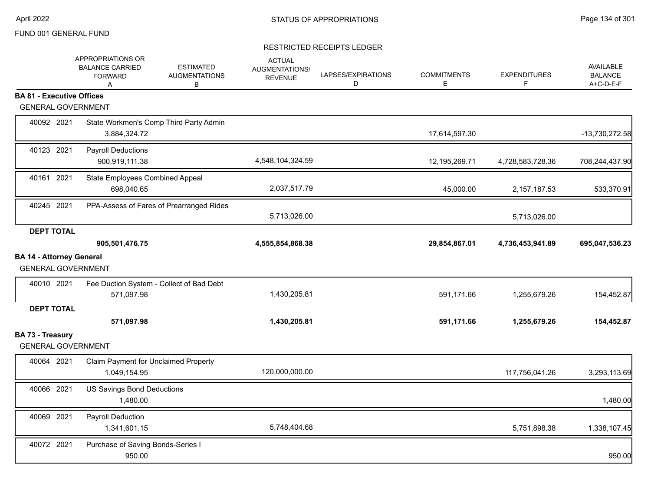|                                                              | APPROPRIATIONS OR<br><b>BALANCE CARRIED</b><br><b>FORWARD</b><br>A | <b>ESTIMATED</b><br><b>AUGMENTATIONS</b><br>В | <b>ACTUAL</b><br>AUGMENTATIONS/<br><b>REVENUE</b> | LAPSES/EXPIRATIONS<br>D | <b>COMMITMENTS</b><br>Е | <b>EXPENDITURES</b><br>F | AVAILABLE<br><b>BALANCE</b><br>A+C-D-E-F |
|--------------------------------------------------------------|--------------------------------------------------------------------|-----------------------------------------------|---------------------------------------------------|-------------------------|-------------------------|--------------------------|------------------------------------------|
| <b>BA 81 - Executive Offices</b>                             |                                                                    |                                               |                                                   |                         |                         |                          |                                          |
| <b>GENERAL GOVERNMENT</b>                                    |                                                                    |                                               |                                                   |                         |                         |                          |                                          |
| 40092 2021                                                   | State Workmen's Comp Third Party Admin<br>3,884,324.72             |                                               |                                                   |                         | 17,614,597.30           |                          | -13,730,272.58                           |
| 40123 2021                                                   | <b>Payroll Deductions</b><br>900,919,111.38                        |                                               | 4,548,104,324.59                                  |                         | 12,195,269.71           | 4,728,583,728.36         | 708,244,437.90                           |
| 40161 2021                                                   | State Employees Combined Appeal<br>698,040.65                      |                                               | 2,037,517.79                                      |                         | 45,000.00               | 2,157,187.53             | 533,370.91                               |
| 40245 2021                                                   |                                                                    | PPA-Assess of Fares of Prearranged Rides      | 5,713,026.00                                      |                         |                         | 5,713,026.00             |                                          |
| <b>DEPT TOTAL</b>                                            |                                                                    |                                               |                                                   |                         |                         |                          |                                          |
|                                                              | 905,501,476.75                                                     |                                               | 4,555,854,868.38                                  |                         | 29,854,867.01           | 4,736,453,941.89         | 695,047,536.23                           |
| <b>BA 14 - Attorney General</b><br><b>GENERAL GOVERNMENT</b> |                                                                    |                                               |                                                   |                         |                         |                          |                                          |
| 40010 2021                                                   | Fee Duction System - Collect of Bad Debt<br>571,097.98             |                                               | 1,430,205.81                                      |                         | 591,171.66              | 1,255,679.26             | 154,452.87                               |
| <b>DEPT TOTAL</b>                                            | 571,097.98                                                         |                                               | 1,430,205.81                                      |                         | 591,171.66              | 1,255,679.26             | 154,452.87                               |
| BA 73 - Treasury<br><b>GENERAL GOVERNMENT</b>                |                                                                    |                                               |                                                   |                         |                         |                          |                                          |
| 40064 2021                                                   | Claim Payment for Unclaimed Property<br>1,049,154.95               |                                               | 120,000,000.00                                    |                         |                         | 117,756,041.26           | 3,293,113.69                             |
| 40066 2021                                                   | <b>US Savings Bond Deductions</b><br>1,480.00                      |                                               |                                                   |                         |                         |                          | 1,480.00                                 |
| 40069 2021                                                   | Payroll Deduction<br>1,341,601.15                                  |                                               | 5,748,404.68                                      |                         |                         | 5,751,898.38             | 1,338,107.45                             |
| 40072 2021                                                   | Purchase of Saving Bonds-Series I<br>950.00                        |                                               |                                                   |                         |                         |                          | 950.00                                   |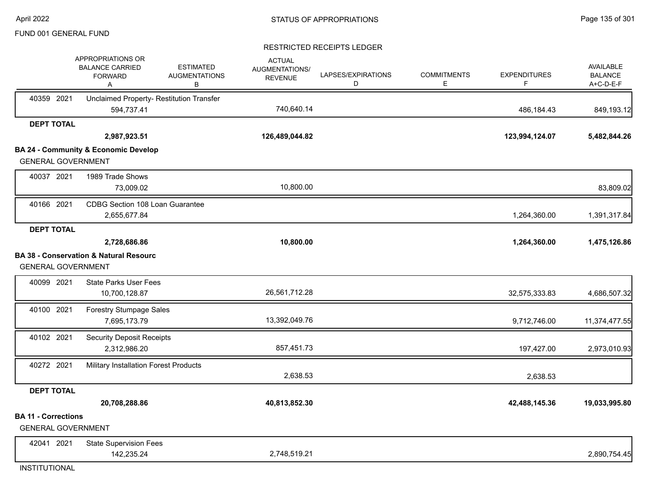#### RESTRICTED RECEIPTS LEDGER

|                            | APPROPRIATIONS OR<br><b>BALANCE CARRIED</b><br><b>FORWARD</b><br>Α | <b>ESTIMATED</b><br><b>AUGMENTATIONS</b><br>в | <b>ACTUAL</b><br>AUGMENTATIONS/<br><b>REVENUE</b> | LAPSES/EXPIRATIONS<br>D | <b>COMMITMENTS</b><br>Е | <b>EXPENDITURES</b><br>F | <b>AVAILABLE</b><br><b>BALANCE</b><br>A+C-D-E-F |
|----------------------------|--------------------------------------------------------------------|-----------------------------------------------|---------------------------------------------------|-------------------------|-------------------------|--------------------------|-------------------------------------------------|
| 40359 2021                 | Unclaimed Property- Restitution Transfer<br>594,737.41             |                                               | 740,640.14                                        |                         |                         | 486,184.43               | 849,193.12                                      |
| <b>DEPT TOTAL</b>          |                                                                    |                                               |                                                   |                         |                         |                          |                                                 |
|                            | 2,987,923.51                                                       |                                               | 126,489,044.82                                    |                         |                         | 123,994,124.07           | 5,482,844.26                                    |
|                            | <b>BA 24 - Community &amp; Economic Develop</b>                    |                                               |                                                   |                         |                         |                          |                                                 |
|                            | <b>GENERAL GOVERNMENT</b>                                          |                                               |                                                   |                         |                         |                          |                                                 |
| 40037 2021                 | 1989 Trade Shows                                                   |                                               |                                                   |                         |                         |                          |                                                 |
|                            | 73,009.02                                                          |                                               | 10,800.00                                         |                         |                         |                          | 83,809.02                                       |
| 40166 2021                 | CDBG Section 108 Loan Guarantee                                    |                                               |                                                   |                         |                         |                          |                                                 |
|                            | 2,655,677.84                                                       |                                               |                                                   |                         |                         | 1,264,360.00             | 1,391,317.84                                    |
| <b>DEPT TOTAL</b>          |                                                                    |                                               |                                                   |                         |                         |                          |                                                 |
|                            | 2,728,686.86                                                       |                                               | 10,800.00                                         |                         |                         | 1,264,360.00             | 1,475,126.86                                    |
|                            | <b>BA 38 - Conservation &amp; Natural Resourc</b>                  |                                               |                                                   |                         |                         |                          |                                                 |
|                            | <b>GENERAL GOVERNMENT</b>                                          |                                               |                                                   |                         |                         |                          |                                                 |
| 40099 2021                 | <b>State Parks User Fees</b>                                       |                                               |                                                   |                         |                         |                          |                                                 |
|                            | 10,700,128.87                                                      |                                               | 26,561,712.28                                     |                         |                         | 32,575,333.83            | 4,686,507.32                                    |
| 40100 2021                 | Forestry Stumpage Sales                                            |                                               |                                                   |                         |                         |                          |                                                 |
|                            | 7,695,173.79                                                       |                                               | 13,392,049.76                                     |                         |                         | 9,712,746.00             | 11,374,477.55                                   |
| 40102 2021                 | <b>Security Deposit Receipts</b>                                   |                                               |                                                   |                         |                         |                          |                                                 |
|                            | 2,312,986.20                                                       |                                               | 857,451.73                                        |                         |                         | 197,427.00               | 2,973,010.93                                    |
| 40272 2021                 | Military Installation Forest Products                              |                                               |                                                   |                         |                         |                          |                                                 |
|                            |                                                                    |                                               | 2,638.53                                          |                         |                         | 2,638.53                 |                                                 |
| <b>DEPT TOTAL</b>          |                                                                    |                                               |                                                   |                         |                         |                          |                                                 |
|                            | 20,708,288.86                                                      |                                               | 40,813,852.30                                     |                         |                         | 42,488,145.36            | 19,033,995.80                                   |
| <b>BA 11 - Corrections</b> | <b>GENERAL GOVERNMENT</b>                                          |                                               |                                                   |                         |                         |                          |                                                 |
| 42041 2021                 |                                                                    |                                               |                                                   |                         |                         |                          |                                                 |
|                            | <b>State Supervision Fees</b><br>142,235.24                        |                                               | 2,748,519.21                                      |                         |                         |                          | 2,890,754.45                                    |
|                            |                                                                    |                                               |                                                   |                         |                         |                          |                                                 |

INSTITUTIONAL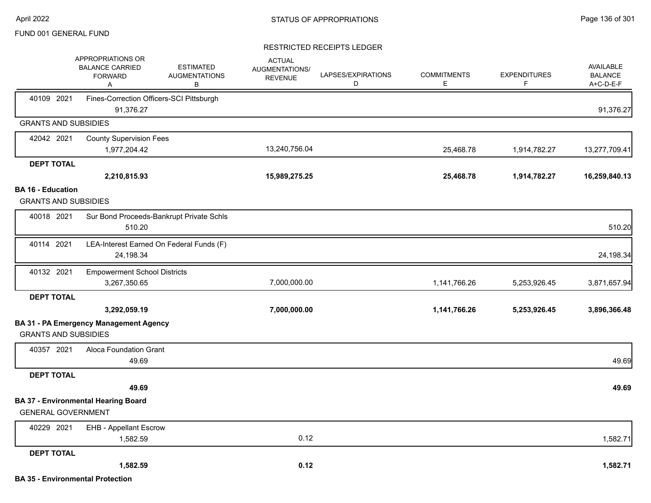|                                                         | APPROPRIATIONS OR<br><b>BALANCE CARRIED</b><br><b>FORWARD</b><br>Α | <b>ESTIMATED</b><br><b>AUGMENTATIONS</b><br>В | <b>ACTUAL</b><br>AUGMENTATIONS/<br><b>REVENUE</b> | LAPSES/EXPIRATIONS<br>D | <b>COMMITMENTS</b><br>Е | <b>EXPENDITURES</b><br>F | <b>AVAILABLE</b><br><b>BALANCE</b><br>A+C-D-E-F |
|---------------------------------------------------------|--------------------------------------------------------------------|-----------------------------------------------|---------------------------------------------------|-------------------------|-------------------------|--------------------------|-------------------------------------------------|
| 40109 2021                                              | Fines-Correction Officers-SCI Pittsburgh<br>91,376.27              |                                               |                                                   |                         |                         |                          | 91,376.27                                       |
| <b>GRANTS AND SUBSIDIES</b>                             |                                                                    |                                               |                                                   |                         |                         |                          |                                                 |
| 42042 2021                                              | <b>County Supervision Fees</b>                                     |                                               |                                                   |                         |                         |                          |                                                 |
|                                                         | 1,977,204.42                                                       |                                               | 13,240,756.04                                     |                         | 25,468.78               | 1,914,782.27             | 13,277,709.41                                   |
| <b>DEPT TOTAL</b>                                       |                                                                    |                                               |                                                   |                         |                         |                          |                                                 |
|                                                         | 2,210,815.93                                                       |                                               | 15,989,275.25                                     |                         | 25,468.78               | 1,914,782.27             | 16,259,840.13                                   |
| <b>BA 16 - Education</b><br><b>GRANTS AND SUBSIDIES</b> |                                                                    |                                               |                                                   |                         |                         |                          |                                                 |
| 40018 2021                                              | 510.20                                                             | Sur Bond Proceeds-Bankrupt Private Schls      |                                                   |                         |                         |                          | 510.20                                          |
| 40114 2021                                              | 24,198.34                                                          | LEA-Interest Earned On Federal Funds (F)      |                                                   |                         |                         |                          | 24,198.34                                       |
| 40132 2021                                              | <b>Empowerment School Districts</b><br>3,267,350.65                |                                               | 7,000,000.00                                      |                         | 1,141,766.26            | 5,253,926.45             | 3,871,657.94                                    |
| <b>DEPT TOTAL</b>                                       |                                                                    |                                               |                                                   |                         |                         |                          |                                                 |
|                                                         | 3,292,059.19                                                       |                                               | 7,000,000.00                                      |                         | 1,141,766.26            | 5,253,926.45             | 3,896,366.48                                    |
| <b>GRANTS AND SUBSIDIES</b>                             | <b>BA 31 - PA Emergency Management Agency</b>                      |                                               |                                                   |                         |                         |                          |                                                 |
| 40357 2021                                              | Aloca Foundation Grant<br>49.69                                    |                                               |                                                   |                         |                         |                          | 49.69                                           |
| <b>DEPT TOTAL</b>                                       |                                                                    |                                               |                                                   |                         |                         |                          |                                                 |
|                                                         | 49.69                                                              |                                               |                                                   |                         |                         |                          | 49.69                                           |
| <b>GENERAL GOVERNMENT</b>                               | <b>BA 37 - Environmental Hearing Board</b>                         |                                               |                                                   |                         |                         |                          |                                                 |
| 40229 2021                                              | <b>EHB - Appellant Escrow</b>                                      |                                               |                                                   |                         |                         |                          |                                                 |
|                                                         | 1,582.59                                                           |                                               | 0.12                                              |                         |                         |                          | 1,582.71                                        |
| <b>DEPT TOTAL</b>                                       |                                                                    |                                               |                                                   |                         |                         |                          |                                                 |
|                                                         | 1,582.59                                                           |                                               | 0.12                                              |                         |                         |                          | 1,582.71                                        |
|                                                         | <b>BA 35 - Environmental Protection</b>                            |                                               |                                                   |                         |                         |                          |                                                 |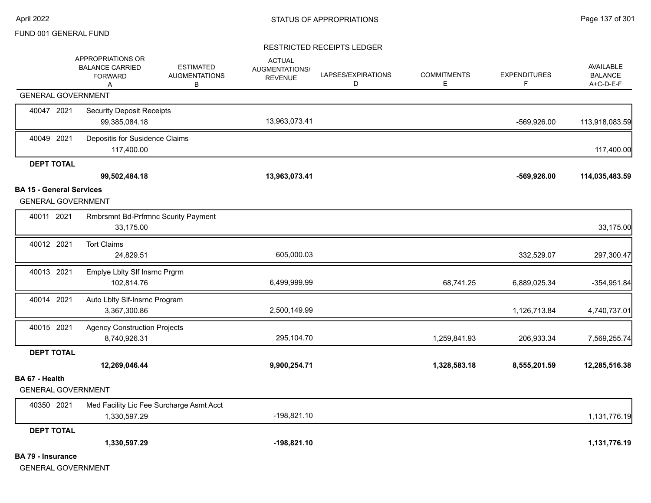|                                 | APPROPRIATIONS OR<br><b>BALANCE CARRIED</b><br><b>FORWARD</b><br>A | <b>ESTIMATED</b><br><b>AUGMENTATIONS</b><br>В | <b>ACTUAL</b><br>AUGMENTATIONS/<br><b>REVENUE</b> | LAPSES/EXPIRATIONS<br>D | <b>COMMITMENTS</b><br>Е | <b>EXPENDITURES</b><br>F | AVAILABLE<br><b>BALANCE</b><br>A+C-D-E-F |
|---------------------------------|--------------------------------------------------------------------|-----------------------------------------------|---------------------------------------------------|-------------------------|-------------------------|--------------------------|------------------------------------------|
|                                 | <b>GENERAL GOVERNMENT</b>                                          |                                               |                                                   |                         |                         |                          |                                          |
| 40047 2021                      | <b>Security Deposit Receipts</b><br>99,385,084.18                  |                                               | 13,963,073.41                                     |                         |                         | -569,926.00              | 113,918,083.59                           |
| 40049 2021                      | Depositis for Susidence Claims<br>117,400.00                       |                                               |                                                   |                         |                         |                          | 117,400.00                               |
| <b>DEPT TOTAL</b>               |                                                                    |                                               |                                                   |                         |                         |                          |                                          |
|                                 | 99,502,484.18                                                      |                                               | 13,963,073.41                                     |                         |                         | $-569,926.00$            | 114,035,483.59                           |
| <b>BA 15 - General Services</b> |                                                                    |                                               |                                                   |                         |                         |                          |                                          |
|                                 | <b>GENERAL GOVERNMENT</b>                                          |                                               |                                                   |                         |                         |                          |                                          |
| 40011 2021                      | <b>Rmbrsmnt Bd-Prfrmnc Scurity Payment</b><br>33,175.00            |                                               |                                                   |                         |                         |                          | 33,175.00                                |
| 40012 2021                      | <b>Tort Claims</b><br>24,829.51                                    |                                               | 605,000.03                                        |                         |                         | 332,529.07               | 297,300.47                               |
| 40013 2021                      | Emplye Lblty SIf Insrnc Prgrm<br>102,814.76                        |                                               | 6,499,999.99                                      |                         | 68,741.25               | 6,889,025.34             | $-354,951.84$                            |
| 40014 2021                      | Auto Lblty Slf-Insrnc Program<br>3,367,300.86                      |                                               | 2,500,149.99                                      |                         |                         | 1,126,713.84             | 4,740,737.01                             |
| 40015 2021                      | <b>Agency Construction Projects</b><br>8,740,926.31                |                                               | 295,104.70                                        |                         | 1,259,841.93            | 206,933.34               | 7,569,255.74                             |
| <b>DEPT TOTAL</b>               |                                                                    |                                               |                                                   |                         |                         |                          |                                          |
|                                 | 12,269,046.44                                                      |                                               | 9,900,254.71                                      |                         | 1,328,583.18            | 8,555,201.59             | 12,285,516.38                            |
| BA 67 - Health                  | <b>GENERAL GOVERNMENT</b>                                          |                                               |                                                   |                         |                         |                          |                                          |
| 40350 2021                      | Med Facility Lic Fee Surcharge Asmt Acct<br>1,330,597.29           |                                               | $-198,821.10$                                     |                         |                         |                          | 1,131,776.19                             |
| <b>DEPT TOTAL</b>               |                                                                    |                                               |                                                   |                         |                         |                          |                                          |
|                                 | 1,330,597.29                                                       |                                               | $-198,821.10$                                     |                         |                         |                          | 1,131,776.19                             |
| <b>BA 79 - Insurance</b>        | <b>GENERAL GOVERNMENT</b>                                          |                                               |                                                   |                         |                         |                          |                                          |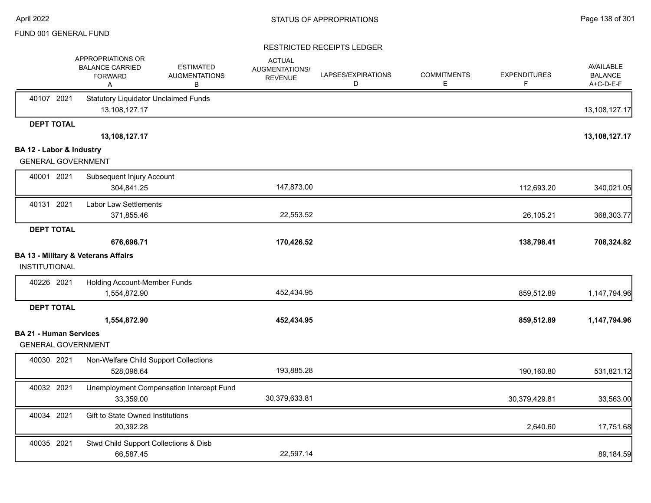|                                                            | APPROPRIATIONS OR<br><b>BALANCE CARRIED</b><br><b>FORWARD</b><br>Α | <b>ESTIMATED</b><br><b>AUGMENTATIONS</b><br>В | <b>ACTUAL</b><br>AUGMENTATIONS/<br><b>REVENUE</b> | LAPSES/EXPIRATIONS<br>D | <b>COMMITMENTS</b><br>E | <b>EXPENDITURES</b><br>F | <b>AVAILABLE</b><br><b>BALANCE</b><br>A+C-D-E-F |
|------------------------------------------------------------|--------------------------------------------------------------------|-----------------------------------------------|---------------------------------------------------|-------------------------|-------------------------|--------------------------|-------------------------------------------------|
| 40107 2021                                                 | <b>Statutory Liquidator Unclaimed Funds</b><br>13,108,127.17       |                                               |                                                   |                         |                         |                          | 13,108,127.17                                   |
| <b>DEPT TOTAL</b>                                          |                                                                    |                                               |                                                   |                         |                         |                          |                                                 |
| BA 12 - Labor & Industry                                   | 13,108,127.17                                                      |                                               |                                                   |                         |                         |                          | 13,108,127.17                                   |
| <b>GENERAL GOVERNMENT</b>                                  |                                                                    |                                               |                                                   |                         |                         |                          |                                                 |
| 40001 2021                                                 | Subsequent Injury Account                                          |                                               |                                                   |                         |                         |                          |                                                 |
|                                                            | 304,841.25                                                         |                                               | 147,873.00                                        |                         |                         | 112,693.20               | 340,021.05                                      |
| 40131 2021                                                 | <b>Labor Law Settlements</b>                                       |                                               |                                                   |                         |                         |                          |                                                 |
|                                                            | 371,855.46                                                         |                                               | 22,553.52                                         |                         |                         | 26,105.21                | 368,303.77                                      |
| <b>DEPT TOTAL</b>                                          |                                                                    |                                               |                                                   |                         |                         |                          |                                                 |
|                                                            | 676,696.71                                                         |                                               | 170,426.52                                        |                         |                         | 138,798.41               | 708,324.82                                      |
| INSTITUTIONAL                                              | <b>BA 13 - Military &amp; Veterans Affairs</b>                     |                                               |                                                   |                         |                         |                          |                                                 |
| 40226 2021                                                 | Holding Account-Member Funds<br>1,554,872.90                       |                                               | 452,434.95                                        |                         |                         | 859,512.89               | 1,147,794.96                                    |
| <b>DEPT TOTAL</b>                                          |                                                                    |                                               |                                                   |                         |                         |                          |                                                 |
|                                                            | 1,554,872.90                                                       |                                               | 452,434.95                                        |                         |                         | 859,512.89               | 1,147,794.96                                    |
| <b>BA 21 - Human Services</b><br><b>GENERAL GOVERNMENT</b> |                                                                    |                                               |                                                   |                         |                         |                          |                                                 |
| 40030 2021                                                 | Non-Welfare Child Support Collections<br>528,096.64                |                                               | 193,885.28                                        |                         |                         | 190,160.80               | 531,821.12                                      |
| 40032 2021                                                 | 33,359.00                                                          | Unemployment Compensation Intercept Fund      | 30,379,633.81                                     |                         |                         | 30,379,429.81            | 33,563.00                                       |
| 40034 2021                                                 | Gift to State Owned Institutions<br>20,392.28                      |                                               |                                                   |                         |                         | 2,640.60                 | 17,751.68                                       |
| 40035 2021                                                 | Stwd Child Support Collections & Disb<br>66,587.45                 |                                               | 22,597.14                                         |                         |                         |                          | 89,184.59                                       |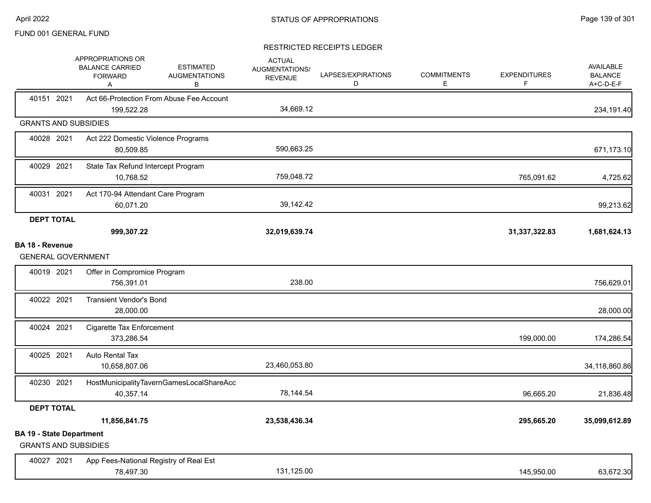|                                                                | APPROPRIATIONS OR<br><b>BALANCE CARRIED</b><br><b>FORWARD</b><br>Α | <b>ESTIMATED</b><br><b>AUGMENTATIONS</b><br>В | <b>ACTUAL</b><br><b>AUGMENTATIONS/</b><br><b>REVENUE</b> | LAPSES/EXPIRATIONS<br>D | <b>COMMITMENTS</b><br>E. | <b>EXPENDITURES</b><br>F | <b>AVAILABLE</b><br><b>BALANCE</b><br>A+C-D-E-F |
|----------------------------------------------------------------|--------------------------------------------------------------------|-----------------------------------------------|----------------------------------------------------------|-------------------------|--------------------------|--------------------------|-------------------------------------------------|
| 40151 2021                                                     | 199,522.28                                                         | Act 66-Protection From Abuse Fee Account      | 34,669.12                                                |                         |                          |                          | 234,191.40                                      |
| <b>GRANTS AND SUBSIDIES</b>                                    |                                                                    |                                               |                                                          |                         |                          |                          |                                                 |
| 40028 2021                                                     | Act 222 Domestic Violence Programs<br>80,509.85                    |                                               | 590,663.25                                               |                         |                          |                          | 671,173.10                                      |
| 40029 2021                                                     | State Tax Refund Intercept Program<br>10,768.52                    |                                               | 759,048.72                                               |                         |                          | 765,091.62               | 4,725.62                                        |
| 40031 2021                                                     | Act 170-94 Attendant Care Program<br>60,071.20                     |                                               | 39,142.42                                                |                         |                          |                          | 99,213.62                                       |
| <b>DEPT TOTAL</b>                                              | 999,307.22                                                         |                                               | 32,019,639.74                                            |                         |                          | 31,337,322.83            | 1,681,624.13                                    |
| <b>BA 18 - Revenue</b><br><b>GENERAL GOVERNMENT</b>            |                                                                    |                                               |                                                          |                         |                          |                          |                                                 |
| 40019 2021                                                     | Offer in Compromice Program<br>756,391.01                          |                                               | 238.00                                                   |                         |                          |                          | 756,629.01                                      |
| 40022 2021                                                     | <b>Transient Vendor's Bond</b><br>28,000.00                        |                                               |                                                          |                         |                          |                          | 28,000.00                                       |
| 40024 2021                                                     | Cigarette Tax Enforcement<br>373,286.54                            |                                               |                                                          |                         |                          | 199,000.00               | 174,286.54                                      |
| 40025 2021                                                     | Auto Rental Tax<br>10,658,807.06                                   |                                               | 23,460,053.80                                            |                         |                          |                          | 34,118,860.86                                   |
| 40230 2021                                                     | 40,357.14                                                          | HostMunicipalityTavernGamesLocalShareAcc      | 78,144.54                                                |                         |                          | 96,665.20                | 21,836.48                                       |
| <b>DEPT TOTAL</b>                                              |                                                                    |                                               |                                                          |                         |                          |                          |                                                 |
|                                                                | 11,856,841.75                                                      |                                               | 23,538,436.34                                            |                         |                          | 295,665.20               | 35,099,612.89                                   |
| <b>BA 19 - State Department</b><br><b>GRANTS AND SUBSIDIES</b> |                                                                    |                                               |                                                          |                         |                          |                          |                                                 |
| 40027 2021                                                     | App Fees-National Registry of Real Est<br>78,497.30                |                                               | 131,125.00                                               |                         |                          | 145,950.00               | 63,672.30                                       |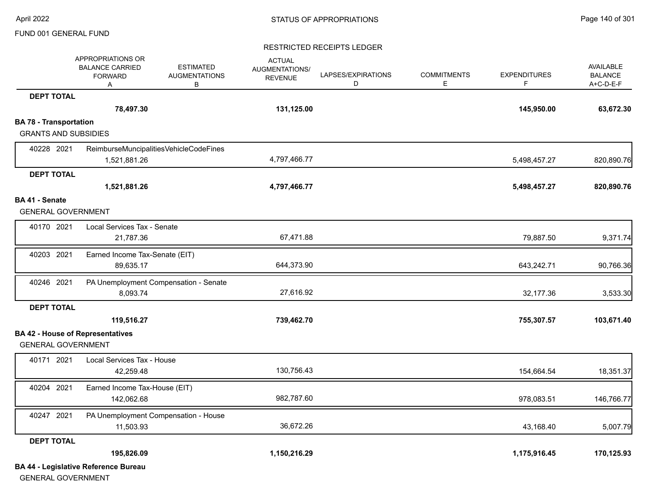#### RESTRICTED RECEIPTS LEDGER

|                               | APPROPRIATIONS OR<br><b>BALANCE CARRIED</b><br><b>FORWARD</b><br>Α | <b>ESTIMATED</b><br><b>AUGMENTATIONS</b><br>В | <b>ACTUAL</b><br>AUGMENTATIONS/<br><b>REVENUE</b> | LAPSES/EXPIRATIONS<br>D | <b>COMMITMENTS</b><br>E | <b>EXPENDITURES</b><br>F | <b>AVAILABLE</b><br><b>BALANCE</b><br>$A+C-D-E-F$ |
|-------------------------------|--------------------------------------------------------------------|-----------------------------------------------|---------------------------------------------------|-------------------------|-------------------------|--------------------------|---------------------------------------------------|
| <b>DEPT TOTAL</b>             |                                                                    |                                               |                                                   |                         |                         |                          |                                                   |
|                               | 78,497.30                                                          |                                               | 131,125.00                                        |                         |                         | 145,950.00               | 63,672.30                                         |
| <b>BA 78 - Transportation</b> |                                                                    |                                               |                                                   |                         |                         |                          |                                                   |
| <b>GRANTS AND SUBSIDIES</b>   |                                                                    |                                               |                                                   |                         |                         |                          |                                                   |
| 40228 2021                    | ReimburseMuncipalitiesVehicleCodeFines<br>1,521,881.26             |                                               | 4,797,466.77                                      |                         |                         | 5,498,457.27             | 820,890.76                                        |
| <b>DEPT TOTAL</b>             |                                                                    |                                               |                                                   |                         |                         |                          |                                                   |
|                               | 1,521,881.26                                                       |                                               | 4,797,466.77                                      |                         |                         | 5,498,457.27             | 820,890.76                                        |
| <b>BA 41 - Senate</b>         |                                                                    |                                               |                                                   |                         |                         |                          |                                                   |
| <b>GENERAL GOVERNMENT</b>     |                                                                    |                                               |                                                   |                         |                         |                          |                                                   |
| 40170 2021                    | Local Services Tax - Senate<br>21,787.36                           |                                               | 67,471.88                                         |                         |                         | 79,887.50                | 9,371.74                                          |
| 40203 2021                    | Earned Income Tax-Senate (EIT)<br>89,635.17                        |                                               | 644,373.90                                        |                         |                         | 643,242.71               | 90,766.36                                         |
| 40246 2021                    | PA Unemployment Compensation - Senate<br>8,093.74                  |                                               | 27,616.92                                         |                         |                         | 32,177.36                | 3,533.30                                          |
| <b>DEPT TOTAL</b>             |                                                                    |                                               |                                                   |                         |                         |                          |                                                   |
|                               | 119,516.27                                                         |                                               | 739,462.70                                        |                         |                         | 755,307.57               | 103,671.40                                        |
|                               | <b>BA 42 - House of Representatives</b>                            |                                               |                                                   |                         |                         |                          |                                                   |
| <b>GENERAL GOVERNMENT</b>     |                                                                    |                                               |                                                   |                         |                         |                          |                                                   |
| 40171 2021                    | Local Services Tax - House<br>42,259.48                            |                                               | 130,756.43                                        |                         |                         | 154,664.54               | 18,351.37                                         |
| 40204 2021                    | Earned Income Tax-House (EIT)<br>142,062.68                        |                                               | 982,787.60                                        |                         |                         | 978,083.51               | 146,766.77                                        |
| 40247 2021                    | PA Unemployment Compensation - House<br>11,503.93                  |                                               | 36,672.26                                         |                         |                         | 43,168.40                | 5,007.79                                          |
| <b>DEPT TOTAL</b>             |                                                                    |                                               |                                                   |                         |                         |                          |                                                   |
|                               | 195,826.09                                                         |                                               | 1,150,216.29                                      |                         |                         | 1,175,916.45             | 170,125.93                                        |
|                               | <b>BA 44 - Legislative Reference Bureau</b>                        |                                               |                                                   |                         |                         |                          |                                                   |

GENERAL GOVERNMENT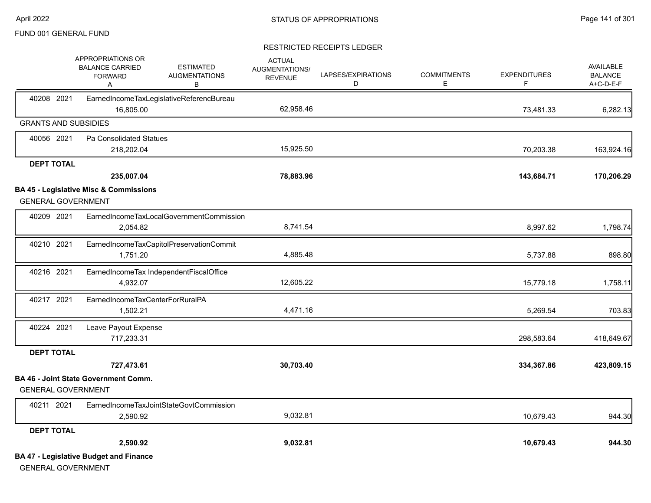|                   | APPROPRIATIONS OR<br><b>BALANCE CARRIED</b><br><b>FORWARD</b><br>Α         | <b>ESTIMATED</b><br><b>AUGMENTATIONS</b><br>в | <b>ACTUAL</b><br>AUGMENTATIONS/<br><b>REVENUE</b> | LAPSES/EXPIRATIONS<br>D | <b>COMMITMENTS</b><br>Е | <b>EXPENDITURES</b><br>F | <b>AVAILABLE</b><br><b>BALANCE</b><br>A+C-D-E-F |
|-------------------|----------------------------------------------------------------------------|-----------------------------------------------|---------------------------------------------------|-------------------------|-------------------------|--------------------------|-------------------------------------------------|
| 40208 2021        | 16.805.00                                                                  | EarnedIncomeTaxLegislativeReferencBureau      | 62,958.46                                         |                         |                         | 73,481.33                | 6,282.13                                        |
|                   | <b>GRANTS AND SUBSIDIES</b>                                                |                                               |                                                   |                         |                         |                          |                                                 |
| 40056 2021        | Pa Consolidated Statues                                                    |                                               |                                                   |                         |                         |                          |                                                 |
|                   | 218,202.04                                                                 |                                               | 15,925.50                                         |                         |                         | 70,203.38                | 163,924.16                                      |
| <b>DEPT TOTAL</b> |                                                                            |                                               |                                                   |                         |                         |                          |                                                 |
|                   | 235,007.04                                                                 |                                               | 78,883.96                                         |                         |                         | 143,684.71               | 170,206.29                                      |
|                   | <b>BA 45 - Legislative Misc &amp; Commissions</b>                          |                                               |                                                   |                         |                         |                          |                                                 |
|                   | <b>GENERAL GOVERNMENT</b>                                                  |                                               |                                                   |                         |                         |                          |                                                 |
| 40209 2021        |                                                                            | EarnedIncomeTaxLocalGovernmentCommission      |                                                   |                         |                         |                          |                                                 |
|                   | 2,054.82                                                                   |                                               | 8,741.54                                          |                         |                         | 8,997.62                 | 1,798.74                                        |
| 40210 2021        |                                                                            | EarnedIncomeTaxCapitolPreservationCommit      |                                                   |                         |                         |                          |                                                 |
|                   | 1,751.20                                                                   |                                               | 4,885.48                                          |                         |                         | 5,737.88                 | 898.80                                          |
| 40216 2021        |                                                                            | EarnedIncomeTax IndependentFiscalOffice       |                                                   |                         |                         |                          |                                                 |
|                   | 4,932.07                                                                   |                                               | 12,605.22                                         |                         |                         | 15,779.18                | 1,758.11                                        |
| 40217 2021        | EarnedIncomeTaxCenterForRuralPA                                            |                                               |                                                   |                         |                         |                          |                                                 |
|                   | 1,502.21                                                                   |                                               | 4,471.16                                          |                         |                         | 5,269.54                 | 703.83                                          |
| 40224 2021        | Leave Payout Expense                                                       |                                               |                                                   |                         |                         |                          |                                                 |
|                   | 717,233.31                                                                 |                                               |                                                   |                         |                         | 298,583.64               | 418,649.67                                      |
| <b>DEPT TOTAL</b> |                                                                            |                                               |                                                   |                         |                         |                          |                                                 |
|                   | 727,473.61                                                                 |                                               | 30,703.40                                         |                         |                         | 334,367.86               | 423,809.15                                      |
|                   | <b>BA 46 - Joint State Government Comm.</b><br><b>GENERAL GOVERNMENT</b>   |                                               |                                                   |                         |                         |                          |                                                 |
| 40211 2021        |                                                                            | EarnedIncomeTaxJointStateGovtCommission       |                                                   |                         |                         |                          |                                                 |
|                   | 2,590.92                                                                   |                                               | 9,032.81                                          |                         |                         | 10,679.43                | 944.30                                          |
| <b>DEPT TOTAL</b> |                                                                            |                                               |                                                   |                         |                         |                          |                                                 |
|                   | 2,590.92                                                                   |                                               | 9,032.81                                          |                         |                         | 10,679.43                | 944.30                                          |
|                   | <b>BA 47 - Legislative Budget and Finance</b><br><b>GENERAL GOVERNMENT</b> |                                               |                                                   |                         |                         |                          |                                                 |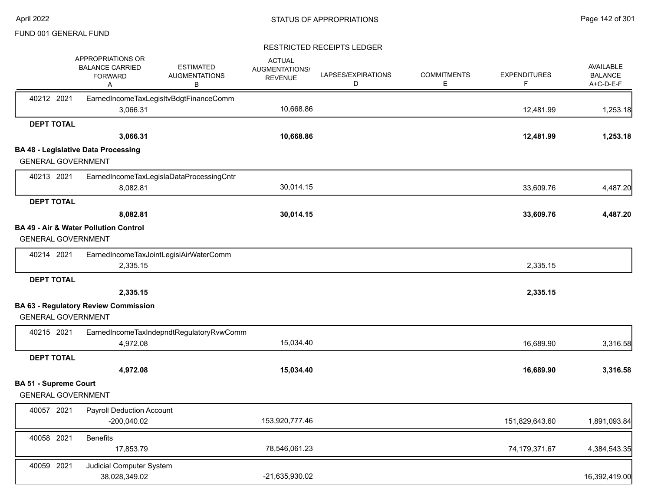|                                                           | APPROPRIATIONS OR<br><b>BALANCE CARRIED</b><br><b>FORWARD</b><br>Α | <b>ESTIMATED</b><br><b>AUGMENTATIONS</b><br>В | <b>ACTUAL</b><br>AUGMENTATIONS/<br><b>REVENUE</b> | LAPSES/EXPIRATIONS<br>D | <b>COMMITMENTS</b><br>E. | <b>EXPENDITURES</b><br>F | <b>AVAILABLE</b><br><b>BALANCE</b><br>A+C-D-E-F |
|-----------------------------------------------------------|--------------------------------------------------------------------|-----------------------------------------------|---------------------------------------------------|-------------------------|--------------------------|--------------------------|-------------------------------------------------|
| 40212 2021                                                | 3,066.31                                                           | EarnedIncomeTaxLegisItvBdgtFinanceComm        | 10,668.86                                         |                         |                          | 12,481.99                | 1,253.18                                        |
| <b>DEPT TOTAL</b>                                         |                                                                    |                                               |                                                   |                         |                          |                          |                                                 |
|                                                           | 3,066.31                                                           |                                               | 10,668.86                                         |                         |                          | 12,481.99                | 1,253.18                                        |
|                                                           | <b>BA 48 - Legislative Data Processing</b>                         |                                               |                                                   |                         |                          |                          |                                                 |
| <b>GENERAL GOVERNMENT</b>                                 |                                                                    |                                               |                                                   |                         |                          |                          |                                                 |
| 40213 2021                                                |                                                                    | EarnedIncomeTaxLegislaDataProcessingCntr      |                                                   |                         |                          |                          |                                                 |
|                                                           | 8,082.81                                                           |                                               | 30,014.15                                         |                         |                          | 33,609.76                | 4,487.20                                        |
| <b>DEPT TOTAL</b>                                         |                                                                    |                                               |                                                   |                         |                          |                          |                                                 |
|                                                           | 8,082.81                                                           |                                               | 30,014.15                                         |                         |                          | 33,609.76                | 4,487.20                                        |
| <b>GENERAL GOVERNMENT</b>                                 | BA 49 - Air & Water Pollution Control                              |                                               |                                                   |                         |                          |                          |                                                 |
| 40214 2021                                                |                                                                    | EarnedIncomeTaxJointLegislAirWaterComm        |                                                   |                         |                          |                          |                                                 |
|                                                           | 2,335.15                                                           |                                               |                                                   |                         |                          | 2,335.15                 |                                                 |
| <b>DEPT TOTAL</b>                                         |                                                                    |                                               |                                                   |                         |                          |                          |                                                 |
|                                                           | 2,335.15                                                           |                                               |                                                   |                         |                          | 2,335.15                 |                                                 |
|                                                           | <b>BA 63 - Regulatory Review Commission</b>                        |                                               |                                                   |                         |                          |                          |                                                 |
| <b>GENERAL GOVERNMENT</b>                                 |                                                                    |                                               |                                                   |                         |                          |                          |                                                 |
| 40215 2021                                                |                                                                    | EarnedIncomeTaxIndepndtRegulatoryRvwComm      |                                                   |                         |                          |                          |                                                 |
|                                                           | 4,972.08                                                           |                                               | 15,034.40                                         |                         |                          | 16,689.90                | 3,316.58                                        |
| <b>DEPT TOTAL</b>                                         |                                                                    |                                               |                                                   |                         |                          |                          |                                                 |
|                                                           | 4,972.08                                                           |                                               | 15,034.40                                         |                         |                          | 16,689.90                | 3,316.58                                        |
| <b>BA 51 - Supreme Court</b><br><b>GENERAL GOVERNMENT</b> |                                                                    |                                               |                                                   |                         |                          |                          |                                                 |
| 40057 2021                                                | <b>Payroll Deduction Account</b><br>$-200,040.02$                  |                                               | 153,920,777.46                                    |                         |                          | 151,829,643.60           | 1,891,093.84                                    |
| 40058 2021                                                | <b>Benefits</b><br>17,853.79                                       |                                               | 78,546,061.23                                     |                         |                          | 74,179,371.67            | 4,384,543.35                                    |
| 40059 2021                                                | Judicial Computer System<br>38,028,349.02                          |                                               | -21,635,930.02                                    |                         |                          |                          | 16,392,419.00                                   |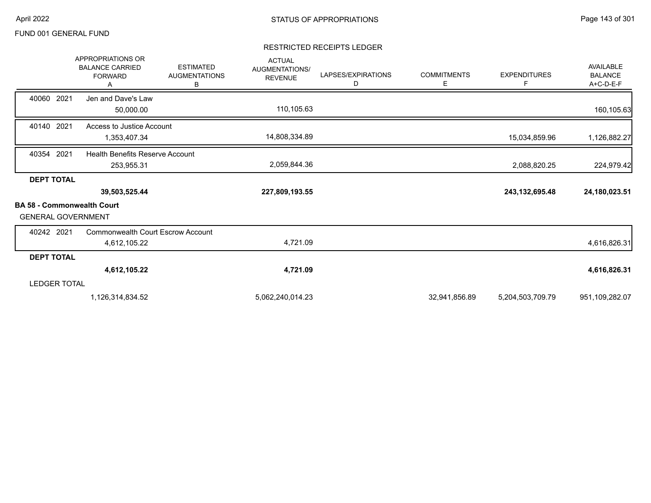|                                                                | APPROPRIATIONS OR<br><b>BALANCE CARRIED</b><br><b>FORWARD</b><br>А | <b>ESTIMATED</b><br><b>AUGMENTATIONS</b><br>В | <b>ACTUAL</b><br><b>AUGMENTATIONS/</b><br><b>REVENUE</b> | LAPSES/EXPIRATIONS<br>D | <b>COMMITMENTS</b><br>Е | <b>EXPENDITURES</b><br>F | <b>AVAILABLE</b><br><b>BALANCE</b><br>A+C-D-E-F |
|----------------------------------------------------------------|--------------------------------------------------------------------|-----------------------------------------------|----------------------------------------------------------|-------------------------|-------------------------|--------------------------|-------------------------------------------------|
| 40060 2021                                                     | Jen and Dave's Law<br>50,000.00                                    |                                               | 110,105.63                                               |                         |                         |                          | 160,105.63                                      |
| 40140 2021                                                     | Access to Justice Account<br>1,353,407.34                          |                                               | 14,808,334.89                                            |                         |                         | 15,034,859.96            | 1,126,882.27                                    |
| 40354 2021                                                     | <b>Health Benefits Reserve Account</b><br>253,955.31               |                                               | 2,059,844.36                                             |                         |                         | 2,088,820.25             | 224,979.42                                      |
| <b>DEPT TOTAL</b>                                              | 39,503,525.44                                                      |                                               | 227,809,193.55                                           |                         |                         | 243, 132, 695. 48        | 24,180,023.51                                   |
| <b>BA 58 - Commonwealth Court</b><br><b>GENERAL GOVERNMENT</b> |                                                                    |                                               |                                                          |                         |                         |                          |                                                 |
| 40242 2021                                                     | <b>Commonwealth Court Escrow Account</b><br>4,612,105.22           |                                               | 4,721.09                                                 |                         |                         |                          | 4,616,826.31                                    |
| <b>DEPT TOTAL</b>                                              |                                                                    |                                               |                                                          |                         |                         |                          |                                                 |
|                                                                | 4,612,105.22                                                       |                                               | 4,721.09                                                 |                         |                         |                          | 4,616,826.31                                    |
| <b>LEDGER TOTAL</b>                                            |                                                                    |                                               |                                                          |                         |                         |                          |                                                 |
|                                                                | 1,126,314,834.52                                                   |                                               | 5,062,240,014.23                                         |                         | 32,941,856.89           | 5,204,503,709.79         | 951,109,282.07                                  |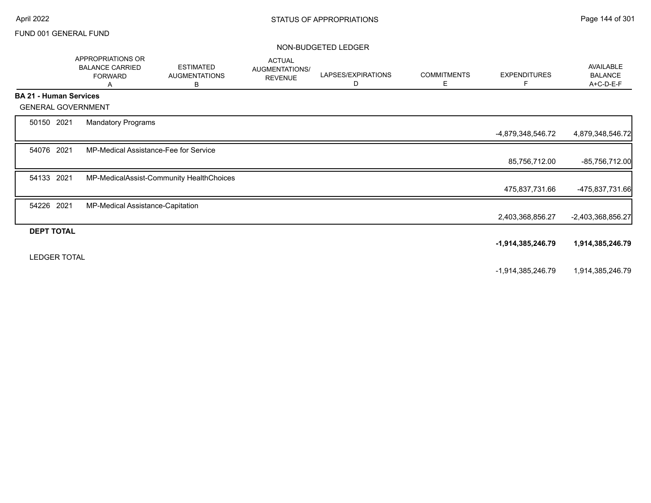#### NON-BUDGETED LEDGER

|                               |                     | <b>APPROPRIATIONS OR</b><br><b>BALANCE CARRIED</b><br><b>FORWARD</b><br>Α | <b>ESTIMATED</b><br><b>AUGMENTATIONS</b><br>В | <b>ACTUAL</b><br>AUGMENTATIONS/<br><b>REVENUE</b> | LAPSES/EXPIRATIONS<br>D | <b>COMMITMENTS</b><br>Е | <b>EXPENDITURES</b><br>F | AVAILABLE<br><b>BALANCE</b><br>A+C-D-E-F |
|-------------------------------|---------------------|---------------------------------------------------------------------------|-----------------------------------------------|---------------------------------------------------|-------------------------|-------------------------|--------------------------|------------------------------------------|
| <b>BA 21 - Human Services</b> |                     |                                                                           |                                               |                                                   |                         |                         |                          |                                          |
| <b>GENERAL GOVERNMENT</b>     |                     |                                                                           |                                               |                                                   |                         |                         |                          |                                          |
| 50150 2021                    |                     | <b>Mandatory Programs</b>                                                 |                                               |                                                   |                         |                         |                          |                                          |
|                               |                     |                                                                           |                                               |                                                   |                         |                         | -4,879,348,546.72        | 4,879,348,546.72                         |
| 54076 2021                    |                     | MP-Medical Assistance-Fee for Service                                     |                                               |                                                   |                         |                         |                          |                                          |
|                               |                     |                                                                           |                                               |                                                   |                         |                         | 85,756,712.00            | $-85,756,712.00$                         |
| 54133 2021                    |                     |                                                                           | MP-MedicalAssist-Community HealthChoices      |                                                   |                         |                         |                          |                                          |
|                               |                     |                                                                           |                                               |                                                   |                         |                         | 475,837,731.66           | -475,837,731.66                          |
| 54226 2021                    |                     | MP-Medical Assistance-Capitation                                          |                                               |                                                   |                         |                         |                          |                                          |
|                               |                     |                                                                           |                                               |                                                   |                         |                         | 2,403,368,856.27         | $-2,403,368,856.27$                      |
| <b>DEPT TOTAL</b>             |                     |                                                                           |                                               |                                                   |                         |                         |                          |                                          |
|                               |                     |                                                                           |                                               |                                                   |                         |                         | -1,914,385,246.79        | 1,914,385,246.79                         |
|                               | <b>LEDGER TOTAL</b> |                                                                           |                                               |                                                   |                         |                         |                          |                                          |
|                               |                     |                                                                           |                                               |                                                   |                         |                         | -1,914,385,246.79        | 1,914,385,246.79                         |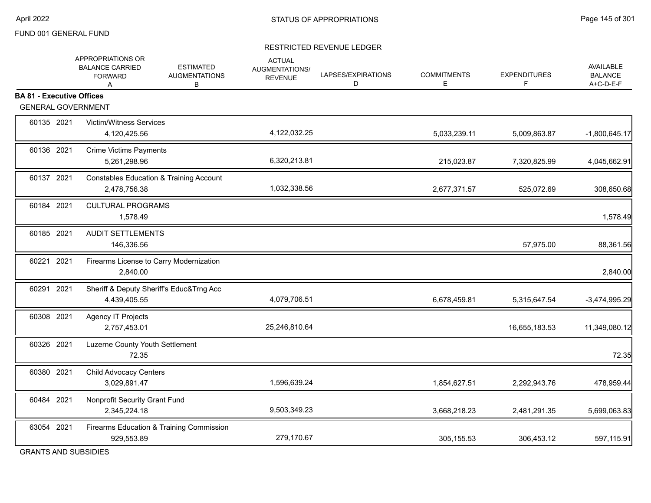## RESTRICTED REVENUE LEDGER

|                                                               | APPROPRIATIONS OR<br><b>ESTIMATED</b><br><b>BALANCE CARRIED</b><br><b>AUGMENTATIONS</b><br><b>FORWARD</b><br>B<br>A | <b>ACTUAL</b><br><b>AUGMENTATIONS/</b><br><b>REVENUE</b> | LAPSES/EXPIRATIONS<br>D | <b>COMMITMENTS</b><br>E | <b>EXPENDITURES</b><br>F | <b>AVAILABLE</b><br><b>BALANCE</b><br>A+C-D-E-F |
|---------------------------------------------------------------|---------------------------------------------------------------------------------------------------------------------|----------------------------------------------------------|-------------------------|-------------------------|--------------------------|-------------------------------------------------|
| <b>BA 81 - Executive Offices</b><br><b>GENERAL GOVERNMENT</b> |                                                                                                                     |                                                          |                         |                         |                          |                                                 |
| 60135 2021                                                    | Victim/Witness Services<br>4,120,425.56                                                                             | 4,122,032.25                                             |                         | 5,033,239.11            | 5,009,863.87             | $-1,800,645.17$                                 |
| 60136 2021                                                    | <b>Crime Victims Payments</b><br>5,261,298.96                                                                       | 6,320,213.81                                             |                         | 215,023.87              | 7,320,825.99             | 4,045,662.91                                    |
| 60137 2021                                                    | <b>Constables Education &amp; Training Account</b><br>2,478,756.38                                                  | 1,032,338.56                                             |                         | 2,677,371.57            | 525,072.69               | 308,650.68                                      |
| 60184 2021                                                    | <b>CULTURAL PROGRAMS</b><br>1,578.49                                                                                |                                                          |                         |                         |                          | 1,578.49                                        |
| 60185 2021                                                    | <b>AUDIT SETTLEMENTS</b><br>146,336.56                                                                              |                                                          |                         |                         | 57,975.00                | 88,361.56                                       |
| 60221 2021                                                    | Firearms License to Carry Modernization<br>2,840.00                                                                 |                                                          |                         |                         |                          | 2,840.00                                        |
| 60291 2021                                                    | Sheriff & Deputy Sheriff's Educ&Trng Acc<br>4,439,405.55                                                            | 4,079,706.51                                             |                         | 6,678,459.81            | 5,315,647.54             | -3,474,995.29                                   |
| 60308 2021                                                    | <b>Agency IT Projects</b><br>2,757,453.01                                                                           | 25,246,810.64                                            |                         |                         | 16,655,183.53            | 11,349,080.12                                   |
| 60326 2021                                                    | Luzerne County Youth Settlement<br>72.35                                                                            |                                                          |                         |                         |                          | 72.35                                           |
| 60380 2021                                                    | <b>Child Advocacy Centers</b><br>3,029,891.47                                                                       | 1,596,639.24                                             |                         | 1,854,627.51            | 2,292,943.76             | 478,959.44                                      |
| 60484 2021                                                    | Nonprofit Security Grant Fund<br>2,345,224.18                                                                       | 9,503,349.23                                             |                         | 3,668,218.23            | 2,481,291.35             | 5,699,063.83                                    |
| 63054 2021                                                    | Firearms Education & Training Commission<br>929,553.89                                                              | 279,170.67                                               |                         | 305, 155.53             | 306,453.12               | 597,115.91                                      |

GRANTS AND SUBSIDIES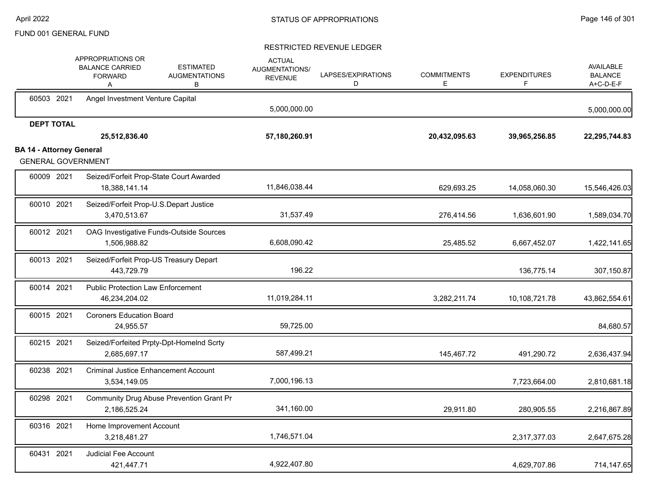|                                 | <b>APPROPRIATIONS OR</b><br><b>BALANCE CARRIED</b><br><b>ESTIMATED</b><br><b>AUGMENTATIONS</b><br><b>FORWARD</b><br>В<br>Α | <b>ACTUAL</b><br>AUGMENTATIONS/<br><b>REVENUE</b> | LAPSES/EXPIRATIONS<br>D | <b>COMMITMENTS</b><br>Е | <b>EXPENDITURES</b><br>F | AVAILABLE<br><b>BALANCE</b><br>A+C-D-E-F |
|---------------------------------|----------------------------------------------------------------------------------------------------------------------------|---------------------------------------------------|-------------------------|-------------------------|--------------------------|------------------------------------------|
| 60503 2021                      | Angel Investment Venture Capital                                                                                           | 5,000,000.00                                      |                         |                         |                          | 5,000,000.00                             |
| <b>DEPT TOTAL</b>               | 25,512,836.40                                                                                                              | 57,180,260.91                                     |                         | 20,432,095.63           | 39,965,256.85            | 22,295,744.83                            |
| <b>BA 14 - Attorney General</b> | <b>GENERAL GOVERNMENT</b>                                                                                                  |                                                   |                         |                         |                          |                                          |
| 60009 2021                      | Seized/Forfeit Prop-State Court Awarded<br>18,388,141.14                                                                   | 11,846,038.44                                     |                         | 629,693.25              | 14,058,060.30            | 15,546,426.03                            |
| 60010 2021                      | Seized/Forfeit Prop-U.S.Depart Justice<br>3,470,513.67                                                                     | 31,537.49                                         |                         | 276,414.56              | 1,636,601.90             | 1,589,034.70                             |
| 60012 2021                      | OAG Investigative Funds-Outside Sources<br>1,506,988.82                                                                    | 6,608,090.42                                      |                         | 25,485.52               | 6,667,452.07             | 1,422,141.65                             |
| 60013 2021                      | Seized/Forfeit Prop-US Treasury Depart<br>443,729.79                                                                       | 196.22                                            |                         |                         | 136,775.14               | 307,150.87                               |
| 60014 2021                      | <b>Public Protection Law Enforcement</b><br>46,234,204.02                                                                  | 11,019,284.11                                     |                         | 3,282,211.74            | 10,108,721.78            | 43,862,554.61                            |
| 60015 2021                      | <b>Coroners Education Board</b><br>24,955.57                                                                               | 59,725.00                                         |                         |                         |                          | 84,680.57                                |
| 60215 2021                      | Seized/Forfeited Prpty-Dpt-HomeInd Scrty<br>2,685,697.17                                                                   | 587,499.21                                        |                         | 145,467.72              | 491,290.72               | 2,636,437.94                             |
| 60238 2021                      | <b>Criminal Justice Enhancement Account</b><br>3,534,149.05                                                                | 7,000,196.13                                      |                         |                         | 7,723,664.00             | 2,810,681.18                             |
| 60298 2021                      | Community Drug Abuse Prevention Grant Pr<br>2,186,525.24                                                                   | 341,160.00                                        |                         | 29,911.80               | 280,905.55               | 2,216,867.89                             |
| 60316 2021                      | Home Improvement Account<br>3,218,481.27                                                                                   | 1,746,571.04                                      |                         |                         | 2,317,377.03             | 2,647,675.28                             |
| 60431 2021                      | Judicial Fee Account<br>421,447.71                                                                                         | 4,922,407.80                                      |                         |                         | 4,629,707.86             | 714,147.65                               |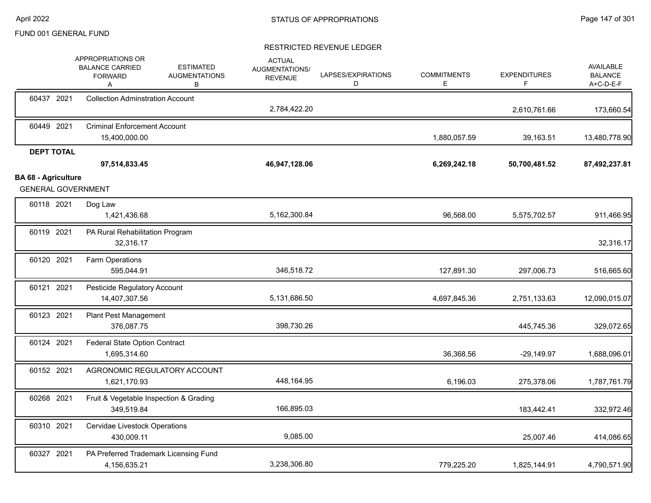|                            |                   | APPROPRIATIONS OR<br><b>BALANCE CARRIED</b><br><b>FORWARD</b><br>Α | <b>ESTIMATED</b><br><b>AUGMENTATIONS</b><br>в | <b>ACTUAL</b><br>AUGMENTATIONS/<br><b>REVENUE</b> | LAPSES/EXPIRATIONS<br>D | <b>COMMITMENTS</b><br>E | <b>EXPENDITURES</b><br>F | <b>AVAILABLE</b><br><b>BALANCE</b><br>A+C-D-E-F |
|----------------------------|-------------------|--------------------------------------------------------------------|-----------------------------------------------|---------------------------------------------------|-------------------------|-------------------------|--------------------------|-------------------------------------------------|
|                            | 60437 2021        | <b>Collection Adminstration Account</b>                            |                                               | 2,784,422.20                                      |                         |                         | 2,610,761.66             | 173,660.54                                      |
|                            | 60449 2021        | <b>Criminal Enforcement Account</b><br>15,400,000.00               |                                               |                                                   |                         | 1,880,057.59            | 39,163.51                | 13,480,778.90                                   |
|                            | <b>DEPT TOTAL</b> | 97,514,833.45                                                      |                                               | 46,947,128.06                                     |                         | 6,269,242.18            | 50,700,481.52            | 87,492,237.81                                   |
| <b>BA 68 - Agriculture</b> |                   | <b>GENERAL GOVERNMENT</b>                                          |                                               |                                                   |                         |                         |                          |                                                 |
|                            | 60118 2021        | Dog Law<br>1,421,436.68                                            |                                               | 5,162,300.84                                      |                         | 96,568.00               | 5,575,702.57             | 911,466.95                                      |
|                            | 60119 2021        | PA Rural Rehabilitation Program<br>32,316.17                       |                                               |                                                   |                         |                         |                          | 32,316.17                                       |
|                            | 60120 2021        | Farm Operations<br>595,044.91                                      |                                               | 346,518.72                                        |                         | 127,891.30              | 297,006.73               | 516,665.60                                      |
|                            | 60121 2021        | Pesticide Regulatory Account<br>14,407,307.56                      |                                               | 5,131,686.50                                      |                         | 4,697,845.36            | 2,751,133.63             | 12,090,015.07                                   |
|                            | 60123 2021        | Plant Pest Management<br>376,087.75                                |                                               | 398,730.26                                        |                         |                         | 445,745.36               | 329,072.65                                      |
|                            | 60124 2021        | <b>Federal State Option Contract</b><br>1,695,314.60               |                                               |                                                   |                         | 36,368.56               | $-29,149.97$             | 1,688,096.01                                    |
|                            | 60152 2021        | AGRONOMIC REGULATORY ACCOUNT<br>1,621,170.93                       |                                               | 448,164.95                                        |                         | 6,196.03                | 275,378.06               | 1,787,761.79                                    |
|                            | 60268 2021        | Fruit & Vegetable Inspection & Grading<br>349,519.84               |                                               | 166,895.03                                        |                         |                         | 183,442.41               | 332,972.46                                      |
|                            | 60310 2021        | Cervidae Livestock Operations<br>430,009.11                        |                                               | 9,085.00                                          |                         |                         | 25,007.46                | 414,086.65                                      |
|                            | 60327 2021        | PA Preferred Trademark Licensing Fund<br>4,156,635.21              |                                               | 3,238,306.80                                      |                         | 779,225.20              | 1,825,144.91             | 4,790,571.90                                    |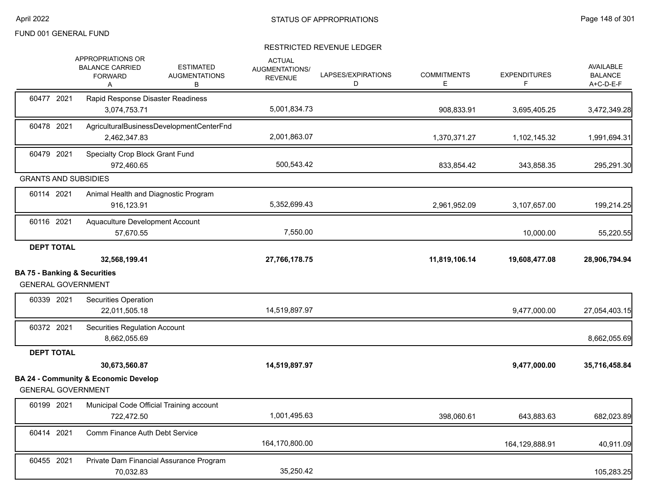|                                                                      | APPROPRIATIONS OR<br><b>BALANCE CARRIED</b><br><b>FORWARD</b><br>Α | <b>ESTIMATED</b><br><b>AUGMENTATIONS</b><br>В | <b>ACTUAL</b><br><b>AUGMENTATIONS/</b><br><b>REVENUE</b> | LAPSES/EXPIRATIONS<br>D | <b>COMMITMENTS</b><br>E | <b>EXPENDITURES</b> | <b>AVAILABLE</b><br><b>BALANCE</b><br>A+C-D-E-F |
|----------------------------------------------------------------------|--------------------------------------------------------------------|-----------------------------------------------|----------------------------------------------------------|-------------------------|-------------------------|---------------------|-------------------------------------------------|
| 60477 2021                                                           | Rapid Response Disaster Readiness<br>3,074,753.71                  |                                               | 5,001,834.73                                             |                         | 908,833.91              | 3,695,405.25        | 3,472,349.28                                    |
| 60478 2021                                                           | 2,462,347.83                                                       | AgriculturalBusinessDevelopmentCenterFnd      | 2,001,863.07                                             |                         | 1,370,371.27            | 1,102,145.32        | 1,991,694.31                                    |
| 60479 2021                                                           | Specialty Crop Block Grant Fund<br>972,460.65                      |                                               | 500,543.42                                               |                         | 833,854.42              | 343,858.35          | 295,291.30                                      |
| <b>GRANTS AND SUBSIDIES</b>                                          |                                                                    |                                               |                                                          |                         |                         |                     |                                                 |
| 60114 2021                                                           | Animal Health and Diagnostic Program<br>916,123.91                 |                                               | 5,352,699.43                                             |                         | 2,961,952.09            | 3,107,657.00        | 199,214.25                                      |
| 60116 2021                                                           | Aquaculture Development Account<br>57,670.55                       |                                               | 7,550.00                                                 |                         |                         | 10,000.00           | 55,220.55                                       |
| <b>DEPT TOTAL</b>                                                    |                                                                    |                                               |                                                          |                         |                         |                     |                                                 |
|                                                                      | 32,568,199.41                                                      |                                               | 27,766,178.75                                            |                         | 11,819,106.14           | 19,608,477.08       | 28,906,794.94                                   |
| <b>BA 75 - Banking &amp; Securities</b><br><b>GENERAL GOVERNMENT</b> |                                                                    |                                               |                                                          |                         |                         |                     |                                                 |
| 60339 2021                                                           | Securities Operation<br>22,011,505.18                              |                                               | 14,519,897.97                                            |                         |                         | 9,477,000.00        | 27,054,403.15                                   |
| 60372 2021                                                           | <b>Securities Regulation Account</b><br>8,662,055.69               |                                               |                                                          |                         |                         |                     | 8,662,055.69                                    |
| <b>DEPT TOTAL</b>                                                    |                                                                    |                                               |                                                          |                         |                         |                     |                                                 |
|                                                                      | 30,673,560.87                                                      |                                               | 14,519,897.97                                            |                         |                         | 9,477,000.00        | 35,716,458.84                                   |
| <b>GENERAL GOVERNMENT</b>                                            | <b>BA 24 - Community &amp; Economic Develop</b>                    |                                               |                                                          |                         |                         |                     |                                                 |
| 60199 2021                                                           | Municipal Code Official Training account<br>722,472.50             |                                               | 1,001,495.63                                             |                         | 398,060.61              | 643,883.63          | 682,023.89                                      |
| 60414 2021                                                           | <b>Comm Finance Auth Debt Service</b>                              |                                               | 164,170,800.00                                           |                         |                         | 164,129,888.91      | 40,911.09                                       |
| 60455 2021                                                           | Private Dam Financial Assurance Program                            |                                               |                                                          |                         |                         |                     |                                                 |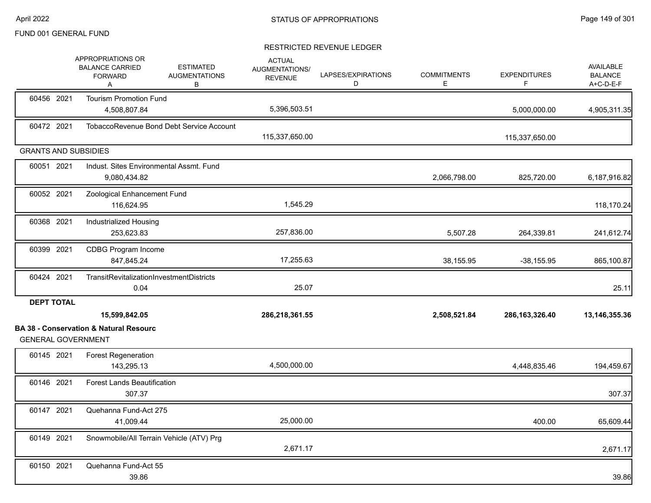# FUND 001 GENERAL FUND

|                   |                                                                                |                                               |                                                          | RESTRICTED REVENUE LEDGER |                         |                          |                                                 |
|-------------------|--------------------------------------------------------------------------------|-----------------------------------------------|----------------------------------------------------------|---------------------------|-------------------------|--------------------------|-------------------------------------------------|
|                   | APPROPRIATIONS OR<br><b>BALANCE CARRIED</b><br><b>FORWARD</b><br>Α             | <b>ESTIMATED</b><br><b>AUGMENTATIONS</b><br>В | <b>ACTUAL</b><br><b>AUGMENTATIONS/</b><br><b>REVENUE</b> | LAPSES/EXPIRATIONS<br>D   | <b>COMMITMENTS</b><br>Е | <b>EXPENDITURES</b><br>F | <b>AVAILABLE</b><br><b>BALANCE</b><br>A+C-D-E-F |
| 60456 2021        | <b>Tourism Promotion Fund</b>                                                  |                                               |                                                          |                           |                         |                          |                                                 |
|                   | 4,508,807.84                                                                   |                                               | 5,396,503.51                                             |                           |                         | 5,000,000.00             | 4,905,311.35                                    |
| 60472 2021        |                                                                                | TobaccoRevenue Bond Debt Service Account      | 115,337,650.00                                           |                           |                         | 115,337,650.00           |                                                 |
|                   | <b>GRANTS AND SUBSIDIES</b>                                                    |                                               |                                                          |                           |                         |                          |                                                 |
| 60051 2021        | 9,080,434.82                                                                   | Indust, Sites Environmental Assmt, Fund       |                                                          |                           | 2,066,798.00            | 825,720.00               | 6,187,916.82                                    |
| 60052 2021        | Zoological Enhancement Fund<br>116,624.95                                      |                                               | 1,545.29                                                 |                           |                         |                          | 118,170.24                                      |
| 60368 2021        | <b>Industrialized Housing</b><br>253,623.83                                    |                                               | 257,836.00                                               |                           | 5,507.28                | 264,339.81               | 241,612.74                                      |
| 60399 2021        | CDBG Program Income<br>847,845.24                                              |                                               | 17,255.63                                                |                           | 38,155.95               | $-38,155.95$             | 865,100.87                                      |
| 60424 2021        | TransitRevitalizationInvestmentDistricts<br>0.04                               |                                               | 25.07                                                    |                           |                         |                          | 25.11                                           |
| <b>DEPT TOTAL</b> |                                                                                |                                               |                                                          |                           |                         |                          |                                                 |
|                   | 15,599,842.05                                                                  |                                               | 286,218,361.55                                           |                           | 2,508,521.84            | 286, 163, 326. 40        | 13,146,355.36                                   |
|                   | <b>BA 38 - Conservation &amp; Natural Resourc</b><br><b>GENERAL GOVERNMENT</b> |                                               |                                                          |                           |                         |                          |                                                 |
| 60145 2021        | <b>Forest Regeneration</b><br>143,295.13                                       |                                               | 4,500,000.00                                             |                           |                         | 4,448,835.46             | 194,459.67                                      |
| 60146 2021        | <b>Forest Lands Beautification</b><br>307.37                                   |                                               |                                                          |                           |                         |                          | 307.37                                          |
| 60147 2021        | Quehanna Fund-Act 275<br>41,009.44                                             |                                               | 25,000.00                                                |                           |                         | 400.00                   | 65,609.44                                       |
| 60149 2021        |                                                                                | Snowmobile/All Terrain Vehicle (ATV) Prg      | 2,671.17                                                 |                           |                         |                          | 2,671.17                                        |
| 60150 2021        | Quehanna Fund-Act 55                                                           |                                               |                                                          |                           |                         |                          |                                                 |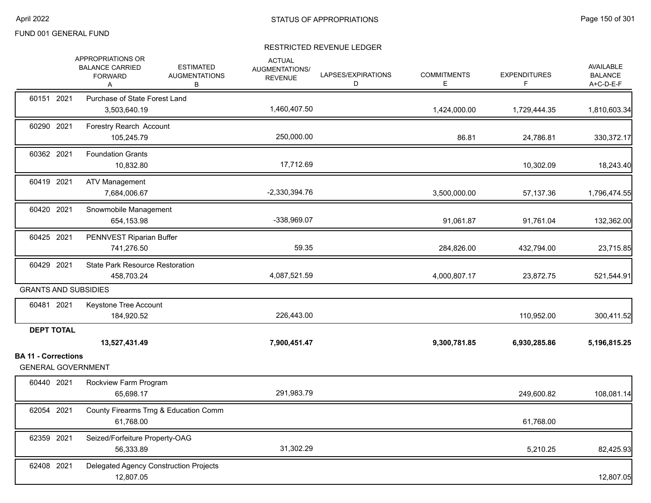|                            | APPROPRIATIONS OR<br><b>BALANCE CARRIED</b><br><b>FORWARD</b><br>Α | <b>ESTIMATED</b><br><b>AUGMENTATIONS</b><br>В | <b>ACTUAL</b><br>AUGMENTATIONS/<br><b>REVENUE</b> | LAPSES/EXPIRATIONS<br>D | <b>COMMITMENTS</b><br>E. | <b>EXPENDITURES</b><br>F | <b>AVAILABLE</b><br><b>BALANCE</b><br>A+C-D-E-F |
|----------------------------|--------------------------------------------------------------------|-----------------------------------------------|---------------------------------------------------|-------------------------|--------------------------|--------------------------|-------------------------------------------------|
| 60151 2021                 | Purchase of State Forest Land<br>3,503,640.19                      |                                               | 1,460,407.50                                      |                         | 1,424,000.00             | 1,729,444.35             | 1,810,603.34                                    |
| 60290 2021                 | Forestry Rearch Account<br>105,245.79                              |                                               | 250,000.00                                        |                         | 86.81                    | 24,786.81                | 330, 372.17                                     |
| 60362 2021                 | <b>Foundation Grants</b><br>10,832.80                              |                                               | 17,712.69                                         |                         |                          | 10,302.09                | 18,243.40                                       |
| 60419 2021                 | <b>ATV Management</b><br>7,684,006.67                              |                                               | $-2,330,394.76$                                   |                         | 3,500,000.00             | 57,137.36                | 1,796,474.55                                    |
| 60420 2021                 | Snowmobile Management<br>654,153.98                                |                                               | -338,969.07                                       |                         | 91,061.87                | 91,761.04                | 132,362.00                                      |
| 60425 2021                 | PENNVEST Riparian Buffer<br>741,276.50                             |                                               | 59.35                                             |                         | 284,826.00               | 432,794.00               | 23,715.85                                       |
| 60429 2021                 | State Park Resource Restoration<br>458,703.24                      |                                               | 4,087,521.59                                      |                         | 4,000,807.17             | 23,872.75                | 521,544.91                                      |
|                            | <b>GRANTS AND SUBSIDIES</b>                                        |                                               |                                                   |                         |                          |                          |                                                 |
| 60481 2021                 | Keystone Tree Account<br>184,920.52                                |                                               | 226,443.00                                        |                         |                          | 110,952.00               | 300,411.52                                      |
| <b>DEPT TOTAL</b>          | 13,527,431.49                                                      |                                               | 7,900,451.47                                      |                         | 9,300,781.85             | 6,930,285.86             | 5,196,815.25                                    |
| <b>BA 11 - Corrections</b> | <b>GENERAL GOVERNMENT</b>                                          |                                               |                                                   |                         |                          |                          |                                                 |
| 60440 2021                 | Rockview Farm Program<br>65,698.17                                 |                                               | 291,983.79                                        |                         |                          | 249,600.82               | 108,081.14                                      |
| 62054 2021                 | County Firearms Trng & Education Comm<br>61,768.00                 |                                               |                                                   |                         |                          | 61,768.00                |                                                 |
| 62359 2021                 | Seized/Forfeiture Property-OAG<br>56,333.89                        |                                               | 31,302.29                                         |                         |                          | 5,210.25                 | 82,425.93                                       |
| 62408 2021                 | Delegated Agency Construction Projects<br>12,807.05                |                                               |                                                   |                         |                          |                          | 12,807.05                                       |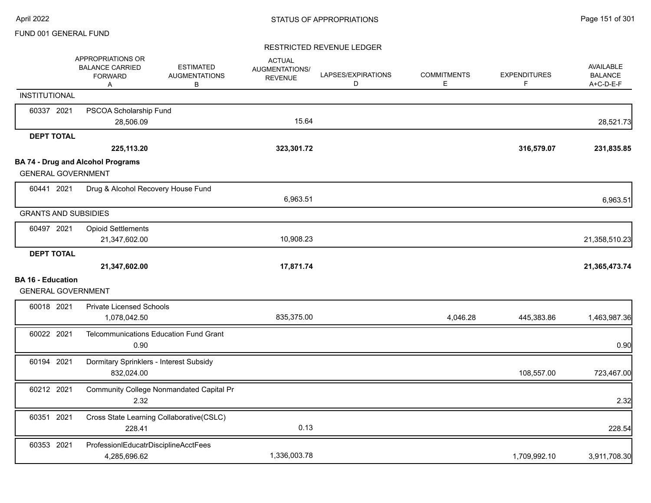|                                                       | APPROPRIATIONS OR<br><b>BALANCE CARRIED</b><br><b>FORWARD</b><br>A | <b>ESTIMATED</b><br><b>AUGMENTATIONS</b><br>B | <b>ACTUAL</b><br>AUGMENTATIONS/<br><b>REVENUE</b> | LAPSES/EXPIRATIONS<br>D | <b>COMMITMENTS</b><br>Е | <b>EXPENDITURES</b><br>F. | <b>AVAILABLE</b><br><b>BALANCE</b><br>A+C-D-E-F |
|-------------------------------------------------------|--------------------------------------------------------------------|-----------------------------------------------|---------------------------------------------------|-------------------------|-------------------------|---------------------------|-------------------------------------------------|
| <b>INSTITUTIONAL</b>                                  |                                                                    |                                               |                                                   |                         |                         |                           |                                                 |
| 60337 2021                                            | PSCOA Scholarship Fund<br>28,506.09                                |                                               | 15.64                                             |                         |                         |                           | 28,521.73                                       |
| <b>DEPT TOTAL</b>                                     |                                                                    |                                               |                                                   |                         |                         |                           |                                                 |
|                                                       | 225,113.20                                                         |                                               | 323,301.72                                        |                         |                         | 316,579.07                | 231,835.85                                      |
|                                                       | <b>BA 74 - Drug and Alcohol Programs</b>                           |                                               |                                                   |                         |                         |                           |                                                 |
| <b>GENERAL GOVERNMENT</b>                             |                                                                    |                                               |                                                   |                         |                         |                           |                                                 |
| 60441 2021                                            | Drug & Alcohol Recovery House Fund                                 |                                               |                                                   |                         |                         |                           |                                                 |
|                                                       |                                                                    |                                               | 6,963.51                                          |                         |                         |                           | 6,963.51                                        |
| <b>GRANTS AND SUBSIDIES</b>                           |                                                                    |                                               |                                                   |                         |                         |                           |                                                 |
| 60497 2021                                            | <b>Opioid Settlements</b>                                          |                                               |                                                   |                         |                         |                           |                                                 |
|                                                       | 21,347,602.00                                                      |                                               | 10,908.23                                         |                         |                         |                           | 21,358,510.23                                   |
| <b>DEPT TOTAL</b>                                     |                                                                    |                                               |                                                   |                         |                         |                           |                                                 |
|                                                       | 21,347,602.00                                                      |                                               | 17,871.74                                         |                         |                         |                           | 21,365,473.74                                   |
| <b>BA 16 - Education</b><br><b>GENERAL GOVERNMENT</b> |                                                                    |                                               |                                                   |                         |                         |                           |                                                 |
| 60018 2021                                            | <b>Private Licensed Schools</b>                                    |                                               |                                                   |                         |                         |                           |                                                 |
|                                                       | 1,078,042.50                                                       |                                               | 835,375.00                                        |                         | 4,046.28                | 445,383.86                | 1,463,987.36                                    |
| 60022 2021                                            | <b>Telcommunications Education Fund Grant</b><br>0.90              |                                               |                                                   |                         |                         |                           | 0.90                                            |
| 60194 2021                                            | Dormitary Sprinklers - Interest Subsidy<br>832,024.00              |                                               |                                                   |                         |                         | 108,557.00                | 723,467.00                                      |
| 60212 2021                                            | 2.32                                                               | Community College Nonmandated Capital Pr      |                                                   |                         |                         |                           | 2.32                                            |
| 60351 2021                                            | Cross State Learning Collaborative(CSLC)<br>228.41                 |                                               | 0.13                                              |                         |                         |                           | 228.54                                          |
| 60353 2021                                            | ProfessionIEducatrDisciplineAcctFees<br>4,285,696.62               |                                               | 1,336,003.78                                      |                         |                         | 1,709,992.10              | 3,911,708.30                                    |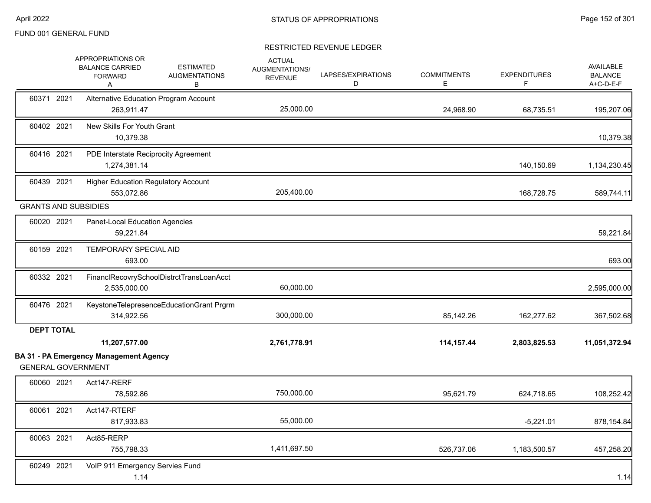|                             | APPROPRIATIONS OR<br><b>BALANCE CARRIED</b><br><b>FORWARD</b><br>Α | <b>ESTIMATED</b><br><b>AUGMENTATIONS</b><br>В | <b>ACTUAL</b><br>AUGMENTATIONS/<br><b>REVENUE</b> | LAPSES/EXPIRATIONS<br>D | <b>COMMITMENTS</b><br>Е | <b>EXPENDITURES</b><br>F. | <b>AVAILABLE</b><br><b>BALANCE</b><br>A+C-D-E-F |
|-----------------------------|--------------------------------------------------------------------|-----------------------------------------------|---------------------------------------------------|-------------------------|-------------------------|---------------------------|-------------------------------------------------|
| 60371 2021                  | Alternative Education Program Account<br>263,911.47                |                                               | 25,000.00                                         |                         | 24,968.90               | 68,735.51                 | 195,207.06                                      |
| 60402 2021                  | New Skills For Youth Grant<br>10,379.38                            |                                               |                                                   |                         |                         |                           | 10,379.38                                       |
| 60416 2021                  | PDE Interstate Reciprocity Agreement<br>1,274,381.14               |                                               |                                                   |                         |                         | 140,150.69                | 1,134,230.45                                    |
| 60439 2021                  | <b>Higher Education Regulatory Account</b><br>553,072.86           |                                               | 205,400.00                                        |                         |                         | 168,728.75                | 589,744.11                                      |
| <b>GRANTS AND SUBSIDIES</b> |                                                                    |                                               |                                                   |                         |                         |                           |                                                 |
| 60020 2021                  | Panet-Local Education Agencies<br>59,221.84                        |                                               |                                                   |                         |                         |                           | 59,221.84                                       |
| 60159 2021                  | TEMPORARY SPECIAL AID<br>693.00                                    |                                               |                                                   |                         |                         |                           | 693.00                                          |
| 60332 2021                  | FinanclRecovrySchoolDistrctTransLoanAcct<br>2,535,000.00           |                                               | 60,000.00                                         |                         |                         |                           | 2,595,000.00                                    |
| 60476 2021                  | KeystoneTelepresenceEducationGrant Prgrm<br>314,922.56             |                                               | 300,000.00                                        |                         | 85,142.26               | 162,277.62                | 367,502.68                                      |
| <b>DEPT TOTAL</b>           |                                                                    |                                               |                                                   |                         |                         |                           |                                                 |
|                             | 11,207,577.00                                                      |                                               | 2,761,778.91                                      |                         | 114,157.44              | 2,803,825.53              | 11,051,372.94                                   |
| <b>GENERAL GOVERNMENT</b>   | <b>BA 31 - PA Emergency Management Agency</b>                      |                                               |                                                   |                         |                         |                           |                                                 |
| 60060 2021                  | Act147-RERF<br>78,592.86                                           |                                               | 750,000.00                                        |                         | 95,621.79               | 624,718.65                | 108,252.42                                      |
| 60061 2021                  | Act147-RTERF<br>817,933.83                                         |                                               | 55,000.00                                         |                         |                         | $-5,221.01$               | 878,154.84                                      |
| 60063 2021                  | Act85-RERP<br>755,798.33                                           |                                               | 1,411,697.50                                      |                         | 526,737.06              | 1,183,500.57              | 457,258.20                                      |
| 60249 2021                  | VoIP 911 Emergency Servies Fund<br>1.14                            |                                               |                                                   |                         |                         |                           | 1.14                                            |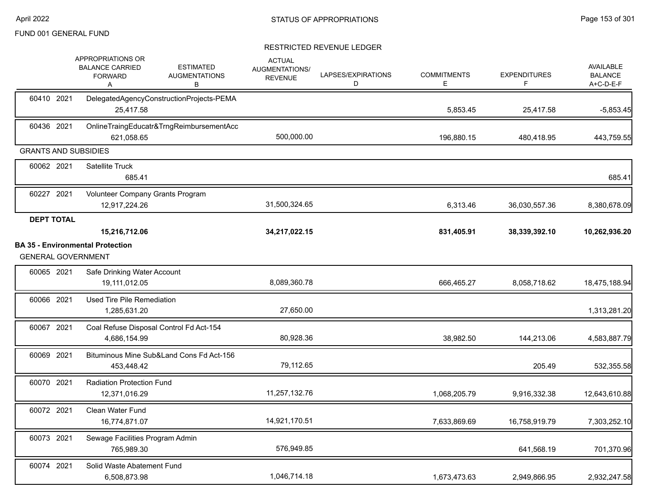|                             | <b>APPROPRIATIONS OR</b><br><b>BALANCE CARRIED</b><br><b>FORWARD</b><br>Α | <b>ESTIMATED</b><br><b>AUGMENTATIONS</b><br>в | <b>ACTUAL</b><br>AUGMENTATIONS/<br><b>REVENUE</b> | LAPSES/EXPIRATIONS<br>D | <b>COMMITMENTS</b><br>Е | <b>EXPENDITURES</b><br>F | AVAILABLE<br><b>BALANCE</b><br>A+C-D-E-F |
|-----------------------------|---------------------------------------------------------------------------|-----------------------------------------------|---------------------------------------------------|-------------------------|-------------------------|--------------------------|------------------------------------------|
| 60410 2021                  | DelegatedAgencyConstructionProjects-PEMA<br>25,417.58                     |                                               |                                                   |                         | 5,853.45                | 25,417.58                | $-5,853.45$                              |
| 60436 2021                  | OnlineTraingEducatr&TrngReimbursementAcc<br>621,058.65                    |                                               | 500,000.00                                        |                         | 196,880.15              | 480,418.95               | 443,759.55                               |
| <b>GRANTS AND SUBSIDIES</b> |                                                                           |                                               |                                                   |                         |                         |                          |                                          |
| 60062 2021                  | <b>Satellite Truck</b><br>685.41                                          |                                               |                                                   |                         |                         |                          | 685.41                                   |
| 60227 2021                  | Volunteer Company Grants Program<br>12,917,224.26                         |                                               | 31,500,324.65                                     |                         | 6,313.46                | 36,030,557.36            | 8,380,678.09                             |
| <b>DEPT TOTAL</b>           | 15,216,712.06                                                             |                                               | 34,217,022.15                                     |                         | 831,405.91              | 38,339,392.10            | 10,262,936.20                            |
| <b>GENERAL GOVERNMENT</b>   | <b>BA 35 - Environmental Protection</b>                                   |                                               |                                                   |                         |                         |                          |                                          |
| 60065 2021                  | Safe Drinking Water Account<br>19,111,012.05                              |                                               | 8,089,360.78                                      |                         | 666,465.27              | 8,058,718.62             | 18,475,188.94                            |
| 60066 2021                  | Used Tire Pile Remediation<br>1,285,631.20                                |                                               | 27,650.00                                         |                         |                         |                          | 1,313,281.20                             |
| 60067 2021                  | Coal Refuse Disposal Control Fd Act-154<br>4,686,154.99                   |                                               | 80,928.36                                         |                         | 38,982.50               | 144,213.06               | 4,583,887.79                             |
| 60069 2021                  | Bituminous Mine Sub&Land Cons Fd Act-156<br>453,448.42                    |                                               | 79,112.65                                         |                         |                         | 205.49                   | 532,355.58                               |
| 60070 2021                  | <b>Radiation Protection Fund</b><br>12,371,016.29                         |                                               | 11,257,132.76                                     |                         | 1,068,205.79            | 9,916,332.38             | 12,643,610.88                            |
| 60072 2021                  | <b>Clean Water Fund</b><br>16,774,871.07                                  |                                               | 14,921,170.51                                     |                         | 7,633,869.69            | 16,758,919.79            | 7,303,252.10                             |
| 60073 2021                  | Sewage Facilities Program Admin<br>765,989.30                             |                                               | 576,949.85                                        |                         |                         | 641,568.19               | 701,370.96                               |
| 60074 2021                  | Solid Waste Abatement Fund<br>6,508,873.98                                |                                               | 1,046,714.18                                      |                         | 1,673,473.63            | 2,949,866.95             | 2,932,247.58                             |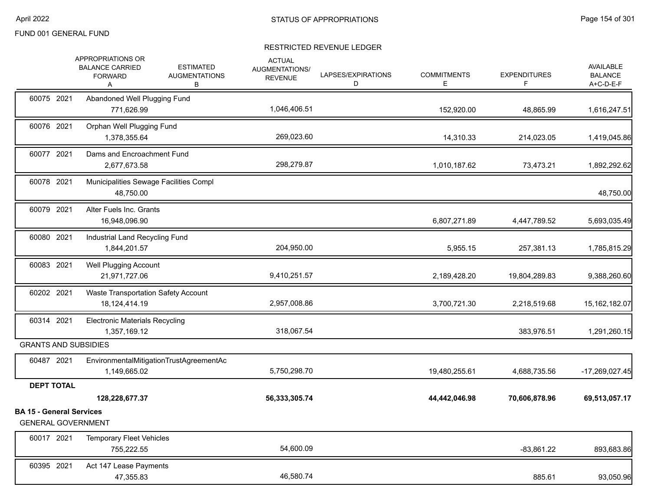|                                 | APPROPRIATIONS OR<br><b>BALANCE CARRIED</b><br><b>FORWARD</b><br>Α | <b>ESTIMATED</b><br><b>AUGMENTATIONS</b><br>В | <b>ACTUAL</b><br>AUGMENTATIONS/<br><b>REVENUE</b> | LAPSES/EXPIRATIONS<br>D | <b>COMMITMENTS</b><br>Е | <b>EXPENDITURES</b><br>F. | <b>AVAILABLE</b><br><b>BALANCE</b><br>A+C-D-E-F |
|---------------------------------|--------------------------------------------------------------------|-----------------------------------------------|---------------------------------------------------|-------------------------|-------------------------|---------------------------|-------------------------------------------------|
| 60075 2021                      | Abandoned Well Plugging Fund<br>771,626.99                         |                                               | 1,046,406.51                                      |                         | 152,920.00              | 48,865.99                 | 1,616,247.51                                    |
| 60076 2021                      | Orphan Well Plugging Fund<br>1,378,355.64                          |                                               | 269,023.60                                        |                         | 14,310.33               | 214,023.05                | 1,419,045.86                                    |
| 60077 2021                      | Dams and Encroachment Fund<br>2,677,673.58                         |                                               | 298,279.87                                        |                         | 1,010,187.62            | 73,473.21                 | 1,892,292.62                                    |
| 60078 2021                      | Municipalities Sewage Facilities Compl<br>48,750.00                |                                               |                                                   |                         |                         |                           | 48,750.00                                       |
| 60079 2021                      | Alter Fuels Inc. Grants<br>16,948,096.90                           |                                               |                                                   |                         | 6,807,271.89            | 4,447,789.52              | 5,693,035.49                                    |
| 60080 2021                      | Industrial Land Recycling Fund<br>1,844,201.57                     |                                               | 204,950.00                                        |                         | 5,955.15                | 257,381.13                | 1,785,815.29                                    |
| 60083 2021                      | <b>Well Plugging Account</b><br>21,971,727.06                      |                                               | 9,410,251.57                                      |                         | 2,189,428.20            | 19,804,289.83             | 9,388,260.60                                    |
| 60202 2021                      | Waste Transportation Safety Account<br>18, 124, 414. 19            |                                               | 2,957,008.86                                      |                         | 3,700,721.30            | 2,218,519.68              | 15, 162, 182.07                                 |
| 60314 2021                      | <b>Electronic Materials Recycling</b><br>1,357,169.12              |                                               | 318,067.54                                        |                         |                         | 383,976.51                | 1,291,260.15                                    |
|                                 | <b>GRANTS AND SUBSIDIES</b>                                        |                                               |                                                   |                         |                         |                           |                                                 |
| 60487 2021                      | 1,149,665.02                                                       | EnvironmentalMitigationTrustAgreementAc       | 5,750,298.70                                      |                         | 19,480,255.61           | 4,688,735.56              | $-17,269,027.45$                                |
| <b>DEPT TOTAL</b>               |                                                                    |                                               |                                                   |                         |                         |                           |                                                 |
|                                 | 128,228,677.37                                                     |                                               | 56,333,305.74                                     |                         | 44,442,046.98           | 70,606,878.96             | 69,513,057.17                                   |
| <b>BA 15 - General Services</b> | <b>GENERAL GOVERNMENT</b>                                          |                                               |                                                   |                         |                         |                           |                                                 |
| 60017 2021                      | <b>Temporary Fleet Vehicles</b><br>755,222.55                      |                                               | 54,600.09                                         |                         |                         | $-83,861.22$              | 893,683.86                                      |
| 60395 2021                      | Act 147 Lease Payments<br>47,355.83                                |                                               | 46,580.74                                         |                         |                         | 885.61                    | 93,050.96                                       |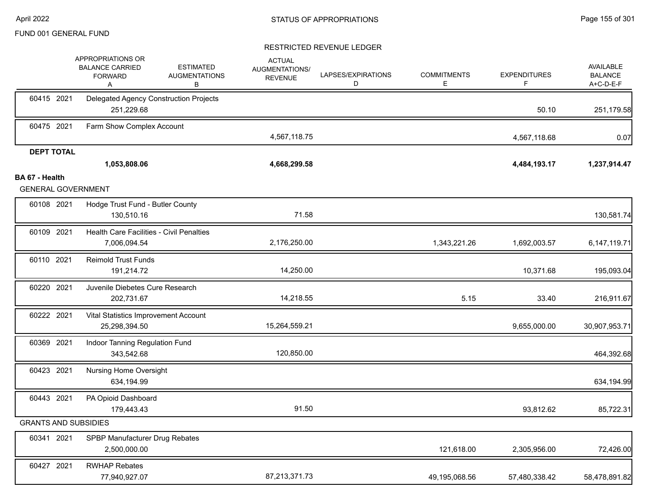|                                             | APPROPRIATIONS OR<br><b>BALANCE CARRIED</b><br><b>FORWARD</b><br>A | <b>ESTIMATED</b><br><b>AUGMENTATIONS</b><br>В | <b>ACTUAL</b><br>AUGMENTATIONS/<br><b>REVENUE</b> | LAPSES/EXPIRATIONS<br>D | <b>COMMITMENTS</b><br>Е | <b>EXPENDITURES</b><br>F | <b>AVAILABLE</b><br><b>BALANCE</b><br>A+C-D-E-F |
|---------------------------------------------|--------------------------------------------------------------------|-----------------------------------------------|---------------------------------------------------|-------------------------|-------------------------|--------------------------|-------------------------------------------------|
| 60415 2021                                  | Delegated Agency Construction Projects<br>251,229.68               |                                               |                                                   |                         |                         | 50.10                    | 251,179.58                                      |
| 60475 2021                                  | Farm Show Complex Account                                          |                                               | 4,567,118.75                                      |                         |                         | 4,567,118.68             | 0.07                                            |
| <b>DEPT TOTAL</b>                           |                                                                    |                                               |                                                   |                         |                         |                          |                                                 |
|                                             | 1,053,808.06                                                       |                                               | 4,668,299.58                                      |                         |                         | 4,484,193.17             | 1,237,914.47                                    |
| BA 67 - Health<br><b>GENERAL GOVERNMENT</b> |                                                                    |                                               |                                                   |                         |                         |                          |                                                 |
| 60108 2021                                  | Hodge Trust Fund - Butler County<br>130,510.16                     |                                               | 71.58                                             |                         |                         |                          | 130,581.74                                      |
| 60109 2021                                  | <b>Health Care Facilities - Civil Penalties</b><br>7,006,094.54    |                                               | 2,176,250.00                                      |                         | 1,343,221.26            | 1,692,003.57             | 6, 147, 119. 71                                 |
| 60110 2021                                  | Reimold Trust Funds<br>191,214.72                                  |                                               | 14,250.00                                         |                         |                         | 10,371.68                | 195,093.04                                      |
| 60220 2021                                  | Juvenile Diebetes Cure Research<br>202,731.67                      |                                               | 14,218.55                                         |                         | 5.15                    | 33.40                    | 216,911.67                                      |
| 60222 2021                                  | Vital Statistics Improvement Account<br>25,298,394.50              |                                               | 15,264,559.21                                     |                         |                         | 9,655,000.00             | 30,907,953.71                                   |
| 60369 2021                                  | Indoor Tanning Regulation Fund<br>343,542.68                       |                                               | 120,850.00                                        |                         |                         |                          | 464,392.68                                      |
| 60423 2021                                  | <b>Nursing Home Oversight</b><br>634,194.99                        |                                               |                                                   |                         |                         |                          | 634,194.99                                      |
| 60443 2021                                  | PA Opioid Dashboard<br>179,443.43                                  |                                               | 91.50                                             |                         |                         | 93,812.62                | 85,722.31                                       |
| <b>GRANTS AND SUBSIDIES</b>                 |                                                                    |                                               |                                                   |                         |                         |                          |                                                 |
| 60341 2021                                  | SPBP Manufacturer Drug Rebates<br>2,500,000.00                     |                                               |                                                   |                         | 121,618.00              | 2,305,956.00             | 72,426.00                                       |
| 60427 2021                                  | <b>RWHAP Rebates</b><br>77,940,927.07                              |                                               | 87,213,371.73                                     |                         | 49.195.068.56           | 57,480,338.42            | 58,478,891.82                                   |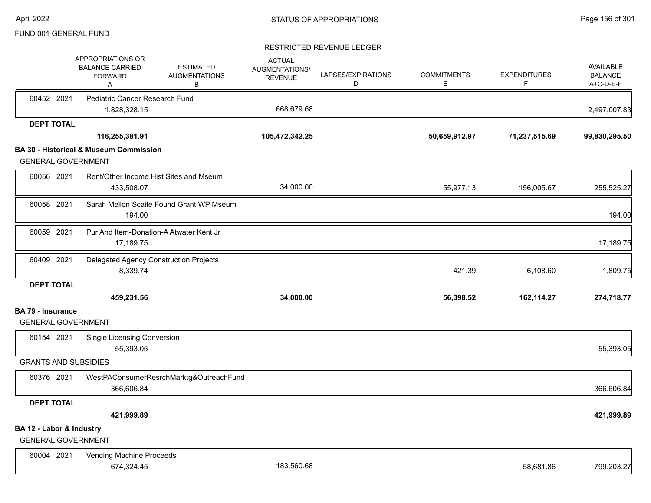|                                                       | APPROPRIATIONS OR<br><b>BALANCE CARRIED</b><br><b>FORWARD</b><br>Α | <b>ESTIMATED</b><br><b>AUGMENTATIONS</b><br>В | <b>ACTUAL</b><br>AUGMENTATIONS/<br><b>REVENUE</b> | LAPSES/EXPIRATIONS<br>D | <b>COMMITMENTS</b><br>Е | <b>EXPENDITURES</b><br>F | AVAILABLE<br><b>BALANCE</b><br>A+C-D-E-F |
|-------------------------------------------------------|--------------------------------------------------------------------|-----------------------------------------------|---------------------------------------------------|-------------------------|-------------------------|--------------------------|------------------------------------------|
| 60452 2021                                            | Pediatric Cancer Research Fund<br>1,828,328.15                     |                                               | 668,679.68                                        |                         |                         |                          | 2,497,007.83                             |
| <b>DEPT TOTAL</b>                                     |                                                                    |                                               |                                                   |                         |                         |                          |                                          |
|                                                       | 116,255,381.91                                                     |                                               | 105,472,342.25                                    |                         | 50,659,912.97           | 71,237,515.69            | 99,830,295.50                            |
| <b>GENERAL GOVERNMENT</b>                             | <b>BA 30 - Historical &amp; Museum Commission</b>                  |                                               |                                                   |                         |                         |                          |                                          |
| 60056 2021                                            | Rent/Other Income Hist Sites and Mseum<br>433,508.07               |                                               | 34,000.00                                         |                         | 55,977.13               | 156,005.67               | 255,525.27                               |
| 60058 2021                                            | Sarah Mellon Scaife Found Grant WP Mseum<br>194.00                 |                                               |                                                   |                         |                         |                          | 194.00                                   |
| 60059 2021                                            | Pur And Item-Donation-A Atwater Kent Jr<br>17,189.75               |                                               |                                                   |                         |                         |                          | 17,189.75                                |
| 60409 2021                                            | Delegated Agency Construction Projects<br>8,339.74                 |                                               |                                                   |                         | 421.39                  | 6,108.60                 | 1,809.75                                 |
| <b>DEPT TOTAL</b>                                     | 459,231.56                                                         |                                               | 34,000.00                                         |                         | 56,398.52               | 162,114.27               | 274,718.77                               |
| <b>BA 79 - Insurance</b><br><b>GENERAL GOVERNMENT</b> |                                                                    |                                               |                                                   |                         |                         |                          |                                          |
| 60154 2021                                            | <b>Single Licensing Conversion</b><br>55,393.05                    |                                               |                                                   |                         |                         |                          | 55,393.05                                |
| <b>GRANTS AND SUBSIDIES</b>                           |                                                                    |                                               |                                                   |                         |                         |                          |                                          |
| 60376 2021                                            | WestPAConsumerResrchMarktg&OutreachFund<br>366,606.84              |                                               |                                                   |                         |                         |                          | 366,606.84                               |
| <b>DEPT TOTAL</b>                                     |                                                                    |                                               |                                                   |                         |                         |                          |                                          |
|                                                       | 421,999.89                                                         |                                               |                                                   |                         |                         |                          | 421,999.89                               |
| BA 12 - Labor & Industry<br><b>GENERAL GOVERNMENT</b> |                                                                    |                                               |                                                   |                         |                         |                          |                                          |
| 60004 2021                                            | Vending Machine Proceeds<br>674,324.45                             |                                               | 183,560.68                                        |                         |                         | 58,681.86                | 799,203.27                               |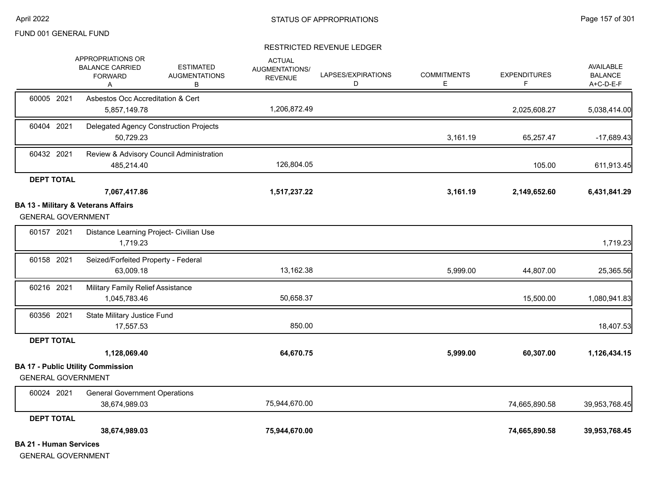### RESTRICTED REVENUE LEDGER

|                               | <b>APPROPRIATIONS OR</b><br><b>BALANCE CARRIED</b>    | <b>ESTIMATED</b>                         | <b>ACTUAL</b><br>AUGMENTATIONS/ |                         |                         |                          | <b>AVAILABLE</b>            |
|-------------------------------|-------------------------------------------------------|------------------------------------------|---------------------------------|-------------------------|-------------------------|--------------------------|-----------------------------|
|                               | <b>FORWARD</b><br>Α                                   | <b>AUGMENTATIONS</b><br>в                | <b>REVENUE</b>                  | LAPSES/EXPIRATIONS<br>D | <b>COMMITMENTS</b><br>E | <b>EXPENDITURES</b><br>F | <b>BALANCE</b><br>A+C-D-E-F |
| 60005 2021                    | Asbestos Occ Accreditation & Cert                     |                                          |                                 |                         |                         |                          |                             |
|                               | 5,857,149.78                                          |                                          | 1,206,872.49                    |                         |                         | 2,025,608.27             | 5,038,414.00                |
| 60404 2021                    | 50,729.23                                             | Delegated Agency Construction Projects   |                                 |                         | 3,161.19                | 65,257.47                | $-17,689.43$                |
| 60432 2021                    | 485,214.40                                            | Review & Advisory Council Administration | 126,804.05                      |                         |                         | 105.00                   | 611,913.45                  |
| <b>DEPT TOTAL</b>             |                                                       |                                          |                                 |                         |                         |                          |                             |
|                               | 7,067,417.86                                          |                                          | 1,517,237.22                    |                         | 3,161.19                | 2,149,652.60             | 6,431,841.29                |
| <b>GENERAL GOVERNMENT</b>     | <b>BA 13 - Military &amp; Veterans Affairs</b>        |                                          |                                 |                         |                         |                          |                             |
| 60157 2021                    | Distance Learning Project- Civilian Use<br>1,719.23   |                                          |                                 |                         |                         |                          | 1,719.23                    |
| 60158 2021                    | Seized/Forfeited Property - Federal<br>63,009.18      |                                          | 13,162.38                       |                         | 5,999.00                | 44,807.00                | 25,365.56                   |
| 60216 2021                    | Military Family Relief Assistance<br>1,045,783.46     |                                          | 50,658.37                       |                         |                         | 15,500.00                | 1,080,941.83                |
| 60356 2021                    | State Military Justice Fund<br>17,557.53              |                                          | 850.00                          |                         |                         |                          | 18,407.53                   |
| <b>DEPT TOTAL</b>             |                                                       |                                          |                                 |                         |                         |                          |                             |
|                               | 1,128,069.40                                          |                                          | 64,670.75                       |                         | 5,999.00                | 60,307.00                | 1,126,434.15                |
| <b>GENERAL GOVERNMENT</b>     | <b>BA 17 - Public Utility Commission</b>              |                                          |                                 |                         |                         |                          |                             |
| 60024 2021                    | <b>General Government Operations</b><br>38,674,989.03 |                                          | 75,944,670.00                   |                         |                         | 74,665,890.58            | 39,953,768.45               |
| <b>DEPT TOTAL</b>             |                                                       |                                          |                                 |                         |                         |                          |                             |
|                               | 38,674,989.03                                         |                                          | 75,944,670.00                   |                         |                         | 74,665,890.58            | 39,953,768.45               |
| <b>BA 21 - Human Services</b> |                                                       |                                          |                                 |                         |                         |                          |                             |

GENERAL GOVERNMENT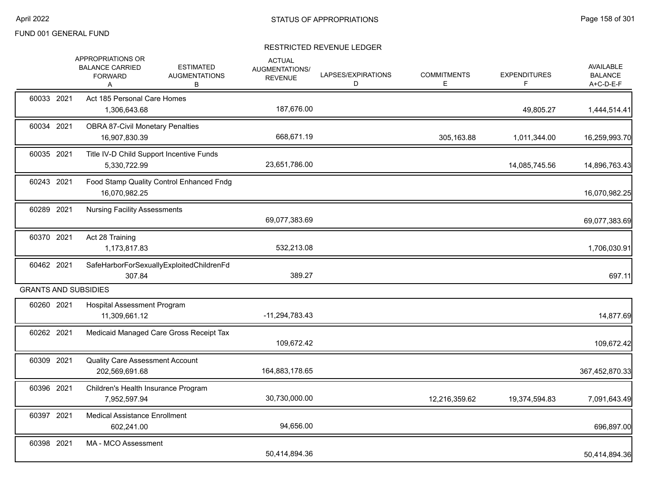|            | APPROPRIATIONS OR<br><b>BALANCE CARRIED</b><br><b>FORWARD</b><br>A | <b>ESTIMATED</b><br><b>AUGMENTATIONS</b><br>B | <b>ACTUAL</b><br>AUGMENTATIONS/<br><b>REVENUE</b> | LAPSES/EXPIRATIONS<br>D | <b>COMMITMENTS</b><br>Е | <b>EXPENDITURES</b><br>F | <b>AVAILABLE</b><br><b>BALANCE</b><br>A+C-D-E-F |
|------------|--------------------------------------------------------------------|-----------------------------------------------|---------------------------------------------------|-------------------------|-------------------------|--------------------------|-------------------------------------------------|
| 60033 2021 | Act 185 Personal Care Homes<br>1,306,643.68                        |                                               | 187,676.00                                        |                         |                         | 49,805.27                | 1,444,514.41                                    |
| 60034 2021 | <b>OBRA 87-Civil Monetary Penalties</b><br>16,907,830.39           |                                               | 668,671.19                                        |                         | 305,163.88              | 1,011,344.00             | 16,259,993.70                                   |
| 60035 2021 | 5,330,722.99                                                       | Title IV-D Child Support Incentive Funds      | 23,651,786.00                                     |                         |                         | 14,085,745.56            | 14,896,763.43                                   |
| 60243 2021 | 16,070,982.25                                                      | Food Stamp Quality Control Enhanced Fndg      |                                                   |                         |                         |                          | 16,070,982.25                                   |
| 60289 2021 | <b>Nursing Facility Assessments</b>                                |                                               | 69,077,383.69                                     |                         |                         |                          | 69,077,383.69                                   |
| 60370 2021 | Act 28 Training<br>1,173,817.83                                    |                                               | 532,213.08                                        |                         |                         |                          | 1,706,030.91                                    |
| 60462 2021 | 307.84                                                             | SafeHarborForSexuallyExploitedChildrenFd      | 389.27                                            |                         |                         |                          | 697.11                                          |
|            | <b>GRANTS AND SUBSIDIES</b>                                        |                                               |                                                   |                         |                         |                          |                                                 |
| 60260 2021 | <b>Hospital Assessment Program</b><br>11,309,661.12                |                                               | $-11,294,783.43$                                  |                         |                         |                          | 14,877.69                                       |
| 60262 2021 |                                                                    | Medicaid Managed Care Gross Receipt Tax       | 109,672.42                                        |                         |                         |                          | 109,672.42                                      |
| 60309 2021 | Quality Care Assessment Account<br>202,569,691.68                  |                                               | 164,883,178.65                                    |                         |                         |                          | 367,452,870.33                                  |
| 60396 2021 | Children's Health Insurance Program<br>7,952,597.94                |                                               | 30,730,000.00                                     |                         | 12,216,359.62           | 19,374,594.83            | 7,091,643.49                                    |
| 60397 2021 | <b>Medical Assistance Enrollment</b><br>602,241.00                 |                                               | 94,656.00                                         |                         |                         |                          | 696,897.00                                      |
| 60398 2021 | MA - MCO Assessment                                                |                                               | 50,414,894.36                                     |                         |                         |                          | 50,414,894.36                                   |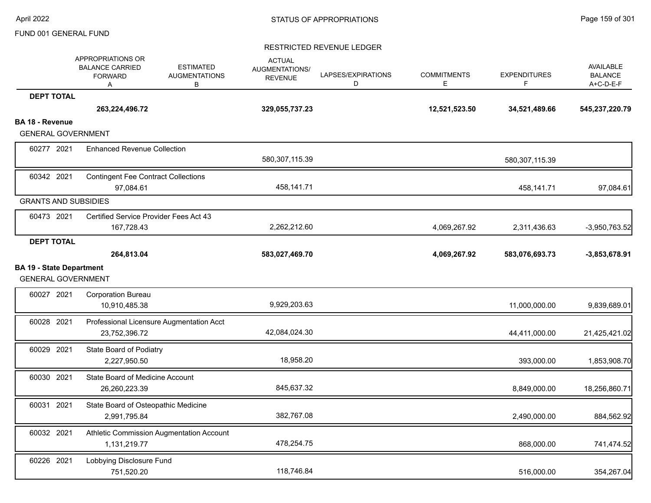|                                                              | APPROPRIATIONS OR<br><b>ESTIMATED</b><br><b>BALANCE CARRIED</b><br><b>AUGMENTATIONS</b><br><b>FORWARD</b><br>в<br>Α | <b>ACTUAL</b><br>AUGMENTATIONS/<br><b>REVENUE</b> | LAPSES/EXPIRATIONS<br>D | <b>COMMITMENTS</b><br>Е | <b>EXPENDITURES</b><br>F. | AVAILABLE<br><b>BALANCE</b><br>A+C-D-E-F |
|--------------------------------------------------------------|---------------------------------------------------------------------------------------------------------------------|---------------------------------------------------|-------------------------|-------------------------|---------------------------|------------------------------------------|
| <b>DEPT TOTAL</b>                                            |                                                                                                                     |                                                   |                         |                         |                           |                                          |
|                                                              | 263,224,496.72                                                                                                      | 329,055,737.23                                    |                         | 12,521,523.50           | 34,521,489.66             | 545,237,220.79                           |
| <b>BA 18 - Revenue</b>                                       |                                                                                                                     |                                                   |                         |                         |                           |                                          |
| <b>GENERAL GOVERNMENT</b>                                    |                                                                                                                     |                                                   |                         |                         |                           |                                          |
| 60277 2021                                                   | <b>Enhanced Revenue Collection</b>                                                                                  | 580,307,115.39                                    |                         |                         | 580,307,115.39            |                                          |
| 60342 2021                                                   | <b>Contingent Fee Contract Collections</b>                                                                          |                                                   |                         |                         |                           |                                          |
|                                                              | 97,084.61                                                                                                           | 458,141.71                                        |                         |                         | 458,141.71                | 97,084.61                                |
| <b>GRANTS AND SUBSIDIES</b>                                  |                                                                                                                     |                                                   |                         |                         |                           |                                          |
| 60473 2021                                                   | Certified Service Provider Fees Act 43                                                                              |                                                   |                         |                         |                           |                                          |
|                                                              | 167,728.43                                                                                                          | 2,262,212.60                                      |                         | 4,069,267.92            | 2,311,436.63              | $-3,950,763.52$                          |
| <b>DEPT TOTAL</b>                                            |                                                                                                                     |                                                   |                         |                         |                           |                                          |
|                                                              | 264,813.04                                                                                                          | 583,027,469.70                                    |                         | 4,069,267.92            | 583,076,693.73            | $-3,853,678.91$                          |
| <b>BA 19 - State Department</b><br><b>GENERAL GOVERNMENT</b> |                                                                                                                     |                                                   |                         |                         |                           |                                          |
| 60027 2021                                                   | <b>Corporation Bureau</b><br>10,910,485.38                                                                          | 9,929,203.63                                      |                         |                         | 11,000,000.00             | 9,839,689.01                             |
| 60028 2021                                                   | Professional Licensure Augmentation Acct<br>23,752,396.72                                                           | 42,084,024.30                                     |                         |                         | 44,411,000.00             | 21,425,421.02                            |
| 60029 2021                                                   | State Board of Podiatry<br>2,227,950.50                                                                             | 18,958.20                                         |                         |                         | 393,000.00                | 1,853,908.70                             |
| 60030 2021                                                   | State Board of Medicine Account<br>26,260,223.39                                                                    | 845,637.32                                        |                         |                         | 8,849,000.00              | 18,256,860.71                            |
| 60031 2021                                                   | State Board of Osteopathic Medicine<br>2,991,795.84                                                                 | 382,767.08                                        |                         |                         | 2,490,000.00              | 884,562.92                               |
| 60032 2021                                                   | Athletic Commission Augmentation Account<br>1,131,219.77                                                            | 478,254.75                                        |                         |                         | 868,000.00                | 741,474.52                               |
| 60226 2021                                                   | Lobbying Disclosure Fund<br>751,520.20                                                                              | 118,746.84                                        |                         |                         | 516,000.00                | 354,267.04                               |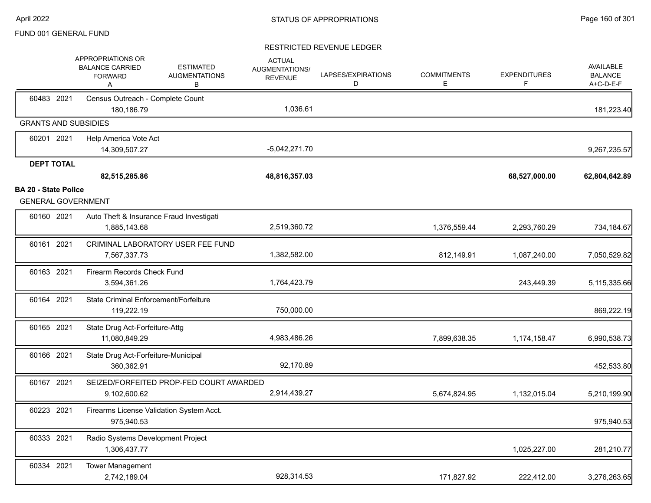|                             | APPROPRIATIONS OR<br><b>BALANCE CARRIED</b><br><b>FORWARD</b><br>Α | <b>ESTIMATED</b><br><b>AUGMENTATIONS</b><br>В | <b>ACTUAL</b><br>AUGMENTATIONS/<br><b>REVENUE</b> | LAPSES/EXPIRATIONS<br>D | <b>COMMITMENTS</b><br>Е | <b>EXPENDITURES</b><br>F | <b>AVAILABLE</b><br><b>BALANCE</b><br>A+C-D-E-F |
|-----------------------------|--------------------------------------------------------------------|-----------------------------------------------|---------------------------------------------------|-------------------------|-------------------------|--------------------------|-------------------------------------------------|
| 60483 2021                  | Census Outreach - Complete Count                                   |                                               |                                                   |                         |                         |                          |                                                 |
|                             | 180,186.79                                                         |                                               | 1,036.61                                          |                         |                         |                          | 181,223.40                                      |
|                             | <b>GRANTS AND SUBSIDIES</b>                                        |                                               |                                                   |                         |                         |                          |                                                 |
| 60201 2021                  | Help America Vote Act                                              |                                               |                                                   |                         |                         |                          |                                                 |
|                             | 14,309,507.27                                                      |                                               | $-5,042,271.70$                                   |                         |                         |                          | 9,267,235.57                                    |
| <b>DEPT TOTAL</b>           |                                                                    |                                               |                                                   |                         |                         |                          |                                                 |
|                             | 82,515,285.86                                                      |                                               | 48,816,357.03                                     |                         |                         | 68,527,000.00            | 62,804,642.89                                   |
| <b>BA 20 - State Police</b> | <b>GENERAL GOVERNMENT</b>                                          |                                               |                                                   |                         |                         |                          |                                                 |
| 60160 2021                  | Auto Theft & Insurance Fraud Investigati<br>1,885,143.68           |                                               | 2,519,360.72                                      |                         | 1,376,559.44            | 2,293,760.29             | 734,184.67                                      |
| 60161 2021                  | CRIMINAL LABORATORY USER FEE FUND<br>7,567,337.73                  |                                               | 1,382,582.00                                      |                         | 812,149.91              | 1,087,240.00             | 7,050,529.82                                    |
| 60163 2021                  | Firearm Records Check Fund<br>3,594,361.26                         |                                               | 1,764,423.79                                      |                         |                         | 243,449.39               | 5,115,335.66                                    |
| 60164 2021                  | State Criminal Enforcement/Forfeiture<br>119,222.19                |                                               | 750,000.00                                        |                         |                         |                          | 869,222.19                                      |
| 60165 2021                  | State Drug Act-Forfeiture-Attg<br>11,080,849.29                    |                                               | 4,983,486.26                                      |                         | 7,899,638.35            | 1,174,158.47             | 6,990,538.73                                    |
| 60166 2021                  | State Drug Act-Forfeiture-Municipal<br>360,362.91                  |                                               | 92,170.89                                         |                         |                         |                          | 452,533.80                                      |
| 60167 2021                  | SEIZED/FORFEITED PROP-FED COURT AWARDED<br>9,102,600.62            |                                               | 2,914,439.27                                      |                         | 5,674,824.95            | 1,132,015.04             | 5,210,199.90                                    |
| 60223 2021                  | Firearms License Validation System Acct.<br>975,940.53             |                                               |                                                   |                         |                         |                          | 975,940.53                                      |
| 60333 2021                  | Radio Systems Development Project<br>1,306,437.77                  |                                               |                                                   |                         |                         | 1,025,227.00             | 281,210.77                                      |
| 60334 2021                  | <b>Tower Management</b><br>2,742,189.04                            |                                               | 928,314.53                                        |                         | 171,827.92              | 222,412.00               | 3,276,263.65                                    |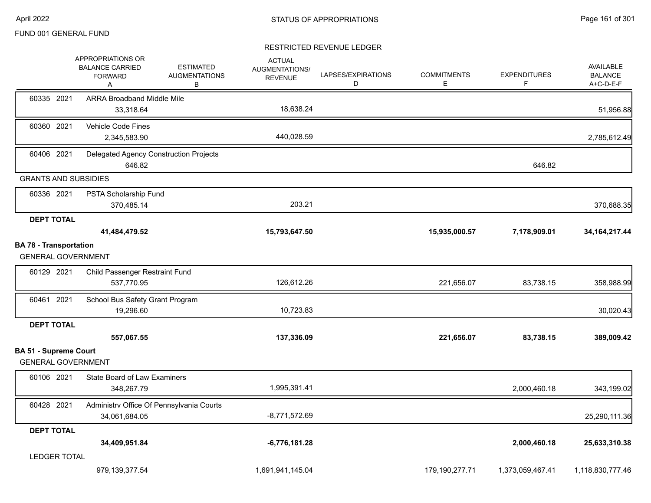|                                                            | APPROPRIATIONS OR<br><b>BALANCE CARRIED</b><br><b>FORWARD</b><br>Α | <b>ESTIMATED</b><br><b>AUGMENTATIONS</b><br>В | <b>ACTUAL</b><br>AUGMENTATIONS/<br><b>REVENUE</b> | LAPSES/EXPIRATIONS<br>D | <b>COMMITMENTS</b><br>E. | <b>EXPENDITURES</b><br>F | <b>AVAILABLE</b><br><b>BALANCE</b><br>A+C-D-E-F |
|------------------------------------------------------------|--------------------------------------------------------------------|-----------------------------------------------|---------------------------------------------------|-------------------------|--------------------------|--------------------------|-------------------------------------------------|
| 60335 2021                                                 | <b>ARRA Broadband Middle Mile</b><br>33,318.64                     |                                               | 18,638.24                                         |                         |                          |                          | 51,956.88                                       |
| 60360 2021                                                 | Vehicle Code Fines<br>2,345,583.90                                 |                                               | 440,028.59                                        |                         |                          |                          | 2,785,612.49                                    |
| 60406 2021                                                 | Delegated Agency Construction Projects<br>646.82                   |                                               |                                                   |                         |                          | 646.82                   |                                                 |
| <b>GRANTS AND SUBSIDIES</b>                                |                                                                    |                                               |                                                   |                         |                          |                          |                                                 |
| 60336 2021                                                 | PSTA Scholarship Fund<br>370,485.14                                |                                               | 203.21                                            |                         |                          |                          | 370,688.35                                      |
| <b>DEPT TOTAL</b>                                          |                                                                    |                                               |                                                   |                         |                          |                          |                                                 |
|                                                            | 41,484,479.52                                                      |                                               | 15,793,647.50                                     |                         | 15,935,000.57            | 7,178,909.01             | 34, 164, 217. 44                                |
| <b>BA 78 - Transportation</b><br><b>GENERAL GOVERNMENT</b> |                                                                    |                                               |                                                   |                         |                          |                          |                                                 |
| 60129 2021                                                 | Child Passenger Restraint Fund<br>537,770.95                       |                                               | 126,612.26                                        |                         | 221,656.07               | 83,738.15                | 358,988.99                                      |
| 60461 2021                                                 | School Bus Safety Grant Program<br>19,296.60                       |                                               | 10,723.83                                         |                         |                          |                          | 30,020.43                                       |
| <b>DEPT TOTAL</b>                                          | 557,067.55                                                         |                                               | 137,336.09                                        |                         | 221,656.07               | 83,738.15                | 389,009.42                                      |
| <b>BA 51 - Supreme Court</b>                               |                                                                    |                                               |                                                   |                         |                          |                          |                                                 |
| <b>GENERAL GOVERNMENT</b>                                  |                                                                    |                                               |                                                   |                         |                          |                          |                                                 |
| 60106 2021                                                 | <b>State Board of Law Examiners</b><br>348,267.79                  |                                               | 1,995,391.41                                      |                         |                          | 2,000,460.18             | 343,199.02                                      |
| 60428 2021                                                 | Administrv Office Of Pennsylvania Courts<br>34,061,684.05          |                                               | $-8,771,572.69$                                   |                         |                          |                          | 25,290,111.36                                   |
| <b>DEPT TOTAL</b>                                          |                                                                    |                                               |                                                   |                         |                          |                          |                                                 |
|                                                            | 34,409,951.84                                                      |                                               | $-6,776,181.28$                                   |                         |                          | 2,000,460.18             | 25,633,310.38                                   |
| <b>LEDGER TOTAL</b>                                        |                                                                    |                                               |                                                   |                         |                          |                          |                                                 |
|                                                            | 979,139,377.54                                                     |                                               | 1,691,941,145.04                                  |                         | 179,190,277.71           | 1,373,059,467.41         | 1,118,830,777.46                                |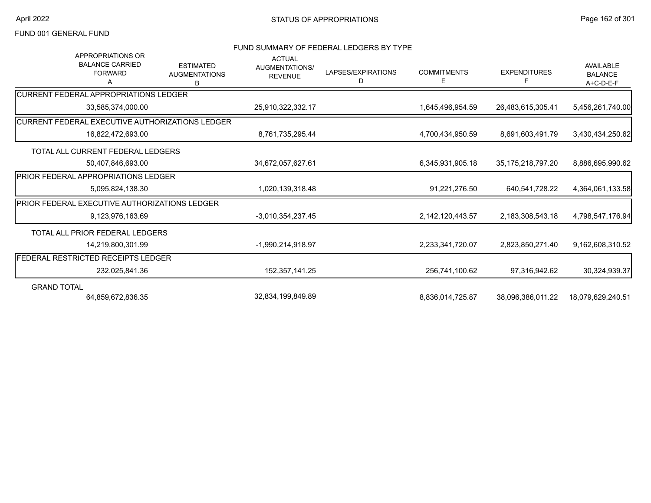### FUND SUMMARY OF FEDERAL LEDGERS BY TYPE

| <b>APPROPRIATIONS OR</b><br><b>BALANCE CARRIED</b><br><b>FORWARD</b><br>A | <b>ESTIMATED</b><br><b>AUGMENTATIONS</b><br>B | <b>ACTUAL</b><br><b>AUGMENTATIONS/</b><br><b>REVENUE</b> | LAPSES/EXPIRATIONS<br>D | <b>COMMITMENTS</b><br>Е | <b>EXPENDITURES</b><br>F. | <b>AVAILABLE</b><br><b>BALANCE</b><br>A+C-D-E-F |
|---------------------------------------------------------------------------|-----------------------------------------------|----------------------------------------------------------|-------------------------|-------------------------|---------------------------|-------------------------------------------------|
| ICURRENT FEDERAL APPROPRIATIONS LEDGER                                    |                                               |                                                          |                         |                         |                           |                                                 |
| 33,585,374,000.00                                                         |                                               | 25,910,322,332.17                                        |                         | 1,645,496,954.59        | 26,483,615,305.41         | 5,456,261,740.00                                |
| ICURRENT FEDERAL EXECUTIVE AUTHORIZATIONS LEDGER                          |                                               |                                                          |                         |                         |                           |                                                 |
| 16,822,472,693.00                                                         |                                               | 8,761,735,295.44                                         |                         | 4,700,434,950.59        | 8,691,603,491.79          | 3,430,434,250.62                                |
| TOTAL ALL CURRENT FEDERAL LEDGERS                                         |                                               |                                                          |                         |                         |                           |                                                 |
| 50,407,846,693.00                                                         |                                               | 34,672,057,627.61                                        |                         | 6,345,931,905.18        | 35, 175, 218, 797. 20     | 8,886,695,990.62                                |
| PRIOR FEDERAL APPROPRIATIONS LEDGER                                       |                                               |                                                          |                         |                         |                           |                                                 |
| 5,095,824,138.30                                                          |                                               | 1,020,139,318.48                                         |                         | 91,221,276.50           | 640.541.728.22            | 4,364,061,133.58                                |
| PRIOR FEDERAL EXECUTIVE AUTHORIZATIONS LEDGER                             |                                               |                                                          |                         |                         |                           |                                                 |
| 9,123,976,163.69                                                          |                                               | -3,010,354,237.45                                        |                         | 2,142,120,443.57        | 2,183,308,543.18          | 4,798,547,176.94                                |
| TOTAL ALL PRIOR FEDERAL LEDGERS                                           |                                               |                                                          |                         |                         |                           |                                                 |
| 14,219,800,301.99                                                         |                                               | -1,990,214,918.97                                        |                         | 2,233,341,720.07        | 2,823,850,271.40          | 9,162,608,310.52                                |
| <b>FEDERAL RESTRICTED RECEIPTS LEDGER</b>                                 |                                               |                                                          |                         |                         |                           |                                                 |
| 232,025,841.36                                                            |                                               | 152,357,141.25                                           |                         | 256,741,100.62          | 97.316.942.62             | 30,324,939.37                                   |
| <b>GRAND TOTAL</b>                                                        |                                               |                                                          |                         |                         |                           |                                                 |
| 64.859.672.836.35                                                         |                                               | 32,834,199,849.89                                        |                         | 8.836.014.725.87        | 38.096.386.011.22         | 18.079.629.240.51                               |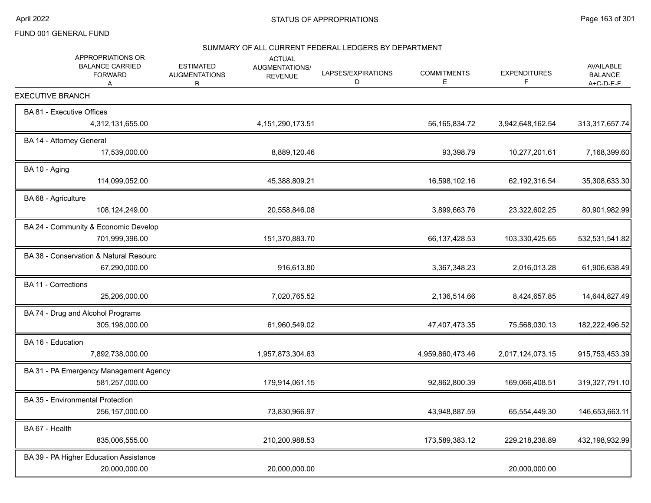#### SUMMARY OF ALL CURRENT FEDERAL LEDGERS BY DEPARTMENT

| APPROPRIATIONS OR<br><b>BALANCE CARRIED</b><br><b>FORWARD</b><br>A |                  | <b>ESTIMATED</b><br><b>AUGMENTATIONS</b><br>R. | <b>ACTUAL</b><br>AUGMENTATIONS/<br><b>REVENUE</b> | LAPSES/EXPIRATIONS<br>D | <b>COMMITMENTS</b><br>E | <b>EXPENDITURES</b><br>F | <b>AVAILABLE</b><br><b>BALANCE</b><br>$A + C - D - F - F$ |
|--------------------------------------------------------------------|------------------|------------------------------------------------|---------------------------------------------------|-------------------------|-------------------------|--------------------------|-----------------------------------------------------------|
| <b>EXECUTIVE BRANCH</b>                                            |                  |                                                |                                                   |                         |                         |                          |                                                           |
| BA 81 - Executive Offices                                          | 4,312,131,655.00 |                                                | 4, 151, 290, 173.51                               |                         | 56, 165, 834. 72        | 3,942,648,162.54         | 313,317,657.74                                            |
| BA 14 - Attorney General                                           | 17,539,000.00    |                                                | 8,889,120.46                                      |                         | 93,398.79               | 10,277,201.61            | 7,168,399.60                                              |
| BA 10 - Aging                                                      | 114,099,052.00   |                                                | 45,388,809.21                                     |                         | 16,598,102.16           | 62,192,316.54            | 35,308,633.30                                             |
| BA 68 - Agriculture                                                | 108,124,249.00   |                                                | 20,558,846.08                                     |                         | 3,899,663.76            | 23,322,602.25            | 80,901,982.99                                             |
| BA 24 - Community & Economic Develop                               | 701,999,396.00   |                                                | 151,370,883.70                                    |                         | 66,137,428.53           | 103,330,425.65           | 532,531,541.82                                            |
| BA 38 - Conservation & Natural Resourc                             | 67,290,000.00    |                                                | 916,613.80                                        |                         | 3,367,348.23            | 2,016,013.28             | 61,906,638.49                                             |
| <b>BA 11 - Corrections</b>                                         | 25,206,000.00    |                                                | 7,020,765.52                                      |                         | 2,136,514.66            | 8,424,657.85             | 14,644,827.49                                             |
| BA 74 - Drug and Alcohol Programs                                  | 305,198,000.00   |                                                | 61,960,549.02                                     |                         | 47,407,473.35           | 75,568,030.13            | 182,222,496.52                                            |
| BA 16 - Education                                                  | 7,892,738,000.00 |                                                | 1,957,873,304.63                                  |                         | 4,959,860,473.46        | 2,017,124,073.15         | 915,753,453.39                                            |
| BA 31 - PA Emergency Management Agency                             | 581,257,000.00   |                                                | 179,914,061.15                                    |                         | 92,862,800.39           | 169,066,408.51           | 319,327,791.10                                            |
| BA 35 - Environmental Protection                                   | 256, 157, 000.00 |                                                | 73,830,966.97                                     |                         | 43,948,887.59           | 65,554,449.30            | 146,653,663.11                                            |
| BA 67 - Health                                                     | 835,006,555.00   |                                                | 210,200,988.53                                    |                         | 173,589,383.12          | 229,218,238.89           | 432,198,932.99                                            |
| BA 39 - PA Higher Education Assistance                             | 20,000,000.00    |                                                | 20,000,000.00                                     |                         |                         | 20,000,000.00            |                                                           |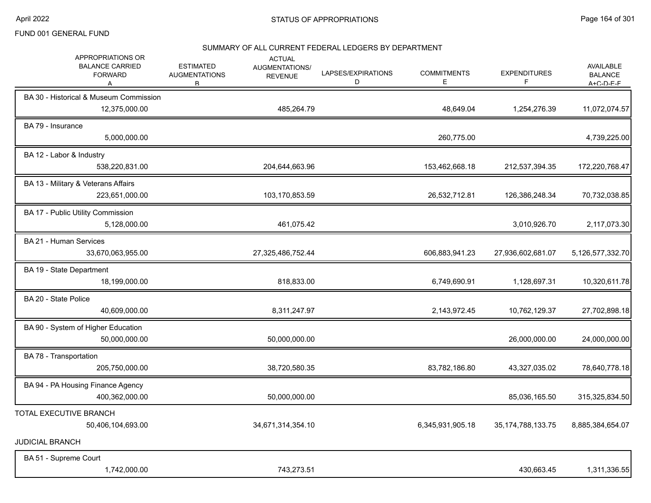#### SUMMARY OF ALL CURRENT FEDERAL LEDGERS BY DEPARTMENT

| APPROPRIATIONS OR<br><b>BALANCE CARRIED</b><br><b>FORWARD</b><br>A | <b>ESTIMATED</b><br><b>AUGMENTATIONS</b><br>B. | <b>ACTUAL</b><br><b>AUGMENTATIONS/</b><br><b>REVENUE</b> | LAPSES/EXPIRATIONS<br>D | <b>COMMITMENTS</b><br>Ε | <b>EXPENDITURES</b><br>F | <b>AVAILABLE</b><br><b>BALANCE</b><br>$A + C - D - F - F$ |
|--------------------------------------------------------------------|------------------------------------------------|----------------------------------------------------------|-------------------------|-------------------------|--------------------------|-----------------------------------------------------------|
| BA 30 - Historical & Museum Commission<br>12,375,000.00            |                                                | 485,264.79                                               |                         | 48,649.04               | 1,254,276.39             | 11,072,074.57                                             |
| BA 79 - Insurance<br>5,000,000.00                                  |                                                |                                                          |                         | 260,775.00              |                          | 4,739,225.00                                              |
| BA 12 - Labor & Industry<br>538,220,831.00                         |                                                | 204,644,663.96                                           |                         | 153,462,668.18          | 212,537,394.35           | 172,220,768.47                                            |
| BA 13 - Military & Veterans Affairs<br>223,651,000.00              |                                                | 103,170,853.59                                           |                         | 26,532,712.81           | 126,386,248.34           | 70,732,038.85                                             |
| BA 17 - Public Utility Commission<br>5,128,000.00                  |                                                | 461,075.42                                               |                         |                         | 3,010,926.70             | 2,117,073.30                                              |
| BA 21 - Human Services<br>33,670,063,955.00                        |                                                | 27,325,486,752.44                                        |                         | 606,883,941.23          | 27,936,602,681.07        | 5,126,577,332.70                                          |
| BA 19 - State Department<br>18,199,000.00                          |                                                | 818,833.00                                               |                         | 6,749,690.91            | 1,128,697.31             | 10,320,611.78                                             |
| BA 20 - State Police<br>40,609,000.00                              |                                                | 8,311,247.97                                             |                         | 2,143,972.45            | 10,762,129.37            | 27,702,898.18                                             |
| BA 90 - System of Higher Education<br>50,000,000.00                |                                                | 50,000,000.00                                            |                         |                         | 26,000,000.00            | 24,000,000.00                                             |
| BA 78 - Transportation<br>205,750,000.00                           |                                                | 38,720,580.35                                            |                         | 83,782,186.80           | 43,327,035.02            | 78,640,778.18                                             |
| BA 94 - PA Housing Finance Agency<br>400,362,000.00                |                                                | 50,000,000.00                                            |                         |                         | 85,036,165.50            | 315,325,834.50                                            |
| TOTAL EXECUTIVE BRANCH<br>50,406,104,693.00                        |                                                | 34,671,314,354.10                                        |                         | 6,345,931,905.18        | 35, 174, 788, 133. 75    | 8,885,384,654.07                                          |
| <b>JUDICIAL BRANCH</b>                                             |                                                |                                                          |                         |                         |                          |                                                           |
| BA 51 - Supreme Court<br>1,742,000.00                              |                                                | 743,273.51                                               |                         |                         | 430,663.45               | 1,311,336.55                                              |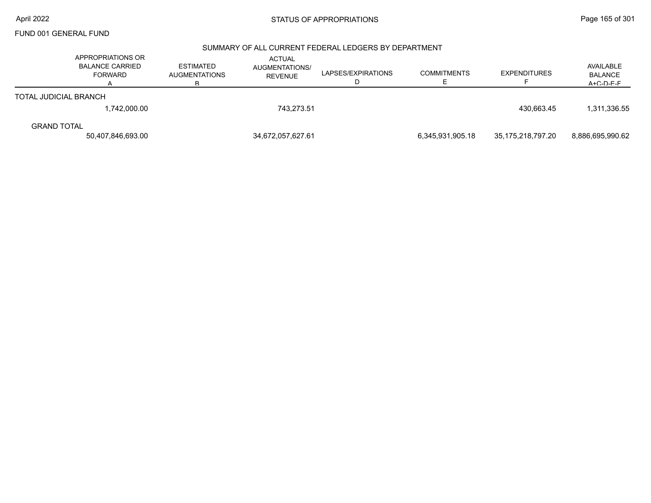### SUMMARY OF ALL CURRENT FEDERAL LEDGERS BY DEPARTMENT

|                       | APPROPRIATIONS OR<br><b>BALANCE CARRIED</b><br><b>FORWARD</b> | <b>ESTIMATED</b><br><b>AUGMENTATIONS</b> | <b>ACTUAL</b><br><b>AUGMENTATIONS/</b><br><b>REVENUE</b> | LAPSES/EXPIRATIONS | <b>COMMITMENTS</b> | <b>EXPENDITURES</b> | AVAILABLE<br><b>BALANCE</b><br>$A + C - D - F - F$ |
|-----------------------|---------------------------------------------------------------|------------------------------------------|----------------------------------------------------------|--------------------|--------------------|---------------------|----------------------------------------------------|
| TOTAL JUDICIAL BRANCH |                                                               |                                          |                                                          |                    |                    |                     |                                                    |
|                       | 1,742,000.00                                                  |                                          | 743,273.51                                               |                    |                    | 430.663.45          | 1,311,336.55                                       |
| <b>GRAND TOTAL</b>    |                                                               |                                          |                                                          |                    |                    |                     |                                                    |
|                       | 50.407.846.693.00                                             |                                          | 34,672,057,627.61                                        |                    | 6.345.931.905.18   | 35.175.218.797.20   | 8.886.695.990.62                                   |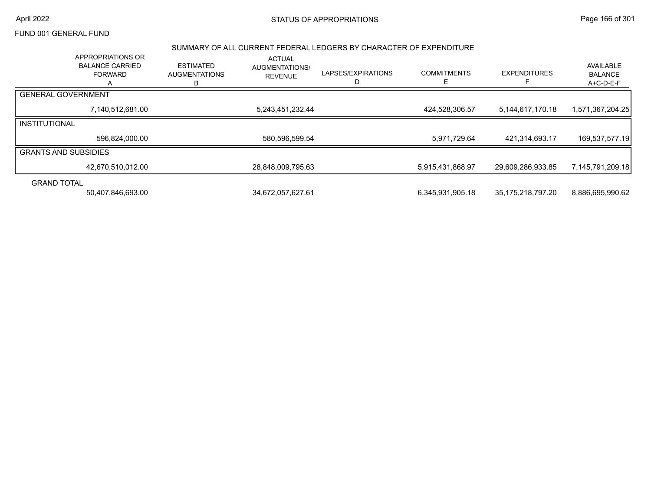## April 2022 Page 166 of 301

# FUND 001 GENERAL FUND

#### SUMMARY OF ALL CURRENT FEDERAL LEDGERS BY CHARACTER OF EXPENDITURE

|                             | <b>APPROPRIATIONS OR</b><br><b>BALANCE CARRIED</b><br><b>FORWARD</b> | <b>ESTIMATED</b><br><b>AUGMENTATIONS</b><br>R | <b>ACTUAL</b><br><b>AUGMENTATIONS/</b><br><b>REVENUE</b> | LAPSES/EXPIRATIONS | <b>COMMITMENTS</b> | <b>EXPENDITURES</b> | AVAILABLE<br><b>BALANCE</b><br>A+C-D-E-F |
|-----------------------------|----------------------------------------------------------------------|-----------------------------------------------|----------------------------------------------------------|--------------------|--------------------|---------------------|------------------------------------------|
| <b>GENERAL GOVERNMENT</b>   |                                                                      |                                               |                                                          |                    |                    |                     |                                          |
|                             | 7,140,512,681.00                                                     |                                               | 5,243,451,232.44                                         |                    | 424,528,306.57     | 5,144,617,170.18    | 1,571,367,204.25                         |
| INSTITUTIONAL               |                                                                      |                                               |                                                          |                    |                    |                     |                                          |
|                             | 596,824,000.00                                                       |                                               | 580,596,599.54                                           |                    | 5,971,729.64       | 421,314,693.17      | 169,537,577.19                           |
| <b>GRANTS AND SUBSIDIES</b> |                                                                      |                                               |                                                          |                    |                    |                     |                                          |
|                             | 42,670,510,012.00                                                    |                                               | 28,848,009,795.63                                        |                    | 5,915,431,868.97   | 29,609,286,933.85   | 7,145,791,209.18                         |
| <b>GRAND TOTAL</b>          |                                                                      |                                               |                                                          |                    |                    |                     |                                          |
|                             | 50,407,846,693.00                                                    |                                               | 34,672,057,627.61                                        |                    | 6,345,931,905.18   | 35,175,218,797.20   | 8,886,695,990.62                         |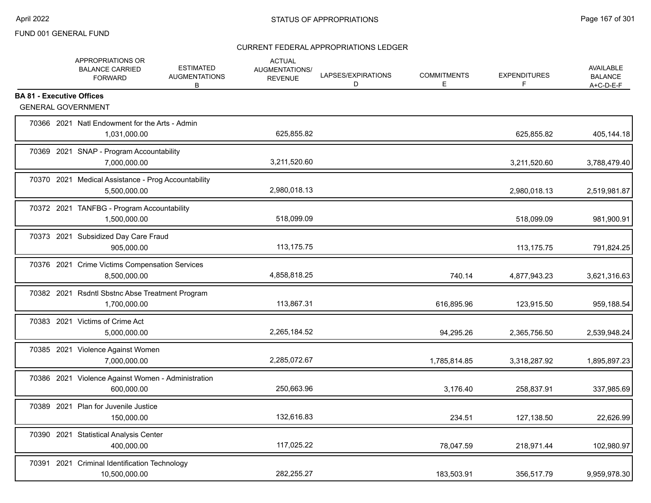|                                  | APPROPRIATIONS OR<br><b>BALANCE CARRIED</b><br><b>FORWARD</b>       | <b>ESTIMATED</b><br><b>AUGMENTATIONS</b><br>B | <b>ACTUAL</b><br><b>AUGMENTATIONS/</b><br><b>REVENUE</b> | LAPSES/EXPIRATIONS<br>D | <b>COMMITMENTS</b><br>Е | <b>EXPENDITURES</b><br>F | <b>AVAILABLE</b><br><b>BALANCE</b><br>$A+C-D-E-F$ |
|----------------------------------|---------------------------------------------------------------------|-----------------------------------------------|----------------------------------------------------------|-------------------------|-------------------------|--------------------------|---------------------------------------------------|
| <b>BA 81 - Executive Offices</b> | <b>GENERAL GOVERNMENT</b>                                           |                                               |                                                          |                         |                         |                          |                                                   |
|                                  |                                                                     |                                               |                                                          |                         |                         |                          |                                                   |
|                                  | 70366 2021 Natl Endowment for the Arts - Admin<br>1,031,000.00      |                                               | 625,855.82                                               |                         |                         | 625,855.82               | 405,144.18                                        |
|                                  | 70369 2021 SNAP - Program Accountability<br>7,000,000.00            |                                               | 3,211,520.60                                             |                         |                         | 3,211,520.60             | 3,788,479.40                                      |
|                                  | 70370 2021 Medical Assistance - Prog Accountability<br>5,500,000.00 |                                               | 2,980,018.13                                             |                         |                         | 2,980,018.13             | 2,519,981.87                                      |
|                                  | 70372 2021 TANFBG - Program Accountability<br>1,500,000.00          |                                               | 518,099.09                                               |                         |                         | 518,099.09               | 981,900.91                                        |
|                                  | 70373 2021 Subsidized Day Care Fraud<br>905,000.00                  |                                               | 113,175.75                                               |                         |                         | 113, 175. 75             | 791,824.25                                        |
|                                  | 70376 2021 Crime Victims Compensation Services<br>8,500,000.00      |                                               | 4,858,818.25                                             |                         | 740.14                  | 4,877,943.23             | 3,621,316.63                                      |
|                                  | 70382 2021 Rsdntl Sbstnc Abse Treatment Program<br>1,700,000.00     |                                               | 113,867.31                                               |                         | 616,895.96              | 123,915.50               | 959,188.54                                        |
|                                  | 70383 2021 Victims of Crime Act<br>5,000,000.00                     |                                               | 2,265,184.52                                             |                         | 94,295.26               | 2,365,756.50             | 2,539,948.24                                      |
|                                  | 70385 2021 Violence Against Women<br>7,000,000.00                   |                                               | 2,285,072.67                                             |                         | 1,785,814.85            | 3,318,287.92             | 1,895,897.23                                      |
|                                  | 70386 2021 Violence Against Women - Administration<br>600,000.00    |                                               | 250,663.96                                               |                         | 3,176.40                | 258,837.91               | 337,985.69                                        |
|                                  | 70389 2021 Plan for Juvenile Justice<br>150,000.00                  |                                               | 132,616.83                                               |                         | 234.51                  | 127,138.50               | 22,626.99                                         |
|                                  | 70390 2021 Statistical Analysis Center<br>400,000.00                |                                               | 117,025.22                                               |                         | 78,047.59               | 218,971.44               | 102,980.97                                        |
|                                  | 70391 2021 Criminal Identification Technology<br>10,500,000.00      |                                               | 282,255.27                                               |                         | 183,503.91              | 356,517.79               | 9,959,978.30                                      |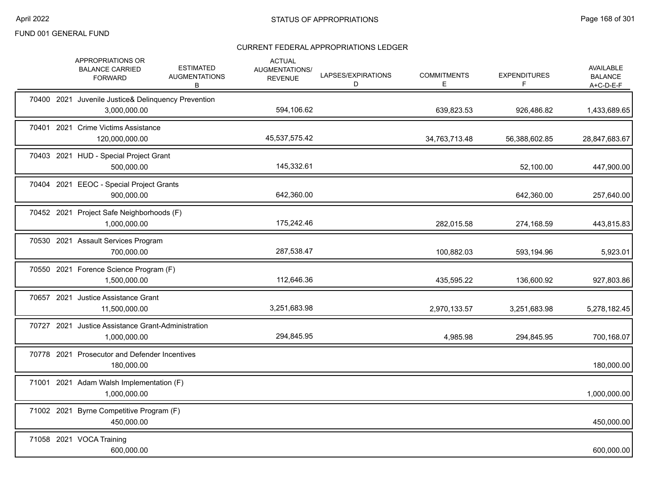|            | APPROPRIATIONS OR<br><b>BALANCE CARRIED</b><br><b>FORWARD</b>       | <b>ESTIMATED</b><br><b>AUGMENTATIONS</b><br>В | <b>ACTUAL</b><br>AUGMENTATIONS/<br><b>REVENUE</b> | LAPSES/EXPIRATIONS<br>D | <b>COMMITMENTS</b><br>E | <b>EXPENDITURES</b><br>F | <b>AVAILABLE</b><br><b>BALANCE</b><br>A+C-D-E-F |
|------------|---------------------------------------------------------------------|-----------------------------------------------|---------------------------------------------------|-------------------------|-------------------------|--------------------------|-------------------------------------------------|
|            | 70400 2021 Juvenile Justice& Delinquency Prevention<br>3,000,000.00 |                                               | 594,106.62                                        |                         | 639,823.53              | 926,486.82               | 1,433,689.65                                    |
|            | 70401 2021 Crime Victims Assistance<br>120,000,000.00               |                                               | 45,537,575.42                                     |                         | 34,763,713.48           | 56,388,602.85            | 28,847,683.67                                   |
|            | 70403 2021 HUD - Special Project Grant<br>500,000.00                |                                               | 145,332.61                                        |                         |                         | 52,100.00                | 447,900.00                                      |
|            | 70404 2021 EEOC - Special Project Grants<br>900,000.00              |                                               | 642,360.00                                        |                         |                         | 642,360.00               | 257,640.00                                      |
|            | 70452 2021 Project Safe Neighborhoods (F)<br>1,000,000.00           |                                               | 175,242.46                                        |                         | 282,015.58              | 274,168.59               | 443,815.83                                      |
|            | 70530 2021 Assault Services Program<br>700,000.00                   |                                               | 287,538.47                                        |                         | 100,882.03              | 593,194.96               | 5,923.01                                        |
|            | 70550 2021 Forence Science Program (F)<br>1,500,000.00              |                                               | 112,646.36                                        |                         | 435,595.22              | 136,600.92               | 927,803.86                                      |
|            | 70657 2021 Justice Assistance Grant<br>11.500.000.00                |                                               | 3,251,683.98                                      |                         | 2,970,133.57            | 3,251,683.98             | 5,278,182.45                                    |
|            | 70727 2021 Justice Assistance Grant-Administration<br>1,000,000.00  |                                               | 294,845.95                                        |                         | 4,985.98                | 294,845.95               | 700,168.07                                      |
|            | 70778 2021 Prosecutor and Defender Incentives<br>180,000.00         |                                               |                                                   |                         |                         |                          | 180,000.00                                      |
|            | 71001 2021 Adam Walsh Implementation (F)<br>1,000,000.00            |                                               |                                                   |                         |                         |                          | 1,000,000.00                                    |
| 71002 2021 | Byrne Competitive Program (F)<br>450,000.00                         |                                               |                                                   |                         |                         |                          | 450,000.00                                      |
|            | 71058 2021 VOCA Training<br>600,000.00                              |                                               |                                                   |                         |                         |                          | 600,000.00                                      |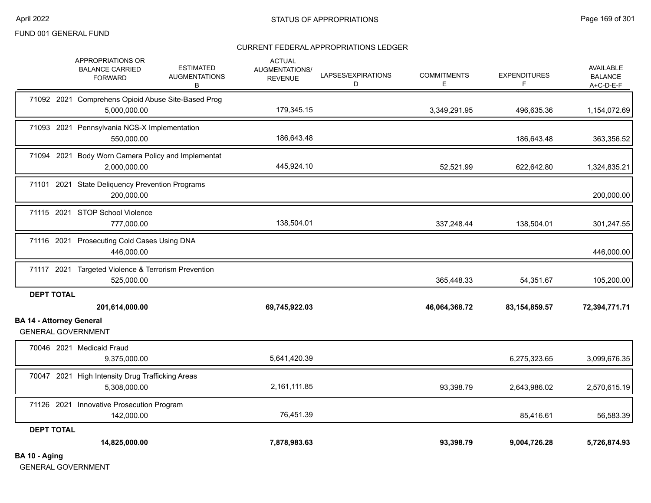## CURRENT FEDERAL APPROPRIATIONS LEDGER

|                                                              | APPROPRIATIONS OR<br><b>BALANCE CARRIED</b><br><b>FORWARD</b>      | <b>ESTIMATED</b><br><b>AUGMENTATIONS</b><br>В | <b>ACTUAL</b><br>AUGMENTATIONS/<br><b>REVENUE</b> | LAPSES/EXPIRATIONS<br>D | <b>COMMITMENTS</b><br>E. | <b>EXPENDITURES</b><br>F | <b>AVAILABLE</b><br><b>BALANCE</b><br>$A+C-D-E-F$ |
|--------------------------------------------------------------|--------------------------------------------------------------------|-----------------------------------------------|---------------------------------------------------|-------------------------|--------------------------|--------------------------|---------------------------------------------------|
|                                                              | 71092 2021 Comprehens Opioid Abuse Site-Based Prog<br>5,000,000.00 |                                               | 179,345.15                                        |                         | 3,349,291.95             | 496,635.36               | 1,154,072.69                                      |
|                                                              | 71093 2021 Pennsylvania NCS-X Implementation<br>550,000.00         |                                               | 186,643.48                                        |                         |                          | 186,643.48               | 363,356.52                                        |
|                                                              | 71094 2021 Body Worn Camera Policy and Implementat<br>2,000,000.00 |                                               | 445,924.10                                        |                         | 52,521.99                | 622,642.80               | 1,324,835.21                                      |
|                                                              | 71101 2021 State Deliquency Prevention Programs<br>200,000.00      |                                               |                                                   |                         |                          |                          | 200,000.00                                        |
|                                                              | 71115 2021 STOP School Violence<br>777,000.00                      |                                               | 138,504.01                                        |                         | 337,248.44               | 138,504.01               | 301,247.55                                        |
|                                                              | 71116 2021 Prosecuting Cold Cases Using DNA<br>446,000.00          |                                               |                                                   |                         |                          |                          | 446,000.00                                        |
|                                                              | 71117 2021 Targeted Violence & Terrorism Prevention<br>525,000.00  |                                               |                                                   |                         | 365,448.33               | 54,351.67                | 105,200.00                                        |
| <b>DEPT TOTAL</b>                                            | 201,614,000.00                                                     |                                               | 69,745,922.03                                     |                         | 46,064,368.72            | 83, 154, 859. 57         | 72,394,771.71                                     |
| <b>BA 14 - Attorney General</b><br><b>GENERAL GOVERNMENT</b> |                                                                    |                                               |                                                   |                         |                          |                          |                                                   |
|                                                              | 70046 2021 Medicaid Fraud<br>9,375,000.00                          |                                               | 5,641,420.39                                      |                         |                          | 6,275,323.65             | 3,099,676.35                                      |
|                                                              | 70047 2021 High Intensity Drug Trafficking Areas<br>5,308,000.00   |                                               | 2,161,111.85                                      |                         | 93,398.79                | 2,643,986.02             | 2,570,615.19                                      |
|                                                              | 71126 2021 Innovative Prosecution Program<br>142,000.00            |                                               | 76,451.39                                         |                         |                          | 85,416.61                | 56,583.39                                         |
| <b>DEPT TOTAL</b><br>BA 10 - Aging                           | 14,825,000.00                                                      |                                               | 7,878,983.63                                      |                         | 93,398.79                | 9,004,726.28             | 5,726,874.93                                      |

GENERAL GOVERNMENT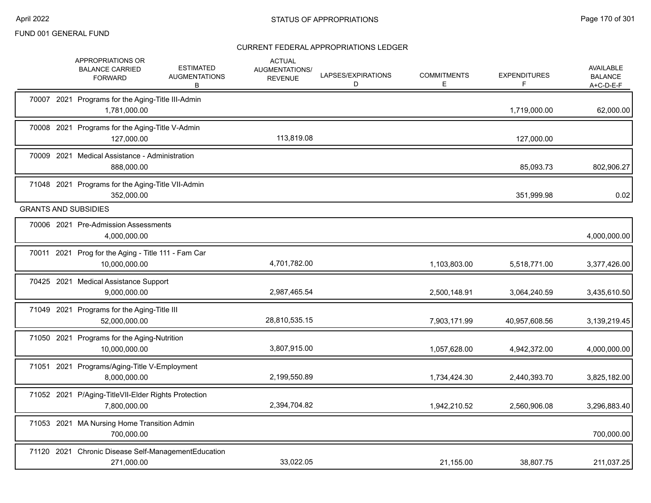|       | APPROPRIATIONS OR<br><b>ESTIMATED</b><br><b>BALANCE CARRIED</b><br><b>AUGMENTATIONS</b><br><b>FORWARD</b><br>В | <b>ACTUAL</b><br>AUGMENTATIONS/<br><b>REVENUE</b> | LAPSES/EXPIRATIONS<br>D | <b>COMMITMENTS</b><br>E | <b>EXPENDITURES</b><br>F | <b>AVAILABLE</b><br><b>BALANCE</b><br>$A+C-D-E-F$ |
|-------|----------------------------------------------------------------------------------------------------------------|---------------------------------------------------|-------------------------|-------------------------|--------------------------|---------------------------------------------------|
|       | 70007 2021 Programs for the Aging-Title III-Admin<br>1,781,000.00                                              |                                                   |                         |                         | 1,719,000.00             | 62,000.00                                         |
|       | 70008 2021 Programs for the Aging-Title V-Admin<br>127.000.00                                                  | 113,819.08                                        |                         |                         | 127,000.00               |                                                   |
|       | 70009 2021 Medical Assistance - Administration<br>888,000.00                                                   |                                                   |                         |                         | 85,093.73                | 802,906.27                                        |
|       | 71048 2021 Programs for the Aging-Title VII-Admin<br>352,000.00                                                |                                                   |                         |                         | 351,999.98               | 0.02                                              |
|       | <b>GRANTS AND SUBSIDIES</b>                                                                                    |                                                   |                         |                         |                          |                                                   |
|       | 70006 2021 Pre-Admission Assessments<br>4,000,000.00                                                           |                                                   |                         |                         |                          | 4,000,000.00                                      |
|       | 70011 2021 Prog for the Aging - Title 111 - Fam Car<br>10,000,000.00                                           | 4,701,782.00                                      |                         | 1,103,803.00            | 5,518,771.00             | 3,377,426.00                                      |
|       | 70425 2021 Medical Assistance Support<br>9,000,000.00                                                          | 2,987,465.54                                      |                         | 2,500,148.91            | 3,064,240.59             | 3,435,610.50                                      |
|       | 71049 2021 Programs for the Aging-Title III<br>52,000,000.00                                                   | 28,810,535.15                                     |                         | 7,903,171.99            | 40,957,608.56            | 3,139,219.45                                      |
|       | 71050 2021 Programs for the Aging-Nutrition<br>10,000,000.00                                                   | 3,807,915.00                                      |                         | 1,057,628.00            | 4,942,372.00             | 4,000,000.00                                      |
|       | 71051 2021 Programs/Aging-Title V-Employment<br>8,000,000.00                                                   | 2,199,550.89                                      |                         | 1,734,424.30            | 2,440,393.70             | 3,825,182.00                                      |
|       | 71052 2021 P/Aging-TitleVII-Elder Rights Protection<br>7,800,000.00                                            | 2,394,704.82                                      |                         | 1,942,210.52            | 2,560,906.08             | 3,296,883.40                                      |
|       | 71053 2021 MA Nursing Home Transition Admin<br>700.000.00                                                      |                                                   |                         |                         |                          | 700,000.00                                        |
| 71120 | 2021 Chronic Disease Self-ManagementEducation<br>271,000.00                                                    | 33,022.05                                         |                         | 21,155.00               | 38.807.75                | 211,037.25                                        |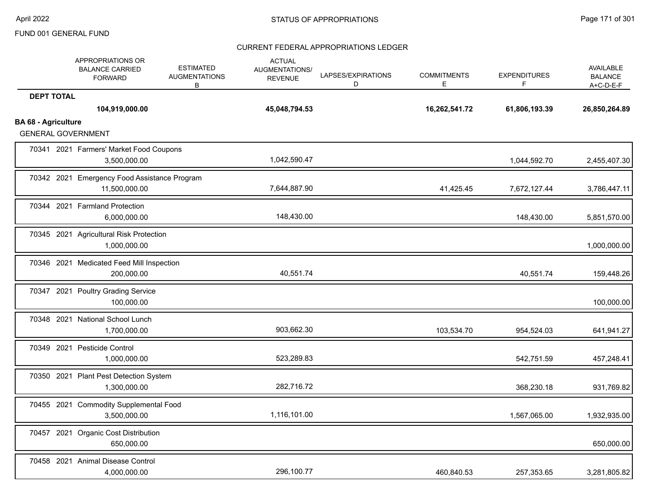|                            | APPROPRIATIONS OR<br><b>BALANCE CARRIED</b><br><b>FORWARD</b> | <b>ESTIMATED</b><br><b>AUGMENTATIONS</b><br>B | <b>ACTUAL</b><br>AUGMENTATIONS/<br><b>REVENUE</b> | LAPSES/EXPIRATIONS<br>D | <b>COMMITMENTS</b><br>Е | <b>EXPENDITURES</b><br>F | <b>AVAILABLE</b><br><b>BALANCE</b><br>$A+C-D-E-F$ |
|----------------------------|---------------------------------------------------------------|-----------------------------------------------|---------------------------------------------------|-------------------------|-------------------------|--------------------------|---------------------------------------------------|
| <b>DEPT TOTAL</b>          | 104,919,000.00                                                |                                               | 45,048,794.53                                     |                         | 16,262,541.72           | 61,806,193.39            | 26,850,264.89                                     |
| <b>BA 68 - Agriculture</b> | <b>GENERAL GOVERNMENT</b>                                     |                                               |                                                   |                         |                         |                          |                                                   |
|                            | 70341 2021 Farmers' Market Food Coupons<br>3,500,000.00       |                                               | 1,042,590.47                                      |                         |                         | 1,044,592.70             | 2,455,407.30                                      |
|                            | 70342 2021 Emergency Food Assistance Program<br>11,500,000.00 |                                               | 7,644,887.90                                      |                         | 41,425.45               | 7,672,127.44             | 3,786,447.11                                      |
|                            | 70344 2021 Farmland Protection<br>6,000,000.00                |                                               | 148,430.00                                        |                         |                         | 148,430.00               | 5,851,570.00                                      |
|                            | 70345 2021 Agricultural Risk Protection<br>1,000,000.00       |                                               |                                                   |                         |                         |                          | 1,000,000.00                                      |
|                            | 70346 2021 Medicated Feed Mill Inspection<br>200,000.00       |                                               | 40,551.74                                         |                         |                         | 40,551.74                | 159,448.26                                        |
|                            | 70347 2021 Poultry Grading Service<br>100,000.00              |                                               |                                                   |                         |                         |                          | 100,000.00                                        |
|                            | 70348 2021 National School Lunch<br>1,700,000.00              |                                               | 903,662.30                                        |                         | 103,534.70              | 954,524.03               | 641,941.27                                        |
|                            | 70349 2021 Pesticide Control<br>1,000,000.00                  |                                               | 523,289.83                                        |                         |                         | 542,751.59               | 457,248.41                                        |
|                            | 70350 2021 Plant Pest Detection System<br>1,300,000.00        |                                               | 282,716.72                                        |                         |                         | 368,230.18               | 931,769.82                                        |
|                            | 70455 2021 Commodity Supplemental Food<br>3,500,000.00        |                                               | 1,116,101.00                                      |                         |                         | 1,567,065.00             | 1,932,935.00                                      |
|                            | 70457 2021 Organic Cost Distribution<br>650,000.00            |                                               |                                                   |                         |                         |                          | 650,000.00                                        |
|                            | 70458 2021 Animal Disease Control<br>4,000,000.00             |                                               | 296,100.77                                        |                         | 460,840.53              | 257,353.65               | 3,281,805.82                                      |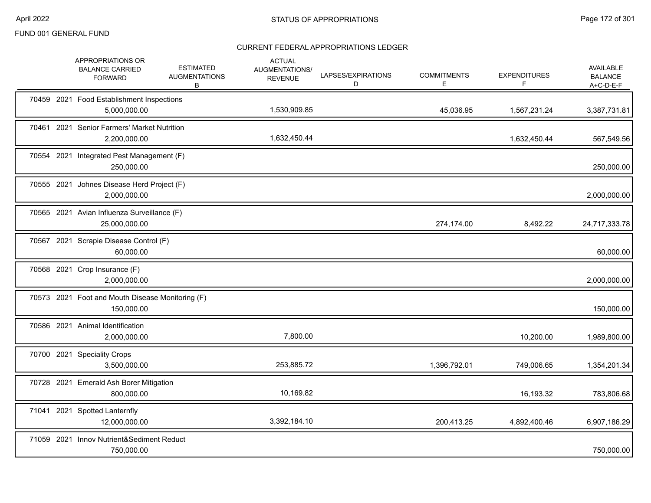|  | APPROPRIATIONS OR<br><b>BALANCE CARRIED</b><br><b>FORWARD</b>  | <b>ESTIMATED</b><br><b>AUGMENTATIONS</b><br>В | <b>ACTUAL</b><br>AUGMENTATIONS/<br><b>REVENUE</b> | LAPSES/EXPIRATIONS<br>D | <b>COMMITMENTS</b><br>Е | <b>EXPENDITURES</b><br>F | AVAILABLE<br><b>BALANCE</b><br>$A+C-D-E-F$ |
|--|----------------------------------------------------------------|-----------------------------------------------|---------------------------------------------------|-------------------------|-------------------------|--------------------------|--------------------------------------------|
|  | 70459 2021 Food Establishment Inspections<br>5,000,000.00      |                                               | 1,530,909.85                                      |                         | 45,036.95               | 1,567,231.24             | 3,387,731.81                               |
|  | 70461 2021 Senior Farmers' Market Nutrition<br>2,200,000.00    |                                               | 1,632,450.44                                      |                         |                         | 1,632,450.44             | 567,549.56                                 |
|  | 70554 2021 Integrated Pest Management (F)<br>250,000.00        |                                               |                                                   |                         |                         |                          | 250,000.00                                 |
|  | 70555 2021 Johnes Disease Herd Project (F)<br>2,000,000.00     |                                               |                                                   |                         |                         |                          | 2,000,000.00                               |
|  | 70565 2021 Avian Influenza Surveillance (F)<br>25,000,000.00   |                                               |                                                   |                         | 274,174.00              | 8,492.22                 | 24,717,333.78                              |
|  | 70567 2021 Scrapie Disease Control (F)<br>60,000.00            |                                               |                                                   |                         |                         |                          | 60,000.00                                  |
|  | 70568 2021 Crop Insurance (F)<br>2,000,000.00                  |                                               |                                                   |                         |                         |                          | 2,000,000.00                               |
|  | 70573 2021 Foot and Mouth Disease Monitoring (F)<br>150,000.00 |                                               |                                                   |                         |                         |                          | 150,000.00                                 |
|  | 70586 2021 Animal Identification<br>2,000,000.00               |                                               | 7,800.00                                          |                         |                         | 10,200.00                | 1,989,800.00                               |
|  | 70700 2021 Speciality Crops<br>3,500,000.00                    |                                               | 253,885.72                                        |                         | 1,396,792.01            | 749,006.65               | 1,354,201.34                               |
|  | 70728 2021 Emerald Ash Borer Mitigation<br>800,000.00          |                                               | 10,169.82                                         |                         |                         | 16,193.32                | 783,806.68                                 |
|  | 71041 2021 Spotted Lanternfly<br>12,000,000.00                 |                                               | 3,392,184.10                                      |                         | 200,413.25              | 4,892,400.46             | 6,907,186.29                               |
|  | 71059 2021 Innov Nutrient&Sediment Reduct<br>750,000.00        |                                               |                                                   |                         |                         |                          | 750,000.00                                 |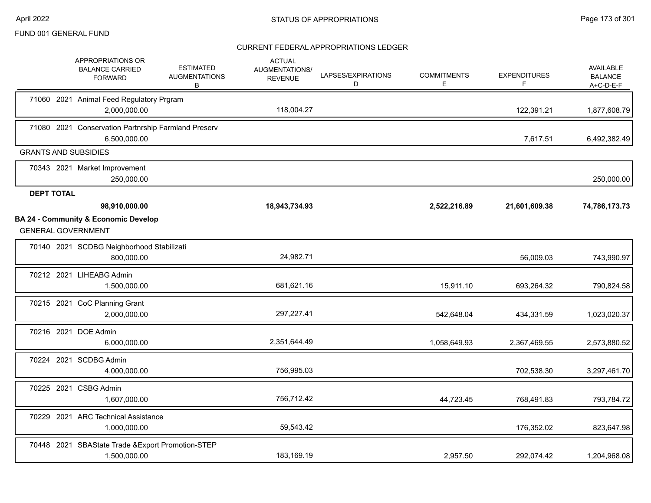| APPROPRIATIONS OR<br><b>BALANCE CARRIED</b><br><b>FORWARD</b>                | <b>ESTIMATED</b><br><b>AUGMENTATIONS</b><br>В | <b>ACTUAL</b><br>AUGMENTATIONS/<br><b>REVENUE</b> | LAPSES/EXPIRATIONS<br>D | <b>COMMITMENTS</b><br>Е | <b>EXPENDITURES</b><br>F | <b>AVAILABLE</b><br><b>BALANCE</b><br>A+C-D-E-F |
|------------------------------------------------------------------------------|-----------------------------------------------|---------------------------------------------------|-------------------------|-------------------------|--------------------------|-------------------------------------------------|
| 71060 2021 Animal Feed Regulatory Prgram<br>2,000,000.00                     |                                               | 118,004.27                                        |                         |                         | 122,391.21               | 1,877,608.79                                    |
| 71080 2021 Conservation Partnrship Farmland Preserv<br>6,500,000.00          |                                               |                                                   |                         |                         | 7,617.51                 | 6,492,382.49                                    |
| <b>GRANTS AND SUBSIDIES</b>                                                  |                                               |                                                   |                         |                         |                          |                                                 |
| 70343 2021 Market Improvement<br>250,000.00                                  |                                               |                                                   |                         |                         |                          | 250,000.00                                      |
| <b>DEPT TOTAL</b>                                                            |                                               |                                                   |                         |                         |                          |                                                 |
| 98,910,000.00                                                                |                                               | 18,943,734.93                                     |                         | 2,522,216.89            | 21,601,609.38            | 74,786,173.73                                   |
| <b>BA 24 - Community &amp; Economic Develop</b><br><b>GENERAL GOVERNMENT</b> |                                               |                                                   |                         |                         |                          |                                                 |
| 70140 2021 SCDBG Neighborhood Stabilizati<br>800,000.00                      |                                               | 24,982.71                                         |                         |                         | 56,009.03                | 743,990.97                                      |
| 70212 2021 LIHEABG Admin<br>1,500,000.00                                     |                                               | 681,621.16                                        |                         | 15,911.10               | 693,264.32               | 790,824.58                                      |
| 70215 2021 CoC Planning Grant<br>2,000,000.00                                |                                               | 297,227.41                                        |                         | 542,648.04              | 434,331.59               | 1,023,020.37                                    |
| 70216 2021 DOE Admin<br>6,000,000.00                                         |                                               | 2,351,644.49                                      |                         | 1,058,649.93            | 2,367,469.55             | 2,573,880.52                                    |
| 70224 2021 SCDBG Admin<br>4,000,000.00                                       |                                               | 756,995.03                                        |                         |                         | 702,538.30               | 3,297,461.70                                    |
| 70225 2021 CSBG Admin<br>1,607,000.00                                        |                                               | 756,712.42                                        |                         | 44,723.45               | 768,491.83               | 793,784.72                                      |
| 70229 2021 ARC Technical Assistance<br>1,000,000.00                          |                                               | 59,543.42                                         |                         |                         | 176,352.02               | 823,647.98                                      |
| 70448 2021 SBAState Trade & Export Promotion-STEP<br>1,500,000.00            |                                               | 183,169.19                                        |                         | 2,957.50                | 292,074.42               | 1,204,968.08                                    |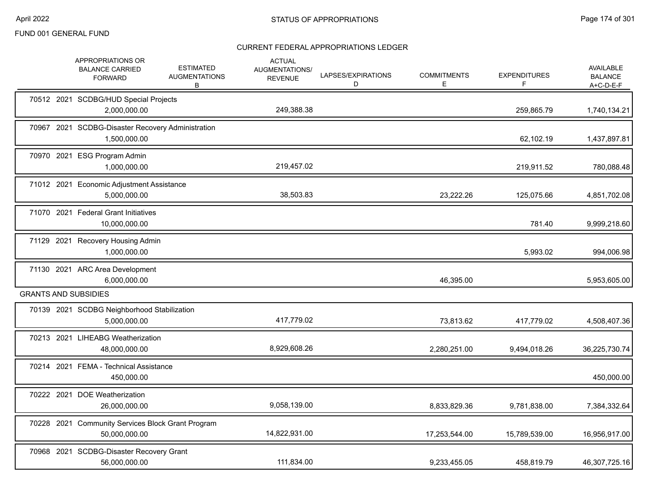|  | APPROPRIATIONS OR<br><b>BALANCE CARRIED</b><br><b>FORWARD</b>      | <b>ESTIMATED</b><br><b>AUGMENTATIONS</b><br>B | <b>ACTUAL</b><br>AUGMENTATIONS/<br><b>REVENUE</b> | LAPSES/EXPIRATIONS<br>D | <b>COMMITMENTS</b><br>Е | <b>EXPENDITURES</b><br>F | <b>AVAILABLE</b><br><b>BALANCE</b><br>$A+C-D-E-F$ |
|--|--------------------------------------------------------------------|-----------------------------------------------|---------------------------------------------------|-------------------------|-------------------------|--------------------------|---------------------------------------------------|
|  | 70512 2021 SCDBG/HUD Special Projects<br>2,000,000.00              |                                               | 249,388.38                                        |                         |                         | 259,865.79               | 1,740,134.21                                      |
|  | 70967 2021 SCDBG-Disaster Recovery Administration<br>1,500,000.00  |                                               |                                                   |                         |                         | 62,102.19                | 1,437,897.81                                      |
|  | 70970 2021 ESG Program Admin<br>1,000,000.00                       |                                               | 219,457.02                                        |                         |                         | 219,911.52               | 780,088.48                                        |
|  | 71012 2021 Economic Adjustment Assistance<br>5,000,000.00          |                                               | 38,503.83                                         |                         | 23,222.26               | 125,075.66               | 4,851,702.08                                      |
|  | 71070 2021 Federal Grant Initiatives<br>10,000,000.00              |                                               |                                                   |                         |                         | 781.40                   | 9,999,218.60                                      |
|  | 71129 2021 Recovery Housing Admin<br>1,000,000.00                  |                                               |                                                   |                         |                         | 5,993.02                 | 994,006.98                                        |
|  | 71130 2021 ARC Area Development<br>6,000,000.00                    |                                               |                                                   |                         | 46,395.00               |                          | 5,953,605.00                                      |
|  | <b>GRANTS AND SUBSIDIES</b>                                        |                                               |                                                   |                         |                         |                          |                                                   |
|  | 70139 2021 SCDBG Neighborhood Stabilization<br>5,000,000.00        |                                               | 417,779.02                                        |                         | 73,813.62               | 417,779.02               | 4,508,407.36                                      |
|  | 70213 2021 LIHEABG Weatherization<br>48,000,000.00                 |                                               | 8,929,608.26                                      |                         | 2,280,251.00            | 9,494,018.26             | 36,225,730.74                                     |
|  | 70214 2021 FEMA - Technical Assistance<br>450,000.00               |                                               |                                                   |                         |                         |                          | 450,000.00                                        |
|  | 70222 2021 DOE Weatherization<br>26,000,000.00                     |                                               | 9,058,139.00                                      |                         | 8,833,829.36            | 9,781,838.00             | 7,384,332.64                                      |
|  | 70228 2021 Community Services Block Grant Program<br>50,000,000.00 |                                               | 14,822,931.00                                     |                         | 17,253,544.00           | 15,789,539.00            | 16,956,917.00                                     |
|  | 70968 2021 SCDBG-Disaster Recovery Grant<br>56,000,000.00          |                                               | 111,834.00                                        |                         | 9,233,455.05            | 458,819.79               | 46,307,725.16                                     |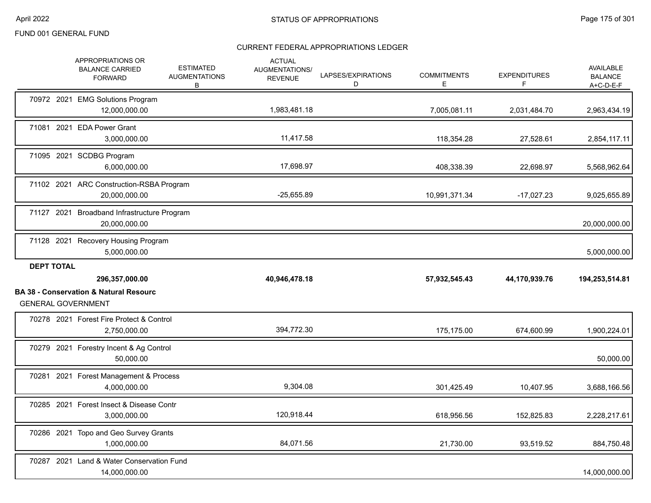|                   | APPROPRIATIONS OR<br><b>BALANCE CARRIED</b><br><b>FORWARD</b>                  | <b>ESTIMATED</b><br><b>AUGMENTATIONS</b><br>B | <b>ACTUAL</b><br>AUGMENTATIONS/<br><b>REVENUE</b> | LAPSES/EXPIRATIONS<br>D | <b>COMMITMENTS</b><br>E. | <b>EXPENDITURES</b><br>F | <b>AVAILABLE</b><br><b>BALANCE</b><br>$A+C-D-E-F$ |
|-------------------|--------------------------------------------------------------------------------|-----------------------------------------------|---------------------------------------------------|-------------------------|--------------------------|--------------------------|---------------------------------------------------|
|                   | 70972 2021 EMG Solutions Program<br>12,000,000.00                              |                                               | 1,983,481.18                                      |                         | 7,005,081.11             | 2,031,484.70             | 2,963,434.19                                      |
|                   | 71081 2021 EDA Power Grant<br>3,000,000.00                                     |                                               | 11,417.58                                         |                         | 118,354.28               | 27,528.61                | 2,854,117.11                                      |
|                   | 71095 2021 SCDBG Program<br>6,000,000.00                                       |                                               | 17,698.97                                         |                         | 408,338.39               | 22,698.97                | 5,568,962.64                                      |
|                   | 71102 2021 ARC Construction-RSBA Program<br>20,000,000.00                      |                                               | $-25,655.89$                                      |                         | 10,991,371.34            | $-17,027.23$             | 9,025,655.89                                      |
|                   | 71127 2021 Broadband Infrastructure Program<br>20,000,000.00                   |                                               |                                                   |                         |                          |                          | 20,000,000.00                                     |
|                   | 71128 2021 Recovery Housing Program<br>5,000,000.00                            |                                               |                                                   |                         |                          |                          | 5,000,000.00                                      |
|                   |                                                                                |                                               |                                                   |                         |                          |                          |                                                   |
| <b>DEPT TOTAL</b> |                                                                                |                                               |                                                   |                         |                          |                          |                                                   |
|                   | 296,357,000.00                                                                 |                                               | 40,946,478.18                                     |                         | 57,932,545.43            | 44,170,939.76            | 194,253,514.81                                    |
|                   | <b>BA 38 - Conservation &amp; Natural Resourc</b><br><b>GENERAL GOVERNMENT</b> |                                               |                                                   |                         |                          |                          |                                                   |
|                   | 70278 2021 Forest Fire Protect & Control<br>2,750,000.00                       |                                               | 394,772.30                                        |                         | 175,175.00               | 674,600.99               | 1,900,224.01                                      |
|                   | 70279 2021 Forestry Incent & Ag Control<br>50,000.00                           |                                               |                                                   |                         |                          |                          | 50,000.00                                         |
|                   | 70281 2021 Forest Management & Process<br>4,000,000.00                         |                                               | 9,304.08                                          |                         | 301,425.49               | 10,407.95                | 3,688,166.56                                      |
|                   | 70285 2021 Forest Insect & Disease Contr<br>3,000,000.00                       |                                               | 120,918.44                                        |                         | 618,956.56               | 152,825.83               | 2,228,217.61                                      |
|                   | 70286 2021 Topo and Geo Survey Grants<br>1,000,000.00                          |                                               | 84,071.56                                         |                         | 21,730.00                | 93,519.52                | 884,750.48                                        |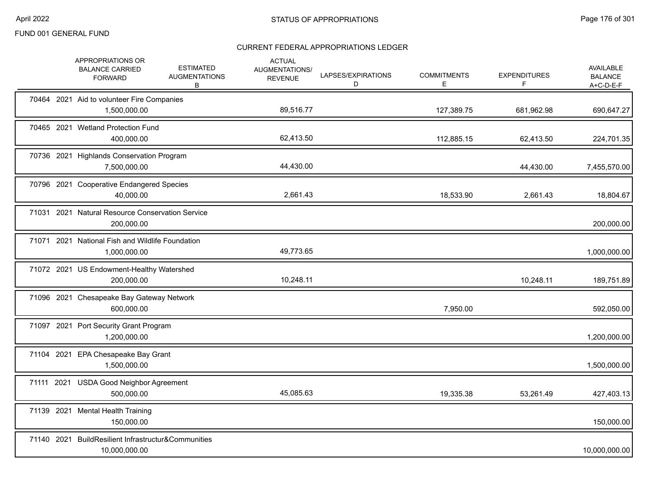|  | APPROPRIATIONS OR<br><b>BALANCE CARRIED</b><br><b>FORWARD</b>        | <b>ESTIMATED</b><br><b>AUGMENTATIONS</b><br>В | <b>ACTUAL</b><br>AUGMENTATIONS/<br><b>REVENUE</b> | LAPSES/EXPIRATIONS<br>D | <b>COMMITMENTS</b><br>E. | <b>EXPENDITURES</b><br>F | AVAILABLE<br><b>BALANCE</b><br>$A+C-D-E-F$ |
|--|----------------------------------------------------------------------|-----------------------------------------------|---------------------------------------------------|-------------------------|--------------------------|--------------------------|--------------------------------------------|
|  | 70464 2021 Aid to volunteer Fire Companies<br>1,500,000.00           |                                               | 89,516.77                                         |                         | 127,389.75               | 681,962.98               | 690,647.27                                 |
|  | 70465 2021 Wetland Protection Fund<br>400,000.00                     |                                               | 62,413.50                                         |                         | 112,885.15               | 62,413.50                | 224,701.35                                 |
|  | 70736 2021 Highlands Conservation Program<br>7,500,000.00            |                                               | 44,430.00                                         |                         |                          | 44,430.00                | 7,455,570.00                               |
|  | 70796 2021 Cooperative Endangered Species<br>40,000.00               |                                               | 2,661.43                                          |                         | 18,533.90                | 2,661.43                 | 18,804.67                                  |
|  | 71031 2021 Natural Resource Conservation Service<br>200,000.00       |                                               |                                                   |                         |                          |                          | 200,000.00                                 |
|  | 71071 2021 National Fish and Wildlife Foundation<br>1,000,000.00     |                                               | 49,773.65                                         |                         |                          |                          | 1,000,000.00                               |
|  | 71072 2021 US Endowment-Healthy Watershed<br>200,000.00              |                                               | 10,248.11                                         |                         |                          | 10,248.11                | 189,751.89                                 |
|  | 71096 2021 Chesapeake Bay Gateway Network<br>600,000.00              |                                               |                                                   |                         | 7,950.00                 |                          | 592,050.00                                 |
|  | 71097 2021 Port Security Grant Program<br>1,200,000.00               |                                               |                                                   |                         |                          |                          | 1,200,000.00                               |
|  | 71104 2021 EPA Chesapeake Bay Grant<br>1,500,000.00                  |                                               |                                                   |                         |                          |                          | 1,500,000.00                               |
|  | 71111 2021 USDA Good Neighbor Agreement<br>500,000.00                |                                               | 45,085.63                                         |                         | 19,335.38                | 53,261.49                | 427,403.13                                 |
|  | 71139 2021 Mental Health Training<br>150,000.00                      |                                               |                                                   |                         |                          |                          | 150,000.00                                 |
|  | 71140 2021 BuildResilient Infrastructur&Communities<br>10,000,000.00 |                                               |                                                   |                         |                          |                          | 10,000,000.00                              |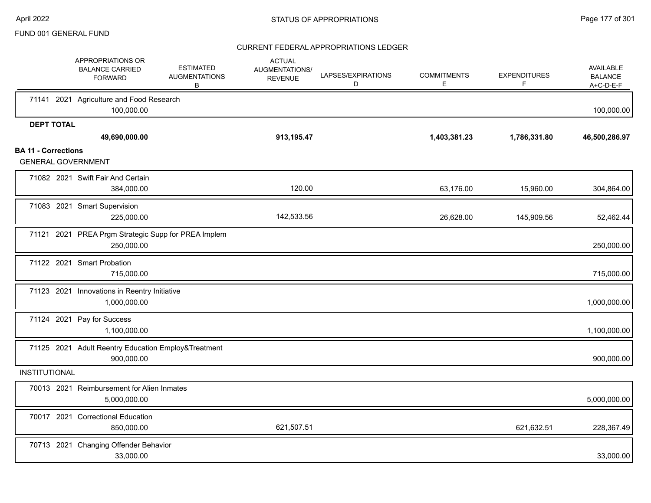|                            | APPROPRIATIONS OR<br><b>BALANCE CARRIED</b><br><b>FORWARD</b>     | <b>ESTIMATED</b><br><b>AUGMENTATIONS</b><br>B | <b>ACTUAL</b><br>AUGMENTATIONS/<br><b>REVENUE</b> | LAPSES/EXPIRATIONS<br>D | <b>COMMITMENTS</b><br>Е | <b>EXPENDITURES</b><br>F | AVAILABLE<br><b>BALANCE</b><br>$A+C-D-E-F$ |
|----------------------------|-------------------------------------------------------------------|-----------------------------------------------|---------------------------------------------------|-------------------------|-------------------------|--------------------------|--------------------------------------------|
|                            | 71141 2021 Agriculture and Food Research<br>100,000.00            |                                               |                                                   |                         |                         |                          | 100,000.00                                 |
| <b>DEPT TOTAL</b>          |                                                                   |                                               |                                                   |                         |                         |                          |                                            |
|                            | 49,690,000.00                                                     |                                               | 913,195.47                                        |                         | 1,403,381.23            | 1,786,331.80             | 46,500,286.97                              |
| <b>BA 11 - Corrections</b> | <b>GENERAL GOVERNMENT</b>                                         |                                               |                                                   |                         |                         |                          |                                            |
|                            | 71082 2021 Swift Fair And Certain<br>384,000.00                   |                                               | 120.00                                            |                         | 63,176.00               | 15,960.00                | 304,864.00                                 |
|                            | 71083 2021 Smart Supervision<br>225,000.00                        |                                               | 142,533.56                                        |                         | 26,628.00               | 145,909.56               | 52,462.44                                  |
|                            | 71121 2021 PREA Prgm Strategic Supp for PREA Implem<br>250,000.00 |                                               |                                                   |                         |                         |                          | 250,000.00                                 |
|                            | 71122 2021 Smart Probation<br>715,000.00                          |                                               |                                                   |                         |                         |                          | 715,000.00                                 |
|                            | 71123 2021 Innovations in Reentry Initiative<br>1,000,000.00      |                                               |                                                   |                         |                         |                          | 1,000,000.00                               |
|                            | 71124 2021 Pay for Success<br>1,100,000.00                        |                                               |                                                   |                         |                         |                          | 1,100,000.00                               |
|                            | 71125 2021 Adult Reentry Education Employ&Treatment<br>900,000.00 |                                               |                                                   |                         |                         |                          | 900,000.00                                 |
| <b>INSTITUTIONAL</b>       |                                                                   |                                               |                                                   |                         |                         |                          |                                            |
|                            | 70013 2021 Reimbursement for Alien Inmates<br>5,000,000.00        |                                               |                                                   |                         |                         |                          | 5,000,000.00                               |
|                            | 70017 2021 Correctional Education<br>850,000.00                   |                                               | 621,507.51                                        |                         |                         | 621,632.51               | 228,367.49                                 |
|                            | 70713 2021 Changing Offender Behavior<br>33,000.00                |                                               |                                                   |                         |                         |                          | 33,000.00                                  |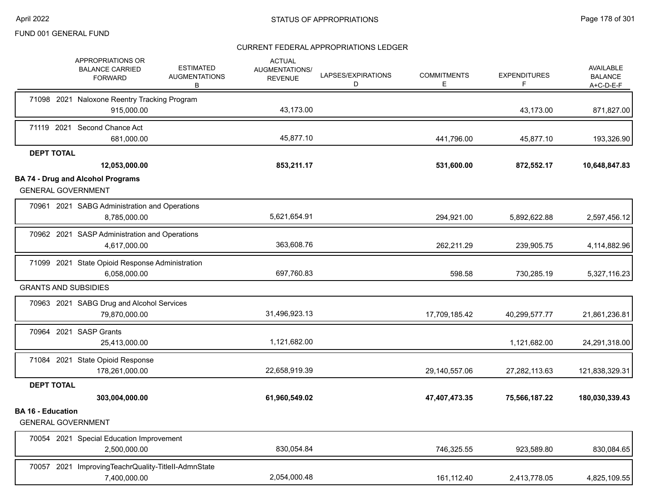|                          | <b>APPROPRIATIONS OR</b><br><b>BALANCE CARRIED</b><br><b>FORWARD</b> | <b>ESTIMATED</b><br><b>AUGMENTATIONS</b><br>B | <b>ACTUAL</b><br>AUGMENTATIONS/<br><b>REVENUE</b> | LAPSES/EXPIRATIONS<br>D | <b>COMMITMENTS</b><br>Е | <b>EXPENDITURES</b><br>F | AVAILABLE<br><b>BALANCE</b><br>$A+C-D-E-F$ |
|--------------------------|----------------------------------------------------------------------|-----------------------------------------------|---------------------------------------------------|-------------------------|-------------------------|--------------------------|--------------------------------------------|
|                          | 71098 2021 Naloxone Reentry Tracking Program                         |                                               |                                                   |                         |                         |                          |                                            |
|                          | 915,000.00                                                           |                                               | 43,173.00                                         |                         |                         | 43,173.00                | 871,827.00                                 |
|                          | 71119 2021 Second Chance Act<br>681,000.00                           |                                               | 45,877.10                                         |                         | 441,796.00              | 45,877.10                | 193,326.90                                 |
| <b>DEPT TOTAL</b>        |                                                                      |                                               |                                                   |                         |                         |                          |                                            |
|                          | 12,053,000.00                                                        |                                               | 853,211.17                                        |                         | 531,600.00              | 872,552.17               | 10,648,847.83                              |
|                          | <b>BA 74 - Drug and Alcohol Programs</b>                             |                                               |                                                   |                         |                         |                          |                                            |
|                          | <b>GENERAL GOVERNMENT</b>                                            |                                               |                                                   |                         |                         |                          |                                            |
|                          | 70961 2021 SABG Administration and Operations                        |                                               |                                                   |                         |                         |                          |                                            |
|                          | 8,785,000.00                                                         |                                               | 5,621,654.91                                      |                         | 294,921.00              | 5,892,622.88             | 2,597,456.12                               |
|                          | 70962 2021 SASP Administration and Operations                        |                                               |                                                   |                         |                         |                          |                                            |
|                          | 4,617,000.00                                                         |                                               | 363,608.76                                        |                         | 262,211.29              | 239,905.75               | 4,114,882.96                               |
|                          | 71099 2021 State Opioid Response Administration                      |                                               |                                                   |                         |                         |                          |                                            |
|                          | 6,058,000.00                                                         |                                               | 697,760.83                                        |                         | 598.58                  | 730,285.19               | 5,327,116.23                               |
|                          | <b>GRANTS AND SUBSIDIES</b>                                          |                                               |                                                   |                         |                         |                          |                                            |
|                          | 70963 2021 SABG Drug and Alcohol Services                            |                                               |                                                   |                         |                         |                          |                                            |
|                          | 79,870,000.00                                                        |                                               | 31,496,923.13                                     |                         | 17,709,185.42           | 40,299,577.77            | 21,861,236.81                              |
|                          | 70964 2021 SASP Grants                                               |                                               |                                                   |                         |                         |                          |                                            |
|                          | 25,413,000.00                                                        |                                               | 1,121,682.00                                      |                         |                         | 1,121,682.00             | 24,291,318.00                              |
|                          | 71084 2021 State Opioid Response                                     |                                               |                                                   |                         |                         |                          |                                            |
|                          | 178,261,000.00                                                       |                                               | 22,658,919.39                                     |                         | 29,140,557.06           | 27,282,113.63            | 121,838,329.31                             |
| <b>DEPT TOTAL</b>        |                                                                      |                                               |                                                   |                         |                         |                          |                                            |
|                          | 303,004,000.00                                                       |                                               | 61,960,549.02                                     |                         | 47,407,473.35           | 75,566,187.22            | 180,030,339.43                             |
| <b>BA 16 - Education</b> |                                                                      |                                               |                                                   |                         |                         |                          |                                            |
|                          | <b>GENERAL GOVERNMENT</b>                                            |                                               |                                                   |                         |                         |                          |                                            |
|                          | 70054 2021 Special Education Improvement                             |                                               |                                                   |                         |                         |                          |                                            |
|                          | 2,500,000.00                                                         |                                               | 830,054.84                                        |                         | 746,325.55              | 923,589.80               | 830,084.65                                 |
|                          | 70057 2021 ImprovingTeachrQuality-TitleII-AdmnState                  |                                               |                                                   |                         |                         |                          |                                            |
|                          | 7,400,000.00                                                         |                                               | 2,054,000.48                                      |                         | 161,112.40              | 2,413,778.05             | 4,825,109.55                               |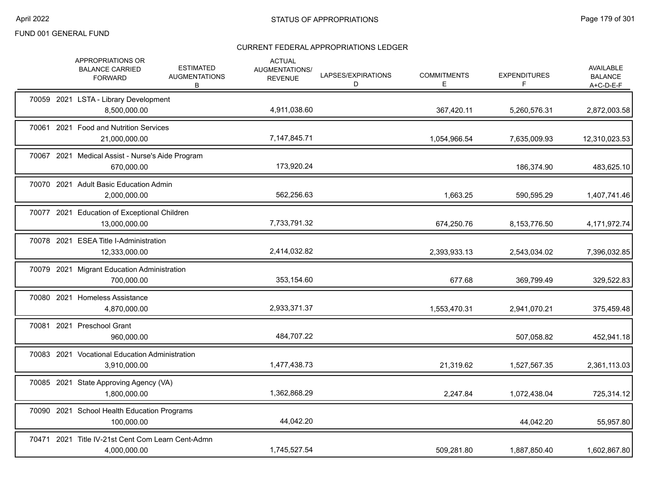| APPROPRIATIONS OR<br><b>BALANCE CARRIED</b><br><b>FORWARD</b>     | <b>ACTUAL</b><br><b>ESTIMATED</b><br><b>AUGMENTATIONS/</b><br><b>AUGMENTATIONS</b><br><b>REVENUE</b><br>B | LAPSES/EXPIRATIONS<br>D | <b>COMMITMENTS</b><br>Е | <b>EXPENDITURES</b><br>F | AVAILABLE<br><b>BALANCE</b><br>$A+C-D-E-F$ |
|-------------------------------------------------------------------|-----------------------------------------------------------------------------------------------------------|-------------------------|-------------------------|--------------------------|--------------------------------------------|
| 70059 2021 LSTA - Library Development<br>8,500,000.00             | 4,911,038.60                                                                                              |                         | 367,420.11              | 5,260,576.31             | 2,872,003.58                               |
| 70061 2021 Food and Nutrition Services<br>21,000,000.00           | 7,147,845.71                                                                                              |                         | 1,054,966.54            | 7,635,009.93             | 12,310,023.53                              |
| 70067 2021 Medical Assist - Nurse's Aide Program<br>670,000.00    | 173,920.24                                                                                                |                         |                         | 186,374.90               | 483,625.10                                 |
| 70070 2021 Adult Basic Education Admin<br>2,000,000.00            | 562,256.63                                                                                                |                         | 1,663.25                | 590,595.29               | 1,407,741.46                               |
| 70077 2021 Education of Exceptional Children<br>13,000,000.00     | 7,733,791.32                                                                                              |                         | 674,250.76              | 8,153,776.50             | 4,171,972.74                               |
| 70078 2021 ESEA Title I-Administration<br>12,333,000.00           | 2,414,032.82                                                                                              |                         | 2,393,933.13            | 2,543,034.02             | 7,396,032.85                               |
| 70079 2021 Migrant Education Administration<br>700,000.00         | 353,154.60                                                                                                |                         | 677.68                  | 369,799.49               | 329,522.83                                 |
| 70080 2021 Homeless Assistance<br>4,870,000.00                    | 2,933,371.37                                                                                              |                         | 1,553,470.31            | 2,941,070.21             | 375,459.48                                 |
| 70081 2021 Preschool Grant<br>960,000.00                          | 484,707.22                                                                                                |                         |                         | 507,058.82               | 452,941.18                                 |
| 70083 2021 Vocational Education Administration<br>3,910,000.00    | 1,477,438.73                                                                                              |                         | 21,319.62               | 1,527,567.35             | 2,361,113.03                               |
| 70085 2021 State Approving Agency (VA)<br>1,800,000.00            | 1,362,868.29                                                                                              |                         | 2,247.84                | 1,072,438.04             | 725,314.12                                 |
| 70090 2021 School Health Education Programs<br>100,000.00         | 44,042.20                                                                                                 |                         |                         | 44,042.20                | 55,957.80                                  |
| 70471 2021 Title IV-21st Cent Com Learn Cent-Admn<br>4,000,000.00 | 1,745,527.54                                                                                              |                         | 509,281.80              | 1,887,850.40             | 1,602,867.80                               |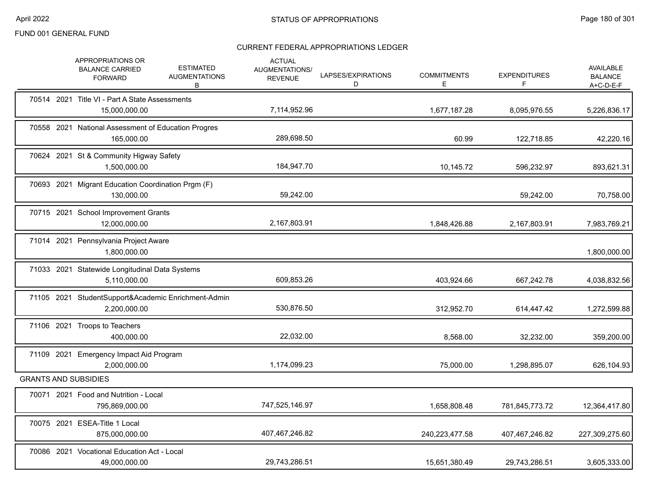|            | APPROPRIATIONS OR<br><b>BALANCE CARRIED</b><br><b>FORWARD</b>       | <b>ESTIMATED</b><br><b>AUGMENTATIONS</b><br>В | <b>ACTUAL</b><br>AUGMENTATIONS/<br><b>REVENUE</b> | LAPSES/EXPIRATIONS<br>D | <b>COMMITMENTS</b><br>Ε | <b>EXPENDITURES</b><br>F | AVAILABLE<br><b>BALANCE</b><br>$A+C-D-E-F$ |
|------------|---------------------------------------------------------------------|-----------------------------------------------|---------------------------------------------------|-------------------------|-------------------------|--------------------------|--------------------------------------------|
|            | 70514 2021 Title VI - Part A State Assessments<br>15,000,000.00     |                                               | 7,114,952.96                                      |                         | 1,677,187.28            | 8,095,976.55             | 5,226,836.17                               |
|            | 70558 2021 National Assessment of Education Progres<br>165,000.00   |                                               | 289,698.50                                        |                         | 60.99                   | 122,718.85               | 42,220.16                                  |
|            | 70624 2021 St & Community Higway Safety<br>1,500,000.00             |                                               | 184,947.70                                        |                         | 10,145.72               | 596,232.97               | 893,621.31                                 |
|            | 70693 2021 Migrant Education Coordination Prgm (F)<br>130,000.00    |                                               | 59,242.00                                         |                         |                         | 59,242.00                | 70,758.00                                  |
|            | 70715 2021 School Improvement Grants<br>12,000,000.00               |                                               | 2,167,803.91                                      |                         | 1,848,426.88            | 2,167,803.91             | 7,983,769.21                               |
|            | 71014 2021 Pennsylvania Project Aware<br>1,800,000.00               |                                               |                                                   |                         |                         |                          | 1,800,000.00                               |
|            | 71033 2021 Statewide Longitudinal Data Systems<br>5,110,000.00      |                                               | 609,853.26                                        |                         | 403,924.66              | 667,242.78               | 4,038,832.56                               |
|            | 71105 2021 StudentSupport&Academic Enrichment-Admin<br>2,200,000.00 |                                               | 530,876.50                                        |                         | 312,952.70              | 614,447.42               | 1,272,599.88                               |
|            | 71106 2021 Troops to Teachers<br>400,000.00                         |                                               | 22,032.00                                         |                         | 8,568.00                | 32,232.00                | 359,200.00                                 |
| 71109 2021 | Emergency Impact Aid Program<br>2,000,000.00                        |                                               | 1,174,099.23                                      |                         | 75,000.00               | 1,298,895.07             | 626,104.93                                 |
|            | <b>GRANTS AND SUBSIDIES</b>                                         |                                               |                                                   |                         |                         |                          |                                            |
|            | 70071 2021 Food and Nutrition - Local<br>795,869,000.00             |                                               | 747,525,146.97                                    |                         | 1,658,808.48            | 781,845,773.72           | 12,364,417.80                              |
|            | 70075 2021 ESEA-Title 1 Local<br>875,000,000.00                     |                                               | 407,467,246.82                                    |                         | 240,223,477.58          | 407,467,246.82           | 227,309,275.60                             |
|            | 70086 2021 Vocational Education Act - Local<br>49,000,000.00        |                                               | 29.743.286.51                                     |                         | 15,651,380.49           | 29,743,286.51            | 3,605,333.00                               |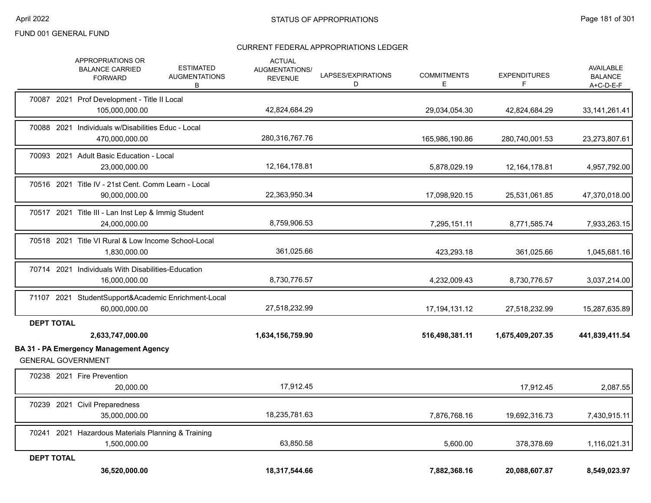|                   | APPROPRIATIONS OR<br><b>ESTIMATED</b><br><b>BALANCE CARRIED</b><br><b>AUGMENTATIONS</b><br><b>FORWARD</b><br>B | <b>ACTUAL</b><br>AUGMENTATIONS/<br><b>REVENUE</b> | LAPSES/EXPIRATIONS<br>D | <b>COMMITMENTS</b><br>Е | <b>EXPENDITURES</b><br>F | AVAILABLE<br><b>BALANCE</b><br>$A+C-D-E-F$ |
|-------------------|----------------------------------------------------------------------------------------------------------------|---------------------------------------------------|-------------------------|-------------------------|--------------------------|--------------------------------------------|
|                   | 70087 2021 Prof Development - Title II Local<br>105,000,000.00                                                 | 42,824,684.29                                     |                         | 29,034,054.30           | 42,824,684.29            | 33, 141, 261. 41                           |
|                   | 70088 2021 Individuals w/Disabilities Educ - Local<br>470,000,000.00                                           | 280,316,767.76                                    |                         | 165,986,190.86          | 280,740,001.53           | 23,273,807.61                              |
|                   | 70093 2021 Adult Basic Education - Local<br>23,000,000.00                                                      | 12, 164, 178.81                                   |                         | 5,878,029.19            | 12, 164, 178.81          | 4,957,792.00                               |
|                   | 70516 2021 Title IV - 21st Cent. Comm Learn - Local<br>90.000.000.00                                           | 22,363,950.34                                     |                         | 17,098,920.15           | 25,531,061.85            | 47,370,018.00                              |
|                   | 70517 2021 Title III - Lan Inst Lep & Immig Student<br>24,000,000.00                                           | 8,759,906.53                                      |                         | 7,295,151.11            | 8,771,585.74             | 7,933,263.15                               |
|                   | 70518 2021 Title VI Rural & Low Income School-Local<br>1,830,000.00                                            | 361,025.66                                        |                         | 423,293.18              | 361,025.66               | 1,045,681.16                               |
|                   | 70714 2021 Individuals With Disabilities-Education<br>16,000,000.00                                            | 8,730,776.57                                      |                         | 4,232,009.43            | 8,730,776.57             | 3,037,214.00                               |
|                   | 71107 2021 StudentSupport&Academic Enrichment-Local<br>60,000,000.00                                           | 27,518,232.99                                     |                         | 17, 194, 131. 12        | 27,518,232.99            | 15,287,635.89                              |
| <b>DEPT TOTAL</b> | 2,633,747,000.00                                                                                               | 1,634,156,759.90                                  |                         | 516,498,381.11          | 1,675,409,207.35         | 441,839,411.54                             |
|                   | <b>BA 31 - PA Emergency Management Agency</b><br><b>GENERAL GOVERNMENT</b>                                     |                                                   |                         |                         |                          |                                            |
|                   | 70238 2021 Fire Prevention<br>20,000.00                                                                        | 17,912.45                                         |                         |                         | 17,912.45                | 2,087.55                                   |
|                   | 70239 2021 Civil Preparedness<br>35,000,000.00                                                                 | 18,235,781.63                                     |                         | 7,876,768.16            | 19,692,316.73            | 7,430,915.11                               |
|                   | 70241 2021 Hazardous Materials Planning & Training<br>1,500,000.00                                             | 63,850.58                                         |                         | 5,600.00                | 378,378.69               | 1,116,021.31                               |
| <b>DEPT TOTAL</b> | 36,520,000.00                                                                                                  | 18,317,544.66                                     |                         | 7,882,368.16            | 20,088,607.87            | 8,549,023.97                               |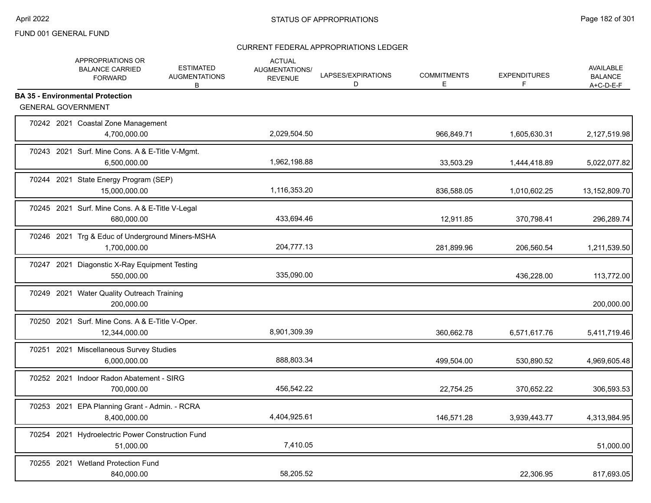|  | APPROPRIATIONS OR<br><b>BALANCE CARRIED</b><br><b>FORWARD</b>    | <b>ESTIMATED</b><br><b>AUGMENTATIONS</b><br>B | <b>ACTUAL</b><br>AUGMENTATIONS/<br><b>REVENUE</b> | LAPSES/EXPIRATIONS<br>D | <b>COMMITMENTS</b><br>E | <b>EXPENDITURES</b><br>F | <b>AVAILABLE</b><br><b>BALANCE</b><br>$A+C-D-E-F$ |
|--|------------------------------------------------------------------|-----------------------------------------------|---------------------------------------------------|-------------------------|-------------------------|--------------------------|---------------------------------------------------|
|  | <b>BA 35 - Environmental Protection</b>                          |                                               |                                                   |                         |                         |                          |                                                   |
|  | <b>GENERAL GOVERNMENT</b>                                        |                                               |                                                   |                         |                         |                          |                                                   |
|  | 70242 2021 Coastal Zone Management<br>4,700,000.00               |                                               | 2,029,504.50                                      |                         | 966,849.71              | 1,605,630.31             | 2,127,519.98                                      |
|  | 70243 2021 Surf. Mine Cons. A & E-Title V-Mgmt.<br>6,500,000.00  |                                               | 1,962,198.88                                      |                         | 33,503.29               | 1,444,418.89             | 5,022,077.82                                      |
|  | 70244 2021 State Energy Program (SEP)<br>15.000.000.00           |                                               | 1,116,353.20                                      |                         | 836,588.05              | 1,010,602.25             | 13,152,809.70                                     |
|  | 70245 2021 Surf. Mine Cons. A & E-Title V-Legal<br>680,000.00    |                                               | 433,694.46                                        |                         | 12,911.85               | 370,798.41               | 296,289.74                                        |
|  | 70246 2021 Trg & Educ of Underground Miners-MSHA<br>1,700,000.00 |                                               | 204,777.13                                        |                         | 281,899.96              | 206,560.54               | 1,211,539.50                                      |
|  | 70247 2021 Diagonstic X-Ray Equipment Testing<br>550,000.00      |                                               | 335,090.00                                        |                         |                         | 436,228.00               | 113,772.00                                        |
|  | 70249 2021 Water Quality Outreach Training<br>200,000.00         |                                               |                                                   |                         |                         |                          | 200,000.00                                        |
|  | 70250 2021 Surf. Mine Cons. A & E-Title V-Oper.<br>12,344,000.00 |                                               | 8,901,309.39                                      |                         | 360,662.78              | 6,571,617.76             | 5,411,719.46                                      |
|  | 70251 2021 Miscellaneous Survey Studies<br>6,000,000.00          |                                               | 888,803.34                                        |                         | 499,504.00              | 530,890.52               | 4,969,605.48                                      |
|  | 70252 2021 Indoor Radon Abatement - SIRG<br>700,000.00           |                                               | 456,542.22                                        |                         | 22,754.25               | 370,652.22               | 306,593.53                                        |
|  | 70253 2021 EPA Planning Grant - Admin. - RCRA<br>8,400,000.00    |                                               | 4,404,925.61                                      |                         | 146,571.28              | 3,939,443.77             | 4,313,984.95                                      |
|  | 70254 2021 Hydroelectric Power Construction Fund<br>51,000.00    |                                               | 7,410.05                                          |                         |                         |                          | 51,000.00                                         |
|  | 70255 2021 Wetland Protection Fund<br>840,000.00                 |                                               | 58,205.52                                         |                         |                         | 22,306.95                | 817,693.05                                        |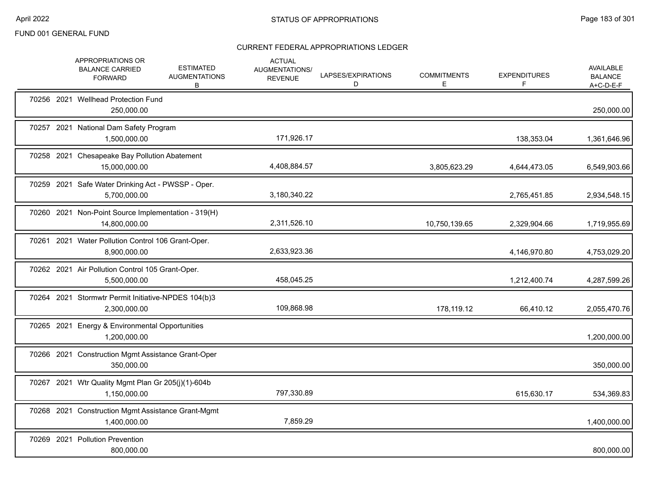|  | APPROPRIATIONS OR<br><b>BALANCE CARRIED</b><br><b>FORWARD</b>        | <b>ESTIMATED</b><br><b>AUGMENTATIONS</b><br>B | <b>ACTUAL</b><br>AUGMENTATIONS/<br><b>REVENUE</b> | LAPSES/EXPIRATIONS<br>D | <b>COMMITMENTS</b><br>Е | <b>EXPENDITURES</b><br>F | <b>AVAILABLE</b><br><b>BALANCE</b><br>A+C-D-E-F |
|--|----------------------------------------------------------------------|-----------------------------------------------|---------------------------------------------------|-------------------------|-------------------------|--------------------------|-------------------------------------------------|
|  | 70256 2021 Wellhead Protection Fund<br>250,000.00                    |                                               |                                                   |                         |                         |                          | 250,000.00                                      |
|  | 70257 2021 National Dam Safety Program<br>1,500,000.00               |                                               | 171,926.17                                        |                         |                         | 138,353.04               | 1,361,646.96                                    |
|  | 70258 2021 Chesapeake Bay Pollution Abatement<br>15,000,000.00       |                                               | 4,408,884.57                                      |                         | 3,805,623.29            | 4,644,473.05             | 6,549,903.66                                    |
|  | 70259 2021 Safe Water Drinking Act - PWSSP - Oper.<br>5,700,000.00   |                                               | 3,180,340.22                                      |                         |                         | 2,765,451.85             | 2,934,548.15                                    |
|  | 70260 2021 Non-Point Source Implementation - 319(H)<br>14,800,000.00 |                                               | 2,311,526.10                                      |                         | 10,750,139.65           | 2,329,904.66             | 1,719,955.69                                    |
|  | 70261 2021 Water Pollution Control 106 Grant-Oper.<br>8,900,000.00   |                                               | 2,633,923.36                                      |                         |                         | 4,146,970.80             | 4,753,029.20                                    |
|  | 70262 2021 Air Pollution Control 105 Grant-Oper.<br>5,500,000.00     |                                               | 458,045.25                                        |                         |                         | 1,212,400.74             | 4,287,599.26                                    |
|  | 70264 2021 Stormwtr Permit Initiative-NPDES 104(b)3<br>2,300,000.00  |                                               | 109,868.98                                        |                         | 178,119.12              | 66,410.12                | 2,055,470.76                                    |
|  | 70265 2021 Energy & Environmental Opportunities<br>1,200,000.00      |                                               |                                                   |                         |                         |                          | 1,200,000.00                                    |
|  | 70266 2021 Construction Mgmt Assistance Grant-Oper<br>350,000.00     |                                               |                                                   |                         |                         |                          | 350,000.00                                      |
|  | 70267 2021 Wtr Quality Mgmt Plan Gr 205(j)(1)-604b<br>1,150,000.00   |                                               | 797,330.89                                        |                         |                         | 615,630.17               | 534,369.83                                      |
|  | 70268 2021 Construction Mgmt Assistance Grant-Mgmt<br>1,400,000.00   |                                               | 7,859.29                                          |                         |                         |                          | 1,400,000.00                                    |
|  | 70269 2021 Pollution Prevention<br>800,000.00                        |                                               |                                                   |                         |                         |                          | 800,000.00                                      |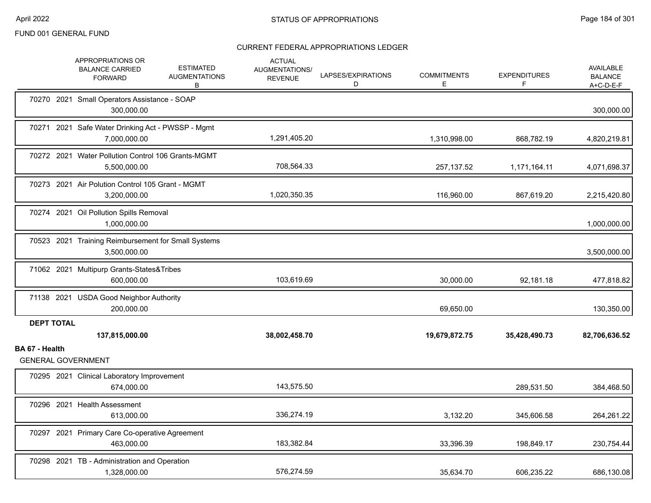|                   | APPROPRIATIONS OR<br><b>BALANCE CARRIED</b><br><b>FORWARD</b>       | <b>ACTUAL</b><br><b>ESTIMATED</b><br><b>AUGMENTATIONS/</b><br><b>AUGMENTATIONS</b><br><b>REVENUE</b><br>В | LAPSES/EXPIRATIONS<br>D | <b>COMMITMENTS</b><br>Е | <b>EXPENDITURES</b><br>F | AVAILABLE<br><b>BALANCE</b><br>A+C-D-E-F |
|-------------------|---------------------------------------------------------------------|-----------------------------------------------------------------------------------------------------------|-------------------------|-------------------------|--------------------------|------------------------------------------|
|                   | 70270 2021 Small Operators Assistance - SOAP<br>300,000.00          |                                                                                                           |                         |                         |                          | 300,000.00                               |
|                   | 70271 2021 Safe Water Drinking Act - PWSSP - Mgmt<br>7,000,000.00   | 1,291,405.20                                                                                              |                         | 1,310,998.00            | 868,782.19               | 4,820,219.81                             |
|                   | 70272 2021 Water Pollution Control 106 Grants-MGMT<br>5,500,000.00  | 708,564.33                                                                                                |                         | 257,137.52              | 1,171,164.11             | 4,071,698.37                             |
|                   | 70273 2021 Air Polution Control 105 Grant - MGMT<br>3,200,000.00    | 1,020,350.35                                                                                              |                         | 116,960.00              | 867,619.20               | 2,215,420.80                             |
|                   | 70274 2021 Oil Pollution Spills Removal<br>1,000,000.00             |                                                                                                           |                         |                         |                          | 1,000,000.00                             |
|                   | 70523 2021 Training Reimbursement for Small Systems<br>3,500,000.00 |                                                                                                           |                         |                         |                          | 3,500,000.00                             |
|                   | 71062 2021 Multipurp Grants-States&Tribes<br>600.000.00             | 103,619.69                                                                                                |                         | 30,000.00               | 92,181.18                | 477,818.82                               |
|                   | 71138 2021 USDA Good Neighbor Authority<br>200,000.00               |                                                                                                           |                         | 69,650.00               |                          | 130,350.00                               |
| <b>DEPT TOTAL</b> | 137,815,000.00                                                      | 38,002,458.70                                                                                             |                         | 19,679,872.75           | 35,428,490.73            | 82,706,636.52                            |
| BA 67 - Health    | <b>GENERAL GOVERNMENT</b>                                           |                                                                                                           |                         |                         |                          |                                          |
|                   | 70295 2021 Clinical Laboratory Improvement<br>674,000.00            | 143,575.50                                                                                                |                         |                         | 289,531.50               | 384,468.50                               |
|                   | 70296 2021 Health Assessment<br>613,000.00                          | 336,274.19                                                                                                |                         | 3,132.20                | 345,606.58               | 264,261.22                               |
|                   | 70297 2021 Primary Care Co-operative Agreement<br>463,000.00        | 183,382.84                                                                                                |                         | 33,396.39               | 198,849.17               | 230,754.44                               |
|                   | 70298 2021 TB - Administration and Operation<br>1,328,000.00        | 576,274.59                                                                                                |                         | 35,634.70               | 606,235.22               | 686,130.08                               |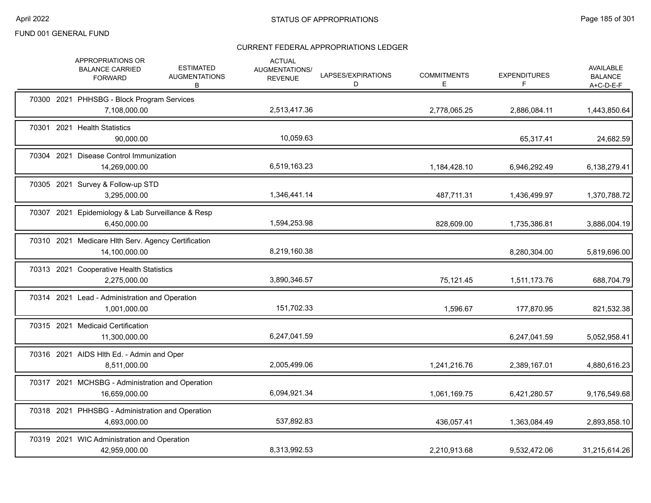|       | APPROPRIATIONS OR<br><b>BALANCE CARRIED</b><br><b>FORWARD</b>        | <b>ESTIMATED</b><br><b>AUGMENTATIONS</b><br>В | <b>ACTUAL</b><br>AUGMENTATIONS/<br><b>REVENUE</b> | LAPSES/EXPIRATIONS<br>D | <b>COMMITMENTS</b><br>E | <b>EXPENDITURES</b><br>F | <b>AVAILABLE</b><br><b>BALANCE</b><br>$A+C-D-E-F$ |
|-------|----------------------------------------------------------------------|-----------------------------------------------|---------------------------------------------------|-------------------------|-------------------------|--------------------------|---------------------------------------------------|
|       | 70300 2021 PHHSBG - Block Program Services<br>7,108,000.00           |                                               | 2,513,417.36                                      |                         | 2,778,065.25            | 2,886,084.11             | 1,443,850.64                                      |
| 70301 | 2021 Health Statistics<br>90,000.00                                  |                                               | 10,059.63                                         |                         |                         | 65,317.41                | 24,682.59                                         |
|       | 70304 2021 Disease Control Immunization<br>14,269,000.00             |                                               | 6,519,163.23                                      |                         | 1,184,428.10            | 6,946,292.49             | 6,138,279.41                                      |
|       | 70305 2021 Survey & Follow-up STD<br>3,295,000.00                    |                                               | 1,346,441.14                                      |                         | 487,711.31              | 1,436,499.97             | 1,370,788.72                                      |
|       | 70307 2021 Epidemiology & Lab Surveillance & Resp<br>6,450,000.00    |                                               | 1,594,253.98                                      |                         | 828,609.00              | 1,735,386.81             | 3,886,004.19                                      |
|       | 70310 2021 Medicare Hlth Serv. Agency Certification<br>14,100,000.00 |                                               | 8,219,160.38                                      |                         |                         | 8,280,304.00             | 5,819,696.00                                      |
|       | 70313 2021 Cooperative Health Statistics<br>2,275,000.00             |                                               | 3,890,346.57                                      |                         | 75,121.45               | 1,511,173.76             | 688,704.79                                        |
|       | 70314 2021 Lead - Administration and Operation<br>1,001,000.00       |                                               | 151,702.33                                        |                         | 1,596.67                | 177,870.95               | 821,532.38                                        |
|       | 70315 2021 Medicaid Certification<br>11,300,000.00                   |                                               | 6,247,041.59                                      |                         |                         | 6,247,041.59             | 5,052,958.41                                      |
|       | 70316 2021 AIDS HIth Ed. - Admin and Oper<br>8,511,000.00            |                                               | 2,005,499.06                                      |                         | 1,241,216.76            | 2,389,167.01             | 4,880,616.23                                      |
|       | 70317 2021 MCHSBG - Administration and Operation<br>16,659,000.00    |                                               | 6,094,921.34                                      |                         | 1,061,169.75            | 6,421,280.57             | 9,176,549.68                                      |
|       | 70318 2021 PHHSBG - Administration and Operation<br>4,693,000.00     |                                               | 537,892.83                                        |                         | 436,057.41              | 1,363,084.49             | 2,893,858.10                                      |
|       | 70319 2021 WIC Administration and Operation<br>42,959,000.00         |                                               | 8,313,992.53                                      |                         | 2,210,913.68            | 9,532,472.06             | 31,215,614.26                                     |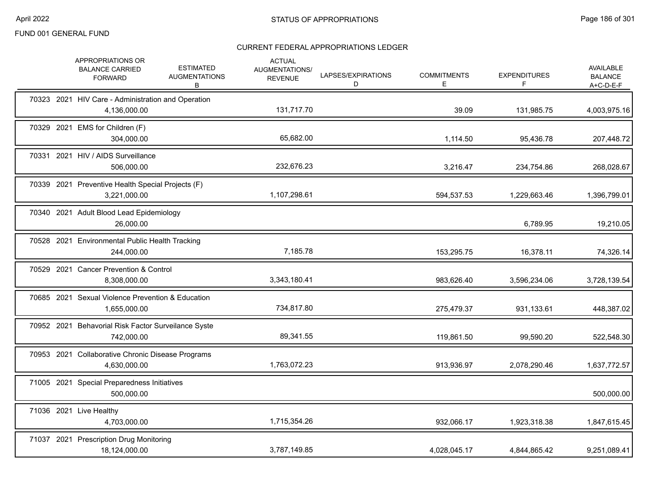|            | APPROPRIATIONS OR<br><b>BALANCE CARRIED</b><br><b>FORWARD</b>      | <b>ESTIMATED</b><br><b>AUGMENTATIONS</b><br>В | <b>ACTUAL</b><br>AUGMENTATIONS/<br><b>REVENUE</b> | LAPSES/EXPIRATIONS<br>D | <b>COMMITMENTS</b><br>E. | <b>EXPENDITURES</b><br>F | AVAILABLE<br><b>BALANCE</b><br>A+C-D-E-F |
|------------|--------------------------------------------------------------------|-----------------------------------------------|---------------------------------------------------|-------------------------|--------------------------|--------------------------|------------------------------------------|
|            | 70323 2021 HIV Care - Administration and Operation<br>4,136,000.00 |                                               | 131,717.70                                        |                         | 39.09                    | 131,985.75               | 4,003,975.16                             |
|            | 70329 2021 EMS for Children (F)<br>304,000.00                      |                                               | 65,682.00                                         |                         | 1,114.50                 | 95,436.78                | 207,448.72                               |
|            | 70331 2021 HIV / AIDS Surveillance<br>506,000.00                   |                                               | 232,676.23                                        |                         | 3,216.47                 | 234,754.86               | 268,028.67                               |
|            | 70339 2021 Preventive Health Special Projects (F)<br>3,221,000.00  |                                               | 1,107,298.61                                      |                         | 594,537.53               | 1,229,663.46             | 1,396,799.01                             |
|            | 70340 2021 Adult Blood Lead Epidemiology<br>26,000.00              |                                               |                                                   |                         |                          | 6,789.95                 | 19,210.05                                |
|            | 70528 2021 Environmental Public Health Tracking<br>244,000.00      |                                               | 7,185.78                                          |                         | 153,295.75               | 16,378.11                | 74,326.14                                |
|            | 70529 2021 Cancer Prevention & Control<br>8,308,000.00             |                                               | 3,343,180.41                                      |                         | 983,626.40               | 3,596,234.06             | 3,728,139.54                             |
|            | 70685 2021 Sexual Violence Prevention & Education<br>1,655,000.00  |                                               | 734,817.80                                        |                         | 275,479.37               | 931,133.61               | 448,387.02                               |
|            | 70952 2021 Behavorial Risk Factor Surveilance Syste<br>742,000.00  |                                               | 89,341.55                                         |                         | 119,861.50               | 99,590.20                | 522,548.30                               |
|            | 70953 2021 Collaborative Chronic Disease Programs<br>4,630,000.00  |                                               | 1,763,072.23                                      |                         | 913,936.97               | 2,078,290.46             | 1,637,772.57                             |
|            | 71005 2021 Special Preparedness Initiatives<br>500,000.00          |                                               |                                                   |                         |                          |                          | 500,000.00                               |
|            | 71036 2021 Live Healthy<br>4,703,000.00                            |                                               | 1,715,354.26                                      |                         | 932,066.17               | 1,923,318.38             | 1,847,615.45                             |
| 71037 2021 | <b>Prescription Drug Monitoring</b><br>18,124,000.00               |                                               | 3,787,149.85                                      |                         | 4,028,045.17             | 4,844,865.42             | 9,251,089.41                             |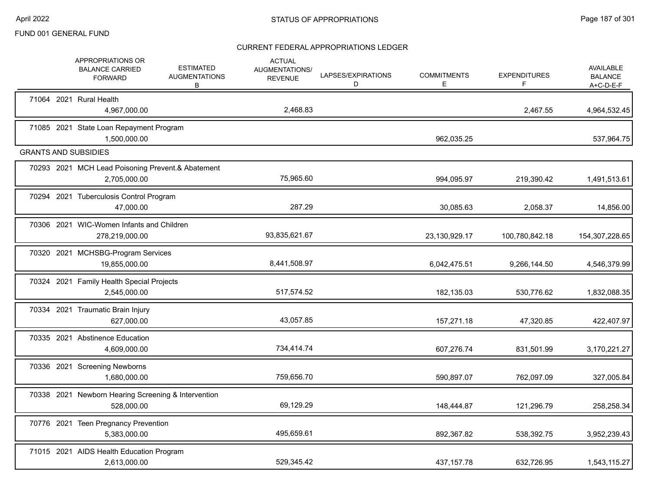|  | APPROPRIATIONS OR<br><b>BALANCE CARRIED</b><br><b>FORWARD</b>     | <b>ESTIMATED</b><br><b>AUGMENTATIONS</b><br>В | <b>ACTUAL</b><br>AUGMENTATIONS/<br><b>REVENUE</b> | LAPSES/EXPIRATIONS<br>D | <b>COMMITMENTS</b><br>Е | <b>EXPENDITURES</b><br>F | AVAILABLE<br><b>BALANCE</b><br>$A+C-D-E-F$ |
|--|-------------------------------------------------------------------|-----------------------------------------------|---------------------------------------------------|-------------------------|-------------------------|--------------------------|--------------------------------------------|
|  | 71064 2021 Rural Health<br>4,967,000.00                           |                                               | 2,468.83                                          |                         |                         | 2,467.55                 | 4,964,532.45                               |
|  | 71085 2021 State Loan Repayment Program<br>1,500,000.00           |                                               |                                                   |                         | 962,035.25              |                          | 537,964.75                                 |
|  | <b>GRANTS AND SUBSIDIES</b>                                       |                                               |                                                   |                         |                         |                          |                                            |
|  | 70293 2021 MCH Lead Poisoning Prevent.& Abatement<br>2,705,000.00 |                                               | 75,965.60                                         |                         | 994,095.97              | 219,390.42               | 1,491,513.61                               |
|  | 70294 2021 Tuberculosis Control Program<br>47,000.00              |                                               | 287.29                                            |                         | 30,085.63               | 2,058.37                 | 14,856.00                                  |
|  | 70306 2021 WIC-Women Infants and Children<br>278,219,000.00       |                                               | 93,835,621.67                                     |                         | 23,130,929.17           | 100,780,842.18           | 154,307,228.65                             |
|  | 70320 2021 MCHSBG-Program Services<br>19,855,000.00               |                                               | 8,441,508.97                                      |                         | 6,042,475.51            | 9,266,144.50             | 4,546,379.99                               |
|  | 70324 2021 Family Health Special Projects<br>2,545,000.00         |                                               | 517,574.52                                        |                         | 182,135.03              | 530,776.62               | 1,832,088.35                               |
|  | 70334 2021 Traumatic Brain Injury<br>627,000.00                   |                                               | 43,057.85                                         |                         | 157,271.18              | 47,320.85                | 422,407.97                                 |
|  | 70335 2021 Abstinence Education<br>4,609,000.00                   |                                               | 734,414.74                                        |                         | 607,276.74              | 831,501.99               | 3,170,221.27                               |
|  | 70336 2021 Screening Newborns<br>1,680,000.00                     |                                               | 759,656.70                                        |                         | 590,897.07              | 762,097.09               | 327,005.84                                 |
|  | 70338 2021 Newborn Hearing Screening & Intervention<br>528,000.00 |                                               | 69,129.29                                         |                         | 148,444.87              | 121,296.79               | 258,258.34                                 |
|  | 70776 2021 Teen Pregnancy Prevention<br>5,383,000.00              |                                               | 495,659.61                                        |                         | 892,367.82              | 538,392.75               | 3,952,239.43                               |
|  | 71015 2021 AIDS Health Education Program<br>2,613,000.00          |                                               | 529,345.42                                        |                         | 437, 157. 78            | 632,726.95               | 1,543,115.27                               |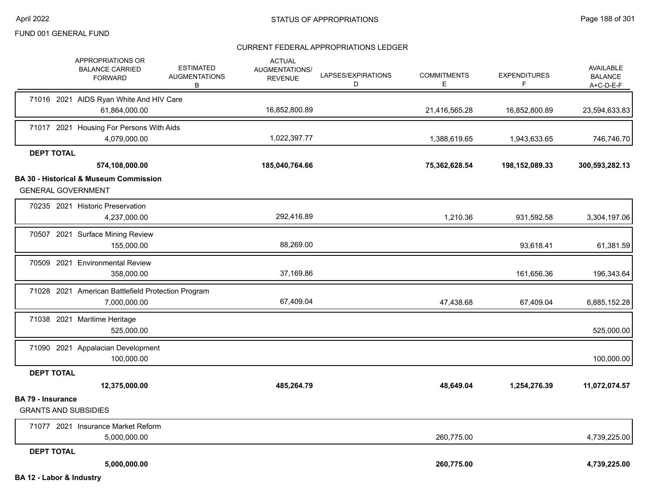|                          | APPROPRIATIONS OR<br><b>BALANCE CARRIED</b><br><b>FORWARD</b> | <b>ESTIMATED</b><br><b>AUGMENTATIONS</b><br>B | <b>ACTUAL</b><br>AUGMENTATIONS/<br><b>REVENUE</b> | LAPSES/EXPIRATIONS<br>D | <b>COMMITMENTS</b><br>E | <b>EXPENDITURES</b><br>F | <b>AVAILABLE</b><br><b>BALANCE</b><br>$A+C-D-E-F$ |
|--------------------------|---------------------------------------------------------------|-----------------------------------------------|---------------------------------------------------|-------------------------|-------------------------|--------------------------|---------------------------------------------------|
|                          | 71016 2021 AIDS Ryan White And HIV Care                       |                                               |                                                   |                         |                         |                          |                                                   |
|                          | 61,864,000.00                                                 |                                               | 16,852,800.89                                     |                         | 21,416,565.28           | 16,852,800.89            | 23,594,633.83                                     |
|                          | 71017 2021 Housing For Persons With Aids                      |                                               | 1,022,397.77                                      |                         |                         |                          |                                                   |
|                          | 4.079.000.00                                                  |                                               |                                                   |                         | 1,388,619.65            | 1,943,633.65             | 746,746.70                                        |
| <b>DEPT TOTAL</b>        | 574,108,000.00                                                |                                               | 185,040,764.66                                    |                         | 75,362,628.54           | 198,152,089.33           | 300,593,282.13                                    |
|                          | <b>BA 30 - Historical &amp; Museum Commission</b>             |                                               |                                                   |                         |                         |                          |                                                   |
|                          | <b>GENERAL GOVERNMENT</b>                                     |                                               |                                                   |                         |                         |                          |                                                   |
|                          | 70235 2021 Historic Preservation                              |                                               |                                                   |                         |                         |                          |                                                   |
|                          | 4,237,000.00                                                  |                                               | 292,416.89                                        |                         | 1,210.36                | 931,592.58               | 3,304,197.06                                      |
|                          | 70507 2021 Surface Mining Review                              |                                               |                                                   |                         |                         |                          |                                                   |
|                          | 155,000.00                                                    |                                               | 88,269.00                                         |                         |                         | 93,618.41                | 61,381.59                                         |
|                          | 70509 2021 Environmental Review                               |                                               |                                                   |                         |                         |                          |                                                   |
|                          | 358,000.00                                                    |                                               | 37,169.86                                         |                         |                         | 161,656.36               | 196,343.64                                        |
|                          | 71028 2021 American Battlefield Protection Program            |                                               |                                                   |                         |                         |                          |                                                   |
|                          | 7,000,000.00                                                  |                                               | 67,409.04                                         |                         | 47,438.68               | 67,409.04                | 6,885,152.28                                      |
|                          | 71038 2021 Maritime Heritage                                  |                                               |                                                   |                         |                         |                          |                                                   |
|                          | 525,000.00                                                    |                                               |                                                   |                         |                         |                          | 525,000.00                                        |
|                          | 71090 2021 Appalacian Development                             |                                               |                                                   |                         |                         |                          |                                                   |
|                          | 100,000.00                                                    |                                               |                                                   |                         |                         |                          | 100,000.00                                        |
| <b>DEPT TOTAL</b>        |                                                               |                                               |                                                   |                         |                         |                          |                                                   |
|                          | 12,375,000.00                                                 |                                               | 485,264.79                                        |                         | 48,649.04               | 1,254,276.39             | 11,072,074.57                                     |
| <b>BA 79 - Insurance</b> | <b>GRANTS AND SUBSIDIES</b>                                   |                                               |                                                   |                         |                         |                          |                                                   |
|                          | 71077 2021 Insurance Market Reform                            |                                               |                                                   |                         |                         |                          |                                                   |
|                          | 5,000,000.00                                                  |                                               |                                                   |                         | 260,775.00              |                          | 4,739,225.00                                      |
| <b>DEPT TOTAL</b>        |                                                               |                                               |                                                   |                         |                         |                          |                                                   |
|                          | 5,000,000.00                                                  |                                               |                                                   |                         | 260,775.00              |                          | 4,739,225.00                                      |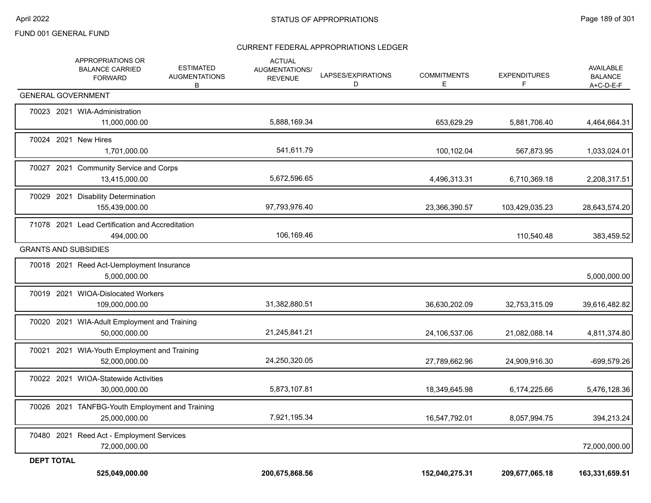|                   | APPROPRIATIONS OR<br><b>BALANCE CARRIED</b><br><b>FORWARD</b>    | <b>ESTIMATED</b><br><b>AUGMENTATIONS</b><br>В | <b>ACTUAL</b><br>AUGMENTATIONS/<br><b>REVENUE</b> | LAPSES/EXPIRATIONS<br>D | <b>COMMITMENTS</b><br>E. | <b>EXPENDITURES</b><br>F | AVAILABLE<br><b>BALANCE</b><br>A+C-D-E-F |
|-------------------|------------------------------------------------------------------|-----------------------------------------------|---------------------------------------------------|-------------------------|--------------------------|--------------------------|------------------------------------------|
|                   | <b>GENERAL GOVERNMENT</b>                                        |                                               |                                                   |                         |                          |                          |                                          |
|                   | 70023 2021 WIA-Administration<br>11,000,000.00                   |                                               | 5,888,169.34                                      |                         | 653,629.29               | 5,881,706.40             | 4,464,664.31                             |
|                   | 70024 2021 New Hires<br>1,701,000.00                             |                                               | 541,611.79                                        |                         | 100,102.04               | 567,873.95               | 1,033,024.01                             |
|                   | 70027 2021 Community Service and Corps<br>13,415,000.00          |                                               | 5,672,596.65                                      |                         | 4,496,313.31             | 6,710,369.18             | 2,208,317.51                             |
|                   | 70029 2021 Disability Determination<br>155,439,000.00            |                                               | 97,793,976.40                                     |                         | 23,366,390.57            | 103,429,035.23           | 28,643,574.20                            |
|                   | 71078 2021 Lead Certification and Accreditation<br>494,000.00    |                                               | 106,169.46                                        |                         |                          | 110,540.48               | 383,459.52                               |
|                   | <b>GRANTS AND SUBSIDIES</b>                                      |                                               |                                                   |                         |                          |                          |                                          |
|                   | 70018 2021 Reed Act-Uemployment Insurance<br>5,000,000.00        |                                               |                                                   |                         |                          |                          | 5,000,000.00                             |
|                   | 70019 2021 WIOA-Dislocated Workers<br>109,000,000.00             |                                               | 31,382,880.51                                     |                         | 36,630,202.09            | 32,753,315.09            | 39,616,482.82                            |
|                   | 70020 2021 WIA-Adult Employment and Training<br>50,000,000.00    |                                               | 21,245,841.21                                     |                         | 24,106,537.06            | 21,082,088.14            | 4,811,374.80                             |
|                   | 70021 2021 WIA-Youth Employment and Training<br>52,000,000.00    |                                               | 24,250,320.05                                     |                         | 27,789,662.96            | 24,909,916.30            | -699,579.26                              |
|                   | 70022 2021 WIOA-Statewide Activities<br>30,000,000.00            |                                               | 5,873,107.81                                      |                         | 18,349,645.98            | 6,174,225.66             | 5,476,128.36                             |
|                   | 70026 2021 TANFBG-Youth Employment and Training<br>25,000,000.00 |                                               | 7,921,195.34                                      |                         | 16,547,792.01            | 8,057,994.75             | 394,213.24                               |
|                   | 70480 2021 Reed Act - Employment Services<br>72,000,000.00       |                                               |                                                   |                         |                          |                          | 72,000,000.00                            |
| <b>DEPT TOTAL</b> |                                                                  |                                               |                                                   |                         |                          |                          |                                          |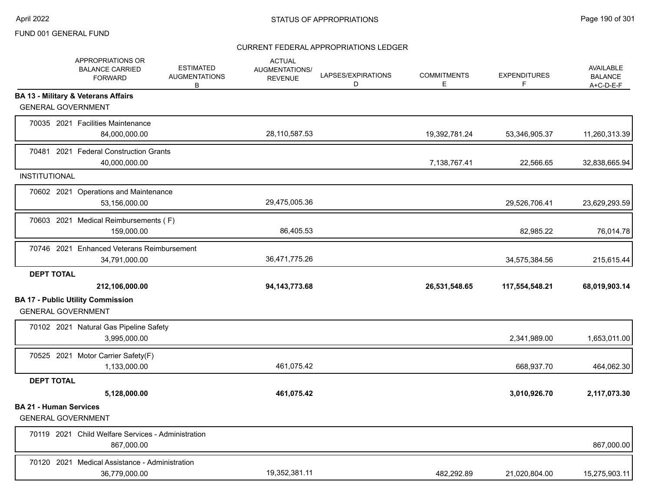|                                                            | APPROPRIATIONS OR<br><b>BALANCE CARRIED</b><br><b>FORWARD</b>    | <b>ESTIMATED</b><br><b>AUGMENTATIONS</b><br>В | <b>ACTUAL</b><br>AUGMENTATIONS/<br><b>REVENUE</b> | LAPSES/EXPIRATIONS<br>D | <b>COMMITMENTS</b><br>E. | <b>EXPENDITURES</b><br>F | AVAILABLE<br><b>BALANCE</b><br>$A+C-D-E-F$ |
|------------------------------------------------------------|------------------------------------------------------------------|-----------------------------------------------|---------------------------------------------------|-------------------------|--------------------------|--------------------------|--------------------------------------------|
|                                                            | <b>BA 13 - Military &amp; Veterans Affairs</b>                   |                                               |                                                   |                         |                          |                          |                                            |
| <b>GENERAL GOVERNMENT</b>                                  |                                                                  |                                               |                                                   |                         |                          |                          |                                            |
|                                                            | 70035 2021 Facilities Maintenance<br>84,000,000.00               |                                               | 28,110,587.53                                     |                         | 19,392,781.24            | 53,346,905.37            | 11,260,313.39                              |
|                                                            | 70481 2021 Federal Construction Grants<br>40,000,000.00          |                                               |                                                   |                         | 7,138,767.41             | 22,566.65                | 32,838,665.94                              |
| <b>INSTITUTIONAL</b>                                       |                                                                  |                                               |                                                   |                         |                          |                          |                                            |
|                                                            | 70602 2021 Operations and Maintenance<br>53,156,000.00           |                                               | 29,475,005.36                                     |                         |                          | 29,526,706.41            | 23,629,293.59                              |
|                                                            | 70603 2021 Medical Reimbursements (F)<br>159,000.00              |                                               | 86,405.53                                         |                         |                          | 82,985.22                | 76,014.78                                  |
|                                                            | 70746 2021 Enhanced Veterans Reimbursement<br>34,791,000.00      |                                               | 36,471,775.26                                     |                         |                          | 34,575,384.56            | 215,615.44                                 |
| <b>DEPT TOTAL</b>                                          |                                                                  |                                               |                                                   |                         |                          |                          |                                            |
|                                                            | 212,106,000.00                                                   |                                               | 94, 143, 773. 68                                  |                         | 26,531,548.65            | 117,554,548.21           | 68,019,903.14                              |
| <b>GENERAL GOVERNMENT</b>                                  | <b>BA 17 - Public Utility Commission</b>                         |                                               |                                                   |                         |                          |                          |                                            |
|                                                            | 70102 2021 Natural Gas Pipeline Safety<br>3,995,000.00           |                                               |                                                   |                         |                          | 2,341,989.00             | 1,653,011.00                               |
|                                                            | 70525 2021 Motor Carrier Safety(F)<br>1,133,000.00               |                                               | 461,075.42                                        |                         |                          | 668,937.70               | 464,062.30                                 |
| <b>DEPT TOTAL</b>                                          |                                                                  |                                               |                                                   |                         |                          |                          |                                            |
|                                                            | 5,128,000.00                                                     |                                               | 461,075.42                                        |                         |                          | 3,010,926.70             | 2,117,073.30                               |
| <b>BA 21 - Human Services</b><br><b>GENERAL GOVERNMENT</b> |                                                                  |                                               |                                                   |                         |                          |                          |                                            |
|                                                            | 70119 2021 Child Welfare Services - Administration<br>867,000.00 |                                               |                                                   |                         |                          |                          | 867,000.00                                 |
|                                                            | 70120 2021 Medical Assistance - Administration<br>36,779,000.00  |                                               | 19,352,381.11                                     |                         | 482,292.89               | 21,020,804.00            | 15,275,903.11                              |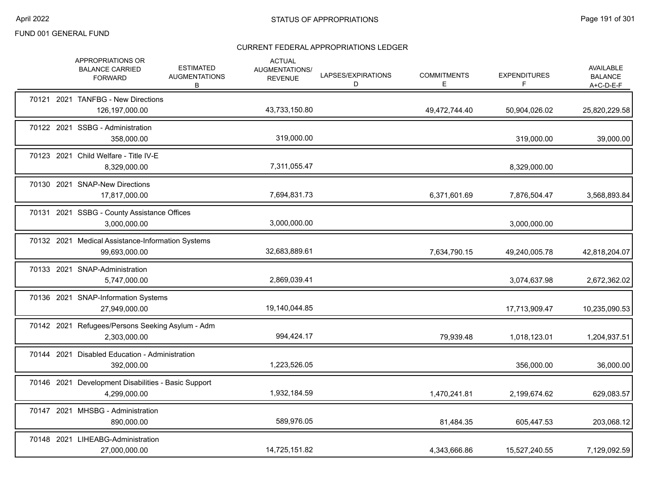|  | APPROPRIATIONS OR<br><b>BALANCE CARRIED</b><br><b>FORWARD</b>       | <b>ESTIMATED</b><br><b>AUGMENTATIONS</b><br>В | <b>ACTUAL</b><br>AUGMENTATIONS/<br><b>REVENUE</b> | LAPSES/EXPIRATIONS<br>D | <b>COMMITMENTS</b><br>E. | <b>EXPENDITURES</b><br>F | AVAILABLE<br><b>BALANCE</b><br>$A+C-D-E-F$ |
|--|---------------------------------------------------------------------|-----------------------------------------------|---------------------------------------------------|-------------------------|--------------------------|--------------------------|--------------------------------------------|
|  | 70121 2021 TANFBG - New Directions<br>126,197,000.00                |                                               | 43,733,150.80                                     |                         | 49,472,744.40            | 50,904,026.02            | 25,820,229.58                              |
|  | 70122 2021 SSBG - Administration<br>358,000.00                      |                                               | 319,000.00                                        |                         |                          | 319,000.00               | 39,000.00                                  |
|  | 70123 2021 Child Welfare - Title IV-E<br>8,329,000.00               |                                               | 7,311,055.47                                      |                         |                          | 8,329,000.00             |                                            |
|  | 70130 2021 SNAP-New Directions<br>17,817,000.00                     |                                               | 7,694,831.73                                      |                         | 6,371,601.69             | 7,876,504.47             | 3,568,893.84                               |
|  | 70131 2021 SSBG - County Assistance Offices<br>3,000,000.00         |                                               | 3,000,000.00                                      |                         |                          | 3,000,000.00             |                                            |
|  | 70132 2021 Medical Assistance-Information Systems<br>99,693,000.00  |                                               | 32,683,889.61                                     |                         | 7,634,790.15             | 49,240,005.78            | 42,818,204.07                              |
|  | 70133 2021 SNAP-Administration<br>5,747,000.00                      |                                               | 2,869,039.41                                      |                         |                          | 3,074,637.98             | 2,672,362.02                               |
|  | 70136 2021 SNAP-Information Systems<br>27,949,000.00                |                                               | 19,140,044.85                                     |                         |                          | 17,713,909.47            | 10,235,090.53                              |
|  | 70142 2021 Refugees/Persons Seeking Asylum - Adm<br>2,303,000.00    |                                               | 994,424.17                                        |                         | 79,939.48                | 1,018,123.01             | 1,204,937.51                               |
|  | 70144 2021 Disabled Education - Administration<br>392,000.00        |                                               | 1,223,526.05                                      |                         |                          | 356,000.00               | 36,000.00                                  |
|  | 70146 2021 Development Disabilities - Basic Support<br>4,299,000.00 |                                               | 1,932,184.59                                      |                         | 1,470,241.81             | 2,199,674.62             | 629,083.57                                 |
|  | 70147 2021 MHSBG - Administration<br>890,000.00                     |                                               | 589,976.05                                        |                         | 81,484.35                | 605,447.53               | 203,068.12                                 |
|  | 70148 2021 LIHEABG-Administration<br>27,000,000.00                  |                                               | 14,725,151.82                                     |                         | 4,343,666.86             | 15,527,240.55            | 7,129,092.59                               |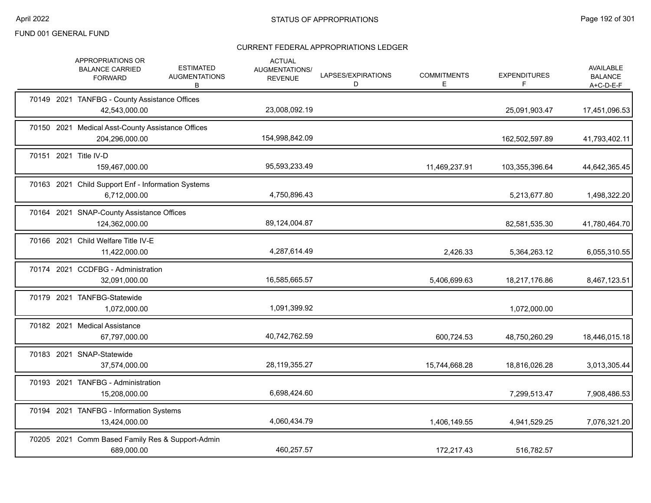| <b>APPROPRIATIONS OR</b><br><b>BALANCE CARRIED</b><br><b>FORWARD</b> | <b>ESTIMATED</b><br><b>AUGMENTATIONS</b><br>В | <b>ACTUAL</b><br>AUGMENTATIONS/<br><b>REVENUE</b> | LAPSES/EXPIRATIONS<br>D | <b>COMMITMENTS</b><br>E. | <b>EXPENDITURES</b><br>F. | <b>AVAILABLE</b><br><b>BALANCE</b><br>$A+C-D-E-F$ |
|----------------------------------------------------------------------|-----------------------------------------------|---------------------------------------------------|-------------------------|--------------------------|---------------------------|---------------------------------------------------|
| 70149 2021 TANFBG - County Assistance Offices<br>42,543,000.00       |                                               | 23,008,092.19                                     |                         |                          | 25,091,903.47             | 17,451,096.53                                     |
| 70150 2021 Medical Asst-County Assistance Offices<br>204,296,000.00  |                                               | 154,998,842.09                                    |                         |                          | 162,502,597.89            | 41,793,402.11                                     |
| 70151 2021 Title IV-D<br>159,467,000.00                              |                                               | 95,593,233.49                                     |                         | 11,469,237.91            | 103,355,396.64            | 44,642,365.45                                     |
| 70163 2021 Child Support Enf - Information Systems<br>6,712,000.00   |                                               | 4,750,896.43                                      |                         |                          | 5,213,677.80              | 1,498,322.20                                      |
| 70164 2021 SNAP-County Assistance Offices<br>124,362,000.00          |                                               | 89,124,004.87                                     |                         |                          | 82,581,535.30             | 41,780,464.70                                     |
| 70166 2021 Child Welfare Title IV-E<br>11,422,000.00                 |                                               | 4,287,614.49                                      |                         | 2,426.33                 | 5,364,263.12              | 6,055,310.55                                      |
| 70174 2021 CCDFBG - Administration<br>32,091,000.00                  |                                               | 16,585,665.57                                     |                         | 5,406,699.63             | 18,217,176.86             | 8,467,123.51                                      |
| 70179 2021 TANFBG-Statewide<br>1,072,000.00                          |                                               | 1,091,399.92                                      |                         |                          | 1,072,000.00              |                                                   |
| 70182 2021 Medical Assistance<br>67,797,000.00                       |                                               | 40,742,762.59                                     |                         | 600,724.53               | 48,750,260.29             | 18,446,015.18                                     |
| 70183 2021 SNAP-Statewide<br>37,574,000.00                           |                                               | 28, 119, 355. 27                                  |                         | 15,744,668.28            | 18,816,026.28             | 3,013,305.44                                      |
| 70193 2021 TANFBG - Administration<br>15,208,000.00                  |                                               | 6,698,424.60                                      |                         |                          | 7,299,513.47              | 7,908,486.53                                      |
| 70194 2021 TANFBG - Information Systems<br>13,424,000.00             |                                               | 4,060,434.79                                      |                         | 1,406,149.55             | 4,941,529.25              | 7,076,321.20                                      |
| 70205 2021 Comm Based Family Res & Support-Admin<br>689,000.00       |                                               | 460,257.57                                        |                         | 172,217.43               | 516,782.57                |                                                   |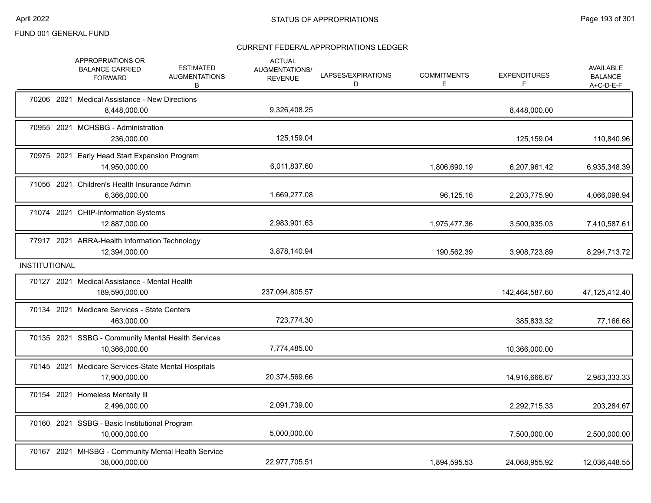|                      |            | APPROPRIATIONS OR<br><b>BALANCE CARRIED</b><br><b>FORWARD</b>        | <b>ESTIMATED</b><br><b>AUGMENTATIONS</b><br>В | <b>ACTUAL</b><br><b>AUGMENTATIONS/</b><br><b>REVENUE</b> | LAPSES/EXPIRATIONS<br>D | <b>COMMITMENTS</b><br>E. | <b>EXPENDITURES</b><br>F. | AVAILABLE<br><b>BALANCE</b><br>A+C-D-E-F |
|----------------------|------------|----------------------------------------------------------------------|-----------------------------------------------|----------------------------------------------------------|-------------------------|--------------------------|---------------------------|------------------------------------------|
|                      |            | 70206 2021 Medical Assistance - New Directions<br>8,448,000.00       |                                               | 9,326,408.25                                             |                         |                          | 8,448,000.00              |                                          |
|                      |            | 70955 2021 MCHSBG - Administration<br>236.000.00                     |                                               | 125,159.04                                               |                         |                          | 125,159.04                | 110,840.96                               |
|                      | 70975 2021 | Early Head Start Expansion Program<br>14,950,000.00                  |                                               | 6,011,837.60                                             |                         | 1,806,690.19             | 6,207,961.42              | 6,935,348.39                             |
|                      |            | 71056 2021 Children's Health Insurance Admin<br>6,366,000.00         |                                               | 1,669,277.08                                             |                         | 96,125.16                | 2,203,775.90              | 4,066,098.94                             |
|                      |            | 71074 2021 CHIP-Information Systems<br>12,887,000.00                 |                                               | 2,983,901.63                                             |                         | 1,975,477.36             | 3,500,935.03              | 7,410,587.61                             |
|                      |            | 77917 2021 ARRA-Health Information Technology<br>12,394,000.00       |                                               | 3,878,140.94                                             |                         | 190,562.39               | 3,908,723.89              | 8,294,713.72                             |
| <b>INSTITUTIONAL</b> |            |                                                                      |                                               |                                                          |                         |                          |                           |                                          |
|                      |            | 70127 2021 Medical Assistance - Mental Health<br>189,590,000.00      |                                               | 237,094,805.57                                           |                         |                          | 142,464,587.60            | 47,125,412.40                            |
|                      |            | 70134 2021 Medicare Services - State Centers<br>463,000.00           |                                               | 723,774.30                                               |                         |                          | 385,833.32                | 77,166.68                                |
|                      |            | 70135 2021 SSBG - Community Mental Health Services<br>10,366,000.00  |                                               | 7,774,485.00                                             |                         |                          | 10,366,000.00             |                                          |
|                      |            | 70145 2021 Medicare Services-State Mental Hospitals<br>17,900,000.00 |                                               | 20,374,569.66                                            |                         |                          | 14,916,666.67             | 2,983,333.33                             |
|                      |            | 70154 2021 Homeless Mentally III<br>2,496,000.00                     |                                               | 2,091,739.00                                             |                         |                          | 2,292,715.33              | 203,284.67                               |
|                      |            | 70160 2021 SSBG - Basic Institutional Program<br>10,000,000.00       |                                               | 5,000,000.00                                             |                         |                          | 7,500,000.00              | 2,500,000.00                             |
|                      |            | 70167 2021 MHSBG - Community Mental Health Service<br>38,000,000.00  |                                               | 22,977,705.51                                            |                         | 1,894,595.53             | 24,068,955.92             | 12,036,448.55                            |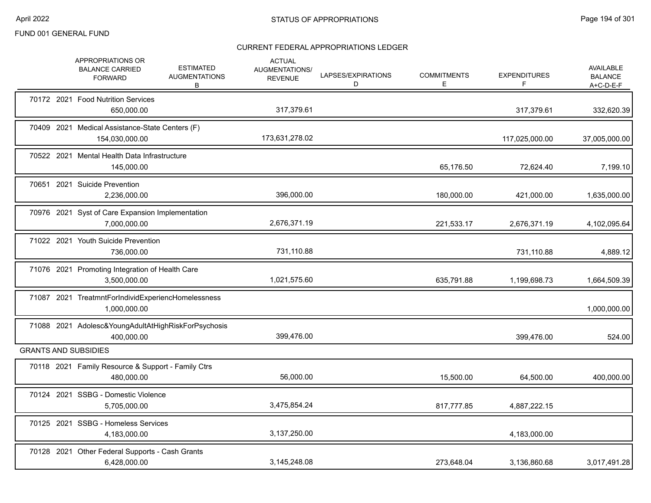|  | APPROPRIATIONS OR<br><b>BALANCE CARRIED</b><br><b>FORWARD</b>      | <b>ESTIMATED</b><br><b>AUGMENTATIONS</b><br>В | <b>ACTUAL</b><br><b>AUGMENTATIONS/</b><br><b>REVENUE</b> | LAPSES/EXPIRATIONS<br>D | <b>COMMITMENTS</b><br>Ε | <b>EXPENDITURES</b><br>F | <b>AVAILABLE</b><br><b>BALANCE</b><br>A+C-D-E-F |
|--|--------------------------------------------------------------------|-----------------------------------------------|----------------------------------------------------------|-------------------------|-------------------------|--------------------------|-------------------------------------------------|
|  | 70172 2021 Food Nutrition Services<br>650,000.00                   |                                               | 317,379.61                                               |                         |                         | 317,379.61               | 332,620.39                                      |
|  | 70409 2021 Medical Assistance-State Centers (F)<br>154,030,000.00  |                                               | 173,631,278.02                                           |                         |                         | 117,025,000.00           | 37,005,000.00                                   |
|  | 70522 2021 Mental Health Data Infrastructure<br>145,000.00         |                                               |                                                          |                         | 65,176.50               | 72,624.40                | 7,199.10                                        |
|  | 70651 2021 Suicide Prevention<br>2,236,000.00                      |                                               | 396,000.00                                               |                         | 180,000.00              | 421,000.00               | 1,635,000.00                                    |
|  | 70976 2021 Syst of Care Expansion Implementation<br>7,000,000.00   |                                               | 2,676,371.19                                             |                         | 221,533.17              | 2,676,371.19             | 4,102,095.64                                    |
|  | 71022 2021 Youth Suicide Prevention<br>736,000.00                  |                                               | 731,110.88                                               |                         |                         | 731,110.88               | 4,889.12                                        |
|  | 71076 2021 Promoting Integration of Health Care<br>3,500,000.00    |                                               | 1,021,575.60                                             |                         | 635,791.88              | 1,199,698.73             | 1,664,509.39                                    |
|  | 71087 2021 TreatmntForIndividExperiencHomelessness<br>1,000,000.00 |                                               |                                                          |                         |                         |                          | 1,000,000.00                                    |
|  | 71088 2021 Adolesc&YoungAdultAtHighRiskForPsychosis<br>400.000.00  |                                               | 399,476.00                                               |                         |                         | 399.476.00               | 524.00                                          |
|  | <b>GRANTS AND SUBSIDIES</b>                                        |                                               |                                                          |                         |                         |                          |                                                 |
|  | 70118 2021 Family Resource & Support - Family Ctrs<br>480,000.00   |                                               | 56,000.00                                                |                         | 15,500.00               | 64,500.00                | 400,000.00                                      |
|  | 70124 2021 SSBG - Domestic Violence<br>5,705,000.00                |                                               | 3,475,854.24                                             |                         | 817,777.85              | 4,887,222.15             |                                                 |
|  | 70125 2021 SSBG - Homeless Services<br>4,183,000.00                |                                               | 3,137,250.00                                             |                         |                         | 4,183,000.00             |                                                 |
|  | 70128 2021 Other Federal Supports - Cash Grants<br>6,428,000.00    |                                               | 3,145,248.08                                             |                         | 273,648.04              | 3,136,860.68             | 3,017,491.28                                    |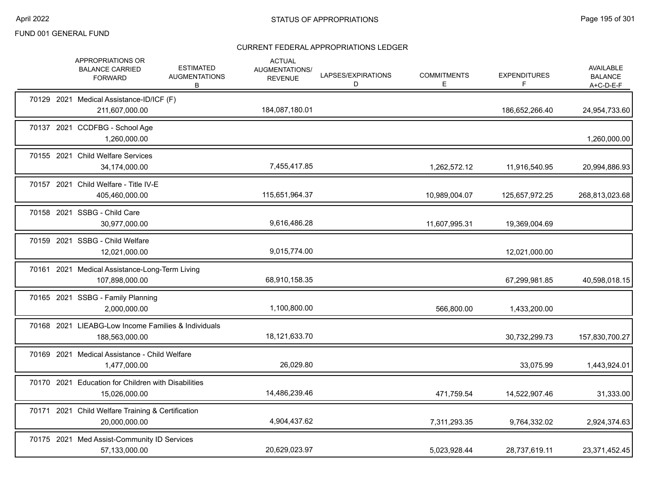|  | <b>APPROPRIATIONS OR</b><br><b>BALANCE CARRIED</b><br><b>FORWARD</b>  | <b>ESTIMATED</b><br><b>AUGMENTATIONS</b><br>B | <b>ACTUAL</b><br><b>AUGMENTATIONS/</b><br><b>REVENUE</b> | LAPSES/EXPIRATIONS<br>D | <b>COMMITMENTS</b><br>Е. | <b>EXPENDITURES</b><br>F | <b>AVAILABLE</b><br><b>BALANCE</b><br>A+C-D-E-F |
|--|-----------------------------------------------------------------------|-----------------------------------------------|----------------------------------------------------------|-------------------------|--------------------------|--------------------------|-------------------------------------------------|
|  | 70129 2021 Medical Assistance-ID/ICF (F)<br>211,607,000.00            |                                               | 184,087,180.01                                           |                         |                          | 186,652,266.40           | 24,954,733.60                                   |
|  | 70137 2021 CCDFBG - School Age<br>1,260,000.00                        |                                               |                                                          |                         |                          |                          | 1,260,000.00                                    |
|  | 70155 2021 Child Welfare Services<br>34,174,000.00                    |                                               | 7,455,417.85                                             |                         | 1,262,572.12             | 11,916,540.95            | 20,994,886.93                                   |
|  | 70157 2021 Child Welfare - Title IV-E<br>405,460,000.00               |                                               | 115,651,964.37                                           |                         | 10,989,004.07            | 125,657,972.25           | 268,813,023.68                                  |
|  | 70158 2021 SSBG - Child Care<br>30,977,000.00                         |                                               | 9,616,486.28                                             |                         | 11,607,995.31            | 19,369,004.69            |                                                 |
|  | 70159 2021 SSBG - Child Welfare<br>12,021,000.00                      |                                               | 9,015,774.00                                             |                         |                          | 12,021,000.00            |                                                 |
|  | 70161 2021 Medical Assistance-Long-Term Living<br>107,898,000.00      |                                               | 68,910,158.35                                            |                         |                          | 67,299,981.85            | 40,598,018.15                                   |
|  | 70165 2021 SSBG - Family Planning<br>2,000,000.00                     |                                               | 1,100,800.00                                             |                         | 566,800.00               | 1,433,200.00             |                                                 |
|  | 70168 2021 LIEABG-Low Income Families & Individuals<br>188,563,000.00 |                                               | 18,121,633.70                                            |                         |                          | 30,732,299.73            | 157,830,700.27                                  |
|  | 70169 2021 Medical Assistance - Child Welfare<br>1,477,000.00         |                                               | 26,029.80                                                |                         |                          | 33,075.99                | 1,443,924.01                                    |
|  | 70170 2021 Education for Children with Disabilities<br>15,026,000.00  |                                               | 14,486,239.46                                            |                         | 471,759.54               | 14,522,907.46            | 31,333.00                                       |
|  | 70171 2021 Child Welfare Training & Certification<br>20,000,000.00    |                                               | 4,904,437.62                                             |                         | 7,311,293.35             | 9,764,332.02             | 2,924,374.63                                    |
|  | 70175 2021 Med Assist-Community ID Services<br>57,133,000.00          |                                               | 20,629,023.97                                            |                         | 5,023,928.44             | 28,737,619.11            | 23,371,452.45                                   |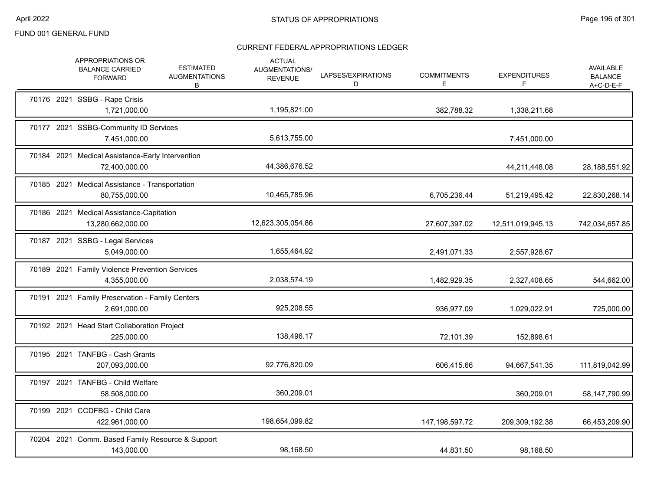|  | APPROPRIATIONS OR<br><b>BALANCE CARRIED</b><br><b>FORWARD</b>     | <b>ESTIMATED</b><br><b>AUGMENTATIONS</b><br>B | <b>ACTUAL</b><br>AUGMENTATIONS/<br><b>REVENUE</b> | LAPSES/EXPIRATIONS<br>D | <b>COMMITMENTS</b><br>E. | <b>EXPENDITURES</b><br>F | AVAILABLE<br><b>BALANCE</b><br>$A+C-D-E-F$ |
|--|-------------------------------------------------------------------|-----------------------------------------------|---------------------------------------------------|-------------------------|--------------------------|--------------------------|--------------------------------------------|
|  | 70176 2021 SSBG - Rape Crisis<br>1,721,000.00                     |                                               | 1,195,821.00                                      |                         | 382,788.32               | 1,338,211.68             |                                            |
|  | 70177 2021 SSBG-Community ID Services<br>7,451,000.00             |                                               | 5,613,755.00                                      |                         |                          | 7,451,000.00             |                                            |
|  | 70184 2021 Medical Assistance-Early Intervention<br>72,400,000.00 |                                               | 44,386,676.52                                     |                         |                          | 44,211,448.08            | 28,188,551.92                              |
|  | 70185 2021 Medical Assistance - Transportation<br>80,755,000.00   |                                               | 10,465,785.96                                     |                         | 6,705,236.44             | 51,219,495.42            | 22,830,268.14                              |
|  | 70186 2021 Medical Assistance-Capitation<br>13,280,662,000.00     |                                               | 12,623,305,054.86                                 |                         | 27,607,397.02            | 12,511,019,945.13        | 742,034,657.85                             |
|  | 70187 2021 SSBG - Legal Services<br>5,049,000.00                  |                                               | 1,655,464.92                                      |                         | 2,491,071.33             | 2,557,928.67             |                                            |
|  | 70189 2021 Family Violence Prevention Services<br>4,355,000.00    |                                               | 2,038,574.19                                      |                         | 1,482,929.35             | 2,327,408.65             | 544,662.00                                 |
|  | 70191 2021 Family Preservation - Family Centers<br>2,691,000.00   |                                               | 925,208.55                                        |                         | 936,977.09               | 1,029,022.91             | 725,000.00                                 |
|  | 70192 2021 Head Start Collaboration Project<br>225,000.00         |                                               | 138,496.17                                        |                         | 72,101.39                | 152,898.61               |                                            |
|  | 70195 2021 TANFBG - Cash Grants<br>207,093,000.00                 |                                               | 92,776,820.09                                     |                         | 606,415.66               | 94,667,541.35            | 111,819,042.99                             |
|  | 70197 2021 TANFBG - Child Welfare<br>58,508,000.00                |                                               | 360,209.01                                        |                         |                          | 360,209.01               | 58,147,790.99                              |
|  | 70199 2021 CCDFBG - Child Care<br>422,961,000.00                  |                                               | 198,654,099.82                                    |                         | 147, 198, 597. 72        | 209,309,192.38           | 66,453,209.90                              |
|  | 70204 2021 Comm. Based Family Resource & Support<br>143,000.00    |                                               | 98,168.50                                         |                         | 44,831.50                | 98,168.50                |                                            |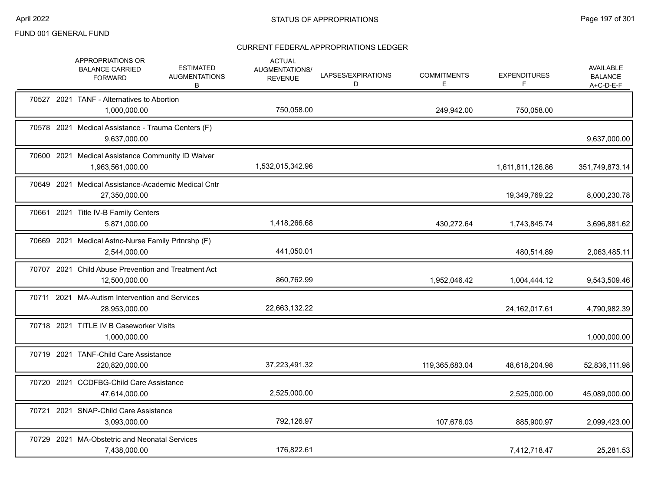|       | APPROPRIATIONS OR<br><b>BALANCE CARRIED</b><br><b>FORWARD</b>         | <b>ESTIMATED</b><br><b>AUGMENTATIONS</b><br>B | <b>ACTUAL</b><br>AUGMENTATIONS/<br><b>REVENUE</b> | LAPSES/EXPIRATIONS<br>D | <b>COMMITMENTS</b><br>E. | <b>EXPENDITURES</b><br>F | AVAILABLE<br><b>BALANCE</b><br>$A+C-D-E-F$ |
|-------|-----------------------------------------------------------------------|-----------------------------------------------|---------------------------------------------------|-------------------------|--------------------------|--------------------------|--------------------------------------------|
|       | 70527 2021 TANF - Alternatives to Abortion<br>1,000,000.00            |                                               | 750,058.00                                        |                         | 249,942.00               | 750,058.00               |                                            |
|       | 70578 2021 Medical Assistance - Trauma Centers (F)<br>9,637,000.00    |                                               |                                                   |                         |                          |                          | 9,637,000.00                               |
|       | 70600 2021 Medical Assistance Community ID Waiver<br>1,963,561,000.00 |                                               | 1,532,015,342.96                                  |                         |                          | 1,611,811,126.86         | 351,749,873.14                             |
|       | 70649 2021 Medical Assistance-Academic Medical Cntr<br>27,350,000.00  |                                               |                                                   |                         |                          | 19,349,769.22            | 8,000,230.78                               |
|       | 70661 2021 Title IV-B Family Centers<br>5,871,000.00                  |                                               | 1,418,266.68                                      |                         | 430,272.64               | 1,743,845.74             | 3,696,881.62                               |
|       | 70669 2021 Medical Astnc-Nurse Family Prtnrshp (F)<br>2,544,000.00    |                                               | 441,050.01                                        |                         |                          | 480,514.89               | 2,063,485.11                               |
|       | 70707 2021 Child Abuse Prevention and Treatment Act<br>12,500,000.00  |                                               | 860,762.99                                        |                         | 1,952,046.42             | 1,004,444.12             | 9,543,509.46                               |
|       | 70711 2021 MA-Autism Intervention and Services<br>28,953,000.00       |                                               | 22,663,132.22                                     |                         |                          | 24,162,017.61            | 4,790,982.39                               |
|       | 70718 2021 TITLE IV B Caseworker Visits<br>1,000,000.00               |                                               |                                                   |                         |                          |                          | 1,000,000.00                               |
|       | 70719 2021 TANF-Child Care Assistance<br>220,820,000.00               |                                               | 37,223,491.32                                     |                         | 119,365,683.04           | 48,618,204.98            | 52,836,111.98                              |
|       | 70720 2021 CCDFBG-Child Care Assistance<br>47,614,000.00              |                                               | 2,525,000.00                                      |                         |                          | 2,525,000.00             | 45,089,000.00                              |
| 70721 | 2021 SNAP-Child Care Assistance<br>3,093,000.00                       |                                               | 792,126.97                                        |                         | 107,676.03               | 885,900.97               | 2,099,423.00                               |
|       | 70729 2021 MA-Obstetric and Neonatal Services<br>7,438,000.00         |                                               | 176,822.61                                        |                         |                          | 7,412,718.47             | 25,281.53                                  |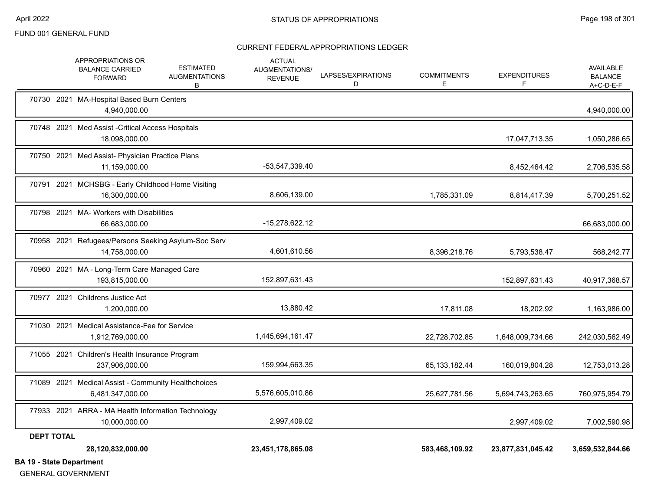#### CURRENT FEDERAL APPROPRIATIONS LEDGER

| <b>DA 40. Cinin Donominical</b> | 28,120,832,000.00                                                                                              | 23,451,178,865.08                                 |                         | 583,468,109.92          | 23,877,831,045.42        | 3,659,532,844.66                         |
|---------------------------------|----------------------------------------------------------------------------------------------------------------|---------------------------------------------------|-------------------------|-------------------------|--------------------------|------------------------------------------|
| <b>DEPT TOTAL</b>               |                                                                                                                |                                                   |                         |                         |                          |                                          |
|                                 | 77933 2021 ARRA - MA Health Information Technology<br>10,000,000.00                                            | 2,997,409.02                                      |                         |                         | 2,997,409.02             | 7,002,590.98                             |
|                                 | 71089 2021 Medical Assist - Community Healthchoices<br>6,481,347,000.00                                        | 5,576,605,010.86                                  |                         | 25,627,781.56           | 5,694,743,263.65         | 760,975,954.79                           |
|                                 | 71055 2021 Children's Health Insurance Program<br>237,906,000.00                                               | 159,994,663.35                                    |                         | 65,133,182.44           | 160,019,804.28           | 12,753,013.28                            |
|                                 | 71030 2021 Medical Assistance-Fee for Service<br>1,912,769,000.00                                              | 1,445,694,161.47                                  |                         | 22,728,702.85           | 1,648,009,734.66         | 242,030,562.49                           |
|                                 | 70977 2021 Childrens Justice Act<br>1,200,000.00                                                               | 13,880.42                                         |                         | 17,811.08               | 18,202.92                | 1,163,986.00                             |
|                                 | 70960 2021 MA - Long-Term Care Managed Care<br>193,815,000.00                                                  | 152,897,631.43                                    |                         |                         | 152,897,631.43           | 40,917,368.57                            |
|                                 | 70958 2021 Refugees/Persons Seeking Asylum-Soc Serv<br>14,758,000.00                                           | 4,601,610.56                                      |                         | 8,396,218.76            | 5,793,538.47             | 568,242.77                               |
|                                 | 70798 2021 MA- Workers with Disabilities<br>66,683,000.00                                                      | -15,278,622.12                                    |                         |                         |                          | 66,683,000.00                            |
|                                 | 70791 2021 MCHSBG - Early Childhood Home Visiting<br>16,300,000.00                                             | 8,606,139.00                                      |                         | 1,785,331.09            | 8,814,417.39             | 5,700,251.52                             |
|                                 | 70750 2021 Med Assist- Physician Practice Plans<br>11,159,000.00                                               | -53,547,339.40                                    |                         |                         | 8,452,464.42             | 2,706,535.58                             |
|                                 | 70748 2021 Med Assist - Critical Access Hospitals<br>18,098,000.00                                             |                                                   |                         |                         | 17,047,713.35            | 1,050,286.65                             |
|                                 | 70730 2021 MA-Hospital Based Burn Centers<br>4,940,000.00                                                      |                                                   |                         |                         |                          | 4,940,000.00                             |
|                                 | APPROPRIATIONS OR<br><b>ESTIMATED</b><br><b>BALANCE CARRIED</b><br><b>AUGMENTATIONS</b><br><b>FORWARD</b><br>В | <b>ACTUAL</b><br>AUGMENTATIONS/<br><b>REVENUE</b> | LAPSES/EXPIRATIONS<br>D | <b>COMMITMENTS</b><br>Е | <b>EXPENDITURES</b><br>F | AVAILABLE<br><b>BALANCE</b><br>A+C-D-E-F |

**BA 19 - State Department**

GENERAL GOVERNMENT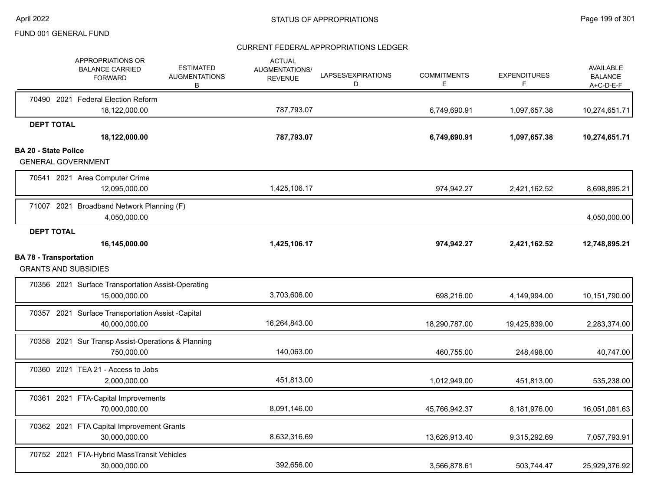|                               |                   | APPROPRIATIONS OR<br><b>BALANCE CARRIED</b><br><b>FORWARD</b>       | <b>ESTIMATED</b><br><b>AUGMENTATIONS</b><br>В | <b>ACTUAL</b><br><b>AUGMENTATIONS/</b><br><b>REVENUE</b> | LAPSES/EXPIRATIONS<br>D | <b>COMMITMENTS</b><br>E | <b>EXPENDITURES</b><br>F | AVAILABLE<br><b>BALANCE</b><br>$A+C-D-E-F$ |
|-------------------------------|-------------------|---------------------------------------------------------------------|-----------------------------------------------|----------------------------------------------------------|-------------------------|-------------------------|--------------------------|--------------------------------------------|
|                               |                   | 70490 2021 Federal Election Reform                                  |                                               |                                                          |                         |                         |                          |                                            |
|                               | <b>DEPT TOTAL</b> | 18,122,000.00                                                       |                                               | 787.793.07                                               |                         | 6,749,690.91            | 1,097,657.38             | 10,274,651.71                              |
|                               |                   | 18,122,000.00                                                       |                                               | 787,793.07                                               |                         | 6,749,690.91            | 1,097,657.38             | 10,274,651.71                              |
| <b>BA 20 - State Police</b>   |                   |                                                                     |                                               |                                                          |                         |                         |                          |                                            |
|                               |                   | <b>GENERAL GOVERNMENT</b>                                           |                                               |                                                          |                         |                         |                          |                                            |
|                               |                   | 70541 2021 Area Computer Crime<br>12,095,000.00                     |                                               | 1,425,106.17                                             |                         | 974,942.27              | 2,421,162.52             | 8,698,895.21                               |
|                               |                   | 71007 2021 Broadband Network Planning (F)<br>4,050,000.00           |                                               |                                                          |                         |                         |                          | 4,050,000.00                               |
|                               | <b>DEPT TOTAL</b> |                                                                     |                                               |                                                          |                         |                         |                          |                                            |
|                               |                   | 16,145,000.00                                                       |                                               | 1,425,106.17                                             |                         | 974,942.27              | 2,421,162.52             | 12,748,895.21                              |
| <b>BA 78 - Transportation</b> |                   | <b>GRANTS AND SUBSIDIES</b>                                         |                                               |                                                          |                         |                         |                          |                                            |
|                               |                   | 70356 2021 Surface Transportation Assist-Operating<br>15,000,000.00 |                                               | 3,703,606.00                                             |                         | 698,216.00              | 4,149,994.00             | 10,151,790.00                              |
|                               |                   | 70357 2021 Surface Transportation Assist -Capital<br>40,000,000.00  |                                               | 16,264,843.00                                            |                         | 18,290,787.00           | 19,425,839.00            | 2,283,374.00                               |
|                               |                   | 70358 2021 Sur Transp Assist-Operations & Planning<br>750,000.00    |                                               | 140,063.00                                               |                         | 460,755.00              | 248,498.00               | 40,747.00                                  |
|                               |                   | 70360 2021 TEA 21 - Access to Jobs<br>2,000,000.00                  |                                               | 451,813.00                                               |                         | 1,012,949.00            | 451,813.00               | 535,238.00                                 |
|                               |                   | 70361 2021 FTA-Capital Improvements<br>70,000,000.00                |                                               | 8,091,146.00                                             |                         | 45,766,942.37           | 8,181,976.00             | 16,051,081.63                              |
|                               |                   | 70362 2021 FTA Capital Improvement Grants<br>30,000,000.00          |                                               | 8,632,316.69                                             |                         | 13,626,913.40           | 9,315,292.69             | 7,057,793.91                               |
|                               |                   | 70752 2021 FTA-Hybrid MassTransit Vehicles<br>30,000,000.00         |                                               | 392,656.00                                               |                         | 3,566,878.61            | 503,744.47               | 25,929,376.92                              |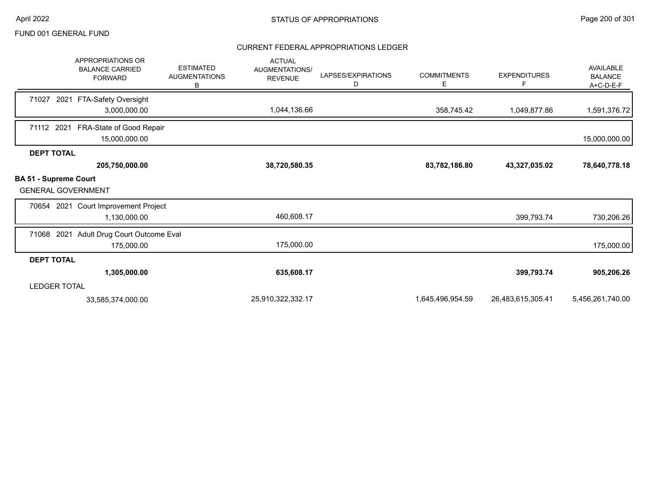|                                                           | <b>APPROPRIATIONS OR</b><br><b>BALANCE CARRIED</b><br><b>FORWARD</b> | <b>ESTIMATED</b><br><b>AUGMENTATIONS</b><br>В | <b>ACTUAL</b><br>AUGMENTATIONS/<br><b>REVENUE</b> | LAPSES/EXPIRATIONS<br>D | <b>COMMITMENTS</b><br>Е | <b>EXPENDITURES</b> | AVAILABLE<br><b>BALANCE</b><br>A+C-D-E-F |
|-----------------------------------------------------------|----------------------------------------------------------------------|-----------------------------------------------|---------------------------------------------------|-------------------------|-------------------------|---------------------|------------------------------------------|
| 71027                                                     | 2021 FTA-Safety Oversight                                            |                                               |                                                   |                         |                         |                     |                                          |
|                                                           | 3,000,000.00                                                         |                                               | 1,044,136.66                                      |                         | 358,745.42              | 1,049,877.86        | 1,591,376.72                             |
| 71112 2021                                                | FRA-State of Good Repair<br>15,000,000.00                            |                                               |                                                   |                         |                         |                     | 15,000,000.00                            |
| <b>DEPT TOTAL</b>                                         |                                                                      |                                               |                                                   |                         |                         |                     |                                          |
|                                                           | 205,750,000.00                                                       |                                               | 38,720,580.35                                     |                         | 83,782,186.80           | 43,327,035.02       | 78,640,778.18                            |
| <b>BA 51 - Supreme Court</b><br><b>GENERAL GOVERNMENT</b> |                                                                      |                                               |                                                   |                         |                         |                     |                                          |
|                                                           | 70654 2021 Court Improvement Project<br>1,130,000.00                 |                                               | 460,608.17                                        |                         |                         | 399,793.74          | 730,206.26                               |
|                                                           |                                                                      |                                               |                                                   |                         |                         |                     |                                          |
| 71068 2021                                                | Adult Drug Court Outcome Eval                                        |                                               |                                                   |                         |                         |                     |                                          |
|                                                           | 175,000.00                                                           |                                               | 175,000.00                                        |                         |                         |                     | 175,000.00                               |
| <b>DEPT TOTAL</b>                                         |                                                                      |                                               |                                                   |                         |                         |                     |                                          |
|                                                           | 1,305,000.00                                                         |                                               | 635,608.17                                        |                         |                         | 399,793.74          | 905,206.26                               |
| <b>LEDGER TOTAL</b>                                       |                                                                      |                                               |                                                   |                         |                         |                     |                                          |
|                                                           | 33,585,374,000.00                                                    |                                               | 25,910,322,332.17                                 |                         | 1,645,496,954.59        | 26,483,615,305.41   | 5,456,261,740.00                         |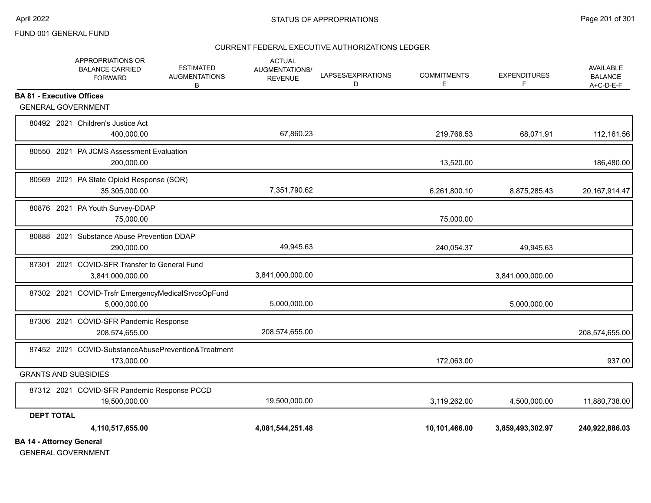#### CURRENT FEDERAL EXECUTIVE AUTHORIZATIONS LEDGER

|                                                               | <b>APPROPRIATIONS OR</b><br><b>ESTIMATED</b><br><b>BALANCE CARRIED</b><br><b>AUGMENTATIONS</b><br><b>FORWARD</b><br>B | <b>ACTUAL</b><br><b>AUGMENTATIONS/</b><br><b>REVENUE</b> | LAPSES/EXPIRATIONS<br>D | <b>COMMITMENTS</b><br>E | <b>EXPENDITURES</b><br>F | <b>AVAILABLE</b><br><b>BALANCE</b><br>$A+C-D-E-F$ |
|---------------------------------------------------------------|-----------------------------------------------------------------------------------------------------------------------|----------------------------------------------------------|-------------------------|-------------------------|--------------------------|---------------------------------------------------|
| <b>BA 81 - Executive Offices</b><br><b>GENERAL GOVERNMENT</b> |                                                                                                                       |                                                          |                         |                         |                          |                                                   |
|                                                               | 80492 2021 Children's Justice Act<br>400,000.00                                                                       | 67,860.23                                                |                         | 219,766.53              | 68,071.91                | 112,161.56                                        |
|                                                               | 80550 2021 PA JCMS Assessment Evaluation<br>200,000.00                                                                |                                                          |                         | 13,520.00               |                          | 186,480.00                                        |
|                                                               | 80569 2021 PA State Opioid Response (SOR)<br>35,305,000.00                                                            | 7,351,790.62                                             |                         | 6,261,800.10            | 8,875,285.43             | 20, 167, 914. 47                                  |
|                                                               | 80876 2021 PA Youth Survey-DDAP<br>75,000.00                                                                          |                                                          |                         | 75,000.00               |                          |                                                   |
|                                                               | 80888 2021 Substance Abuse Prevention DDAP<br>290,000.00                                                              | 49,945.63                                                |                         | 240,054.37              | 49,945.63                |                                                   |
|                                                               | 87301 2021 COVID-SFR Transfer to General Fund<br>3,841,000,000.00                                                     | 3,841,000,000.00                                         |                         |                         | 3,841,000,000.00         |                                                   |
|                                                               | 87302 2021 COVID-Trsfr EmergencyMedicalSrvcsOpFund<br>5,000,000.00                                                    | 5,000,000.00                                             |                         |                         | 5,000,000.00             |                                                   |
|                                                               | 87306 2021 COVID-SFR Pandemic Response<br>208,574,655.00                                                              | 208,574,655.00                                           |                         |                         |                          | 208,574,655.00                                    |
|                                                               | 87452 2021 COVID-SubstanceAbusePrevention&Treatment<br>173,000.00                                                     |                                                          |                         | 172,063.00              |                          | 937.00                                            |
| <b>GRANTS AND SUBSIDIES</b>                                   |                                                                                                                       |                                                          |                         |                         |                          |                                                   |
|                                                               | 87312 2021 COVID-SFR Pandemic Response PCCD<br>19,500,000.00                                                          | 19,500,000.00                                            |                         | 3,119,262.00            | 4,500,000.00             | 11,880,738.00                                     |
| <b>DEPT TOTAL</b>                                             |                                                                                                                       |                                                          |                         |                         |                          |                                                   |
| <b>BA 14 - Attorney General</b>                               | 4,110,517,655.00                                                                                                      | 4,081,544,251.48                                         |                         | 10,101,466.00           | 3,859,493,302.97         | 240,922,886.03                                    |

GENERAL GOVERNMENT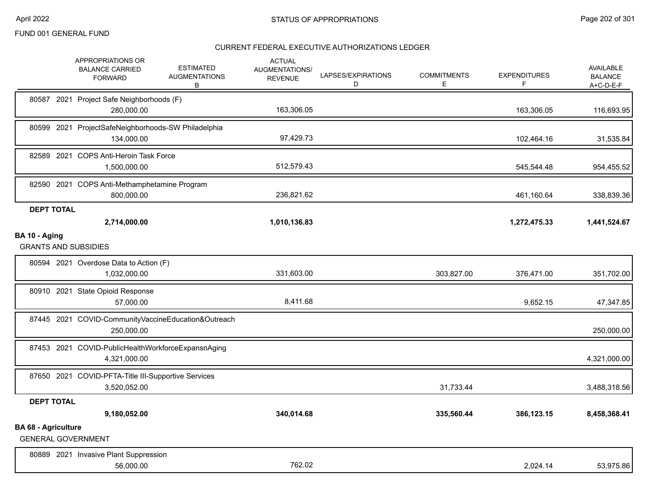|                            | APPROPRIATIONS OR<br><b>ESTIMATED</b><br><b>BALANCE CARRIED</b><br><b>AUGMENTATIONS</b><br><b>FORWARD</b><br>В | <b>ACTUAL</b><br>AUGMENTATIONS/<br><b>REVENUE</b> | LAPSES/EXPIRATIONS<br>D | <b>COMMITMENTS</b><br>Е | <b>EXPENDITURES</b><br>F | <b>AVAILABLE</b><br><b>BALANCE</b><br>$A+C-D-E-F$ |
|----------------------------|----------------------------------------------------------------------------------------------------------------|---------------------------------------------------|-------------------------|-------------------------|--------------------------|---------------------------------------------------|
|                            | 80587 2021 Project Safe Neighborhoods (F)<br>280,000.00                                                        | 163,306.05                                        |                         |                         | 163,306.05               | 116,693.95                                        |
|                            | 80599 2021 ProjectSafeNeighborhoods-SW Philadelphia<br>134,000.00                                              | 97,429.73                                         |                         |                         | 102,464.16               | 31,535.84                                         |
|                            | 82589 2021 COPS Anti-Heroin Task Force<br>1,500,000.00                                                         | 512,579.43                                        |                         |                         | 545,544.48               | 954,455.52                                        |
|                            | 82590 2021 COPS Anti-Methamphetamine Program<br>800,000.00                                                     | 236,821.62                                        |                         |                         | 461,160.64               | 338,839.36                                        |
| <b>DEPT TOTAL</b>          | 2,714,000.00                                                                                                   | 1,010,136.83                                      |                         |                         | 1,272,475.33             | 1,441,524.67                                      |
| BA 10 - Aging              | <b>GRANTS AND SUBSIDIES</b>                                                                                    |                                                   |                         |                         |                          |                                                   |
|                            | 80594 2021 Overdose Data to Action (F)<br>1,032,000.00                                                         | 331,603.00                                        |                         | 303,827.00              | 376,471.00               | 351,702.00                                        |
|                            | 80910 2021 State Opioid Response<br>57,000.00                                                                  | 8,411.68                                          |                         |                         | 9,652.15                 | 47,347.85                                         |
|                            | 87445 2021 COVID-CommunityVaccineEducation&Outreach<br>250,000.00                                              |                                                   |                         |                         |                          | 250,000.00                                        |
|                            | 87453 2021 COVID-PublicHealthWorkforceExpansnAging<br>4,321,000.00                                             |                                                   |                         |                         |                          | 4,321,000.00                                      |
|                            | 87650 2021 COVID-PFTA-Title III-Supportive Services<br>3,520,052.00                                            |                                                   |                         | 31,733.44               |                          | 3,488,318.56                                      |
| <b>DEPT TOTAL</b>          |                                                                                                                |                                                   |                         |                         |                          |                                                   |
|                            | 9,180,052.00                                                                                                   | 340,014.68                                        |                         | 335,560.44              | 386,123.15               | 8,458,368.41                                      |
| <b>BA 68 - Agriculture</b> | <b>GENERAL GOVERNMENT</b>                                                                                      |                                                   |                         |                         |                          |                                                   |
|                            | 80889 2021 Invasive Plant Suppression<br>56,000.00                                                             | 762.02                                            |                         |                         | 2,024.14                 | 53,975.86                                         |
|                            |                                                                                                                |                                                   |                         |                         |                          |                                                   |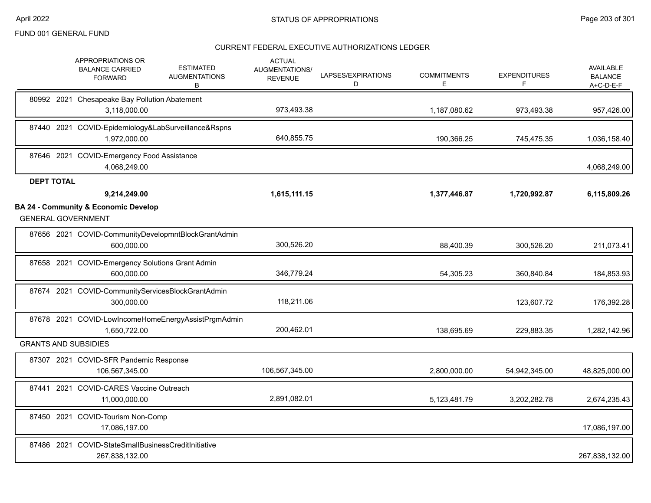|                   | APPROPRIATIONS OR<br><b>ESTIMATED</b><br><b>BALANCE CARRIED</b><br><b>AUGMENTATIONS</b><br><b>FORWARD</b><br>В | <b>ACTUAL</b><br>AUGMENTATIONS/<br><b>REVENUE</b> | LAPSES/EXPIRATIONS<br>D | <b>COMMITMENTS</b><br>Е | <b>EXPENDITURES</b><br>F | <b>AVAILABLE</b><br><b>BALANCE</b><br>$A+C-D-E-F$ |
|-------------------|----------------------------------------------------------------------------------------------------------------|---------------------------------------------------|-------------------------|-------------------------|--------------------------|---------------------------------------------------|
|                   | 80992 2021 Chesapeake Bay Pollution Abatement<br>3,118,000.00                                                  | 973,493.38                                        |                         | 1,187,080.62            | 973,493.38               | 957,426.00                                        |
|                   | 87440 2021 COVID-Epidemiology&LabSurveillance&Rspns<br>1,972,000.00                                            | 640,855.75                                        |                         | 190,366.25              | 745,475.35               | 1,036,158.40                                      |
|                   | 87646 2021 COVID-Emergency Food Assistance<br>4,068,249.00                                                     |                                                   |                         |                         |                          | 4,068,249.00                                      |
| <b>DEPT TOTAL</b> |                                                                                                                |                                                   |                         |                         |                          |                                                   |
|                   | 9,214,249.00                                                                                                   | 1,615,111.15                                      |                         | 1,377,446.87            | 1,720,992.87             | 6,115,809.26                                      |
|                   | <b>BA 24 - Community &amp; Economic Develop</b><br><b>GENERAL GOVERNMENT</b>                                   |                                                   |                         |                         |                          |                                                   |
|                   | 87656 2021 COVID-CommunityDevelopmntBlockGrantAdmin<br>600,000.00                                              | 300,526.20                                        |                         | 88,400.39               | 300,526.20               | 211,073.41                                        |
|                   | 87658 2021 COVID-Emergency Solutions Grant Admin<br>600,000.00                                                 | 346,779.24                                        |                         | 54,305.23               | 360,840.84               | 184,853.93                                        |
|                   | 87674 2021 COVID-CommunityServicesBlockGrantAdmin<br>300,000.00                                                | 118,211.06                                        |                         |                         | 123,607.72               | 176,392.28                                        |
|                   | 87678 2021 COVID-LowIncomeHomeEnergyAssistPrgmAdmin<br>1,650,722.00                                            | 200,462.01                                        |                         | 138,695.69              | 229,883.35               | 1,282,142.96                                      |
|                   | <b>GRANTS AND SUBSIDIES</b>                                                                                    |                                                   |                         |                         |                          |                                                   |
|                   | 87307 2021 COVID-SFR Pandemic Response<br>106,567,345.00                                                       | 106,567,345.00                                    |                         | 2,800,000.00            | 54,942,345.00            | 48,825,000.00                                     |
|                   | 87441 2021 COVID-CARES Vaccine Outreach<br>11,000,000.00                                                       | 2,891,082.01                                      |                         | 5,123,481.79            | 3,202,282.78             | 2,674,235.43                                      |
|                   | 87450 2021 COVID-Tourism Non-Comp<br>17,086,197.00                                                             |                                                   |                         |                         |                          | 17,086,197.00                                     |
|                   | 87486 2021 COVID-StateSmallBusinessCreditInitiative<br>267,838,132.00                                          |                                                   |                         |                         |                          | 267,838,132.00                                    |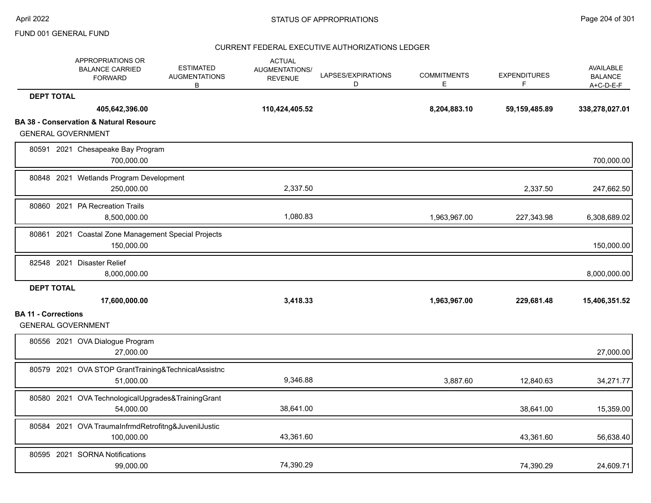|                            | APPROPRIATIONS OR<br><b>BALANCE CARRIED</b><br><b>FORWARD</b>     | <b>ESTIMATED</b><br><b>AUGMENTATIONS</b><br>В | <b>ACTUAL</b><br><b>AUGMENTATIONS/</b><br><b>REVENUE</b> | LAPSES/EXPIRATIONS<br>D | <b>COMMITMENTS</b><br>E | <b>EXPENDITURES</b><br>F | <b>AVAILABLE</b><br><b>BALANCE</b><br>$A+C-D-E-F$ |
|----------------------------|-------------------------------------------------------------------|-----------------------------------------------|----------------------------------------------------------|-------------------------|-------------------------|--------------------------|---------------------------------------------------|
| <b>DEPT TOTAL</b>          |                                                                   |                                               |                                                          |                         |                         |                          |                                                   |
|                            | 405,642,396.00                                                    |                                               | 110,424,405.52                                           |                         | 8,204,883.10            | 59, 159, 485.89          | 338,278,027.01                                    |
|                            | <b>BA 38 - Conservation &amp; Natural Resourc</b>                 |                                               |                                                          |                         |                         |                          |                                                   |
|                            | <b>GENERAL GOVERNMENT</b>                                         |                                               |                                                          |                         |                         |                          |                                                   |
|                            | 80591 2021 Chesapeake Bay Program<br>700,000.00                   |                                               |                                                          |                         |                         |                          | 700,000.00                                        |
|                            | 80848 2021 Wetlands Program Development<br>250,000.00             |                                               | 2,337.50                                                 |                         |                         | 2,337.50                 | 247,662.50                                        |
|                            | 80860 2021 PA Recreation Trails<br>8,500,000.00                   |                                               | 1,080.83                                                 |                         | 1,963,967.00            | 227,343.98               | 6,308,689.02                                      |
|                            | 80861 2021 Coastal Zone Management Special Projects<br>150,000.00 |                                               |                                                          |                         |                         |                          | 150,000.00                                        |
|                            | 82548 2021 Disaster Relief<br>8,000,000.00                        |                                               |                                                          |                         |                         |                          | 8,000,000.00                                      |
| <b>DEPT TOTAL</b>          | 17,600,000.00                                                     |                                               | 3,418.33                                                 |                         | 1,963,967.00            | 229,681.48               | 15,406,351.52                                     |
| <b>BA 11 - Corrections</b> |                                                                   |                                               |                                                          |                         |                         |                          |                                                   |
|                            | <b>GENERAL GOVERNMENT</b>                                         |                                               |                                                          |                         |                         |                          |                                                   |
|                            | 80556 2021 OVA Dialogue Program<br>27,000.00                      |                                               |                                                          |                         |                         |                          | 27,000.00                                         |
|                            | 80579 2021 OVA STOP GrantTraining&TechnicalAssistnc<br>51,000.00  |                                               | 9,346.88                                                 |                         | 3,887.60                | 12,840.63                | 34,271.77                                         |
|                            | 80580 2021 OVA TechnologicalUpgrades&TrainingGrant<br>54,000.00   |                                               | 38,641.00                                                |                         |                         | 38,641.00                | 15,359.00                                         |
|                            | 80584 2021 OVA TraumaInfrmdRetrofitng&JuvenilJustic<br>100,000.00 |                                               | 43,361.60                                                |                         |                         | 43,361.60                | 56,638.40                                         |
|                            | 80595 2021 SORNA Notifications<br>99,000.00                       |                                               | 74,390.29                                                |                         |                         | 74,390.29                | 24,609.71                                         |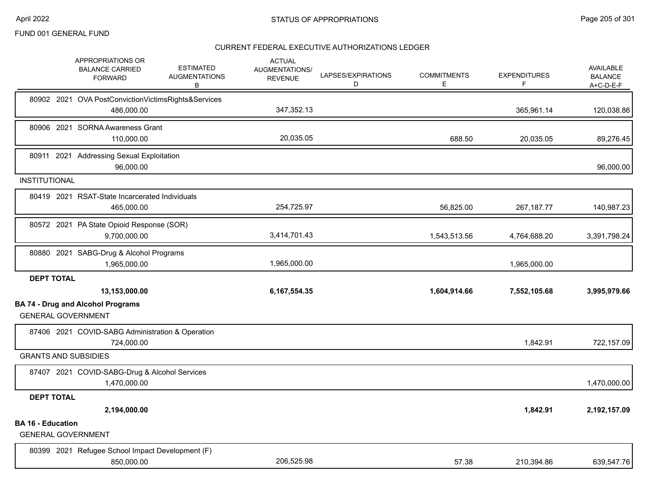|                                                       | APPROPRIATIONS OR<br><b>BALANCE CARRIED</b><br><b>FORWARD</b>     | <b>ESTIMATED</b><br><b>AUGMENTATIONS</b><br>В | <b>ACTUAL</b><br><b>AUGMENTATIONS/</b><br><b>REVENUE</b> | LAPSES/EXPIRATIONS<br>D | <b>COMMITMENTS</b><br>Е | <b>EXPENDITURES</b><br>F. | <b>AVAILABLE</b><br><b>BALANCE</b><br>$A+C-D-E-F$ |
|-------------------------------------------------------|-------------------------------------------------------------------|-----------------------------------------------|----------------------------------------------------------|-------------------------|-------------------------|---------------------------|---------------------------------------------------|
|                                                       | 80902 2021 OVA PostConvictionVictimsRights&Services<br>486,000.00 |                                               | 347,352.13                                               |                         |                         | 365,961.14                | 120,038.86                                        |
|                                                       | 80906 2021 SORNA Awareness Grant<br>110,000.00                    |                                               | 20,035.05                                                |                         | 688.50                  | 20,035.05                 | 89,276.45                                         |
|                                                       | 80911 2021 Addressing Sexual Exploitation<br>96,000.00            |                                               |                                                          |                         |                         |                           | 96,000.00                                         |
| <b>INSTITUTIONAL</b>                                  |                                                                   |                                               |                                                          |                         |                         |                           |                                                   |
|                                                       | 80419 2021 RSAT-State Incarcerated Individuals<br>465,000.00      |                                               | 254,725.97                                               |                         | 56,825.00               | 267, 187. 77              | 140,987.23                                        |
|                                                       | 80572 2021 PA State Opioid Response (SOR)<br>9,700,000.00         |                                               | 3,414,701.43                                             |                         | 1,543,513.56            | 4,764,688.20              | 3,391,798.24                                      |
|                                                       | 80880 2021 SABG-Drug & Alcohol Programs<br>1,965,000.00           |                                               | 1,965,000.00                                             |                         |                         | 1,965,000.00              |                                                   |
| <b>DEPT TOTAL</b>                                     |                                                                   |                                               |                                                          |                         |                         |                           |                                                   |
|                                                       | 13,153,000.00                                                     |                                               | 6,167,554.35                                             |                         | 1,604,914.66            | 7,552,105.68              | 3,995,979.66                                      |
| <b>GENERAL GOVERNMENT</b>                             | <b>BA 74 - Drug and Alcohol Programs</b>                          |                                               |                                                          |                         |                         |                           |                                                   |
|                                                       | 87406 2021 COVID-SABG Administration & Operation<br>724,000.00    |                                               |                                                          |                         |                         | 1,842.91                  | 722,157.09                                        |
| <b>GRANTS AND SUBSIDIES</b>                           |                                                                   |                                               |                                                          |                         |                         |                           |                                                   |
|                                                       | 87407 2021 COVID-SABG-Drug & Alcohol Services<br>1,470,000.00     |                                               |                                                          |                         |                         |                           | 1,470,000.00                                      |
| <b>DEPT TOTAL</b>                                     |                                                                   |                                               |                                                          |                         |                         |                           |                                                   |
|                                                       | 2,194,000.00                                                      |                                               |                                                          |                         |                         | 1,842.91                  | 2,192,157.09                                      |
| <b>BA 16 - Education</b><br><b>GENERAL GOVERNMENT</b> |                                                                   |                                               |                                                          |                         |                         |                           |                                                   |
|                                                       | 80399 2021 Refugee School Impact Development (F)<br>850,000.00    |                                               | 206.525.98                                               |                         | 57.38                   | 210,394.86                | 639,547.76                                        |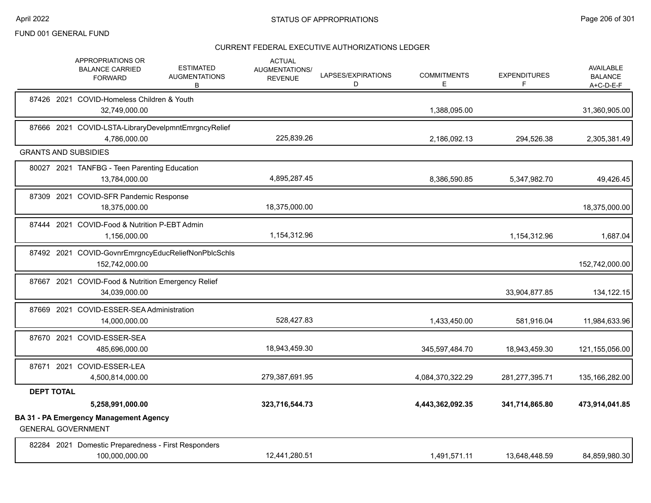|                   | APPROPRIATIONS OR<br><b>BALANCE CARRIED</b><br><b>FORWARD</b>              | <b>ESTIMATED</b><br><b>AUGMENTATIONS</b><br>В | <b>ACTUAL</b><br>AUGMENTATIONS/<br><b>REVENUE</b> | LAPSES/EXPIRATIONS<br>D | <b>COMMITMENTS</b><br>E | <b>EXPENDITURES</b><br>F | <b>AVAILABLE</b><br><b>BALANCE</b><br>$A+C-D-E-F$ |
|-------------------|----------------------------------------------------------------------------|-----------------------------------------------|---------------------------------------------------|-------------------------|-------------------------|--------------------------|---------------------------------------------------|
|                   | 87426 2021 COVID-Homeless Children & Youth<br>32,749,000.00                |                                               |                                                   |                         | 1,388,095.00            |                          | 31,360,905.00                                     |
|                   | 87666 2021 COVID-LSTA-LibraryDevelpmntEmrgncyRelief<br>4,786,000.00        |                                               | 225,839.26                                        |                         | 2,186,092.13            | 294,526.38               | 2,305,381.49                                      |
|                   | <b>GRANTS AND SUBSIDIES</b>                                                |                                               |                                                   |                         |                         |                          |                                                   |
|                   | 80027 2021 TANFBG - Teen Parenting Education<br>13,784,000.00              |                                               | 4,895,287.45                                      |                         | 8,386,590.85            | 5,347,982.70             | 49,426.45                                         |
|                   | 87309 2021 COVID-SFR Pandemic Response<br>18,375,000.00                    |                                               | 18,375,000.00                                     |                         |                         |                          | 18,375,000.00                                     |
|                   | 87444 2021 COVID-Food & Nutrition P-EBT Admin<br>1,156,000.00              |                                               | 1,154,312.96                                      |                         |                         | 1,154,312.96             | 1,687.04                                          |
|                   | 87492 2021 COVID-GovnrEmrgncyEducReliefNonPblcSchls<br>152,742,000.00      |                                               |                                                   |                         |                         |                          | 152,742,000.00                                    |
|                   | 87667 2021 COVID-Food & Nutrition Emergency Relief<br>34,039,000.00        |                                               |                                                   |                         |                         | 33,904,877.85            | 134,122.15                                        |
|                   | 87669 2021 COVID-ESSER-SEA Administration<br>14,000,000.00                 |                                               | 528,427.83                                        |                         | 1,433,450.00            | 581,916.04               | 11,984,633.96                                     |
|                   | 87670 2021 COVID-ESSER-SEA<br>485,696,000.00                               |                                               | 18,943,459.30                                     |                         | 345,597,484.70          | 18,943,459.30            | 121,155,056.00                                    |
|                   | 87671 2021 COVID-ESSER-LEA<br>4,500,814,000.00                             |                                               | 279,387,691.95                                    |                         | 4,084,370,322.29        | 281,277,395.71           | 135,166,282.00                                    |
| <b>DEPT TOTAL</b> |                                                                            |                                               |                                                   |                         |                         |                          |                                                   |
|                   | 5,258,991,000.00                                                           |                                               | 323,716,544.73                                    |                         | 4,443,362,092.35        | 341,714,865.80           | 473,914,041.85                                    |
|                   | <b>BA 31 - PA Emergency Management Agency</b><br><b>GENERAL GOVERNMENT</b> |                                               |                                                   |                         |                         |                          |                                                   |
|                   | 82284 2021 Domestic Preparedness - First Responders<br>100,000,000.00      |                                               | 12,441,280.51                                     |                         | 1,491,571.11            | 13,648,448.59            | 84,859,980.30                                     |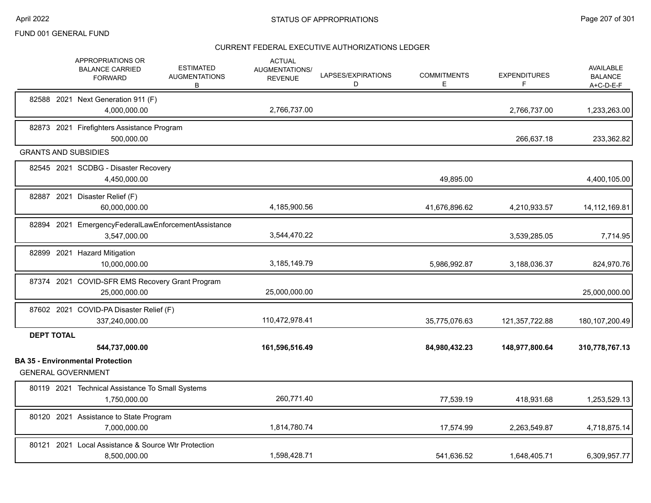|                   | APPROPRIATIONS OR<br><b>BALANCE CARRIED</b><br><b>FORWARD</b>        | <b>ESTIMATED</b><br><b>AUGMENTATIONS</b><br>В | <b>ACTUAL</b><br>AUGMENTATIONS/<br><b>REVENUE</b> | LAPSES/EXPIRATIONS<br>D | <b>COMMITMENTS</b><br>Е | <b>EXPENDITURES</b><br>F. | AVAILABLE<br><b>BALANCE</b><br>A+C-D-E-F |
|-------------------|----------------------------------------------------------------------|-----------------------------------------------|---------------------------------------------------|-------------------------|-------------------------|---------------------------|------------------------------------------|
|                   | 82588 2021 Next Generation 911 (F)<br>4,000,000.00                   |                                               | 2,766,737.00                                      |                         |                         | 2,766,737.00              | 1,233,263.00                             |
|                   | 82873 2021 Firefighters Assistance Program<br>500,000.00             |                                               |                                                   |                         |                         | 266,637.18                | 233,362.82                               |
|                   | <b>GRANTS AND SUBSIDIES</b>                                          |                                               |                                                   |                         |                         |                           |                                          |
|                   | 82545 2021 SCDBG - Disaster Recovery<br>4,450,000.00                 |                                               |                                                   |                         | 49,895.00               |                           | 4,400,105.00                             |
|                   | 82887 2021 Disaster Relief (F)<br>60,000,000.00                      |                                               | 4,185,900.56                                      |                         | 41,676,896.62           | 4,210,933.57              | 14, 112, 169.81                          |
|                   | 82894 2021 EmergencyFederalLawEnforcementAssistance<br>3,547,000.00  |                                               | 3,544,470.22                                      |                         |                         | 3,539,285.05              | 7,714.95                                 |
|                   | 82899 2021 Hazard Mitigation<br>10,000,000.00                        |                                               | 3,185,149.79                                      |                         | 5,986,992.87            | 3,188,036.37              | 824,970.76                               |
|                   | 87374 2021 COVID-SFR EMS Recovery Grant Program<br>25,000,000.00     |                                               | 25,000,000.00                                     |                         |                         |                           | 25,000,000.00                            |
|                   | 87602 2021 COVID-PA Disaster Relief (F)<br>337,240,000.00            |                                               | 110,472,978.41                                    |                         | 35,775,076.63           | 121,357,722.88            | 180, 107, 200. 49                        |
| <b>DEPT TOTAL</b> | 544,737,000.00                                                       |                                               | 161,596,516.49                                    |                         | 84,980,432.23           | 148,977,800.64            | 310,778,767.13                           |
|                   | <b>BA 35 - Environmental Protection</b><br><b>GENERAL GOVERNMENT</b> |                                               |                                                   |                         |                         |                           |                                          |
|                   | 80119 2021 Technical Assistance To Small Systems<br>1,750,000.00     |                                               | 260,771.40                                        |                         | 77,539.19               | 418,931.68                | 1,253,529.13                             |
|                   | 80120 2021 Assistance to State Program<br>7,000,000.00               |                                               | 1,814,780.74                                      |                         | 17,574.99               | 2,263,549.87              | 4,718,875.14                             |
| 80121             | 2021 Local Assistance & Source Wtr Protection<br>8,500,000.00        |                                               | 1,598,428.71                                      |                         | 541,636.52              | 1,648,405.71              | 6,309,957.77                             |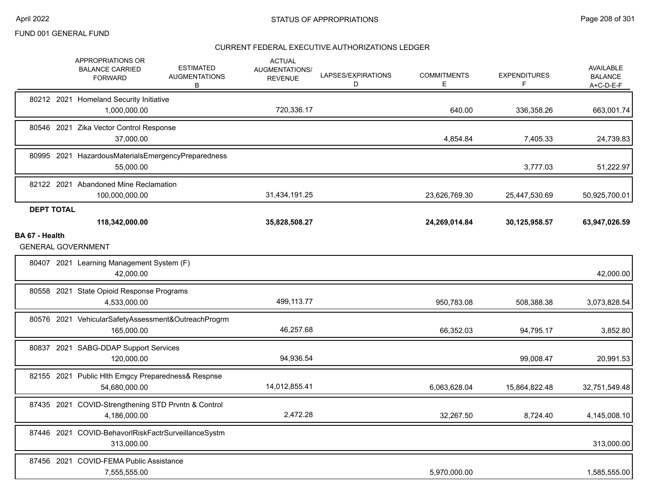|                                             | APPROPRIATIONS OR<br><b>BALANCE CARRIED</b><br><b>FORWARD</b>       | <b>ESTIMATED</b><br><b>AUGMENTATIONS</b><br>В | <b>ACTUAL</b><br>AUGMENTATIONS/<br><b>REVENUE</b> | LAPSES/EXPIRATIONS<br>D | <b>COMMITMENTS</b><br>E | <b>EXPENDITURES</b><br>F | <b>AVAILABLE</b><br><b>BALANCE</b><br>A+C-D-E-F |
|---------------------------------------------|---------------------------------------------------------------------|-----------------------------------------------|---------------------------------------------------|-------------------------|-------------------------|--------------------------|-------------------------------------------------|
|                                             | 80212 2021 Homeland Security Initiative<br>1,000,000.00             |                                               | 720,336.17                                        |                         | 640.00                  | 336,358.26               | 663,001.74                                      |
|                                             | 80546 2021 Zika Vector Control Response<br>37,000.00                |                                               |                                                   |                         | 4,854.84                | 7,405.33                 | 24,739.83                                       |
|                                             | 80995 2021 HazardousMaterialsEmergencyPreparedness<br>55,000.00     |                                               |                                                   |                         |                         | 3,777.03                 | 51,222.97                                       |
|                                             | 82122 2021 Abandoned Mine Reclamation<br>100,000,000.00             |                                               | 31,434,191.25                                     |                         | 23,626,769.30           | 25,447,530.69            | 50,925,700.01                                   |
| <b>DEPT TOTAL</b>                           |                                                                     |                                               |                                                   |                         |                         |                          |                                                 |
|                                             | 118,342,000.00                                                      |                                               | 35,828,508.27                                     |                         | 24,269,014.84           | 30,125,958.57            | 63,947,026.59                                   |
| BA 67 - Health<br><b>GENERAL GOVERNMENT</b> |                                                                     |                                               |                                                   |                         |                         |                          |                                                 |
|                                             | 80407 2021 Learning Management System (F)<br>42,000.00              |                                               |                                                   |                         |                         |                          | 42,000.00                                       |
|                                             | 80558 2021 State Opioid Response Programs<br>4,533,000.00           |                                               | 499,113.77                                        |                         | 950,783.08              | 508,388.38               | 3,073,828.54                                    |
|                                             | 80576 2021 VehicularSafetyAssessment&OutreachProgrm<br>165,000.00   |                                               | 46,257.68                                         |                         | 66,352.03               | 94,795.17                | 3,852.80                                        |
|                                             | 80837 2021 SABG-DDAP Support Services<br>120,000.00                 |                                               | 94,936.54                                         |                         |                         | 99,008.47                | 20,991.53                                       |
|                                             | 82155 2021 Public Hlth Emgcy Preparedness& Respnse<br>54,680,000.00 |                                               | 14,012,855.41                                     |                         | 6,063,628.04            | 15,864,822.48            | 32,751,549.48                                   |
|                                             | 87435 2021 COVID-Strengthening STD Prvntn & Control<br>4,186,000.00 |                                               | 2,472.28                                          |                         | 32,267.50               | 8,724.40                 | 4,145,008.10                                    |
| 87446 2021                                  | COVID-BehavorlRiskFactrSurveillanceSystm<br>313,000.00              |                                               |                                                   |                         |                         |                          | 313,000.00                                      |
|                                             | 87456 2021 COVID-FEMA Public Assistance<br>7,555,555.00             |                                               |                                                   |                         | 5,970,000.00            |                          | 1,585,555.00                                    |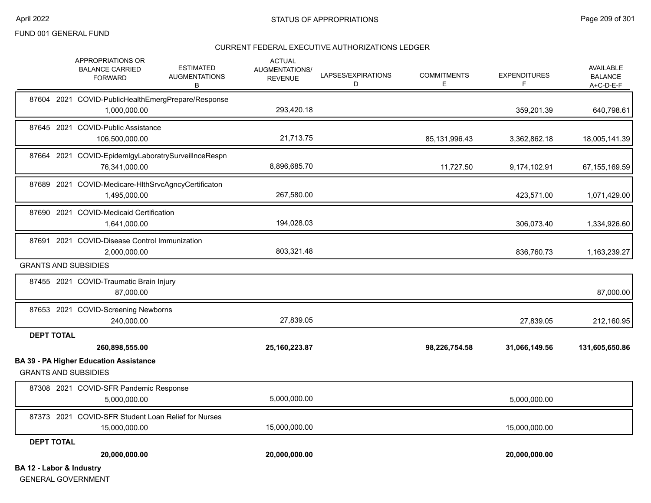#### CURRENT FEDERAL EXECUTIVE AUTHORIZATIONS LEDGER

|                                     | APPROPRIATIONS OR<br><b>BALANCE CARRIED</b><br><b>FORWARD</b>                | <b>ESTIMATED</b><br><b>AUGMENTATIONS</b><br>В | <b>ACTUAL</b><br>AUGMENTATIONS/<br><b>REVENUE</b> | LAPSES/EXPIRATIONS<br>D | <b>COMMITMENTS</b><br>E | <b>EXPENDITURES</b><br>F | <b>AVAILABLE</b><br><b>BALANCE</b><br>$A+C-D-E-F$ |
|-------------------------------------|------------------------------------------------------------------------------|-----------------------------------------------|---------------------------------------------------|-------------------------|-------------------------|--------------------------|---------------------------------------------------|
|                                     | 87604 2021 COVID-PublicHealthEmergPrepare/Response<br>1,000,000.00           |                                               | 293,420.18                                        |                         |                         | 359,201.39               | 640,798.61                                        |
|                                     | 87645 2021 COVID-Public Assistance<br>106,500,000.00                         |                                               | 21,713.75                                         |                         | 85,131,996.43           | 3,362,862.18             | 18,005,141.39                                     |
|                                     | 87664 2021 COVID-EpidemlgyLaboratrySurveilInceRespn<br>76,341,000.00         |                                               | 8,896,685.70                                      |                         | 11,727.50               | 9,174,102.91             | 67, 155, 169.59                                   |
|                                     | 87689 2021 COVID-Medicare-HIthSrvcAgncyCertificaton<br>1,495,000.00          |                                               | 267,580.00                                        |                         |                         | 423,571.00               | 1,071,429.00                                      |
|                                     | 87690 2021 COVID-Medicaid Certification<br>1,641,000.00                      |                                               | 194,028.03                                        |                         |                         | 306,073.40               | 1,334,926.60                                      |
|                                     | 87691 2021 COVID-Disease Control Immunization<br>2,000,000.00                |                                               | 803,321.48                                        |                         |                         | 836,760.73               | 1,163,239.27                                      |
|                                     | <b>GRANTS AND SUBSIDIES</b>                                                  |                                               |                                                   |                         |                         |                          |                                                   |
|                                     | 87455 2021 COVID-Traumatic Brain Injury<br>87,000.00                         |                                               |                                                   |                         |                         |                          | 87,000.00                                         |
|                                     | 87653 2021 COVID-Screening Newborns<br>240,000.00                            |                                               | 27,839.05                                         |                         |                         | 27,839.05                | 212,160.95                                        |
| <b>DEPT TOTAL</b>                   | 260,898,555.00                                                               |                                               | 25,160,223.87                                     |                         | 98,226,754.58           | 31,066,149.56            | 131,605,650.86                                    |
|                                     | <b>BA 39 - PA Higher Education Assistance</b><br><b>GRANTS AND SUBSIDIES</b> |                                               |                                                   |                         |                         |                          |                                                   |
|                                     | 87308 2021 COVID-SFR Pandemic Response<br>5,000,000.00                       |                                               | 5,000,000.00                                      |                         |                         | 5,000,000.00             |                                                   |
|                                     | 87373 2021 COVID-SFR Student Loan Relief for Nurses<br>15,000,000.00         |                                               | 15,000,000.00                                     |                         |                         | 15,000,000.00            |                                                   |
| <b>DEPT TOTAL</b>                   | 20,000,000.00                                                                |                                               | 20,000,000.00                                     |                         |                         | 20,000,000.00            |                                                   |
| <b>BA 12 - Labor &amp; Industry</b> |                                                                              |                                               |                                                   |                         |                         |                          |                                                   |

GENERAL GOVERNMENT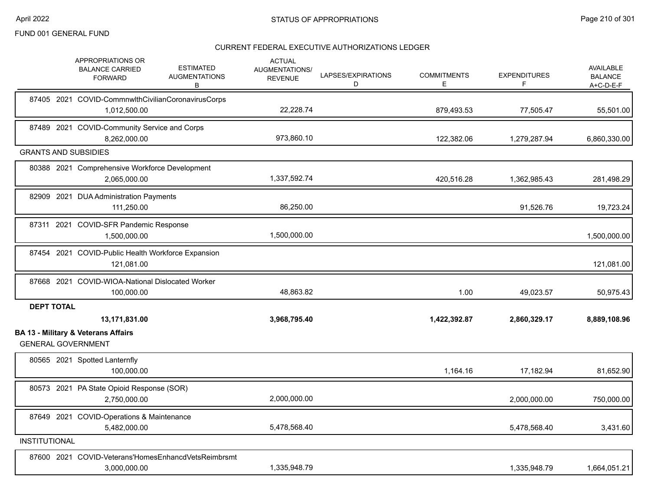|                      |                   | APPROPRIATIONS OR<br><b>ESTIMATED</b><br><b>BALANCE CARRIED</b><br><b>AUGMENTATIONS</b><br><b>FORWARD</b><br>В | <b>ACTUAL</b><br><b>AUGMENTATIONS/</b><br><b>REVENUE</b> | LAPSES/EXPIRATIONS<br>D | <b>COMMITMENTS</b><br>Е | <b>EXPENDITURES</b><br>F | <b>AVAILABLE</b><br><b>BALANCE</b><br>A+C-D-E-F |
|----------------------|-------------------|----------------------------------------------------------------------------------------------------------------|----------------------------------------------------------|-------------------------|-------------------------|--------------------------|-------------------------------------------------|
|                      |                   | 87405 2021 COVID-CommnwlthCivilianCoronavirusCorps<br>1,012,500.00                                             | 22,228.74                                                |                         | 879,493.53              | 77,505.47                | 55,501.00                                       |
|                      |                   | 87489 2021 COVID-Community Service and Corps<br>8,262,000.00                                                   | 973,860.10                                               |                         | 122,382.06              | 1,279,287.94             | 6,860,330.00                                    |
|                      |                   | <b>GRANTS AND SUBSIDIES</b>                                                                                    |                                                          |                         |                         |                          |                                                 |
|                      |                   | 80388 2021 Comprehensive Workforce Development<br>2,065,000.00                                                 | 1,337,592.74                                             |                         | 420,516.28              | 1,362,985.43             | 281,498.29                                      |
|                      |                   | 82909 2021 DUA Administration Payments<br>111,250.00                                                           | 86,250.00                                                |                         |                         | 91,526.76                | 19,723.24                                       |
|                      |                   | 87311 2021 COVID-SFR Pandemic Response<br>1,500,000.00                                                         | 1,500,000.00                                             |                         |                         |                          | 1,500,000.00                                    |
|                      |                   | 87454 2021 COVID-Public Health Workforce Expansion<br>121,081.00                                               |                                                          |                         |                         |                          | 121,081.00                                      |
|                      |                   | 87668 2021 COVID-WIOA-National Dislocated Worker<br>100,000.00                                                 | 48,863.82                                                |                         | 1.00                    | 49,023.57                | 50,975.43                                       |
|                      | <b>DEPT TOTAL</b> | 13,171,831.00                                                                                                  | 3,968,795.40                                             |                         | 1,422,392.87            | 2,860,329.17             | 8,889,108.96                                    |
|                      |                   | <b>BA 13 - Military &amp; Veterans Affairs</b><br><b>GENERAL GOVERNMENT</b>                                    |                                                          |                         |                         |                          |                                                 |
|                      |                   | 80565 2021 Spotted Lanternfly<br>100,000.00                                                                    |                                                          |                         | 1,164.16                | 17,182.94                | 81,652.90                                       |
|                      |                   | 80573 2021 PA State Opioid Response (SOR)<br>2,750,000.00                                                      | 2,000,000.00                                             |                         |                         | 2,000,000.00             | 750,000.00                                      |
|                      |                   | 87649 2021 COVID-Operations & Maintenance<br>5,482,000.00                                                      | 5,478,568.40                                             |                         |                         | 5,478,568.40             | 3,431.60                                        |
| <b>INSTITUTIONAL</b> |                   |                                                                                                                |                                                          |                         |                         |                          |                                                 |
|                      |                   | 87600 2021 COVID-Veterans'HomesEnhancdVetsReimbrsmt<br>3,000,000.00                                            | 1,335,948.79                                             |                         |                         | 1,335,948.79             | 1,664,051.21                                    |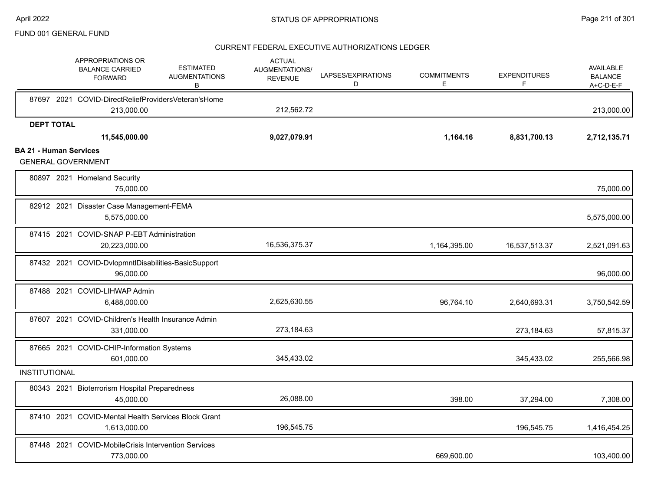|                               | APPROPRIATIONS OR<br><b>BALANCE CARRIED</b><br><b>FORWARD</b>       | <b>ESTIMATED</b><br><b>AUGMENTATIONS</b><br>B | <b>ACTUAL</b><br>AUGMENTATIONS/<br><b>REVENUE</b> | LAPSES/EXPIRATIONS<br>D | <b>COMMITMENTS</b><br>Е | <b>EXPENDITURES</b><br>F | AVAILABLE<br><b>BALANCE</b><br>A+C-D-E-F |
|-------------------------------|---------------------------------------------------------------------|-----------------------------------------------|---------------------------------------------------|-------------------------|-------------------------|--------------------------|------------------------------------------|
|                               | 87697 2021 COVID-DirectReliefProvidersVeteran'sHome<br>213,000.00   |                                               | 212,562.72                                        |                         |                         |                          | 213,000.00                               |
| <b>DEPT TOTAL</b>             |                                                                     |                                               |                                                   |                         |                         |                          |                                          |
| <b>BA 21 - Human Services</b> | 11,545,000.00                                                       |                                               | 9,027,079.91                                      |                         | 1,164.16                | 8,831,700.13             | 2,712,135.71                             |
|                               | <b>GENERAL GOVERNMENT</b>                                           |                                               |                                                   |                         |                         |                          |                                          |
|                               | 80897 2021 Homeland Security<br>75.000.00                           |                                               |                                                   |                         |                         |                          | 75,000.00                                |
|                               | 82912 2021 Disaster Case Management-FEMA<br>5,575,000.00            |                                               |                                                   |                         |                         |                          | 5,575,000.00                             |
|                               | 87415 2021 COVID-SNAP P-EBT Administration<br>20,223,000.00         |                                               | 16,536,375.37                                     |                         | 1,164,395.00            | 16,537,513.37            | 2,521,091.63                             |
|                               | 87432 2021 COVID-DvlopmntIDisabilities-BasicSupport<br>96,000.00    |                                               |                                                   |                         |                         |                          | 96,000.00                                |
|                               | 87488 2021 COVID-LIHWAP Admin<br>6,488,000.00                       |                                               | 2,625,630.55                                      |                         | 96,764.10               | 2,640,693.31             | 3,750,542.59                             |
|                               | 87607 2021 COVID-Children's Health Insurance Admin<br>331,000.00    |                                               | 273,184.63                                        |                         |                         | 273,184.63               | 57,815.37                                |
|                               | 87665 2021 COVID-CHIP-Information Systems<br>601,000.00             |                                               | 345,433.02                                        |                         |                         | 345,433.02               | 255,566.98                               |
| <b>INSTITUTIONAL</b>          |                                                                     |                                               |                                                   |                         |                         |                          |                                          |
|                               | 80343 2021 Bioterrorism Hospital Preparedness<br>45,000.00          |                                               | 26,088.00                                         |                         | 398.00                  | 37,294.00                | 7,308.00                                 |
|                               | 87410 2021 COVID-Mental Health Services Block Grant<br>1,613,000.00 |                                               | 196,545.75                                        |                         |                         | 196,545.75               | 1,416,454.25                             |
|                               | 87448 2021 COVID-MobileCrisis Intervention Services<br>773,000.00   |                                               |                                                   |                         | 669,600.00              |                          | 103,400.00                               |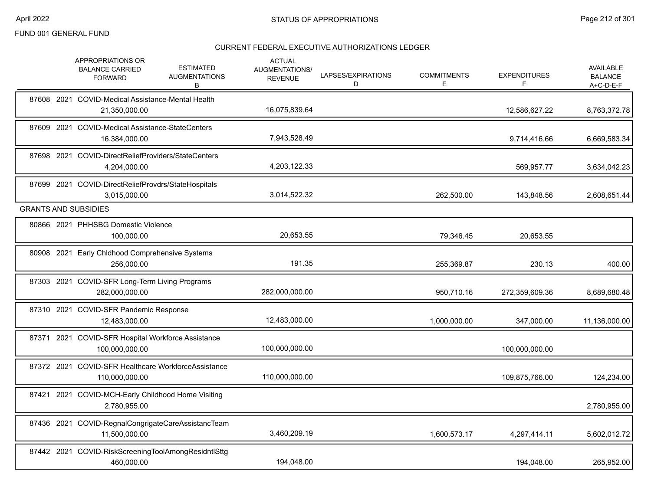|  | APPROPRIATIONS OR<br><b>ESTIMATED</b><br><b>BALANCE CARRIED</b><br><b>AUGMENTATIONS</b><br><b>FORWARD</b><br>В | <b>ACTUAL</b><br>AUGMENTATIONS/<br><b>REVENUE</b> | LAPSES/EXPIRATIONS<br>D | <b>COMMITMENTS</b><br>Ε | <b>EXPENDITURES</b><br>F | AVAILABLE<br><b>BALANCE</b><br>A+C-D-E-F |
|--|----------------------------------------------------------------------------------------------------------------|---------------------------------------------------|-------------------------|-------------------------|--------------------------|------------------------------------------|
|  | 87608 2021 COVID-Medical Assistance-Mental Health<br>21,350,000.00                                             | 16,075,839.64                                     |                         |                         | 12,586,627.22            | 8,763,372.78                             |
|  | 87609 2021 COVID-Medical Assistance-StateCenters<br>16,384,000.00                                              | 7,943,528.49                                      |                         |                         | 9,714,416.66             | 6,669,583.34                             |
|  | 87698 2021 COVID-DirectReliefProviders/StateCenters<br>4,204,000.00                                            | 4,203,122.33                                      |                         |                         | 569,957.77               | 3,634,042.23                             |
|  | 87699 2021 COVID-DirectReliefProvdrs/StateHospitals<br>3,015,000.00                                            | 3,014,522.32                                      |                         | 262,500.00              | 143,848.56               | 2,608,651.44                             |
|  | <b>GRANTS AND SUBSIDIES</b>                                                                                    |                                                   |                         |                         |                          |                                          |
|  | 80866 2021 PHHSBG Domestic Violence<br>100,000.00                                                              | 20,653.55                                         |                         | 79,346.45               | 20,653.55                |                                          |
|  | 80908 2021 Early Chldhood Comprehensive Systems<br>256,000.00                                                  | 191.35                                            |                         | 255,369.87              | 230.13                   | 400.00                                   |
|  | 87303 2021 COVID-SFR Long-Term Living Programs<br>282,000,000.00                                               | 282,000,000.00                                    |                         | 950,710.16              | 272,359,609.36           | 8,689,680.48                             |
|  | 87310 2021 COVID-SFR Pandemic Response<br>12,483,000.00                                                        | 12,483,000.00                                     |                         | 1,000,000.00            | 347,000.00               | 11,136,000.00                            |
|  | 87371 2021 COVID-SFR Hospital Workforce Assistance<br>100,000,000.00                                           | 100,000,000.00                                    |                         |                         | 100,000,000.00           |                                          |
|  | 87372 2021 COVID-SFR Healthcare WorkforceAssistance<br>110,000,000.00                                          | 110,000,000.00                                    |                         |                         | 109,875,766.00           | 124,234.00                               |
|  | 87421 2021 COVID-MCH-Early Childhood Home Visiting<br>2,780,955.00                                             |                                                   |                         |                         |                          | 2,780,955.00                             |
|  | 87436 2021 COVID-RegnalCongrigateCareAssistancTeam<br>11,500,000.00                                            | 3,460,209.19                                      |                         | 1,600,573.17            | 4,297,414.11             | 5,602,012.72                             |
|  | 87442 2021 COVID-RiskScreeningToolAmongResidntlSttg<br>460.000.00                                              | 194,048.00                                        |                         |                         | 194.048.00               | 265,952.00                               |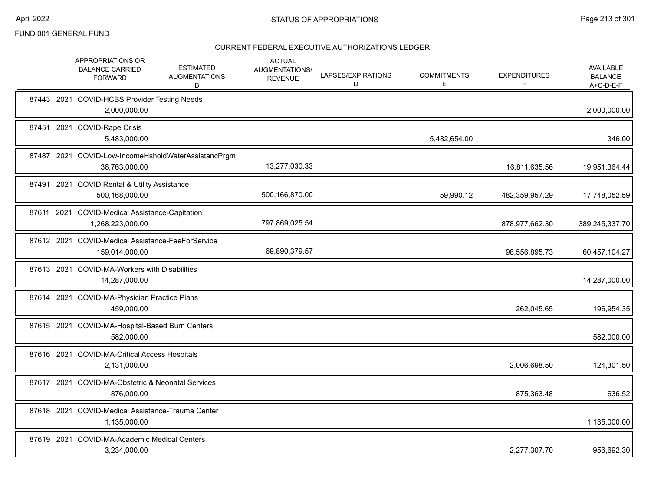|  | APPROPRIATIONS OR<br><b>BALANCE CARRIED</b><br><b>FORWARD</b>        | <b>ESTIMATED</b><br><b>AUGMENTATIONS</b><br>В | <b>ACTUAL</b><br>AUGMENTATIONS/<br><b>REVENUE</b> | LAPSES/EXPIRATIONS<br>D | <b>COMMITMENTS</b><br>E | <b>EXPENDITURES</b><br>F | <b>AVAILABLE</b><br><b>BALANCE</b><br>A+C-D-E-F |
|--|----------------------------------------------------------------------|-----------------------------------------------|---------------------------------------------------|-------------------------|-------------------------|--------------------------|-------------------------------------------------|
|  | 87443 2021 COVID-HCBS Provider Testing Needs<br>2,000,000.00         |                                               |                                                   |                         |                         |                          | 2,000,000.00                                    |
|  | 87451 2021 COVID-Rape Crisis<br>5,483,000.00                         |                                               |                                                   |                         | 5,482,654.00            |                          | 346.00                                          |
|  | 87487 2021 COVID-Low-IncomeHsholdWaterAssistancPrgm<br>36,763,000.00 |                                               | 13,277,030.33                                     |                         |                         | 16,811,635.56            | 19,951,364.44                                   |
|  | 87491 2021 COVID Rental & Utility Assistance<br>500,168,000.00       |                                               | 500,166,870.00                                    |                         | 59,990.12               | 482,359,957.29           | 17,748,052.59                                   |
|  | 87611 2021 COVID-Medical Assistance-Capitation<br>1,268,223,000.00   |                                               | 797,869,025.54                                    |                         |                         | 878,977,662.30           | 389,245,337.70                                  |
|  | 87612 2021 COVID-Medical Assistance-FeeForService<br>159,014,000.00  |                                               | 69,890,379.57                                     |                         |                         | 98,556,895.73            | 60,457,104.27                                   |
|  | 87613 2021 COVID-MA-Workers with Disabilities<br>14,287,000.00       |                                               |                                                   |                         |                         |                          | 14,287,000.00                                   |
|  | 87614 2021 COVID-MA-Physician Practice Plans<br>459,000.00           |                                               |                                                   |                         |                         | 262,045.65               | 196,954.35                                      |
|  | 87615 2021 COVID-MA-Hospital-Based Burn Centers<br>582,000.00        |                                               |                                                   |                         |                         |                          | 582,000.00                                      |
|  | 87616 2021 COVID-MA-Critical Access Hospitals<br>2,131,000.00        |                                               |                                                   |                         |                         | 2,006,698.50             | 124,301.50                                      |
|  | 87617 2021 COVID-MA-Obstetric & Neonatal Services<br>876,000.00      |                                               |                                                   |                         |                         | 875,363.48               | 636.52                                          |
|  | 87618 2021 COVID-Medical Assistance-Trauma Center<br>1,135,000.00    |                                               |                                                   |                         |                         |                          | 1,135,000.00                                    |
|  | 87619 2021 COVID-MA-Academic Medical Centers<br>3,234,000.00         |                                               |                                                   |                         |                         | 2,277,307.70             | 956,692.30                                      |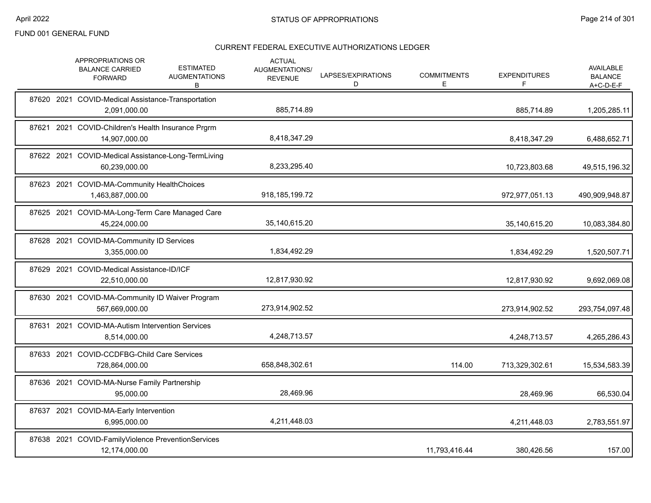|  | APPROPRIATIONS OR<br><b>BALANCE CARRIED</b><br><b>FORWARD</b>        | <b>ESTIMATED</b><br><b>AUGMENTATIONS</b><br>В | <b>ACTUAL</b><br>AUGMENTATIONS/<br><b>REVENUE</b> | LAPSES/EXPIRATIONS<br>D | <b>COMMITMENTS</b><br>Е. | <b>EXPENDITURES</b><br>F | AVAILABLE<br><b>BALANCE</b><br>$A+C-D-E-F$ |
|--|----------------------------------------------------------------------|-----------------------------------------------|---------------------------------------------------|-------------------------|--------------------------|--------------------------|--------------------------------------------|
|  | 87620 2021 COVID-Medical Assistance-Transportation<br>2,091,000.00   |                                               | 885,714.89                                        |                         |                          | 885,714.89               | 1,205,285.11                               |
|  | 87621 2021 COVID-Children's Health Insurance Prgrm<br>14,907,000.00  |                                               | 8,418,347.29                                      |                         |                          | 8,418,347.29             | 6,488,652.71                               |
|  | 87622 2021 COVID-Medical Assistance-Long-TermLiving<br>60,239,000.00 |                                               | 8,233,295.40                                      |                         |                          | 10,723,803.68            | 49,515,196.32                              |
|  | 87623 2021 COVID-MA-Community HealthChoices<br>1,463,887,000.00      |                                               | 918, 185, 199. 72                                 |                         |                          | 972,977,051.13           | 490,909,948.87                             |
|  | 87625 2021 COVID-MA-Long-Term Care Managed Care<br>45,224,000.00     |                                               | 35,140,615.20                                     |                         |                          | 35,140,615.20            | 10,083,384.80                              |
|  | 87628 2021 COVID-MA-Community ID Services<br>3,355,000.00            |                                               | 1,834,492.29                                      |                         |                          | 1,834,492.29             | 1,520,507.71                               |
|  | 87629 2021 COVID-Medical Assistance-ID/ICF<br>22,510,000.00          |                                               | 12,817,930.92                                     |                         |                          | 12,817,930.92            | 9,692,069.08                               |
|  | 87630 2021 COVID-MA-Community ID Waiver Program<br>567,669,000.00    |                                               | 273,914,902.52                                    |                         |                          | 273,914,902.52           | 293,754,097.48                             |
|  | 87631 2021 COVID-MA-Autism Intervention Services<br>8,514,000.00     |                                               | 4,248,713.57                                      |                         |                          | 4,248,713.57             | 4,265,286.43                               |
|  | 87633 2021 COVID-CCDFBG-Child Care Services<br>728,864,000.00        |                                               | 658,848,302.61                                    |                         | 114.00                   | 713,329,302.61           | 15,534,583.39                              |
|  | 87636 2021 COVID-MA-Nurse Family Partnership<br>95.000.00            |                                               | 28,469.96                                         |                         |                          | 28,469.96                | 66,530.04                                  |
|  | 87637 2021 COVID-MA-Early Intervention<br>6,995,000.00               |                                               | 4,211,448.03                                      |                         |                          | 4,211,448.03             | 2,783,551.97                               |
|  | 87638 2021 COVID-FamilyViolence PreventionServices<br>12,174,000.00  |                                               |                                                   |                         | 11,793,416.44            | 380,426.56               | 157.00                                     |
|  |                                                                      |                                               |                                                   |                         |                          |                          |                                            |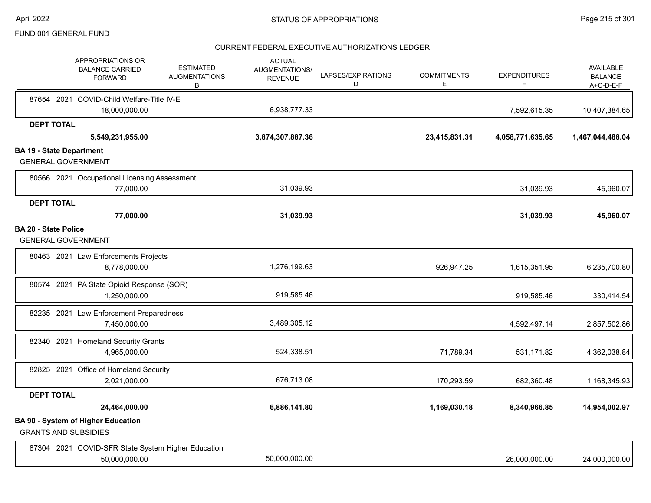|                                                                          | APPROPRIATIONS OR<br><b>BALANCE CARRIED</b><br><b>FORWARD</b> | <b>ESTIMATED</b><br><b>AUGMENTATIONS</b><br>В | <b>ACTUAL</b><br>AUGMENTATIONS/<br><b>REVENUE</b> | LAPSES/EXPIRATIONS<br>D | <b>COMMITMENTS</b><br>E | <b>EXPENDITURES</b><br>F | <b>AVAILABLE</b><br><b>BALANCE</b><br>A+C-D-E-F |
|--------------------------------------------------------------------------|---------------------------------------------------------------|-----------------------------------------------|---------------------------------------------------|-------------------------|-------------------------|--------------------------|-------------------------------------------------|
|                                                                          | 87654 2021 COVID-Child Welfare-Title IV-E                     |                                               |                                                   |                         |                         |                          |                                                 |
|                                                                          | 18,000,000.00                                                 |                                               | 6,938,777.33                                      |                         |                         | 7,592,615.35             | 10,407,384.65                                   |
| <b>DEPT TOTAL</b>                                                        |                                                               |                                               |                                                   |                         |                         |                          |                                                 |
|                                                                          | 5,549,231,955.00                                              |                                               | 3,874,307,887.36                                  |                         | 23,415,831.31           | 4,058,771,635.65         | 1,467,044,488.04                                |
| <b>BA 19 - State Department</b><br><b>GENERAL GOVERNMENT</b>             |                                                               |                                               |                                                   |                         |                         |                          |                                                 |
|                                                                          | 80566 2021 Occupational Licensing Assessment                  |                                               |                                                   |                         |                         |                          |                                                 |
|                                                                          | 77,000.00                                                     |                                               | 31,039.93                                         |                         |                         | 31,039.93                | 45,960.07                                       |
| <b>DEPT TOTAL</b>                                                        |                                                               |                                               |                                                   |                         |                         |                          |                                                 |
|                                                                          | 77,000.00                                                     |                                               | 31,039.93                                         |                         |                         | 31,039.93                | 45,960.07                                       |
| <b>BA 20 - State Police</b><br><b>GENERAL GOVERNMENT</b>                 |                                                               |                                               |                                                   |                         |                         |                          |                                                 |
|                                                                          | 80463 2021 Law Enforcements Projects<br>8,778,000.00          |                                               | 1,276,199.63                                      |                         | 926,947.25              | 1,615,351.95             | 6,235,700.80                                    |
|                                                                          | 80574 2021 PA State Opioid Response (SOR)<br>1,250,000.00     |                                               | 919,585.46                                        |                         |                         | 919,585.46               | 330,414.54                                      |
|                                                                          | 82235 2021 Law Enforcement Preparedness<br>7,450,000.00       |                                               | 3,489,305.12                                      |                         |                         | 4,592,497.14             | 2,857,502.86                                    |
|                                                                          | 82340 2021 Homeland Security Grants<br>4,965,000.00           |                                               | 524,338.51                                        |                         | 71,789.34               | 531,171.82               | 4,362,038.84                                    |
|                                                                          | 82825 2021 Office of Homeland Security<br>2,021,000.00        |                                               | 676,713.08                                        |                         | 170,293.59              | 682,360.48               | 1,168,345.93                                    |
| <b>DEPT TOTAL</b>                                                        |                                                               |                                               |                                                   |                         |                         |                          |                                                 |
|                                                                          | 24,464,000.00                                                 |                                               | 6,886,141.80                                      |                         | 1,169,030.18            | 8,340,966.85             | 14,954,002.97                                   |
| <b>BA 90 - System of Higher Education</b><br><b>GRANTS AND SUBSIDIES</b> |                                                               |                                               |                                                   |                         |                         |                          |                                                 |
|                                                                          | 87304 2021 COVID-SFR State System Higher Education            |                                               | 50,000,000.00                                     |                         |                         |                          |                                                 |
|                                                                          | 50,000,000.00                                                 |                                               |                                                   |                         |                         | 26,000,000.00            | 24,000,000.00                                   |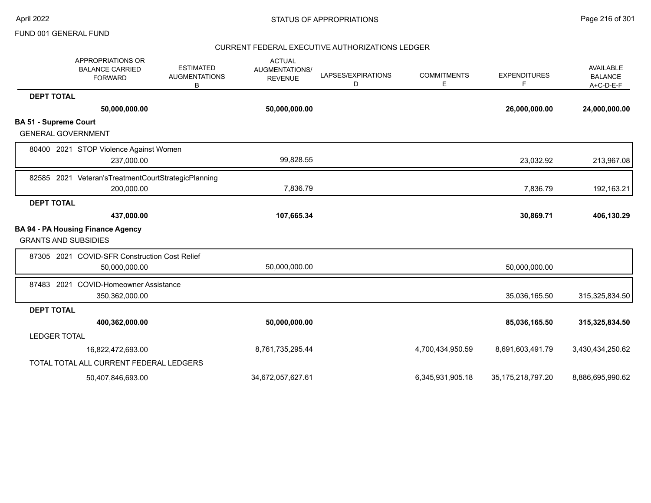| APPROPRIATIONS OR<br><b>BALANCE CARRIED</b><br><b>FORWARD</b> | <b>ESTIMATED</b><br><b>AUGMENTATIONS</b><br>В | <b>ACTUAL</b><br>AUGMENTATIONS/<br><b>REVENUE</b> | LAPSES/EXPIRATIONS<br>D | <b>COMMITMENTS</b><br>Е | <b>EXPENDITURES</b><br>F | <b>AVAILABLE</b><br><b>BALANCE</b><br>$A+C-D-E-F$ |
|---------------------------------------------------------------|-----------------------------------------------|---------------------------------------------------|-------------------------|-------------------------|--------------------------|---------------------------------------------------|
| <b>DEPT TOTAL</b>                                             |                                               |                                                   |                         |                         |                          |                                                   |
| 50,000,000.00                                                 |                                               | 50,000,000.00                                     |                         |                         | 26,000,000.00            | 24,000,000.00                                     |
| <b>BA 51 - Supreme Court</b>                                  |                                               |                                                   |                         |                         |                          |                                                   |
| <b>GENERAL GOVERNMENT</b>                                     |                                               |                                                   |                         |                         |                          |                                                   |
| 80400 2021 STOP Violence Against Women                        |                                               |                                                   |                         |                         |                          |                                                   |
| 237,000.00                                                    |                                               | 99,828.55                                         |                         |                         | 23,032.92                | 213,967.08                                        |
| 82585 2021 Veteran's Treatment Court Strategic Planning       |                                               |                                                   |                         |                         |                          |                                                   |
| 200,000.00                                                    |                                               | 7,836.79                                          |                         |                         | 7,836.79                 | 192,163.21                                        |
| <b>DEPT TOTAL</b>                                             |                                               |                                                   |                         |                         |                          |                                                   |
| 437,000.00                                                    |                                               | 107,665.34                                        |                         |                         | 30,869.71                | 406,130.29                                        |
| <b>BA 94 - PA Housing Finance Agency</b>                      |                                               |                                                   |                         |                         |                          |                                                   |
| <b>GRANTS AND SUBSIDIES</b>                                   |                                               |                                                   |                         |                         |                          |                                                   |
| 87305 2021 COVID-SFR Construction Cost Relief                 |                                               |                                                   |                         |                         |                          |                                                   |
| 50,000,000.00                                                 |                                               | 50,000,000.00                                     |                         |                         | 50,000,000.00            |                                                   |
| 87483 2021<br><b>COVID-Homeowner Assistance</b>               |                                               |                                                   |                         |                         |                          |                                                   |
| 350,362,000.00                                                |                                               |                                                   |                         |                         | 35,036,165.50            | 315,325,834.50                                    |
| <b>DEPT TOTAL</b>                                             |                                               |                                                   |                         |                         |                          |                                                   |
| 400,362,000.00                                                |                                               | 50,000,000.00                                     |                         |                         | 85,036,165.50            | 315,325,834.50                                    |
| <b>LEDGER TOTAL</b>                                           |                                               |                                                   |                         |                         |                          |                                                   |
| 16,822,472,693.00                                             |                                               | 8,761,735,295.44                                  |                         | 4,700,434,950.59        | 8,691,603,491.79         | 3,430,434,250.62                                  |
| TOTAL TOTAL ALL CURRENT FEDERAL LEDGERS                       |                                               |                                                   |                         |                         |                          |                                                   |
| 50,407,846,693.00                                             |                                               | 34,672,057,627.61                                 |                         | 6,345,931,905.18        | 35, 175, 218, 797. 20    | 8,886,695,990.62                                  |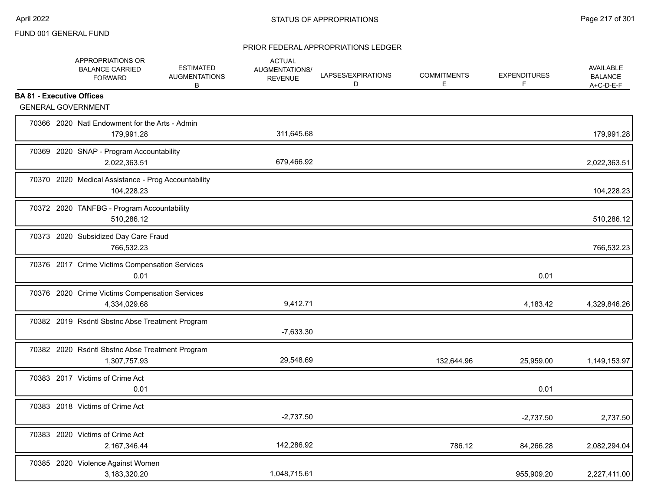|                                  | APPROPRIATIONS OR<br><b>BALANCE CARRIED</b><br><b>FORWARD</b>     | <b>ESTIMATED</b><br><b>AUGMENTATIONS</b><br>В | <b>ACTUAL</b><br>AUGMENTATIONS/<br><b>REVENUE</b> | LAPSES/EXPIRATIONS<br>D | <b>COMMITMENTS</b><br>Е | <b>EXPENDITURES</b><br>F | <b>AVAILABLE</b><br><b>BALANCE</b><br>A+C-D-E-F |
|----------------------------------|-------------------------------------------------------------------|-----------------------------------------------|---------------------------------------------------|-------------------------|-------------------------|--------------------------|-------------------------------------------------|
| <b>BA 81 - Executive Offices</b> |                                                                   |                                               |                                                   |                         |                         |                          |                                                 |
|                                  | <b>GENERAL GOVERNMENT</b>                                         |                                               |                                                   |                         |                         |                          |                                                 |
|                                  | 70366 2020 Natl Endowment for the Arts - Admin<br>179,991.28      |                                               | 311,645.68                                        |                         |                         |                          | 179,991.28                                      |
|                                  | 70369 2020 SNAP - Program Accountability<br>2,022,363.51          |                                               | 679,466.92                                        |                         |                         |                          | 2,022,363.51                                    |
|                                  | 70370 2020 Medical Assistance - Prog Accountability<br>104,228.23 |                                               |                                                   |                         |                         |                          | 104,228.23                                      |
|                                  | 70372 2020 TANFBG - Program Accountability<br>510,286.12          |                                               |                                                   |                         |                         |                          | 510,286.12                                      |
|                                  | 70373 2020 Subsidized Day Care Fraud<br>766.532.23                |                                               |                                                   |                         |                         |                          | 766,532.23                                      |
|                                  | 70376 2017 Crime Victims Compensation Services<br>0.01            |                                               |                                                   |                         |                         | 0.01                     |                                                 |
|                                  | 70376 2020 Crime Victims Compensation Services<br>4,334,029.68    |                                               | 9,412.71                                          |                         |                         | 4,183.42                 | 4,329,846.26                                    |
|                                  | 70382 2019 Rsdntl Sbstnc Abse Treatment Program                   |                                               | $-7,633.30$                                       |                         |                         |                          |                                                 |
|                                  | 70382 2020 Rsdntl Sbstnc Abse Treatment Program<br>1,307,757.93   |                                               | 29,548.69                                         |                         | 132,644.96              | 25,959.00                | 1,149,153.97                                    |
|                                  | 70383 2017 Victims of Crime Act<br>0.01                           |                                               |                                                   |                         |                         | 0.01                     |                                                 |
|                                  | 70383 2018 Victims of Crime Act                                   |                                               | $-2,737.50$                                       |                         |                         | $-2,737.50$              | 2,737.50                                        |
|                                  | 70383 2020 Victims of Crime Act<br>2,167,346.44                   |                                               | 142,286.92                                        |                         | 786.12                  | 84,266.28                | 2,082,294.04                                    |
|                                  | 70385 2020 Violence Against Women<br>3,183,320.20                 |                                               | 1,048,715.61                                      |                         |                         | 955,909.20               | 2,227,411.00                                    |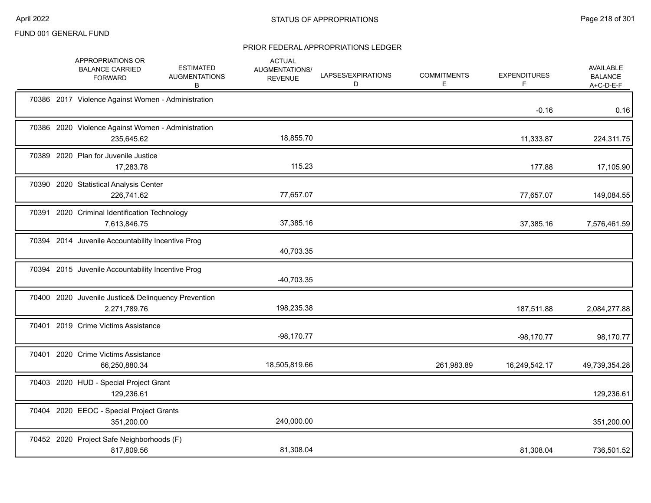|       | APPROPRIATIONS OR<br><b>BALANCE CARRIED</b><br><b>FORWARD</b>       | <b>ESTIMATED</b><br><b>AUGMENTATIONS</b><br>B | <b>ACTUAL</b><br>AUGMENTATIONS/<br><b>REVENUE</b> | LAPSES/EXPIRATIONS<br>D | <b>COMMITMENTS</b><br>E. | <b>EXPENDITURES</b> | AVAILABLE<br><b>BALANCE</b><br>$A+C-D-E-F$ |
|-------|---------------------------------------------------------------------|-----------------------------------------------|---------------------------------------------------|-------------------------|--------------------------|---------------------|--------------------------------------------|
|       | 70386 2017 Violence Against Women - Administration                  |                                               |                                                   |                         |                          | $-0.16$             | 0.16                                       |
|       | 70386 2020 Violence Against Women - Administration<br>235,645.62    |                                               | 18,855.70                                         |                         |                          | 11,333.87           | 224,311.75                                 |
|       | 70389 2020 Plan for Juvenile Justice<br>17,283.78                   |                                               | 115.23                                            |                         |                          | 177.88              | 17,105.90                                  |
|       | 70390 2020 Statistical Analysis Center<br>226,741.62                |                                               | 77,657.07                                         |                         |                          | 77,657.07           | 149,084.55                                 |
| 70391 | 2020 Criminal Identification Technology<br>7,613,846.75             |                                               | 37,385.16                                         |                         |                          | 37,385.16           | 7,576,461.59                               |
|       | 70394 2014 Juvenile Accountability Incentive Prog                   |                                               | 40,703.35                                         |                         |                          |                     |                                            |
|       | 70394 2015 Juvenile Accountability Incentive Prog                   |                                               | $-40,703.35$                                      |                         |                          |                     |                                            |
|       | 70400 2020 Juvenile Justice& Delinquency Prevention<br>2,271,789.76 |                                               | 198,235.38                                        |                         |                          | 187,511.88          | 2,084,277.88                               |
|       | 70401 2019 Crime Victims Assistance                                 |                                               | $-98,170.77$                                      |                         |                          | $-98,170.77$        | 98,170.77                                  |
| 70401 | 2020 Crime Victims Assistance<br>66,250,880.34                      |                                               | 18,505,819.66                                     |                         | 261,983.89               | 16,249,542.17       | 49,739,354.28                              |
|       | 70403 2020 HUD - Special Project Grant<br>129,236.61                |                                               |                                                   |                         |                          |                     | 129,236.61                                 |
|       | 70404 2020 EEOC - Special Project Grants<br>351,200.00              |                                               | 240,000.00                                        |                         |                          |                     | 351,200.00                                 |
|       | 70452 2020 Project Safe Neighborhoods (F)<br>817,809.56             |                                               | 81,308.04                                         |                         |                          | 81,308.04           | 736,501.52                                 |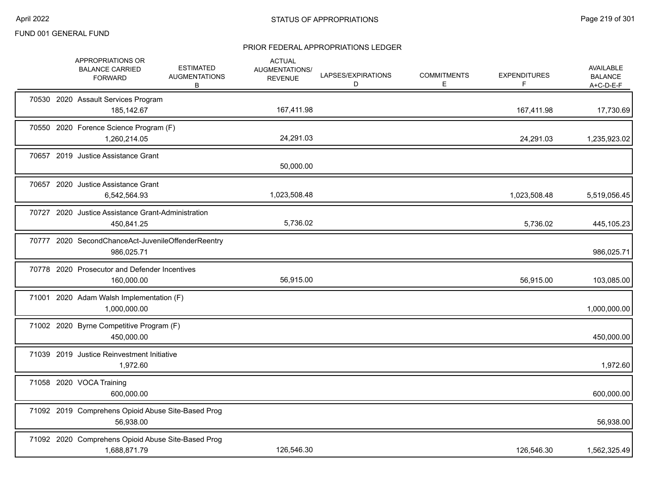|  | APPROPRIATIONS OR<br><b>BALANCE CARRIED</b><br><b>FORWARD</b>      | <b>ESTIMATED</b><br><b>AUGMENTATIONS</b><br>B | <b>ACTUAL</b><br>AUGMENTATIONS/<br><b>REVENUE</b> | LAPSES/EXPIRATIONS<br>D | <b>COMMITMENTS</b><br>Е | <b>EXPENDITURES</b><br>F. | <b>AVAILABLE</b><br><b>BALANCE</b><br>$A+C-D-E-F$ |
|--|--------------------------------------------------------------------|-----------------------------------------------|---------------------------------------------------|-------------------------|-------------------------|---------------------------|---------------------------------------------------|
|  | 70530 2020 Assault Services Program<br>185,142.67                  |                                               | 167,411.98                                        |                         |                         | 167,411.98                | 17,730.69                                         |
|  | 70550 2020 Forence Science Program (F)<br>1,260,214.05             |                                               | 24,291.03                                         |                         |                         | 24,291.03                 | 1,235,923.02                                      |
|  | 70657 2019 Justice Assistance Grant                                |                                               | 50,000.00                                         |                         |                         |                           |                                                   |
|  | 70657 2020 Justice Assistance Grant<br>6,542,564.93                |                                               | 1,023,508.48                                      |                         |                         | 1,023,508.48              | 5,519,056.45                                      |
|  | 70727 2020 Justice Assistance Grant-Administration<br>450,841.25   |                                               | 5,736.02                                          |                         |                         | 5,736.02                  | 445,105.23                                        |
|  | 70777 2020 SecondChanceAct-JuvenileOffenderReentry<br>986,025.71   |                                               |                                                   |                         |                         |                           | 986,025.71                                        |
|  | 70778 2020 Prosecutor and Defender Incentives<br>160,000.00        |                                               | 56,915.00                                         |                         |                         | 56,915.00                 | 103,085.00                                        |
|  | 71001 2020 Adam Walsh Implementation (F)<br>1,000,000.00           |                                               |                                                   |                         |                         |                           | 1,000,000.00                                      |
|  | 71002 2020 Byrne Competitive Program (F)<br>450,000.00             |                                               |                                                   |                         |                         |                           | 450,000.00                                        |
|  | 71039 2019 Justice Reinvestment Initiative<br>1,972.60             |                                               |                                                   |                         |                         |                           | 1,972.60                                          |
|  | 71058 2020 VOCA Training<br>600,000.00                             |                                               |                                                   |                         |                         |                           | 600,000.00                                        |
|  | 71092 2019 Comprehens Opioid Abuse Site-Based Prog<br>56,938.00    |                                               |                                                   |                         |                         |                           | 56,938.00                                         |
|  | 71092 2020 Comprehens Opioid Abuse Site-Based Prog<br>1,688,871.79 |                                               | 126,546.30                                        |                         |                         | 126,546.30                | 1,562,325.49                                      |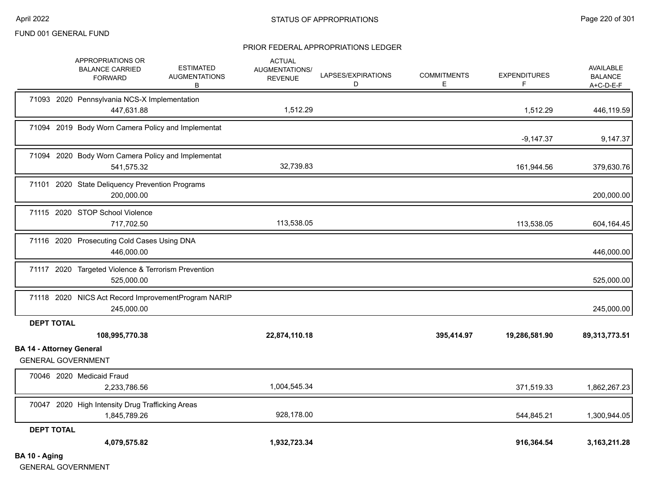#### PRIOR FEDERAL APPROPRIATIONS LEDGER

|                                 | APPROPRIATIONS OR<br><b>BALANCE CARRIED</b><br><b>FORWARD</b>     | <b>ESTIMATED</b><br><b>AUGMENTATIONS</b><br>В | <b>ACTUAL</b><br>AUGMENTATIONS/<br><b>REVENUE</b> | LAPSES/EXPIRATIONS<br>D | <b>COMMITMENTS</b><br>E. | <b>EXPENDITURES</b><br>F | AVAILABLE<br><b>BALANCE</b><br>$A+C-D-E-F$ |
|---------------------------------|-------------------------------------------------------------------|-----------------------------------------------|---------------------------------------------------|-------------------------|--------------------------|--------------------------|--------------------------------------------|
|                                 | 71093 2020 Pennsylvania NCS-X Implementation<br>447,631.88        |                                               | 1,512.29                                          |                         |                          | 1,512.29                 | 446,119.59                                 |
|                                 | 71094 2019 Body Worn Camera Policy and Implementat                |                                               |                                                   |                         |                          | $-9,147.37$              | 9,147.37                                   |
|                                 | 71094 2020 Body Worn Camera Policy and Implementat<br>541,575.32  |                                               | 32,739.83                                         |                         |                          | 161,944.56               | 379,630.76                                 |
| 71101                           | 2020 State Deliquency Prevention Programs<br>200,000.00           |                                               |                                                   |                         |                          |                          | 200,000.00                                 |
|                                 | 71115 2020 STOP School Violence<br>717,702.50                     |                                               | 113,538.05                                        |                         |                          | 113,538.05               | 604,164.45                                 |
|                                 | 71116 2020 Prosecuting Cold Cases Using DNA<br>446,000.00         |                                               |                                                   |                         |                          |                          | 446,000.00                                 |
|                                 | 71117 2020 Targeted Violence & Terrorism Prevention<br>525,000.00 |                                               |                                                   |                         |                          |                          | 525,000.00                                 |
|                                 | 71118 2020 NICS Act Record ImprovementProgram NARIP<br>245,000.00 |                                               |                                                   |                         |                          |                          | 245,000.00                                 |
| <b>DEPT TOTAL</b>               |                                                                   |                                               |                                                   |                         |                          |                          |                                            |
|                                 | 108,995,770.38                                                    |                                               | 22,874,110.18                                     |                         | 395,414.97               | 19,286,581.90            | 89,313,773.51                              |
| <b>BA 14 - Attorney General</b> | <b>GENERAL GOVERNMENT</b>                                         |                                               |                                                   |                         |                          |                          |                                            |
|                                 | 70046 2020 Medicaid Fraud                                         |                                               |                                                   |                         |                          |                          |                                            |
|                                 | 2,233,786.56                                                      |                                               | 1,004,545.34                                      |                         |                          | 371,519.33               | 1,862,267.23                               |
|                                 | 70047 2020 High Intensity Drug Trafficking Areas<br>1,845,789.26  |                                               | 928,178.00                                        |                         |                          | 544,845.21               | 1,300,944.05                               |
| <b>DEPT TOTAL</b>               |                                                                   |                                               |                                                   |                         |                          |                          |                                            |
|                                 | 4,079,575.82                                                      |                                               | 1,932,723.34                                      |                         |                          | 916,364.54               | 3, 163, 211. 28                            |
| BA 10 - Aging                   |                                                                   |                                               |                                                   |                         |                          |                          |                                            |

GENERAL GOVERNMENT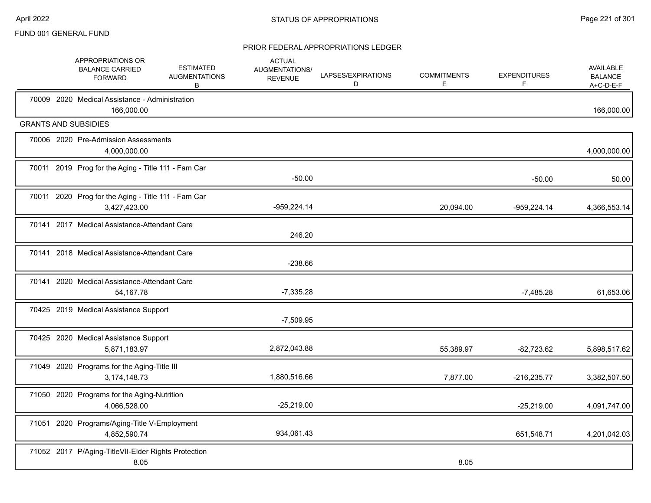|  | APPROPRIATIONS OR<br><b>BALANCE CARRIED</b><br><b>FORWARD</b>       | <b>ESTIMATED</b><br><b>AUGMENTATIONS</b><br>B | <b>ACTUAL</b><br><b>AUGMENTATIONS/</b><br><b>REVENUE</b> | LAPSES/EXPIRATIONS<br>D | <b>COMMITMENTS</b><br>Е | <b>EXPENDITURES</b><br>F | <b>AVAILABLE</b><br><b>BALANCE</b><br>$A+C-D-E-F$ |
|--|---------------------------------------------------------------------|-----------------------------------------------|----------------------------------------------------------|-------------------------|-------------------------|--------------------------|---------------------------------------------------|
|  | 70009 2020 Medical Assistance - Administration<br>166,000.00        |                                               |                                                          |                         |                         |                          | 166,000.00                                        |
|  | <b>GRANTS AND SUBSIDIES</b>                                         |                                               |                                                          |                         |                         |                          |                                                   |
|  | 70006 2020 Pre-Admission Assessments<br>4,000,000.00                |                                               |                                                          |                         |                         |                          | 4,000,000.00                                      |
|  | 70011 2019 Prog for the Aging - Title 111 - Fam Car                 |                                               | $-50.00$                                                 |                         |                         | $-50.00$                 | 50.00                                             |
|  | 70011 2020 Prog for the Aging - Title 111 - Fam Car<br>3,427,423.00 |                                               | $-959,224.14$                                            |                         | 20,094.00               | -959,224.14              | 4,366,553.14                                      |
|  | 70141 2017 Medical Assistance-Attendant Care                        |                                               | 246.20                                                   |                         |                         |                          |                                                   |
|  | 70141 2018 Medical Assistance-Attendant Care                        |                                               | $-238.66$                                                |                         |                         |                          |                                                   |
|  | 70141 2020 Medical Assistance-Attendant Care<br>54, 167. 78         |                                               | $-7,335.28$                                              |                         |                         | $-7,485.28$              | 61,653.06                                         |
|  | 70425 2019 Medical Assistance Support                               |                                               | $-7,509.95$                                              |                         |                         |                          |                                                   |
|  | 70425 2020 Medical Assistance Support<br>5,871,183.97               |                                               | 2,872,043.88                                             |                         | 55,389.97               | $-82,723.62$             | 5,898,517.62                                      |
|  | 71049 2020 Programs for the Aging-Title III<br>3,174,148.73         |                                               | 1,880,516.66                                             |                         | 7,877.00                | $-216,235.77$            | 3,382,507.50                                      |
|  | 71050 2020 Programs for the Aging-Nutrition<br>4,066,528.00         |                                               | $-25,219.00$                                             |                         |                         | $-25,219.00$             | 4,091,747.00                                      |
|  | 71051 2020 Programs/Aging-Title V-Employment<br>4,852,590.74        |                                               | 934,061.43                                               |                         |                         | 651,548.71               | 4,201,042.03                                      |
|  | 71052 2017 P/Aging-TitleVII-Elder Rights Protection<br>8.05         |                                               |                                                          |                         | 8.05                    |                          |                                                   |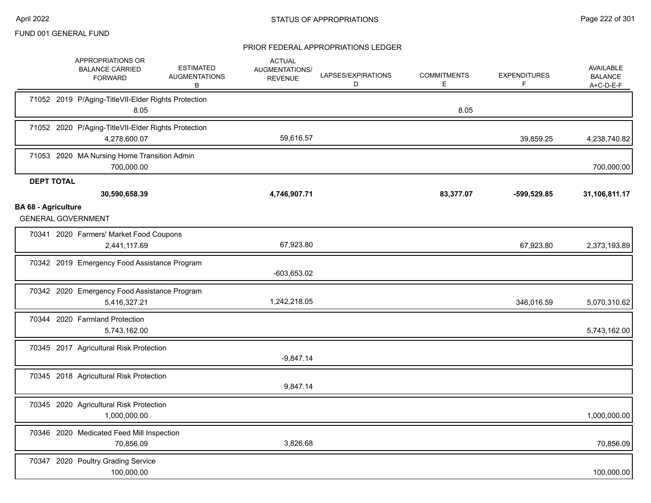|                            | APPROPRIATIONS OR<br><b>BALANCE CARRIED</b><br><b>FORWARD</b>       | <b>ESTIMATED</b><br><b>AUGMENTATIONS</b><br>В | <b>ACTUAL</b><br>AUGMENTATIONS/<br><b>REVENUE</b> | LAPSES/EXPIRATIONS<br>D | <b>COMMITMENTS</b><br>Е | <b>EXPENDITURES</b><br>F | <b>AVAILABLE</b><br><b>BALANCE</b><br>A+C-D-E-F |
|----------------------------|---------------------------------------------------------------------|-----------------------------------------------|---------------------------------------------------|-------------------------|-------------------------|--------------------------|-------------------------------------------------|
|                            | 71052 2019 P/Aging-TitleVII-Elder Rights Protection<br>8.05         |                                               |                                                   |                         | 8.05                    |                          |                                                 |
|                            | 71052 2020 P/Aging-TitleVII-Elder Rights Protection<br>4,278,600.07 |                                               | 59,616.57                                         |                         |                         | 39,859.25                | 4,238,740.82                                    |
|                            | 71053 2020 MA Nursing Home Transition Admin<br>700,000.00           |                                               |                                                   |                         |                         |                          | 700,000.00                                      |
| <b>DEPT TOTAL</b>          |                                                                     |                                               |                                                   |                         |                         |                          |                                                 |
|                            | 30,590,658.39                                                       |                                               | 4,746,907.71                                      |                         | 83,377.07               | $-599,529.85$            | 31,106,811.17                                   |
| <b>BA 68 - Agriculture</b> | <b>GENERAL GOVERNMENT</b>                                           |                                               |                                                   |                         |                         |                          |                                                 |
|                            | 70341 2020 Farmers' Market Food Coupons<br>2,441,117.69             |                                               | 67,923.80                                         |                         |                         | 67,923.80                | 2,373,193.89                                    |
|                            | 70342 2019 Emergency Food Assistance Program                        |                                               | $-603,653.02$                                     |                         |                         |                          |                                                 |
|                            | 70342 2020 Emergency Food Assistance Program<br>5,416,327.21        |                                               | 1,242,218.05                                      |                         |                         | 346,016.59               | 5,070,310.62                                    |
|                            | 70344 2020 Farmland Protection<br>5,743,162.00                      |                                               |                                                   |                         |                         |                          | 5,743,162.00                                    |
|                            | 70345 2017 Agricultural Risk Protection                             |                                               | $-9,847.14$                                       |                         |                         |                          |                                                 |
|                            | 70345 2018 Agricultural Risk Protection                             |                                               | 9,847.14                                          |                         |                         |                          |                                                 |
|                            | 70345 2020 Agricultural Risk Protection<br>1,000,000.00             |                                               |                                                   |                         |                         |                          | 1,000,000.00                                    |
|                            | 70346 2020 Medicated Feed Mill Inspection<br>70,856.09              |                                               | 3,826.68                                          |                         |                         |                          | 70,856.09                                       |
|                            | 70347 2020 Poultry Grading Service<br>100,000.00                    |                                               |                                                   |                         |                         |                          | 100,000.00                                      |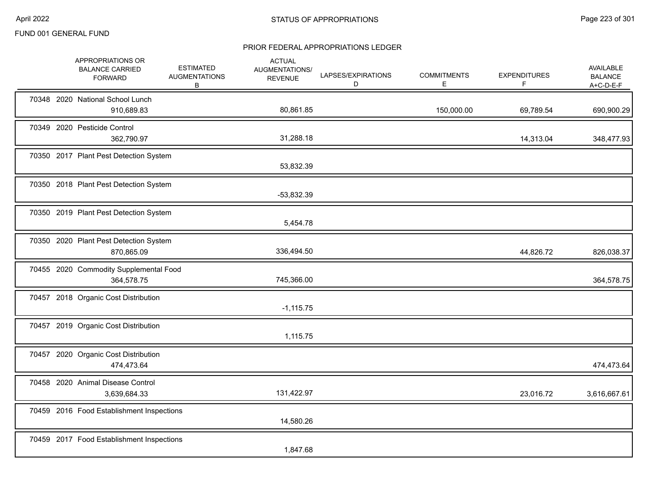|  | APPROPRIATIONS OR<br><b>BALANCE CARRIED</b><br><b>FORWARD</b> | <b>ESTIMATED</b><br><b>AUGMENTATIONS</b><br>В | <b>ACTUAL</b><br>AUGMENTATIONS/<br><b>REVENUE</b> | LAPSES/EXPIRATIONS<br>D | <b>COMMITMENTS</b><br>Е | <b>EXPENDITURES</b><br>F. | AVAILABLE<br><b>BALANCE</b><br>$A+C-D-E-F$ |
|--|---------------------------------------------------------------|-----------------------------------------------|---------------------------------------------------|-------------------------|-------------------------|---------------------------|--------------------------------------------|
|  | 70348 2020 National School Lunch<br>910,689.83                |                                               | 80,861.85                                         |                         | 150,000.00              | 69,789.54                 | 690,900.29                                 |
|  | 70349 2020 Pesticide Control<br>362,790.97                    |                                               | 31,288.18                                         |                         |                         | 14,313.04                 | 348,477.93                                 |
|  | 70350 2017 Plant Pest Detection System                        |                                               | 53,832.39                                         |                         |                         |                           |                                            |
|  | 70350 2018 Plant Pest Detection System                        |                                               | $-53,832.39$                                      |                         |                         |                           |                                            |
|  | 70350 2019 Plant Pest Detection System                        |                                               | 5,454.78                                          |                         |                         |                           |                                            |
|  | 70350 2020 Plant Pest Detection System<br>870,865.09          |                                               | 336,494.50                                        |                         |                         | 44,826.72                 | 826,038.37                                 |
|  | 70455 2020 Commodity Supplemental Food<br>364,578.75          |                                               | 745,366.00                                        |                         |                         |                           | 364,578.75                                 |
|  | 70457 2018 Organic Cost Distribution                          |                                               | $-1,115.75$                                       |                         |                         |                           |                                            |
|  | 70457 2019 Organic Cost Distribution                          |                                               | 1,115.75                                          |                         |                         |                           |                                            |
|  | 70457 2020 Organic Cost Distribution<br>474,473.64            |                                               |                                                   |                         |                         |                           | 474,473.64                                 |
|  | 70458 2020 Animal Disease Control<br>3,639,684.33             |                                               | 131,422.97                                        |                         |                         | 23,016.72                 | 3,616,667.61                               |
|  | 70459 2016 Food Establishment Inspections                     |                                               | 14,580.26                                         |                         |                         |                           |                                            |
|  | 70459 2017 Food Establishment Inspections                     |                                               | 1,847.68                                          |                         |                         |                           |                                            |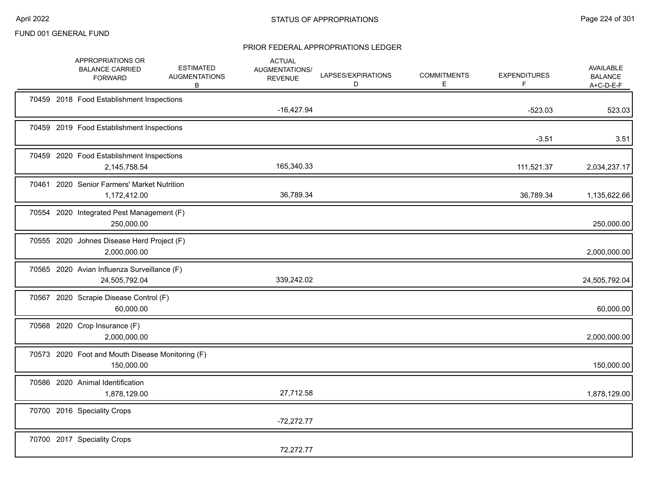|  | APPROPRIATIONS OR<br><b>BALANCE CARRIED</b><br><b>FORWARD</b>  | <b>ESTIMATED</b><br><b>AUGMENTATIONS</b><br>B | <b>ACTUAL</b><br>AUGMENTATIONS/<br><b>REVENUE</b> | LAPSES/EXPIRATIONS<br>D | <b>COMMITMENTS</b><br>Е | <b>EXPENDITURES</b><br>F | <b>AVAILABLE</b><br><b>BALANCE</b><br>A+C-D-E-F |
|--|----------------------------------------------------------------|-----------------------------------------------|---------------------------------------------------|-------------------------|-------------------------|--------------------------|-------------------------------------------------|
|  | 70459 2018 Food Establishment Inspections                      |                                               | $-16,427.94$                                      |                         |                         | $-523.03$                | 523.03                                          |
|  | 70459 2019 Food Establishment Inspections                      |                                               |                                                   |                         |                         | $-3.51$                  | 3.51                                            |
|  | 70459 2020 Food Establishment Inspections<br>2,145,758.54      |                                               | 165,340.33                                        |                         |                         | 111,521.37               | 2,034,237.17                                    |
|  | 70461 2020 Senior Farmers' Market Nutrition<br>1,172,412.00    |                                               | 36,789.34                                         |                         |                         | 36,789.34                | 1,135,622.66                                    |
|  | 70554 2020 Integrated Pest Management (F)<br>250,000.00        |                                               |                                                   |                         |                         |                          | 250,000.00                                      |
|  | 70555 2020 Johnes Disease Herd Project (F)<br>2,000,000.00     |                                               |                                                   |                         |                         |                          | 2,000,000.00                                    |
|  | 70565 2020 Avian Influenza Surveillance (F)<br>24,505,792.04   |                                               | 339,242.02                                        |                         |                         |                          | 24,505,792.04                                   |
|  | 70567 2020 Scrapie Disease Control (F)<br>60,000.00            |                                               |                                                   |                         |                         |                          | 60,000.00                                       |
|  | 70568 2020 Crop Insurance (F)<br>2,000,000.00                  |                                               |                                                   |                         |                         |                          | 2,000,000.00                                    |
|  | 70573 2020 Foot and Mouth Disease Monitoring (F)<br>150,000.00 |                                               |                                                   |                         |                         |                          | 150,000.00                                      |
|  | 70586 2020 Animal Identification<br>1,878,129.00               |                                               | 27,712.58                                         |                         |                         |                          | 1,878,129.00                                    |
|  | 70700 2016 Speciality Crops                                    |                                               | $-72,272.77$                                      |                         |                         |                          |                                                 |
|  | 70700 2017 Speciality Crops                                    |                                               | 72,272.77                                         |                         |                         |                          |                                                 |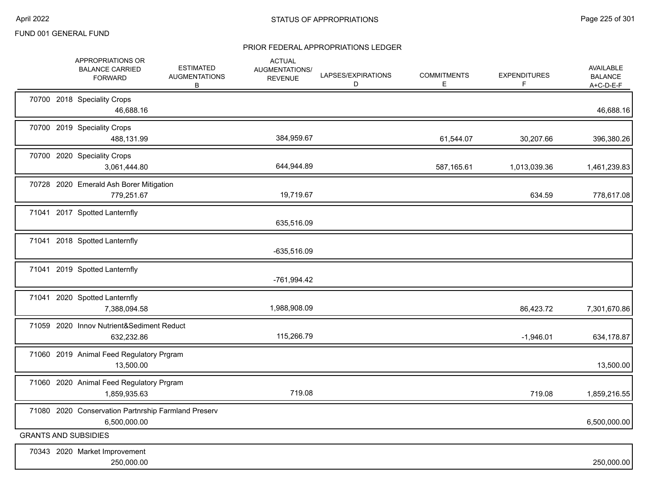|  | APPROPRIATIONS OR<br><b>BALANCE CARRIED</b><br><b>FORWARD</b>       | <b>ESTIMATED</b><br><b>AUGMENTATIONS</b><br>В | <b>ACTUAL</b><br>AUGMENTATIONS/<br><b>REVENUE</b> | LAPSES/EXPIRATIONS<br>D | <b>COMMITMENTS</b><br>E. | <b>EXPENDITURES</b><br>F | <b>AVAILABLE</b><br><b>BALANCE</b><br>$A+C-D-E-F$ |
|--|---------------------------------------------------------------------|-----------------------------------------------|---------------------------------------------------|-------------------------|--------------------------|--------------------------|---------------------------------------------------|
|  | 70700 2018 Speciality Crops<br>46,688.16                            |                                               |                                                   |                         |                          |                          | 46,688.16                                         |
|  | 70700 2019 Speciality Crops<br>488,131.99                           |                                               | 384,959.67                                        |                         | 61,544.07                | 30,207.66                | 396,380.26                                        |
|  | 70700 2020 Speciality Crops<br>3,061,444.80                         |                                               | 644,944.89                                        |                         | 587,165.61               | 1,013,039.36             | 1,461,239.83                                      |
|  | 70728 2020 Emerald Ash Borer Mitigation<br>779,251.67               |                                               | 19,719.67                                         |                         |                          | 634.59                   | 778,617.08                                        |
|  | 71041 2017 Spotted Lanternfly                                       |                                               | 635,516.09                                        |                         |                          |                          |                                                   |
|  | 71041 2018 Spotted Lanternfly                                       |                                               | $-635,516.09$                                     |                         |                          |                          |                                                   |
|  | 71041 2019 Spotted Lanternfly                                       |                                               | -761,994.42                                       |                         |                          |                          |                                                   |
|  | 71041 2020 Spotted Lanternfly<br>7,388,094.58                       |                                               | 1,988,908.09                                      |                         |                          | 86,423.72                | 7,301,670.86                                      |
|  | 71059 2020 Innov Nutrient&Sediment Reduct<br>632,232.86             |                                               | 115,266.79                                        |                         |                          | $-1,946.01$              | 634,178.87                                        |
|  | 71060 2019 Animal Feed Regulatory Prgram<br>13,500.00               |                                               |                                                   |                         |                          |                          | 13,500.00                                         |
|  | 71060 2020 Animal Feed Regulatory Prgram<br>1,859,935.63            |                                               | 719.08                                            |                         |                          | 719.08                   | 1,859,216.55                                      |
|  | 71080 2020 Conservation Partnrship Farmland Preserv<br>6,500,000.00 |                                               |                                                   |                         |                          |                          | 6,500,000.00                                      |
|  | <b>GRANTS AND SUBSIDIES</b>                                         |                                               |                                                   |                         |                          |                          |                                                   |
|  | 70343 2020 Market Improvement<br>250,000.00                         |                                               |                                                   |                         |                          |                          | 250,000.00                                        |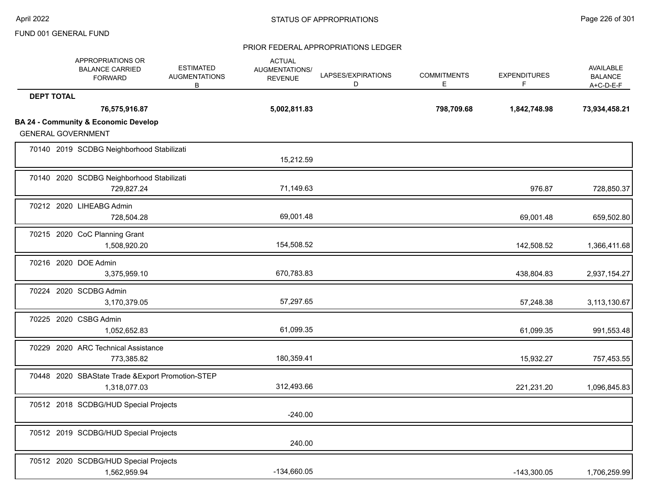|                   | APPROPRIATIONS OR<br><b>BALANCE CARRIED</b><br><b>FORWARD</b>     | <b>ESTIMATED</b><br><b>AUGMENTATIONS</b><br>B | <b>ACTUAL</b><br>AUGMENTATIONS/<br><b>REVENUE</b> | LAPSES/EXPIRATIONS<br>D | <b>COMMITMENTS</b><br>E | <b>EXPENDITURES</b><br>F | AVAILABLE<br><b>BALANCE</b><br>A+C-D-E-F |
|-------------------|-------------------------------------------------------------------|-----------------------------------------------|---------------------------------------------------|-------------------------|-------------------------|--------------------------|------------------------------------------|
| <b>DEPT TOTAL</b> |                                                                   |                                               |                                                   |                         |                         |                          |                                          |
|                   | 76,575,916.87                                                     |                                               | 5,002,811.83                                      |                         | 798,709.68              | 1,842,748.98             | 73,934,458.21                            |
|                   | <b>BA 24 - Community &amp; Economic Develop</b>                   |                                               |                                                   |                         |                         |                          |                                          |
|                   | <b>GENERAL GOVERNMENT</b>                                         |                                               |                                                   |                         |                         |                          |                                          |
|                   | 70140 2019 SCDBG Neighborhood Stabilizati                         |                                               | 15,212.59                                         |                         |                         |                          |                                          |
|                   |                                                                   |                                               |                                                   |                         |                         |                          |                                          |
|                   | 70140 2020 SCDBG Neighborhood Stabilizati<br>729,827.24           |                                               | 71,149.63                                         |                         |                         | 976.87                   | 728,850.37                               |
|                   | 70212 2020 LIHEABG Admin<br>728,504.28                            |                                               | 69,001.48                                         |                         |                         | 69,001.48                | 659,502.80                               |
|                   | 70215 2020 CoC Planning Grant<br>1,508,920.20                     |                                               | 154,508.52                                        |                         |                         | 142,508.52               | 1,366,411.68                             |
|                   | 70216 2020 DOE Admin<br>3,375,959.10                              |                                               | 670,783.83                                        |                         |                         | 438,804.83               | 2,937,154.27                             |
|                   | 70224 2020 SCDBG Admin<br>3,170,379.05                            |                                               | 57,297.65                                         |                         |                         | 57,248.38                | 3,113,130.67                             |
|                   | 70225 2020 CSBG Admin<br>1,052,652.83                             |                                               | 61,099.35                                         |                         |                         | 61,099.35                | 991,553.48                               |
|                   | 70229 2020 ARC Technical Assistance<br>773,385.82                 |                                               | 180,359.41                                        |                         |                         | 15,932.27                | 757,453.55                               |
|                   | 70448 2020 SBAState Trade & Export Promotion-STEP<br>1,318,077.03 |                                               | 312,493.66                                        |                         |                         | 221,231.20               | 1,096,845.83                             |
|                   | 70512 2018 SCDBG/HUD Special Projects                             |                                               | $-240.00$                                         |                         |                         |                          |                                          |
|                   | 70512 2019 SCDBG/HUD Special Projects                             |                                               | 240.00                                            |                         |                         |                          |                                          |
|                   | 70512 2020 SCDBG/HUD Special Projects<br>1,562,959.94             |                                               | -134,660.05                                       |                         |                         | $-143,300.05$            | 1,706,259.99                             |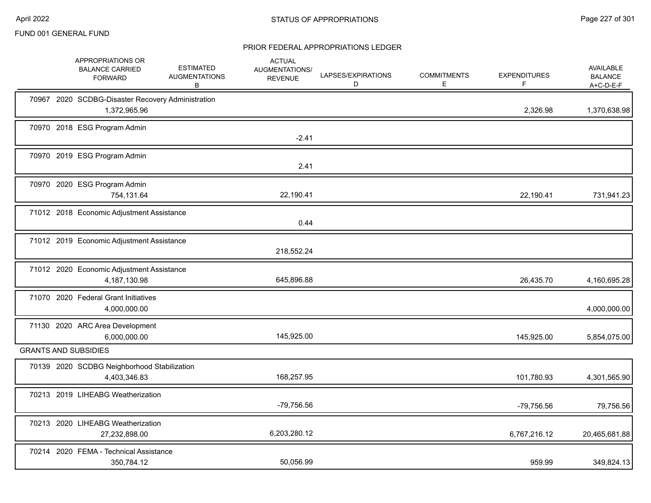|  | APPROPRIATIONS OR<br><b>BALANCE CARRIED</b><br><b>FORWARD</b>     | <b>ESTIMATED</b><br><b>AUGMENTATIONS</b><br>В | <b>ACTUAL</b><br>AUGMENTATIONS/<br><b>REVENUE</b> | LAPSES/EXPIRATIONS<br>D | <b>COMMITMENTS</b><br>Е | <b>EXPENDITURES</b><br>F | <b>AVAILABLE</b><br><b>BALANCE</b><br>$A+C-D-E-F$ |
|--|-------------------------------------------------------------------|-----------------------------------------------|---------------------------------------------------|-------------------------|-------------------------|--------------------------|---------------------------------------------------|
|  | 70967 2020 SCDBG-Disaster Recovery Administration<br>1,372,965.96 |                                               |                                                   |                         |                         | 2,326.98                 | 1,370,638.98                                      |
|  | 70970 2018 ESG Program Admin                                      |                                               | $-2.41$                                           |                         |                         |                          |                                                   |
|  | 70970 2019 ESG Program Admin                                      |                                               | 2.41                                              |                         |                         |                          |                                                   |
|  | 70970 2020 ESG Program Admin<br>754,131.64                        |                                               | 22,190.41                                         |                         |                         | 22,190.41                | 731,941.23                                        |
|  | 71012 2018 Economic Adjustment Assistance                         |                                               | 0.44                                              |                         |                         |                          |                                                   |
|  | 71012 2019 Economic Adjustment Assistance                         |                                               | 218,552.24                                        |                         |                         |                          |                                                   |
|  | 71012 2020 Economic Adjustment Assistance<br>4,187,130.98         |                                               | 645,896.88                                        |                         |                         | 26,435.70                | 4,160,695.28                                      |
|  | 71070 2020 Federal Grant Initiatives<br>4,000,000.00              |                                               |                                                   |                         |                         |                          | 4,000,000.00                                      |
|  | 71130 2020 ARC Area Development<br>6,000,000.00                   |                                               | 145,925.00                                        |                         |                         | 145.925.00               | 5,854,075.00                                      |
|  | <b>GRANTS AND SUBSIDIES</b>                                       |                                               |                                                   |                         |                         |                          |                                                   |
|  | 70139 2020 SCDBG Neighborhood Stabilization<br>4,403,346.83       |                                               | 168,257.95                                        |                         |                         | 101,780.93               | 4,301,565.90                                      |
|  | 70213 2019 LIHEABG Weatherization                                 |                                               | -79,756.56                                        |                         |                         | -79,756.56               | 79,756.56                                         |
|  | 70213 2020 LIHEABG Weatherization<br>27,232,898.00                |                                               | 6,203,280.12                                      |                         |                         | 6,767,216.12             | 20,465,681.88                                     |
|  | 70214 2020 FEMA - Technical Assistance<br>350,784.12              |                                               | 50,056.99                                         |                         |                         | 959.99                   | 349,824.13                                        |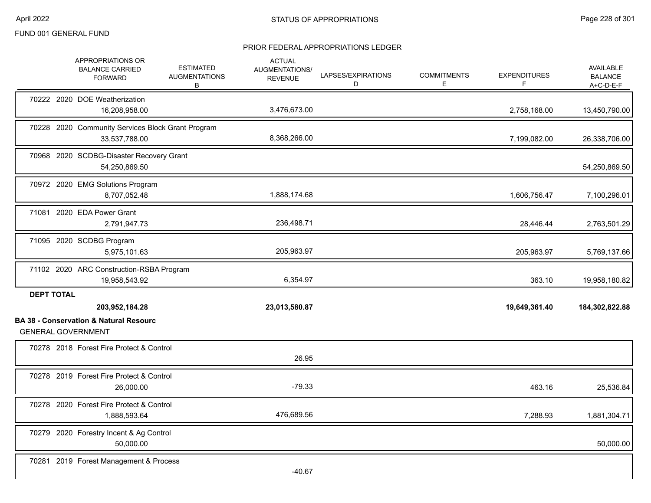|                   | APPROPRIATIONS OR<br><b>BALANCE CARRIED</b><br><b>FORWARD</b>                  | <b>ESTIMATED</b><br><b>AUGMENTATIONS</b><br>В | <b>ACTUAL</b><br>AUGMENTATIONS/<br><b>REVENUE</b> | LAPSES/EXPIRATIONS<br>D | <b>COMMITMENTS</b><br>E | <b>EXPENDITURES</b><br>F | <b>AVAILABLE</b><br><b>BALANCE</b><br>$A+C-D-E-F$ |
|-------------------|--------------------------------------------------------------------------------|-----------------------------------------------|---------------------------------------------------|-------------------------|-------------------------|--------------------------|---------------------------------------------------|
|                   | 70222 2020 DOE Weatherization<br>16,208,958.00                                 |                                               | 3,476,673.00                                      |                         |                         | 2,758,168.00             | 13,450,790.00                                     |
|                   | 70228 2020 Community Services Block Grant Program<br>33,537,788.00             |                                               | 8,368,266.00                                      |                         |                         | 7,199,082.00             | 26,338,706.00                                     |
|                   | 70968 2020 SCDBG-Disaster Recovery Grant<br>54,250,869.50                      |                                               |                                                   |                         |                         |                          | 54,250,869.50                                     |
|                   | 70972 2020 EMG Solutions Program<br>8,707,052.48                               |                                               | 1,888,174.68                                      |                         |                         | 1,606,756.47             | 7,100,296.01                                      |
|                   | 71081 2020 EDA Power Grant<br>2,791,947.73                                     |                                               | 236,498.71                                        |                         |                         | 28,446.44                | 2,763,501.29                                      |
|                   | 71095 2020 SCDBG Program<br>5,975,101.63                                       |                                               | 205,963.97                                        |                         |                         | 205,963.97               | 5,769,137.66                                      |
|                   | 71102 2020 ARC Construction-RSBA Program<br>19,958,543.92                      |                                               | 6,354.97                                          |                         |                         | 363.10                   | 19,958,180.82                                     |
| <b>DEPT TOTAL</b> | 203,952,184.28                                                                 |                                               | 23,013,580.87                                     |                         |                         | 19,649,361.40            | 184,302,822.88                                    |
|                   | <b>BA 38 - Conservation &amp; Natural Resourc</b><br><b>GENERAL GOVERNMENT</b> |                                               |                                                   |                         |                         |                          |                                                   |
|                   | 70278 2018 Forest Fire Protect & Control                                       |                                               | 26.95                                             |                         |                         |                          |                                                   |
|                   | 70278 2019 Forest Fire Protect & Control<br>26,000.00                          |                                               | $-79.33$                                          |                         |                         | 463.16                   | 25,536.84                                         |
|                   | 70278 2020 Forest Fire Protect & Control<br>1,888,593.64                       |                                               | 476,689.56                                        |                         |                         | 7,288.93                 | 1,881,304.71                                      |
|                   | 70279 2020 Forestry Incent & Ag Control<br>50,000.00                           |                                               |                                                   |                         |                         |                          | 50,000.00                                         |
|                   | 70281 2019 Forest Management & Process                                         |                                               | $-40.67$                                          |                         |                         |                          |                                                   |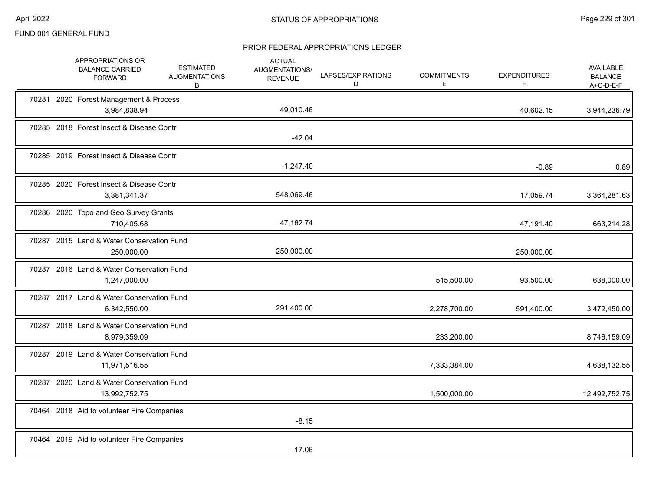|  | APPROPRIATIONS OR<br><b>BALANCE CARRIED</b><br><b>FORWARD</b> | <b>ESTIMATED</b><br><b>AUGMENTATIONS</b><br>В | <b>ACTUAL</b><br>AUGMENTATIONS/<br><b>REVENUE</b> | LAPSES/EXPIRATIONS<br>D | <b>COMMITMENTS</b><br>E | <b>EXPENDITURES</b><br>F | <b>AVAILABLE</b><br><b>BALANCE</b><br>$A+C-D-E-F$ |
|--|---------------------------------------------------------------|-----------------------------------------------|---------------------------------------------------|-------------------------|-------------------------|--------------------------|---------------------------------------------------|
|  | 70281 2020 Forest Management & Process<br>3,984,838.94        |                                               | 49,010.46                                         |                         |                         | 40,602.15                | 3,944,236.79                                      |
|  | 70285 2018 Forest Insect & Disease Contr                      |                                               | $-42.04$                                          |                         |                         |                          |                                                   |
|  | 70285 2019 Forest Insect & Disease Contr                      |                                               | $-1,247.40$                                       |                         |                         | $-0.89$                  | 0.89                                              |
|  | 70285 2020 Forest Insect & Disease Contr<br>3,381,341.37      |                                               | 548,069.46                                        |                         |                         | 17,059.74                | 3,364,281.63                                      |
|  | 70286 2020 Topo and Geo Survey Grants<br>710,405.68           |                                               | 47,162.74                                         |                         |                         | 47,191.40                | 663,214.28                                        |
|  | 70287 2015 Land & Water Conservation Fund<br>250,000.00       |                                               | 250,000.00                                        |                         |                         | 250,000.00               |                                                   |
|  | 70287 2016 Land & Water Conservation Fund<br>1,247,000.00     |                                               |                                                   |                         | 515,500.00              | 93,500.00                | 638,000.00                                        |
|  | 70287 2017 Land & Water Conservation Fund<br>6,342,550.00     |                                               | 291,400.00                                        |                         | 2,278,700.00            | 591,400.00               | 3,472,450.00                                      |
|  | 70287 2018 Land & Water Conservation Fund<br>8,979,359.09     |                                               |                                                   |                         | 233,200.00              |                          | 8,746,159.09                                      |
|  | 70287 2019 Land & Water Conservation Fund<br>11,971,516.55    |                                               |                                                   |                         | 7,333,384.00            |                          | 4,638,132.55                                      |
|  | 70287 2020 Land & Water Conservation Fund<br>13,992,752.75    |                                               |                                                   |                         | 1,500,000.00            |                          | 12,492,752.75                                     |
|  | 70464 2018 Aid to volunteer Fire Companies                    |                                               | $-8.15$                                           |                         |                         |                          |                                                   |
|  | 70464 2019 Aid to volunteer Fire Companies                    |                                               | 17.06                                             |                         |                         |                          |                                                   |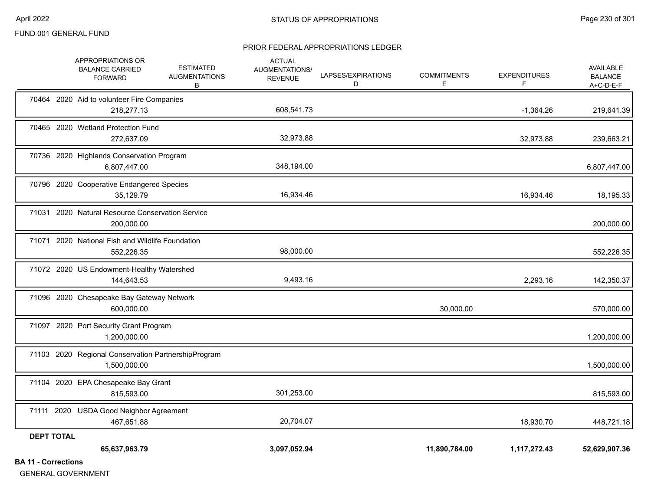#### PRIOR FEDERAL APPROPRIATIONS LEDGER

| $\mathbf{A}$ and $\mathbf{A}$ and $\mathbf{A}$ and $\mathbf{A}$ | 65,637,963.79                                                       |                                               | 3,097,052.94                                      |                         | 11,890,784.00            | 1,117,272.43              | 52,629,907.36                                   |
|-----------------------------------------------------------------|---------------------------------------------------------------------|-----------------------------------------------|---------------------------------------------------|-------------------------|--------------------------|---------------------------|-------------------------------------------------|
| <b>DEPT TOTAL</b>                                               |                                                                     |                                               |                                                   |                         |                          |                           |                                                 |
|                                                                 | 71111 2020 USDA Good Neighbor Agreement<br>467,651.88               |                                               | 20,704.07                                         |                         |                          | 18,930.70                 | 448,721.18                                      |
|                                                                 | 71104 2020 EPA Chesapeake Bay Grant<br>815,593.00                   |                                               | 301,253.00                                        |                         |                          |                           | 815,593.00                                      |
|                                                                 | 71103 2020 Regional Conservation PartnershipProgram<br>1,500,000.00 |                                               |                                                   |                         |                          |                           | 1,500,000.00                                    |
|                                                                 | 71097 2020 Port Security Grant Program<br>1,200,000.00              |                                               |                                                   |                         |                          |                           | 1,200,000.00                                    |
|                                                                 | 71096 2020 Chesapeake Bay Gateway Network<br>600,000.00             |                                               |                                                   |                         | 30,000.00                |                           | 570,000.00                                      |
|                                                                 | 71072 2020 US Endowment-Healthy Watershed<br>144,643.53             |                                               | 9,493.16                                          |                         |                          | 2,293.16                  | 142,350.37                                      |
|                                                                 | 71071 2020 National Fish and Wildlife Foundation<br>552,226.35      |                                               | 98,000.00                                         |                         |                          |                           | 552,226.35                                      |
|                                                                 | 71031 2020 Natural Resource Conservation Service<br>200,000.00      |                                               |                                                   |                         |                          |                           | 200,000.00                                      |
|                                                                 | 70796 2020 Cooperative Endangered Species<br>35,129.79              |                                               | 16,934.46                                         |                         |                          | 16,934.46                 | 18,195.33                                       |
|                                                                 | 70736 2020 Highlands Conservation Program<br>6,807,447.00           |                                               | 348,194.00                                        |                         |                          |                           | 6,807,447.00                                    |
|                                                                 | 70465 2020 Wetland Protection Fund<br>272,637.09                    |                                               | 32,973.88                                         |                         |                          | 32,973.88                 | 239,663.21                                      |
|                                                                 | 70464 2020 Aid to volunteer Fire Companies<br>218,277.13            |                                               | 608,541.73                                        |                         |                          | $-1,364.26$               | 219,641.39                                      |
|                                                                 | APPROPRIATIONS OR<br><b>BALANCE CARRIED</b><br><b>FORWARD</b>       | <b>ESTIMATED</b><br><b>AUGMENTATIONS</b><br>B | <b>ACTUAL</b><br>AUGMENTATIONS/<br><b>REVENUE</b> | LAPSES/EXPIRATIONS<br>D | <b>COMMITMENTS</b><br>E. | <b>EXPENDITURES</b><br>F. | <b>AVAILABLE</b><br><b>BALANCE</b><br>A+C-D-E-F |

**BA 11 - Corrections**

GENERAL GOVERNMENT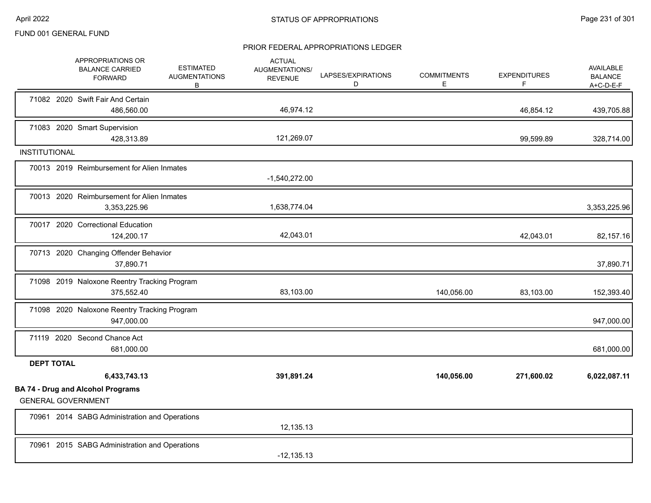|                      | APPROPRIATIONS OR<br><b>BALANCE CARRIED</b><br><b>FORWARD</b>         | <b>ESTIMATED</b><br><b>AUGMENTATIONS</b><br>В | <b>ACTUAL</b><br><b>AUGMENTATIONS/</b><br><b>REVENUE</b> | LAPSES/EXPIRATIONS<br>D | <b>COMMITMENTS</b><br>Е | <b>EXPENDITURES</b><br>F | <b>AVAILABLE</b><br><b>BALANCE</b><br>$A+C-D-E-F$ |
|----------------------|-----------------------------------------------------------------------|-----------------------------------------------|----------------------------------------------------------|-------------------------|-------------------------|--------------------------|---------------------------------------------------|
|                      | 71082 2020 Swift Fair And Certain<br>486,560.00                       |                                               | 46,974.12                                                |                         |                         | 46,854.12                | 439,705.88                                        |
|                      | 71083 2020 Smart Supervision<br>428,313.89                            |                                               | 121,269.07                                               |                         |                         | 99,599.89                | 328,714.00                                        |
| <b>INSTITUTIONAL</b> |                                                                       |                                               |                                                          |                         |                         |                          |                                                   |
|                      | 70013 2019 Reimbursement for Alien Inmates                            |                                               | $-1,540,272.00$                                          |                         |                         |                          |                                                   |
|                      | 70013 2020 Reimbursement for Alien Inmates<br>3,353,225.96            |                                               | 1,638,774.04                                             |                         |                         |                          | 3,353,225.96                                      |
|                      | 70017 2020 Correctional Education<br>124,200.17                       |                                               | 42,043.01                                                |                         |                         | 42,043.01                | 82,157.16                                         |
|                      | 70713 2020 Changing Offender Behavior<br>37,890.71                    |                                               |                                                          |                         |                         |                          | 37,890.71                                         |
|                      | 71098 2019 Naloxone Reentry Tracking Program<br>375,552.40            |                                               | 83,103.00                                                |                         | 140,056.00              | 83,103.00                | 152,393.40                                        |
|                      | 71098 2020 Naloxone Reentry Tracking Program<br>947,000.00            |                                               |                                                          |                         |                         |                          | 947,000.00                                        |
|                      | 71119 2020 Second Chance Act<br>681,000.00                            |                                               |                                                          |                         |                         |                          | 681,000.00                                        |
| <b>DEPT TOTAL</b>    |                                                                       |                                               |                                                          |                         |                         |                          |                                                   |
|                      | 6,433,743.13                                                          |                                               | 391,891.24                                               |                         | 140,056.00              | 271,600.02               | 6,022,087.11                                      |
|                      | <b>BA 74 - Drug and Alcohol Programs</b><br><b>GENERAL GOVERNMENT</b> |                                               |                                                          |                         |                         |                          |                                                   |
|                      | 70961 2014 SABG Administration and Operations                         |                                               | 12,135.13                                                |                         |                         |                          |                                                   |
|                      | 70961 2015 SABG Administration and Operations                         |                                               | $-12,135.13$                                             |                         |                         |                          |                                                   |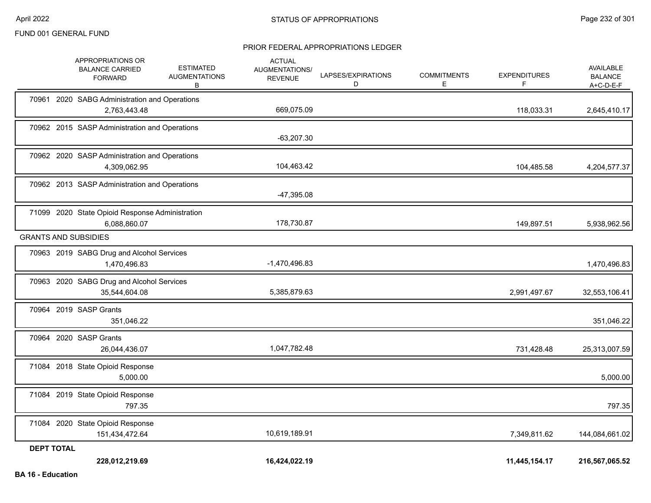|                   | APPROPRIATIONS OR<br><b>BALANCE CARRIED</b><br><b>FORWARD</b>   | <b>ESTIMATED</b><br><b>AUGMENTATIONS</b><br>B | <b>ACTUAL</b><br>AUGMENTATIONS/<br><b>REVENUE</b> | LAPSES/EXPIRATIONS<br>D | <b>COMMITMENTS</b><br>E. | <b>EXPENDITURES</b><br>F | <b>AVAILABLE</b><br><b>BALANCE</b><br>$A+C-D-E-F$ |
|-------------------|-----------------------------------------------------------------|-----------------------------------------------|---------------------------------------------------|-------------------------|--------------------------|--------------------------|---------------------------------------------------|
|                   | 70961 2020 SABG Administration and Operations<br>2,763,443.48   |                                               | 669,075.09                                        |                         |                          | 118,033.31               | 2,645,410.17                                      |
|                   | 70962 2015 SASP Administration and Operations                   |                                               | $-63,207.30$                                      |                         |                          |                          |                                                   |
|                   | 70962 2020 SASP Administration and Operations<br>4,309,062.95   |                                               | 104,463.42                                        |                         |                          | 104,485.58               | 4,204,577.37                                      |
|                   | 70962 2013 SASP Administration and Operations                   |                                               | $-47,395.08$                                      |                         |                          |                          |                                                   |
|                   | 71099 2020 State Opioid Response Administration<br>6,088,860.07 |                                               | 178,730.87                                        |                         |                          | 149,897.51               | 5,938,962.56                                      |
|                   | <b>GRANTS AND SUBSIDIES</b>                                     |                                               |                                                   |                         |                          |                          |                                                   |
|                   | 70963 2019 SABG Drug and Alcohol Services<br>1,470,496.83       |                                               | $-1,470,496.83$                                   |                         |                          |                          | 1,470,496.83                                      |
|                   | 70963 2020 SABG Drug and Alcohol Services<br>35,544,604.08      |                                               | 5,385,879.63                                      |                         |                          | 2,991,497.67             | 32,553,106.41                                     |
|                   | 70964 2019 SASP Grants<br>351,046.22                            |                                               |                                                   |                         |                          |                          | 351,046.22                                        |
|                   | 70964 2020 SASP Grants<br>26,044,436.07                         |                                               | 1,047,782.48                                      |                         |                          | 731,428.48               | 25,313,007.59                                     |
|                   | 71084 2018 State Opioid Response<br>5,000.00                    |                                               |                                                   |                         |                          |                          | 5,000.00                                          |
|                   | 71084 2019 State Opioid Response<br>797.35                      |                                               |                                                   |                         |                          |                          | 797.35                                            |
|                   | 71084 2020 State Opioid Response<br>151,434,472.64              |                                               | 10,619,189.91                                     |                         |                          | 7,349,811.62             | 144,084,661.02                                    |
| <b>DEPT TOTAL</b> | 228,012,219.69                                                  |                                               | 16,424,022.19                                     |                         |                          | 11,445,154.17            | 216,567,065.52                                    |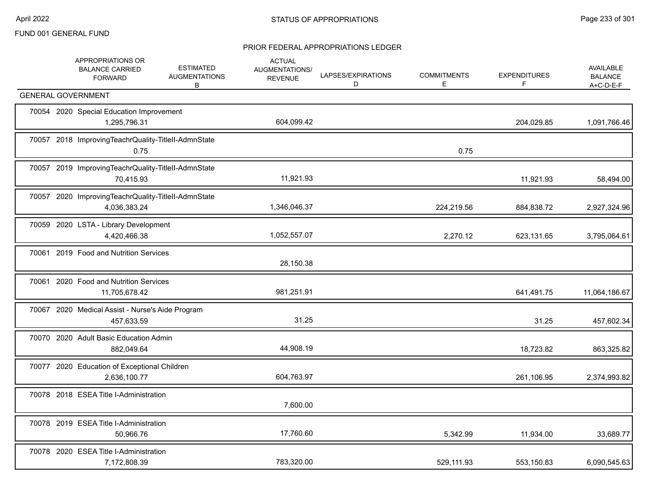|                           | APPROPRIATIONS OR<br><b>BALANCE CARRIED</b><br><b>FORWARD</b>       | <b>ESTIMATED</b><br><b>AUGMENTATIONS</b><br>В | <b>ACTUAL</b><br>AUGMENTATIONS/<br><b>REVENUE</b> | LAPSES/EXPIRATIONS<br>D | <b>COMMITMENTS</b><br>E | <b>EXPENDITURES</b><br>F | AVAILABLE<br><b>BALANCE</b><br>$A+C-D-E-F$ |
|---------------------------|---------------------------------------------------------------------|-----------------------------------------------|---------------------------------------------------|-------------------------|-------------------------|--------------------------|--------------------------------------------|
| <b>GENERAL GOVERNMENT</b> |                                                                     |                                               |                                                   |                         |                         |                          |                                            |
|                           | 70054 2020 Special Education Improvement<br>1,295,796.31            |                                               | 604,099.42                                        |                         |                         | 204,029.85               | 1,091,766.46                               |
|                           | 70057 2018 ImprovingTeachrQuality-TitleII-AdmnState<br>0.75         |                                               |                                                   |                         | 0.75                    |                          |                                            |
|                           | 70057 2019 ImprovingTeachrQuality-TitleII-AdmnState<br>70,415.93    |                                               | 11,921.93                                         |                         |                         | 11,921.93                | 58,494.00                                  |
|                           | 70057 2020 ImprovingTeachrQuality-TitleII-AdmnState<br>4,036,383.24 |                                               | 1,346,046.37                                      |                         | 224,219.56              | 884,838.72               | 2,927,324.96                               |
|                           | 70059 2020 LSTA - Library Development<br>4,420,466.38               |                                               | 1,052,557.07                                      |                         | 2,270.12                | 623,131.65               | 3,795,064.61                               |
|                           | 70061 2019 Food and Nutrition Services                              |                                               | 28,150.38                                         |                         |                         |                          |                                            |
|                           | 70061 2020 Food and Nutrition Services<br>11,705,678.42             |                                               | 981,251.91                                        |                         |                         | 641,491.75               | 11,064,186.67                              |
|                           | 70067 2020 Medical Assist - Nurse's Aide Program<br>457,633.59      |                                               | 31.25                                             |                         |                         | 31.25                    | 457,602.34                                 |
|                           | 70070 2020 Adult Basic Education Admin<br>882,049.64                |                                               | 44,908.19                                         |                         |                         | 18,723.82                | 863,325.82                                 |
|                           | 70077 2020 Education of Exceptional Children<br>2,636,100.77        |                                               | 604,763.97                                        |                         |                         | 261,106.95               | 2,374,993.82                               |
|                           | 70078 2018 ESEA Title I-Administration                              |                                               | 7,600.00                                          |                         |                         |                          |                                            |
|                           | 70078 2019 ESEA Title I-Administration<br>50,966.76                 |                                               | 17,760.60                                         |                         | 5,342.99                | 11,934.00                | 33,689.77                                  |
|                           | 70078 2020 ESEA Title I-Administration<br>7,172,808.39              |                                               | 783,320.00                                        |                         | 529,111.93              | 553,150.83               | 6,090,545.63                               |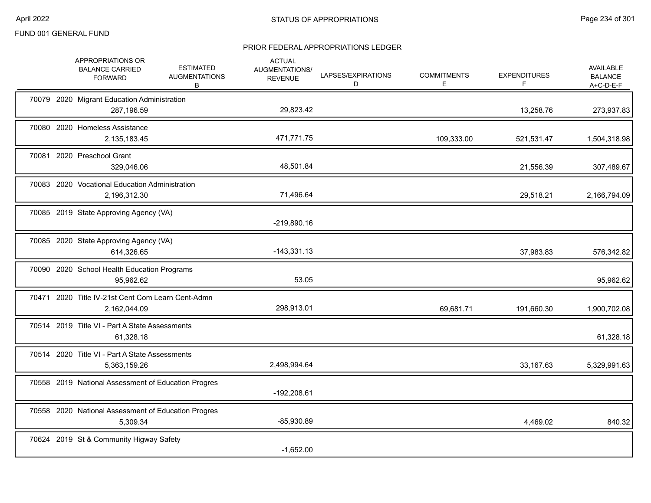|  | APPROPRIATIONS OR<br><b>BALANCE CARRIED</b><br><b>FORWARD</b>     | <b>ESTIMATED</b><br><b>AUGMENTATIONS</b><br>В | <b>ACTUAL</b><br>AUGMENTATIONS/<br><b>REVENUE</b> | LAPSES/EXPIRATIONS<br>D | <b>COMMITMENTS</b><br>E. | <b>EXPENDITURES</b><br>F. | AVAILABLE<br><b>BALANCE</b><br>A+C-D-E-F |
|--|-------------------------------------------------------------------|-----------------------------------------------|---------------------------------------------------|-------------------------|--------------------------|---------------------------|------------------------------------------|
|  | 70079 2020 Migrant Education Administration<br>287,196.59         |                                               | 29,823.42                                         |                         |                          | 13,258.76                 | 273,937.83                               |
|  | 70080 2020 Homeless Assistance<br>2,135,183.45                    |                                               | 471,771.75                                        |                         | 109,333.00               | 521,531.47                | 1,504,318.98                             |
|  | 70081 2020 Preschool Grant<br>329,046.06                          |                                               | 48,501.84                                         |                         |                          | 21,556.39                 | 307,489.67                               |
|  | 70083 2020 Vocational Education Administration<br>2,196,312.30    |                                               | 71,496.64                                         |                         |                          | 29,518.21                 | 2,166,794.09                             |
|  | 70085 2019 State Approving Agency (VA)                            |                                               | $-219,890.16$                                     |                         |                          |                           |                                          |
|  | 70085 2020 State Approving Agency (VA)<br>614,326.65              |                                               | $-143,331.13$                                     |                         |                          | 37,983.83                 | 576,342.82                               |
|  | 70090 2020 School Health Education Programs<br>95,962.62          |                                               | 53.05                                             |                         |                          |                           | 95,962.62                                |
|  | 70471 2020 Title IV-21st Cent Com Learn Cent-Admn<br>2,162,044.09 |                                               | 298,913.01                                        |                         | 69,681.71                | 191,660.30                | 1,900,702.08                             |
|  | 70514 2019 Title VI - Part A State Assessments<br>61,328.18       |                                               |                                                   |                         |                          |                           | 61,328.18                                |
|  | 70514 2020 Title VI - Part A State Assessments<br>5,363,159.26    |                                               | 2,498,994.64                                      |                         |                          | 33,167.63                 | 5,329,991.63                             |
|  | 70558 2019 National Assessment of Education Progres               |                                               | $-192,208.61$                                     |                         |                          |                           |                                          |
|  | 70558 2020 National Assessment of Education Progres<br>5,309.34   |                                               | $-85,930.89$                                      |                         |                          | 4,469.02                  | 840.32                                   |
|  | 70624 2019 St & Community Higway Safety                           |                                               | $-1,652.00$                                       |                         |                          |                           |                                          |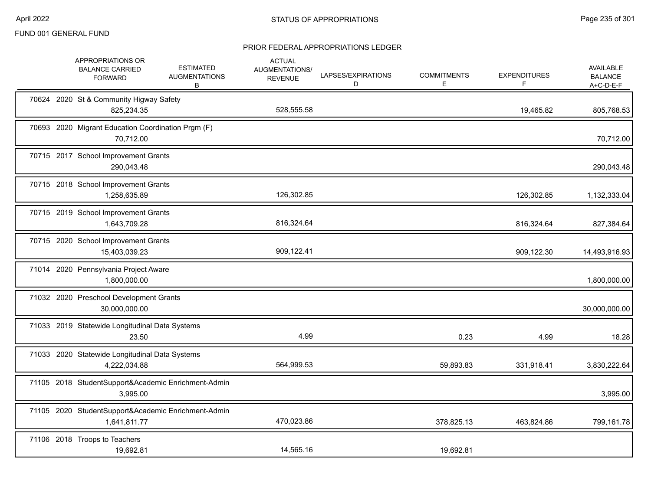| APPROPRIATIONS OR<br><b>BALANCE CARRIED</b><br><b>FORWARD</b>       | <b>ESTIMATED</b><br><b>AUGMENTATIONS</b><br>В | <b>ACTUAL</b><br>AUGMENTATIONS/<br><b>REVENUE</b> | LAPSES/EXPIRATIONS<br>D | <b>COMMITMENTS</b><br>Е | <b>EXPENDITURES</b><br>F | AVAILABLE<br><b>BALANCE</b><br>A+C-D-E-F |
|---------------------------------------------------------------------|-----------------------------------------------|---------------------------------------------------|-------------------------|-------------------------|--------------------------|------------------------------------------|
| 70624 2020 St & Community Higway Safety<br>825,234.35               |                                               | 528,555.58                                        |                         |                         | 19,465.82                | 805,768.53                               |
| 70693 2020 Migrant Education Coordination Prgm (F)<br>70,712.00     |                                               |                                                   |                         |                         |                          | 70,712.00                                |
| 70715 2017 School Improvement Grants<br>290,043.48                  |                                               |                                                   |                         |                         |                          | 290,043.48                               |
| 70715 2018 School Improvement Grants<br>1,258,635.89                |                                               | 126,302.85                                        |                         |                         | 126,302.85               | 1,132,333.04                             |
| 70715 2019 School Improvement Grants<br>1,643,709.28                |                                               | 816,324.64                                        |                         |                         | 816,324.64               | 827,384.64                               |
| 70715 2020 School Improvement Grants<br>15,403,039.23               |                                               | 909,122.41                                        |                         |                         | 909,122.30               | 14,493,916.93                            |
| 71014 2020 Pennsylvania Project Aware<br>1,800,000.00               |                                               |                                                   |                         |                         |                          | 1,800,000.00                             |
| 71032 2020 Preschool Development Grants<br>30,000,000.00            |                                               |                                                   |                         |                         |                          | 30,000,000.00                            |
| 71033 2019 Statewide Longitudinal Data Systems<br>23.50             |                                               | 4.99                                              |                         | 0.23                    | 4.99                     | 18.28                                    |
| 71033 2020 Statewide Longitudinal Data Systems<br>4,222,034.88      |                                               | 564,999.53                                        |                         | 59,893.83               | 331,918.41               | 3,830,222.64                             |
| 71105 2018 StudentSupport&Academic Enrichment-Admin<br>3,995.00     |                                               |                                                   |                         |                         |                          | 3,995.00                                 |
| 71105 2020 StudentSupport&Academic Enrichment-Admin<br>1,641,811.77 |                                               | 470,023.86                                        |                         | 378,825.13              | 463,824.86               | 799,161.78                               |
| 71106 2018 Troops to Teachers<br>19,692.81                          |                                               | 14,565.16                                         |                         | 19,692.81               |                          |                                          |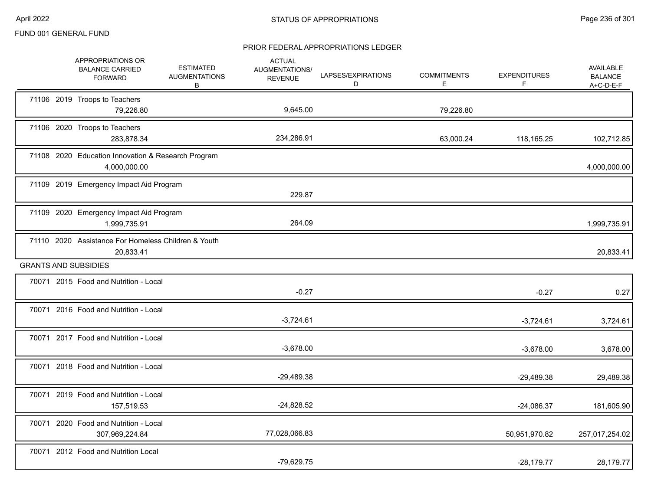|  | APPROPRIATIONS OR<br><b>BALANCE CARRIED</b><br><b>FORWARD</b>      | <b>ESTIMATED</b><br><b>AUGMENTATIONS</b><br>В | <b>ACTUAL</b><br>AUGMENTATIONS/<br><b>REVENUE</b> | LAPSES/EXPIRATIONS<br>D | <b>COMMITMENTS</b><br>E. | <b>EXPENDITURES</b><br>F | AVAILABLE<br><b>BALANCE</b><br>$A+C-D-E-F$ |
|--|--------------------------------------------------------------------|-----------------------------------------------|---------------------------------------------------|-------------------------|--------------------------|--------------------------|--------------------------------------------|
|  | 71106 2019 Troops to Teachers<br>79,226.80                         |                                               | 9,645.00                                          |                         | 79,226.80                |                          |                                            |
|  | 71106 2020 Troops to Teachers<br>283,878.34                        |                                               | 234,286.91                                        |                         | 63,000.24                | 118,165.25               | 102,712.85                                 |
|  | 71108 2020 Education Innovation & Research Program<br>4,000,000.00 |                                               |                                                   |                         |                          |                          | 4,000,000.00                               |
|  | 71109 2019 Emergency Impact Aid Program                            |                                               | 229.87                                            |                         |                          |                          |                                            |
|  | 71109 2020 Emergency Impact Aid Program<br>1,999,735.91            |                                               | 264.09                                            |                         |                          |                          | 1,999,735.91                               |
|  | 71110 2020 Assistance For Homeless Children & Youth<br>20,833.41   |                                               |                                                   |                         |                          |                          | 20,833.41                                  |
|  | <b>GRANTS AND SUBSIDIES</b>                                        |                                               |                                                   |                         |                          |                          |                                            |
|  | 70071 2015 Food and Nutrition - Local                              |                                               | $-0.27$                                           |                         |                          | $-0.27$                  | 0.27                                       |
|  | 70071 2016 Food and Nutrition - Local                              |                                               | $-3,724.61$                                       |                         |                          | $-3,724.61$              | 3,724.61                                   |
|  | 70071 2017 Food and Nutrition - Local                              |                                               | $-3,678.00$                                       |                         |                          | $-3,678.00$              | 3,678.00                                   |
|  | 70071 2018 Food and Nutrition - Local                              |                                               | $-29,489.38$                                      |                         |                          | $-29,489.38$             | 29,489.38                                  |
|  | 70071 2019 Food and Nutrition - Local<br>157,519.53                |                                               | $-24,828.52$                                      |                         |                          | $-24,086.37$             | 181,605.90                                 |
|  | 70071 2020 Food and Nutrition - Local<br>307,969,224.84            |                                               | 77,028,066.83                                     |                         |                          | 50,951,970.82            | 257,017,254.02                             |
|  | 70071 2012 Food and Nutrition Local                                |                                               | $-79,629.75$                                      |                         |                          | $-28.179.77$             | 28,179.77                                  |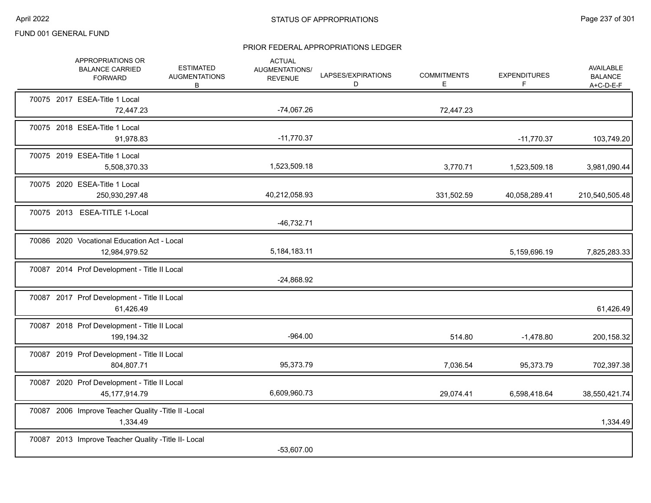|  | APPROPRIATIONS OR<br><b>BALANCE CARRIED</b><br><b>FORWARD</b>     | <b>ESTIMATED</b><br><b>AUGMENTATIONS</b><br>B | <b>ACTUAL</b><br>AUGMENTATIONS/<br><b>REVENUE</b> | LAPSES/EXPIRATIONS<br>D | <b>COMMITMENTS</b><br>Е | <b>EXPENDITURES</b><br>F | AVAILABLE<br><b>BALANCE</b><br>$A+C-D-E-F$ |
|--|-------------------------------------------------------------------|-----------------------------------------------|---------------------------------------------------|-------------------------|-------------------------|--------------------------|--------------------------------------------|
|  | 70075 2017 ESEA-Title 1 Local<br>72,447.23                        |                                               | $-74,067.26$                                      |                         | 72,447.23               |                          |                                            |
|  | 70075 2018 ESEA-Title 1 Local<br>91,978.83                        |                                               | $-11,770.37$                                      |                         |                         | $-11,770.37$             | 103,749.20                                 |
|  | 70075 2019 ESEA-Title 1 Local<br>5,508,370.33                     |                                               | 1,523,509.18                                      |                         | 3,770.71                | 1,523,509.18             | 3,981,090.44                               |
|  | 70075 2020 ESEA-Title 1 Local<br>250,930,297.48                   |                                               | 40,212,058.93                                     |                         | 331,502.59              | 40,058,289.41            | 210,540,505.48                             |
|  | 70075 2013 ESEA-TITLE 1-Local                                     |                                               | $-46,732.71$                                      |                         |                         |                          |                                            |
|  | 70086 2020 Vocational Education Act - Local<br>12,984,979.52      |                                               | 5,184,183.11                                      |                         |                         | 5,159,696.19             | 7,825,283.33                               |
|  | 70087 2014 Prof Development - Title II Local                      |                                               | $-24,868.92$                                      |                         |                         |                          |                                            |
|  | 70087 2017 Prof Development - Title II Local<br>61,426.49         |                                               |                                                   |                         |                         |                          | 61,426.49                                  |
|  | 70087 2018 Prof Development - Title II Local<br>199,194.32        |                                               | $-964.00$                                         |                         | 514.80                  | $-1,478.80$              | 200,158.32                                 |
|  | 70087 2019 Prof Development - Title II Local<br>804,807.71        |                                               | 95,373.79                                         |                         | 7,036.54                | 95,373.79                | 702,397.38                                 |
|  | 70087 2020 Prof Development - Title II Local<br>45, 177, 914. 79  |                                               | 6,609,960.73                                      |                         | 29,074.41               | 6,598,418.64             | 38,550,421.74                              |
|  | 70087 2006 Improve Teacher Quality - Title II - Local<br>1,334.49 |                                               |                                                   |                         |                         |                          | 1,334.49                                   |
|  | 70087 2013 Improve Teacher Quality - Title II- Local              |                                               | $-53,607.00$                                      |                         |                         |                          |                                            |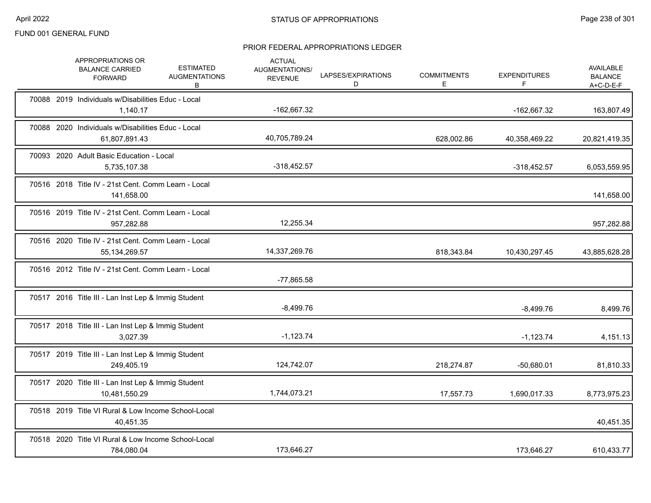|  | APPROPRIATIONS OR<br><b>BALANCE CARRIED</b><br><b>FORWARD</b>           | <b>ESTIMATED</b><br><b>AUGMENTATIONS</b><br>В | <b>ACTUAL</b><br><b>AUGMENTATIONS/</b><br><b>REVENUE</b> | LAPSES/EXPIRATIONS<br>D | <b>COMMITMENTS</b><br>E. | <b>EXPENDITURES</b><br>F. | AVAILABLE<br><b>BALANCE</b><br>A+C-D-E-F |
|--|-------------------------------------------------------------------------|-----------------------------------------------|----------------------------------------------------------|-------------------------|--------------------------|---------------------------|------------------------------------------|
|  | 70088 2019 Individuals w/Disabilities Educ - Local<br>1,140.17          |                                               | -162,667.32                                              |                         |                          | -162,667.32               | 163,807.49                               |
|  | 70088 2020 Individuals w/Disabilities Educ - Local<br>61,807,891.43     |                                               | 40,705,789.24                                            |                         | 628,002.86               | 40,358,469.22             | 20,821,419.35                            |
|  | 70093 2020 Adult Basic Education - Local<br>5,735,107.38                |                                               | $-318,452.57$                                            |                         |                          | $-318,452.57$             | 6,053,559.95                             |
|  | 70516 2018 Title IV - 21st Cent. Comm Learn - Local<br>141,658.00       |                                               |                                                          |                         |                          |                           | 141,658.00                               |
|  | 70516 2019 Title IV - 21st Cent. Comm Learn - Local<br>957,282.88       |                                               | 12,255.34                                                |                         |                          |                           | 957,282.88                               |
|  | 70516 2020 Title IV - 21st Cent. Comm Learn - Local<br>55, 134, 269. 57 |                                               | 14,337,269.76                                            |                         | 818,343.84               | 10,430,297.45             | 43,885,628.28                            |
|  | 70516 2012 Title IV - 21st Cent. Comm Learn - Local                     |                                               | $-77,865.58$                                             |                         |                          |                           |                                          |
|  | 70517 2016 Title III - Lan Inst Lep & Immig Student                     |                                               | $-8,499.76$                                              |                         |                          | $-8,499.76$               | 8,499.76                                 |
|  | 70517 2018 Title III - Lan Inst Lep & Immig Student<br>3,027.39         |                                               | $-1,123.74$                                              |                         |                          | $-1,123.74$               | 4,151.13                                 |
|  | 70517 2019 Title III - Lan Inst Lep & Immig Student<br>249,405.19       |                                               | 124,742.07                                               |                         | 218,274.87               | $-50,680.01$              | 81,810.33                                |
|  | 70517 2020 Title III - Lan Inst Lep & Immig Student<br>10,481,550.29    |                                               | 1,744,073.21                                             |                         | 17,557.73                | 1,690,017.33              | 8,773,975.23                             |
|  | 70518 2019 Title VI Rural & Low Income School-Local<br>40,451.35        |                                               |                                                          |                         |                          |                           | 40,451.35                                |
|  | 70518 2020 Title VI Rural & Low Income School-Local<br>784,080.04       |                                               | 173,646.27                                               |                         |                          | 173,646.27                | 610,433.77                               |
|  |                                                                         |                                               |                                                          |                         |                          |                           |                                          |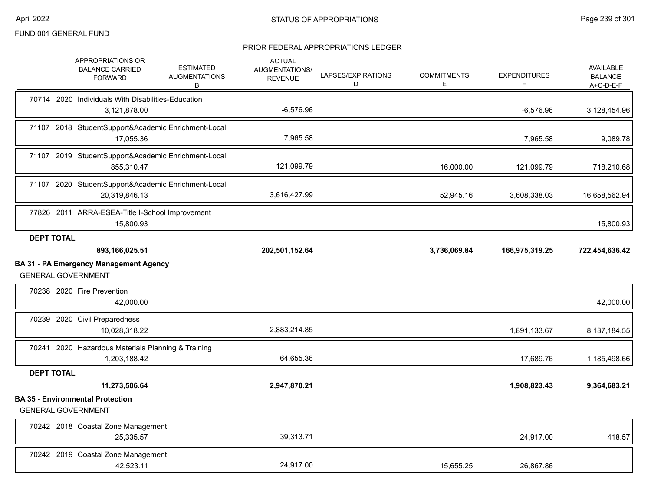|                   | APPROPRIATIONS OR<br><b>BALANCE CARRIED</b><br><b>FORWARD</b>        | <b>ESTIMATED</b><br><b>AUGMENTATIONS</b><br>В | <b>ACTUAL</b><br>AUGMENTATIONS/<br><b>REVENUE</b> | LAPSES/EXPIRATIONS<br>D | <b>COMMITMENTS</b><br>Е | <b>EXPENDITURES</b><br>F | <b>AVAILABLE</b><br><b>BALANCE</b><br>$A+C-D-E-F$ |
|-------------------|----------------------------------------------------------------------|-----------------------------------------------|---------------------------------------------------|-------------------------|-------------------------|--------------------------|---------------------------------------------------|
|                   | 70714 2020 Individuals With Disabilities-Education<br>3,121,878.00   |                                               | $-6,576.96$                                       |                         |                         | $-6,576.96$              | 3,128,454.96                                      |
|                   | 71107 2018 StudentSupport&Academic Enrichment-Local<br>17,055.36     |                                               | 7,965.58                                          |                         |                         | 7,965.58                 | 9,089.78                                          |
|                   | 71107 2019 StudentSupport&Academic Enrichment-Local<br>855,310.47    |                                               | 121,099.79                                        |                         | 16,000.00               | 121,099.79               | 718,210.68                                        |
|                   | 71107 2020 StudentSupport&Academic Enrichment-Local<br>20,319,846.13 |                                               | 3,616,427.99                                      |                         | 52,945.16               | 3,608,338.03             | 16,658,562.94                                     |
|                   | 77826 2011 ARRA-ESEA-Title I-School Improvement<br>15,800.93         |                                               |                                                   |                         |                         |                          | 15,800.93                                         |
| <b>DEPT TOTAL</b> | 893,166,025.51                                                       |                                               | 202,501,152.64                                    |                         | 3,736,069.84            | 166,975,319.25           | 722,454,636.42                                    |
|                   | BA 31 - PA Emergency Management Agency<br><b>GENERAL GOVERNMENT</b>  |                                               |                                                   |                         |                         |                          |                                                   |
|                   | 70238 2020 Fire Prevention<br>42,000.00                              |                                               |                                                   |                         |                         |                          | 42,000.00                                         |
|                   | 70239 2020 Civil Preparedness<br>10,028,318.22                       |                                               | 2,883,214.85                                      |                         |                         | 1,891,133.67             | 8,137,184.55                                      |
|                   | 70241 2020 Hazardous Materials Planning & Training<br>1,203,188.42   |                                               | 64,655.36                                         |                         |                         | 17,689.76                | 1,185,498.66                                      |
| <b>DEPT TOTAL</b> |                                                                      |                                               |                                                   |                         |                         |                          |                                                   |
|                   | 11,273,506.64<br><b>BA 35 - Environmental Protection</b>             |                                               | 2,947,870.21                                      |                         |                         | 1,908,823.43             | 9,364,683.21                                      |
|                   | <b>GENERAL GOVERNMENT</b>                                            |                                               |                                                   |                         |                         |                          |                                                   |
|                   | 70242 2018 Coastal Zone Management<br>25,335.57                      |                                               | 39,313.71                                         |                         |                         | 24,917.00                | 418.57                                            |
|                   | 70242 2019 Coastal Zone Management<br>42,523.11                      |                                               | 24.917.00                                         |                         | 15,655.25               | 26,867.86                |                                                   |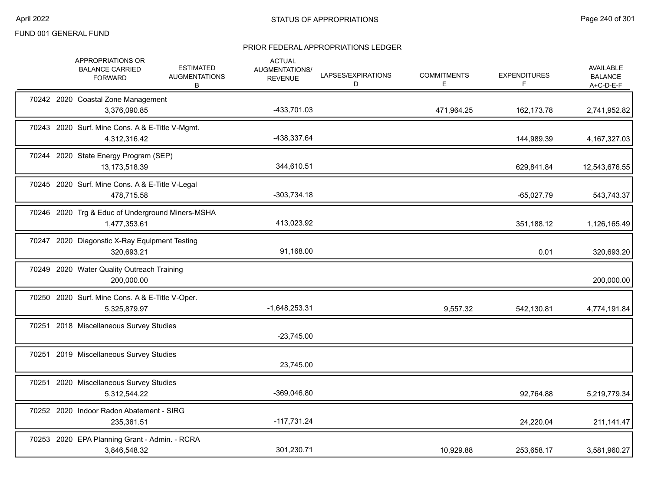|  | APPROPRIATIONS OR<br><b>BALANCE CARRIED</b><br><b>FORWARD</b>    | <b>ESTIMATED</b><br><b>AUGMENTATIONS</b><br>В | <b>ACTUAL</b><br>AUGMENTATIONS/<br><b>REVENUE</b> | LAPSES/EXPIRATIONS<br>D | <b>COMMITMENTS</b><br>E. | <b>EXPENDITURES</b><br>F | <b>AVAILABLE</b><br><b>BALANCE</b><br>$A+C-D-E-F$ |
|--|------------------------------------------------------------------|-----------------------------------------------|---------------------------------------------------|-------------------------|--------------------------|--------------------------|---------------------------------------------------|
|  | 70242 2020 Coastal Zone Management<br>3,376,090.85               |                                               | -433,701.03                                       |                         | 471,964.25               | 162,173.78               | 2,741,952.82                                      |
|  | 70243 2020 Surf. Mine Cons. A & E-Title V-Mgmt.<br>4,312,316.42  |                                               | -438,337.64                                       |                         |                          | 144,989.39               | 4, 167, 327.03                                    |
|  | 70244 2020 State Energy Program (SEP)<br>13,173,518.39           |                                               | 344,610.51                                        |                         |                          | 629,841.84               | 12,543,676.55                                     |
|  | 70245 2020 Surf. Mine Cons. A & E-Title V-Legal<br>478,715.58    |                                               | $-303,734.18$                                     |                         |                          | $-65,027.79$             | 543,743.37                                        |
|  | 70246 2020 Trg & Educ of Underground Miners-MSHA<br>1,477,353.61 |                                               | 413,023.92                                        |                         |                          | 351,188.12               | 1,126,165.49                                      |
|  | 70247 2020 Diagonstic X-Ray Equipment Testing<br>320,693.21      |                                               | 91,168.00                                         |                         |                          | 0.01                     | 320,693.20                                        |
|  | 70249 2020 Water Quality Outreach Training<br>200,000.00         |                                               |                                                   |                         |                          |                          | 200,000.00                                        |
|  | 70250 2020 Surf. Mine Cons. A & E-Title V-Oper.<br>5,325,879.97  |                                               | $-1,648,253.31$                                   |                         | 9,557.32                 | 542,130.81               | 4,774,191.84                                      |
|  | 70251 2018 Miscellaneous Survey Studies                          |                                               | $-23,745.00$                                      |                         |                          |                          |                                                   |
|  | 70251 2019 Miscellaneous Survey Studies                          |                                               | 23,745.00                                         |                         |                          |                          |                                                   |
|  | 70251 2020 Miscellaneous Survey Studies<br>5,312,544.22          |                                               | -369,046.80                                       |                         |                          | 92,764.88                | 5,219,779.34                                      |
|  | 70252 2020 Indoor Radon Abatement - SIRG<br>235,361.51           |                                               | $-117,731.24$                                     |                         |                          | 24,220.04                | 211,141.47                                        |
|  | 70253 2020 EPA Planning Grant - Admin. - RCRA<br>3,846,548.32    |                                               | 301,230.71                                        |                         | 10,929.88                | 253,658.17               | 3,581,960.27                                      |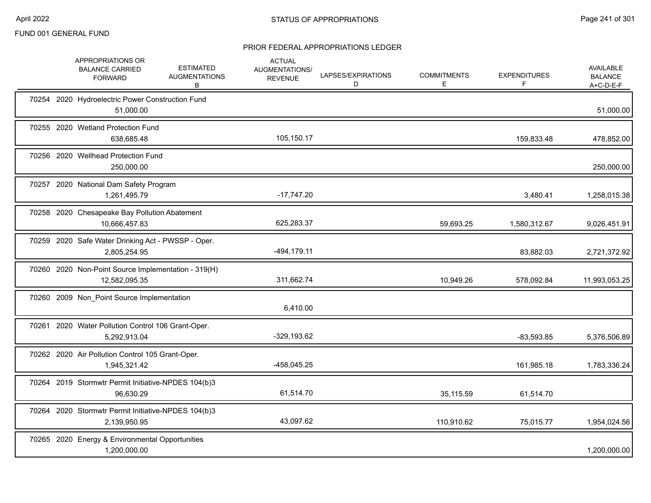|  | APPROPRIATIONS OR<br><b>BALANCE CARRIED</b><br><b>FORWARD</b>        | <b>ESTIMATED</b><br><b>AUGMENTATIONS</b><br>В | <b>ACTUAL</b><br>AUGMENTATIONS/<br><b>REVENUE</b> | LAPSES/EXPIRATIONS<br>D | <b>COMMITMENTS</b><br>E. | <b>EXPENDITURES</b><br>F | <b>AVAILABLE</b><br><b>BALANCE</b><br>$A+C-D-E-F$ |
|--|----------------------------------------------------------------------|-----------------------------------------------|---------------------------------------------------|-------------------------|--------------------------|--------------------------|---------------------------------------------------|
|  | 70254 2020 Hydroelectric Power Construction Fund<br>51,000.00        |                                               |                                                   |                         |                          |                          | 51,000.00                                         |
|  | 70255 2020 Wetland Protection Fund<br>638,685.48                     |                                               | 105,150.17                                        |                         |                          | 159,833.48               | 478,852.00                                        |
|  | 70256 2020 Wellhead Protection Fund<br>250,000.00                    |                                               |                                                   |                         |                          |                          | 250,000.00                                        |
|  | 70257 2020 National Dam Safety Program<br>1,261,495.79               |                                               | $-17,747.20$                                      |                         |                          | 3,480.41                 | 1,258,015.38                                      |
|  | 70258 2020 Chesapeake Bay Pollution Abatement<br>10,666,457.83       |                                               | 625,283.37                                        |                         | 59,693.25                | 1,580,312.67             | 9,026,451.91                                      |
|  | 70259 2020 Safe Water Drinking Act - PWSSP - Oper.<br>2,805,254.95   |                                               | $-494, 179.11$                                    |                         |                          | 83,882.03                | 2,721,372.92                                      |
|  | 70260 2020 Non-Point Source Implementation - 319(H)<br>12,582,095.35 |                                               | 311,662.74                                        |                         | 10,949.26                | 578,092.84               | 11,993,053.25                                     |
|  | 70260 2009 Non_Point Source Implementation                           |                                               | 6,410.00                                          |                         |                          |                          |                                                   |
|  | 70261 2020 Water Pollution Control 106 Grant-Oper.<br>5,292,913.04   |                                               | $-329,193.62$                                     |                         |                          | $-83,593.85$             | 5,376,506.89                                      |
|  | 70262 2020 Air Pollution Control 105 Grant-Oper.<br>1,945,321.42     |                                               | -458,045.25                                       |                         |                          | 161,985.18               | 1,783,336.24                                      |
|  | 70264 2019 Stormwtr Permit Initiative-NPDES 104(b)3<br>96.630.29     |                                               | 61,514.70                                         |                         | 35,115.59                | 61,514.70                |                                                   |
|  | 70264 2020 Stormwtr Permit Initiative-NPDES 104(b)3<br>2,139,950.95  |                                               | 43,097.62                                         |                         | 110,910.62               | 75,015.77                | 1,954,024.56                                      |
|  | 70265 2020 Energy & Environmental Opportunities<br>1,200,000.00      |                                               |                                                   |                         |                          |                          | 1,200,000.00                                      |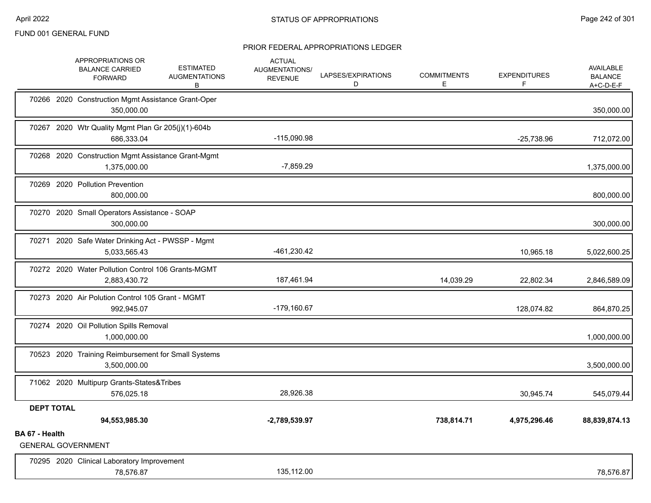|                   | APPROPRIATIONS OR<br><b>ESTIMATED</b><br><b>BALANCE CARRIED</b><br><b>AUGMENTATIONS</b><br><b>FORWARD</b><br>В | <b>ACTUAL</b><br>AUGMENTATIONS/<br><b>REVENUE</b> | LAPSES/EXPIRATIONS<br>D | <b>COMMITMENTS</b><br>Е | <b>EXPENDITURES</b><br>F | AVAILABLE<br><b>BALANCE</b><br>$A+C-D-E-F$ |
|-------------------|----------------------------------------------------------------------------------------------------------------|---------------------------------------------------|-------------------------|-------------------------|--------------------------|--------------------------------------------|
|                   | 70266 2020 Construction Mgmt Assistance Grant-Oper<br>350,000.00                                               |                                                   |                         |                         |                          | 350,000.00                                 |
|                   | 70267 2020 Wtr Quality Mgmt Plan Gr 205(j)(1)-604b<br>686,333.04                                               | $-115,090.98$                                     |                         |                         | $-25,738.96$             | 712,072.00                                 |
|                   | 70268 2020 Construction Mgmt Assistance Grant-Mgmt<br>1,375,000.00                                             | $-7,859.29$                                       |                         |                         |                          | 1,375,000.00                               |
|                   | 70269 2020 Pollution Prevention<br>800,000.00                                                                  |                                                   |                         |                         |                          | 800,000.00                                 |
|                   | 70270 2020 Small Operators Assistance - SOAP<br>300,000.00                                                     |                                                   |                         |                         |                          | 300,000.00                                 |
|                   | 70271 2020 Safe Water Drinking Act - PWSSP - Mgmt<br>5,033,565.43                                              | -461,230.42                                       |                         |                         | 10,965.18                | 5,022,600.25                               |
|                   | 70272 2020 Water Pollution Control 106 Grants-MGMT<br>2,883,430.72                                             | 187,461.94                                        |                         | 14,039.29               | 22,802.34                | 2,846,589.09                               |
|                   | 70273 2020 Air Polution Control 105 Grant - MGMT<br>992,945.07                                                 | $-179,160.67$                                     |                         |                         | 128,074.82               | 864,870.25                                 |
|                   | 70274 2020 Oil Pollution Spills Removal<br>1,000,000.00                                                        |                                                   |                         |                         |                          | 1,000,000.00                               |
|                   | 70523 2020 Training Reimbursement for Small Systems<br>3,500,000.00                                            |                                                   |                         |                         |                          | 3,500,000.00                               |
|                   | 71062 2020 Multipurp Grants-States&Tribes<br>576,025.18                                                        | 28,926.38                                         |                         |                         | 30,945.74                | 545,079.44                                 |
| <b>DEPT TOTAL</b> |                                                                                                                |                                                   |                         |                         |                          |                                            |
|                   | 94,553,985.30                                                                                                  | -2,789,539.97                                     |                         | 738,814.71              | 4,975,296.46             | 88,839,874.13                              |
| BA 67 - Health    | <b>GENERAL GOVERNMENT</b>                                                                                      |                                                   |                         |                         |                          |                                            |
|                   | 70295 2020 Clinical Laboratory Improvement<br>78,576.87                                                        | 135,112.00                                        |                         |                         |                          | 78,576.87                                  |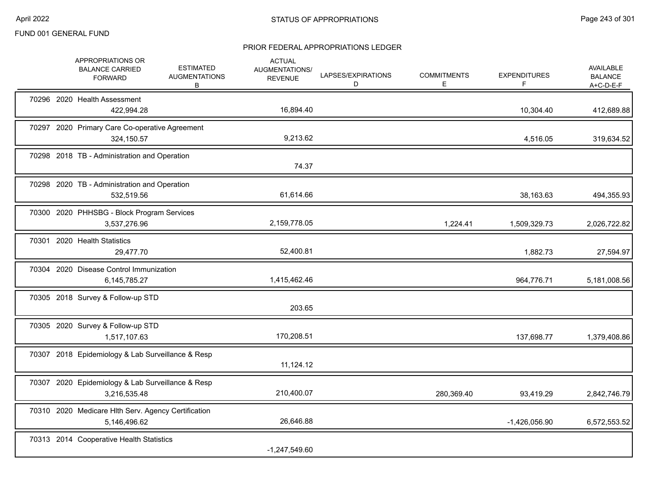|  | APPROPRIATIONS OR<br><b>BALANCE CARRIED</b><br><b>FORWARD</b>       | <b>ESTIMATED</b><br><b>AUGMENTATIONS</b><br>В | <b>ACTUAL</b><br><b>AUGMENTATIONS/</b><br><b>REVENUE</b> | LAPSES/EXPIRATIONS<br>D | <b>COMMITMENTS</b><br>E | <b>EXPENDITURES</b><br>F | AVAILABLE<br><b>BALANCE</b><br>$A+C-D-E-F$ |
|--|---------------------------------------------------------------------|-----------------------------------------------|----------------------------------------------------------|-------------------------|-------------------------|--------------------------|--------------------------------------------|
|  | 70296 2020 Health Assessment<br>422,994.28                          |                                               | 16,894.40                                                |                         |                         | 10,304.40                | 412,689.88                                 |
|  | 70297 2020 Primary Care Co-operative Agreement<br>324,150.57        |                                               | 9,213.62                                                 |                         |                         | 4,516.05                 | 319,634.52                                 |
|  | 70298 2018 TB - Administration and Operation                        |                                               | 74.37                                                    |                         |                         |                          |                                            |
|  | 70298 2020 TB - Administration and Operation<br>532,519.56          |                                               | 61,614.66                                                |                         |                         | 38,163.63                | 494,355.93                                 |
|  | 70300 2020 PHHSBG - Block Program Services<br>3,537,276.96          |                                               | 2,159,778.05                                             |                         | 1,224.41                | 1,509,329.73             | 2,026,722.82                               |
|  | 70301 2020 Health Statistics<br>29,477.70                           |                                               | 52,400.81                                                |                         |                         | 1,882.73                 | 27,594.97                                  |
|  | 70304 2020 Disease Control Immunization<br>6,145,785.27             |                                               | 1,415,462.46                                             |                         |                         | 964,776.71               | 5,181,008.56                               |
|  | 70305 2018 Survey & Follow-up STD                                   |                                               | 203.65                                                   |                         |                         |                          |                                            |
|  | 70305 2020 Survey & Follow-up STD<br>1,517,107.63                   |                                               | 170,208.51                                               |                         |                         | 137,698.77               | 1,379,408.86                               |
|  | 70307 2018 Epidemiology & Lab Surveillance & Resp                   |                                               | 11,124.12                                                |                         |                         |                          |                                            |
|  | 70307 2020 Epidemiology & Lab Surveillance & Resp<br>3,216,535.48   |                                               | 210,400.07                                               |                         | 280,369.40              | 93,419.29                | 2,842,746.79                               |
|  | 70310 2020 Medicare Hlth Serv. Agency Certification<br>5,146,496.62 |                                               | 26,646.88                                                |                         |                         | $-1,426,056.90$          | 6,572,553.52                               |
|  | 70313 2014 Cooperative Health Statistics                            |                                               | $-1,247,549.60$                                          |                         |                         |                          |                                            |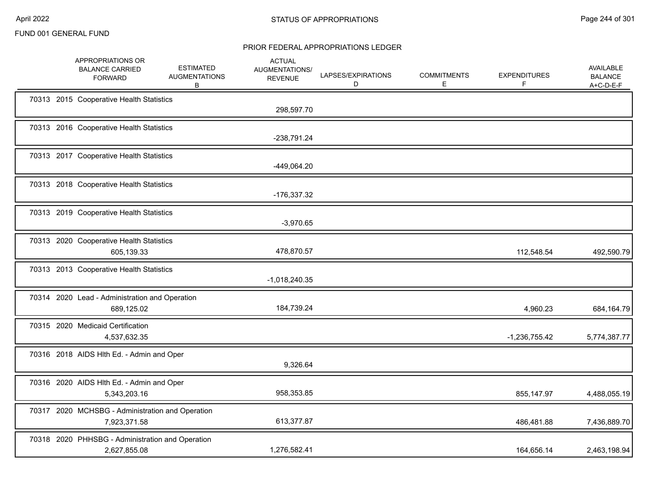|  | APPROPRIATIONS OR<br><b>BALANCE CARRIED</b><br><b>FORWARD</b>    | <b>ESTIMATED</b><br><b>AUGMENTATIONS</b><br>В | <b>ACTUAL</b><br><b>AUGMENTATIONS/</b><br><b>REVENUE</b> | LAPSES/EXPIRATIONS<br>D | <b>COMMITMENTS</b><br>Е | <b>EXPENDITURES</b><br>F | AVAILABLE<br><b>BALANCE</b><br>A+C-D-E-F |
|--|------------------------------------------------------------------|-----------------------------------------------|----------------------------------------------------------|-------------------------|-------------------------|--------------------------|------------------------------------------|
|  | 70313 2015 Cooperative Health Statistics                         |                                               | 298,597.70                                               |                         |                         |                          |                                          |
|  | 70313 2016 Cooperative Health Statistics                         |                                               | -238,791.24                                              |                         |                         |                          |                                          |
|  | 70313 2017 Cooperative Health Statistics                         |                                               | -449,064.20                                              |                         |                         |                          |                                          |
|  | 70313 2018 Cooperative Health Statistics                         |                                               | -176,337.32                                              |                         |                         |                          |                                          |
|  | 70313 2019 Cooperative Health Statistics                         |                                               | $-3,970.65$                                              |                         |                         |                          |                                          |
|  | 70313 2020 Cooperative Health Statistics<br>605,139.33           |                                               | 478,870.57                                               |                         |                         | 112,548.54               | 492,590.79                               |
|  | 70313 2013 Cooperative Health Statistics                         |                                               | $-1,018,240.35$                                          |                         |                         |                          |                                          |
|  | 70314 2020 Lead - Administration and Operation<br>689,125.02     |                                               | 184,739.24                                               |                         |                         | 4,960.23                 | 684,164.79                               |
|  | 70315 2020 Medicaid Certification<br>4,537,632.35                |                                               |                                                          |                         |                         | $-1,236,755.42$          | 5,774,387.77                             |
|  | 70316 2018 AIDS HIth Ed. - Admin and Oper                        |                                               | 9,326.64                                                 |                         |                         |                          |                                          |
|  | 70316 2020 AIDS HIth Ed. - Admin and Oper<br>5,343,203.16        |                                               | 958,353.85                                               |                         |                         | 855,147.97               | 4,488,055.19                             |
|  | 70317 2020 MCHSBG - Administration and Operation<br>7,923,371.58 |                                               | 613,377.87                                               |                         |                         | 486,481.88               | 7,436,889.70                             |
|  | 70318 2020 PHHSBG - Administration and Operation<br>2,627,855.08 |                                               | 1,276,582.41                                             |                         |                         | 164,656.14               | 2,463,198.94                             |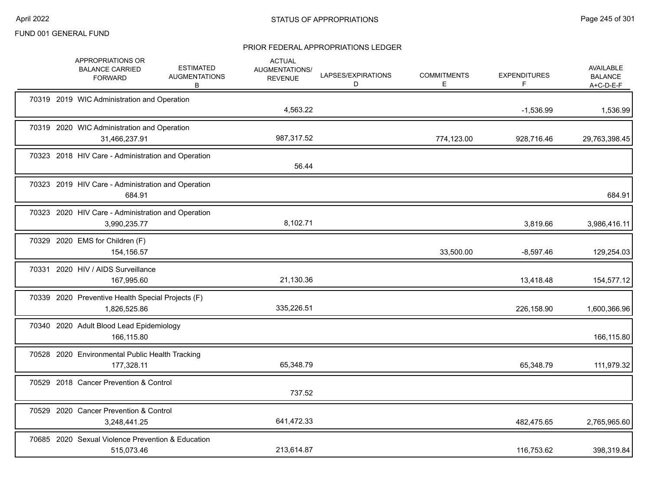|  | APPROPRIATIONS OR<br><b>BALANCE CARRIED</b><br><b>FORWARD</b>      | <b>ESTIMATED</b><br><b>AUGMENTATIONS</b><br>B | <b>ACTUAL</b><br>AUGMENTATIONS/<br><b>REVENUE</b> | LAPSES/EXPIRATIONS<br>D | <b>COMMITMENTS</b><br>E. | <b>EXPENDITURES</b><br>F | <b>AVAILABLE</b><br><b>BALANCE</b><br>$A+C-D-E-F$ |
|--|--------------------------------------------------------------------|-----------------------------------------------|---------------------------------------------------|-------------------------|--------------------------|--------------------------|---------------------------------------------------|
|  | 70319 2019 WIC Administration and Operation                        |                                               | 4,563.22                                          |                         |                          | $-1,536.99$              | 1,536.99                                          |
|  | 70319 2020 WIC Administration and Operation<br>31,466,237.91       |                                               | 987,317.52                                        |                         | 774,123.00               | 928,716.46               | 29,763,398.45                                     |
|  | 70323 2018 HIV Care - Administration and Operation                 |                                               | 56.44                                             |                         |                          |                          |                                                   |
|  | 70323 2019 HIV Care - Administration and Operation<br>684.91       |                                               |                                                   |                         |                          |                          | 684.91                                            |
|  | 70323 2020 HIV Care - Administration and Operation<br>3,990,235.77 |                                               | 8,102.71                                          |                         |                          | 3,819.66                 | 3,986,416.11                                      |
|  | 70329 2020 EMS for Children (F)<br>154,156.57                      |                                               |                                                   |                         | 33,500.00                | $-8,597.46$              | 129,254.03                                        |
|  | 70331 2020 HIV / AIDS Surveillance<br>167,995.60                   |                                               | 21,130.36                                         |                         |                          | 13,418.48                | 154,577.12                                        |
|  | 70339 2020 Preventive Health Special Projects (F)<br>1,826,525.86  |                                               | 335,226.51                                        |                         |                          | 226,158.90               | 1,600,366.96                                      |
|  | 70340 2020 Adult Blood Lead Epidemiology<br>166,115.80             |                                               |                                                   |                         |                          |                          | 166,115.80                                        |
|  | 70528 2020 Environmental Public Health Tracking<br>177,328.11      |                                               | 65,348.79                                         |                         |                          | 65,348.79                | 111,979.32                                        |
|  | 70529 2018 Cancer Prevention & Control                             |                                               | 737.52                                            |                         |                          |                          |                                                   |
|  | 70529 2020 Cancer Prevention & Control<br>3,248,441.25             |                                               | 641,472.33                                        |                         |                          | 482,475.65               | 2,765,965.60                                      |
|  | 70685 2020 Sexual Violence Prevention & Education<br>515,073.46    |                                               | 213,614.87                                        |                         |                          | 116,753.62               | 398,319.84                                        |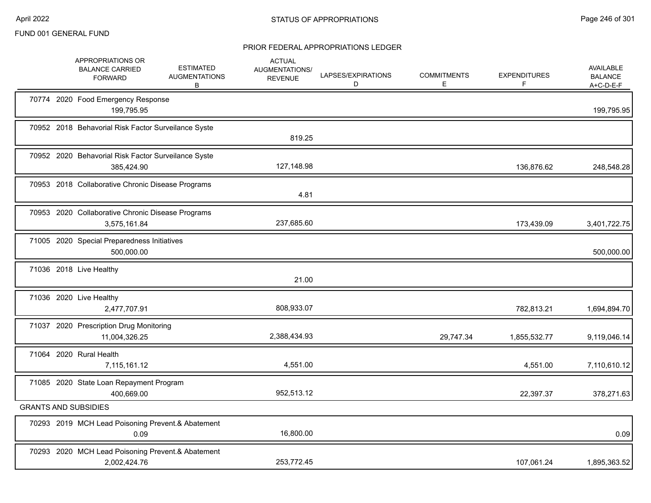|  | APPROPRIATIONS OR<br><b>BALANCE CARRIED</b><br><b>FORWARD</b>     | <b>ESTIMATED</b><br><b>AUGMENTATIONS</b><br>B | <b>ACTUAL</b><br><b>AUGMENTATIONS/</b><br><b>REVENUE</b> | LAPSES/EXPIRATIONS<br>D | <b>COMMITMENTS</b><br>E. | <b>EXPENDITURES</b><br>F | AVAILABLE<br><b>BALANCE</b><br>$A+C-D-E-F$ |
|--|-------------------------------------------------------------------|-----------------------------------------------|----------------------------------------------------------|-------------------------|--------------------------|--------------------------|--------------------------------------------|
|  | 70774 2020 Food Emergency Response<br>199,795.95                  |                                               |                                                          |                         |                          |                          | 199,795.95                                 |
|  | 70952 2018 Behavorial Risk Factor Surveilance Syste               |                                               | 819.25                                                   |                         |                          |                          |                                            |
|  | 70952 2020 Behavorial Risk Factor Surveilance Syste<br>385,424.90 |                                               | 127,148.98                                               |                         |                          | 136,876.62               | 248,548.28                                 |
|  | 70953 2018 Collaborative Chronic Disease Programs                 |                                               | 4.81                                                     |                         |                          |                          |                                            |
|  | 70953 2020 Collaborative Chronic Disease Programs<br>3,575,161.84 |                                               | 237,685.60                                               |                         |                          | 173,439.09               | 3,401,722.75                               |
|  | 71005 2020 Special Preparedness Initiatives<br>500,000.00         |                                               |                                                          |                         |                          |                          | 500,000.00                                 |
|  | 71036 2018 Live Healthy                                           |                                               | 21.00                                                    |                         |                          |                          |                                            |
|  | 71036 2020 Live Healthy<br>2,477,707.91                           |                                               | 808,933.07                                               |                         |                          | 782,813.21               | 1,694,894.70                               |
|  | 71037 2020 Prescription Drug Monitoring<br>11,004,326.25          |                                               | 2,388,434.93                                             |                         | 29,747.34                | 1,855,532.77             | 9,119,046.14                               |
|  | 71064 2020 Rural Health<br>7,115,161.12                           |                                               | 4,551.00                                                 |                         |                          | 4,551.00                 | 7,110,610.12                               |
|  | 71085 2020 State Loan Repayment Program<br>400,669.00             |                                               | 952,513.12                                               |                         |                          | 22,397.37                | 378,271.63                                 |
|  | <b>GRANTS AND SUBSIDIES</b>                                       |                                               |                                                          |                         |                          |                          |                                            |
|  | 70293 2019 MCH Lead Poisoning Prevent.& Abatement<br>0.09         |                                               | 16,800.00                                                |                         |                          |                          | 0.09                                       |
|  | 70293 2020 MCH Lead Poisoning Prevent.& Abatement<br>2,002,424.76 |                                               | 253,772.45                                               |                         |                          | 107,061.24               | 1,895,363.52                               |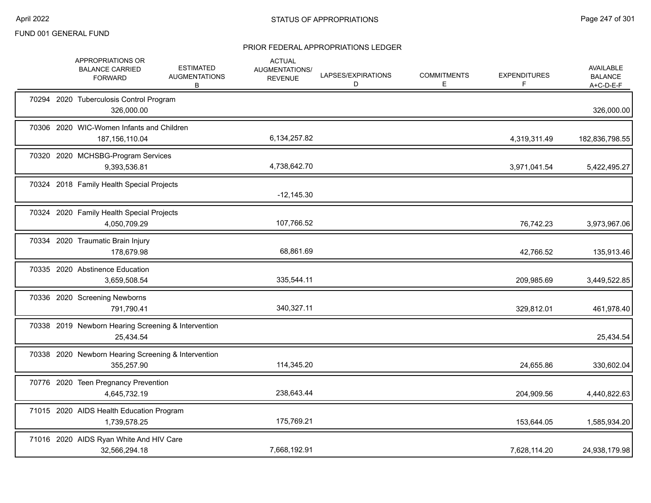|  | APPROPRIATIONS OR<br><b>BALANCE CARRIED</b><br><b>FORWARD</b>     | <b>ESTIMATED</b><br><b>AUGMENTATIONS</b><br>B | <b>ACTUAL</b><br>AUGMENTATIONS/<br><b>REVENUE</b> | LAPSES/EXPIRATIONS<br>D | <b>COMMITMENTS</b><br>E | <b>EXPENDITURES</b><br>F. | AVAILABLE<br><b>BALANCE</b><br>$A+C-D-E-F$ |
|--|-------------------------------------------------------------------|-----------------------------------------------|---------------------------------------------------|-------------------------|-------------------------|---------------------------|--------------------------------------------|
|  | 70294 2020 Tuberculosis Control Program<br>326,000.00             |                                               |                                                   |                         |                         |                           | 326,000.00                                 |
|  | 70306 2020 WIC-Women Infants and Children<br>187, 156, 110.04     |                                               | 6,134,257.82                                      |                         |                         | 4,319,311.49              | 182,836,798.55                             |
|  | 70320 2020 MCHSBG-Program Services<br>9,393,536.81                |                                               | 4,738,642.70                                      |                         |                         | 3,971,041.54              | 5,422,495.27                               |
|  | 70324 2018 Family Health Special Projects                         |                                               | $-12,145.30$                                      |                         |                         |                           |                                            |
|  | 70324 2020 Family Health Special Projects<br>4,050,709.29         |                                               | 107,766.52                                        |                         |                         | 76,742.23                 | 3,973,967.06                               |
|  | 70334 2020 Traumatic Brain Injury<br>178,679.98                   |                                               | 68,861.69                                         |                         |                         | 42,766.52                 | 135,913.46                                 |
|  | 70335 2020 Abstinence Education<br>3,659,508.54                   |                                               | 335,544.11                                        |                         |                         | 209,985.69                | 3,449,522.85                               |
|  | 70336 2020 Screening Newborns<br>791,790.41                       |                                               | 340,327.11                                        |                         |                         | 329,812.01                | 461,978.40                                 |
|  | 70338 2019 Newborn Hearing Screening & Intervention<br>25,434.54  |                                               |                                                   |                         |                         |                           | 25,434.54                                  |
|  | 70338 2020 Newborn Hearing Screening & Intervention<br>355,257.90 |                                               | 114,345.20                                        |                         |                         | 24,655.86                 | 330,602.04                                 |
|  | 70776 2020 Teen Pregnancy Prevention<br>4,645,732.19              |                                               | 238,643.44                                        |                         |                         | 204,909.56                | 4,440,822.63                               |
|  | 71015 2020 AIDS Health Education Program<br>1,739,578.25          |                                               | 175,769.21                                        |                         |                         | 153,644.05                | 1,585,934.20                               |
|  | 71016 2020 AIDS Ryan White And HIV Care<br>32,566,294.18          |                                               | 7,668,192.91                                      |                         |                         | 7,628,114.20              | 24,938,179.98                              |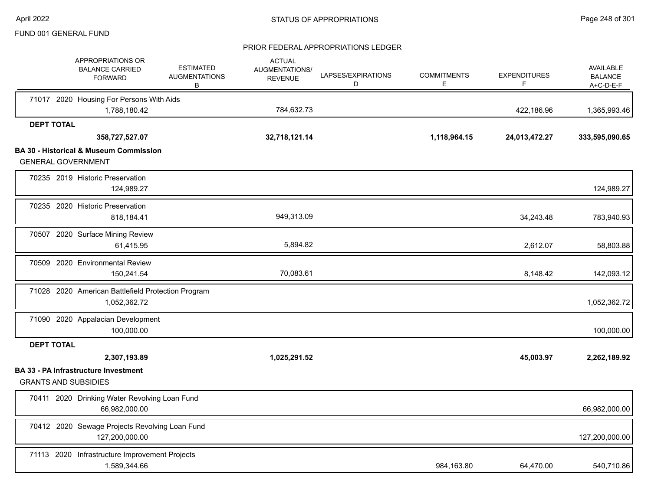|                   |                   | APPROPRIATIONS OR<br><b>BALANCE CARRIED</b><br><b>FORWARD</b>                  | <b>ESTIMATED</b><br><b>AUGMENTATIONS</b><br>В | <b>ACTUAL</b><br>AUGMENTATIONS/<br><b>REVENUE</b> | LAPSES/EXPIRATIONS<br>D | <b>COMMITMENTS</b><br>E. | <b>EXPENDITURES</b><br>F | <b>AVAILABLE</b><br><b>BALANCE</b><br>A+C-D-E-F |
|-------------------|-------------------|--------------------------------------------------------------------------------|-----------------------------------------------|---------------------------------------------------|-------------------------|--------------------------|--------------------------|-------------------------------------------------|
|                   |                   | 71017 2020 Housing For Persons With Aids<br>1,788,180.42                       |                                               | 784,632.73                                        |                         |                          | 422,186.96               | 1,365,993.46                                    |
|                   | <b>DEPT TOTAL</b> |                                                                                |                                               |                                                   |                         |                          |                          |                                                 |
|                   |                   | 358,727,527.07                                                                 |                                               | 32,718,121.14                                     |                         | 1,118,964.15             | 24,013,472.27            | 333,595,090.65                                  |
|                   |                   | <b>BA 30 - Historical &amp; Museum Commission</b><br><b>GENERAL GOVERNMENT</b> |                                               |                                                   |                         |                          |                          |                                                 |
|                   |                   | 70235 2019 Historic Preservation<br>124,989.27                                 |                                               |                                                   |                         |                          |                          | 124,989.27                                      |
|                   |                   | 70235 2020 Historic Preservation<br>818,184.41                                 |                                               | 949,313.09                                        |                         |                          | 34,243.48                | 783,940.93                                      |
|                   |                   | 70507 2020 Surface Mining Review<br>61,415.95                                  |                                               | 5,894.82                                          |                         |                          | 2,612.07                 | 58,803.88                                       |
|                   |                   | 70509 2020 Environmental Review<br>150,241.54                                  |                                               | 70,083.61                                         |                         |                          | 8,148.42                 | 142,093.12                                      |
|                   |                   | 71028 2020 American Battlefield Protection Program<br>1,052,362.72             |                                               |                                                   |                         |                          |                          | 1,052,362.72                                    |
|                   |                   | 71090 2020 Appalacian Development<br>100,000.00                                |                                               |                                                   |                         |                          |                          | 100,000.00                                      |
| <b>DEPT TOTAL</b> |                   |                                                                                |                                               |                                                   |                         |                          |                          |                                                 |
|                   |                   | 2,307,193.89                                                                   |                                               | 1,025,291.52                                      |                         |                          | 45,003.97                | 2,262,189.92                                    |
|                   |                   | <b>BA 33 - PA Infrastructure Investment</b><br><b>GRANTS AND SUBSIDIES</b>     |                                               |                                                   |                         |                          |                          |                                                 |
|                   |                   | 70411 2020 Drinking Water Revolving Loan Fund<br>66,982,000.00                 |                                               |                                                   |                         |                          |                          | 66,982,000.00                                   |
|                   |                   | 70412 2020 Sewage Projects Revolving Loan Fund<br>127,200,000.00               |                                               |                                                   |                         |                          |                          | 127,200,000.00                                  |
|                   |                   | 71113 2020 Infrastructure Improvement Projects<br>1,589,344.66                 |                                               |                                                   |                         | 984,163.80               | 64,470.00                | 540,710.86                                      |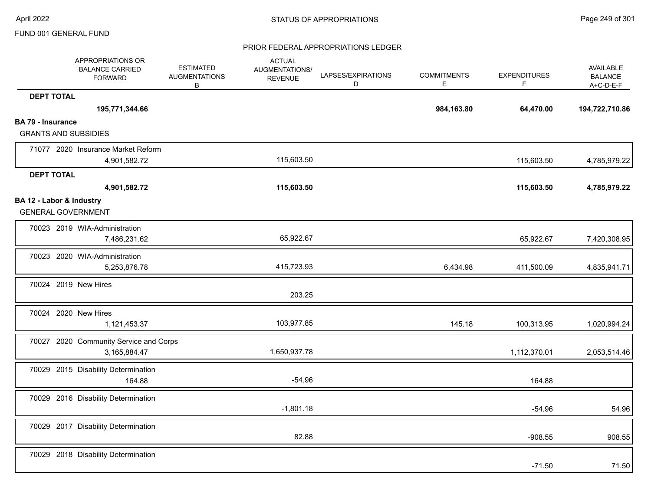|                          | APPROPRIATIONS OR<br><b>BALANCE CARRIED</b><br><b>FORWARD</b> | <b>ESTIMATED</b><br><b>AUGMENTATIONS</b><br>В | <b>ACTUAL</b><br><b>AUGMENTATIONS/</b><br><b>REVENUE</b> | LAPSES/EXPIRATIONS<br>D | <b>COMMITMENTS</b><br>E. | <b>EXPENDITURES</b><br>F | AVAILABLE<br><b>BALANCE</b><br>A+C-D-E-F |
|--------------------------|---------------------------------------------------------------|-----------------------------------------------|----------------------------------------------------------|-------------------------|--------------------------|--------------------------|------------------------------------------|
| <b>DEPT TOTAL</b>        |                                                               |                                               |                                                          |                         |                          |                          |                                          |
|                          | 195,771,344.66                                                |                                               |                                                          |                         | 984,163.80               | 64,470.00                | 194,722,710.86                           |
| <b>BA 79 - Insurance</b> |                                                               |                                               |                                                          |                         |                          |                          |                                          |
|                          | <b>GRANTS AND SUBSIDIES</b>                                   |                                               |                                                          |                         |                          |                          |                                          |
|                          | 71077 2020 Insurance Market Reform                            |                                               |                                                          |                         |                          |                          |                                          |
|                          | 4,901,582.72                                                  |                                               | 115,603.50                                               |                         |                          | 115,603.50               | 4,785,979.22                             |
| <b>DEPT TOTAL</b>        |                                                               |                                               |                                                          |                         |                          |                          |                                          |
|                          | 4,901,582.72                                                  |                                               | 115,603.50                                               |                         |                          | 115,603.50               | 4,785,979.22                             |
|                          | BA 12 - Labor & Industry<br><b>GENERAL GOVERNMENT</b>         |                                               |                                                          |                         |                          |                          |                                          |
|                          | 70023 2019 WIA-Administration<br>7,486,231.62                 |                                               | 65,922.67                                                |                         |                          | 65,922.67                | 7,420,308.95                             |
|                          | 70023 2020 WIA-Administration<br>5,253,876.78                 |                                               | 415,723.93                                               |                         | 6,434.98                 | 411,500.09               | 4,835,941.71                             |
|                          | 70024 2019 New Hires                                          |                                               | 203.25                                                   |                         |                          |                          |                                          |
|                          | 70024 2020 New Hires<br>1,121,453.37                          |                                               | 103,977.85                                               |                         | 145.18                   | 100,313.95               | 1,020,994.24                             |
|                          | 70027 2020 Community Service and Corps<br>3,165,884.47        |                                               | 1,650,937.78                                             |                         |                          | 1,112,370.01             | 2,053,514.46                             |
|                          | 70029 2015 Disability Determination<br>164.88                 |                                               | $-54.96$                                                 |                         |                          | 164.88                   |                                          |
|                          | 70029 2016 Disability Determination                           |                                               | $-1,801.18$                                              |                         |                          | $-54.96$                 | 54.96                                    |
|                          | 70029 2017 Disability Determination                           |                                               | 82.88                                                    |                         |                          | $-908.55$                | 908.55                                   |
|                          | 70029 2018 Disability Determination                           |                                               |                                                          |                         |                          | $-71.50$                 | 71.50                                    |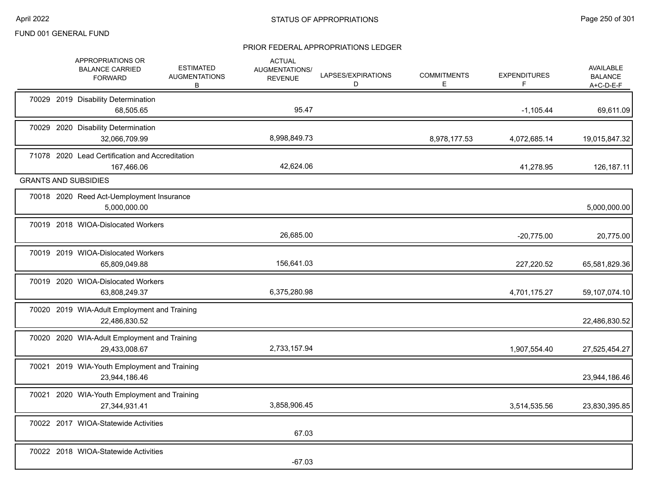|  | APPROPRIATIONS OR<br><b>BALANCE CARRIED</b><br><b>FORWARD</b> | <b>ESTIMATED</b><br><b>AUGMENTATIONS</b><br>B | <b>ACTUAL</b><br><b>AUGMENTATIONS/</b><br><b>REVENUE</b> | LAPSES/EXPIRATIONS<br>D | <b>COMMITMENTS</b><br>Е. | <b>EXPENDITURES</b><br>F | <b>AVAILABLE</b><br><b>BALANCE</b><br>$A+C-D-E-F$ |
|--|---------------------------------------------------------------|-----------------------------------------------|----------------------------------------------------------|-------------------------|--------------------------|--------------------------|---------------------------------------------------|
|  | 70029 2019 Disability Determination<br>68,505.65              |                                               | 95.47                                                    |                         |                          | $-1,105.44$              | 69,611.09                                         |
|  | 70029 2020 Disability Determination<br>32,066,709.99          |                                               | 8,998,849.73                                             |                         | 8,978,177.53             | 4,072,685.14             | 19,015,847.32                                     |
|  | 71078 2020 Lead Certification and Accreditation<br>167,466.06 |                                               | 42,624.06                                                |                         |                          | 41,278.95                | 126,187.11                                        |
|  | <b>GRANTS AND SUBSIDIES</b>                                   |                                               |                                                          |                         |                          |                          |                                                   |
|  | 70018 2020 Reed Act-Uemployment Insurance<br>5,000,000.00     |                                               |                                                          |                         |                          |                          | 5,000,000.00                                      |
|  | 70019 2018 WIOA-Dislocated Workers                            |                                               | 26,685.00                                                |                         |                          | $-20,775.00$             | 20,775.00                                         |
|  | 70019 2019 WIOA-Dislocated Workers<br>65,809,049.88           |                                               | 156,641.03                                               |                         |                          | 227,220.52               | 65,581,829.36                                     |
|  | 70019 2020 WIOA-Dislocated Workers<br>63,808,249.37           |                                               | 6,375,280.98                                             |                         |                          | 4,701,175.27             | 59,107,074.10                                     |
|  | 70020 2019 WIA-Adult Employment and Training<br>22,486,830.52 |                                               |                                                          |                         |                          |                          | 22,486,830.52                                     |
|  | 70020 2020 WIA-Adult Employment and Training<br>29,433,008.67 |                                               | 2,733,157.94                                             |                         |                          | 1,907,554.40             | 27,525,454.27                                     |
|  | 70021 2019 WIA-Youth Employment and Training<br>23,944,186.46 |                                               |                                                          |                         |                          |                          | 23,944,186.46                                     |
|  | 70021 2020 WIA-Youth Employment and Training<br>27,344,931.41 |                                               | 3,858,906.45                                             |                         |                          | 3,514,535.56             | 23,830,395.85                                     |
|  | 70022 2017 WIOA-Statewide Activities                          |                                               | 67.03                                                    |                         |                          |                          |                                                   |
|  | 70022 2018 WIOA-Statewide Activities                          |                                               | $-67.03$                                                 |                         |                          |                          |                                                   |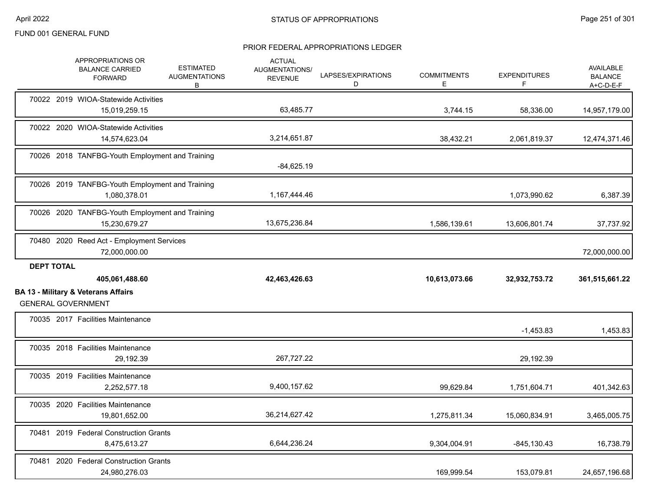|                   | <b>APPROPRIATIONS OR</b><br><b>BALANCE CARRIED</b><br><b>FORWARD</b>        | <b>ESTIMATED</b><br><b>AUGMENTATIONS</b><br>В | <b>ACTUAL</b><br><b>AUGMENTATIONS/</b><br><b>REVENUE</b> | LAPSES/EXPIRATIONS<br>D | <b>COMMITMENTS</b><br>Е | <b>EXPENDITURES</b><br>F | <b>AVAILABLE</b><br><b>BALANCE</b><br>$A+C-D-E-F$ |
|-------------------|-----------------------------------------------------------------------------|-----------------------------------------------|----------------------------------------------------------|-------------------------|-------------------------|--------------------------|---------------------------------------------------|
|                   | 70022 2019 WIOA-Statewide Activities<br>15,019,259.15                       |                                               | 63,485.77                                                |                         | 3,744.15                | 58,336.00                | 14,957,179.00                                     |
|                   | 70022 2020 WIOA-Statewide Activities<br>14,574,623.04                       |                                               | 3,214,651.87                                             |                         | 38,432.21               | 2,061,819.37             | 12,474,371.46                                     |
|                   | 70026 2018 TANFBG-Youth Employment and Training                             |                                               | $-84,625.19$                                             |                         |                         |                          |                                                   |
|                   | 70026 2019 TANFBG-Youth Employment and Training<br>1,080,378.01             |                                               | 1,167,444.46                                             |                         |                         | 1,073,990.62             | 6,387.39                                          |
|                   | 70026 2020 TANFBG-Youth Employment and Training<br>15,230,679.27            |                                               | 13,675,236.84                                            |                         | 1,586,139.61            | 13,606,801.74            | 37,737.92                                         |
|                   | 70480 2020 Reed Act - Employment Services<br>72,000,000.00                  |                                               |                                                          |                         |                         |                          | 72,000,000.00                                     |
|                   |                                                                             |                                               |                                                          |                         |                         |                          |                                                   |
| <b>DEPT TOTAL</b> | 405,061,488.60                                                              |                                               | 42,463,426.63                                            |                         | 10,613,073.66           | 32,932,753.72            | 361,515,661.22                                    |
|                   | <b>BA 13 - Military &amp; Veterans Affairs</b><br><b>GENERAL GOVERNMENT</b> |                                               |                                                          |                         |                         |                          |                                                   |
|                   | 70035 2017 Facilities Maintenance                                           |                                               |                                                          |                         |                         | $-1,453.83$              | 1,453.83                                          |
|                   | 70035 2018 Facilities Maintenance<br>29,192.39                              |                                               | 267,727.22                                               |                         |                         | 29,192.39                |                                                   |
|                   | 70035 2019 Facilities Maintenance<br>2,252,577.18                           |                                               | 9,400,157.62                                             |                         | 99,629.84               | 1,751,604.71             | 401,342.63                                        |
|                   | 70035 2020 Facilities Maintenance<br>19,801,652.00                          |                                               | 36,214,627.42                                            |                         | 1,275,811.34            | 15,060,834.91            | 3,465,005.75                                      |
|                   | 70481 2019 Federal Construction Grants<br>8,475,613.27                      |                                               | 6,644,236.24                                             |                         | 9,304,004.91            | $-845, 130.43$           | 16,738.79                                         |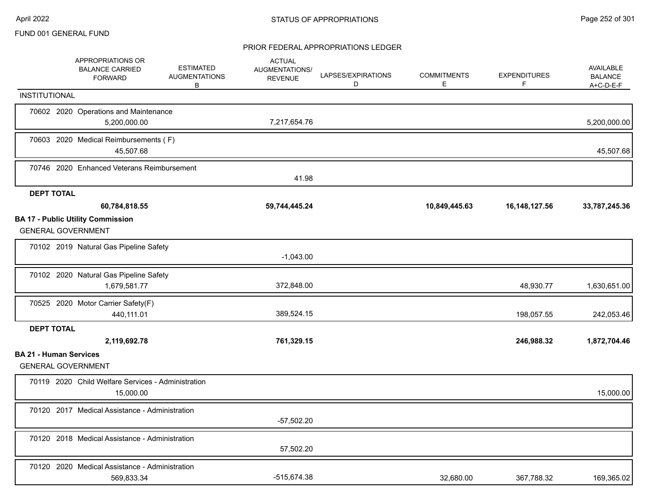|                   | APPROPRIATIONS OR<br><b>BALANCE CARRIED</b><br><b>FORWARD</b> | <b>ESTIMATED</b>                                                                                                                                                                                                                                              | <b>ACTUAL</b><br>AUGMENTATIONS/<br><b>REVENUE</b>                                                                                                                                                                                                                                                                                                                     | LAPSES/EXPIRATIONS<br>D | <b>COMMITMENTS</b><br>E | <b>EXPENDITURES</b><br>F | AVAILABLE<br><b>BALANCE</b><br>A+C-D-E-F |
|-------------------|---------------------------------------------------------------|---------------------------------------------------------------------------------------------------------------------------------------------------------------------------------------------------------------------------------------------------------------|-----------------------------------------------------------------------------------------------------------------------------------------------------------------------------------------------------------------------------------------------------------------------------------------------------------------------------------------------------------------------|-------------------------|-------------------------|--------------------------|------------------------------------------|
| INSTITUTIONAL     |                                                               |                                                                                                                                                                                                                                                               |                                                                                                                                                                                                                                                                                                                                                                       |                         |                         |                          |                                          |
|                   | 5,200,000.00                                                  |                                                                                                                                                                                                                                                               | 7,217,654.76                                                                                                                                                                                                                                                                                                                                                          |                         |                         |                          | 5,200,000.00                             |
|                   | 45,507.68                                                     |                                                                                                                                                                                                                                                               |                                                                                                                                                                                                                                                                                                                                                                       |                         |                         |                          | 45,507.68                                |
|                   |                                                               |                                                                                                                                                                                                                                                               | 41.98                                                                                                                                                                                                                                                                                                                                                                 |                         |                         |                          |                                          |
| <b>DEPT TOTAL</b> |                                                               |                                                                                                                                                                                                                                                               |                                                                                                                                                                                                                                                                                                                                                                       |                         |                         |                          |                                          |
|                   | 60,784,818.55                                                 |                                                                                                                                                                                                                                                               | 59,744,445.24                                                                                                                                                                                                                                                                                                                                                         |                         | 10,849,445.63           | 16, 148, 127.56          | 33,787,245.36                            |
|                   |                                                               |                                                                                                                                                                                                                                                               |                                                                                                                                                                                                                                                                                                                                                                       |                         |                         |                          |                                          |
|                   |                                                               |                                                                                                                                                                                                                                                               | $-1,043.00$                                                                                                                                                                                                                                                                                                                                                           |                         |                         |                          |                                          |
|                   | 1,679,581.77                                                  |                                                                                                                                                                                                                                                               | 372,848.00                                                                                                                                                                                                                                                                                                                                                            |                         |                         | 48,930.77                | 1,630,651.00                             |
|                   | 440,111.01                                                    |                                                                                                                                                                                                                                                               | 389,524.15                                                                                                                                                                                                                                                                                                                                                            |                         |                         | 198,057.55               | 242,053.46                               |
| <b>DEPT TOTAL</b> |                                                               |                                                                                                                                                                                                                                                               |                                                                                                                                                                                                                                                                                                                                                                       |                         |                         |                          |                                          |
|                   | 2,119,692.78                                                  |                                                                                                                                                                                                                                                               | 761,329.15                                                                                                                                                                                                                                                                                                                                                            |                         |                         | 246,988.32               | 1,872,704.46                             |
|                   |                                                               |                                                                                                                                                                                                                                                               |                                                                                                                                                                                                                                                                                                                                                                       |                         |                         |                          |                                          |
|                   | 15,000.00                                                     |                                                                                                                                                                                                                                                               |                                                                                                                                                                                                                                                                                                                                                                       |                         |                         |                          | 15,000.00                                |
|                   |                                                               |                                                                                                                                                                                                                                                               | $-57,502.20$                                                                                                                                                                                                                                                                                                                                                          |                         |                         |                          |                                          |
|                   |                                                               |                                                                                                                                                                                                                                                               | 57,502.20                                                                                                                                                                                                                                                                                                                                                             |                         |                         |                          |                                          |
|                   | 569,833.34                                                    |                                                                                                                                                                                                                                                               | -515,674.38                                                                                                                                                                                                                                                                                                                                                           |                         | 32,680.00               | 367,788.32               | 169,365.02                               |
|                   |                                                               | <b>BA 17 - Public Utility Commission</b><br><b>GENERAL GOVERNMENT</b><br>70102 2019 Natural Gas Pipeline Safety<br>70102 2020 Natural Gas Pipeline Safety<br>70525 2020 Motor Carrier Safety(F)<br><b>BA 21 - Human Services</b><br><b>GENERAL GOVERNMENT</b> | <b>AUGMENTATIONS</b><br>В<br>70602 2020 Operations and Maintenance<br>70603 2020 Medical Reimbursements (F)<br>70746 2020 Enhanced Veterans Reimbursement<br>70119 2020 Child Welfare Services - Administration<br>70120 2017 Medical Assistance - Administration<br>70120 2018 Medical Assistance - Administration<br>70120 2020 Medical Assistance - Administration |                         |                         |                          |                                          |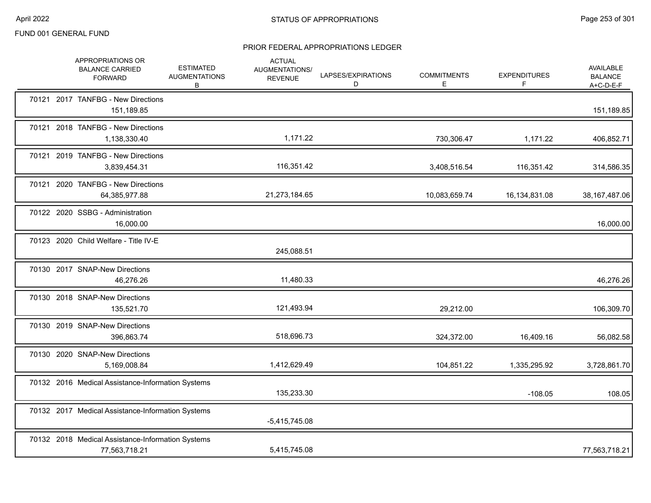|  | APPROPRIATIONS OR<br><b>BALANCE CARRIED</b><br><b>FORWARD</b>      | <b>ESTIMATED</b><br><b>AUGMENTATIONS</b><br>B | <b>ACTUAL</b><br>AUGMENTATIONS/<br><b>REVENUE</b> | LAPSES/EXPIRATIONS<br>D | <b>COMMITMENTS</b><br>Е | <b>EXPENDITURES</b><br>F | AVAILABLE<br><b>BALANCE</b><br>$A+C-D-E-F$ |
|--|--------------------------------------------------------------------|-----------------------------------------------|---------------------------------------------------|-------------------------|-------------------------|--------------------------|--------------------------------------------|
|  | 70121 2017 TANFBG - New Directions<br>151,189.85                   |                                               |                                                   |                         |                         |                          | 151,189.85                                 |
|  | 70121 2018 TANFBG - New Directions<br>1,138,330.40                 |                                               | 1,171.22                                          |                         | 730,306.47              | 1,171.22                 | 406,852.71                                 |
|  | 70121 2019 TANFBG - New Directions<br>3,839,454.31                 |                                               | 116,351.42                                        |                         | 3,408,516.54            | 116,351.42               | 314,586.35                                 |
|  | 70121 2020 TANFBG - New Directions<br>64,385,977.88                |                                               | 21,273,184.65                                     |                         | 10,083,659.74           | 16,134,831.08            | 38, 167, 487.06                            |
|  | 70122 2020 SSBG - Administration<br>16,000.00                      |                                               |                                                   |                         |                         |                          | 16,000.00                                  |
|  | 70123 2020 Child Welfare - Title IV-E                              |                                               | 245,088.51                                        |                         |                         |                          |                                            |
|  | 70130 2017 SNAP-New Directions<br>46,276.26                        |                                               | 11,480.33                                         |                         |                         |                          | 46,276.26                                  |
|  | 70130 2018 SNAP-New Directions<br>135,521.70                       |                                               | 121,493.94                                        |                         | 29,212.00               |                          | 106,309.70                                 |
|  | 70130 2019 SNAP-New Directions<br>396,863.74                       |                                               | 518,696.73                                        |                         | 324,372.00              | 16,409.16                | 56,082.58                                  |
|  | 70130 2020 SNAP-New Directions<br>5,169,008.84                     |                                               | 1,412,629.49                                      |                         | 104,851.22              | 1,335,295.92             | 3,728,861.70                               |
|  | 70132 2016 Medical Assistance-Information Systems                  |                                               | 135,233.30                                        |                         |                         | $-108.05$                | 108.05                                     |
|  | 70132 2017 Medical Assistance-Information Systems                  |                                               | $-5,415,745.08$                                   |                         |                         |                          |                                            |
|  | 70132 2018 Medical Assistance-Information Systems<br>77,563,718.21 |                                               | 5,415,745.08                                      |                         |                         |                          | 77,563,718.21                              |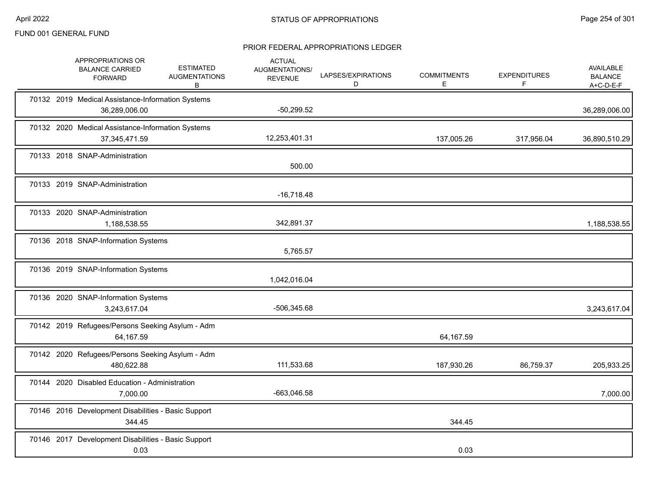| APPROPRIATIONS OR<br><b>BALANCE CARRIED</b><br><b>FORWARD</b>        | <b>ESTIMATED</b><br><b>AUGMENTATIONS</b><br>В | <b>ACTUAL</b><br>AUGMENTATIONS/<br><b>REVENUE</b> | LAPSES/EXPIRATIONS<br>D | <b>COMMITMENTS</b><br>E | <b>EXPENDITURES</b><br>F | <b>AVAILABLE</b><br><b>BALANCE</b><br>$A+C-D-E-F$ |
|----------------------------------------------------------------------|-----------------------------------------------|---------------------------------------------------|-------------------------|-------------------------|--------------------------|---------------------------------------------------|
| 70132 2019 Medical Assistance-Information Systems<br>36,289,006.00   |                                               | $-50,299.52$                                      |                         |                         |                          | 36,289,006.00                                     |
| 70132 2020 Medical Assistance-Information Systems<br>37, 345, 471.59 |                                               | 12,253,401.31                                     |                         | 137,005.26              | 317,956.04               | 36,890,510.29                                     |
| 70133 2018 SNAP-Administration                                       |                                               | 500.00                                            |                         |                         |                          |                                                   |
| 70133 2019 SNAP-Administration                                       |                                               | $-16,718.48$                                      |                         |                         |                          |                                                   |
| 70133 2020 SNAP-Administration<br>1,188,538.55                       |                                               | 342,891.37                                        |                         |                         |                          | 1,188,538.55                                      |
| 70136 2018 SNAP-Information Systems                                  |                                               | 5,765.57                                          |                         |                         |                          |                                                   |
| 70136 2019 SNAP-Information Systems                                  |                                               | 1,042,016.04                                      |                         |                         |                          |                                                   |
| 70136 2020 SNAP-Information Systems<br>3,243,617.04                  |                                               | -506,345.68                                       |                         |                         |                          | 3,243,617.04                                      |
| 70142 2019 Refugees/Persons Seeking Asylum - Adm<br>64,167.59        |                                               |                                                   |                         | 64,167.59               |                          |                                                   |
| 70142 2020 Refugees/Persons Seeking Asylum - Adm<br>480,622.88       |                                               | 111,533.68                                        |                         | 187,930.26              | 86,759.37                | 205,933.25                                        |
| 70144 2020 Disabled Education - Administration<br>7,000.00           |                                               | $-663,046.58$                                     |                         |                         |                          | 7,000.00                                          |
| 70146 2016 Development Disabilities - Basic Support<br>344.45        |                                               |                                                   |                         | 344.45                  |                          |                                                   |
| 70146 2017 Development Disabilities - Basic Support<br>0.03          |                                               |                                                   |                         | 0.03                    |                          |                                                   |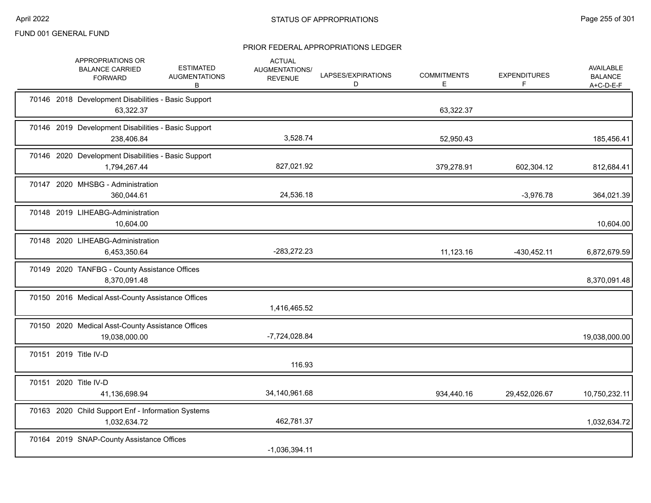|  | APPROPRIATIONS OR<br><b>BALANCE CARRIED</b><br><b>FORWARD</b>       | <b>ESTIMATED</b><br><b>AUGMENTATIONS</b><br>B | <b>ACTUAL</b><br>AUGMENTATIONS/<br><b>REVENUE</b> | LAPSES/EXPIRATIONS<br>D | <b>COMMITMENTS</b><br>Е | <b>EXPENDITURES</b><br>F | AVAILABLE<br><b>BALANCE</b><br>$A+C-D-E-F$ |
|--|---------------------------------------------------------------------|-----------------------------------------------|---------------------------------------------------|-------------------------|-------------------------|--------------------------|--------------------------------------------|
|  | 70146 2018 Development Disabilities - Basic Support<br>63,322.37    |                                               |                                                   |                         | 63,322.37               |                          |                                            |
|  | 70146 2019 Development Disabilities - Basic Support<br>238,406.84   |                                               | 3,528.74                                          |                         | 52,950.43               |                          | 185,456.41                                 |
|  | 70146 2020 Development Disabilities - Basic Support<br>1,794,267.44 |                                               | 827,021.92                                        |                         | 379,278.91              | 602,304.12               | 812,684.41                                 |
|  | 70147 2020 MHSBG - Administration<br>360,044.61                     |                                               | 24,536.18                                         |                         |                         | $-3,976.78$              | 364,021.39                                 |
|  | 70148 2019 LIHEABG-Administration<br>10,604.00                      |                                               |                                                   |                         |                         |                          | 10,604.00                                  |
|  | 70148 2020 LIHEABG-Administration<br>6,453,350.64                   |                                               | -283,272.23                                       |                         | 11,123.16               | $-430,452.11$            | 6,872,679.59                               |
|  | 70149 2020 TANFBG - County Assistance Offices<br>8,370,091.48       |                                               |                                                   |                         |                         |                          | 8,370,091.48                               |
|  | 70150 2016 Medical Asst-County Assistance Offices                   |                                               | 1,416,465.52                                      |                         |                         |                          |                                            |
|  | 70150 2020 Medical Asst-County Assistance Offices<br>19,038,000.00  |                                               | -7,724,028.84                                     |                         |                         |                          | 19,038,000.00                              |
|  | 70151 2019 Title IV-D                                               |                                               | 116.93                                            |                         |                         |                          |                                            |
|  | 70151 2020 Title IV-D<br>41,136,698.94                              |                                               | 34,140,961.68                                     |                         | 934,440.16              | 29,452,026.67            | 10,750,232.11                              |
|  | 70163 2020 Child Support Enf - Information Systems<br>1,032,634.72  |                                               | 462,781.37                                        |                         |                         |                          | 1,032,634.72                               |
|  | 70164 2019 SNAP-County Assistance Offices                           |                                               | $-1,036,394.11$                                   |                         |                         |                          |                                            |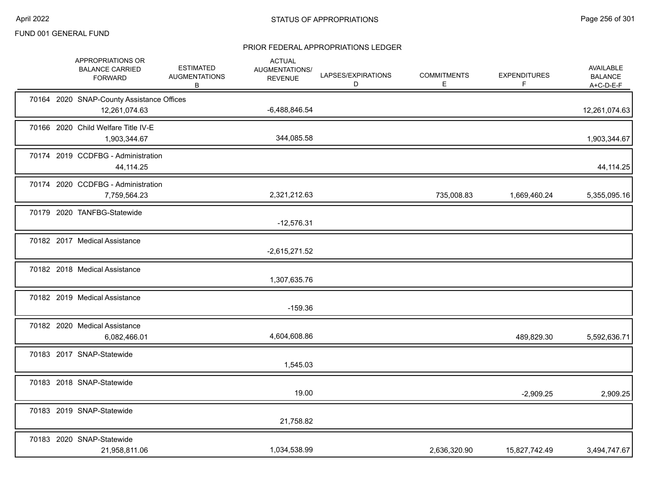|  | APPROPRIATIONS OR<br><b>BALANCE CARRIED</b><br><b>FORWARD</b> | <b>ESTIMATED</b><br><b>AUGMENTATIONS</b><br>B | <b>ACTUAL</b><br>AUGMENTATIONS/<br><b>REVENUE</b> | LAPSES/EXPIRATIONS<br>D | <b>COMMITMENTS</b><br>E | <b>EXPENDITURES</b><br>F | AVAILABLE<br><b>BALANCE</b><br>$A+C-D-E-F$ |
|--|---------------------------------------------------------------|-----------------------------------------------|---------------------------------------------------|-------------------------|-------------------------|--------------------------|--------------------------------------------|
|  | 70164 2020 SNAP-County Assistance Offices<br>12,261,074.63    |                                               | $-6,488,846.54$                                   |                         |                         |                          | 12,261,074.63                              |
|  | 70166 2020 Child Welfare Title IV-E<br>1,903,344.67           |                                               | 344,085.58                                        |                         |                         |                          | 1,903,344.67                               |
|  | 70174 2019 CCDFBG - Administration<br>44,114.25               |                                               |                                                   |                         |                         |                          | 44,114.25                                  |
|  | 70174 2020 CCDFBG - Administration<br>7,759,564.23            |                                               | 2,321,212.63                                      |                         | 735,008.83              | 1,669,460.24             | 5,355,095.16                               |
|  | 70179 2020 TANFBG-Statewide                                   |                                               | $-12,576.31$                                      |                         |                         |                          |                                            |
|  | 70182 2017 Medical Assistance                                 |                                               | $-2,615,271.52$                                   |                         |                         |                          |                                            |
|  | 70182 2018 Medical Assistance                                 |                                               | 1,307,635.76                                      |                         |                         |                          |                                            |
|  | 70182 2019 Medical Assistance                                 |                                               | $-159.36$                                         |                         |                         |                          |                                            |
|  | 70182 2020 Medical Assistance<br>6,082,466.01                 |                                               | 4,604,608.86                                      |                         |                         | 489,829.30               | 5,592,636.71                               |
|  | 70183 2017 SNAP-Statewide                                     |                                               | 1,545.03                                          |                         |                         |                          |                                            |
|  | 70183 2018 SNAP-Statewide                                     |                                               | 19.00                                             |                         |                         | $-2,909.25$              | 2,909.25                                   |
|  | 70183 2019 SNAP-Statewide                                     |                                               | 21,758.82                                         |                         |                         |                          |                                            |
|  | 70183 2020 SNAP-Statewide<br>21,958,811.06                    |                                               | 1,034,538.99                                      |                         | 2,636,320.90            | 15,827,742.49            | 3,494,747.67                               |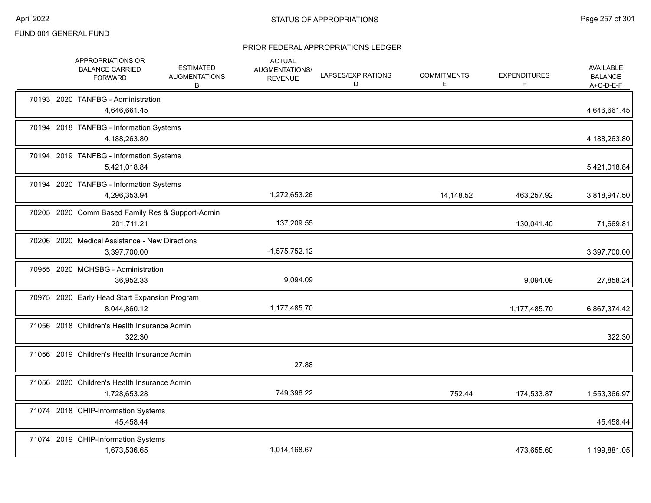|  | APPROPRIATIONS OR<br><b>BALANCE CARRIED</b><br><b>FORWARD</b>  | <b>ESTIMATED</b><br><b>AUGMENTATIONS</b><br>В | <b>ACTUAL</b><br>AUGMENTATIONS/<br><b>REVENUE</b> | LAPSES/EXPIRATIONS<br>D | <b>COMMITMENTS</b><br>E. | <b>EXPENDITURES</b><br>F | AVAILABLE<br><b>BALANCE</b><br>$A+C-D-E-F$ |
|--|----------------------------------------------------------------|-----------------------------------------------|---------------------------------------------------|-------------------------|--------------------------|--------------------------|--------------------------------------------|
|  | 70193 2020 TANFBG - Administration<br>4,646,661.45             |                                               |                                                   |                         |                          |                          | 4,646,661.45                               |
|  | 70194 2018 TANFBG - Information Systems<br>4,188,263.80        |                                               |                                                   |                         |                          |                          | 4,188,263.80                               |
|  | 70194 2019 TANFBG - Information Systems<br>5,421,018.84        |                                               |                                                   |                         |                          |                          | 5,421,018.84                               |
|  | 70194 2020 TANFBG - Information Systems<br>4,296,353.94        |                                               | 1,272,653.26                                      |                         | 14,148.52                | 463,257.92               | 3,818,947.50                               |
|  | 70205 2020 Comm Based Family Res & Support-Admin<br>201,711.21 |                                               | 137,209.55                                        |                         |                          | 130,041.40               | 71,669.81                                  |
|  | 70206 2020 Medical Assistance - New Directions<br>3,397,700.00 |                                               | $-1,575,752.12$                                   |                         |                          |                          | 3,397,700.00                               |
|  | 70955 2020 MCHSBG - Administration<br>36,952.33                |                                               | 9,094.09                                          |                         |                          | 9,094.09                 | 27,858.24                                  |
|  | 70975 2020 Early Head Start Expansion Program<br>8,044,860.12  |                                               | 1,177,485.70                                      |                         |                          | 1,177,485.70             | 6,867,374.42                               |
|  | 71056 2018 Children's Health Insurance Admin<br>322.30         |                                               |                                                   |                         |                          |                          | 322.30                                     |
|  | 71056 2019 Children's Health Insurance Admin                   |                                               | 27.88                                             |                         |                          |                          |                                            |
|  | 71056 2020 Children's Health Insurance Admin<br>1,728,653.28   |                                               | 749,396.22                                        |                         | 752.44                   | 174,533.87               | 1,553,366.97                               |
|  | 71074 2018 CHIP-Information Systems<br>45,458.44               |                                               |                                                   |                         |                          |                          | 45,458.44                                  |
|  | 71074 2019 CHIP-Information Systems<br>1,673,536.65            |                                               | 1,014,168.67                                      |                         |                          | 473,655.60               | 1,199,881.05                               |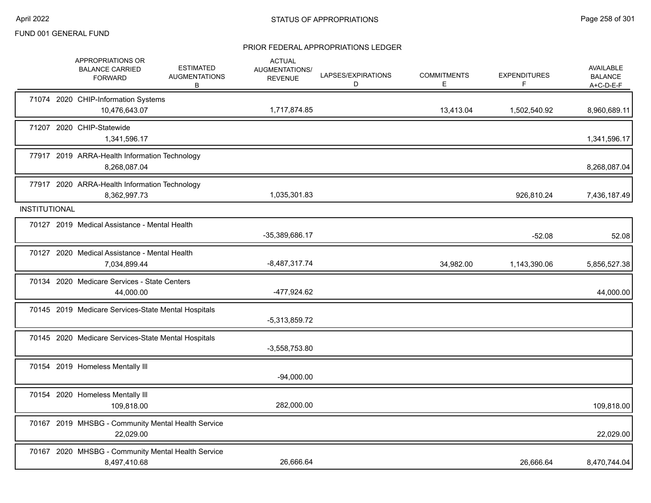|                      | APPROPRIATIONS OR<br><b>BALANCE CARRIED</b><br><b>FORWARD</b>      | <b>ESTIMATED</b><br><b>AUGMENTATIONS</b><br>В | <b>ACTUAL</b><br>AUGMENTATIONS/<br><b>REVENUE</b> | LAPSES/EXPIRATIONS<br>D | <b>COMMITMENTS</b><br>E | <b>EXPENDITURES</b><br>F | AVAILABLE<br><b>BALANCE</b><br>A+C-D-E-F |
|----------------------|--------------------------------------------------------------------|-----------------------------------------------|---------------------------------------------------|-------------------------|-------------------------|--------------------------|------------------------------------------|
|                      | 71074 2020 CHIP-Information Systems<br>10,476,643.07               |                                               | 1,717,874.85                                      |                         | 13,413.04               | 1,502,540.92             | 8,960,689.11                             |
|                      | 71207 2020 CHIP-Statewide<br>1,341,596.17                          |                                               |                                                   |                         |                         |                          | 1,341,596.17                             |
|                      | 77917 2019 ARRA-Health Information Technology<br>8,268,087.04      |                                               |                                                   |                         |                         |                          | 8,268,087.04                             |
|                      | 77917 2020 ARRA-Health Information Technology<br>8,362,997.73      |                                               | 1,035,301.83                                      |                         |                         | 926,810.24               | 7,436,187.49                             |
| <b>INSTITUTIONAL</b> |                                                                    |                                               |                                                   |                         |                         |                          |                                          |
|                      | 70127 2019 Medical Assistance - Mental Health                      |                                               | -35,389,686.17                                    |                         |                         | $-52.08$                 | 52.08                                    |
|                      | 70127 2020 Medical Assistance - Mental Health<br>7,034,899.44      |                                               | $-8,487,317.74$                                   |                         | 34,982.00               | 1,143,390.06             | 5,856,527.38                             |
|                      | 70134 2020 Medicare Services - State Centers<br>44,000.00          |                                               | -477,924.62                                       |                         |                         |                          | 44,000.00                                |
|                      | 70145 2019 Medicare Services-State Mental Hospitals                |                                               | $-5,313,859.72$                                   |                         |                         |                          |                                          |
|                      | 70145 2020 Medicare Services-State Mental Hospitals                |                                               | $-3,558,753.80$                                   |                         |                         |                          |                                          |
|                      | 70154 2019 Homeless Mentally III                                   |                                               | $-94,000.00$                                      |                         |                         |                          |                                          |
|                      | 70154 2020 Homeless Mentally III<br>109,818.00                     |                                               | 282,000.00                                        |                         |                         |                          | 109,818.00                               |
|                      | 70167 2019 MHSBG - Community Mental Health Service<br>22,029.00    |                                               |                                                   |                         |                         |                          | 22,029.00                                |
|                      | 70167 2020 MHSBG - Community Mental Health Service<br>8,497,410.68 |                                               | 26,666.64                                         |                         |                         | 26,666.64                | 8,470,744.04                             |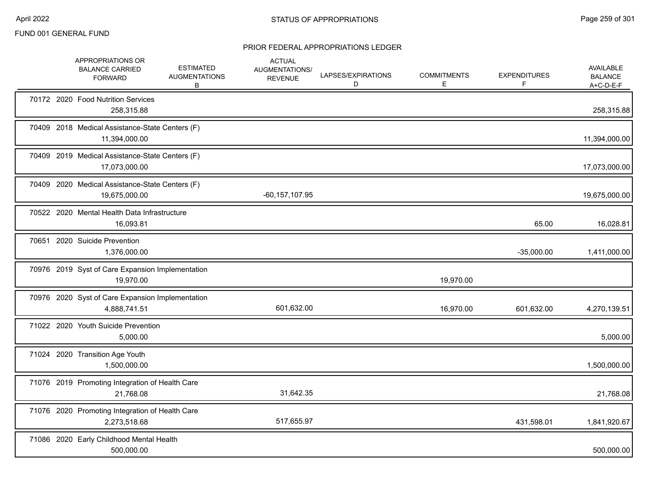|  | APPROPRIATIONS OR<br><b>BALANCE CARRIED</b><br><b>FORWARD</b>    | <b>ESTIMATED</b><br><b>AUGMENTATIONS</b><br>В | <b>ACTUAL</b><br>AUGMENTATIONS/<br><b>REVENUE</b> | LAPSES/EXPIRATIONS<br>D | <b>COMMITMENTS</b><br>Е | <b>EXPENDITURES</b><br>F | <b>AVAILABLE</b><br><b>BALANCE</b><br>$A+C-D-E-F$ |
|--|------------------------------------------------------------------|-----------------------------------------------|---------------------------------------------------|-------------------------|-------------------------|--------------------------|---------------------------------------------------|
|  | 70172 2020 Food Nutrition Services<br>258,315.88                 |                                               |                                                   |                         |                         |                          | 258,315.88                                        |
|  | 70409 2018 Medical Assistance-State Centers (F)<br>11,394,000.00 |                                               |                                                   |                         |                         |                          | 11,394,000.00                                     |
|  | 70409 2019 Medical Assistance-State Centers (F)<br>17,073,000.00 |                                               |                                                   |                         |                         |                          | 17,073,000.00                                     |
|  | 70409 2020 Medical Assistance-State Centers (F)<br>19,675,000.00 |                                               | $-60, 157, 107.95$                                |                         |                         |                          | 19,675,000.00                                     |
|  | 70522 2020 Mental Health Data Infrastructure<br>16,093.81        |                                               |                                                   |                         |                         | 65.00                    | 16,028.81                                         |
|  | 70651 2020 Suicide Prevention<br>1,376,000.00                    |                                               |                                                   |                         |                         | $-35,000.00$             | 1,411,000.00                                      |
|  | 70976 2019 Syst of Care Expansion Implementation<br>19,970.00    |                                               |                                                   |                         | 19,970.00               |                          |                                                   |
|  | 70976 2020 Syst of Care Expansion Implementation<br>4,888,741.51 |                                               | 601,632.00                                        |                         | 16,970.00               | 601,632.00               | 4,270,139.51                                      |
|  | 71022 2020 Youth Suicide Prevention<br>5,000.00                  |                                               |                                                   |                         |                         |                          | 5,000.00                                          |
|  | 71024 2020 Transition Age Youth<br>1,500,000.00                  |                                               |                                                   |                         |                         |                          | 1,500,000.00                                      |
|  | 71076 2019 Promoting Integration of Health Care<br>21,768.08     |                                               | 31,642.35                                         |                         |                         |                          | 21,768.08                                         |
|  | 71076 2020 Promoting Integration of Health Care<br>2,273,518.68  |                                               | 517,655.97                                        |                         |                         | 431,598.01               | 1,841,920.67                                      |
|  | 71086 2020 Early Childhood Mental Health<br>500,000.00           |                                               |                                                   |                         |                         |                          | 500,000.00                                        |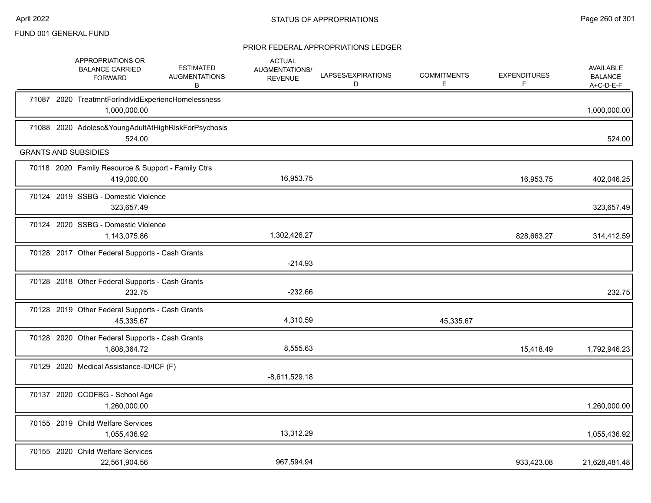|  | APPROPRIATIONS OR<br><b>BALANCE CARRIED</b><br><b>FORWARD</b>        | <b>ESTIMATED</b><br><b>AUGMENTATIONS</b><br>В | <b>ACTUAL</b><br><b>AUGMENTATIONS/</b><br><b>REVENUE</b> | LAPSES/EXPIRATIONS<br>D | <b>COMMITMENTS</b><br>E. | <b>EXPENDITURES</b><br>F | <b>AVAILABLE</b><br><b>BALANCE</b><br>$A+C-D-E-F$ |
|--|----------------------------------------------------------------------|-----------------------------------------------|----------------------------------------------------------|-------------------------|--------------------------|--------------------------|---------------------------------------------------|
|  | 71087 2020 TreatmntForIndividExperiencHomelessness<br>1,000,000.00   |                                               |                                                          |                         |                          |                          | 1,000,000.00                                      |
|  | 71088 2020 Adolesc& Young Adult At High Risk For Psychosis<br>524.00 |                                               |                                                          |                         |                          |                          | 524.00                                            |
|  | <b>GRANTS AND SUBSIDIES</b>                                          |                                               |                                                          |                         |                          |                          |                                                   |
|  | 70118 2020 Family Resource & Support - Family Ctrs<br>419,000.00     |                                               | 16,953.75                                                |                         |                          | 16,953.75                | 402,046.25                                        |
|  | 70124 2019 SSBG - Domestic Violence<br>323,657.49                    |                                               |                                                          |                         |                          |                          | 323,657.49                                        |
|  | 70124 2020 SSBG - Domestic Violence<br>1,143,075.86                  |                                               | 1,302,426.27                                             |                         |                          | 828,663.27               | 314,412.59                                        |
|  | 70128 2017 Other Federal Supports - Cash Grants                      |                                               | $-214.93$                                                |                         |                          |                          |                                                   |
|  | 70128 2018 Other Federal Supports - Cash Grants<br>232.75            |                                               | $-232.66$                                                |                         |                          |                          | 232.75                                            |
|  | 70128 2019 Other Federal Supports - Cash Grants<br>45,335.67         |                                               | 4,310.59                                                 |                         | 45,335.67                |                          |                                                   |
|  | 70128 2020 Other Federal Supports - Cash Grants<br>1,808,364.72      |                                               | 8,555.63                                                 |                         |                          | 15,418.49                | 1,792,946.23                                      |
|  | 70129 2020 Medical Assistance-ID/ICF (F)                             |                                               | $-8,611,529.18$                                          |                         |                          |                          |                                                   |
|  | 70137 2020 CCDFBG - School Age<br>1,260,000.00                       |                                               |                                                          |                         |                          |                          | 1,260,000.00                                      |
|  | 70155 2019 Child Welfare Services<br>1,055,436.92                    |                                               | 13,312.29                                                |                         |                          |                          | 1,055,436.92                                      |
|  | 70155 2020 Child Welfare Services<br>22,561,904.56                   |                                               | 967,594.94                                               |                         |                          | 933,423.08               | 21,628,481.48                                     |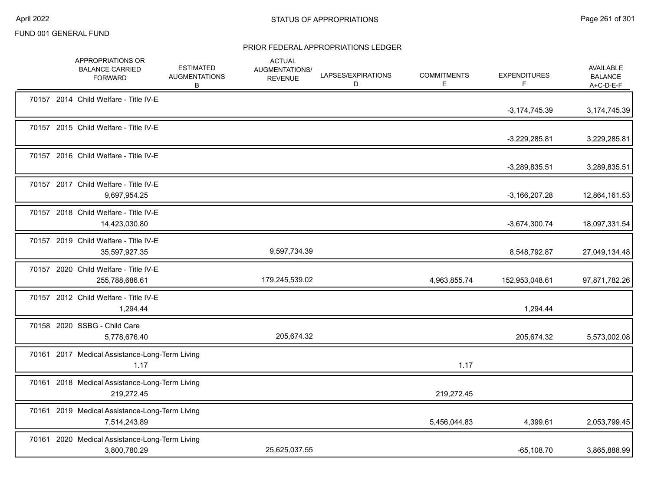|  | APPROPRIATIONS OR<br><b>BALANCE CARRIED</b><br><b>FORWARD</b>  | <b>ESTIMATED</b><br><b>AUGMENTATIONS</b><br>В | <b>ACTUAL</b><br>AUGMENTATIONS/<br><b>REVENUE</b> | LAPSES/EXPIRATIONS<br>D | <b>COMMITMENTS</b><br>E. | <b>EXPENDITURES</b><br>F | AVAILABLE<br><b>BALANCE</b><br>$A+C-D-E-F$ |
|--|----------------------------------------------------------------|-----------------------------------------------|---------------------------------------------------|-------------------------|--------------------------|--------------------------|--------------------------------------------|
|  | 70157 2014 Child Welfare - Title IV-E                          |                                               |                                                   |                         |                          | $-3,174,745.39$          | 3,174,745.39                               |
|  | 70157 2015 Child Welfare - Title IV-E                          |                                               |                                                   |                         |                          | $-3,229,285.81$          | 3,229,285.81                               |
|  | 70157 2016 Child Welfare - Title IV-E                          |                                               |                                                   |                         |                          | $-3,289,835.51$          | 3,289,835.51                               |
|  | 70157 2017 Child Welfare - Title IV-E<br>9,697,954.25          |                                               |                                                   |                         |                          | $-3,166,207.28$          | 12,864,161.53                              |
|  | 70157 2018 Child Welfare - Title IV-E<br>14,423,030.80         |                                               |                                                   |                         |                          | $-3,674,300.74$          | 18,097,331.54                              |
|  | 70157 2019 Child Welfare - Title IV-E<br>35,597,927.35         |                                               | 9,597,734.39                                      |                         |                          | 8,548,792.87             | 27,049,134.48                              |
|  | 70157 2020 Child Welfare - Title IV-E<br>255,788,686.61        |                                               | 179,245,539.02                                    |                         | 4,963,855.74             | 152,953,048.61           | 97,871,782.26                              |
|  | 70157 2012 Child Welfare - Title IV-E<br>1,294.44              |                                               |                                                   |                         |                          | 1,294.44                 |                                            |
|  | 70158 2020 SSBG - Child Care<br>5,778,676.40                   |                                               | 205,674.32                                        |                         |                          | 205,674.32               | 5,573,002.08                               |
|  | 70161 2017 Medical Assistance-Long-Term Living<br>1.17         |                                               |                                                   |                         | 1.17                     |                          |                                            |
|  | 70161 2018 Medical Assistance-Long-Term Living<br>219,272.45   |                                               |                                                   |                         | 219,272.45               |                          |                                            |
|  | 70161 2019 Medical Assistance-Long-Term Living<br>7,514,243.89 |                                               |                                                   |                         | 5,456,044.83             | 4,399.61                 | 2,053,799.45                               |
|  | 70161 2020 Medical Assistance-Long-Term Living<br>3,800,780.29 |                                               | 25,625,037.55                                     |                         |                          | $-65,108.70$             | 3,865,888.99                               |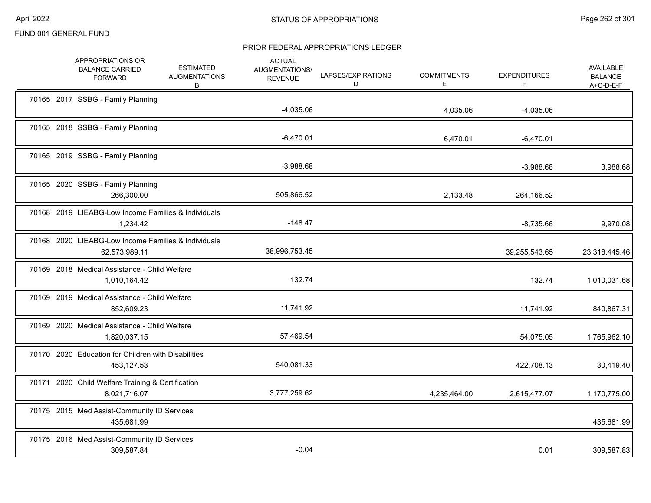|  | APPROPRIATIONS OR<br><b>BALANCE CARRIED</b><br><b>FORWARD</b>        | <b>ESTIMATED</b><br><b>AUGMENTATIONS</b><br>В | <b>ACTUAL</b><br><b>AUGMENTATIONS/</b><br><b>REVENUE</b> | LAPSES/EXPIRATIONS<br>D | <b>COMMITMENTS</b><br>E. | <b>EXPENDITURES</b><br>F. | <b>AVAILABLE</b><br><b>BALANCE</b><br>$A+C-D-E-F$ |
|--|----------------------------------------------------------------------|-----------------------------------------------|----------------------------------------------------------|-------------------------|--------------------------|---------------------------|---------------------------------------------------|
|  | 70165 2017 SSBG - Family Planning                                    |                                               | $-4,035.06$                                              |                         | 4,035.06                 | $-4,035.06$               |                                                   |
|  | 70165 2018 SSBG - Family Planning                                    |                                               | $-6,470.01$                                              |                         | 6,470.01                 | $-6,470.01$               |                                                   |
|  | 70165 2019 SSBG - Family Planning                                    |                                               | $-3,988.68$                                              |                         |                          | $-3,988.68$               | 3,988.68                                          |
|  | 70165 2020 SSBG - Family Planning<br>266,300.00                      |                                               | 505,866.52                                               |                         | 2,133.48                 | 264,166.52                |                                                   |
|  | 70168 2019 LIEABG-Low Income Families & Individuals<br>1,234.42      |                                               | $-148.47$                                                |                         |                          | $-8,735.66$               | 9,970.08                                          |
|  | 70168 2020 LIEABG-Low Income Families & Individuals<br>62,573,989.11 |                                               | 38,996,753.45                                            |                         |                          | 39,255,543.65             | 23,318,445.46                                     |
|  | 70169 2018 Medical Assistance - Child Welfare<br>1,010,164.42        |                                               | 132.74                                                   |                         |                          | 132.74                    | 1,010,031.68                                      |
|  | 70169 2019 Medical Assistance - Child Welfare<br>852,609.23          |                                               | 11,741.92                                                |                         |                          | 11,741.92                 | 840,867.31                                        |
|  | 70169 2020 Medical Assistance - Child Welfare<br>1,820,037.15        |                                               | 57,469.54                                                |                         |                          | 54,075.05                 | 1,765,962.10                                      |
|  | 70170 2020 Education for Children with Disabilities<br>453,127.53    |                                               | 540,081.33                                               |                         |                          | 422,708.13                | 30,419.40                                         |
|  | 70171 2020 Child Welfare Training & Certification<br>8,021,716.07    |                                               | 3,777,259.62                                             |                         | 4,235,464.00             | 2,615,477.07              | 1,170,775.00                                      |
|  | 70175 2015 Med Assist-Community ID Services<br>435,681.99            |                                               |                                                          |                         |                          |                           | 435,681.99                                        |
|  | 70175 2016 Med Assist-Community ID Services<br>309,587.84            |                                               | $-0.04$                                                  |                         |                          | 0.01                      | 309,587.83                                        |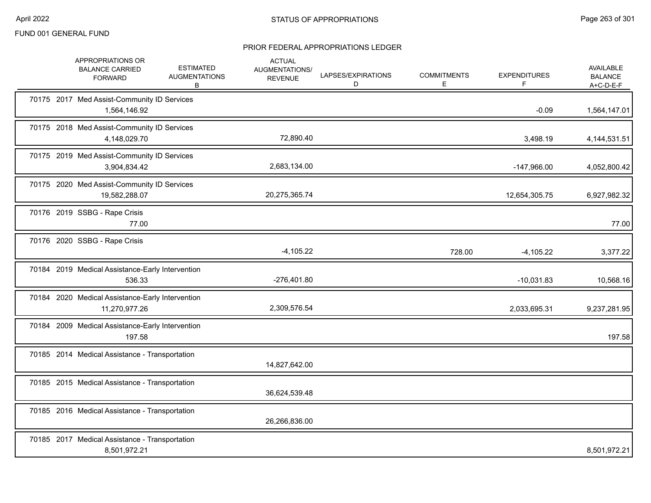|  | APPROPRIATIONS OR<br><b>BALANCE CARRIED</b><br><b>FORWARD</b>     | <b>ESTIMATED</b><br><b>AUGMENTATIONS</b><br>В | <b>ACTUAL</b><br><b>AUGMENTATIONS/</b><br><b>REVENUE</b> | LAPSES/EXPIRATIONS<br>D | <b>COMMITMENTS</b><br>E. | <b>EXPENDITURES</b><br>F | AVAILABLE<br><b>BALANCE</b><br>$A+C-D-E-F$ |
|--|-------------------------------------------------------------------|-----------------------------------------------|----------------------------------------------------------|-------------------------|--------------------------|--------------------------|--------------------------------------------|
|  | 70175 2017 Med Assist-Community ID Services<br>1,564,146.92       |                                               |                                                          |                         |                          | $-0.09$                  | 1,564,147.01                               |
|  | 70175 2018 Med Assist-Community ID Services<br>4,148,029.70       |                                               | 72,890.40                                                |                         |                          | 3,498.19                 | 4, 144, 531. 51                            |
|  | 70175 2019 Med Assist-Community ID Services<br>3,904,834.42       |                                               | 2,683,134.00                                             |                         |                          | -147,966.00              | 4,052,800.42                               |
|  | 70175 2020 Med Assist-Community ID Services<br>19,582,288.07      |                                               | 20,275,365.74                                            |                         |                          | 12,654,305.75            | 6,927,982.32                               |
|  | 70176 2019 SSBG - Rape Crisis<br>77.00                            |                                               |                                                          |                         |                          |                          | 77.00                                      |
|  | 70176 2020 SSBG - Rape Crisis                                     |                                               | $-4,105.22$                                              |                         | 728.00                   | $-4,105.22$              | 3,377.22                                   |
|  | 70184 2019 Medical Assistance-Early Intervention<br>536.33        |                                               | $-276,401.80$                                            |                         |                          | $-10,031.83$             | 10,568.16                                  |
|  | 70184 2020 Medical Assistance-Early Intervention<br>11,270,977.26 |                                               | 2,309,576.54                                             |                         |                          | 2,033,695.31             | 9,237,281.95                               |
|  | 70184 2009 Medical Assistance-Early Intervention<br>197.58        |                                               |                                                          |                         |                          |                          | 197.58                                     |
|  | 70185 2014 Medical Assistance - Transportation                    |                                               | 14,827,642.00                                            |                         |                          |                          |                                            |
|  | 70185 2015 Medical Assistance - Transportation                    |                                               | 36,624,539.48                                            |                         |                          |                          |                                            |
|  | 70185 2016 Medical Assistance - Transportation                    |                                               | 26,266,836.00                                            |                         |                          |                          |                                            |
|  | 70185 2017 Medical Assistance - Transportation<br>8,501,972.21    |                                               |                                                          |                         |                          |                          | 8,501,972.21                               |
|  |                                                                   |                                               |                                                          |                         |                          |                          |                                            |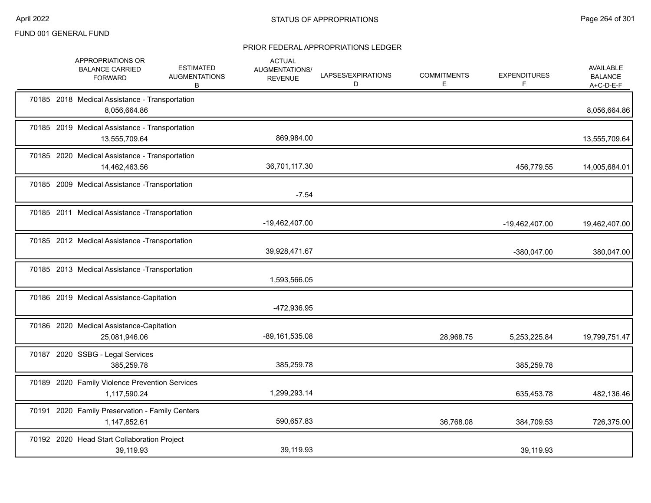|  | APPROPRIATIONS OR<br><b>BALANCE CARRIED</b><br><b>FORWARD</b>   | <b>ESTIMATED</b><br><b>AUGMENTATIONS</b><br>В | <b>ACTUAL</b><br>AUGMENTATIONS/<br><b>REVENUE</b> | LAPSES/EXPIRATIONS<br>D | <b>COMMITMENTS</b><br>Е | <b>EXPENDITURES</b><br>F | <b>AVAILABLE</b><br><b>BALANCE</b><br>$A+C-D-E-F$ |
|--|-----------------------------------------------------------------|-----------------------------------------------|---------------------------------------------------|-------------------------|-------------------------|--------------------------|---------------------------------------------------|
|  | 70185 2018 Medical Assistance - Transportation<br>8,056,664.86  |                                               |                                                   |                         |                         |                          | 8,056,664.86                                      |
|  | 70185 2019 Medical Assistance - Transportation<br>13,555,709.64 |                                               | 869,984.00                                        |                         |                         |                          | 13,555,709.64                                     |
|  | 70185 2020 Medical Assistance - Transportation<br>14,462,463.56 |                                               | 36,701,117.30                                     |                         |                         | 456,779.55               | 14,005,684.01                                     |
|  | 70185 2009 Medical Assistance - Transportation                  |                                               | $-7.54$                                           |                         |                         |                          |                                                   |
|  | 70185 2011 Medical Assistance - Transportation                  |                                               | -19,462,407.00                                    |                         |                         | -19,462,407.00           | 19,462,407.00                                     |
|  | 70185 2012 Medical Assistance - Transportation                  |                                               | 39,928,471.67                                     |                         |                         | -380,047.00              | 380,047.00                                        |
|  | 70185 2013 Medical Assistance - Transportation                  |                                               | 1,593,566.05                                      |                         |                         |                          |                                                   |
|  | 70186 2019 Medical Assistance-Capitation                        |                                               | -472,936.95                                       |                         |                         |                          |                                                   |
|  | 70186 2020 Medical Assistance-Capitation<br>25,081,946.06       |                                               | -89,161,535.08                                    |                         | 28,968.75               | 5,253,225.84             | 19,799,751.47                                     |
|  | 70187 2020 SSBG - Legal Services<br>385,259.78                  |                                               | 385,259.78                                        |                         |                         | 385,259.78               |                                                   |
|  | 70189 2020 Family Violence Prevention Services<br>1,117,590.24  |                                               | 1,299,293.14                                      |                         |                         | 635,453.78               | 482,136.46                                        |
|  | 70191 2020 Family Preservation - Family Centers<br>1,147,852.61 |                                               | 590,657.83                                        |                         | 36,768.08               | 384,709.53               | 726,375.00                                        |
|  | 70192 2020 Head Start Collaboration Project<br>39,119.93        |                                               | 39,119.93                                         |                         |                         | 39,119.93                |                                                   |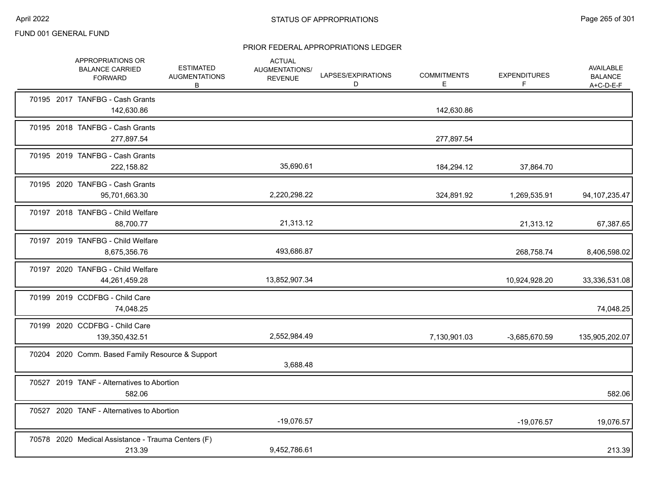| APPROPRIATIONS OR<br><b>BALANCE CARRIED</b><br><b>FORWARD</b> | ESTIMATED<br><b>AUGMENTATIONS</b><br>B | <b>ACTUAL</b><br>AUGMENTATIONS/<br><b>REVENUE</b> | LAPSES/EXPIRATIONS<br>D | <b>COMMITMENTS</b><br>E. | <b>EXPENDITURES</b><br>F | AVAILABLE<br><b>BALANCE</b><br>$A+C-D-E-F$ |
|---------------------------------------------------------------|----------------------------------------|---------------------------------------------------|-------------------------|--------------------------|--------------------------|--------------------------------------------|
| 70195 2017 TANFBG - Cash Grants<br>142,630.86                 |                                        |                                                   |                         | 142,630.86               |                          |                                            |
| 70195 2018 TANFBG - Cash Grants<br>277,897.54                 |                                        |                                                   |                         | 277,897.54               |                          |                                            |
| 70195 2019 TANFBG - Cash Grants<br>222,158.82                 |                                        | 35,690.61                                         |                         | 184,294.12               | 37,864.70                |                                            |
| 70195 2020 TANFBG - Cash Grants<br>95,701,663.30              |                                        | 2,220,298.22                                      |                         | 324,891.92               | 1,269,535.91             | 94, 107, 235. 47                           |
| 70197 2018 TANFBG - Child Welfare<br>88.700.77                |                                        | 21,313.12                                         |                         |                          | 21,313.12                | 67,387.65                                  |
| 70197 2019 TANFBG - Child Welfare<br>8,675,356.76             |                                        | 493,686.87                                        |                         |                          | 268,758.74               | 8,406,598.02                               |
| 70197 2020 TANFBG - Child Welfare<br>44,261,459.28            |                                        | 13,852,907.34                                     |                         |                          | 10,924,928.20            | 33,336,531.08                              |
| 70199 2019 CCDFBG - Child Care<br>74,048.25                   |                                        |                                                   |                         |                          |                          | 74,048.25                                  |
| 70199 2020 CCDFBG - Child Care<br>139,350,432.51              |                                        | 2,552,984.49                                      |                         | 7,130,901.03             | -3,685,670.59            | 135,905,202.07                             |
| 70204 2020 Comm. Based Family Resource & Support              |                                        | 3,688.48                                          |                         |                          |                          |                                            |
| 70527 2019 TANF - Alternatives to Abortion<br>582.06          |                                        |                                                   |                         |                          |                          | 582.06                                     |
| 70527 2020 TANF - Alternatives to Abortion                    |                                        | $-19,076.57$                                      |                         |                          | $-19,076.57$             | 19,076.57                                  |
| 70578 2020 Medical Assistance - Trauma Centers (F)<br>213.39  |                                        | 9,452,786.61                                      |                         |                          |                          | 213.39                                     |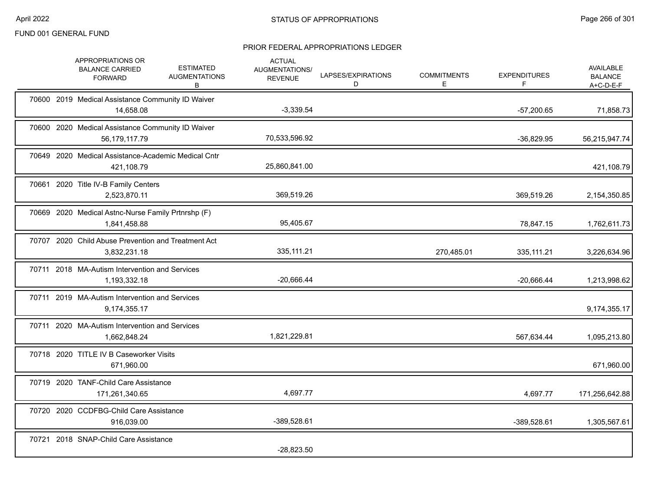|  | APPROPRIATIONS OR<br><b>BALANCE CARRIED</b><br><b>FORWARD</b>       | <b>ESTIMATED</b><br><b>AUGMENTATIONS</b><br>В | <b>ACTUAL</b><br>AUGMENTATIONS/<br><b>REVENUE</b> | LAPSES/EXPIRATIONS<br>D | <b>COMMITMENTS</b><br>E. | <b>EXPENDITURES</b><br>F | <b>AVAILABLE</b><br><b>BALANCE</b><br>$A+C-D-E-F$ |
|--|---------------------------------------------------------------------|-----------------------------------------------|---------------------------------------------------|-------------------------|--------------------------|--------------------------|---------------------------------------------------|
|  | 70600 2019 Medical Assistance Community ID Waiver<br>14,658.08      |                                               | $-3,339.54$                                       |                         |                          | $-57,200.65$             | 71,858.73                                         |
|  | 70600 2020 Medical Assistance Community ID Waiver<br>56,179,117.79  |                                               | 70,533,596.92                                     |                         |                          | $-36,829.95$             | 56,215,947.74                                     |
|  | 70649 2020 Medical Assistance-Academic Medical Cntr<br>421,108.79   |                                               | 25,860,841.00                                     |                         |                          |                          | 421,108.79                                        |
|  | 70661 2020 Title IV-B Family Centers<br>2,523,870.11                |                                               | 369,519.26                                        |                         |                          | 369,519.26               | 2,154,350.85                                      |
|  | 70669 2020 Medical Astnc-Nurse Family Prtnrshp (F)<br>1,841,458.88  |                                               | 95,405.67                                         |                         |                          | 78,847.15                | 1,762,611.73                                      |
|  | 70707 2020 Child Abuse Prevention and Treatment Act<br>3,832,231.18 |                                               | 335, 111.21                                       |                         | 270,485.01               | 335,111.21               | 3,226,634.96                                      |
|  | 70711 2018 MA-Autism Intervention and Services<br>1,193,332.18      |                                               | $-20,666.44$                                      |                         |                          | $-20,666.44$             | 1,213,998.62                                      |
|  | 70711 2019 MA-Autism Intervention and Services<br>9,174,355.17      |                                               |                                                   |                         |                          |                          | 9,174,355.17                                      |
|  | 70711 2020 MA-Autism Intervention and Services<br>1,662,848.24      |                                               | 1,821,229.81                                      |                         |                          | 567,634.44               | 1,095,213.80                                      |
|  | 70718 2020 TITLE IV B Caseworker Visits<br>671,960.00               |                                               |                                                   |                         |                          |                          | 671,960.00                                        |
|  | 70719 2020 TANF-Child Care Assistance<br>171,261,340.65             |                                               | 4,697.77                                          |                         |                          | 4,697.77                 | 171,256,642.88                                    |
|  | 70720 2020 CCDFBG-Child Care Assistance<br>916,039.00               |                                               | -389,528.61                                       |                         |                          | -389,528.61              | 1,305,567.61                                      |
|  | 70721 2018 SNAP-Child Care Assistance                               |                                               | $-28,823.50$                                      |                         |                          |                          |                                                   |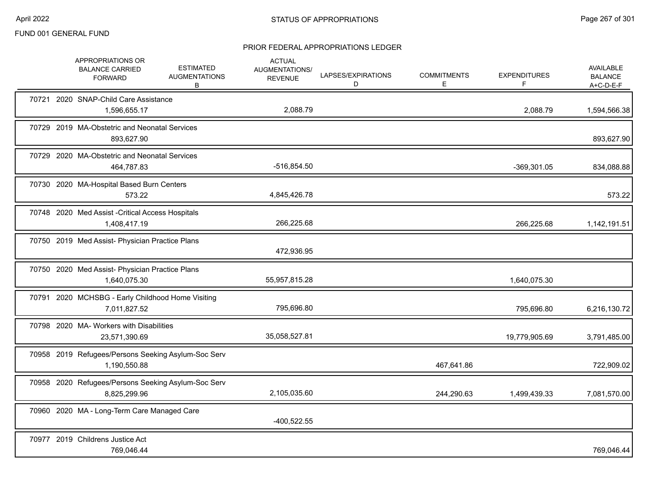|  | APPROPRIATIONS OR<br><b>BALANCE CARRIED</b><br><b>FORWARD</b>       | <b>ESTIMATED</b><br><b>AUGMENTATIONS</b><br>B | <b>ACTUAL</b><br>AUGMENTATIONS/<br><b>REVENUE</b> | LAPSES/EXPIRATIONS<br>D | <b>COMMITMENTS</b><br>Е | <b>EXPENDITURES</b><br>F | <b>AVAILABLE</b><br><b>BALANCE</b><br>A+C-D-E-F |
|--|---------------------------------------------------------------------|-----------------------------------------------|---------------------------------------------------|-------------------------|-------------------------|--------------------------|-------------------------------------------------|
|  | 70721 2020 SNAP-Child Care Assistance<br>1,596,655.17               |                                               | 2,088.79                                          |                         |                         | 2,088.79                 | 1,594,566.38                                    |
|  | 70729 2019 MA-Obstetric and Neonatal Services<br>893,627.90         |                                               |                                                   |                         |                         |                          | 893,627.90                                      |
|  | 70729 2020 MA-Obstetric and Neonatal Services<br>464,787.83         |                                               | $-516,854.50$                                     |                         |                         | -369,301.05              | 834,088.88                                      |
|  | 70730 2020 MA-Hospital Based Burn Centers<br>573.22                 |                                               | 4,845,426.78                                      |                         |                         |                          | 573.22                                          |
|  | 70748 2020 Med Assist - Critical Access Hospitals<br>1,408,417.19   |                                               | 266,225.68                                        |                         |                         | 266,225.68               | 1,142,191.51                                    |
|  | 70750 2019 Med Assist- Physician Practice Plans                     |                                               | 472,936.95                                        |                         |                         |                          |                                                 |
|  | 70750 2020 Med Assist- Physician Practice Plans<br>1,640,075.30     |                                               | 55,957,815.28                                     |                         |                         | 1,640,075.30             |                                                 |
|  | 70791 2020 MCHSBG - Early Childhood Home Visiting<br>7,011,827.52   |                                               | 795,696.80                                        |                         |                         | 795,696.80               | 6,216,130.72                                    |
|  | 70798 2020 MA- Workers with Disabilities<br>23,571,390.69           |                                               | 35,058,527.81                                     |                         |                         | 19,779,905.69            | 3,791,485.00                                    |
|  | 70958 2019 Refugees/Persons Seeking Asylum-Soc Serv<br>1,190,550.88 |                                               |                                                   |                         | 467,641.86              |                          | 722,909.02                                      |
|  | 70958 2020 Refugees/Persons Seeking Asylum-Soc Serv<br>8,825,299.96 |                                               | 2,105,035.60                                      |                         | 244,290.63              | 1,499,439.33             | 7,081,570.00                                    |
|  | 70960 2020 MA - Long-Term Care Managed Care                         |                                               | $-400,522.55$                                     |                         |                         |                          |                                                 |
|  | 70977 2019 Childrens Justice Act<br>769,046.44                      |                                               |                                                   |                         |                         |                          | 769,046.44                                      |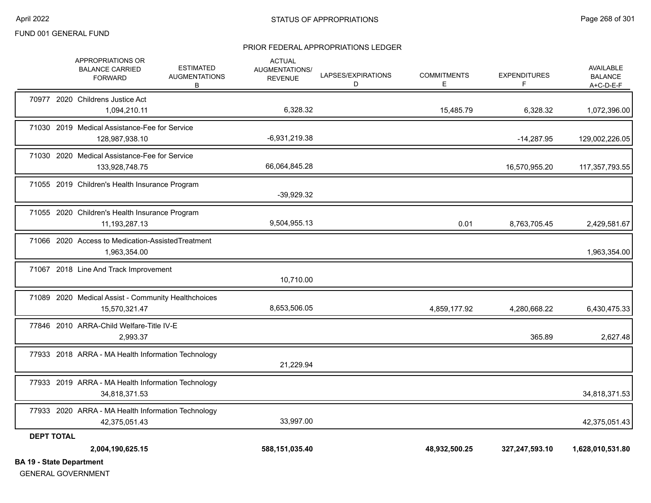#### PRIOR FEDERAL APPROPRIATIONS LEDGER

| <b>BA 19 - State Department</b> |                                                                      |                                               |                                                   |                         |                         |                          |                                                   |
|---------------------------------|----------------------------------------------------------------------|-----------------------------------------------|---------------------------------------------------|-------------------------|-------------------------|--------------------------|---------------------------------------------------|
|                                 | 2,004,190,625.15                                                     |                                               | 588,151,035.40                                    |                         | 48,932,500.25           | 327,247,593.10           | 1,628,010,531.80                                  |
| <b>DEPT TOTAL</b>               |                                                                      |                                               |                                                   |                         |                         |                          |                                                   |
|                                 | 77933 2020 ARRA - MA Health Information Technology<br>42,375,051.43  |                                               | 33,997.00                                         |                         |                         |                          | 42,375,051.43                                     |
|                                 | 77933 2019 ARRA - MA Health Information Technology<br>34,818,371.53  |                                               |                                                   |                         |                         |                          | 34,818,371.53                                     |
|                                 | 77933 2018 ARRA - MA Health Information Technology                   |                                               | 21,229.94                                         |                         |                         |                          |                                                   |
|                                 | 77846 2010 ARRA-Child Welfare-Title IV-E<br>2,993.37                 |                                               |                                                   |                         |                         | 365.89                   | 2,627.48                                          |
|                                 | 71089 2020 Medical Assist - Community Healthchoices<br>15,570,321.47 |                                               | 8,653,506.05                                      |                         | 4,859,177.92            | 4,280,668.22             | 6,430,475.33                                      |
|                                 | 71067 2018 Line And Track Improvement                                |                                               | 10,710.00                                         |                         |                         |                          |                                                   |
|                                 | 71066 2020 Access to Medication-AssistedTreatment<br>1,963,354.00    |                                               |                                                   |                         |                         |                          | 1,963,354.00                                      |
|                                 | 71055 2020 Children's Health Insurance Program<br>11,193,287.13      |                                               | 9,504,955.13                                      |                         | 0.01                    | 8,763,705.45             | 2,429,581.67                                      |
|                                 | 71055 2019 Children's Health Insurance Program                       |                                               | $-39,929.32$                                      |                         |                         |                          |                                                   |
|                                 | 71030 2020 Medical Assistance-Fee for Service<br>133,928,748.75      |                                               | 66,064,845.28                                     |                         |                         | 16,570,955.20            | 117,357,793.55                                    |
|                                 | 71030 2019 Medical Assistance-Fee for Service<br>128,987,938.10      |                                               | $-6,931,219.38$                                   |                         |                         | $-14,287.95$             | 129,002,226.05                                    |
|                                 | 70977 2020 Childrens Justice Act<br>1,094,210.11                     |                                               | 6,328.32                                          |                         | 15,485.79               | 6,328.32                 | 1,072,396.00                                      |
|                                 | APPROPRIATIONS OR<br><b>BALANCE CARRIED</b><br><b>FORWARD</b>        | <b>ESTIMATED</b><br><b>AUGMENTATIONS</b><br>B | <b>ACTUAL</b><br>AUGMENTATIONS/<br><b>REVENUE</b> | LAPSES/EXPIRATIONS<br>D | <b>COMMITMENTS</b><br>Е | <b>EXPENDITURES</b><br>F | <b>AVAILABLE</b><br><b>BALANCE</b><br>$A+C-D-E-F$ |

GENERAL GOVERNMENT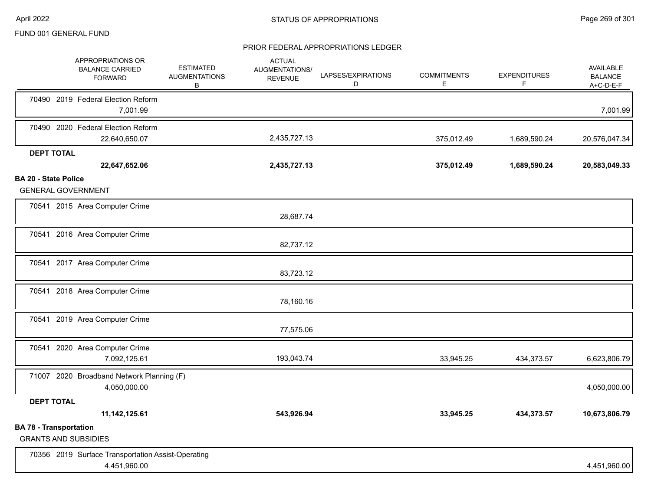|                             | APPROPRIATIONS OR<br><b>BALANCE CARRIED</b><br><b>FORWARD</b> | <b>ESTIMATED</b><br><b>AUGMENTATIONS</b><br>B | <b>ACTUAL</b><br>AUGMENTATIONS/<br><b>REVENUE</b> | LAPSES/EXPIRATIONS<br>D | <b>COMMITMENTS</b><br>E. | <b>EXPENDITURES</b><br>F | <b>AVAILABLE</b><br><b>BALANCE</b><br>$A+C-D-E-F$ |
|-----------------------------|---------------------------------------------------------------|-----------------------------------------------|---------------------------------------------------|-------------------------|--------------------------|--------------------------|---------------------------------------------------|
|                             | 70490 2019 Federal Election Reform<br>7,001.99                |                                               |                                                   |                         |                          |                          | 7,001.99                                          |
|                             | 70490 2020 Federal Election Reform<br>22,640,650.07           |                                               | 2,435,727.13                                      |                         | 375,012.49               | 1,689,590.24             | 20,576,047.34                                     |
|                             | <b>DEPT TOTAL</b>                                             |                                               |                                                   |                         |                          |                          |                                                   |
|                             | 22,647,652.06                                                 |                                               | 2,435,727.13                                      |                         | 375,012.49               | 1,689,590.24             | 20,583,049.33                                     |
| <b>BA 20 - State Police</b> | <b>GENERAL GOVERNMENT</b>                                     |                                               |                                                   |                         |                          |                          |                                                   |
|                             | 70541 2015 Area Computer Crime                                |                                               | 28,687.74                                         |                         |                          |                          |                                                   |
|                             | 70541 2016 Area Computer Crime                                |                                               | 82,737.12                                         |                         |                          |                          |                                                   |
|                             | 70541 2017 Area Computer Crime                                |                                               | 83,723.12                                         |                         |                          |                          |                                                   |
|                             | 70541 2018 Area Computer Crime                                |                                               | 78,160.16                                         |                         |                          |                          |                                                   |
|                             | 70541 2019 Area Computer Crime                                |                                               | 77,575.06                                         |                         |                          |                          |                                                   |
|                             | 70541 2020 Area Computer Crime<br>7,092,125.61                |                                               | 193,043.74                                        |                         | 33,945.25                | 434,373.57               | 6,623,806.79                                      |
|                             | 71007 2020 Broadband Network Planning (F)<br>4,050,000.00     |                                               |                                                   |                         |                          |                          | 4,050,000.00                                      |
|                             | <b>DEPT TOTAL</b>                                             |                                               |                                                   |                         |                          |                          |                                                   |
|                             | 11, 142, 125.61                                               |                                               | 543,926.94                                        |                         | 33,945.25                | 434,373.57               | 10,673,806.79                                     |
|                             | <b>BA 78 - Transportation</b><br><b>GRANTS AND SUBSIDIES</b>  |                                               |                                                   |                         |                          |                          |                                                   |
|                             | 70356 2019 Surface Transportation Assist-Operating            |                                               |                                                   |                         |                          |                          |                                                   |
|                             | 4,451,960.00                                                  |                                               |                                                   |                         |                          |                          | 4,451,960.00                                      |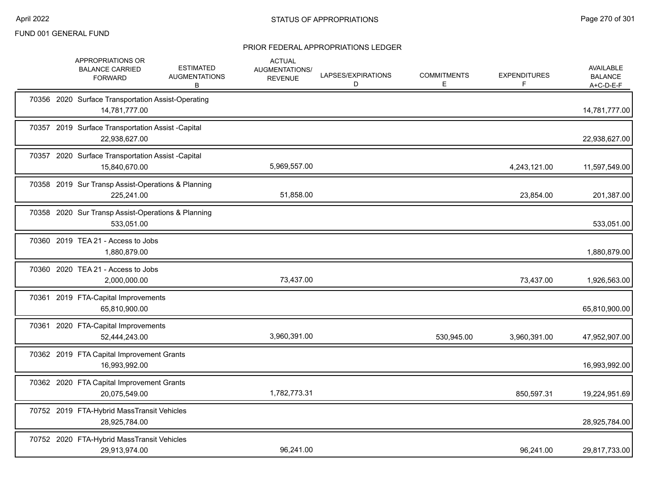|  | APPROPRIATIONS OR<br><b>BALANCE CARRIED</b><br><b>FORWARD</b>       | <b>ESTIMATED</b><br><b>AUGMENTATIONS</b><br>В | <b>ACTUAL</b><br>AUGMENTATIONS/<br><b>REVENUE</b> | LAPSES/EXPIRATIONS<br>D | <b>COMMITMENTS</b><br>Е | <b>EXPENDITURES</b><br>F | <b>AVAILABLE</b><br><b>BALANCE</b><br>A+C-D-E-F |
|--|---------------------------------------------------------------------|-----------------------------------------------|---------------------------------------------------|-------------------------|-------------------------|--------------------------|-------------------------------------------------|
|  | 70356 2020 Surface Transportation Assist-Operating<br>14,781,777.00 |                                               |                                                   |                         |                         |                          | 14,781,777.00                                   |
|  | 70357 2019 Surface Transportation Assist -Capital<br>22,938,627.00  |                                               |                                                   |                         |                         |                          | 22,938,627.00                                   |
|  | 70357 2020 Surface Transportation Assist -Capital<br>15,840,670.00  |                                               | 5,969,557.00                                      |                         |                         | 4,243,121.00             | 11,597,549.00                                   |
|  | 70358 2019 Sur Transp Assist-Operations & Planning<br>225,241.00    |                                               | 51,858.00                                         |                         |                         | 23,854.00                | 201,387.00                                      |
|  | 70358 2020 Sur Transp Assist-Operations & Planning<br>533,051.00    |                                               |                                                   |                         |                         |                          | 533,051.00                                      |
|  | 70360 2019 TEA 21 - Access to Jobs<br>1,880,879.00                  |                                               |                                                   |                         |                         |                          | 1,880,879.00                                    |
|  | 70360 2020 TEA 21 - Access to Jobs<br>2,000,000.00                  |                                               | 73,437.00                                         |                         |                         | 73,437.00                | 1,926,563.00                                    |
|  | 70361 2019 FTA-Capital Improvements<br>65,810,900.00                |                                               |                                                   |                         |                         |                          | 65,810,900.00                                   |
|  | 70361 2020 FTA-Capital Improvements<br>52,444,243.00                |                                               | 3,960,391.00                                      |                         | 530,945.00              | 3,960,391.00             | 47,952,907.00                                   |
|  | 70362 2019 FTA Capital Improvement Grants<br>16,993,992.00          |                                               |                                                   |                         |                         |                          | 16,993,992.00                                   |
|  | 70362 2020 FTA Capital Improvement Grants<br>20,075,549.00          |                                               | 1,782,773.31                                      |                         |                         | 850,597.31               | 19,224,951.69                                   |
|  | 70752 2019 FTA-Hybrid MassTransit Vehicles<br>28,925,784.00         |                                               |                                                   |                         |                         |                          | 28,925,784.00                                   |
|  | 70752 2020 FTA-Hybrid MassTransit Vehicles<br>29,913,974.00         |                                               | 96,241.00                                         |                         |                         | 96,241.00                | 29,817,733.00                                   |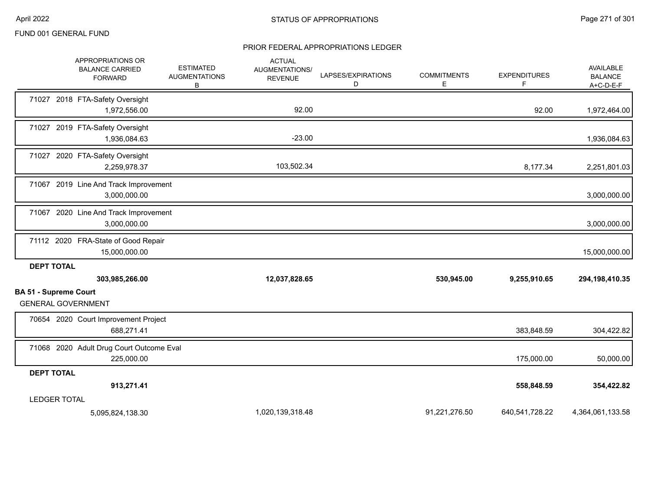| APPROPRIATIONS OR<br><b>BALANCE CARRIED</b><br><b>FORWARD</b> | <b>ESTIMATED</b><br><b>AUGMENTATIONS</b><br>В | <b>ACTUAL</b><br>AUGMENTATIONS/<br><b>REVENUE</b> | LAPSES/EXPIRATIONS<br>D | <b>COMMITMENTS</b><br>Е | <b>EXPENDITURES</b><br>F | AVAILABLE<br><b>BALANCE</b><br>$A+C-D-E-F$ |
|---------------------------------------------------------------|-----------------------------------------------|---------------------------------------------------|-------------------------|-------------------------|--------------------------|--------------------------------------------|
| 71027 2018 FTA-Safety Oversight<br>1,972,556.00               |                                               | 92.00                                             |                         |                         | 92.00                    | 1,972,464.00                               |
| 71027 2019 FTA-Safety Oversight<br>1,936,084.63               |                                               | $-23.00$                                          |                         |                         |                          | 1,936,084.63                               |
| 71027 2020 FTA-Safety Oversight<br>2,259,978.37               |                                               | 103,502.34                                        |                         |                         | 8,177.34                 | 2,251,801.03                               |
| 71067 2019 Line And Track Improvement<br>3,000,000.00         |                                               |                                                   |                         |                         |                          | 3,000,000.00                               |
| 71067 2020 Line And Track Improvement<br>3,000,000.00         |                                               |                                                   |                         |                         |                          | 3,000,000.00                               |
| 71112 2020 FRA-State of Good Repair<br>15,000,000.00          |                                               |                                                   |                         |                         |                          | 15,000,000.00                              |
| <b>DEPT TOTAL</b><br>303,985,266.00                           |                                               | 12,037,828.65                                     |                         | 530,945.00              | 9,255,910.65             | 294,198,410.35                             |
| <b>BA 51 - Supreme Court</b><br><b>GENERAL GOVERNMENT</b>     |                                               |                                                   |                         |                         |                          |                                            |
| 70654 2020 Court Improvement Project<br>688,271.41            |                                               |                                                   |                         |                         | 383,848.59               | 304,422.82                                 |
| 71068 2020 Adult Drug Court Outcome Eval<br>225,000.00        |                                               |                                                   |                         |                         | 175,000.00               | 50,000.00                                  |
| <b>DEPT TOTAL</b>                                             |                                               |                                                   |                         |                         |                          |                                            |
| 913,271.41                                                    |                                               |                                                   |                         |                         | 558,848.59               | 354,422.82                                 |
| <b>LEDGER TOTAL</b>                                           |                                               | 1,020,139,318.48                                  |                         | 91,221,276.50           | 640,541,728.22           | 4,364,061,133.58                           |
| 5,095,824,138.30                                              |                                               |                                                   |                         |                         |                          |                                            |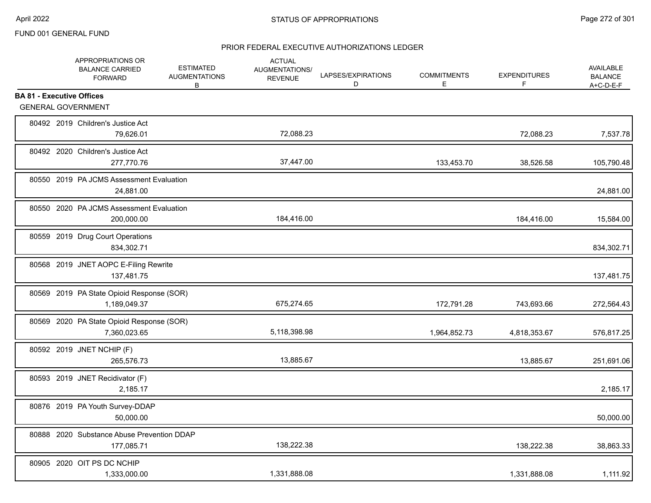|                                  | APPROPRIATIONS OR<br><b>BALANCE CARRIED</b><br><b>FORWARD</b> | <b>ESTIMATED</b><br><b>AUGMENTATIONS</b><br>В | <b>ACTUAL</b><br>AUGMENTATIONS/<br><b>REVENUE</b> | LAPSES/EXPIRATIONS<br>D | <b>COMMITMENTS</b><br>Е | <b>EXPENDITURES</b><br>F | <b>AVAILABLE</b><br><b>BALANCE</b><br>$A+C-D-E-F$ |
|----------------------------------|---------------------------------------------------------------|-----------------------------------------------|---------------------------------------------------|-------------------------|-------------------------|--------------------------|---------------------------------------------------|
| <b>BA 81 - Executive Offices</b> |                                                               |                                               |                                                   |                         |                         |                          |                                                   |
| <b>GENERAL GOVERNMENT</b>        |                                                               |                                               |                                                   |                         |                         |                          |                                                   |
|                                  | 80492 2019 Children's Justice Act<br>79,626.01                |                                               | 72,088.23                                         |                         |                         | 72,088.23                | 7,537.78                                          |
|                                  | 80492 2020 Children's Justice Act<br>277,770.76               |                                               | 37,447.00                                         |                         | 133,453.70              | 38,526.58                | 105,790.48                                        |
|                                  | 80550 2019 PA JCMS Assessment Evaluation<br>24,881.00         |                                               |                                                   |                         |                         |                          | 24,881.00                                         |
|                                  | 80550 2020 PA JCMS Assessment Evaluation<br>200,000.00        |                                               | 184,416.00                                        |                         |                         | 184,416.00               | 15,584.00                                         |
|                                  | 80559 2019 Drug Court Operations<br>834,302.71                |                                               |                                                   |                         |                         |                          | 834,302.71                                        |
|                                  | 80568 2019 JNET AOPC E-Filing Rewrite<br>137,481.75           |                                               |                                                   |                         |                         |                          | 137,481.75                                        |
|                                  | 80569 2019 PA State Opioid Response (SOR)<br>1,189,049.37     |                                               | 675,274.65                                        |                         | 172,791.28              | 743,693.66               | 272,564.43                                        |
|                                  | 80569 2020 PA State Opioid Response (SOR)<br>7,360,023.65     |                                               | 5,118,398.98                                      |                         | 1,964,852.73            | 4,818,353.67             | 576,817.25                                        |
|                                  | 80592 2019 JNET NCHIP (F)<br>265,576.73                       |                                               | 13,885.67                                         |                         |                         | 13,885.67                | 251,691.06                                        |
|                                  | 80593 2019 JNET Recidivator (F)<br>2,185.17                   |                                               |                                                   |                         |                         |                          | 2,185.17                                          |
|                                  | 80876 2019 PA Youth Survey-DDAP<br>50,000.00                  |                                               |                                                   |                         |                         |                          | 50,000.00                                         |
|                                  | 80888 2020 Substance Abuse Prevention DDAP<br>177,085.71      |                                               | 138,222.38                                        |                         |                         | 138,222.38               | 38,863.33                                         |
|                                  | 80905 2020 OIT PS DC NCHIP<br>1,333,000.00                    |                                               | 1,331,888.08                                      |                         |                         | 1,331,888.08             | 1,111.92                                          |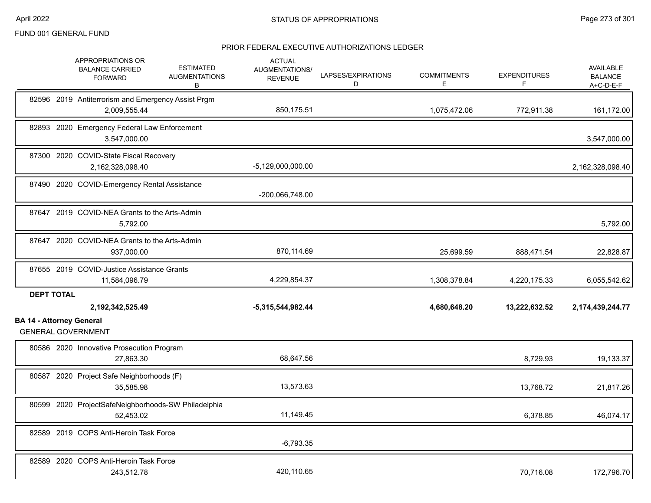|                                 | APPROPRIATIONS OR<br><b>ESTIMATED</b><br><b>BALANCE CARRIED</b><br><b>AUGMENTATIONS</b><br><b>FORWARD</b><br>В | <b>ACTUAL</b><br>AUGMENTATIONS/<br><b>REVENUE</b> | LAPSES/EXPIRATIONS<br>D | <b>COMMITMENTS</b><br>E. | <b>EXPENDITURES</b><br>F | <b>AVAILABLE</b><br><b>BALANCE</b><br>A+C-D-E-F |
|---------------------------------|----------------------------------------------------------------------------------------------------------------|---------------------------------------------------|-------------------------|--------------------------|--------------------------|-------------------------------------------------|
|                                 | 82596 2019 Antiterrorism and Emergency Assist Prgm<br>2,009,555.44                                             | 850,175.51                                        |                         | 1,075,472.06             | 772,911.38               | 161,172.00                                      |
|                                 | 82893 2020 Emergency Federal Law Enforcement<br>3,547,000.00                                                   |                                                   |                         |                          |                          | 3,547,000.00                                    |
|                                 | 87300 2020 COVID-State Fiscal Recovery<br>2,162,328,098.40                                                     | $-5,129,000,000.00$                               |                         |                          |                          | 2,162,328,098.40                                |
|                                 | 87490 2020 COVID-Emergency Rental Assistance                                                                   | -200,066,748.00                                   |                         |                          |                          |                                                 |
|                                 | 87647 2019 COVID-NEA Grants to the Arts-Admin<br>5,792.00                                                      |                                                   |                         |                          |                          | 5,792.00                                        |
|                                 | 87647 2020 COVID-NEA Grants to the Arts-Admin<br>937,000.00                                                    | 870,114.69                                        |                         | 25,699.59                | 888,471.54               | 22,828.87                                       |
|                                 | 87655 2019 COVID-Justice Assistance Grants<br>11,584,096.79                                                    | 4,229,854.37                                      |                         | 1,308,378.84             | 4,220,175.33             | 6,055,542.62                                    |
| <b>DEPT TOTAL</b>               | 2,192,342,525.49                                                                                               | $-5,315,544,982.44$                               |                         | 4,680,648.20             | 13,222,632.52            | 2,174,439,244.77                                |
| <b>BA 14 - Attorney General</b> | <b>GENERAL GOVERNMENT</b>                                                                                      |                                                   |                         |                          |                          |                                                 |
|                                 | 80586 2020 Innovative Prosecution Program<br>27,863.30                                                         | 68,647.56                                         |                         |                          | 8,729.93                 | 19,133.37                                       |
|                                 | 80587 2020 Project Safe Neighborhoods (F)<br>35.585.98                                                         | 13,573.63                                         |                         |                          | 13,768.72                | 21,817.26                                       |
|                                 | 80599 2020 ProjectSafeNeighborhoods-SW Philadelphia<br>52,453.02                                               | 11,149.45                                         |                         |                          | 6,378.85                 | 46,074.17                                       |
|                                 | 82589 2019 COPS Anti-Heroin Task Force                                                                         | $-6,793.35$                                       |                         |                          |                          |                                                 |
|                                 | 82589 2020 COPS Anti-Heroin Task Force<br>243,512.78                                                           | 420,110.65                                        |                         |                          | 70,716.08                | 172,796.70                                      |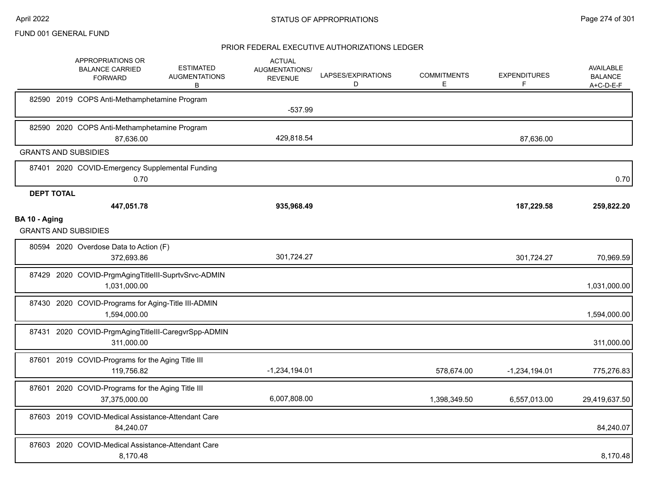|                   | APPROPRIATIONS OR<br><b>BALANCE CARRIED</b><br><b>FORWARD</b>       | <b>ESTIMATED</b><br><b>AUGMENTATIONS</b><br>В | <b>ACTUAL</b><br><b>AUGMENTATIONS/</b><br><b>REVENUE</b> | LAPSES/EXPIRATIONS<br>D | <b>COMMITMENTS</b><br>E | <b>EXPENDITURES</b><br>F | AVAILABLE<br><b>BALANCE</b><br>$A+C-D-E-F$ |
|-------------------|---------------------------------------------------------------------|-----------------------------------------------|----------------------------------------------------------|-------------------------|-------------------------|--------------------------|--------------------------------------------|
|                   | 82590 2019 COPS Anti-Methamphetamine Program                        |                                               | $-537.99$                                                |                         |                         |                          |                                            |
|                   | 82590 2020 COPS Anti-Methamphetamine Program<br>87,636.00           |                                               | 429,818.54                                               |                         |                         | 87,636.00                |                                            |
|                   | <b>GRANTS AND SUBSIDIES</b>                                         |                                               |                                                          |                         |                         |                          |                                            |
|                   | 87401 2020 COVID-Emergency Supplemental Funding<br>0.70             |                                               |                                                          |                         |                         |                          | 0.70                                       |
| <b>DEPT TOTAL</b> |                                                                     |                                               |                                                          |                         |                         |                          |                                            |
|                   | 447,051.78                                                          |                                               | 935,968.49                                               |                         |                         | 187,229.58               | 259,822.20                                 |
| BA 10 - Aging     | <b>GRANTS AND SUBSIDIES</b>                                         |                                               |                                                          |                         |                         |                          |                                            |
|                   | 80594 2020 Overdose Data to Action (F)<br>372.693.86                |                                               | 301,724.27                                               |                         |                         | 301,724.27               | 70,969.59                                  |
|                   | 87429 2020 COVID-PrgmAgingTitleIII-SuprtvSrvc-ADMIN<br>1,031,000.00 |                                               |                                                          |                         |                         |                          | 1,031,000.00                               |
|                   | 87430 2020 COVID-Programs for Aging-Title III-ADMIN<br>1,594,000.00 |                                               |                                                          |                         |                         |                          | 1,594,000.00                               |
|                   | 87431 2020 COVID-PrgmAgingTitleIII-CaregvrSpp-ADMIN<br>311,000.00   |                                               |                                                          |                         |                         |                          | 311,000.00                                 |
|                   | 87601 2019 COVID-Programs for the Aging Title III<br>119,756.82     |                                               | $-1,234,194.01$                                          |                         | 578,674.00              | $-1,234,194.01$          | 775,276.83                                 |
|                   | 87601 2020 COVID-Programs for the Aging Title III<br>37,375,000.00  |                                               | 6,007,808.00                                             |                         | 1,398,349.50            | 6,557,013.00             | 29,419,637.50                              |
|                   | 87603 2019 COVID-Medical Assistance-Attendant Care<br>84,240.07     |                                               |                                                          |                         |                         |                          | 84,240.07                                  |
|                   | 87603 2020 COVID-Medical Assistance-Attendant Care<br>8,170.48      |                                               |                                                          |                         |                         |                          | 8,170.48                                   |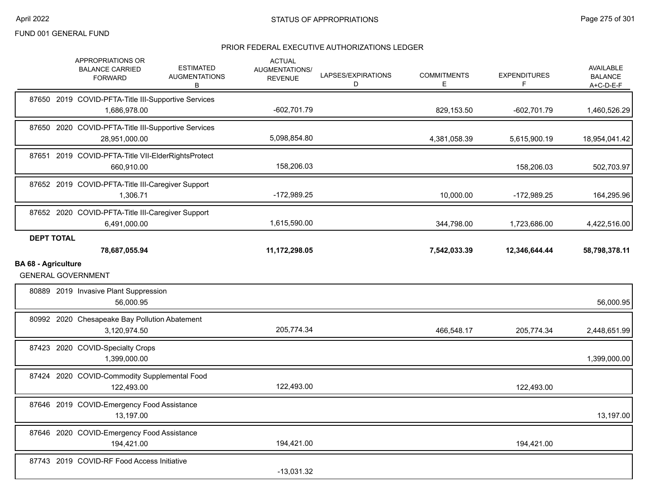|                            |                   | APPROPRIATIONS OR<br><b>BALANCE CARRIED</b><br><b>FORWARD</b>        | <b>ESTIMATED</b><br><b>AUGMENTATIONS</b><br>В | <b>ACTUAL</b><br><b>AUGMENTATIONS/</b><br><b>REVENUE</b> | LAPSES/EXPIRATIONS<br>D | <b>COMMITMENTS</b><br>E | <b>EXPENDITURES</b><br>F | <b>AVAILABLE</b><br><b>BALANCE</b><br>A+C-D-E-F |
|----------------------------|-------------------|----------------------------------------------------------------------|-----------------------------------------------|----------------------------------------------------------|-------------------------|-------------------------|--------------------------|-------------------------------------------------|
|                            |                   | 87650 2019 COVID-PFTA-Title III-Supportive Services<br>1,686,978.00  |                                               | $-602,701.79$                                            |                         | 829,153.50              | $-602,701.79$            | 1,460,526.29                                    |
|                            |                   | 87650 2020 COVID-PFTA-Title III-Supportive Services<br>28,951,000.00 |                                               | 5,098,854.80                                             |                         | 4,381,058.39            | 5,615,900.19             | 18,954,041.42                                   |
|                            |                   | 87651 2019 COVID-PFTA-Title VII-ElderRightsProtect<br>660,910.00     |                                               | 158,206.03                                               |                         |                         | 158,206.03               | 502,703.97                                      |
|                            |                   | 87652 2019 COVID-PFTA-Title III-Caregiver Support<br>1,306.71        |                                               | -172,989.25                                              |                         | 10,000.00               | $-172,989.25$            | 164,295.96                                      |
|                            |                   | 87652 2020 COVID-PFTA-Title III-Caregiver Support<br>6,491,000.00    |                                               | 1,615,590.00                                             |                         | 344,798.00              | 1,723,686.00             | 4,422,516.00                                    |
|                            | <b>DEPT TOTAL</b> | 78,687,055.94                                                        |                                               | 11,172,298.05                                            |                         | 7,542,033.39            | 12,346,644.44            | 58,798,378.11                                   |
| <b>BA 68 - Agriculture</b> |                   |                                                                      |                                               |                                                          |                         |                         |                          |                                                 |
|                            |                   | <b>GENERAL GOVERNMENT</b>                                            |                                               |                                                          |                         |                         |                          |                                                 |
|                            |                   | 80889 2019 Invasive Plant Suppression<br>56,000.95                   |                                               |                                                          |                         |                         |                          | 56,000.95                                       |
|                            |                   | 80992 2020 Chesapeake Bay Pollution Abatement<br>3,120,974.50        |                                               | 205,774.34                                               |                         | 466,548.17              | 205,774.34               | 2,448,651.99                                    |
|                            |                   | 87423 2020 COVID-Specialty Crops<br>1,399,000.00                     |                                               |                                                          |                         |                         |                          | 1,399,000.00                                    |
|                            |                   | 87424 2020 COVID-Commodity Supplemental Food<br>122,493.00           |                                               | 122,493.00                                               |                         |                         | 122,493.00               |                                                 |
|                            |                   | 87646 2019 COVID-Emergency Food Assistance<br>13,197.00              |                                               |                                                          |                         |                         |                          | 13,197.00                                       |
|                            |                   | 87646 2020 COVID-Emergency Food Assistance<br>194,421.00             |                                               | 194,421.00                                               |                         |                         | 194,421.00               |                                                 |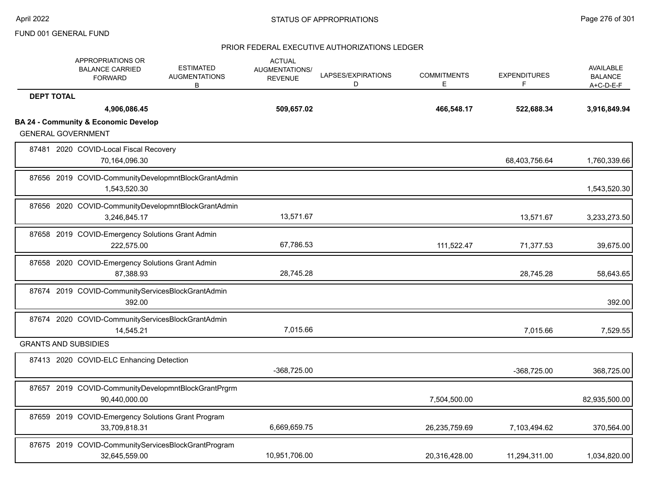|                   | APPROPRIATIONS OR<br><b>BALANCE CARRIED</b><br><b>FORWARD</b>        | <b>ESTIMATED</b><br><b>AUGMENTATIONS</b><br>B | <b>ACTUAL</b><br><b>AUGMENTATIONS/</b><br><b>REVENUE</b> | LAPSES/EXPIRATIONS<br>D | <b>COMMITMENTS</b><br>E. | <b>EXPENDITURES</b><br>F | AVAILABLE<br><b>BALANCE</b><br>A+C-D-E-F |
|-------------------|----------------------------------------------------------------------|-----------------------------------------------|----------------------------------------------------------|-------------------------|--------------------------|--------------------------|------------------------------------------|
| <b>DEPT TOTAL</b> |                                                                      |                                               |                                                          |                         |                          |                          |                                          |
|                   | 4,906,086.45                                                         |                                               | 509,657.02                                               |                         | 466,548.17               | 522,688.34               | 3,916,849.94                             |
|                   | <b>BA 24 - Community &amp; Economic Develop</b>                      |                                               |                                                          |                         |                          |                          |                                          |
|                   | <b>GENERAL GOVERNMENT</b>                                            |                                               |                                                          |                         |                          |                          |                                          |
|                   | 87481 2020 COVID-Local Fiscal Recovery<br>70,164,096.30              |                                               |                                                          |                         |                          | 68,403,756.64            | 1,760,339.66                             |
|                   | 87656 2019 COVID-CommunityDevelopmntBlockGrantAdmin<br>1,543,520.30  |                                               |                                                          |                         |                          |                          | 1,543,520.30                             |
|                   | 87656 2020 COVID-CommunityDevelopmntBlockGrantAdmin<br>3,246,845.17  |                                               | 13,571.67                                                |                         |                          | 13,571.67                | 3,233,273.50                             |
|                   | 87658 2019 COVID-Emergency Solutions Grant Admin<br>222.575.00       |                                               | 67,786.53                                                |                         | 111,522.47               | 71,377.53                | 39,675.00                                |
|                   | 87658 2020 COVID-Emergency Solutions Grant Admin<br>87,388.93        |                                               | 28,745.28                                                |                         |                          | 28,745.28                | 58,643.65                                |
|                   | 87674 2019 COVID-CommunityServicesBlockGrantAdmin<br>392.00          |                                               |                                                          |                         |                          |                          | 392.00                                   |
|                   | 87674 2020 COVID-CommunityServicesBlockGrantAdmin<br>14,545.21       |                                               | 7,015.66                                                 |                         |                          | 7,015.66                 | 7,529.55                                 |
|                   | <b>GRANTS AND SUBSIDIES</b>                                          |                                               |                                                          |                         |                          |                          |                                          |
|                   | 87413 2020 COVID-ELC Enhancing Detection                             |                                               | $-368,725.00$                                            |                         |                          | $-368,725.00$            | 368,725.00                               |
|                   | 87657 2019 COVID-CommunityDevelopmntBlockGrantPrgrm<br>90,440,000.00 |                                               |                                                          |                         | 7,504,500.00             |                          | 82,935,500.00                            |
|                   | 87659 2019 COVID-Emergency Solutions Grant Program<br>33,709,818.31  |                                               | 6,669,659.75                                             |                         | 26,235,759.69            | 7,103,494.62             | 370,564.00                               |
|                   | 87675 2019 COVID-CommunityServicesBlockGrantProgram<br>32,645,559.00 |                                               | 10,951,706.00                                            |                         | 20,316,428.00            | 11,294,311.00            | 1,034,820.00                             |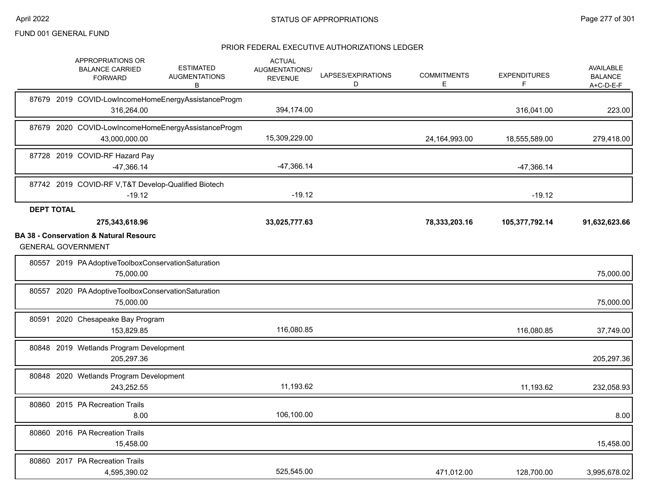|       |                   | APPROPRIATIONS OR<br><b>BALANCE CARRIED</b><br><b>FORWARD</b>                                    | <b>ESTIMATED</b><br><b>AUGMENTATIONS</b><br>В       | <b>ACTUAL</b><br>AUGMENTATIONS/<br><b>REVENUE</b> | LAPSES/EXPIRATIONS<br>D | <b>COMMITMENTS</b><br>Е | <b>EXPENDITURES</b><br>F | <b>AVAILABLE</b><br><b>BALANCE</b><br>A+C-D-E-F |
|-------|-------------------|--------------------------------------------------------------------------------------------------|-----------------------------------------------------|---------------------------------------------------|-------------------------|-------------------------|--------------------------|-------------------------------------------------|
|       |                   | 316,264.00                                                                                       | 87679 2019 COVID-LowIncomeHomeEnergyAssistanceProgm | 394,174.00                                        |                         |                         | 316,041.00               | 223.00                                          |
|       |                   | 43,000,000.00                                                                                    | 87679 2020 COVID-LowIncomeHomeEnergyAssistanceProgm | 15,309,229.00                                     |                         | 24,164,993.00           | 18,555,589.00            | 279,418.00                                      |
|       |                   | 87728 2019 COVID-RF Hazard Pay<br>$-47,366.14$                                                   |                                                     | $-47,366.14$                                      |                         |                         | -47,366.14               |                                                 |
|       |                   | 87742 2019 COVID-RF V, T&T Develop-Qualified Biotech<br>$-19.12$                                 |                                                     | $-19.12$                                          |                         |                         | $-19.12$                 |                                                 |
|       | <b>DEPT TOTAL</b> | 275,343,618.96<br><b>BA 38 - Conservation &amp; Natural Resourc</b><br><b>GENERAL GOVERNMENT</b> |                                                     | 33,025,777.63                                     |                         | 78,333,203.16           | 105,377,792.14           | 91,632,623.66                                   |
|       |                   | 80557 2019 PA Adoptive Toolbox Conservation Saturation<br>75,000.00                              |                                                     |                                                   |                         |                         |                          | 75,000.00                                       |
| 80557 |                   | 2020 PA Adoptive Toolbox Conservation Saturation<br>75,000.00                                    |                                                     |                                                   |                         |                         |                          | 75,000.00                                       |
| 80591 |                   | 2020 Chesapeake Bay Program<br>153,829.85                                                        |                                                     | 116,080.85                                        |                         |                         | 116,080.85               | 37,749.00                                       |
|       |                   | 80848 2019 Wetlands Program Development<br>205,297.36                                            |                                                     |                                                   |                         |                         |                          | 205,297.36                                      |
|       |                   | 80848 2020 Wetlands Program Development<br>243,252.55                                            |                                                     | 11,193.62                                         |                         |                         | 11,193.62                | 232,058.93                                      |
|       |                   | 80860 2015 PA Recreation Trails<br>8.00                                                          |                                                     | 106,100.00                                        |                         |                         |                          | 8.00                                            |
|       |                   | 80860 2016 PA Recreation Trails<br>15,458.00                                                     |                                                     |                                                   |                         |                         |                          | 15,458.00                                       |
|       |                   | 80860 2017 PA Recreation Trails<br>4,595,390.02                                                  |                                                     | 525,545.00                                        |                         | 471,012.00              | 128,700.00               | 3,995,678.02                                    |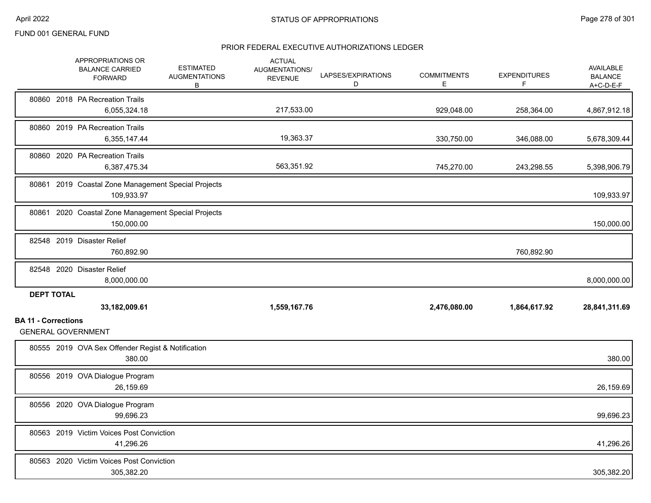|                            | <b>APPROPRIATIONS OR</b><br><b>BALANCE CARRIED</b><br><b>FORWARD</b> | <b>ESTIMATED</b><br><b>AUGMENTATIONS</b><br>В | <b>ACTUAL</b><br><b>AUGMENTATIONS/</b><br><b>REVENUE</b> | LAPSES/EXPIRATIONS<br>D | <b>COMMITMENTS</b><br>E. | <b>EXPENDITURES</b><br>F | AVAILABLE<br><b>BALANCE</b><br>A+C-D-E-F |
|----------------------------|----------------------------------------------------------------------|-----------------------------------------------|----------------------------------------------------------|-------------------------|--------------------------|--------------------------|------------------------------------------|
|                            | 80860 2018 PA Recreation Trails<br>6,055,324.18                      |                                               | 217,533.00                                               |                         | 929,048.00               | 258,364.00               | 4,867,912.18                             |
|                            | 80860 2019 PA Recreation Trails<br>6,355,147.44                      |                                               | 19,363.37                                                |                         | 330,750.00               | 346,088.00               | 5,678,309.44                             |
|                            | 80860 2020 PA Recreation Trails<br>6,387,475.34                      |                                               | 563,351.92                                               |                         | 745,270.00               | 243,298.55               | 5,398,906.79                             |
|                            | 80861 2019 Coastal Zone Management Special Projects<br>109,933.97    |                                               |                                                          |                         |                          |                          | 109,933.97                               |
|                            | 80861 2020 Coastal Zone Management Special Projects<br>150,000.00    |                                               |                                                          |                         |                          |                          | 150,000.00                               |
|                            | 82548 2019 Disaster Relief<br>760,892.90                             |                                               |                                                          |                         |                          | 760,892.90               |                                          |
|                            | 82548 2020 Disaster Relief<br>8,000,000.00                           |                                               |                                                          |                         |                          |                          | 8,000,000.00                             |
| <b>DEPT TOTAL</b>          | 33,182,009.61                                                        |                                               | 1,559,167.76                                             |                         | 2,476,080.00             | 1,864,617.92             | 28,841,311.69                            |
| <b>BA 11 - Corrections</b> | <b>GENERAL GOVERNMENT</b>                                            |                                               |                                                          |                         |                          |                          |                                          |
|                            | 80555 2019 OVA Sex Offender Regist & Notification<br>380.00          |                                               |                                                          |                         |                          |                          | 380.00                                   |
|                            | 80556 2019 OVA Dialogue Program<br>26,159.69                         |                                               |                                                          |                         |                          |                          | 26,159.69                                |
|                            | 80556 2020 OVA Dialogue Program<br>99,696.23                         |                                               |                                                          |                         |                          |                          | 99,696.23                                |
|                            | 80563 2019 Victim Voices Post Conviction<br>41,296.26                |                                               |                                                          |                         |                          |                          | 41,296.26                                |
|                            | 80563 2020 Victim Voices Post Conviction<br>305,382.20               |                                               |                                                          |                         |                          |                          | 305,382.20                               |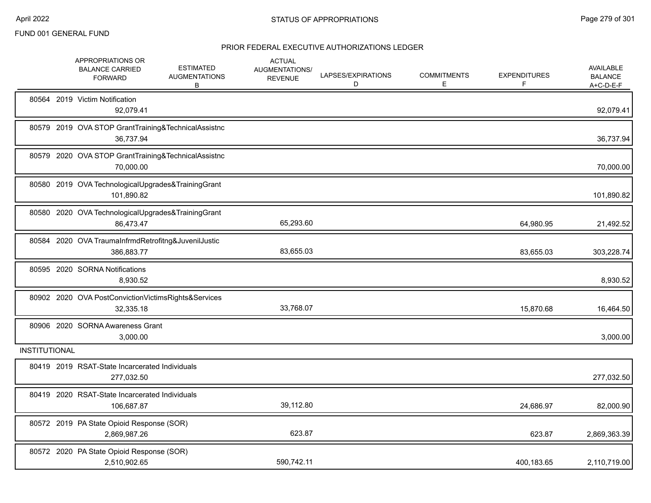|                      | APPROPRIATIONS OR<br><b>BALANCE CARRIED</b><br><b>FORWARD</b>     | <b>ESTIMATED</b><br><b>AUGMENTATIONS</b><br>В       | <b>ACTUAL</b><br>AUGMENTATIONS/<br><b>REVENUE</b> | LAPSES/EXPIRATIONS<br>D | <b>COMMITMENTS</b><br>Е | <b>EXPENDITURES</b><br>F | <b>AVAILABLE</b><br><b>BALANCE</b><br>$A+C-D-E-F$ |
|----------------------|-------------------------------------------------------------------|-----------------------------------------------------|---------------------------------------------------|-------------------------|-------------------------|--------------------------|---------------------------------------------------|
|                      | 80564 2019 Victim Notification<br>92,079.41                       |                                                     |                                                   |                         |                         |                          | 92,079.41                                         |
|                      | 36,737.94                                                         | 80579 2019 OVA STOP GrantTraining&TechnicalAssistnc |                                                   |                         |                         |                          | 36,737.94                                         |
|                      | 70,000.00                                                         | 80579 2020 OVA STOP GrantTraining&TechnicalAssistnc |                                                   |                         |                         |                          | 70,000.00                                         |
|                      | 101,890.82                                                        | 80580 2019 OVA TechnologicalUpgrades&TrainingGrant  |                                                   |                         |                         |                          | 101,890.82                                        |
|                      | 86,473.47                                                         | 80580 2020 OVA TechnologicalUpgrades&TrainingGrant  | 65,293.60                                         |                         |                         | 64,980.95                | 21,492.52                                         |
|                      | 80584 2020 OVA TraumaInfrmdRetrofitng&JuvenilJustic<br>386,883.77 |                                                     | 83,655.03                                         |                         |                         | 83,655.03                | 303,228.74                                        |
|                      | 80595 2020 SORNA Notifications<br>8,930.52                        |                                                     |                                                   |                         |                         |                          | 8,930.52                                          |
|                      | 32,335.18                                                         | 80902 2020 OVA PostConvictionVictimsRights&Services | 33,768.07                                         |                         |                         | 15,870.68                | 16,464.50                                         |
|                      | 80906 2020 SORNA Awareness Grant<br>3,000.00                      |                                                     |                                                   |                         |                         |                          | 3,000.00                                          |
| <b>INSTITUTIONAL</b> |                                                                   |                                                     |                                                   |                         |                         |                          |                                                   |
|                      | 80419 2019 RSAT-State Incarcerated Individuals<br>277,032.50      |                                                     |                                                   |                         |                         |                          | 277,032.50                                        |
|                      | 80419 2020 RSAT-State Incarcerated Individuals<br>106,687.87      |                                                     | 39,112.80                                         |                         |                         | 24,686.97                | 82,000.90                                         |
|                      | 80572 2019 PA State Opioid Response (SOR)<br>2,869,987.26         |                                                     | 623.87                                            |                         |                         | 623.87                   | 2,869,363.39                                      |
|                      | 80572 2020 PA State Opioid Response (SOR)<br>2,510,902.65         |                                                     | 590,742.11                                        |                         |                         | 400,183.65               | 2,110,719.00                                      |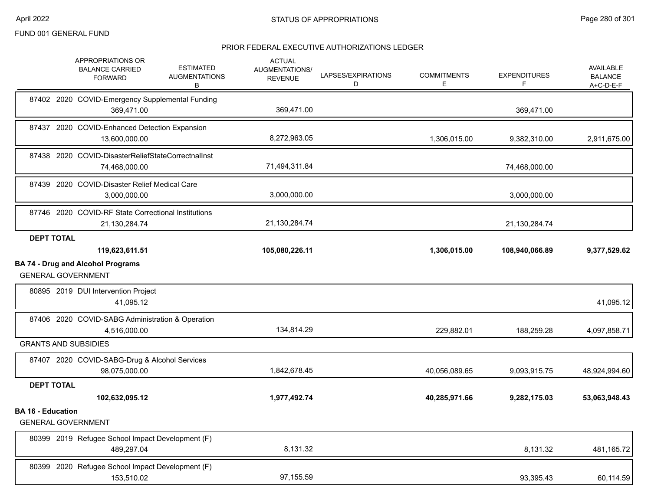|                          | APPROPRIATIONS OR<br><b>BALANCE CARRIED</b><br><b>FORWARD</b>         | <b>ESTIMATED</b><br><b>AUGMENTATIONS</b><br>В | <b>ACTUAL</b><br><b>AUGMENTATIONS/</b><br><b>REVENUE</b> | LAPSES/EXPIRATIONS<br>D | <b>COMMITMENTS</b><br>Е | <b>EXPENDITURES</b><br>F | AVAILABLE<br><b>BALANCE</b><br>$A+C-D-E-F$ |
|--------------------------|-----------------------------------------------------------------------|-----------------------------------------------|----------------------------------------------------------|-------------------------|-------------------------|--------------------------|--------------------------------------------|
|                          | 87402 2020 COVID-Emergency Supplemental Funding<br>369,471.00         |                                               | 369,471.00                                               |                         |                         | 369,471.00               |                                            |
|                          | 87437 2020 COVID-Enhanced Detection Expansion<br>13,600,000.00        |                                               | 8,272,963.05                                             |                         | 1,306,015.00            | 9,382,310.00             | 2,911,675.00                               |
|                          | 87438 2020 COVID-DisasterReliefStateCorrectnalInst<br>74,468,000.00   |                                               | 71,494,311.84                                            |                         |                         | 74,468,000.00            |                                            |
|                          | 87439 2020 COVID-Disaster Relief Medical Care<br>3,000,000.00         |                                               | 3,000,000.00                                             |                         |                         | 3,000,000.00             |                                            |
|                          | 87746 2020 COVID-RF State Correctional Institutions<br>21,130,284.74  |                                               | 21,130,284.74                                            |                         |                         | 21,130,284.74            |                                            |
| <b>DEPT TOTAL</b>        | 119,623,611.51                                                        |                                               | 105,080,226.11                                           |                         | 1,306,015.00            | 108,940,066.89           | 9,377,529.62                               |
|                          | <b>BA 74 - Drug and Alcohol Programs</b><br><b>GENERAL GOVERNMENT</b> |                                               |                                                          |                         |                         |                          |                                            |
|                          | 80895 2019 DUI Intervention Project<br>41,095.12                      |                                               |                                                          |                         |                         |                          | 41,095.12                                  |
|                          | 87406 2020 COVID-SABG Administration & Operation<br>4,516,000.00      |                                               | 134,814.29                                               |                         | 229,882.01              | 188,259.28               | 4,097,858.71                               |
|                          | <b>GRANTS AND SUBSIDIES</b>                                           |                                               |                                                          |                         |                         |                          |                                            |
|                          | 87407 2020 COVID-SABG-Drug & Alcohol Services<br>98,075,000.00        |                                               | 1,842,678.45                                             |                         | 40,056,089.65           | 9,093,915.75             | 48,924,994.60                              |
| <b>DEPT TOTAL</b>        | 102,632,095.12                                                        |                                               | 1,977,492.74                                             |                         | 40,285,971.66           | 9,282,175.03             | 53,063,948.43                              |
| <b>BA 16 - Education</b> | <b>GENERAL GOVERNMENT</b>                                             |                                               |                                                          |                         |                         |                          |                                            |
|                          | 80399 2019 Refugee School Impact Development (F)<br>489,297.04        |                                               | 8,131.32                                                 |                         |                         | 8,131.32                 | 481,165.72                                 |
|                          | 80399 2020 Refugee School Impact Development (F)<br>153,510.02        |                                               | 97,155.59                                                |                         |                         | 93,395.43                | 60,114.59                                  |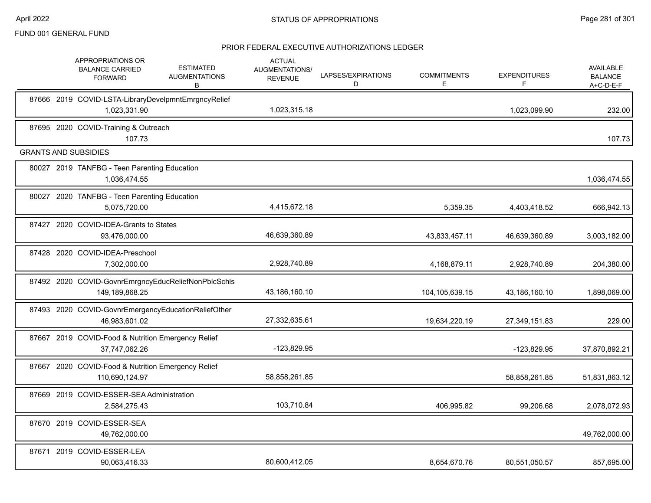|       | <b>APPROPRIATIONS OR</b><br><b>BALANCE CARRIED</b><br><b>FORWARD</b>  | <b>ESTIMATED</b><br><b>AUGMENTATIONS</b><br>В | <b>ACTUAL</b><br>AUGMENTATIONS/<br><b>REVENUE</b> | LAPSES/EXPIRATIONS<br>D | <b>COMMITMENTS</b><br>E. | <b>EXPENDITURES</b><br>F | <b>AVAILABLE</b><br><b>BALANCE</b><br>$A+C-D-E-F$ |
|-------|-----------------------------------------------------------------------|-----------------------------------------------|---------------------------------------------------|-------------------------|--------------------------|--------------------------|---------------------------------------------------|
|       | 87666 2019 COVID-LSTA-LibraryDevelpmntEmrgncyRelief<br>1,023,331.90   |                                               | 1,023,315.18                                      |                         |                          | 1,023,099.90             | 232.00                                            |
|       | 87695 2020 COVID-Training & Outreach<br>107.73                        |                                               |                                                   |                         |                          |                          | 107.73                                            |
|       | <b>GRANTS AND SUBSIDIES</b>                                           |                                               |                                                   |                         |                          |                          |                                                   |
|       | 80027 2019 TANFBG - Teen Parenting Education<br>1,036,474.55          |                                               |                                                   |                         |                          |                          | 1,036,474.55                                      |
|       | 80027 2020 TANFBG - Teen Parenting Education<br>5,075,720.00          |                                               | 4,415,672.18                                      |                         | 5,359.35                 | 4,403,418.52             | 666,942.13                                        |
| 87427 | 2020 COVID-IDEA-Grants to States<br>93,476,000.00                     |                                               | 46,639,360.89                                     |                         | 43,833,457.11            | 46,639,360.89            | 3,003,182.00                                      |
|       | 87428 2020 COVID-IDEA-Preschool<br>7,302,000.00                       |                                               | 2,928,740.89                                      |                         | 4,168,879.11             | 2,928,740.89             | 204,380.00                                        |
|       | 87492 2020 COVID-GovnrEmrgncyEducReliefNonPblcSchls<br>149,189,868.25 |                                               | 43,186,160.10                                     |                         | 104,105,639.15           | 43,186,160.10            | 1,898,069.00                                      |
|       | 87493 2020 COVID-GovnrEmergencyEducationReliefOther<br>46,983,601.02  |                                               | 27,332,635.61                                     |                         | 19,634,220.19            | 27,349,151.83            | 229.00                                            |
|       | 87667 2019 COVID-Food & Nutrition Emergency Relief<br>37,747,062.26   |                                               | -123,829.95                                       |                         |                          | -123,829.95              | 37,870,892.21                                     |
|       | 87667 2020 COVID-Food & Nutrition Emergency Relief<br>110,690,124.97  |                                               | 58,858,261.85                                     |                         |                          | 58,858,261.85            | 51,831,863.12                                     |
|       | 87669 2019 COVID-ESSER-SEA Administration<br>2,584,275.43             |                                               | 103,710.84                                        |                         | 406,995.82               | 99,206.68                | 2,078,072.93                                      |
|       | 87670 2019 COVID-ESSER-SEA<br>49,762,000.00                           |                                               |                                                   |                         |                          |                          | 49,762,000.00                                     |
|       | 87671 2019 COVID-ESSER-LEA<br>90,063,416.33                           |                                               | 80,600,412.05                                     |                         | 8.654.670.76             | 80,551,050.57            | 857,695.00                                        |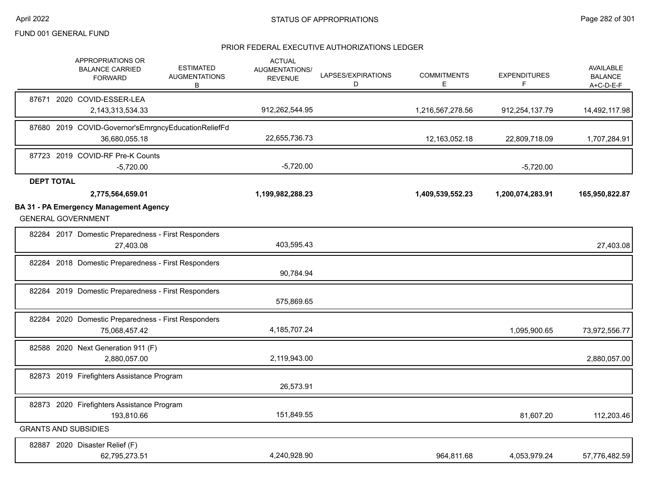|                   | APPROPRIATIONS OR<br><b>BALANCE CARRIED</b><br><b>FORWARD</b>              | <b>ESTIMATED</b><br><b>AUGMENTATIONS</b><br>В | <b>ACTUAL</b><br>AUGMENTATIONS/<br><b>REVENUE</b> | LAPSES/EXPIRATIONS<br>D | <b>COMMITMENTS</b><br>Е | <b>EXPENDITURES</b><br>F | <b>AVAILABLE</b><br><b>BALANCE</b><br>$A+C-D-E-F$ |
|-------------------|----------------------------------------------------------------------------|-----------------------------------------------|---------------------------------------------------|-------------------------|-------------------------|--------------------------|---------------------------------------------------|
|                   | 87671 2020 COVID-ESSER-LEA<br>2,143,313,534.33                             |                                               | 912,262,544.95                                    |                         | 1,216,567,278.56        | 912,254,137.79           | 14,492,117.98                                     |
|                   | 87680 2019 COVID-Governor's Emrgncy Education ReliefFd<br>36,680,055.18    |                                               | 22,655,736.73                                     |                         | 12,163,052.18           | 22,809,718.09            | 1,707,284.91                                      |
|                   | 87723 2019 COVID-RF Pre-K Counts<br>$-5,720.00$                            |                                               | $-5,720.00$                                       |                         |                         | $-5,720.00$              |                                                   |
| <b>DEPT TOTAL</b> | 2,775,564,659.01                                                           |                                               | 1,199,982,288.23                                  |                         | 1,409,539,552.23        | 1,200,074,283.91         | 165,950,822.87                                    |
|                   | <b>BA 31 - PA Emergency Management Agency</b><br><b>GENERAL GOVERNMENT</b> |                                               |                                                   |                         |                         |                          |                                                   |
|                   | 82284 2017 Domestic Preparedness - First Responders<br>27,403.08           |                                               | 403,595.43                                        |                         |                         |                          | 27,403.08                                         |
|                   | 82284 2018 Domestic Preparedness - First Responders                        |                                               | 90,784.94                                         |                         |                         |                          |                                                   |
|                   | 82284 2019 Domestic Preparedness - First Responders                        |                                               | 575,869.65                                        |                         |                         |                          |                                                   |
|                   | 82284 2020 Domestic Preparedness - First Responders<br>75,068,457.42       |                                               | 4,185,707.24                                      |                         |                         | 1,095,900.65             | 73,972,556.77                                     |
|                   | 82588 2020 Next Generation 911 (F)<br>2,880,057.00                         |                                               | 2,119,943.00                                      |                         |                         |                          | 2,880,057.00                                      |
|                   | 82873 2019 Firefighters Assistance Program                                 |                                               | 26,573.91                                         |                         |                         |                          |                                                   |
|                   | 82873 2020 Firefighters Assistance Program<br>193,810.66                   |                                               | 151,849.55                                        |                         |                         | 81,607.20                | 112,203.46                                        |
|                   | <b>GRANTS AND SUBSIDIES</b>                                                |                                               |                                                   |                         |                         |                          |                                                   |
|                   | 82887 2020 Disaster Relief (F)<br>62,795,273.51                            |                                               | 4,240,928.90                                      |                         | 964.811.68              | 4,053,979.24             | 57,776,482.59                                     |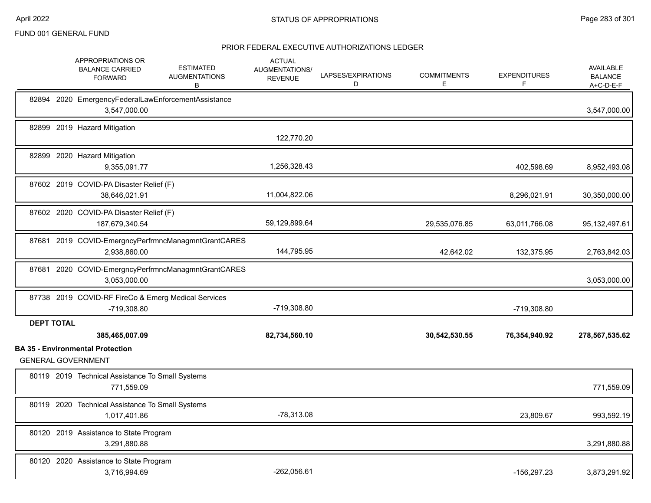|                   | APPROPRIATIONS OR<br><b>BALANCE CARRIED</b><br><b>FORWARD</b>        | <b>ESTIMATED</b><br><b>AUGMENTATIONS</b><br>В       | <b>ACTUAL</b><br>AUGMENTATIONS/<br><b>REVENUE</b> | LAPSES/EXPIRATIONS<br>D | <b>COMMITMENTS</b><br>Е. | <b>EXPENDITURES</b><br>F | <b>AVAILABLE</b><br><b>BALANCE</b><br>$A+C-D-E-F$ |
|-------------------|----------------------------------------------------------------------|-----------------------------------------------------|---------------------------------------------------|-------------------------|--------------------------|--------------------------|---------------------------------------------------|
|                   | 82894 2020 EmergencyFederalLawEnforcementAssistance<br>3,547,000.00  |                                                     |                                                   |                         |                          |                          | 3,547,000.00                                      |
|                   | 82899 2019 Hazard Mitigation                                         |                                                     | 122,770.20                                        |                         |                          |                          |                                                   |
|                   | 82899 2020 Hazard Mitigation<br>9,355,091.77                         |                                                     | 1,256,328.43                                      |                         |                          | 402,598.69               | 8,952,493.08                                      |
|                   | 87602 2019 COVID-PA Disaster Relief (F)<br>38,646,021.91             |                                                     | 11,004,822.06                                     |                         |                          | 8,296,021.91             | 30,350,000.00                                     |
|                   | 87602 2020 COVID-PA Disaster Relief (F)<br>187,679,340.54            |                                                     | 59,129,899.64                                     |                         | 29,535,076.85            | 63,011,766.08            | 95, 132, 497.61                                   |
|                   | 2.938.860.00                                                         | 87681 2019 COVID-EmergncyPerfrmncManagmntGrantCARES | 144,795.95                                        |                         | 42,642.02                | 132,375.95               | 2,763,842.03                                      |
|                   | 3,053,000.00                                                         | 87681 2020 COVID-EmergncyPerfrmncManagmntGrantCARES |                                                   |                         |                          |                          | 3,053,000.00                                      |
|                   | 87738 2019 COVID-RF FireCo & Emerg Medical Services<br>-719,308.80   |                                                     | -719,308.80                                       |                         |                          | -719,308.80              |                                                   |
| <b>DEPT TOTAL</b> | 385,465,007.09                                                       |                                                     | 82,734,560.10                                     |                         | 30,542,530.55            | 76,354,940.92            | 278,567,535.62                                    |
|                   | <b>BA 35 - Environmental Protection</b><br><b>GENERAL GOVERNMENT</b> |                                                     |                                                   |                         |                          |                          |                                                   |
|                   | 80119 2019 Technical Assistance To Small Systems<br>771,559.09       |                                                     |                                                   |                         |                          |                          | 771,559.09                                        |
|                   | 80119 2020 Technical Assistance To Small Systems<br>1,017,401.86     |                                                     | $-78,313.08$                                      |                         |                          | 23,809.67                | 993,592.19                                        |
|                   | 80120 2019 Assistance to State Program<br>3,291,880.88               |                                                     |                                                   |                         |                          |                          | 3,291,880.88                                      |
|                   | 80120 2020 Assistance to State Program<br>3,716,994.69               |                                                     | $-262,056.61$                                     |                         |                          | -156,297.23              | 3,873,291.92                                      |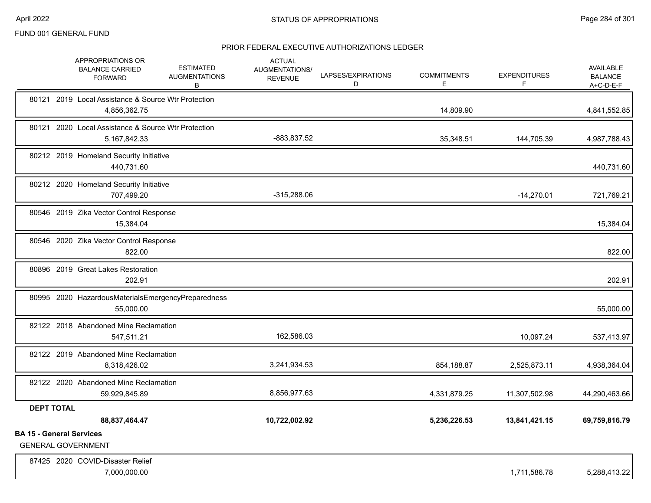|                                 | APPROPRIATIONS OR<br><b>BALANCE CARRIED</b><br><b>FORWARD</b>          | <b>ESTIMATED</b><br><b>AUGMENTATIONS</b><br>В | <b>ACTUAL</b><br>AUGMENTATIONS/<br><b>REVENUE</b> | LAPSES/EXPIRATIONS<br>D | <b>COMMITMENTS</b><br>Е | <b>EXPENDITURES</b><br>F | AVAILABLE<br><b>BALANCE</b><br>$A+C-D-E-F$ |
|---------------------------------|------------------------------------------------------------------------|-----------------------------------------------|---------------------------------------------------|-------------------------|-------------------------|--------------------------|--------------------------------------------|
|                                 | 80121 2019 Local Assistance & Source Wtr Protection<br>4,856,362.75    |                                               |                                                   |                         | 14,809.90               |                          | 4,841,552.85                               |
|                                 | 80121 2020 Local Assistance & Source Wtr Protection<br>5, 167, 842. 33 |                                               | -883,837.52                                       |                         | 35,348.51               | 144,705.39               | 4,987,788.43                               |
|                                 | 80212 2019 Homeland Security Initiative<br>440,731.60                  |                                               |                                                   |                         |                         |                          | 440,731.60                                 |
|                                 | 80212 2020 Homeland Security Initiative<br>707,499.20                  |                                               | $-315,288.06$                                     |                         |                         | $-14,270.01$             | 721,769.21                                 |
|                                 | 80546 2019 Zika Vector Control Response<br>15,384.04                   |                                               |                                                   |                         |                         |                          | 15,384.04                                  |
|                                 | 80546 2020 Zika Vector Control Response<br>822.00                      |                                               |                                                   |                         |                         |                          | 822.00                                     |
|                                 | 80896 2019 Great Lakes Restoration<br>202.91                           |                                               |                                                   |                         |                         |                          | 202.91                                     |
|                                 | 80995 2020 HazardousMaterialsEmergencyPreparedness<br>55,000.00        |                                               |                                                   |                         |                         |                          | 55,000.00                                  |
|                                 | 82122 2018 Abandoned Mine Reclamation<br>547,511.21                    |                                               | 162,586.03                                        |                         |                         | 10,097.24                | 537,413.97                                 |
|                                 | 82122 2019 Abandoned Mine Reclamation<br>8,318,426.02                  |                                               | 3,241,934.53                                      |                         | 854,188.87              | 2,525,873.11             | 4,938,364.04                               |
|                                 | 82122 2020 Abandoned Mine Reclamation<br>59,929,845.89                 |                                               | 8,856,977.63                                      |                         | 4,331,879.25            | 11,307,502.98            | 44,290,463.66                              |
| <b>DEPT TOTAL</b>               | 88,837,464.47                                                          |                                               | 10,722,002.92                                     |                         | 5,236,226.53            | 13,841,421.15            | 69,759,816.79                              |
| <b>BA 15 - General Services</b> | <b>GENERAL GOVERNMENT</b>                                              |                                               |                                                   |                         |                         |                          |                                            |
|                                 | 87425 2020 COVID-Disaster Relief<br>7,000,000.00                       |                                               |                                                   |                         |                         | 1,711,586.78             | 5,288,413.22                               |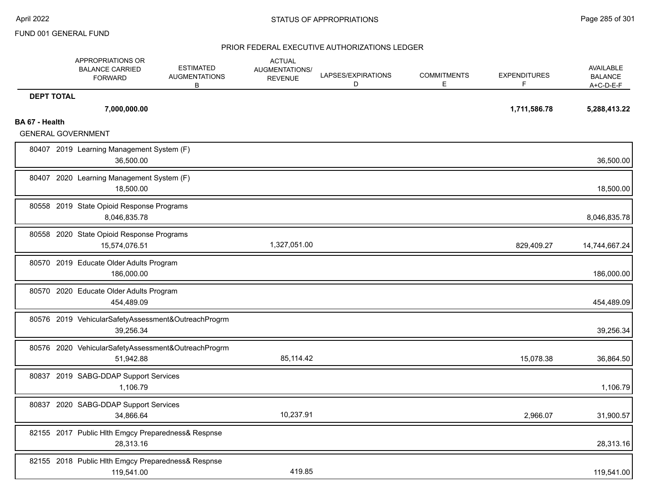|                   | APPROPRIATIONS OR<br><b>BALANCE CARRIED</b><br><b>FORWARD</b>    | <b>ESTIMATED</b><br><b>AUGMENTATIONS</b><br>B | <b>ACTUAL</b><br>AUGMENTATIONS/<br><b>REVENUE</b> | LAPSES/EXPIRATIONS<br>D | <b>COMMITMENTS</b><br>E | <b>EXPENDITURES</b><br>F | AVAILABLE<br><b>BALANCE</b><br>$A+C-D-E-F$ |
|-------------------|------------------------------------------------------------------|-----------------------------------------------|---------------------------------------------------|-------------------------|-------------------------|--------------------------|--------------------------------------------|
| <b>DEPT TOTAL</b> | 7,000,000.00                                                     |                                               |                                                   |                         |                         | 1,711,586.78             | 5,288,413.22                               |
| BA 67 - Health    | <b>GENERAL GOVERNMENT</b>                                        |                                               |                                                   |                         |                         |                          |                                            |
|                   | 80407 2019 Learning Management System (F)<br>36,500.00           |                                               |                                                   |                         |                         |                          | 36,500.00                                  |
|                   | 80407 2020 Learning Management System (F)<br>18,500.00           |                                               |                                                   |                         |                         |                          | 18,500.00                                  |
|                   | 80558 2019 State Opioid Response Programs<br>8,046,835.78        |                                               |                                                   |                         |                         |                          | 8,046,835.78                               |
|                   | 80558 2020 State Opioid Response Programs<br>15,574,076.51       |                                               | 1,327,051.00                                      |                         |                         | 829,409.27               | 14,744,667.24                              |
|                   | 80570 2019 Educate Older Adults Program<br>186,000.00            |                                               |                                                   |                         |                         |                          | 186,000.00                                 |
|                   | 80570 2020 Educate Older Adults Program<br>454,489.09            |                                               |                                                   |                         |                         |                          | 454,489.09                                 |
|                   | 80576 2019 VehicularSafetyAssessment&OutreachProgrm<br>39,256.34 |                                               |                                                   |                         |                         |                          | 39,256.34                                  |
|                   | 80576 2020 VehicularSafetyAssessment&OutreachProgrm<br>51,942.88 |                                               | 85,114.42                                         |                         |                         | 15,078.38                | 36,864.50                                  |
|                   | 80837 2019 SABG-DDAP Support Services<br>1,106.79                |                                               |                                                   |                         |                         |                          | 1,106.79                                   |
|                   | 80837 2020 SABG-DDAP Support Services<br>34,866.64               |                                               | 10,237.91                                         |                         |                         | 2,966.07                 | 31,900.57                                  |
|                   | 82155 2017 Public Hlth Emgcy Preparedness& Respnse<br>28,313.16  |                                               |                                                   |                         |                         |                          | 28,313.16                                  |
|                   | 82155 2018 Public Hlth Emgcy Preparedness& Respnse<br>119,541.00 |                                               | 419.85                                            |                         |                         |                          | 119,541.00                                 |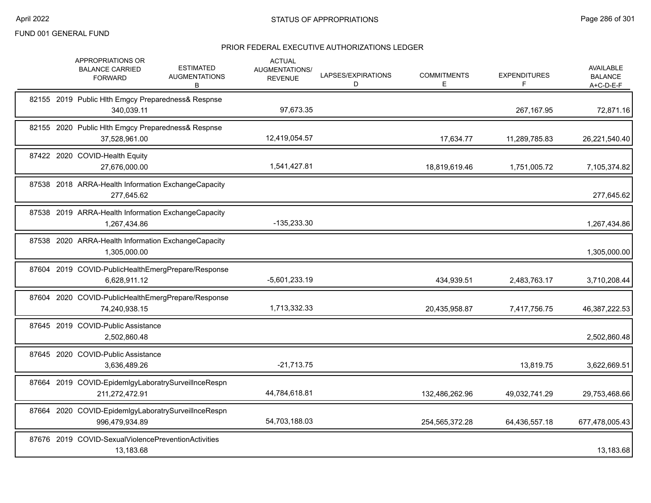|  | APPROPRIATIONS OR<br><b>BALANCE CARRIED</b><br><b>FORWARD</b>         | <b>ESTIMATED</b><br><b>AUGMENTATIONS</b><br>В | <b>ACTUAL</b><br><b>AUGMENTATIONS/</b><br><b>REVENUE</b> | LAPSES/EXPIRATIONS<br>D | <b>COMMITMENTS</b><br>E. | <b>EXPENDITURES</b><br>F | <b>AVAILABLE</b><br><b>BALANCE</b><br>A+C-D-E-F |
|--|-----------------------------------------------------------------------|-----------------------------------------------|----------------------------------------------------------|-------------------------|--------------------------|--------------------------|-------------------------------------------------|
|  | 82155 2019 Public Hlth Emgcy Preparedness& Respnse<br>340,039.11      |                                               | 97,673.35                                                |                         |                          | 267,167.95               | 72,871.16                                       |
|  | 82155 2020 Public Hlth Emgcy Preparedness& Respnse<br>37,528,961.00   |                                               | 12,419,054.57                                            |                         | 17,634.77                | 11,289,785.83            | 26,221,540.40                                   |
|  | 87422 2020 COVID-Health Equity<br>27.676.000.00                       |                                               | 1,541,427.81                                             |                         | 18,819,619.46            | 1,751,005.72             | 7,105,374.82                                    |
|  | 87538 2018 ARRA-Health Information ExchangeCapacity<br>277,645.62     |                                               |                                                          |                         |                          |                          | 277,645.62                                      |
|  | 87538 2019 ARRA-Health Information ExchangeCapacity<br>1,267,434.86   |                                               | -135,233.30                                              |                         |                          |                          | 1,267,434.86                                    |
|  | 87538 2020 ARRA-Health Information ExchangeCapacity<br>1,305,000.00   |                                               |                                                          |                         |                          |                          | 1,305,000.00                                    |
|  | 87604 2019 COVID-PublicHealthEmergPrepare/Response<br>6,628,911.12    |                                               | $-5,601,233.19$                                          |                         | 434,939.51               | 2,483,763.17             | 3,710,208.44                                    |
|  | 87604 2020 COVID-PublicHealthEmergPrepare/Response<br>74,240,938.15   |                                               | 1,713,332.33                                             |                         | 20,435,958.87            | 7,417,756.75             | 46,387,222.53                                   |
|  | 87645 2019 COVID-Public Assistance<br>2,502,860.48                    |                                               |                                                          |                         |                          |                          | 2,502,860.48                                    |
|  | 87645 2020 COVID-Public Assistance<br>3,636,489.26                    |                                               | $-21,713.75$                                             |                         |                          | 13,819.75                | 3,622,669.51                                    |
|  | 87664 2019 COVID-EpidemIgyLaboratrySurveilInceRespn<br>211,272,472.91 |                                               | 44,784,618.81                                            |                         | 132,486,262.96           | 49,032,741.29            | 29,753,468.66                                   |
|  | 87664 2020 COVID-EpidemIgyLaboratrySurveilInceRespn<br>996,479,934.89 |                                               | 54,703,188.03                                            |                         | 254,565,372.28           | 64,436,557.18            | 677,478,005.43                                  |
|  | 87676 2019 COVID-SexualViolencePreventionActivities<br>13,183.68      |                                               |                                                          |                         |                          |                          | 13,183.68                                       |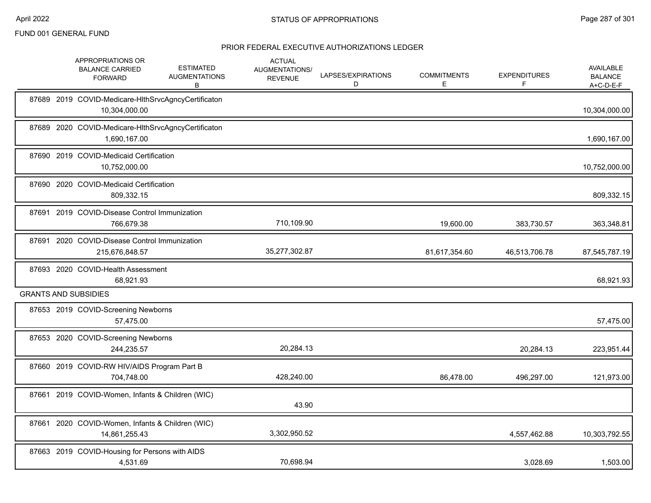|  | APPROPRIATIONS OR<br><b>BALANCE CARRIED</b><br><b>FORWARD</b>        | <b>ESTIMATED</b><br><b>AUGMENTATIONS</b><br>В | <b>ACTUAL</b><br>AUGMENTATIONS/<br><b>REVENUE</b> | LAPSES/EXPIRATIONS<br>D | <b>COMMITMENTS</b><br>E | <b>EXPENDITURES</b> | <b>AVAILABLE</b><br><b>BALANCE</b><br>$A+C-D-E-F$ |
|--|----------------------------------------------------------------------|-----------------------------------------------|---------------------------------------------------|-------------------------|-------------------------|---------------------|---------------------------------------------------|
|  | 87689 2019 COVID-Medicare-HIthSrvcAgncyCertificaton<br>10,304,000.00 |                                               |                                                   |                         |                         |                     | 10,304,000.00                                     |
|  | 87689 2020 COVID-Medicare-HIthSrvcAgncyCertificaton<br>1,690,167.00  |                                               |                                                   |                         |                         |                     | 1,690,167.00                                      |
|  | 87690 2019 COVID-Medicaid Certification<br>10,752,000.00             |                                               |                                                   |                         |                         |                     | 10,752,000.00                                     |
|  | 87690 2020 COVID-Medicaid Certification<br>809,332.15                |                                               |                                                   |                         |                         |                     | 809,332.15                                        |
|  | 87691 2019 COVID-Disease Control Immunization<br>766,679.38          |                                               | 710,109.90                                        |                         | 19,600.00               | 383,730.57          | 363,348.81                                        |
|  | 87691 2020 COVID-Disease Control Immunization<br>215,676,848.57      |                                               | 35,277,302.87                                     |                         | 81,617,354.60           | 46,513,706.78       | 87,545,787.19                                     |
|  | 87693 2020 COVID-Health Assessment<br>68,921.93                      |                                               |                                                   |                         |                         |                     | 68,921.93                                         |
|  | <b>GRANTS AND SUBSIDIES</b>                                          |                                               |                                                   |                         |                         |                     |                                                   |
|  | 87653 2019 COVID-Screening Newborns<br>57,475.00                     |                                               |                                                   |                         |                         |                     | 57,475.00                                         |
|  | 87653 2020 COVID-Screening Newborns<br>244,235.57                    |                                               | 20,284.13                                         |                         |                         | 20,284.13           | 223,951.44                                        |
|  | 87660 2019 COVID-RW HIV/AIDS Program Part B<br>704,748.00            |                                               | 428,240.00                                        |                         | 86,478.00               | 496,297.00          | 121,973.00                                        |
|  | 87661 2019 COVID-Women, Infants & Children (WIC)                     |                                               | 43.90                                             |                         |                         |                     |                                                   |
|  | 87661 2020 COVID-Women, Infants & Children (WIC)<br>14,861,255.43    |                                               | 3,302,950.52                                      |                         |                         | 4,557,462.88        | 10,303,792.55                                     |
|  | 87663 2019 COVID-Housing for Persons with AIDS<br>4,531.69           |                                               | 70,698.94                                         |                         |                         | 3,028.69            | 1,503.00                                          |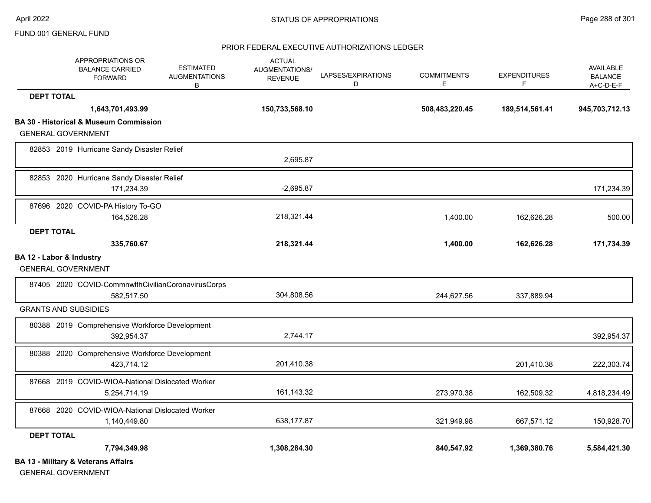#### PRIOR FEDERAL EXECUTIVE AUTHORIZATIONS LEDGER

|                          | APPROPRIATIONS OR<br><b>BALANCE CARRIED</b><br><b>FORWARD</b> | <b>ESTIMATED</b><br><b>AUGMENTATIONS</b><br>B | <b>ACTUAL</b><br><b>AUGMENTATIONS/</b><br><b>REVENUE</b> | LAPSES/EXPIRATIONS<br>D | <b>COMMITMENTS</b><br>E | <b>EXPENDITURES</b><br>F | <b>AVAILABLE</b><br><b>BALANCE</b><br>$A+C-D-E-F$ |
|--------------------------|---------------------------------------------------------------|-----------------------------------------------|----------------------------------------------------------|-------------------------|-------------------------|--------------------------|---------------------------------------------------|
| <b>DEPT TOTAL</b>        |                                                               |                                               |                                                          |                         |                         |                          |                                                   |
|                          | 1,643,701,493.99                                              |                                               | 150,733,568.10                                           |                         | 508,483,220.45          | 189,514,561.41           | 945,703,712.13                                    |
|                          | <b>BA 30 - Historical &amp; Museum Commission</b>             |                                               |                                                          |                         |                         |                          |                                                   |
|                          | <b>GENERAL GOVERNMENT</b>                                     |                                               |                                                          |                         |                         |                          |                                                   |
|                          | 82853 2019 Hurricane Sandy Disaster Relief                    |                                               | 2,695.87                                                 |                         |                         |                          |                                                   |
|                          | 82853 2020 Hurricane Sandy Disaster Relief                    |                                               |                                                          |                         |                         |                          |                                                   |
|                          | 171,234.39                                                    |                                               | $-2,695.87$                                              |                         |                         |                          | 171,234.39                                        |
|                          | 87696 2020 COVID-PA History To-GO                             |                                               |                                                          |                         |                         |                          |                                                   |
|                          | 164,526.28                                                    |                                               | 218,321.44                                               |                         | 1,400.00                | 162,626.28               | 500.00                                            |
| <b>DEPT TOTAL</b>        |                                                               |                                               |                                                          |                         |                         |                          |                                                   |
|                          | 335,760.67                                                    |                                               | 218,321.44                                               |                         | 1,400.00                | 162,626.28               | 171,734.39                                        |
| BA 12 - Labor & Industry | <b>GENERAL GOVERNMENT</b>                                     |                                               |                                                          |                         |                         |                          |                                                   |
|                          | 87405 2020 COVID-CommnwlthCivilianCoronavirusCorps            |                                               |                                                          |                         |                         |                          |                                                   |
|                          | 582,517.50                                                    |                                               | 304,808.56                                               |                         | 244,627.56              | 337,889.94               |                                                   |
|                          | <b>GRANTS AND SUBSIDIES</b>                                   |                                               |                                                          |                         |                         |                          |                                                   |
|                          | 80388 2019 Comprehensive Workforce Development                |                                               |                                                          |                         |                         |                          |                                                   |
|                          | 392,954.37                                                    |                                               | 2,744.17                                                 |                         |                         |                          | 392,954.37                                        |
|                          | 80388 2020 Comprehensive Workforce Development                |                                               |                                                          |                         |                         |                          |                                                   |
|                          | 423,714.12                                                    |                                               | 201,410.38                                               |                         |                         | 201,410.38               | 222,303.74                                        |
|                          | 87668 2019 COVID-WIOA-National Dislocated Worker              |                                               |                                                          |                         |                         |                          |                                                   |
|                          | 5,254,714.19                                                  |                                               | 161,143.32                                               |                         | 273,970.38              | 162,509.32               | 4,818,234.49                                      |
|                          | 87668 2020 COVID-WIOA-National Dislocated Worker              |                                               |                                                          |                         |                         |                          |                                                   |
|                          | 1,140,449.80                                                  |                                               | 638,177.87                                               |                         | 321,949.98              | 667,571.12               | 150,928.70                                        |
| <b>DEPT TOTAL</b>        |                                                               |                                               |                                                          |                         |                         |                          |                                                   |
|                          | 7,794,349.98                                                  |                                               | 1,308,284.30                                             |                         | 840,547.92              | 1,369,380.76             | 5,584,421.30                                      |
|                          | <b>BA 13 - Military &amp; Veterans Affairs</b>                |                                               |                                                          |                         |                         |                          |                                                   |

GENERAL GOVERNMENT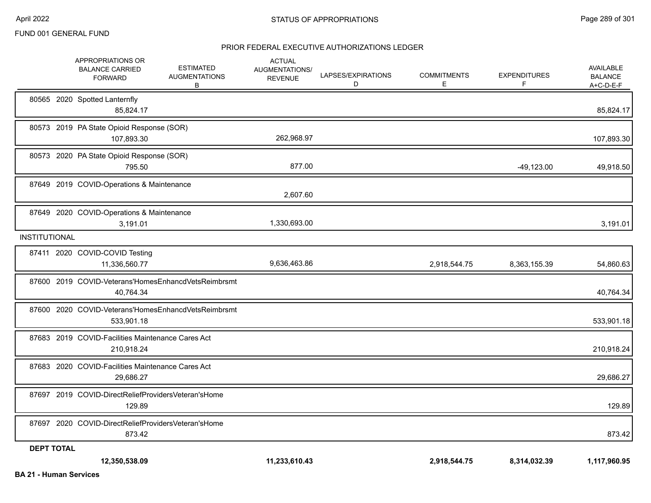|                      | APPROPRIATIONS OR<br><b>BALANCE CARRIED</b><br><b>FORWARD</b>     | <b>ESTIMATED</b><br><b>AUGMENTATIONS</b><br>B | <b>ACTUAL</b><br><b>AUGMENTATIONS/</b><br><b>REVENUE</b> | LAPSES/EXPIRATIONS<br>D | <b>COMMITMENTS</b><br>Е | <b>EXPENDITURES</b><br>F | AVAILABLE<br><b>BALANCE</b><br>$A+C-D-E-F$ |
|----------------------|-------------------------------------------------------------------|-----------------------------------------------|----------------------------------------------------------|-------------------------|-------------------------|--------------------------|--------------------------------------------|
|                      | 80565 2020 Spotted Lanternfly<br>85,824.17                        |                                               |                                                          |                         |                         |                          | 85,824.17                                  |
|                      | 80573 2019 PA State Opioid Response (SOR)<br>107,893.30           |                                               | 262,968.97                                               |                         |                         |                          | 107,893.30                                 |
|                      | 80573 2020 PA State Opioid Response (SOR)<br>795.50               |                                               | 877.00                                                   |                         |                         | $-49,123.00$             | 49,918.50                                  |
|                      | 87649 2019 COVID-Operations & Maintenance                         |                                               | 2,607.60                                                 |                         |                         |                          |                                            |
|                      | 87649 2020 COVID-Operations & Maintenance<br>3,191.01             |                                               | 1,330,693.00                                             |                         |                         |                          | 3,191.01                                   |
| <b>INSTITUTIONAL</b> |                                                                   |                                               |                                                          |                         |                         |                          |                                            |
|                      | 87411 2020 COVID-COVID Testing<br>11,336,560.77                   |                                               | 9,636,463.86                                             |                         | 2,918,544.75            | 8,363,155.39             | 54,860.63                                  |
|                      | 87600 2019 COVID-Veterans'HomesEnhancdVetsReimbrsmt<br>40,764.34  |                                               |                                                          |                         |                         |                          | 40,764.34                                  |
|                      | 87600 2020 COVID-Veterans'HomesEnhancdVetsReimbrsmt<br>533,901.18 |                                               |                                                          |                         |                         |                          | 533,901.18                                 |
|                      | 87683 2019 COVID-Facilities Maintenance Cares Act<br>210,918.24   |                                               |                                                          |                         |                         |                          | 210,918.24                                 |
|                      | 87683 2020 COVID-Facilities Maintenance Cares Act<br>29,686.27    |                                               |                                                          |                         |                         |                          | 29,686.27                                  |
|                      | 87697 2019 COVID-DirectReliefProvidersVeteran'sHome<br>129.89     |                                               |                                                          |                         |                         |                          | 129.89                                     |
|                      | 87697 2020 COVID-DirectReliefProvidersVeteran'sHome<br>873.42     |                                               |                                                          |                         |                         |                          | 873.42                                     |
| <b>DEPT TOTAL</b>    |                                                                   |                                               |                                                          |                         |                         |                          |                                            |
|                      | 12,350,538.09                                                     |                                               | 11,233,610.43                                            |                         | 2,918,544.75            | 8,314,032.39             | 1,117,960.95                               |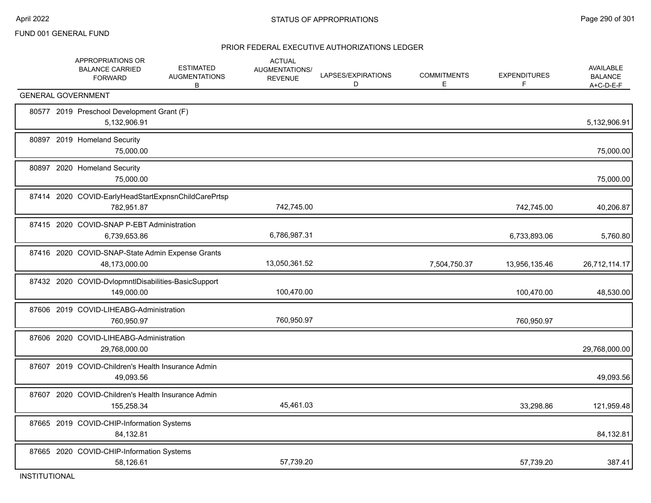|       | APPROPRIATIONS OR<br><b>BALANCE CARRIED</b><br><b>FORWARD</b>     | <b>ESTIMATED</b><br><b>AUGMENTATIONS</b><br>B | <b>ACTUAL</b><br><b>AUGMENTATIONS/</b><br><b>REVENUE</b> | LAPSES/EXPIRATIONS<br>D | <b>COMMITMENTS</b><br>E | <b>EXPENDITURES</b><br>F | <b>AVAILABLE</b><br><b>BALANCE</b><br>A+C-D-E-F |
|-------|-------------------------------------------------------------------|-----------------------------------------------|----------------------------------------------------------|-------------------------|-------------------------|--------------------------|-------------------------------------------------|
|       | <b>GENERAL GOVERNMENT</b>                                         |                                               |                                                          |                         |                         |                          |                                                 |
|       | 80577 2019 Preschool Development Grant (F)<br>5,132,906.91        |                                               |                                                          |                         |                         |                          | 5,132,906.91                                    |
|       | 80897 2019 Homeland Security<br>75,000.00                         |                                               |                                                          |                         |                         |                          | 75,000.00                                       |
|       | 80897 2020 Homeland Security<br>75,000.00                         |                                               |                                                          |                         |                         |                          | 75,000.00                                       |
|       | 87414 2020 COVID-EarlyHeadStartExpnsnChildCarePrtsp<br>782,951.87 |                                               | 742,745.00                                               |                         |                         | 742,745.00               | 40,206.87                                       |
|       | 87415 2020 COVID-SNAP P-EBT Administration<br>6,739,653.86        |                                               | 6,786,987.31                                             |                         |                         | 6,733,893.06             | 5,760.80                                        |
|       | 87416 2020 COVID-SNAP-State Admin Expense Grants<br>48,173,000.00 |                                               | 13,050,361.52                                            |                         | 7,504,750.37            | 13,956,135.46            | 26,712,114.17                                   |
|       | 87432 2020 COVID-DvlopmntIDisabilities-BasicSupport<br>149,000.00 |                                               | 100,470.00                                               |                         |                         | 100,470.00               | 48,530.00                                       |
|       | 87606 2019 COVID-LIHEABG-Administration<br>760,950.97             |                                               | 760,950.97                                               |                         |                         | 760,950.97               |                                                 |
|       | 87606 2020 COVID-LIHEABG-Administration<br>29,768,000.00          |                                               |                                                          |                         |                         |                          | 29,768,000.00                                   |
| 87607 | 2019 COVID-Children's Health Insurance Admin<br>49,093.56         |                                               |                                                          |                         |                         |                          | 49,093.56                                       |
|       | 87607 2020 COVID-Children's Health Insurance Admin<br>155,258.34  |                                               | 45,461.03                                                |                         |                         | 33,298.86                | 121,959.48                                      |
|       | 87665 2019 COVID-CHIP-Information Systems<br>84,132.81            |                                               |                                                          |                         |                         |                          | 84,132.81                                       |
|       | 87665 2020 COVID-CHIP-Information Systems<br>58,126.61            |                                               | 57,739.20                                                |                         |                         | 57,739.20                | 387.41                                          |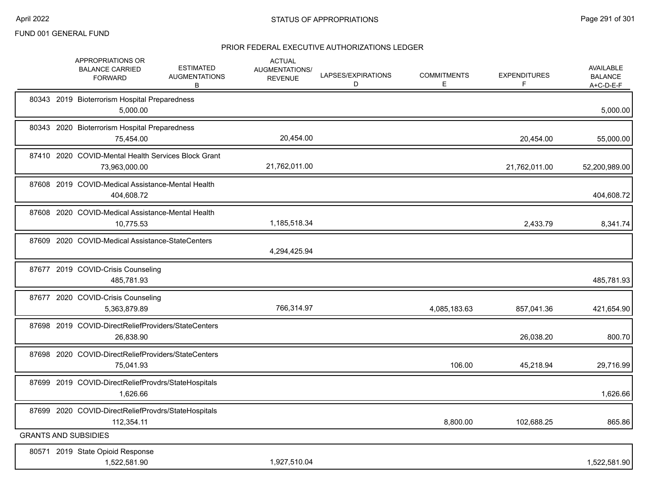|  | APPROPRIATIONS OR<br><b>BALANCE CARRIED</b><br><b>FORWARD</b>        | <b>ESTIMATED</b><br><b>AUGMENTATIONS</b><br>В | <b>ACTUAL</b><br>AUGMENTATIONS/<br><b>REVENUE</b> | LAPSES/EXPIRATIONS<br>D | <b>COMMITMENTS</b><br>E. | <b>EXPENDITURES</b><br>F | <b>AVAILABLE</b><br><b>BALANCE</b><br>$A+C-D-E-F$ |
|--|----------------------------------------------------------------------|-----------------------------------------------|---------------------------------------------------|-------------------------|--------------------------|--------------------------|---------------------------------------------------|
|  | 80343 2019 Bioterrorism Hospital Preparedness<br>5,000.00            |                                               |                                                   |                         |                          |                          | 5,000.00                                          |
|  | 80343 2020 Bioterrorism Hospital Preparedness<br>75,454.00           |                                               | 20,454.00                                         |                         |                          | 20,454.00                | 55,000.00                                         |
|  | 87410 2020 COVID-Mental Health Services Block Grant<br>73,963,000.00 |                                               | 21,762,011.00                                     |                         |                          | 21,762,011.00            | 52,200,989.00                                     |
|  | 87608 2019 COVID-Medical Assistance-Mental Health<br>404,608.72      |                                               |                                                   |                         |                          |                          | 404,608.72                                        |
|  | 87608 2020 COVID-Medical Assistance-Mental Health<br>10,775.53       |                                               | 1,185,518.34                                      |                         |                          | 2,433.79                 | 8,341.74                                          |
|  | 87609 2020 COVID-Medical Assistance-StateCenters                     |                                               | 4,294,425.94                                      |                         |                          |                          |                                                   |
|  | 87677 2019 COVID-Crisis Counseling<br>485,781.93                     |                                               |                                                   |                         |                          |                          | 485,781.93                                        |
|  | 87677 2020 COVID-Crisis Counseling<br>5,363,879.89                   |                                               | 766,314.97                                        |                         | 4,085,183.63             | 857,041.36               | 421,654.90                                        |
|  | 87698 2019 COVID-DirectReliefProviders/StateCenters<br>26,838.90     |                                               |                                                   |                         |                          | 26,038.20                | 800.70                                            |
|  | 87698 2020 COVID-DirectReliefProviders/StateCenters<br>75,041.93     |                                               |                                                   |                         | 106.00                   | 45,218.94                | 29,716.99                                         |
|  | 87699 2019 COVID-DirectReliefProvdrs/StateHospitals<br>1,626.66      |                                               |                                                   |                         |                          |                          | 1,626.66                                          |
|  | 87699 2020 COVID-DirectReliefProvdrs/StateHospitals<br>112,354.11    |                                               |                                                   |                         | 8,800.00                 | 102,688.25               | 865.86                                            |
|  | <b>GRANTS AND SUBSIDIES</b>                                          |                                               |                                                   |                         |                          |                          |                                                   |
|  | 80571 2019 State Opioid Response<br>1,522,581.90                     |                                               | 1,927,510.04                                      |                         |                          |                          | 1,522,581.90                                      |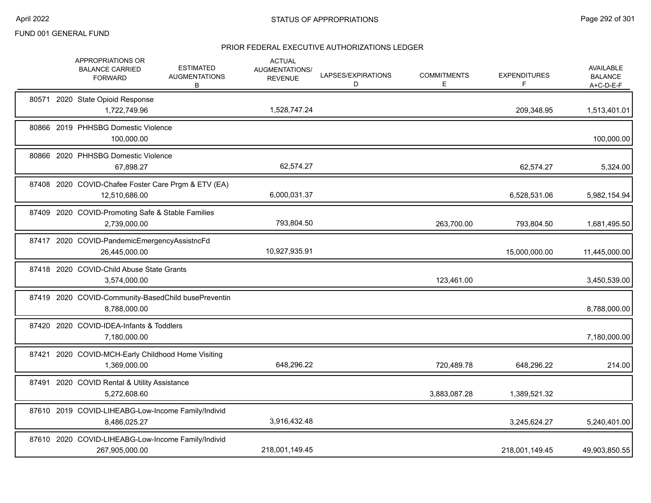|       | APPROPRIATIONS OR<br><b>BALANCE CARRIED</b><br><b>FORWARD</b>        | <b>ESTIMATED</b><br><b>AUGMENTATIONS</b><br>В | <b>ACTUAL</b><br>AUGMENTATIONS/<br><b>REVENUE</b> | LAPSES/EXPIRATIONS<br>D | <b>COMMITMENTS</b><br>Е | <b>EXPENDITURES</b><br>F | AVAILABLE<br><b>BALANCE</b><br>A+C-D-E-F |
|-------|----------------------------------------------------------------------|-----------------------------------------------|---------------------------------------------------|-------------------------|-------------------------|--------------------------|------------------------------------------|
|       | 80571 2020 State Opioid Response<br>1,722,749.96                     |                                               | 1,528,747.24                                      |                         |                         | 209,348.95               | 1,513,401.01                             |
|       | 80866 2019 PHHSBG Domestic Violence<br>100,000.00                    |                                               |                                                   |                         |                         |                          | 100,000.00                               |
|       | 80866 2020 PHHSBG Domestic Violence<br>67,898.27                     |                                               | 62,574.27                                         |                         |                         | 62,574.27                | 5,324.00                                 |
|       | 87408 2020 COVID-Chafee Foster Care Prgm & ETV (EA)<br>12,510,686.00 |                                               | 6,000,031.37                                      |                         |                         | 6,528,531.06             | 5,982,154.94                             |
|       | 87409 2020 COVID-Promoting Safe & Stable Families<br>2,739,000.00    |                                               | 793,804.50                                        |                         | 263,700.00              | 793,804.50               | 1,681,495.50                             |
|       | 87417 2020 COVID-PandemicEmergencyAssistncFd<br>26,445,000.00        |                                               | 10,927,935.91                                     |                         |                         | 15,000,000.00            | 11,445,000.00                            |
|       | 87418 2020 COVID-Child Abuse State Grants<br>3,574,000.00            |                                               |                                                   |                         | 123,461.00              |                          | 3,450,539.00                             |
|       | 87419 2020 COVID-Community-BasedChild busePreventin<br>8,788,000.00  |                                               |                                                   |                         |                         |                          | 8,788,000.00                             |
|       | 87420 2020 COVID-IDEA-Infants & Toddlers<br>7,180,000.00             |                                               |                                                   |                         |                         |                          | 7,180,000.00                             |
| 87421 | 2020 COVID-MCH-Early Childhood Home Visiting<br>1,369,000.00         |                                               | 648,296.22                                        |                         | 720,489.78              | 648,296.22               | 214.00                                   |
|       | 87491 2020 COVID Rental & Utility Assistance<br>5,272,608.60         |                                               |                                                   |                         | 3,883,087.28            | 1,389,521.32             |                                          |
|       | 87610 2019 COVID-LIHEABG-Low-Income Family/Individ<br>8,486,025.27   |                                               | 3,916,432.48                                      |                         |                         | 3,245,624.27             | 5,240,401.00                             |
|       | 87610 2020 COVID-LIHEABG-Low-Income Family/Individ<br>267,905,000.00 |                                               | 218,001,149.45                                    |                         |                         | 218,001,149.45           | 49,903,850.55                            |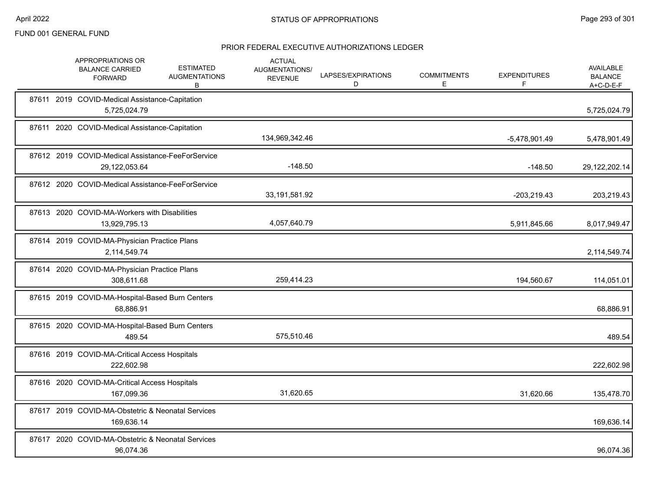| APPROPRIATIONS OR<br><b>BALANCE CARRIED</b><br><b>FORWARD</b>      | <b>ESTIMATED</b><br><b>AUGMENTATIONS</b><br>В | <b>ACTUAL</b><br>AUGMENTATIONS/<br><b>REVENUE</b> | LAPSES/EXPIRATIONS<br>D | <b>COMMITMENTS</b><br>E. | <b>EXPENDITURES</b><br>F | <b>AVAILABLE</b><br><b>BALANCE</b><br>A+C-D-E-F |
|--------------------------------------------------------------------|-----------------------------------------------|---------------------------------------------------|-------------------------|--------------------------|--------------------------|-------------------------------------------------|
| 87611 2019 COVID-Medical Assistance-Capitation<br>5,725,024.79     |                                               |                                                   |                         |                          |                          | 5,725,024.79                                    |
| 87611 2020 COVID-Medical Assistance-Capitation                     |                                               | 134,969,342.46                                    |                         |                          | $-5,478,901.49$          | 5,478,901.49                                    |
| 87612 2019 COVID-Medical Assistance-FeeForService<br>29,122,053.64 |                                               | $-148.50$                                         |                         |                          | $-148.50$                | 29,122,202.14                                   |
| 87612 2020 COVID-Medical Assistance-FeeForService                  |                                               | 33,191,581.92                                     |                         |                          | $-203,219.43$            | 203,219.43                                      |
| 87613 2020 COVID-MA-Workers with Disabilities<br>13,929,795.13     |                                               | 4,057,640.79                                      |                         |                          | 5,911,845.66             | 8,017,949.47                                    |
| 87614 2019 COVID-MA-Physician Practice Plans<br>2,114,549.74       |                                               |                                                   |                         |                          |                          | 2,114,549.74                                    |
| 87614 2020 COVID-MA-Physician Practice Plans<br>308,611.68         |                                               | 259,414.23                                        |                         |                          | 194,560.67               | 114,051.01                                      |
| 87615 2019 COVID-MA-Hospital-Based Burn Centers<br>68,886.91       |                                               |                                                   |                         |                          |                          | 68,886.91                                       |
| 87615 2020 COVID-MA-Hospital-Based Burn Centers<br>489.54          |                                               | 575,510.46                                        |                         |                          |                          | 489.54                                          |
| 87616 2019 COVID-MA-Critical Access Hospitals<br>222,602.98        |                                               |                                                   |                         |                          |                          | 222,602.98                                      |
| 87616 2020 COVID-MA-Critical Access Hospitals<br>167,099.36        |                                               | 31,620.65                                         |                         |                          | 31,620.66                | 135,478.70                                      |
| 87617 2019 COVID-MA-Obstetric & Neonatal Services<br>169,636.14    |                                               |                                                   |                         |                          |                          | 169,636.14                                      |
| 87617 2020 COVID-MA-Obstetric & Neonatal Services<br>96,074.36     |                                               |                                                   |                         |                          |                          | 96,074.36                                       |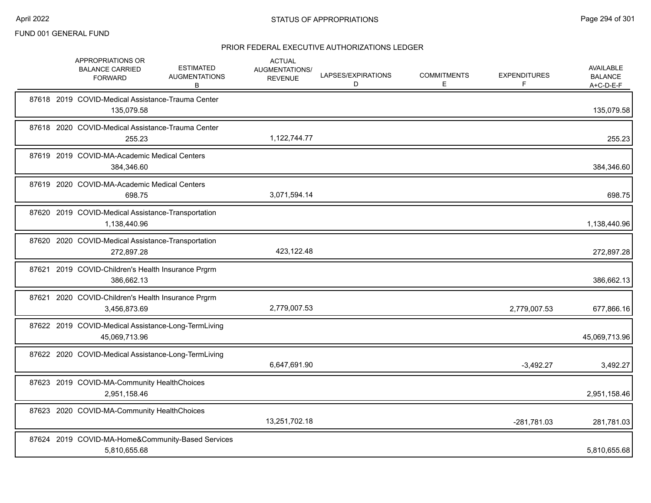|       | APPROPRIATIONS OR<br><b>BALANCE CARRIED</b><br><b>FORWARD</b>        | <b>ESTIMATED</b><br><b>AUGMENTATIONS</b><br>В | <b>ACTUAL</b><br>AUGMENTATIONS/<br><b>REVENUE</b> | LAPSES/EXPIRATIONS<br>D | <b>COMMITMENTS</b><br>E | <b>EXPENDITURES</b> | <b>AVAILABLE</b><br><b>BALANCE</b><br>A+C-D-E-F |
|-------|----------------------------------------------------------------------|-----------------------------------------------|---------------------------------------------------|-------------------------|-------------------------|---------------------|-------------------------------------------------|
|       | 87618 2019 COVID-Medical Assistance-Trauma Center<br>135,079.58      |                                               |                                                   |                         |                         |                     | 135,079.58                                      |
|       | 87618 2020 COVID-Medical Assistance-Trauma Center<br>255.23          |                                               | 1,122,744.77                                      |                         |                         |                     | 255.23                                          |
|       | 87619 2019 COVID-MA-Academic Medical Centers<br>384,346.60           |                                               |                                                   |                         |                         |                     | 384,346.60                                      |
|       | 87619 2020 COVID-MA-Academic Medical Centers<br>698.75               |                                               | 3,071,594.14                                      |                         |                         |                     | 698.75                                          |
|       | 87620 2019 COVID-Medical Assistance-Transportation<br>1,138,440.96   |                                               |                                                   |                         |                         |                     | 1,138,440.96                                    |
|       | 87620 2020 COVID-Medical Assistance-Transportation<br>272,897.28     |                                               | 423,122.48                                        |                         |                         |                     | 272,897.28                                      |
|       | 87621 2019 COVID-Children's Health Insurance Prgrm<br>386,662.13     |                                               |                                                   |                         |                         |                     | 386,662.13                                      |
| 87621 | 2020 COVID-Children's Health Insurance Prgrm<br>3,456,873.69         |                                               | 2,779,007.53                                      |                         |                         | 2,779,007.53        | 677,866.16                                      |
|       | 87622 2019 COVID-Medical Assistance-Long-TermLiving<br>45,069,713.96 |                                               |                                                   |                         |                         |                     | 45,069,713.96                                   |
|       | 87622 2020 COVID-Medical Assistance-Long-TermLiving                  |                                               | 6,647,691.90                                      |                         |                         | $-3,492.27$         | 3,492.27                                        |
|       | 87623 2019 COVID-MA-Community HealthChoices<br>2,951,158.46          |                                               |                                                   |                         |                         |                     | 2,951,158.46                                    |
|       | 87623 2020 COVID-MA-Community HealthChoices                          |                                               | 13,251,702.18                                     |                         |                         | -281,781.03         | 281,781.03                                      |
|       | 87624 2019 COVID-MA-Home&Community-Based Services<br>5,810,655.68    |                                               |                                                   |                         |                         |                     | 5,810,655.68                                    |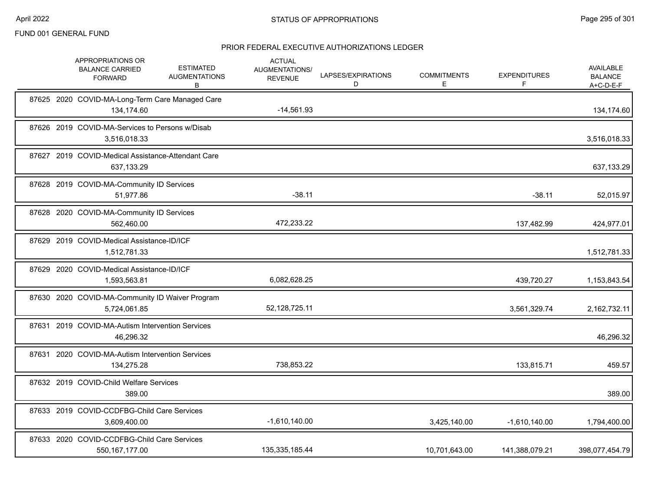|       | APPROPRIATIONS OR<br><b>BALANCE CARRIED</b><br><b>FORWARD</b>    | <b>ESTIMATED</b><br><b>AUGMENTATIONS</b><br>В | <b>ACTUAL</b><br>AUGMENTATIONS/<br><b>REVENUE</b> | LAPSES/EXPIRATIONS<br>D | <b>COMMITMENTS</b><br>E. | <b>EXPENDITURES</b><br>F | AVAILABLE<br><b>BALANCE</b><br>A+C-D-E-F |
|-------|------------------------------------------------------------------|-----------------------------------------------|---------------------------------------------------|-------------------------|--------------------------|--------------------------|------------------------------------------|
|       | 87625 2020 COVID-MA-Long-Term Care Managed Care<br>134,174.60    |                                               | $-14,561.93$                                      |                         |                          |                          | 134,174.60                               |
|       | 87626 2019 COVID-MA-Services to Persons w/Disab<br>3,516,018.33  |                                               |                                                   |                         |                          |                          | 3,516,018.33                             |
|       | 87627 2019 COVID-Medical Assistance-Attendant Care<br>637,133.29 |                                               |                                                   |                         |                          |                          | 637,133.29                               |
|       | 87628 2019 COVID-MA-Community ID Services<br>51,977.86           |                                               | $-38.11$                                          |                         |                          | $-38.11$                 | 52,015.97                                |
|       | 87628 2020 COVID-MA-Community ID Services<br>562,460.00          |                                               | 472,233.22                                        |                         |                          | 137,482.99               | 424,977.01                               |
|       | 87629 2019 COVID-Medical Assistance-ID/ICF<br>1,512,781.33       |                                               |                                                   |                         |                          |                          | 1,512,781.33                             |
|       | 87629 2020 COVID-Medical Assistance-ID/ICF<br>1,593,563.81       |                                               | 6,082,628.25                                      |                         |                          | 439,720.27               | 1,153,843.54                             |
|       | 87630 2020 COVID-MA-Community ID Waiver Program<br>5,724,061.85  |                                               | 52, 128, 725. 11                                  |                         |                          | 3,561,329.74             | 2,162,732.11                             |
|       | 87631 2019 COVID-MA-Autism Intervention Services<br>46,296.32    |                                               |                                                   |                         |                          |                          | 46,296.32                                |
| 87631 | 2020 COVID-MA-Autism Intervention Services<br>134,275.28         |                                               | 738,853.22                                        |                         |                          | 133,815.71               | 459.57                                   |
|       | 87632 2019 COVID-Child Welfare Services<br>389.00                |                                               |                                                   |                         |                          |                          | 389.00                                   |
|       | 87633 2019 COVID-CCDFBG-Child Care Services<br>3,609,400.00      |                                               | $-1,610,140.00$                                   |                         | 3,425,140.00             | $-1,610,140.00$          | 1,794,400.00                             |
|       | 87633 2020 COVID-CCDFBG-Child Care Services<br>550, 167, 177.00  |                                               | 135,335,185.44                                    |                         | 10,701,643.00            | 141,388,079.21           | 398,077,454.79                           |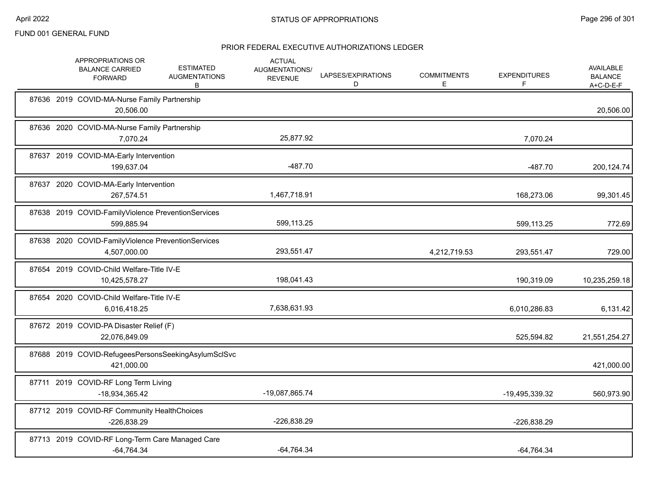|  | APPROPRIATIONS OR<br><b>BALANCE CARRIED</b><br><b>FORWARD</b>      | <b>ESTIMATED</b><br><b>AUGMENTATIONS</b><br>В | <b>ACTUAL</b><br>AUGMENTATIONS/<br><b>REVENUE</b> | LAPSES/EXPIRATIONS<br>D | <b>COMMITMENTS</b><br>E. | <b>EXPENDITURES</b><br>F | <b>AVAILABLE</b><br><b>BALANCE</b><br>A+C-D-E-F |
|--|--------------------------------------------------------------------|-----------------------------------------------|---------------------------------------------------|-------------------------|--------------------------|--------------------------|-------------------------------------------------|
|  | 87636 2019 COVID-MA-Nurse Family Partnership<br>20,506.00          |                                               |                                                   |                         |                          |                          | 20,506.00                                       |
|  | 87636 2020 COVID-MA-Nurse Family Partnership<br>7,070.24           |                                               | 25,877.92                                         |                         |                          | 7,070.24                 |                                                 |
|  | 87637 2019 COVID-MA-Early Intervention<br>199,637.04               |                                               | $-487.70$                                         |                         |                          | $-487.70$                | 200,124.74                                      |
|  | 87637 2020 COVID-MA-Early Intervention<br>267,574.51               |                                               | 1,467,718.91                                      |                         |                          | 168,273.06               | 99,301.45                                       |
|  | 87638 2019 COVID-FamilyViolence PreventionServices<br>599,885.94   |                                               | 599,113.25                                        |                         |                          | 599,113.25               | 772.69                                          |
|  | 87638 2020 COVID-FamilyViolence PreventionServices<br>4,507,000.00 |                                               | 293,551.47                                        |                         | 4,212,719.53             | 293,551.47               | 729.00                                          |
|  | 87654 2019 COVID-Child Welfare-Title IV-E<br>10,425,578.27         |                                               | 198,041.43                                        |                         |                          | 190,319.09               | 10,235,259.18                                   |
|  | 87654 2020 COVID-Child Welfare-Title IV-E<br>6,016,418.25          |                                               | 7,638,631.93                                      |                         |                          | 6,010,286.83             | 6,131.42                                        |
|  | 87672 2019 COVID-PA Disaster Relief (F)<br>22,076,849.09           |                                               |                                                   |                         |                          | 525,594.82               | 21,551,254.27                                   |
|  | 87688 2019 COVID-RefugeesPersonsSeekingAsylumSclSvc<br>421,000.00  |                                               |                                                   |                         |                          |                          | 421,000.00                                      |
|  | 87711 2019 COVID-RF Long Term Living<br>-18,934,365.42             |                                               | -19,087,865.74                                    |                         |                          | -19,495,339.32           | 560,973.90                                      |
|  | 87712 2019 COVID-RF Community HealthChoices<br>$-226,838.29$       |                                               | -226,838.29                                       |                         |                          | -226,838.29              |                                                 |
|  | 87713 2019 COVID-RF Long-Term Care Managed Care<br>$-64,764.34$    |                                               | $-64,764.34$                                      |                         |                          | $-64,764.34$             |                                                 |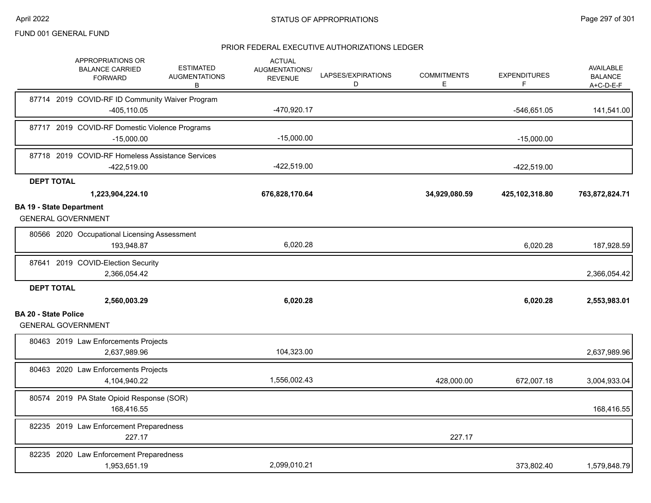|                                 | APPROPRIATIONS OR<br><b>BALANCE CARRIED</b><br><b>FORWARD</b>     | <b>ESTIMATED</b><br><b>AUGMENTATIONS</b><br>В | <b>ACTUAL</b><br>AUGMENTATIONS/<br><b>REVENUE</b> | LAPSES/EXPIRATIONS<br>D | <b>COMMITMENTS</b><br>E | <b>EXPENDITURES</b><br>F | <b>AVAILABLE</b><br><b>BALANCE</b><br>A+C-D-E-F |
|---------------------------------|-------------------------------------------------------------------|-----------------------------------------------|---------------------------------------------------|-------------------------|-------------------------|--------------------------|-------------------------------------------------|
|                                 | 87714 2019 COVID-RF ID Community Waiver Program<br>$-405, 110.05$ |                                               | -470,920.17                                       |                         |                         | -546,651.05              | 141,541.00                                      |
|                                 | 87717 2019 COVID-RF Domestic Violence Programs<br>$-15,000.00$    |                                               | $-15,000.00$                                      |                         |                         | $-15,000.00$             |                                                 |
|                                 | 87718 2019 COVID-RF Homeless Assistance Services<br>-422,519.00   |                                               | $-422,519.00$                                     |                         |                         | $-422,519.00$            |                                                 |
| <b>DEPT TOTAL</b>               |                                                                   |                                               |                                                   |                         |                         |                          |                                                 |
|                                 | 1,223,904,224.10                                                  |                                               | 676,828,170.64                                    |                         | 34,929,080.59           | 425,102,318.80           | 763,872,824.71                                  |
| <b>BA 19 - State Department</b> | <b>GENERAL GOVERNMENT</b>                                         |                                               |                                                   |                         |                         |                          |                                                 |
|                                 | 80566 2020 Occupational Licensing Assessment<br>193,948.87        |                                               | 6,020.28                                          |                         |                         | 6,020.28                 | 187,928.59                                      |
|                                 | 87641 2019 COVID-Election Security<br>2,366,054.42                |                                               |                                                   |                         |                         |                          | 2,366,054.42                                    |
| <b>DEPT TOTAL</b>               | 2,560,003.29                                                      |                                               | 6,020.28                                          |                         |                         | 6,020.28                 | 2,553,983.01                                    |
| <b>BA 20 - State Police</b>     | <b>GENERAL GOVERNMENT</b>                                         |                                               |                                                   |                         |                         |                          |                                                 |
|                                 | 80463 2019 Law Enforcements Projects<br>2,637,989.96              |                                               | 104,323.00                                        |                         |                         |                          | 2,637,989.96                                    |
|                                 | 80463 2020 Law Enforcements Projects<br>4,104,940.22              |                                               | 1,556,002.43                                      |                         | 428,000.00              | 672,007.18               | 3,004,933.04                                    |
|                                 | 80574 2019 PA State Opioid Response (SOR)<br>168,416.55           |                                               |                                                   |                         |                         |                          | 168,416.55                                      |
|                                 | 82235 2019 Law Enforcement Preparedness<br>227.17                 |                                               |                                                   |                         | 227.17                  |                          |                                                 |
|                                 | 82235 2020 Law Enforcement Preparedness<br>1,953,651.19           |                                               | 2,099,010.21                                      |                         |                         | 373,802.40               | 1,579,848.79                                    |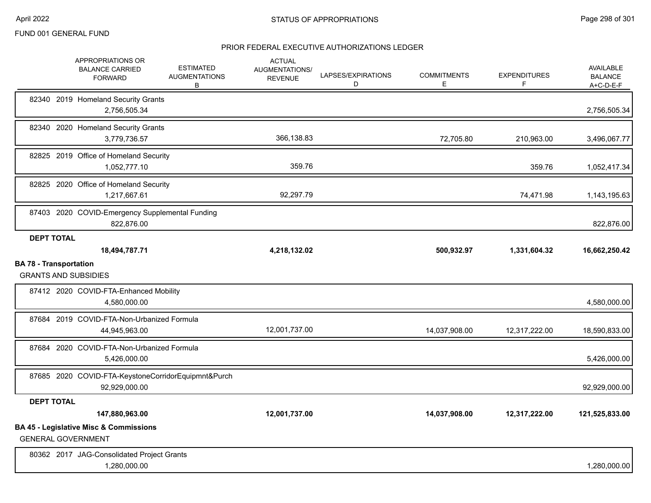|                               | APPROPRIATIONS OR<br><b>BALANCE CARRIED</b><br><b>FORWARD</b>                  | <b>ESTIMATED</b><br><b>AUGMENTATIONS</b><br>B | <b>ACTUAL</b><br><b>AUGMENTATIONS/</b><br><b>REVENUE</b> | LAPSES/EXPIRATIONS<br>D | <b>COMMITMENTS</b><br>E. | <b>EXPENDITURES</b><br>F | <b>AVAILABLE</b><br><b>BALANCE</b><br>A+C-D-E-F |
|-------------------------------|--------------------------------------------------------------------------------|-----------------------------------------------|----------------------------------------------------------|-------------------------|--------------------------|--------------------------|-------------------------------------------------|
|                               | 82340 2019 Homeland Security Grants<br>2,756,505.34                            |                                               |                                                          |                         |                          |                          | 2,756,505.34                                    |
|                               | 82340 2020 Homeland Security Grants<br>3,779,736.57                            |                                               | 366.138.83                                               |                         | 72,705.80                | 210,963.00               | 3,496,067.77                                    |
|                               | 82825 2019 Office of Homeland Security<br>1,052,777.10                         |                                               | 359.76                                                   |                         |                          | 359.76                   | 1,052,417.34                                    |
|                               | 82825 2020 Office of Homeland Security<br>1,217,667.61                         |                                               | 92,297.79                                                |                         |                          | 74,471.98                | 1,143,195.63                                    |
|                               | 87403 2020 COVID-Emergency Supplemental Funding<br>822,876.00                  |                                               |                                                          |                         |                          |                          | 822,876.00                                      |
| <b>DEPT TOTAL</b>             | 18,494,787.71                                                                  |                                               | 4,218,132.02                                             |                         | 500,932.97               | 1,331,604.32             | 16,662,250.42                                   |
| <b>BA 78 - Transportation</b> | <b>GRANTS AND SUBSIDIES</b>                                                    |                                               |                                                          |                         |                          |                          |                                                 |
|                               | 87412 2020 COVID-FTA-Enhanced Mobility<br>4,580,000.00                         |                                               |                                                          |                         |                          |                          | 4,580,000.00                                    |
|                               | 87684 2019 COVID-FTA-Non-Urbanized Formula<br>44,945,963.00                    |                                               | 12,001,737.00                                            |                         | 14,037,908.00            | 12,317,222.00            | 18,590,833.00                                   |
|                               | 87684 2020 COVID-FTA-Non-Urbanized Formula<br>5.426.000.00                     |                                               |                                                          |                         |                          |                          | 5,426,000.00                                    |
|                               | 87685 2020 COVID-FTA-KeystoneCorridorEquipmnt&Purch<br>92,929,000.00           |                                               |                                                          |                         |                          |                          | 92,929,000.00                                   |
| <b>DEPT TOTAL</b>             |                                                                                |                                               |                                                          |                         |                          |                          |                                                 |
|                               | 147,880,963.00                                                                 |                                               | 12,001,737.00                                            |                         | 14,037,908.00            | 12,317,222.00            | 121,525,833.00                                  |
|                               | <b>BA 45 - Legislative Misc &amp; Commissions</b><br><b>GENERAL GOVERNMENT</b> |                                               |                                                          |                         |                          |                          |                                                 |
|                               | 80362 2017 JAG-Consolidated Project Grants<br>1,280,000.00                     |                                               |                                                          |                         |                          |                          | 1,280,000.00                                    |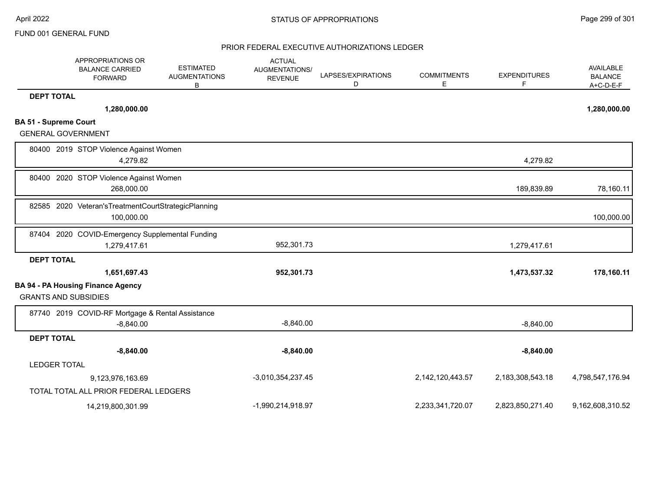|                              | APPROPRIATIONS OR<br><b>BALANCE CARRIED</b><br><b>FORWARD</b>         | <b>ESTIMATED</b><br><b>AUGMENTATIONS</b><br>В | <b>ACTUAL</b><br><b>AUGMENTATIONS/</b><br><b>REVENUE</b> | LAPSES/EXPIRATIONS<br>D | <b>COMMITMENTS</b><br>Е | <b>EXPENDITURES</b><br>F | AVAILABLE<br><b>BALANCE</b><br>$A+C-D-E-F$ |
|------------------------------|-----------------------------------------------------------------------|-----------------------------------------------|----------------------------------------------------------|-------------------------|-------------------------|--------------------------|--------------------------------------------|
| <b>DEPT TOTAL</b>            |                                                                       |                                               |                                                          |                         |                         |                          |                                            |
|                              | 1,280,000.00                                                          |                                               |                                                          |                         |                         |                          | 1,280,000.00                               |
| <b>BA 51 - Supreme Court</b> |                                                                       |                                               |                                                          |                         |                         |                          |                                            |
| <b>GENERAL GOVERNMENT</b>    |                                                                       |                                               |                                                          |                         |                         |                          |                                            |
|                              | 80400 2019 STOP Violence Against Women<br>4,279.82                    |                                               |                                                          |                         |                         | 4,279.82                 |                                            |
|                              | 80400 2020 STOP Violence Against Women<br>268,000.00                  |                                               |                                                          |                         |                         | 189,839.89               | 78,160.11                                  |
|                              | 82585 2020 Veteran's Treatment Court Strategic Planning<br>100,000.00 |                                               |                                                          |                         |                         |                          | 100,000.00                                 |
|                              | 87404 2020 COVID-Emergency Supplemental Funding<br>1,279,417.61       |                                               | 952,301.73                                               |                         |                         | 1,279,417.61             |                                            |
| <b>DEPT TOTAL</b>            |                                                                       |                                               |                                                          |                         |                         |                          |                                            |
|                              | 1,651,697.43                                                          |                                               | 952,301.73                                               |                         |                         | 1,473,537.32             | 178,160.11                                 |
| <b>GRANTS AND SUBSIDIES</b>  | <b>BA 94 - PA Housing Finance Agency</b>                              |                                               |                                                          |                         |                         |                          |                                            |
|                              | 87740 2019 COVID-RF Mortgage & Rental Assistance<br>$-8,840.00$       |                                               | $-8,840.00$                                              |                         |                         | $-8,840.00$              |                                            |
| <b>DEPT TOTAL</b>            |                                                                       |                                               |                                                          |                         |                         |                          |                                            |
|                              | $-8,840.00$                                                           |                                               | $-8,840.00$                                              |                         |                         | $-8,840.00$              |                                            |
| LEDGER TOTAL                 |                                                                       |                                               |                                                          |                         |                         |                          |                                            |
|                              | 9,123,976,163.69                                                      |                                               | $-3,010,354,237.45$                                      |                         | 2,142,120,443.57        | 2,183,308,543.18         | 4,798,547,176.94                           |
|                              | TOTAL TOTAL ALL PRIOR FEDERAL LEDGERS                                 |                                               |                                                          |                         |                         |                          |                                            |
|                              | 14,219,800,301.99                                                     |                                               | -1,990,214,918.97                                        |                         | 2,233,341,720.07        | 2,823,850,271.40         | 9,162,608,310.52                           |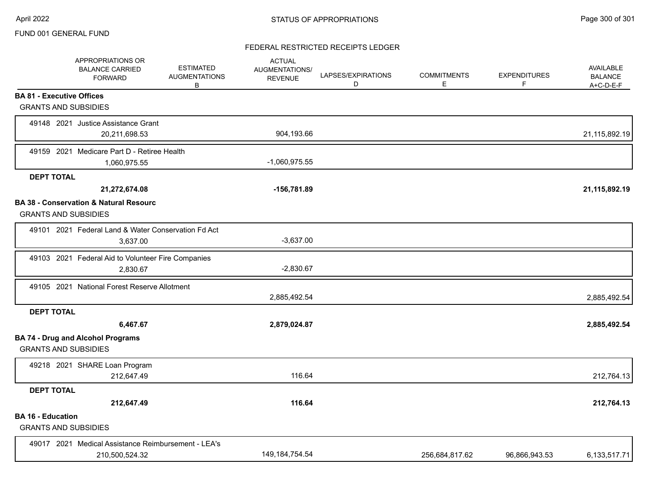# FEDERAL RESTRICTED RECEIPTS LEDGER

|                                                         | APPROPRIATIONS OR<br><b>BALANCE CARRIED</b><br><b>FORWARD</b>         | <b>ESTIMATED</b><br><b>AUGMENTATIONS</b><br>B | <b>ACTUAL</b><br>AUGMENTATIONS/<br><b>REVENUE</b> | LAPSES/EXPIRATIONS<br>D | <b>COMMITMENTS</b><br>E | <b>EXPENDITURES</b><br>F | <b>AVAILABLE</b><br><b>BALANCE</b><br>$A+C-D-E-F$ |
|---------------------------------------------------------|-----------------------------------------------------------------------|-----------------------------------------------|---------------------------------------------------|-------------------------|-------------------------|--------------------------|---------------------------------------------------|
| <b>BA 81 - Executive Offices</b>                        |                                                                       |                                               |                                                   |                         |                         |                          |                                                   |
| <b>GRANTS AND SUBSIDIES</b>                             |                                                                       |                                               |                                                   |                         |                         |                          |                                                   |
|                                                         | 49148 2021 Justice Assistance Grant<br>20,211,698.53                  |                                               | 904,193.66                                        |                         |                         |                          | 21,115,892.19                                     |
|                                                         | 49159 2021 Medicare Part D - Retiree Health<br>1,060,975.55           |                                               | $-1,060,975.55$                                   |                         |                         |                          |                                                   |
| <b>DEPT TOTAL</b>                                       |                                                                       |                                               |                                                   |                         |                         |                          |                                                   |
|                                                         | 21,272,674.08                                                         |                                               | -156,781.89                                       |                         |                         |                          | 21,115,892.19                                     |
| <b>GRANTS AND SUBSIDIES</b>                             | <b>BA 38 - Conservation &amp; Natural Resourc</b>                     |                                               |                                                   |                         |                         |                          |                                                   |
|                                                         | 49101 2021 Federal Land & Water Conservation Fd Act<br>3,637.00       |                                               | $-3,637.00$                                       |                         |                         |                          |                                                   |
|                                                         | 49103 2021 Federal Aid to Volunteer Fire Companies                    |                                               |                                                   |                         |                         |                          |                                                   |
|                                                         | 2,830.67                                                              |                                               | $-2,830.67$                                       |                         |                         |                          |                                                   |
|                                                         | 49105 2021 National Forest Reserve Allotment                          |                                               | 2,885,492.54                                      |                         |                         |                          | 2,885,492.54                                      |
| <b>DEPT TOTAL</b>                                       |                                                                       |                                               |                                                   |                         |                         |                          |                                                   |
|                                                         | 6,467.67                                                              |                                               | 2,879,024.87                                      |                         |                         |                          | 2,885,492.54                                      |
| <b>GRANTS AND SUBSIDIES</b>                             | <b>BA 74 - Drug and Alcohol Programs</b>                              |                                               |                                                   |                         |                         |                          |                                                   |
|                                                         | 49218 2021 SHARE Loan Program<br>212,647.49                           |                                               | 116.64                                            |                         |                         |                          | 212,764.13                                        |
| <b>DEPT TOTAL</b>                                       |                                                                       |                                               |                                                   |                         |                         |                          |                                                   |
|                                                         | 212,647.49                                                            |                                               | 116.64                                            |                         |                         |                          | 212,764.13                                        |
| <b>BA 16 - Education</b><br><b>GRANTS AND SUBSIDIES</b> |                                                                       |                                               |                                                   |                         |                         |                          |                                                   |
|                                                         | 49017 2021 Medical Assistance Reimbursement - LEA's<br>210,500,524.32 |                                               | 149, 184, 754.54                                  |                         | 256,684,817.62          | 96,866,943.53            | 6,133,517.71                                      |